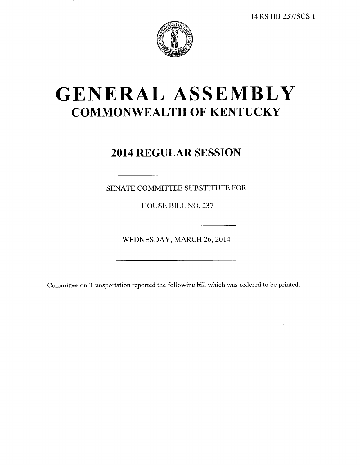

# GENERAL ASSEMBLY **COMMONWEALTH OF KENTUCKY**

## 2014 REGULAR SESSION

SENATE COMMITTEE SUBSTITUTE FOR

HOUSE BILL NO. 237

WEDNESDAY, MARCH 26, 2014

Committee on Transportation reported the following bill which was ordered to be printed.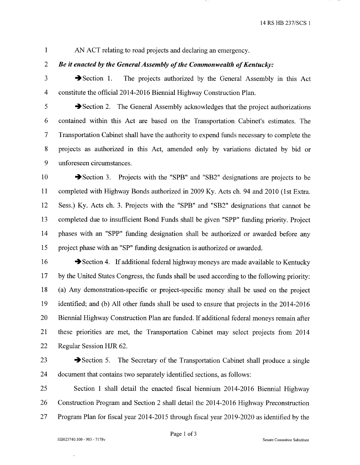$\mathbf{1}$ AN ACT relating to road projects and declaring an emergency.

#### $\overline{2}$ Be it enacted by the General Assembly of the Commonwealth of Kentucky:

3

 $\rightarrow$  Section 1. The projects authorized by the General Assembly in this Act constitute the official 2014-2016 Biennial Highway Construction Plan.

5

 $\overline{4}$ 

Section 2. The General Assembly acknowledges that the project authorizations 6 contained within this Act are based on the Transportation Cabinet's estimates. The  $\overline{7}$ Transportation Cabinet shall have the authority to expend funds necessary to complete the 8 projects as authorized in this Act, amended only by variations dictated by bid or 9 unforeseen circumstances.

10 Section 3. Projects with the "SPB" and "SB2" designations are projects to be 11 completed with Highway Bonds authorized in 2009 Ky. Acts ch. 94 and 2010 (1st Extra. 12 Sess.) Ky. Acts ch. 3. Projects with the "SPB" and "SB2" designations that cannot be 13 completed due to insufficient Bond Funds shall be given "SPP" funding priority. Project 14 phases with an "SPP" funding designation shall be authorized or awarded before any 15 project phase with an "SP" funding designation is authorized or awarded.

16 Section 4. If additional federal highway moneys are made available to Kentucky 17 by the United States Congress, the funds shall be used according to the following priority: (a) Any demonstration-specific or project-specific money shall be used on the project 18 19 identified; and (b) All other funds shall be used to ensure that projects in the 2014-2016 20 Biennial Highway Construction Plan are funded. If additional federal moneys remain after 21 these priorities are met, the Transportation Cabinet may select projects from 2014 22 Regular Session HJR 62.

23

 $\rightarrow$  Section 5. The Secretary of the Transportation Cabinet shall produce a single 24 document that contains two separately identified sections, as follows:

25 Section 1 shall detail the enacted fiscal biennium 2014-2016 Biennial Highway 26 Construction Program and Section 2 shall detail the 2014-2016 Highway Preconstruction 27 Program Plan for fiscal year 2014-2015 through fiscal year 2019-2020 as identified by the

 $\overline{\phantom{a}}$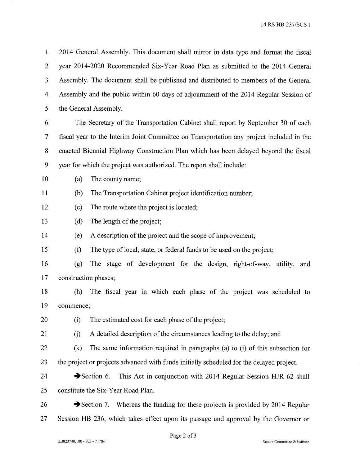14 RS HB 237/SCS 1

 $\mathbf{1}$ 2014 General Assembly. This document shall mirror in data type and format the fiscal  $\overline{2}$ year 2014-2020 Recommended Six-Year Road Plan as submitted to the 2014 General 3 Assembly. The document shall be published and distributed to members of the General  $\overline{4}$ Assembly and the public within 60 days of adjournment of the 2014 Regular Session of 5 the General Assembly.

6 The Secretary of the Transportation Cabinet shall report by September 30 of each  $\overline{7}$ fiscal year to the Interim Joint Committee on Transportation any project included in the 8 enacted Biennial Highway Construction Plan which has been delayed beyond the fiscal 9 year for which the project was authorized. The report shall include:

10 The county name;  $(a)$ 

11  $(b)$ The Transportation Cabinet project identification number;

- 12  $(c)$ The route where the project is located;
- 13 The length of the project;  $(d)$

14  $(e)$ A description of the project and the scope of improvement;

15  $(f)$ The type of local, state, or federal funds to be used on the project;

16 The stage of development for the design, right-of-way, utility, and  $(g)$ 17 construction phases;

18  $(h)$ The fiscal year in which each phase of the project was scheduled to 19 commence;

20 The estimated cost for each phase of the project;  $(i)$ 

21 A detailed description of the circumstances leading to the delay; and  $(i)$ 

22  $(k)$ The same information required in paragraphs (a) to (i) of this subsection for 23 the project or projects advanced with funds initially scheduled for the delayed project.

24  $\rightarrow$  Section 6. This Act in conjunction with 2014 Regular Session HJR 62 shall 25 constitute the Six-Year Road Plan.

26  $\rightarrow$  Section 7. Whereas the funding for these projects is provided by 2014 Regular 27 Session HB 236, which takes effect upon its passage and approval by the Governor or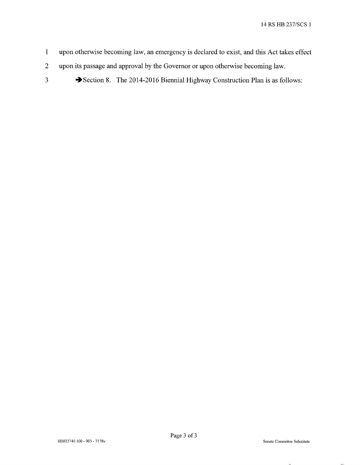- upon otherwise becoming law, an emergency is declared to exist, and this Act takes effect  $\mathbf{1}$
- $\overline{2}$ upon its passage and approval by the Governor or upon otherwise becoming law.
- $\overline{3}$

Section 8. The 2014-2016 Biennial Highway Construction Plan is as follows: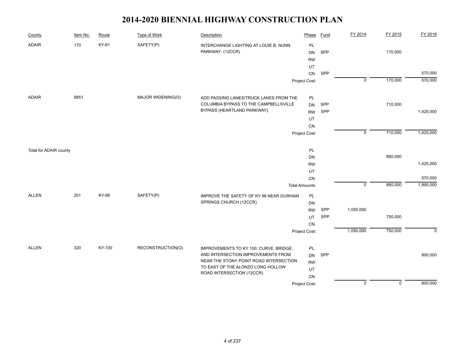| County                 | Item No. | Route        | <b>Type of Work</b> | Description                                                    | Phase                 | <b>Fund</b> | FY 2014        | FY 2015        | FY 2016   |
|------------------------|----------|--------------|---------------------|----------------------------------------------------------------|-----------------------|-------------|----------------|----------------|-----------|
| <b>ADAIR</b>           | 170      | KY-61        | SAFETY(P)           | INTERCHANGE LIGHTING AT LOUIE B. NUNN<br>PARKWAY. (12CCR)      | PL<br><b>DN</b>       | SPP         |                | 170,000        |           |
|                        |          |              |                     |                                                                | <b>RW</b><br>UT       |             |                |                |           |
|                        |          |              |                     |                                                                | CN                    | SPP         |                |                | 570,000   |
|                        |          |              |                     |                                                                | Project Cost:         |             | $\overline{0}$ | 170,000        | 570,000   |
|                        |          |              |                     |                                                                |                       |             |                |                |           |
| <b>ADAIR</b>           | 8851     |              | MAJOR WIDENING(O)   | ADD PASSING LANES/TRUCK LANES FROM THE                         | PL                    |             |                |                |           |
|                        |          |              |                     | COLUMBIA BYPASS TO THE CAMPBELLSVILLE                          | <b>DN</b>             | SPP         |                | 710,000        |           |
|                        |          |              |                     | BYPASS (HEARTLAND PARKWAY).                                    | <b>RW</b>             | SPP         |                |                | 1,425,000 |
|                        |          |              |                     |                                                                | UT                    |             |                |                |           |
|                        |          |              |                     |                                                                | CN                    |             |                |                |           |
|                        |          |              |                     |                                                                | Project Cost:         |             | $\overline{0}$ | 710,000        | 1,425,000 |
| Total for ADAIR county |          |              |                     |                                                                | PL                    |             |                |                |           |
|                        |          |              |                     |                                                                | DN                    |             |                | 880,000        |           |
|                        |          |              |                     |                                                                | <b>RW</b>             |             |                |                | 1,425,000 |
|                        |          |              |                     |                                                                | UT                    |             |                |                |           |
|                        |          |              |                     |                                                                | CN                    |             |                |                | 570,000   |
|                        |          |              |                     |                                                                | <b>Total Amounts:</b> |             | $\overline{0}$ | 880,000        | 1,995,000 |
| <b>ALLEN</b>           | 201      | <b>KY-98</b> | SAFETY(P)           | IMPROVE THE SAFETY OF KY 98 NEAR DURHAM                        | PL                    |             |                |                |           |
|                        |          |              |                     | SPRINGS CHURCH (12CCR)                                         | DN                    |             |                |                |           |
|                        |          |              |                     |                                                                | <b>RW</b>             | SPP         | 1,050,000      |                |           |
|                        |          |              |                     |                                                                | <b>UT</b>             | SPP         |                | 750,000        |           |
|                        |          |              |                     |                                                                | CN                    |             | 1,050,000      | 750,000        | $\Omega$  |
|                        |          |              |                     |                                                                | Project Cost:         |             |                |                |           |
| <b>ALLEN</b>           | 320      | KY-100       | RECONSTRUCTION(O)   | IMPROVEMENTS TO KY 100: CURVE, BRIDGE,                         | <b>PL</b>             |             |                |                |           |
|                        |          |              |                     | AND INTERSECTION IMPROVEMENTS FROM                             | DN                    | SPP         |                |                | 800,000   |
|                        |          |              |                     | NEAR THE STONY POINT ROAD INTERSECTION                         | <b>RW</b>             |             |                |                |           |
|                        |          |              |                     | TO EAST OF THE ALONZO LONG HOLLOW<br>ROAD INTERSECTION (12CCR) | UT                    |             |                |                |           |
|                        |          |              |                     |                                                                | ${\sf CN}$            |             |                |                |           |
|                        |          |              |                     |                                                                | Project Cost:         |             | $\overline{0}$ | $\overline{0}$ | 800,000   |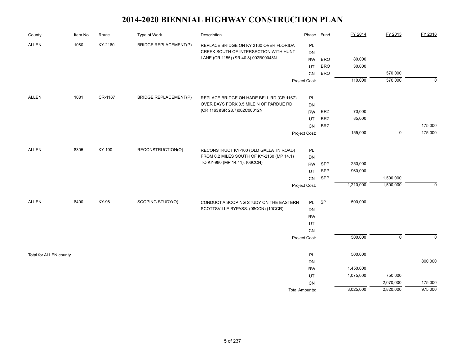| County                 | Item No. | Route   | <b>Type of Work</b>          | Description                                                                         | Phase                 | <b>Fund</b> | FY 2014   | FY 2015        | FY 2016        |
|------------------------|----------|---------|------------------------------|-------------------------------------------------------------------------------------|-----------------------|-------------|-----------|----------------|----------------|
| <b>ALLEN</b>           | 1080     | KY-2160 | <b>BRIDGE REPLACEMENT(P)</b> | REPLACE BRIDGE ON KY 2160 OVER FLORIDA                                              | PL                    |             |           |                |                |
|                        |          |         |                              | CREEK SOUTH OF INTERSECTION WITH HUNT                                               | DN                    |             |           |                |                |
|                        |          |         |                              | LANE (CR 1155) (SR 40.8) 002B00048N                                                 | <b>RW</b>             | <b>BRO</b>  | 80,000    |                |                |
|                        |          |         |                              |                                                                                     | UT                    | <b>BRO</b>  | 30,000    |                |                |
|                        |          |         |                              |                                                                                     | <b>CN</b>             | <b>BRO</b>  |           | 570,000        |                |
|                        |          |         |                              |                                                                                     | Project Cost:         |             | 110,000   | 570,000        | $\overline{0}$ |
| <b>ALLEN</b>           | 1081     | CR-1167 | <b>BRIDGE REPLACEMENT(P)</b> | REPLACE BRIDGE ON HADE BELL RD (CR 1167)                                            | PL                    |             |           |                |                |
|                        |          |         |                              | OVER BAYS FORK 0.5 MILE N OF PARDUE RD                                              | DN                    |             |           |                |                |
|                        |          |         |                              | (CR 1163)(SR 28.7)002C00012N                                                        | <b>RW</b>             | <b>BRZ</b>  | 70,000    |                |                |
|                        |          |         |                              |                                                                                     | UT                    | <b>BRZ</b>  | 85,000    |                |                |
|                        |          |         |                              |                                                                                     | <b>CN</b>             | <b>BRZ</b>  |           |                | 175,000        |
|                        |          |         |                              |                                                                                     | Project Cost:         |             | 155,000   | $\mathsf 0$    | 175,000        |
| <b>ALLEN</b>           | 8305     | KY-100  | RECONSTRUCTION(O)            |                                                                                     |                       |             |           |                |                |
|                        |          |         |                              | RECONSTRUCT KY-100 (OLD GALLATIN ROAD)<br>FROM 0.2 MILES SOUTH OF KY-2160 (MP 14.1) | PL                    |             |           |                |                |
|                        |          |         |                              | TO KY-980 (MP 14.41). (06CCN)                                                       | DN<br><b>RW</b>       | SPP         | 250,000   |                |                |
|                        |          |         |                              |                                                                                     | UT                    | SPP         | 960,000   |                |                |
|                        |          |         |                              |                                                                                     | CN                    | SPP         |           | 1,500,000      |                |
|                        |          |         |                              |                                                                                     | Project Cost:         |             | 1,210,000 | 1,500,000      | $\mathbf 0$    |
|                        |          |         |                              |                                                                                     |                       |             |           |                |                |
| <b>ALLEN</b>           | 8400     | KY-98   | SCOPING STUDY(O)             | CONDUCT A SCOPING STUDY ON THE EASTERN                                              | PL                    | <b>SP</b>   | 500,000   |                |                |
|                        |          |         |                              | SCOTTSVILLE BYPASS. (08CCN) (10CCR)                                                 | DN                    |             |           |                |                |
|                        |          |         |                              |                                                                                     | <b>RW</b>             |             |           |                |                |
|                        |          |         |                              |                                                                                     | UT                    |             |           |                |                |
|                        |          |         |                              |                                                                                     | CN                    |             |           |                |                |
|                        |          |         |                              |                                                                                     | Project Cost:         |             | 500,000   | $\overline{0}$ | $\Omega$       |
| Total for ALLEN county |          |         |                              |                                                                                     | PL                    |             | 500,000   |                |                |
|                        |          |         |                              |                                                                                     | DN                    |             |           |                | 800,000        |
|                        |          |         |                              |                                                                                     | <b>RW</b>             |             | 1,450,000 |                |                |
|                        |          |         |                              |                                                                                     | UT                    |             | 1,075,000 | 750,000        |                |
|                        |          |         |                              |                                                                                     | CN                    |             |           | 2,070,000      | 175,000        |
|                        |          |         |                              |                                                                                     | <b>Total Amounts:</b> |             | 3,025,000 | 2,820,000      | 975,000        |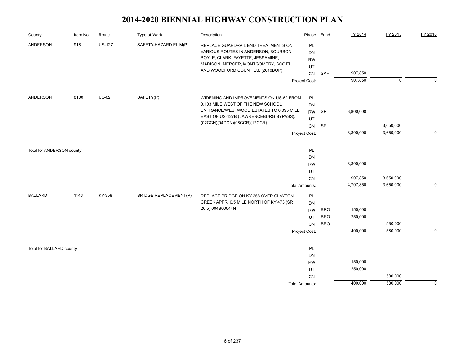| County                    | Item No. | Route         | Type of Work                 | Description                                                                                                                                                                                       | Phase                                                             | Fund                                   | FY 2014                         | FY 2015                | FY 2016     |
|---------------------------|----------|---------------|------------------------------|---------------------------------------------------------------------------------------------------------------------------------------------------------------------------------------------------|-------------------------------------------------------------------|----------------------------------------|---------------------------------|------------------------|-------------|
| ANDERSON                  | 918      | <b>US-127</b> | SAFETY-HAZARD ELIM(P)        | REPLACE GUARDRAIL END TREATMENTS ON<br>VARIOUS ROUTES IN ANDERSON, BOURBON,<br>BOYLE, CLARK, FAYETTE, JESSAMINE,<br>MADISON, MERCER, MONTGOMERY, SCOTT,<br>AND WOODFORD COUNTIES. (2010BOP)       | PL<br><b>DN</b><br><b>RW</b><br>UT<br>CN                          | <b>SAF</b>                             | 907,850                         |                        |             |
|                           |          |               |                              |                                                                                                                                                                                                   | Project Cost:                                                     |                                        | 907,850                         | $\overline{0}$         | $\Omega$    |
| ANDERSON                  | 8100     | <b>US-62</b>  | SAFETY(P)                    | WIDENING AND IMPROVEMENTS ON US-62 FROM<br>0.103 MILE WEST OF THE NEW SCHOOL<br>ENTRANCE/WESTWOOD ESTATES TO 0.095 MILE<br>EAST OF US-127B (LAWRENCEBURG BYPASS).<br>(02CCN)(04CCN)(08CCR)(12CCR) | PL<br><b>DN</b><br><b>RW</b><br>UT                                | SP                                     | 3,800,000                       |                        |             |
|                           |          |               |                              |                                                                                                                                                                                                   | ${\sf CN}$<br>Project Cost:                                       | SP                                     | 3,800,000                       | 3,650,000<br>3,650,000 | $\mathbf 0$ |
| Total for ANDERSON county |          |               |                              |                                                                                                                                                                                                   | PL<br>DN<br><b>RW</b><br>UT<br>CN                                 |                                        | 3,800,000<br>907,850            | 3,650,000              |             |
| <b>BALLARD</b>            | 1143     | KY-358        | <b>BRIDGE REPLACEMENT(P)</b> | REPLACE BRIDGE ON KY 358 OVER CLAYTON<br>CREEK APPR. 0.5 MILE NORTH OF KY 473 (SR<br>26.5) 004B00044N                                                                                             | <b>Total Amounts:</b><br>PL<br><b>DN</b><br><b>RW</b><br>UT<br>CN | <b>BRO</b><br><b>BRO</b><br><b>BRO</b> | 4,707,850<br>150,000<br>250,000 | 3,650,000<br>580,000   | $\mathbf 0$ |
|                           |          |               |                              |                                                                                                                                                                                                   | Project Cost:                                                     |                                        | 400,000                         | 580,000                | $\Omega$    |
| Total for BALLARD county  |          |               |                              |                                                                                                                                                                                                   | PL<br>DN<br><b>RW</b><br>UT                                       |                                        | 150,000<br>250,000              |                        |             |
|                           |          |               |                              |                                                                                                                                                                                                   | CN<br><b>Total Amounts:</b>                                       |                                        | 400,000                         | 580,000<br>580,000     | $\mathbf 0$ |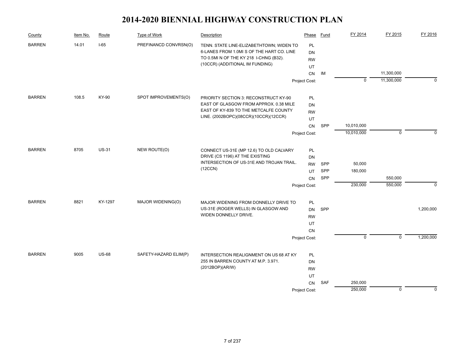| County        | Item No. | Route        | Type of Work          | Description                                                                           | Phase           | Fund | FY 2014        | FY 2015                  | FY 2016   |
|---------------|----------|--------------|-----------------------|---------------------------------------------------------------------------------------|-----------------|------|----------------|--------------------------|-----------|
| <b>BARREN</b> | 14.01    | $I-65$       | PREFINANCD CONVRSN(O) | TENN. STATE LINE-ELIZABETHTOWN; WIDEN TO<br>6-LANES FROM 1.0MI S OF THE HART CO. LINE | <b>PL</b><br>DN |      |                |                          |           |
|               |          |              |                       | TO 0.5MI N OF THE KY 218 I-CHNG (B32).<br>(10CCR) (ADDITIONAL IM FUNDING)             | <b>RW</b>       |      |                |                          |           |
|               |          |              |                       |                                                                                       | UT              |      |                |                          |           |
|               |          |              |                       |                                                                                       | <b>CN</b>       | IM   | $\mathbf 0$    | 11,300,000<br>11,300,000 | $\Omega$  |
|               |          |              |                       |                                                                                       | Project Cost:   |      |                |                          |           |
| <b>BARREN</b> | 108.5    | KY-90        | SPOT IMPROVEMENTS(O)  | PRIORITY SECTION 3: RECONSTRUCT KY-90                                                 | <b>PL</b>       |      |                |                          |           |
|               |          |              |                       | EAST OF GLASGOW FROM APPROX. 0.38 MILE                                                | <b>DN</b>       |      |                |                          |           |
|               |          |              |                       | EAST OF KY-839 TO THE METCALFE COUNTY<br>LINE. (2002BOPC)(08CCR)(10CCR)(12CCR)        | <b>RW</b>       |      |                |                          |           |
|               |          |              |                       |                                                                                       | UT              |      |                |                          |           |
|               |          |              |                       |                                                                                       | CN              | SPP  | 10,010,000     |                          |           |
|               |          |              |                       |                                                                                       | Project Cost:   |      | 10,010,000     | $\mathbf 0$              |           |
| <b>BARREN</b> | 8705     | <b>US-31</b> | NEW ROUTE(O)          | CONNECT US-31E (MP 12.6) TO OLD CALVARY                                               | PL              |      |                |                          |           |
|               |          |              |                       | DRIVE (CS 1196) AT THE EXISTING                                                       | <b>DN</b>       |      |                |                          |           |
|               |          |              |                       | INTERSECTION OF US-31E AND TROJAN TRAIL.                                              | <b>RW</b>       | SPP  | 50,000         |                          |           |
|               |          |              |                       | (12CCN)                                                                               | UT              | SPP  | 180,000        |                          |           |
|               |          |              |                       |                                                                                       | CN              | SPP  |                | 550,000                  |           |
|               |          |              |                       |                                                                                       | Project Cost:   |      | 230,000        | 550,000                  | $\Omega$  |
| <b>BARREN</b> | 8821     | KY-1297      | MAJOR WIDENING(O)     | MAJOR WIDENING FROM DONNELLY DRIVE TO                                                 | PL              |      |                |                          |           |
|               |          |              |                       | US-31E (ROGER WELLS) IN GLASGOW AND                                                   | <b>DN</b>       | SPP  |                |                          | 1,200,000 |
|               |          |              |                       | WIDEN DONNELLY DRIVE.                                                                 | <b>RW</b>       |      |                |                          |           |
|               |          |              |                       |                                                                                       | UT              |      |                |                          |           |
|               |          |              |                       |                                                                                       | CN              |      |                |                          |           |
|               |          |              |                       |                                                                                       | Project Cost:   |      | $\overline{0}$ | $\overline{0}$           | 1,200,000 |
| <b>BARREN</b> | 9005     | <b>US-68</b> | SAFETY-HAZARD ELIM(P) | INTERSECTION REALIGNMENT ON US 68 AT KY                                               | PL              |      |                |                          |           |
|               |          |              |                       | 255 IN BARREN COUNTY AT M.P. 3.971.                                                   | <b>DN</b>       |      |                |                          |           |
|               |          |              |                       | (2012BOP)(AR/W)                                                                       | <b>RW</b>       |      |                |                          |           |
|               |          |              |                       |                                                                                       | UT              |      |                |                          |           |
|               |          |              |                       |                                                                                       | CN              | SAF  | 250,000        |                          |           |
|               |          |              |                       |                                                                                       | Project Cost:   |      | 250,000        | $\mathbf 0$              | $\Omega$  |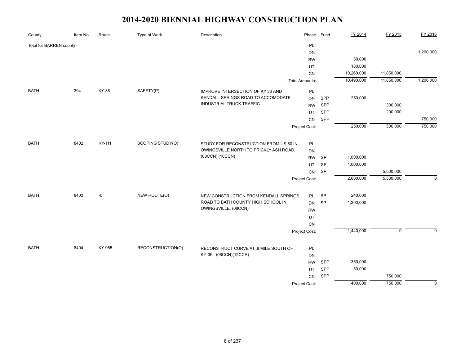| County                  | Item No. | Route  | <b>Type of Work</b> | Description                                                                      | Phase                 | <b>Fund</b> | FY 2014    | FY 2015     | FY 2016     |
|-------------------------|----------|--------|---------------------|----------------------------------------------------------------------------------|-----------------------|-------------|------------|-------------|-------------|
| Total for BARREN county |          |        |                     |                                                                                  | PL                    |             |            |             |             |
|                         |          |        |                     |                                                                                  | DN                    |             |            |             | 1,200,000   |
|                         |          |        |                     |                                                                                  | <b>RW</b>             |             | 50,000     |             |             |
|                         |          |        |                     |                                                                                  | UT                    |             | 180,000    |             |             |
|                         |          |        |                     |                                                                                  | CN                    |             | 10,260,000 | 11,850,000  |             |
|                         |          |        |                     |                                                                                  | <b>Total Amounts:</b> |             | 10,490,000 | 11,850,000  | 1,200,000   |
| <b>BATH</b>             | 394      | KY-36  | SAFETY(P)           | IMPROVE INTERSECTION OF KY 36 AND                                                | PL                    |             |            |             |             |
|                         |          |        |                     | KENDALL SPRINGS ROAD TO ACCOMODATE                                               | DN                    | SPP         | 250,000    |             |             |
|                         |          |        |                     | INDUSTRIAL TRUCK TRAFFIC.                                                        | <b>RW</b>             | SPP         |            | 300,000     |             |
|                         |          |        |                     |                                                                                  | UT                    | SPP         |            | 200,000     |             |
|                         |          |        |                     |                                                                                  | CN                    | SPP         |            |             | 750,000     |
|                         |          |        |                     |                                                                                  | Project Cost:         |             | 250,000    | 500,000     | 750,000     |
| <b>BATH</b>             | 8402     | KY-111 | SCOPING STUDY(O)    |                                                                                  |                       |             |            |             |             |
|                         |          |        |                     | STUDY FOR RECONSTRUCTION FROM US-60 IN<br>OWINGSVILLE NORTH TO PRICKLY ASH ROAD. | PL                    |             |            |             |             |
|                         |          |        |                     | (08CCN) (10CCN)                                                                  | <b>DN</b>             |             |            |             |             |
|                         |          |        |                     |                                                                                  | <b>RW</b>             | <b>SP</b>   | 1,600,000  |             |             |
|                         |          |        |                     |                                                                                  | UT                    | SP          | 1,000,000  |             |             |
|                         |          |        |                     |                                                                                  | ${\sf CN}$            | SP          |            | 5,500,000   |             |
|                         |          |        |                     |                                                                                  | Project Cost:         |             | 2,600,000  | 5,500,000   | $\mathbf 0$ |
| <b>BATH</b>             | 8403     | $-0$   | NEW ROUTE(O)        | NEW CONSTRUCTION FROM KENDALL SPRINGS                                            | PL                    | SP          | 240,000    |             |             |
|                         |          |        |                     | ROAD TO BATH COUNTY HIGH SCHOOL IN                                               | <b>DN</b>             | SP          | 1,200,000  |             |             |
|                         |          |        |                     | OWINGSVILLE. (08CCN)                                                             | <b>RW</b>             |             |            |             |             |
|                         |          |        |                     |                                                                                  | UT                    |             |            |             |             |
|                         |          |        |                     |                                                                                  | CN                    |             |            |             |             |
|                         |          |        |                     |                                                                                  | Project Cost:         |             | 1,440,000  | $\mathbf 0$ | $\mathbf 0$ |
|                         |          |        |                     |                                                                                  |                       |             |            |             |             |
| <b>BATH</b>             | 8404     | KY-965 | RECONSTRUCTION(O)   | RECONSTRUCT CURVE AT .8 MILE SOUTH OF                                            | PL                    |             |            |             |             |
|                         |          |        |                     | KY-36. (08CCN)(12CCR)                                                            | DN                    |             |            |             |             |
|                         |          |        |                     |                                                                                  | <b>RW</b>             | SPP         | 350,000    |             |             |
|                         |          |        |                     |                                                                                  | UT                    | SPP         | 50,000     |             |             |
|                         |          |        |                     |                                                                                  | CN                    | SPP         |            | 750,000     |             |
|                         |          |        |                     |                                                                                  | Project Cost:         |             | 400,000    | 750,000     | $\mathbf 0$ |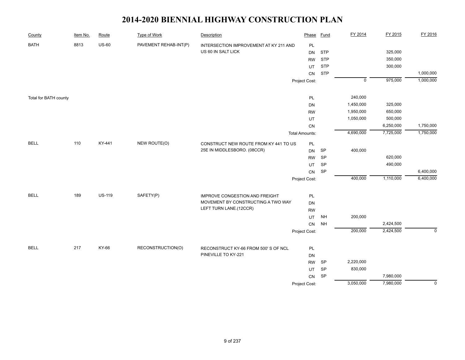| County                | Item No. | Route         | <b>Type of Work</b>   | Description                            | Phase                 | <b>Fund</b> | FY 2014        | FY 2015   | FY 2016        |
|-----------------------|----------|---------------|-----------------------|----------------------------------------|-----------------------|-------------|----------------|-----------|----------------|
| <b>BATH</b>           | 8813     | <b>US-60</b>  | PAVEMENT REHAB-INT(P) | INTERSECTION IMPROVEMENT AT KY 211 AND | PL                    |             |                |           |                |
|                       |          |               |                       | US 60 IN SALT LICK                     | <b>DN</b>             | <b>STP</b>  |                | 325,000   |                |
|                       |          |               |                       |                                        | <b>RW</b>             | <b>STP</b>  |                | 350,000   |                |
|                       |          |               |                       |                                        | UT                    | <b>STP</b>  |                | 300,000   |                |
|                       |          |               |                       |                                        | CN                    | <b>STP</b>  |                |           | 1,000,000      |
|                       |          |               |                       |                                        | Project Cost:         |             | $\overline{0}$ | 975,000   | 1,000,000      |
|                       |          |               |                       |                                        |                       |             | 240,000        |           |                |
| Total for BATH county |          |               |                       |                                        | PL<br><b>DN</b>       |             | 1,450,000      | 325,000   |                |
|                       |          |               |                       |                                        | <b>RW</b>             |             | 1,950,000      | 650,000   |                |
|                       |          |               |                       |                                        | UT                    |             | 1,050,000      | 500,000   |                |
|                       |          |               |                       |                                        | CN                    |             |                | 6,250,000 | 1,750,000      |
|                       |          |               |                       |                                        |                       |             | 4,690,000      | 7,725,000 | 1,750,000      |
|                       |          |               |                       |                                        | <b>Total Amounts:</b> |             |                |           |                |
| <b>BELL</b>           | 110      | KY-441        | NEW ROUTE(O)          | CONSTRUCT NEW ROUTE FROM KY 441 TO US  | PL                    |             |                |           |                |
|                       |          |               |                       | 25E IN MIDDLESBORO. (08CCR)            | <b>DN</b>             | <b>SP</b>   | 400,000        |           |                |
|                       |          |               |                       |                                        | <b>RW</b>             | <b>SP</b>   |                | 620,000   |                |
|                       |          |               |                       |                                        | UT                    | SP          |                | 490,000   |                |
|                       |          |               |                       |                                        | ${\sf CN}$            | SP          |                |           | 6,400,000      |
|                       |          |               |                       |                                        | Project Cost:         |             | 400,000        | 1,110,000 | 6,400,000      |
| <b>BELL</b>           | 189      | <b>US-119</b> | SAFETY(P)             | <b>IMPROVE CONGESTION AND FREIGHT</b>  | PL                    |             |                |           |                |
|                       |          |               |                       | MOVEMENT BY CONSTRUCTING A TWO WAY     | DN                    |             |                |           |                |
|                       |          |               |                       | LEFT TURN LANE.(12CCR)                 | <b>RW</b>             |             |                |           |                |
|                       |          |               |                       |                                        | UT                    | <b>NH</b>   | 200,000        |           |                |
|                       |          |               |                       |                                        | CN                    | <b>NH</b>   |                | 2,424,500 |                |
|                       |          |               |                       |                                        | Project Cost:         |             | 200,000        | 2,424,500 | $\mathbf 0$    |
|                       |          |               |                       |                                        |                       |             |                |           |                |
| <b>BELL</b>           | 217      | KY-66         | RECONSTRUCTION(O)     | RECONSTRUCT KY-66 FROM 500'S OF NCL    | $\mathsf{PL}$         |             |                |           |                |
|                       |          |               |                       | PINEVILLE TO KY-221                    | DN                    |             |                |           |                |
|                       |          |               |                       |                                        | <b>RW</b>             | SP          | 2,220,000      |           |                |
|                       |          |               |                       |                                        | UT                    | SP          | 830,000        |           |                |
|                       |          |               |                       |                                        | ${\sf CN}$            | SP          |                | 7,980,000 |                |
|                       |          |               |                       |                                        | Project Cost:         |             | 3,050,000      | 7,980,000 | $\overline{0}$ |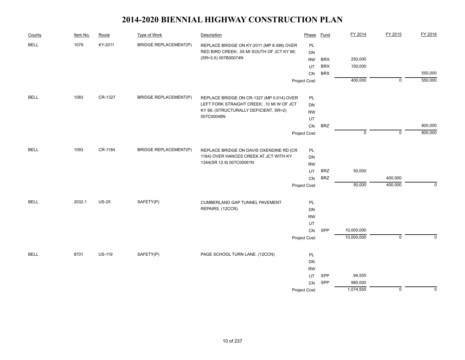| County      | Item No. | Route         | <b>Type of Work</b>          | Description                                        | Phase         | <b>Fund</b> | FY 2014     | FY 2015                   | FY 2016     |
|-------------|----------|---------------|------------------------------|----------------------------------------------------|---------------|-------------|-------------|---------------------------|-------------|
| <b>BELL</b> | 1079     | KY-2011       | <b>BRIDGE REPLACEMENT(P)</b> | REPLACE BRIDGE ON KY-2011 (MP 8.498) OVER          | PL            |             |             |                           |             |
|             |          |               |                              | RED BIRD CREEK; .55 MI SOUTH OF JCT KY 66;         | DN            |             |             |                           |             |
|             |          |               |                              | (SR=3.5) 007B00074N                                | <b>RW</b>     | <b>BRX</b>  | 250,000     |                           |             |
|             |          |               |                              |                                                    | UT            | <b>BRX</b>  | 150,000     |                           |             |
|             |          |               |                              |                                                    | CN            | <b>BRX</b>  |             |                           | 550,000     |
|             |          |               |                              |                                                    | Project Cost: |             | 400,000     | $\overline{\mathfrak{o}}$ | 550,000     |
| <b>BELL</b> | 1083     | CR-1327       | <b>BRIDGE REPLACEMENT(P)</b> | REPLACE BRIDGE ON CR-1327 (MP 0.014) OVER          | PL            |             |             |                           |             |
|             |          |               |                              | LEFT FORK STRAIGHT CREEK; .10 MI W OF JCT          | DN            |             |             |                           |             |
|             |          |               |                              | KY 66; (STRUCTURALLY DEFICIENT, SR=2)              | <b>RW</b>     |             |             |                           |             |
|             |          |               |                              | 007C00048N                                         | UT            |             |             |                           |             |
|             |          |               |                              |                                                    | ${\sf CN}$    | <b>BRZ</b>  |             |                           | 800,000     |
|             |          |               |                              |                                                    | Project Cost: |             | $\mathbf 0$ | $\mathbf 0$               | 800,000     |
|             |          |               |                              |                                                    |               |             |             |                           |             |
| <b>BELL</b> | 1093     | CR-1184       | <b>BRIDGE REPLACEMENT(P)</b> | REPLACE BRIDGE ON DAVIS OXENDINE RD (CR            | PL            |             |             |                           |             |
|             |          |               |                              | 1184) OVER HANCES CREEK AT JCT WITH KY             | DN            |             |             |                           |             |
|             |          |               |                              | 1344(SR 12.9) 007C00061N                           | <b>RW</b>     |             |             |                           |             |
|             |          |               |                              |                                                    | UT            | <b>BRZ</b>  | 50,000      |                           |             |
|             |          |               |                              |                                                    | CN            | <b>BRZ</b>  |             | 400,000                   |             |
|             |          |               |                              |                                                    | Project Cost: |             | 50,000      | 400,000                   | $\mathbf 0$ |
| <b>BELL</b> | 2032.1   | <b>US-25</b>  | SAFETY(P)                    |                                                    |               |             |             |                           |             |
|             |          |               |                              | CUMBERLAND GAP TUNNEL PAVEMENT<br>REPAIRS. (12CCR) | PL            |             |             |                           |             |
|             |          |               |                              |                                                    | DN            |             |             |                           |             |
|             |          |               |                              |                                                    | <b>RW</b>     |             |             |                           |             |
|             |          |               |                              |                                                    | UT            | SPP         | 10,000,000  |                           |             |
|             |          |               |                              |                                                    | CN            |             | 10,000,000  | $\overline{0}$            | $\mathbf 0$ |
|             |          |               |                              |                                                    | Project Cost: |             |             |                           |             |
| <b>BELL</b> | 8701     | <b>US-119</b> | SAFETY(P)                    | PAGE SCHOOL TURN LANE. (12CCN)                     | PL            |             |             |                           |             |
|             |          |               |                              |                                                    | DN            |             |             |                           |             |
|             |          |               |                              |                                                    | <b>RW</b>     |             |             |                           |             |
|             |          |               |                              |                                                    | UT            | SPP         | 94,555      |                           |             |
|             |          |               |                              |                                                    | <b>CN</b>     | SPP         | 980,000     |                           |             |
|             |          |               |                              |                                                    | Project Cost: |             | 1,074,555   | $\mathbf 0$               | $\mathbf 0$ |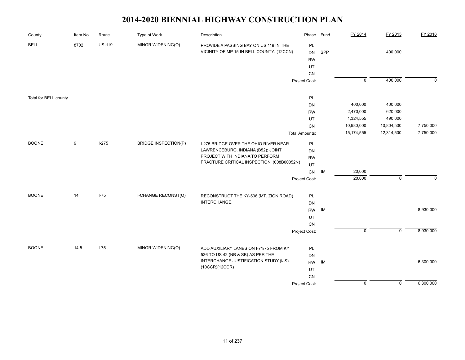| County                | Item No. | Route         | <b>Type of Work</b>         | Description                                                                         | Phase                              | <b>Fund</b> | FY 2014        | FY 2015        | FY 2016     |
|-----------------------|----------|---------------|-----------------------------|-------------------------------------------------------------------------------------|------------------------------------|-------------|----------------|----------------|-------------|
| <b>BELL</b>           | 8702     | <b>US-119</b> | MINOR WIDENING(O)           | PROVIDE A PASSING BAY ON US 119 IN THE<br>VICINITY OF MP 15 IN BELL COUNTY. (12CCN) | PL<br><b>DN</b><br><b>RW</b><br>UT | SPP         |                | 400,000        |             |
|                       |          |               |                             |                                                                                     | CN<br>Project Cost:                |             | $\overline{0}$ | 400,000        | $\mathbf 0$ |
|                       |          |               |                             |                                                                                     |                                    |             |                |                |             |
| Total for BELL county |          |               |                             |                                                                                     | PL                                 |             |                |                |             |
|                       |          |               |                             |                                                                                     | DN                                 |             | 400,000        | 400,000        |             |
|                       |          |               |                             |                                                                                     | <b>RW</b>                          |             | 2,470,000      | 620,000        |             |
|                       |          |               |                             |                                                                                     | UT                                 |             | 1,324,555      | 490,000        |             |
|                       |          |               |                             |                                                                                     | CN                                 |             | 10,980,000     | 10,804,500     | 7,750,000   |
|                       |          |               |                             |                                                                                     | <b>Total Amounts:</b>              |             | 15,174,555     | 12,314,500     | 7,750,000   |
| <b>BOONE</b>          | 9        | $I-275$       | <b>BRIDGE INSPECTION(P)</b> | I-275 BRIDGE OVER THE OHIO RIVER NEAR<br>LAWRENCEBURG, INDIANA (B52); JOINT         | PL<br>DN                           |             |                |                |             |
|                       |          |               |                             | PROJECT WITH INDIANA TO PERFORM                                                     | <b>RW</b>                          |             |                |                |             |
|                       |          |               |                             | FRACTURE CRITICAL INSPECTION. (008B00052N)                                          | UT                                 |             |                |                |             |
|                       |          |               |                             |                                                                                     | CN                                 | IM          | 20,000         |                |             |
|                       |          |               |                             |                                                                                     | Project Cost:                      |             | 20,000         | $\mathbf 0$    | $\Omega$    |
| <b>BOONE</b>          | 14       | $I-75$        | I-CHANGE RECONST(O)         | RECONSTRUCT THE KY-536 (MT. ZION ROAD)                                              | PL                                 |             |                |                |             |
|                       |          |               |                             | INTERCHANGE.                                                                        | DN                                 |             |                |                |             |
|                       |          |               |                             |                                                                                     | <b>RW</b>                          | IM          |                |                | 8,930,000   |
|                       |          |               |                             |                                                                                     | UT                                 |             |                |                |             |
|                       |          |               |                             |                                                                                     | ${\sf CN}$                         |             |                |                |             |
|                       |          |               |                             |                                                                                     | Project Cost:                      |             | $\overline{0}$ | $\overline{0}$ | 8,930,000   |
|                       |          |               |                             |                                                                                     |                                    |             |                |                |             |
| <b>BOONE</b>          | 14.5     | $I-75$        | MINOR WIDENING(O)           | ADD AUXILIARY LANES ON I-71/75 FROM KY                                              | PL                                 |             |                |                |             |
|                       |          |               |                             | 536 TO US 42 (NB & SB) AS PER THE                                                   | DN                                 |             |                |                |             |
|                       |          |               |                             | INTERCHANGE JUSTIFICATION STUDY (IJS).                                              | <b>RW</b>                          | IM          |                |                | 6,300,000   |
|                       |          |               |                             | (10CCR)(12CCR)                                                                      | UT                                 |             |                |                |             |
|                       |          |               |                             |                                                                                     | ${\sf CN}$                         |             |                |                |             |
|                       |          |               |                             |                                                                                     | Project Cost:                      |             | $\overline{0}$ | $\overline{0}$ | 6,300,000   |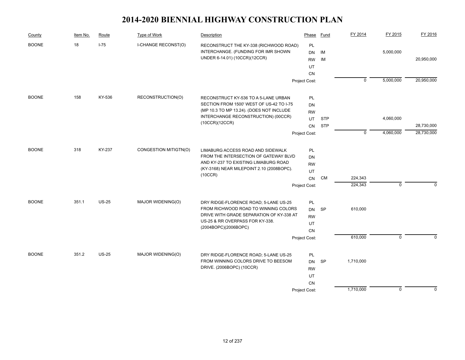| County       | Item No. | Route        | Type of Work                         | Description                                                                   | Phase         | Fund       | FY 2014        | FY 2015     | FY 2016     |
|--------------|----------|--------------|--------------------------------------|-------------------------------------------------------------------------------|---------------|------------|----------------|-------------|-------------|
| <b>BOONE</b> | 18       | $I-75$       | I-CHANGE RECONST(O)                  | RECONSTRUCT THE KY-338 (RICHWOOD ROAD)                                        | PL            |            |                |             |             |
|              |          |              |                                      | INTERCHANGE. (FUNDING FOR IMR SHOWN                                           | <b>DN</b>     | IM         |                | 5,000,000   |             |
|              |          |              |                                      | UNDER 6-14.01) (10CCR)(12CCR)                                                 | <b>RW</b>     | IM         |                |             | 20,950,000  |
|              |          |              |                                      |                                                                               | UT            |            |                |             |             |
|              |          |              |                                      |                                                                               | <b>CN</b>     |            |                |             |             |
|              |          |              |                                      |                                                                               | Project Cost: |            | $\overline{0}$ | 5,000,000   | 20,950,000  |
| <b>BOONE</b> | 158      | KY-536       | RECONSTRUCTION(O)                    | RECONSTRUCT KY-536 TO A 5-LANE URBAN                                          | PL            |            |                |             |             |
|              |          |              |                                      | SECTION FROM 1500' WEST OF US-42 TO I-75                                      | DN            |            |                |             |             |
|              |          |              |                                      | (MP 10.3 TO MP 13.24). (DOES NOT INCLUDE                                      | <b>RW</b>     |            |                |             |             |
|              |          |              |                                      | INTERCHANGE RECONSTRUCTION) (00CCR)                                           | UT            | <b>STP</b> |                | 4,060,000   |             |
|              |          |              |                                      | (10CCR)(12CCR)                                                                | <b>CN</b>     | <b>STP</b> |                |             | 28,730,000  |
|              |          |              |                                      |                                                                               | Project Cost: |            | $\mathbf 0$    | 4,060,000   | 28,730,000  |
| <b>BOONE</b> | 318      | KY-237       | CONGESTION MITIGTN(O)                | LIMABURG ACCESS ROAD AND SIDEWALK                                             | <b>PL</b>     |            |                |             |             |
|              |          |              |                                      | FROM THE INTERSECTION OF GATEWAY BLVD                                         | DN            |            |                |             |             |
|              |          |              | AND KY-237 TO EXISTING LIMABURG ROAD | <b>RW</b>                                                                     |               |            |                |             |             |
|              |          |              |                                      | (KY-3168) NEAR MILEPOINT 2.10 (2008BOPC).                                     | UT            |            |                |             |             |
|              |          |              |                                      | (10CCR)                                                                       | CN            | <b>CM</b>  | 224,343        |             |             |
|              |          |              |                                      |                                                                               | Project Cost: |            | 224,343        | $\mathbf 0$ | $\Omega$    |
| <b>BOONE</b> | 351.1    | <b>US-25</b> | MAJOR WIDENING(O)                    |                                                                               | PL            |            |                |             |             |
|              |          |              |                                      | DRY RIDGE-FLORENCE ROAD; 5-LANE US-25<br>FROM RICHWOOD ROAD TO WINNING COLORS | <b>DN</b>     | SP         | 610,000        |             |             |
|              |          |              |                                      | DRIVE WITH GRADE SEPARATION OF KY-338 AT                                      | <b>RW</b>     |            |                |             |             |
|              |          |              |                                      | US-25 & RR OVERPASS FOR KY-338.                                               | UT            |            |                |             |             |
|              |          |              |                                      | (2004BOPC)(2006BOPC)                                                          | CN            |            |                |             |             |
|              |          |              |                                      |                                                                               | Project Cost: |            | 610,000        | $\mathbf 0$ | $\Omega$    |
|              |          |              |                                      |                                                                               |               |            |                |             |             |
| <b>BOONE</b> | 351.2    | <b>US-25</b> | MAJOR WIDENING(O)                    | DRY RIDGE-FLORENCE ROAD; 5-LANE US-25<br>FROM WINNING COLORS DRIVE TO BEESOM  | PL            |            |                |             |             |
|              |          |              |                                      | DRIVE. (2006BOPC) (10CCR)                                                     | <b>DN</b>     | <b>SP</b>  | 1,710,000      |             |             |
|              |          |              |                                      |                                                                               | <b>RW</b>     |            |                |             |             |
|              |          |              |                                      |                                                                               | UT            |            |                |             |             |
|              |          |              |                                      |                                                                               | <b>CN</b>     |            | 1,710,000      | $\mathbf 0$ | $\mathbf 0$ |
|              |          |              |                                      |                                                                               | Project Cost: |            |                |             |             |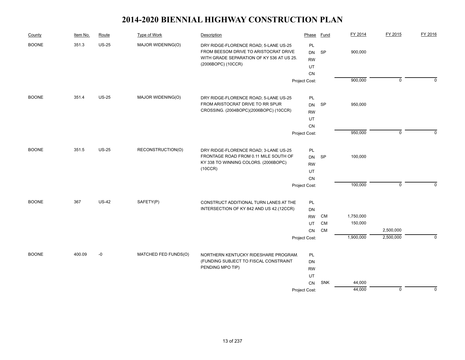| 351.3<br>$US-25$<br><b>BOONE</b><br>MAJOR WIDENING(O)<br>DRY RIDGE-FLORENCE ROAD; 5-LANE US-25<br>PL<br>FROM BEESOM DRIVE TO ARISTOCRAT DRIVE<br>900,000<br><b>SP</b><br><b>DN</b><br>WITH GRADE SEPARATION OF KY 536 AT US 25.<br><b>RW</b><br>(2006BOPC) (10CCR)<br>UT<br>CN<br>900,000<br>$\mathbf 0$<br>Project Cost:<br><b>BOONE</b><br>351.4<br><b>US-25</b><br>MAJOR WIDENING(O)<br>DRY RIDGE-FLORENCE ROAD; 5-LANE US-25<br><b>PL</b><br>FROM ARISTOCRAT DRIVE TO RR SPUR<br>SP<br>950,000<br><b>DN</b><br>CROSSING. (2004BOPC)(2006BOPC) (10CCR)<br><b>RW</b><br>UT<br>CN<br>950,000<br>$\mathbf 0$<br>Project Cost:<br>351.5<br><b>BOONE</b><br><b>US-25</b><br>RECONSTRUCTION(O)<br>PL<br>DRY RIDGE-FLORENCE ROAD; 3-LANE US-25<br>FRONTAGE ROAD FROM 0.11 MILE SOUTH OF<br><b>SP</b><br>100,000<br>DN<br>KY 338 TO WINNING COLORS. (2006BOPC)<br><b>RW</b><br>(10CCR)<br>UT<br>CN<br>100,000<br>$\mathbf 0$<br>Project Cost:<br><b>US-42</b><br><b>BOONE</b><br>367<br>SAFETY(P)<br>CONSTRUCT ADDITIONAL TURN LANES AT THE<br>PL<br>INTERSECTION OF KY 842 AND US 42.(12CCR)<br>DN<br>1,750,000<br><b>RW</b><br>CM<br>150,000<br>CM<br>UT<br>2,500,000<br><b>CM</b><br>CN<br>2,500,000<br>1,900,000<br>Project Cost:<br>400.09<br>$-0$<br>MATCHED FED FUNDS(O)<br><b>BOONE</b><br>NORTHERN KENTUCKY RIDESHARE PROGRAM.<br>PL<br>(FUNDING SUBJECT TO FISCAL CONSTRAINT<br><b>DN</b><br>PENDING MPO TIP)<br><b>RW</b><br>UT<br><b>SNK</b><br>44,000<br>CN | County | Item No. | Route | Type of Work | Description | Phase | Fund | FY 2014 | FY 2015 | FY 2016     |
|---------------------------------------------------------------------------------------------------------------------------------------------------------------------------------------------------------------------------------------------------------------------------------------------------------------------------------------------------------------------------------------------------------------------------------------------------------------------------------------------------------------------------------------------------------------------------------------------------------------------------------------------------------------------------------------------------------------------------------------------------------------------------------------------------------------------------------------------------------------------------------------------------------------------------------------------------------------------------------------------------------------------------------------------------------------------------------------------------------------------------------------------------------------------------------------------------------------------------------------------------------------------------------------------------------------------------------------------------------------------------------------------------------------------------------------------------------------------|--------|----------|-------|--------------|-------------|-------|------|---------|---------|-------------|
|                                                                                                                                                                                                                                                                                                                                                                                                                                                                                                                                                                                                                                                                                                                                                                                                                                                                                                                                                                                                                                                                                                                                                                                                                                                                                                                                                                                                                                                                     |        |          |       |              |             |       |      |         |         |             |
|                                                                                                                                                                                                                                                                                                                                                                                                                                                                                                                                                                                                                                                                                                                                                                                                                                                                                                                                                                                                                                                                                                                                                                                                                                                                                                                                                                                                                                                                     |        |          |       |              |             |       |      |         |         | $\mathbf 0$ |
|                                                                                                                                                                                                                                                                                                                                                                                                                                                                                                                                                                                                                                                                                                                                                                                                                                                                                                                                                                                                                                                                                                                                                                                                                                                                                                                                                                                                                                                                     |        |          |       |              |             |       |      |         |         |             |
|                                                                                                                                                                                                                                                                                                                                                                                                                                                                                                                                                                                                                                                                                                                                                                                                                                                                                                                                                                                                                                                                                                                                                                                                                                                                                                                                                                                                                                                                     |        |          |       |              |             |       |      |         |         |             |
|                                                                                                                                                                                                                                                                                                                                                                                                                                                                                                                                                                                                                                                                                                                                                                                                                                                                                                                                                                                                                                                                                                                                                                                                                                                                                                                                                                                                                                                                     |        |          |       |              |             |       |      |         |         |             |
|                                                                                                                                                                                                                                                                                                                                                                                                                                                                                                                                                                                                                                                                                                                                                                                                                                                                                                                                                                                                                                                                                                                                                                                                                                                                                                                                                                                                                                                                     |        |          |       |              |             |       |      |         |         |             |
|                                                                                                                                                                                                                                                                                                                                                                                                                                                                                                                                                                                                                                                                                                                                                                                                                                                                                                                                                                                                                                                                                                                                                                                                                                                                                                                                                                                                                                                                     |        |          |       |              |             |       |      |         |         | $\Omega$    |
|                                                                                                                                                                                                                                                                                                                                                                                                                                                                                                                                                                                                                                                                                                                                                                                                                                                                                                                                                                                                                                                                                                                                                                                                                                                                                                                                                                                                                                                                     |        |          |       |              |             |       |      |         |         |             |
|                                                                                                                                                                                                                                                                                                                                                                                                                                                                                                                                                                                                                                                                                                                                                                                                                                                                                                                                                                                                                                                                                                                                                                                                                                                                                                                                                                                                                                                                     |        |          |       |              |             |       |      |         |         |             |
|                                                                                                                                                                                                                                                                                                                                                                                                                                                                                                                                                                                                                                                                                                                                                                                                                                                                                                                                                                                                                                                                                                                                                                                                                                                                                                                                                                                                                                                                     |        |          |       |              |             |       |      |         |         |             |
|                                                                                                                                                                                                                                                                                                                                                                                                                                                                                                                                                                                                                                                                                                                                                                                                                                                                                                                                                                                                                                                                                                                                                                                                                                                                                                                                                                                                                                                                     |        |          |       |              |             |       |      |         |         |             |
|                                                                                                                                                                                                                                                                                                                                                                                                                                                                                                                                                                                                                                                                                                                                                                                                                                                                                                                                                                                                                                                                                                                                                                                                                                                                                                                                                                                                                                                                     |        |          |       |              |             |       |      |         |         | $\mathbf 0$ |
|                                                                                                                                                                                                                                                                                                                                                                                                                                                                                                                                                                                                                                                                                                                                                                                                                                                                                                                                                                                                                                                                                                                                                                                                                                                                                                                                                                                                                                                                     |        |          |       |              |             |       |      |         |         |             |
|                                                                                                                                                                                                                                                                                                                                                                                                                                                                                                                                                                                                                                                                                                                                                                                                                                                                                                                                                                                                                                                                                                                                                                                                                                                                                                                                                                                                                                                                     |        |          |       |              |             |       |      |         |         |             |
|                                                                                                                                                                                                                                                                                                                                                                                                                                                                                                                                                                                                                                                                                                                                                                                                                                                                                                                                                                                                                                                                                                                                                                                                                                                                                                                                                                                                                                                                     |        |          |       |              |             |       |      |         |         |             |
|                                                                                                                                                                                                                                                                                                                                                                                                                                                                                                                                                                                                                                                                                                                                                                                                                                                                                                                                                                                                                                                                                                                                                                                                                                                                                                                                                                                                                                                                     |        |          |       |              |             |       |      |         |         |             |
|                                                                                                                                                                                                                                                                                                                                                                                                                                                                                                                                                                                                                                                                                                                                                                                                                                                                                                                                                                                                                                                                                                                                                                                                                                                                                                                                                                                                                                                                     |        |          |       |              |             |       |      |         |         | $\mathbf 0$ |
|                                                                                                                                                                                                                                                                                                                                                                                                                                                                                                                                                                                                                                                                                                                                                                                                                                                                                                                                                                                                                                                                                                                                                                                                                                                                                                                                                                                                                                                                     |        |          |       |              |             |       |      |         |         |             |
|                                                                                                                                                                                                                                                                                                                                                                                                                                                                                                                                                                                                                                                                                                                                                                                                                                                                                                                                                                                                                                                                                                                                                                                                                                                                                                                                                                                                                                                                     |        |          |       |              |             |       |      |         |         |             |
|                                                                                                                                                                                                                                                                                                                                                                                                                                                                                                                                                                                                                                                                                                                                                                                                                                                                                                                                                                                                                                                                                                                                                                                                                                                                                                                                                                                                                                                                     |        |          |       |              |             |       |      |         |         |             |
|                                                                                                                                                                                                                                                                                                                                                                                                                                                                                                                                                                                                                                                                                                                                                                                                                                                                                                                                                                                                                                                                                                                                                                                                                                                                                                                                                                                                                                                                     |        |          |       |              |             |       |      |         |         |             |
|                                                                                                                                                                                                                                                                                                                                                                                                                                                                                                                                                                                                                                                                                                                                                                                                                                                                                                                                                                                                                                                                                                                                                                                                                                                                                                                                                                                                                                                                     |        |          |       |              |             |       |      |         |         |             |
| 44,000<br>$\mathbf 0$<br>Project Cost:                                                                                                                                                                                                                                                                                                                                                                                                                                                                                                                                                                                                                                                                                                                                                                                                                                                                                                                                                                                                                                                                                                                                                                                                                                                                                                                                                                                                                              |        |          |       |              |             |       |      |         |         | $\mathbf 0$ |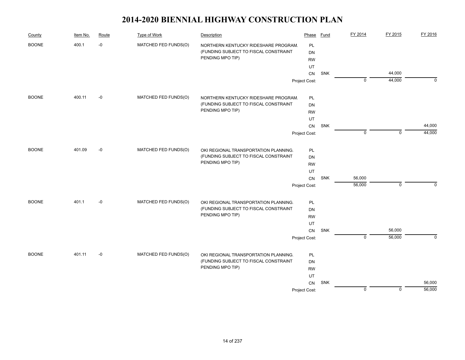| County       | Item No. | Route | <b>Type of Work</b>  | Description                           | Phase         | Fund | FY 2014        | FY 2015     | FY 2016     |
|--------------|----------|-------|----------------------|---------------------------------------|---------------|------|----------------|-------------|-------------|
| <b>BOONE</b> | 400.1    | $-0$  | MATCHED FED FUNDS(O) | NORTHERN KENTUCKY RIDESHARE PROGRAM.  | <b>PL</b>     |      |                |             |             |
|              |          |       |                      | (FUNDING SUBJECT TO FISCAL CONSTRAINT | <b>DN</b>     |      |                |             |             |
|              |          |       |                      | PENDING MPO TIP)                      | <b>RW</b>     |      |                |             |             |
|              |          |       |                      |                                       | UT            |      |                |             |             |
|              |          |       |                      |                                       | CN            | SNK  |                | 44,000      |             |
|              |          |       |                      |                                       | Project Cost: |      | $\mathbf 0$    | 44,000      | $\mathbf 0$ |
| <b>BOONE</b> | 400.11   | $-0$  | MATCHED FED FUNDS(O) | NORTHERN KENTUCKY RIDESHARE PROGRAM.  | PL            |      |                |             |             |
|              |          |       |                      | (FUNDING SUBJECT TO FISCAL CONSTRAINT | <b>DN</b>     |      |                |             |             |
|              |          |       |                      | PENDING MPO TIP)                      | <b>RW</b>     |      |                |             |             |
|              |          |       |                      |                                       | UT            |      |                |             |             |
|              |          |       |                      |                                       | ${\sf CN}$    | SNK  |                |             | 44,000      |
|              |          |       |                      |                                       | Project Cost: |      | $\mathbf 0$    | $\mathbf 0$ | 44,000      |
| <b>BOONE</b> | 401.09   | $-0$  | MATCHED FED FUNDS(O) | OKI REGIONAL TRANSPORTATION PLANNING. | PL            |      |                |             |             |
|              |          |       |                      | (FUNDING SUBJECT TO FISCAL CONSTRAINT | <b>DN</b>     |      |                |             |             |
|              |          |       |                      | PENDING MPO TIP)                      | <b>RW</b>     |      |                |             |             |
|              |          |       |                      |                                       | UT            |      |                |             |             |
|              |          |       |                      |                                       | CN            | SNK  | 56,000         |             |             |
|              |          |       |                      |                                       | Project Cost: |      | 56,000         | $\mathbf 0$ | 0           |
| <b>BOONE</b> | 401.1    | $-0$  | MATCHED FED FUNDS(O) | OKI REGIONAL TRANSPORTATION PLANNING. | PL            |      |                |             |             |
|              |          |       |                      | (FUNDING SUBJECT TO FISCAL CONSTRAINT | <b>DN</b>     |      |                |             |             |
|              |          |       |                      | PENDING MPO TIP)                      | <b>RW</b>     |      |                |             |             |
|              |          |       |                      |                                       | UT            |      |                |             |             |
|              |          |       |                      |                                       | ${\sf CN}$    | SNK  |                | 56,000      |             |
|              |          |       |                      |                                       | Project Cost: |      | $\overline{0}$ | 56,000      | $\mathbf 0$ |
| <b>BOONE</b> | 401.11   | $-0$  | MATCHED FED FUNDS(O) | OKI REGIONAL TRANSPORTATION PLANNING. | PL            |      |                |             |             |
|              |          |       |                      | (FUNDING SUBJECT TO FISCAL CONSTRAINT | <b>DN</b>     |      |                |             |             |
|              |          |       |                      | PENDING MPO TIP)                      | <b>RW</b>     |      |                |             |             |
|              |          |       |                      |                                       | UT            |      |                |             |             |
|              |          |       |                      |                                       | CN            | SNK  |                |             | 56,000      |
|              |          |       |                      |                                       | Project Cost: |      | $\mathbf 0$    | $\mathbf 0$ | 56,000      |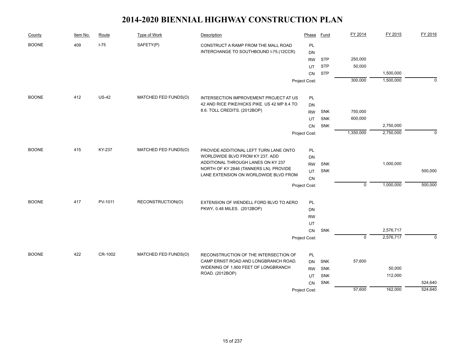| County       | Item No. | Route        | Type of Work         | Description                                                                   | Phase         | Fund       | FY 2014        | FY 2015   | FY 2016  |
|--------------|----------|--------------|----------------------|-------------------------------------------------------------------------------|---------------|------------|----------------|-----------|----------|
| <b>BOONE</b> | 409      | $I-75$       | SAFETY(P)            | CONSTRUCT A RAMP FROM THE MALL ROAD<br>INTERCHANGE TO SOUTHBOUND I-75.(12CCR) | PL<br>DN      |            |                |           |          |
|              |          |              |                      |                                                                               | <b>RW</b>     | <b>STP</b> | 250,000        |           |          |
|              |          |              |                      |                                                                               | UT            | <b>STP</b> | 50,000         |           |          |
|              |          |              |                      |                                                                               | <b>CN</b>     | <b>STP</b> |                | 1,500,000 |          |
|              |          |              |                      |                                                                               | Project Cost: |            | 300,000        | 1,500,000 | $\Omega$ |
| <b>BOONE</b> | 412      | <b>US-42</b> | MATCHED FED FUNDS(O) | INTERSECTION IMPROVEMENT PROJECT AT US                                        | PL            |            |                |           |          |
|              |          |              |                      | 42 AND RICE PIKE/HICKS PIKE. US 42 MP 8.4 TO                                  | DN            |            |                |           |          |
|              |          |              |                      | 8.6. TOLL CREDITS. (2012BOP)                                                  | <b>RW</b>     | <b>SNK</b> | 750,000        |           |          |
|              |          |              |                      |                                                                               | UT            | SNK        | 600,000        |           |          |
|              |          |              |                      |                                                                               | <b>CN</b>     | <b>SNK</b> |                | 2,750,000 |          |
|              |          |              |                      |                                                                               | Project Cost: |            | 1,350,000      | 2,750,000 | $\Omega$ |
| <b>BOONE</b> | 415      | KY-237       | MATCHED FED FUNDS(O) | PROVIDE ADDITIONAL LEFT TURN LANE ONTO                                        | PL            |            |                |           |          |
|              |          |              |                      | WORLDWIDE BLVD FROM KY 237. ADD                                               | DN            |            |                |           |          |
|              |          |              |                      | ADDITIONAL THROUGH LANES ON KY 237                                            | <b>RW</b>     | <b>SNK</b> |                | 1,000,000 |          |
|              |          |              |                      | NORTH OF KY 2846 (TANNERS LN). PROVIDE                                        | UT            | <b>SNK</b> |                |           | 500,000  |
|              |          |              |                      | LANE EXTENSION ON WORLDWIDE BLVD FROM                                         | CN            |            |                |           |          |
|              |          |              |                      |                                                                               | Project Cost: |            | $\mathbf 0$    | 1,000,000 | 500,000  |
| <b>BOONE</b> | 417      | PV-1011      | RECONSTRUCTION(O)    | EXTENSION OF WENDELL FORD BLVD TO AERO                                        | PL            |            |                |           |          |
|              |          |              |                      | PKWY, 0.48 MILES. (2012BOP)                                                   | DN            |            |                |           |          |
|              |          |              |                      |                                                                               | <b>RW</b>     |            |                |           |          |
|              |          |              |                      |                                                                               | UT            |            |                |           |          |
|              |          |              |                      |                                                                               | CN            | SNK        |                | 2,576,717 |          |
|              |          |              |                      |                                                                               | Project Cost: |            | $\overline{0}$ | 2,576,717 | $\Omega$ |
| <b>BOONE</b> | 422      | CR-1002      | MATCHED FED FUNDS(O) | RECONSTRUCTION OF THE INTERSECTION OF                                         | PL            |            |                |           |          |
|              |          |              |                      | CAMP ERNST ROAD AND LONGBRANCH ROAD.                                          | <b>DN</b>     | <b>SNK</b> | 57,600         |           |          |
|              |          |              |                      | WIDENING OF 1,900 FEET OF LONGBRANCH                                          | <b>RW</b>     | SNK        |                | 50,000    |          |
|              |          |              |                      | ROAD. (2012BOP)                                                               | UT            | SNK        |                | 112,000   |          |
|              |          |              |                      |                                                                               | CN            | <b>SNK</b> |                |           | 524,640  |
|              |          |              |                      |                                                                               | Project Cost: |            | 57,600         | 162,000   | 524,640  |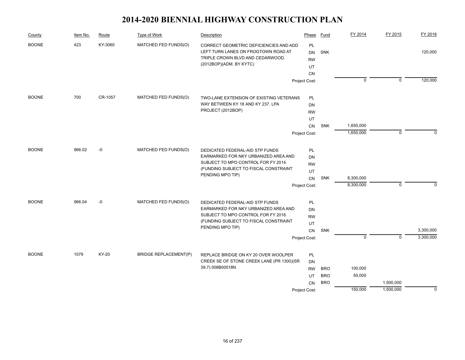| County       | Item No. | Route                           | Type of Work                                                                                                                                 | Description                                                                                                                                                                 | Phase                                                      | Fund                                   | FY 2014                      | FY 2015                | FY 2016                |
|--------------|----------|---------------------------------|----------------------------------------------------------------------------------------------------------------------------------------------|-----------------------------------------------------------------------------------------------------------------------------------------------------------------------------|------------------------------------------------------------|----------------------------------------|------------------------------|------------------------|------------------------|
| <b>BOONE</b> | 423      | KY-3060<br>MATCHED FED FUNDS(O) | CORRECT GEOMETRIC DEFICIENCIES AND ADD<br>LEFT TURN LANES ON FROGTOWN ROAD AT<br>TRIPLE CROWN BLVD AND CEDARWOOD.<br>(2012BOP)(ADM. BY KYTC) | PL<br><b>DN</b><br><b>RW</b><br>UT<br><b>CN</b>                                                                                                                             | SNK                                                        |                                        |                              | 120,000                |                        |
|              |          |                                 |                                                                                                                                              |                                                                                                                                                                             | Project Cost:                                              |                                        | $\overline{0}$               | $\overline{0}$         | 120,000                |
| <b>BOONE</b> | 700      | CR-1057                         | MATCHED FED FUNDS(O)                                                                                                                         | TWO-LANE EXTENSION OF EXISTING VETERANS<br>WAY BETWEEN KY 18 AND KY 237. LPA<br>PROJECT (2012BOP)                                                                           | PL<br>DN<br><b>RW</b>                                      |                                        |                              |                        |                        |
|              |          |                                 |                                                                                                                                              |                                                                                                                                                                             | UT<br><b>CN</b>                                            | <b>SNK</b>                             | 1,650,000                    |                        |                        |
|              |          |                                 |                                                                                                                                              |                                                                                                                                                                             | Project Cost:                                              |                                        | 1,650,000                    | $\mathbf 0$            | $\Omega$               |
| <b>BOONE</b> | 966.02   | $-0$                            | MATCHED FED FUNDS(O)                                                                                                                         | DEDICATED FEDERAL-AID STP FUNDS<br>EARMARKED FOR NKY URBANIZED AREA AND<br>SUBJECT TO MPO CONTROL FOR FY 2014.<br>(FUNDING SUBJECT TO FISCAL CONSTRAINT<br>PENDING MPO TIP) | PL<br>DN<br><b>RW</b><br>UT<br>${\sf CN}$<br>Project Cost: | <b>SNK</b>                             | 8,300,000<br>8,300,000       | $\mathbf 0$            | $\Omega$               |
| <b>BOONE</b> | 966.04   | $-0$                            | MATCHED FED FUNDS(O)                                                                                                                         | DEDICATED FEDERAL-AID STP FUNDS<br>EARMARKED FOR NKY URBANIZED AREA AND<br>SUBJECT TO MPO CONTROL FOR FY 2016.<br>(FUNDING SUBJECT TO FISCAL CONSTRAINT<br>PENDING MPO TIP) | PL<br><b>DN</b><br><b>RW</b><br>UT<br>CN<br>Project Cost:  | SNK                                    | $\mathbf 0$                  | $\overline{0}$         | 3,300,000<br>3,300,000 |
| <b>BOONE</b> | 1079     | KY-20                           | <b>BRIDGE REPLACEMENT(P)</b>                                                                                                                 | REPLACE BRIDGE ON KY 20 OVER WOOLPER<br>CREEK SE OF STONE CREEK LANE (PR 1300)(SR<br>39.7) 008B00018N                                                                       | PL<br><b>DN</b><br><b>RW</b><br>UT<br>CN<br>Project Cost:  | <b>BRO</b><br><b>BRO</b><br><b>BRO</b> | 100,000<br>50,000<br>150,000 | 1,500,000<br>1,500,000 | $\mathbf 0$            |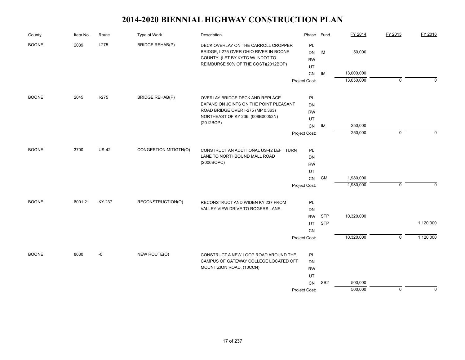| County       | Item No. | Route        | Type of Work           | Description                                                                   | Phase         | Fund            | FY 2014    | FY 2015        | FY 2016      |
|--------------|----------|--------------|------------------------|-------------------------------------------------------------------------------|---------------|-----------------|------------|----------------|--------------|
| <b>BOONE</b> | 2039     | $1-275$      | <b>BRIDGE REHAB(P)</b> | DECK OVERLAY ON THE CARROLL CROPPER<br>BRIDGE, I-275 OVER OHIO RIVER IN BOONE | PL<br>DN      | IM              | 50,000     |                |              |
|              |          |              |                        | COUNTY. (LET BY KYTC W/ INDOT TO                                              | <b>RW</b>     |                 |            |                |              |
|              |          |              |                        | REIMBURSE 50% OF THE COST)(2012BOP)                                           | UT            |                 |            |                |              |
|              |          |              |                        |                                                                               | <b>CN</b>     | IM              | 13,000,000 |                |              |
|              |          |              |                        |                                                                               | Project Cost: |                 | 13,050,000 | $\mathbf 0$    | $\Omega$     |
| <b>BOONE</b> | 2045     | $I-275$      | <b>BRIDGE REHAB(P)</b> | OVERLAY BRIDGE DECK AND REPLACE                                               | PL            |                 |            |                |              |
|              |          |              |                        | EXPANSION JOINTS ON THE POINT PLEASANT                                        | DN            |                 |            |                |              |
|              |          |              |                        | ROAD BRIDGE OVER I-275 (MP 0.363)                                             | <b>RW</b>     |                 |            |                |              |
|              |          |              |                        | NORTHEAST OF KY 236. (008B00053N)                                             | UT            |                 |            |                |              |
|              |          |              |                        | (2012BOP)                                                                     | CN            | IM              | 250,000    |                |              |
|              |          |              |                        |                                                                               | Project Cost: |                 | 250,000    | $\mathbf 0$    | $\mathbf{0}$ |
| <b>BOONE</b> | 3700     | <b>US-42</b> | CONGESTION MITIGTN(O)  | CONSTRUCT AN ADDITIONAL US-42 LEFT TURN                                       | PL            |                 |            |                |              |
|              |          |              |                        | LANE TO NORTHBOUND MALL ROAD                                                  | DN            |                 |            |                |              |
|              |          |              |                        | (2006BOPC)                                                                    | <b>RW</b>     |                 |            |                |              |
|              |          |              |                        |                                                                               | UT            |                 |            |                |              |
|              |          |              |                        |                                                                               | CN            | <b>CM</b>       | 1,980,000  |                |              |
|              |          |              |                        |                                                                               | Project Cost: |                 | 1,980,000  | $\mathbf 0$    | $\Omega$     |
| <b>BOONE</b> | 8001.21  | KY-237       | RECONSTRUCTION(O)      | RECONSTRUCT AND WIDEN KY 237 FROM                                             | PL            |                 |            |                |              |
|              |          |              |                        | VALLEY VIEW DRIVE TO ROGERS LANE.                                             | DN            |                 |            |                |              |
|              |          |              |                        |                                                                               | <b>RW</b>     | <b>STP</b>      | 10,320,000 |                |              |
|              |          |              |                        |                                                                               | UT            | <b>STP</b>      |            |                | 1,120,000    |
|              |          |              |                        |                                                                               | <b>CN</b>     |                 |            |                |              |
|              |          |              |                        |                                                                               | Project Cost: |                 | 10,320,000 | $\overline{0}$ | 1,120,000    |
| <b>BOONE</b> | 8630     | -0           | NEW ROUTE(O)           | CONSTRUCT A NEW LOOP ROAD AROUND THE                                          | PL            |                 |            |                |              |
|              |          |              |                        | CAMPUS OF GATEWAY COLLEGE LOCATED OFF                                         | DN            |                 |            |                |              |
|              |          |              |                        | MOUNT ZION ROAD. (10CCN)                                                      | <b>RW</b>     |                 |            |                |              |
|              |          |              |                        |                                                                               | UT            |                 |            |                |              |
|              |          |              |                        |                                                                               | CN            | SB <sub>2</sub> | 500,000    |                |              |
|              |          |              |                        |                                                                               | Project Cost: |                 | 500,000    | $\mathbf 0$    | $\mathbf 0$  |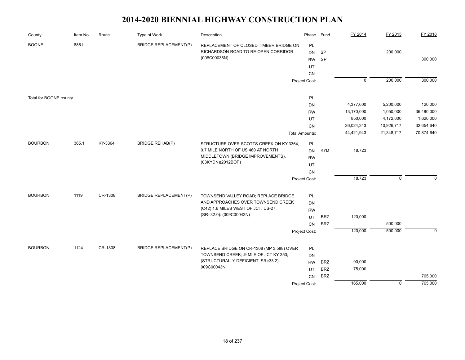| County                 | Item No. | Route   | Type of Work                 | Description                                                                | Phase                 | Fund       | FY 2014        | FY 2015     | FY 2016     |
|------------------------|----------|---------|------------------------------|----------------------------------------------------------------------------|-----------------------|------------|----------------|-------------|-------------|
| <b>BOONE</b>           | 8851     |         | <b>BRIDGE REPLACEMENT(P)</b> | REPLACEMENT OF CLOSED TIMBER BRIDGE ON                                     | <b>PL</b>             |            |                |             |             |
|                        |          |         |                              | RICHARDSON ROAD TO RE-OPEN CORRIDOR.                                       | DN                    | SP         |                | 200,000     |             |
|                        |          |         |                              | (008C00036N)                                                               | <b>RW</b>             | <b>SP</b>  |                |             | 300,000     |
|                        |          |         |                              |                                                                            | UT                    |            |                |             |             |
|                        |          |         |                              |                                                                            | CN                    |            |                |             |             |
|                        |          |         |                              |                                                                            | Project Cost:         |            | $\overline{0}$ | 200,000     | 300,000     |
|                        |          |         |                              |                                                                            |                       |            |                |             |             |
| Total for BOONE county |          |         |                              |                                                                            | PL<br><b>DN</b>       |            | 4,377,600      | 5,200,000   | 120,000     |
|                        |          |         |                              |                                                                            | <b>RW</b>             |            | 13,170,000     | 1,050,000   | 36,480,000  |
|                        |          |         |                              |                                                                            | UT                    |            | 850,000        | 4,172,000   | 1,620,000   |
|                        |          |         |                              |                                                                            | CN                    |            | 26,024,343     | 10,926,717  | 32,654,640  |
|                        |          |         |                              |                                                                            | <b>Total Amounts:</b> |            | 44,421,943     | 21,348,717  | 70,874,640  |
|                        |          |         |                              |                                                                            |                       |            |                |             |             |
| <b>BOURBON</b>         | 365.1    | KY-3364 | <b>BRIDGE REHAB(P)</b>       | STRUCTURE OVER SCOTTS CREEK ON KY 3364,                                    | <b>PL</b>             |            |                |             |             |
|                        |          |         |                              | 0.7 MILE NORTH OF US 460 AT NORTH                                          | <b>DN</b>             | <b>KYD</b> | 18,723         |             |             |
|                        |          |         |                              | MIDDLETOWN (BRIDGE IMPROVEMENTS).                                          | <b>RW</b>             |            |                |             |             |
|                        |          |         |                              | (03KYDN)(2012BOP)                                                          | UT                    |            |                |             |             |
|                        |          |         |                              |                                                                            | CN                    |            |                |             |             |
|                        |          |         |                              |                                                                            | Project Cost:         |            | 18,723         | $\mathbf 0$ | $\Omega$    |
| <b>BOURBON</b>         | 1119     | CR-1308 |                              |                                                                            |                       |            |                |             |             |
|                        |          |         | <b>BRIDGE REPLACEMENT(P)</b> | TOWNSEND VALLEY ROAD; REPLACE BRIDGE<br>AND APPROACHES OVER TOWNSEND CREEK | PL                    |            |                |             |             |
|                        |          |         |                              | (C42) 1.6 MILES WEST OF JCT. US-27.                                        | <b>DN</b>             |            |                |             |             |
|                        |          |         |                              | (SR=32.0): (009C00042N)                                                    | <b>RW</b>             | <b>BRZ</b> | 120,000        |             |             |
|                        |          |         |                              |                                                                            | UT<br><b>CN</b>       | <b>BRZ</b> |                | 500,000     |             |
|                        |          |         |                              |                                                                            |                       |            | 120,000        | 500,000     | $\mathbf 0$ |
|                        |          |         |                              |                                                                            | Project Cost:         |            |                |             |             |
| <b>BOURBON</b>         | 1124     | CR-1308 | <b>BRIDGE REPLACEMENT(P)</b> | REPLACE BRIDGE ON CR-1308 (MP 3.588) OVER                                  | PL                    |            |                |             |             |
|                        |          |         |                              | TOWNSEND CREEK; .9 MI E OF JCT KY 353;                                     | <b>DN</b>             |            |                |             |             |
|                        |          |         |                              | (STRUCTURALLY DEFICIENT, SR=33.2)                                          | <b>RW</b>             | <b>BRZ</b> | 90,000         |             |             |
|                        |          |         |                              | 009C00043N                                                                 | UT                    | <b>BRZ</b> | 75,000         |             |             |
|                        |          |         |                              |                                                                            | CN                    | <b>BRZ</b> |                |             | 765,000     |
|                        |          |         |                              |                                                                            | Project Cost:         |            | 165,000        | 0           | 765,000     |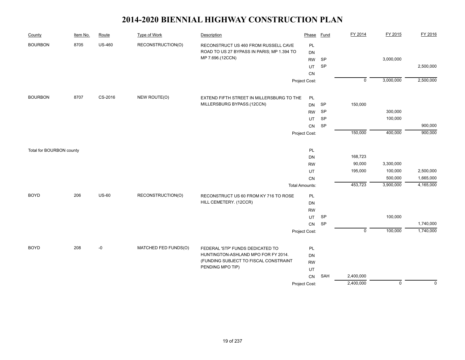| County                   | Item No. | Route         | <b>Type of Work</b>  | Description                                | Phase                 | Fund      | FY 2014        | FY 2015        | FY 2016     |
|--------------------------|----------|---------------|----------------------|--------------------------------------------|-----------------------|-----------|----------------|----------------|-------------|
| <b>BOURBON</b>           | 8705     | <b>US-460</b> | RECONSTRUCTION(O)    | RECONSTRUCT US 460 FROM RUSSELL CAVE       | PL                    |           |                |                |             |
|                          |          |               |                      | ROAD TO US 27 BYPASS IN PARIS; MP 1.394 TO | <b>DN</b>             |           |                |                |             |
|                          |          |               |                      | MP 7.696.(12CCN)                           | <b>RW</b>             | <b>SP</b> |                | 3,000,000      |             |
|                          |          |               |                      |                                            | UT                    | SP        |                |                | 2,500,000   |
|                          |          |               |                      |                                            | CN                    |           |                |                |             |
|                          |          |               |                      |                                            | Project Cost:         |           | $\overline{0}$ | 3,000,000      | 2,500,000   |
| <b>BOURBON</b>           | 8707     | CS-2016       | NEW ROUTE(O)         | EXTEND FIFTH STREET IN MILLERSBURG TO THE  | PL                    |           |                |                |             |
|                          |          |               |                      | MILLERSBURG BYPASS.(12CCN)                 | <b>DN</b>             | SP        | 150,000        |                |             |
|                          |          |               |                      |                                            | RW                    | SP        |                | 300,000        |             |
|                          |          |               |                      |                                            | UT                    | SP        |                | 100,000        |             |
|                          |          |               |                      |                                            | CN                    | <b>SP</b> |                |                | 900,000     |
|                          |          |               |                      |                                            | Project Cost:         |           | 150,000        | 400,000        | 900,000     |
| Total for BOURBON county |          |               |                      |                                            | $\mathsf{PL}$         |           |                |                |             |
|                          |          |               |                      |                                            | DN                    |           | 168,723        |                |             |
|                          |          |               |                      |                                            | <b>RW</b>             |           | 90,000         | 3,300,000      |             |
|                          |          |               |                      |                                            | UT                    |           | 195,000        | 100,000        | 2,500,000   |
|                          |          |               |                      |                                            | CN                    |           |                | 500,000        | 1,665,000   |
|                          |          |               |                      |                                            | <b>Total Amounts:</b> |           | 453,723        | 3,900,000      | 4,165,000   |
| <b>BOYD</b>              | 206      | <b>US-60</b>  | RECONSTRUCTION(O)    | RECONSTRUCT US 60 FROM KY 716 TO ROSE      | PL                    |           |                |                |             |
|                          |          |               |                      | HILL CEMETERY. (12CCR)                     | <b>DN</b>             |           |                |                |             |
|                          |          |               |                      |                                            | <b>RW</b>             |           |                |                |             |
|                          |          |               |                      |                                            | UT                    | <b>SP</b> |                | 100,000        |             |
|                          |          |               |                      |                                            | CN                    | <b>SP</b> |                |                | 1,740,000   |
|                          |          |               |                      |                                            | Project Cost:         |           | $\mathsf 0$    | 100,000        | 1,740,000   |
| <b>BOYD</b>              | 208      | $-0$          | MATCHED FED FUNDS(O) | FEDERAL 'STP' FUNDS DEDICATED TO           | PL                    |           |                |                |             |
|                          |          |               |                      | HUNTINGTON-ASHLAND MPO FOR FY 2014.        | <b>DN</b>             |           |                |                |             |
|                          |          |               |                      | (FUNDING SUBJECT TO FISCAL CONSTRAINT      | <b>RW</b>             |           |                |                |             |
|                          |          |               |                      | PENDING MPO TIP)                           | UT                    |           |                |                |             |
|                          |          |               |                      |                                            | CN                    | SAH       | 2,400,000      |                |             |
|                          |          |               |                      |                                            | Project Cost:         |           | 2,400,000      | $\overline{0}$ | $\mathbf 0$ |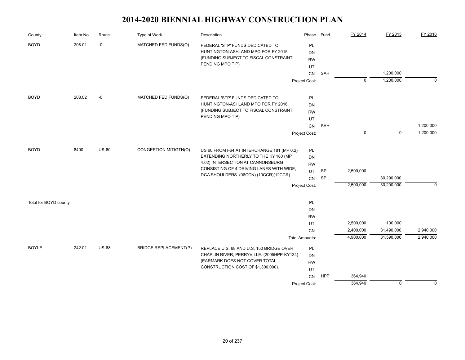| County                | Item No. | Route        | <b>Type of Work</b>          | Description                                                                                                      | Phase                        | <b>Fund</b> | FY 2014     | FY 2015     | FY 2016   |
|-----------------------|----------|--------------|------------------------------|------------------------------------------------------------------------------------------------------------------|------------------------------|-------------|-------------|-------------|-----------|
| <b>BOYD</b>           | 208.01   | -0           | MATCHED FED FUNDS(O)         | FEDERAL 'STP' FUNDS DEDICATED TO<br>HUNTINGTON-ASHLAND MPO FOR FY 2015.<br>(FUNDING SUBJECT TO FISCAL CONSTRAINT | PL<br><b>DN</b><br><b>RW</b> |             |             |             |           |
|                       |          |              |                              | PENDING MPO TIP)                                                                                                 | UT                           |             |             |             |           |
|                       |          |              |                              |                                                                                                                  | CN                           | SAH         |             | 1,200,000   |           |
|                       |          |              |                              |                                                                                                                  | Project Cost:                |             | $\mathbf 0$ | 1,200,000   | $\Omega$  |
| <b>BOYD</b>           | 208.02   | $-0$         | MATCHED FED FUNDS(O)         | FEDERAL 'STP' FUNDS DEDICATED TO                                                                                 | PL                           |             |             |             |           |
|                       |          |              |                              | HUNTINGTON-ASHLAND MPO FOR FY 2016.                                                                              | DN                           |             |             |             |           |
|                       |          |              |                              | (FUNDING SUBJECT TO FISCAL CONSTRAINT                                                                            | <b>RW</b>                    |             |             |             |           |
|                       |          |              |                              | PENDING MPO TIP)                                                                                                 | UT                           |             |             |             |           |
|                       |          |              |                              |                                                                                                                  | CN                           | SAH         |             |             | 1,200,000 |
|                       |          |              |                              |                                                                                                                  | Project Cost:                |             | $\Omega$    | $\mathbf 0$ | 1,200,000 |
| <b>BOYD</b>           | 8400     | <b>US-60</b> | CONGESTION MITIGTN(O)        | US 60 FROM I-64 AT INTERCHANGE 181 (MP 0.2)                                                                      | PL                           |             |             |             |           |
|                       |          |              |                              | EXTENDING NORTHERLY TO THE KY 180 (MP                                                                            | DN                           |             |             |             |           |
|                       |          |              |                              | 4.02) INTERSECTION AT CANNONSBURG                                                                                | <b>RW</b>                    |             |             |             |           |
|                       |          |              |                              | CONSISTING OF 4 DRIVING LANES WITH WIDE,                                                                         | UT                           | <b>SP</b>   | 2,500,000   |             |           |
|                       |          |              |                              | DGA SHOULDERS. (08CCN) (10CCR)(12CCR)                                                                            | CN                           | <b>SP</b>   |             | 30,290,000  |           |
|                       |          |              |                              |                                                                                                                  | Project Cost:                |             | 2,500,000   | 30,290,000  | $\Omega$  |
| Total for BOYD county |          |              |                              |                                                                                                                  | PL                           |             |             |             |           |
|                       |          |              |                              |                                                                                                                  | <b>DN</b>                    |             |             |             |           |
|                       |          |              |                              |                                                                                                                  | <b>RW</b>                    |             |             |             |           |
|                       |          |              |                              |                                                                                                                  | UT                           |             | 2,500,000   | 100,000     |           |
|                       |          |              |                              |                                                                                                                  | CN                           |             | 2,400,000   | 31,490,000  | 2,940,000 |
|                       |          |              |                              |                                                                                                                  | <b>Total Amounts:</b>        |             | 4,900,000   | 31,590,000  | 2,940,000 |
| <b>BOYLE</b>          | 242.01   | <b>US-68</b> | <b>BRIDGE REPLACEMENT(P)</b> | REPLACE U.S. 68 AND U.S. 150 BRIDGE OVER                                                                         | <b>PL</b>                    |             |             |             |           |
|                       |          |              |                              | CHAPLIN RIVER, PERRYVILLE. (2005HPP-KY134)                                                                       | <b>DN</b>                    |             |             |             |           |
|                       |          |              |                              | (EARMARK DOES NOT COVER TOTAL<br>CONSTRUCTION COST OF \$1,300,000).                                              | <b>RW</b>                    |             |             |             |           |
|                       |          |              |                              |                                                                                                                  | UT                           |             |             |             |           |
|                       |          |              |                              |                                                                                                                  | CN                           | <b>HPP</b>  | 364,940     |             |           |
|                       |          |              |                              |                                                                                                                  | Project Cost:                |             | 364,940     | $\mathbf 0$ | $\Omega$  |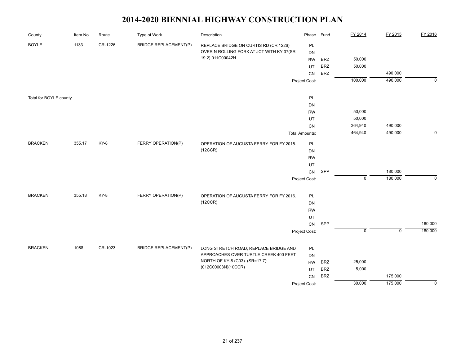| County                 | Item No. | Route   | <b>Type of Work</b>          | Description                                                              | Phase                 | <b>Fund</b> | FY 2014     | FY 2015     | FY 2016     |
|------------------------|----------|---------|------------------------------|--------------------------------------------------------------------------|-----------------------|-------------|-------------|-------------|-------------|
| <b>BOYLE</b>           | 1133     | CR-1226 | <b>BRIDGE REPLACEMENT(P)</b> | REPLACE BRIDGE ON CURTIS RD (CR 1226)                                    | PL                    |             |             |             |             |
|                        |          |         |                              | OVER N ROLLING FORK AT JCT WITH KY 37(SR                                 | DN                    |             |             |             |             |
|                        |          |         |                              | 19.2) 011C00042N                                                         | <b>RW</b>             | <b>BRZ</b>  | 50,000      |             |             |
|                        |          |         |                              |                                                                          | UT                    | <b>BRZ</b>  | 50,000      |             |             |
|                        |          |         |                              |                                                                          | CN                    | <b>BRZ</b>  |             | 490,000     |             |
|                        |          |         |                              |                                                                          | Project Cost:         |             | 100,000     | 490,000     | $\mathbf 0$ |
| Total for BOYLE county |          |         |                              |                                                                          | PL                    |             |             |             |             |
|                        |          |         |                              |                                                                          | DN                    |             |             |             |             |
|                        |          |         |                              |                                                                          | <b>RW</b>             |             | 50,000      |             |             |
|                        |          |         |                              |                                                                          | UT                    |             | 50,000      |             |             |
|                        |          |         |                              |                                                                          | CN                    |             | 364,940     | 490,000     |             |
|                        |          |         |                              |                                                                          | <b>Total Amounts:</b> |             | 464,940     | 490,000     | $\Omega$    |
| <b>BRACKEN</b>         | 355.17   | KY-8    | FERRY OPERATION(P)           | OPERATION OF AUGUSTA FERRY FOR FY 2015.                                  | PL                    |             |             |             |             |
|                        |          |         |                              | (12CCR)                                                                  | DN                    |             |             |             |             |
|                        |          |         |                              |                                                                          | <b>RW</b>             |             |             |             |             |
|                        |          |         |                              |                                                                          | UT                    |             |             |             |             |
|                        |          |         |                              |                                                                          | CN                    | SPP         |             | 180,000     |             |
|                        |          |         |                              |                                                                          | Project Cost:         |             | $\mathbf 0$ | 180,000     | $\Omega$    |
| <b>BRACKEN</b>         | 355.18   | KY-8    | FERRY OPERATION(P)           | OPERATION OF AUGUSTA FERRY FOR FY 2016.                                  | PL                    |             |             |             |             |
|                        |          |         |                              | (12CCR)                                                                  | DN                    |             |             |             |             |
|                        |          |         |                              |                                                                          | <b>RW</b>             |             |             |             |             |
|                        |          |         |                              |                                                                          | UT                    |             |             |             |             |
|                        |          |         |                              |                                                                          | CN                    | SPP         |             |             | 180,000     |
|                        |          |         |                              |                                                                          | Project Cost:         |             | $\pmb{0}$   | $\mathsf 0$ | 180,000     |
|                        |          |         |                              |                                                                          |                       |             |             |             |             |
| <b>BRACKEN</b>         | 1068     | CR-1023 | <b>BRIDGE REPLACEMENT(P)</b> | LONG STRETCH ROAD; REPLACE BRIDGE AND                                    | PL                    |             |             |             |             |
|                        |          |         |                              | APPROACHES OVER TURTLE CREEK 400 FEET<br>NORTH OF KY-8 (C03). (SR=17.7): | DN                    |             |             |             |             |
|                        |          |         |                              | (012C00003N)(10CCR)                                                      | <b>RW</b>             | <b>BRZ</b>  | 25,000      |             |             |
|                        |          |         |                              |                                                                          | UT                    | <b>BRZ</b>  | 5,000       |             |             |
|                        |          |         |                              |                                                                          | CN                    | <b>BRZ</b>  |             | 175,000     |             |
|                        |          |         |                              |                                                                          | Project Cost:         |             | 30,000      | 175,000     | $\mathbf 0$ |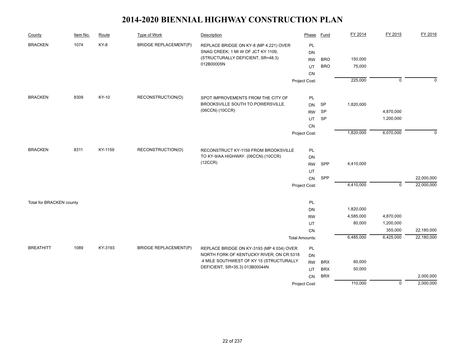| County                   | Item No. | Route   | <b>Type of Work</b>          | Description                                    | Phase                 | Fund       | FY 2014   | FY 2015        | FY 2016     |
|--------------------------|----------|---------|------------------------------|------------------------------------------------|-----------------------|------------|-----------|----------------|-------------|
| <b>BRACKEN</b>           | 1074     | KY-8    | <b>BRIDGE REPLACEMENT(P)</b> | REPLACE BRIDGE ON KY-8 (MP 4.221) OVER         | PL                    |            |           |                |             |
|                          |          |         |                              | SNAG CREEK; 1 MI W OF JCT KY 1109;             | DN                    |            |           |                |             |
|                          |          |         |                              | (STRUCTURALLY DEFICIENT, SR=48.3)              | <b>RW</b>             | <b>BRO</b> | 150,000   |                |             |
|                          |          |         |                              | 012B00005N                                     | UT                    | <b>BRO</b> | 75,000    |                |             |
|                          |          |         |                              |                                                | CN                    |            |           |                |             |
|                          |          |         |                              |                                                | Project Cost:         |            | 225,000   | $\overline{0}$ | $\mathbf 0$ |
| <b>BRACKEN</b>           | 8309     | KY-10   | RECONSTRUCTION(O)            | SPOT IMPROVEMENTS FROM THE CITY OF             | PL                    |            |           |                |             |
|                          |          |         |                              | BROOKSVILLE SOUTH TO POWERSVILLE.              | <b>DN</b>             | <b>SP</b>  | 1,820,000 |                |             |
|                          |          |         |                              | (06CCN) (10CCR)                                | <b>RW</b>             | SP         |           | 4,870,000      |             |
|                          |          |         |                              |                                                | UT                    | SP         |           | 1,200,000      |             |
|                          |          |         |                              |                                                | CN                    |            |           |                |             |
|                          |          |         |                              |                                                | Project Cost:         |            | 1,820,000 | 6,070,000      | $\mathbf 0$ |
|                          |          |         |                              |                                                |                       |            |           |                |             |
| <b>BRACKEN</b><br>8311   |          | KY-1159 | RECONSTRUCTION(O)            | RECONSTRUCT KY-1159 FROM BROOKSVILLE           | PL                    |            |           |                |             |
|                          |          |         |                              | TO KY-9/AA HIGHWAY. (06CCN) (10CCR)<br>(12CCR) | <b>DN</b>             |            |           |                |             |
|                          |          |         |                              |                                                | <b>RW</b>             | SPP        | 4,410,000 |                |             |
|                          |          |         |                              |                                                | UT                    | SPP        |           |                | 22,000,000  |
|                          |          |         |                              |                                                | CN<br>Project Cost:   |            | 4,410,000 | $\overline{0}$ | 22,000,000  |
|                          |          |         |                              |                                                |                       |            |           |                |             |
| Total for BRACKEN county |          |         |                              |                                                | PL                    |            |           |                |             |
|                          |          |         |                              |                                                | <b>DN</b>             |            | 1,820,000 |                |             |
|                          |          |         |                              |                                                | <b>RW</b>             |            | 4,585,000 | 4,870,000      |             |
|                          |          |         |                              |                                                | UT                    |            | 80,000    | 1,200,000      |             |
|                          |          |         |                              |                                                | CN                    |            |           | 355,000        | 22,180,000  |
|                          |          |         |                              |                                                | <b>Total Amounts:</b> |            | 6,485,000 | 6,425,000      | 22,180,000  |
| <b>BREATHITT</b>         | 1089     | KY-3193 | <b>BRIDGE REPLACEMENT(P)</b> | REPLACE BRIDGE ON KY-3193 (MP 4.034) OVER      | PL                    |            |           |                |             |
|                          |          |         |                              | NORTH FORK OF KENTUCKY RIVER; ON CR 5318       | DN                    |            |           |                |             |
|                          |          |         |                              | .4 MILE SOUTHWEST OF KY 15 (STRUCTURALLY       | <b>RW</b>             | <b>BRX</b> | 60,000    |                |             |
|                          |          |         |                              | DEFICIENT, SR=35.3) 013B00044N                 | UT                    | <b>BRX</b> | 50,000    |                |             |
|                          |          |         |                              |                                                | CN                    | <b>BRX</b> |           |                | 2,000,000   |
|                          |          |         |                              |                                                | Project Cost:         |            | 110,000   | $\overline{0}$ | 2,000,000   |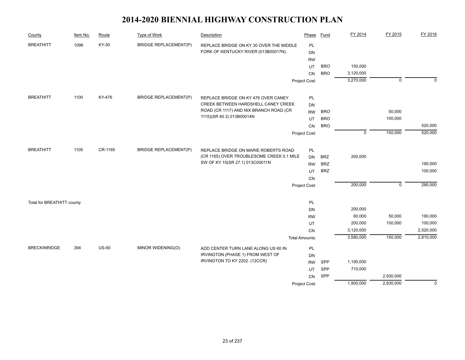| County                     | Item No. | Route        | <b>Type of Work</b>          | Description                               | Phase                 | <b>Fund</b> | FY 2014     | FY 2015        | FY 2016        |
|----------------------------|----------|--------------|------------------------------|-------------------------------------------|-----------------------|-------------|-------------|----------------|----------------|
| <b>BREATHITT</b>           | 1096     | KY-30        | <b>BRIDGE REPLACEMENT(P)</b> | REPLACE BRIDGE ON KY 30 OVER THE MIDDLE   | PL                    |             |             |                |                |
|                            |          |              |                              | FORK OF KENTUCKY RIVER (013B00017N).      | DN                    |             |             |                |                |
|                            |          |              |                              |                                           | <b>RW</b>             |             |             |                |                |
|                            |          |              |                              |                                           | UT                    | <b>BRO</b>  | 150,000     |                |                |
|                            |          |              |                              |                                           | CN                    | <b>BRO</b>  | 3,120,000   |                |                |
|                            |          |              |                              |                                           | Project Cost:         |             | 3,270,000   | $\overline{0}$ | $\mathbf 0$    |
| <b>BREATHITT</b>           | 1100     | KY-476       | <b>BRIDGE REPLACEMENT(P)</b> | REPLACE BRIDGE ON KY 476 OVER CANEY       | <b>PL</b>             |             |             |                |                |
|                            |          |              |                              | CREEK BETWEEN HARDSHELL CANEY CREEK       | <b>DN</b>             |             |             |                |                |
|                            |          |              |                              | ROAD (CR 1117) AND NIX BRANCH ROAD (CR    | <b>RW</b>             | <b>BRO</b>  |             | 50,000         |                |
|                            |          |              |                              | 1115)(SR 40.3) 013B00014N                 | UT                    | <b>BRO</b>  |             | 100,000        |                |
|                            |          |              |                              |                                           | CN                    | <b>BRO</b>  |             |                | 520,000        |
|                            |          |              |                              |                                           | Project Cost:         |             | $\mathbf 0$ | 150,000        | 520,000        |
|                            |          |              |                              |                                           |                       |             |             |                |                |
| <b>BREATHITT</b>           | 1105     | CR-1165      | <b>BRIDGE REPLACEMENT(P)</b> | REPLACE BRIDGE ON MARIE ROBERTS ROAD      | PL                    |             |             |                |                |
|                            |          |              |                              | (CR 1165) OVER TROUBLESOME CREEK 0.1 MILE | <b>DN</b>             | <b>BRZ</b>  | 200,000     |                |                |
|                            |          |              |                              | SW OF KY 15(SR 27.1) 013C00011N           | <b>RW</b>             | <b>BRZ</b>  |             |                | 190,000        |
|                            |          |              |                              |                                           | UT                    | <b>BRZ</b>  |             |                | 100,000        |
|                            |          |              |                              |                                           | CN                    |             |             |                |                |
|                            |          |              |                              |                                           | Project Cost:         |             | 200,000     | $\mathbf{0}$   | 290,000        |
| Total for BREATHITT county |          |              |                              |                                           | PL                    |             |             |                |                |
|                            |          |              |                              |                                           | <b>DN</b>             |             | 200,000     |                |                |
|                            |          |              |                              |                                           | <b>RW</b>             |             | 60,000      | 50,000         | 190,000        |
|                            |          |              |                              |                                           | UT                    |             | 200,000     | 100,000        | 100,000        |
|                            |          |              |                              |                                           | CN                    |             | 3,120,000   |                | 2,520,000      |
|                            |          |              |                              |                                           | <b>Total Amounts:</b> |             | 3,580,000   | 150,000        | 2,810,000      |
| <b>BRECKINRIDGE</b>        | 394      | <b>US-60</b> | MINOR WIDENING(O)            | ADD CENTER TURN LANE ALONG US 60 IN       | PL                    |             |             |                |                |
|                            |          |              |                              | IRVINGTON (PHASE 1) FROM WEST OF          | <b>DN</b>             |             |             |                |                |
|                            |          |              |                              | IRVINGTON TO KY 2202. (12CCR)             | <b>RW</b>             | SPP         | 1,190,000   |                |                |
|                            |          |              |                              |                                           | UT                    | SPP         | 710,000     |                |                |
|                            |          |              |                              |                                           | <b>CN</b>             | SPP         |             | 2,930,000      |                |
|                            |          |              |                              |                                           | Project Cost:         |             | 1,900,000   | 2,930,000      | $\overline{0}$ |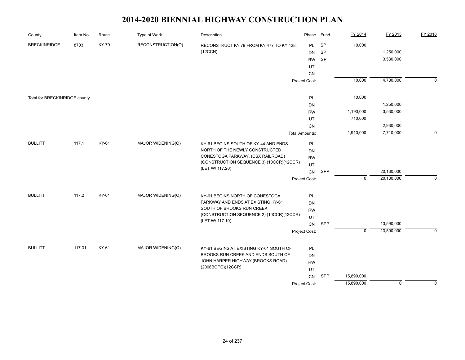| County                        | Item No. | Route        | Type of Work      | Description                                                 | Phase                 | <b>Fund</b> | FY 2014     | FY 2015        | FY 2016     |
|-------------------------------|----------|--------------|-------------------|-------------------------------------------------------------|-----------------------|-------------|-------------|----------------|-------------|
| <b>BRECKINRIDGE</b>           | 8703     | <b>KY-79</b> | RECONSTRUCTION(O) | RECONSTRUCT KY 79 FROM KY 477 TO KY 428.                    | <b>PL</b>             | <b>SP</b>   | 10,000      |                |             |
|                               |          |              |                   | (12CCN)                                                     | <b>DN</b>             | SP          |             | 1,250,000      |             |
|                               |          |              |                   |                                                             | <b>RW</b>             | <b>SP</b>   |             | 3,530,000      |             |
|                               |          |              |                   |                                                             | UT                    |             |             |                |             |
|                               |          |              |                   |                                                             | <b>CN</b>             |             |             |                |             |
|                               |          |              |                   |                                                             | Project Cost:         |             | 10,000      | 4,780,000      | $\mathbf 0$ |
| Total for BRECKINRIDGE county |          |              |                   |                                                             | PL                    |             | 10,000      |                |             |
|                               |          |              |                   |                                                             | DN                    |             |             | 1,250,000      |             |
|                               |          |              |                   |                                                             | <b>RW</b>             |             | 1,190,000   | 3,530,000      |             |
|                               |          |              |                   |                                                             | UT                    |             | 710,000     |                |             |
|                               |          |              |                   |                                                             | <b>CN</b>             |             |             | 2,930,000      |             |
|                               |          |              |                   |                                                             | <b>Total Amounts:</b> |             | 1,910,000   | 7,710,000      | $\mathbf 0$ |
| <b>BULLITT</b>                | 117.1    | KY-61        | MAJOR WIDENING(O) | KY-61 BEGINS SOUTH OF KY-44 AND ENDS                        | PL                    |             |             |                |             |
|                               |          |              |                   | NORTH OF THE NEWLY CONSTRUCTED                              | DN                    |             |             |                |             |
|                               |          |              |                   | CONESTOGA PARKWAY. (CSX RAILROAD)                           | <b>RW</b>             |             |             |                |             |
|                               |          |              |                   | (CONSTRUCTION SEQUENCE 3) (10CCR)(12CCR)<br>(LET W/ 117.20) | UT                    |             |             |                |             |
|                               |          |              |                   |                                                             | CN                    | SPP         |             | 20,130,000     |             |
|                               |          |              |                   |                                                             | Project Cost:         |             | $\mathbf 0$ | 20,130,000     | $\Omega$    |
| <b>BULLITT</b>                | 117.2    | KY-61        | MAJOR WIDENING(O) | KY-61 BEGINS NORTH OF CONESTOGA                             | PL                    |             |             |                |             |
|                               |          |              |                   | PARKWAY AND ENDS AT EXISTING KY-61                          | <b>DN</b>             |             |             |                |             |
|                               |          |              |                   | SOUTH OF BROOKS RUN CREEK.                                  | <b>RW</b>             |             |             |                |             |
|                               |          |              |                   | (CONSTRUCTION SEQUENCE 2) (10CCR)(12CCR)                    | UT                    |             |             |                |             |
|                               |          |              |                   | (LET W/ 117.10)                                             | CN                    | SPP         |             | 13,590,000     |             |
|                               |          |              |                   |                                                             | Project Cost:         |             | $\mathsf 0$ | 13,590,000     | $\mathbf 0$ |
| <b>BULLITT</b>                | 117.31   | KY-61        | MAJOR WIDENING(O) | KY-61 BEGINS AT EXISTING KY-61 SOUTH OF                     | PL                    |             |             |                |             |
|                               |          |              |                   | BROOKS RUN CREEK AND ENDS SOUTH OF                          | <b>DN</b>             |             |             |                |             |
|                               |          |              |                   | JOHN HARPER HIGHWAY (BROOKS ROAD)                           | <b>RW</b>             |             |             |                |             |
|                               |          |              |                   | (2006BOPC)(12CCR)                                           | UT                    |             |             |                |             |
|                               |          |              |                   |                                                             | CN                    | SPP         | 15,890,000  |                |             |
|                               |          |              |                   |                                                             | Project Cost:         |             | 15,890,000  | $\overline{0}$ | $\Omega$    |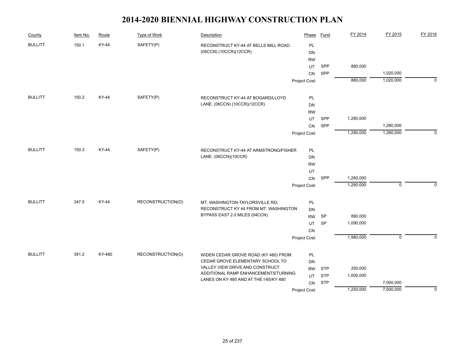| County         | Item No. | Route        | Type of Work      | Description                                                              | Phase           | <b>Fund</b> | FY 2014   | FY 2015                   | FY 2016     |
|----------------|----------|--------------|-------------------|--------------------------------------------------------------------------|-----------------|-------------|-----------|---------------------------|-------------|
| <b>BULLITT</b> | 150.1    | <b>KY-44</b> | SAFETY(P)         | RECONSTRUCT KY-44 AT BELLS MILL ROAD.<br>(06CCN) (10CCR)(12CCR)          | PL<br>DN        |             |           |                           |             |
|                |          |              |                   |                                                                          | <b>RW</b>       |             |           |                           |             |
|                |          |              |                   |                                                                          | UT              | SPP         | 880,000   |                           |             |
|                |          |              |                   |                                                                          | CN              | SPP         |           | 1,020,000                 |             |
|                |          |              |                   |                                                                          | Project Cost:   |             | 880,000   | 1,020,000                 | 0           |
| <b>BULLITT</b> | 150.2    | KY-44        |                   |                                                                          |                 |             |           |                           |             |
|                |          |              | SAFETY(P)         | RECONSTRUCT KY-44 AT BOGARD/LLOYD<br>LANE. (06CCN) (10CCR)(12CCR)        | PL<br>DN        |             |           |                           |             |
|                |          |              |                   |                                                                          | <b>RW</b>       |             |           |                           |             |
|                |          |              |                   |                                                                          | UT.             | SPP         | 1,280,000 |                           |             |
|                |          |              |                   |                                                                          | <b>CN</b>       | SPP         |           | 1,280,000                 |             |
|                |          |              |                   |                                                                          | Project Cost:   |             | 1,280,000 | 1,280,000                 | $\mathbf 0$ |
| <b>BULLITT</b> | 150.3    | KY-44        | SAFETY(P)         |                                                                          |                 |             |           |                           |             |
|                |          |              |                   | RECONSTRUCT KY-44 AT ARMSTRONG/FISHER<br>LANE. (06CCN)(10CCR)            | PL              |             |           |                           |             |
|                |          |              |                   |                                                                          | DN<br><b>RW</b> |             |           |                           |             |
|                |          |              |                   |                                                                          | UT              |             |           |                           |             |
|                |          |              |                   |                                                                          | CN              | SPP         | 1,260,000 |                           |             |
|                |          |              |                   |                                                                          | Project Cost:   |             | 1,260,000 | $\mathsf 0$               | $\mathbf 0$ |
|                |          |              |                   |                                                                          |                 |             |           |                           |             |
| <b>BULLITT</b> | 347.5    | KY-44        | RECONSTRUCTION(O) | MT. WASHINGTON-TAYLORSVILLE RD;<br>RECONSTRUCT KY 44 FROM MT. WASHINGTON | PL              |             |           |                           |             |
|                |          |              |                   | BYPASS EAST 2.0 MILES (04CCN)                                            | DN<br><b>RW</b> | <b>SP</b>   | 890,000   |                           |             |
|                |          |              |                   |                                                                          | UT              | <b>SP</b>   | 1,090,000 |                           |             |
|                |          |              |                   |                                                                          | CN              |             |           |                           |             |
|                |          |              |                   |                                                                          | Project Cost:   |             | 1,980,000 | $\overline{\mathfrak{o}}$ | $\Omega$    |
|                |          |              |                   |                                                                          |                 |             |           |                           |             |
| <b>BULLITT</b> | 391.2    | KY-480       | RECONSTRUCTION(O) | WIDEN CEDAR GROVE ROAD (KY 480) FROM<br>CEDAR GROVE ELEMENTARY SCHOOL TO | PL<br>DN        |             |           |                           |             |
|                |          |              |                   | VALLEY VIEW DRIVE AND CONSTRUCT                                          | <b>RW</b>       | <b>STP</b>  | 250,000   |                           |             |
|                |          |              |                   | ADDITIONAL RAMP ENHANCEMENTS/TURNING                                     | UT              | <b>STP</b>  | 1,000,000 |                           |             |
|                |          |              |                   | LANES ON KY 480 AND AT THE I-65/KY 480                                   | CN              | <b>STP</b>  |           | 7,000,000                 |             |
|                |          |              |                   |                                                                          | Project Cost:   |             | 1,250,000 | 7,000,000                 | 0           |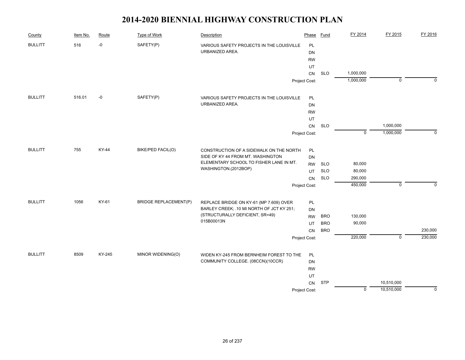| County         | Item No. | Route  | Type of Work                 | Description                               | Phase         | Fund       | FY 2014     | FY 2015        | FY 2016     |
|----------------|----------|--------|------------------------------|-------------------------------------------|---------------|------------|-------------|----------------|-------------|
| <b>BULLITT</b> | 516      | $-0$   | SAFETY(P)                    | VARIOUS SAFETY PROJECTS IN THE LOUISVILLE | PL            |            |             |                |             |
|                |          |        |                              | URBANIZED AREA.                           | <b>DN</b>     |            |             |                |             |
|                |          |        |                              |                                           | <b>RW</b>     |            |             |                |             |
|                |          |        |                              |                                           | UT            |            |             |                |             |
|                |          |        |                              |                                           | CN            | <b>SLO</b> | 1,000,000   |                |             |
|                |          |        |                              |                                           | Project Cost: |            | 1,000,000   | $\mathbf 0$    | $\Omega$    |
| <b>BULLITT</b> | 516.01   | -0     | SAFETY(P)                    | VARIOUS SAFETY PROJECTS IN THE LOUISVILLE | PL            |            |             |                |             |
|                |          |        |                              | URBANIZED AREA.                           | DN            |            |             |                |             |
|                |          |        |                              |                                           | <b>RW</b>     |            |             |                |             |
|                |          |        |                              |                                           | UT            |            |             |                |             |
|                |          |        |                              |                                           | ${\sf CN}$    | <b>SLO</b> |             | 1,000,000      |             |
|                |          |        |                              |                                           | Project Cost: |            | $\mathbf 0$ | 1,000,000      | $\mathbf 0$ |
| <b>BULLITT</b> | 755      | KY-44  | BIKE/PED FACIL(O)            | CONSTRUCTION OF A SIDEWALK ON THE NORTH   | PL            |            |             |                |             |
|                |          |        |                              | SIDE OF KY 44 FROM MT. WASHINGTON         | DN            |            |             |                |             |
|                |          |        |                              | ELEMENTARY SCHOOL TO FISHER LANE IN MT.   | <b>RW</b>     | <b>SLO</b> | 80,000      |                |             |
|                |          |        |                              | WASHINGTON.(2012BOP)                      | UT            | <b>SLO</b> | 80,000      |                |             |
|                |          |        |                              |                                           | CN            | <b>SLO</b> | 290,000     |                |             |
|                |          |        |                              |                                           | Project Cost: |            | 450,000     | $\pmb{0}$      | $\mathbf 0$ |
| <b>BULLITT</b> | 1056     | KY-61  | <b>BRIDGE REPLACEMENT(P)</b> | REPLACE BRIDGE ON KY-61 (MP 7.609) OVER   | PL            |            |             |                |             |
|                |          |        |                              | BARLEY CREEK; .10 MI NORTH OF JCT KY 251; | <b>DN</b>     |            |             |                |             |
|                |          |        |                              | (STRUCTURALLY DEFICIENT, SR=49)           | <b>RW</b>     | <b>BRO</b> | 130,000     |                |             |
|                |          |        |                              | 015B00013N                                | UT            | <b>BRO</b> | 90,000      |                |             |
|                |          |        |                              |                                           | <b>CN</b>     | <b>BRO</b> |             |                | 230,000     |
|                |          |        |                              |                                           | Project Cost: |            | 220,000     | $\overline{0}$ | 230,000     |
| <b>BULLITT</b> | 8509     | KY-245 | MINOR WIDENING(O)            | WIDEN KY-245 FROM BERNHEIM FOREST TO THE  | PL            |            |             |                |             |
|                |          |        |                              | COMMUNITY COLLEGE. (08CCN)(10CCR)         | DN            |            |             |                |             |
|                |          |        |                              |                                           | <b>RW</b>     |            |             |                |             |
|                |          |        |                              |                                           | UT            |            |             |                |             |
|                |          |        |                              |                                           | CN            | <b>STP</b> |             | 10,510,000     |             |
|                |          |        |                              |                                           | Project Cost: |            | $\pmb{0}$   | 10,510,000     | $\mathbf 0$ |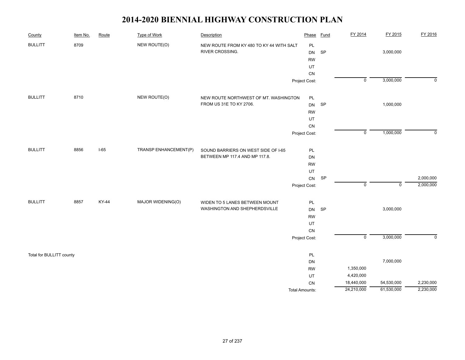| County                   | Item No. | Route  | <b>Type of Work</b>   | Description                                                 | Phase                 | Fund | FY 2014        | FY 2015     | FY 2016     |
|--------------------------|----------|--------|-----------------------|-------------------------------------------------------------|-----------------------|------|----------------|-------------|-------------|
| <b>BULLITT</b>           | 8709     |        | NEW ROUTE(O)          | NEW ROUTE FROM KY 480 TO KY 44 WITH SALT<br>RIVER CROSSING. | PL<br><b>DN</b>       | SP   |                | 3,000,000   |             |
|                          |          |        |                       |                                                             | <b>RW</b>             |      |                |             |             |
|                          |          |        |                       |                                                             | UT                    |      |                |             |             |
|                          |          |        |                       |                                                             | ${\sf CN}$            |      |                |             |             |
|                          |          |        |                       |                                                             | Project Cost:         |      | $\overline{0}$ | 3,000,000   | $\mathbf 0$ |
| <b>BULLITT</b>           | 8710     |        | NEW ROUTE(O)          | NEW ROUTE NORTHWEST OF MT. WASHINGTON                       | PL                    |      |                |             |             |
|                          |          |        |                       | FROM US 31E TO KY 2706.                                     | <b>DN</b>             | SP   |                | 1,000,000   |             |
|                          |          |        |                       |                                                             | <b>RW</b>             |      |                |             |             |
|                          |          |        |                       |                                                             | UT                    |      |                |             |             |
|                          |          |        |                       |                                                             | ${\sf CN}$            |      |                |             |             |
|                          |          |        |                       |                                                             | Project Cost:         |      | $\mathsf 0$    | 1,000,000   | $\mathbf 0$ |
| <b>BULLITT</b>           | 8856     | $I-65$ | TRANSP ENHANCEMENT(P) | SOUND BARRIERS ON WEST SIDE OF I-65                         | PL                    |      |                |             |             |
|                          |          |        |                       | BETWEEN MP 117.4 AND MP 117.8.                              | DN                    |      |                |             |             |
|                          |          |        |                       |                                                             | <b>RW</b>             |      |                |             |             |
|                          |          |        |                       |                                                             | UT                    |      |                |             |             |
|                          |          |        |                       |                                                             | CN                    | SP   |                |             | 2,000,000   |
|                          |          |        |                       |                                                             | Project Cost:         |      | $\mathsf 0$    | $\mathbf 0$ | 2,000,000   |
| <b>BULLITT</b>           | 8857     | KY-44  | MAJOR WIDENING(O)     | WIDEN TO 5 LANES BETWEEN MOUNT                              | PL                    |      |                |             |             |
|                          |          |        |                       | WASHINGTON AND SHEPHERDSVILLE                               | DN                    | SP   |                | 3,000,000   |             |
|                          |          |        |                       |                                                             | <b>RW</b>             |      |                |             |             |
|                          |          |        |                       |                                                             | UT                    |      |                |             |             |
|                          |          |        |                       |                                                             | CN                    |      |                |             |             |
|                          |          |        |                       |                                                             | Project Cost:         |      | $\overline{0}$ | 3,000,000   | $\mathbf 0$ |
| Total for BULLITT county |          |        |                       |                                                             | PL                    |      |                |             |             |
|                          |          |        |                       |                                                             | DN                    |      |                | 7,000,000   |             |
|                          |          |        |                       |                                                             | <b>RW</b>             |      | 1,350,000      |             |             |
|                          |          |        |                       |                                                             | UT                    |      | 4,420,000      |             |             |
|                          |          |        |                       |                                                             | ${\sf CN}$            |      | 18,440,000     | 54,530,000  | 2,230,000   |
|                          |          |        |                       |                                                             | <b>Total Amounts:</b> |      | 24,210,000     | 61,530,000  | 2,230,000   |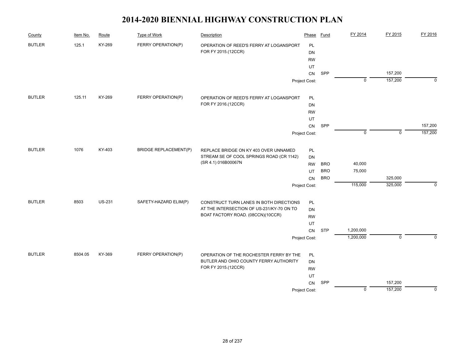| County        | Item No. | Route         | <b>Type of Work</b>          | Description                                                     | Phase         | <b>Fund</b> | FY 2014        | FY 2015        | FY 2016     |
|---------------|----------|---------------|------------------------------|-----------------------------------------------------------------|---------------|-------------|----------------|----------------|-------------|
| <b>BUTLER</b> | 125.1    | KY-269        | FERRY OPERATION(P)           | OPERATION OF REED'S FERRY AT LOGANSPORT                         | PL            |             |                |                |             |
|               |          |               |                              | FOR FY 2015.(12CCR)                                             | DN            |             |                |                |             |
|               |          |               |                              |                                                                 | <b>RW</b>     |             |                |                |             |
|               |          |               |                              |                                                                 | UT            |             |                |                |             |
|               |          |               |                              |                                                                 | CN            | SPP         |                | 157,200        |             |
|               |          |               |                              |                                                                 | Project Cost: |             | $\overline{0}$ | 157,200        | $\mathbf 0$ |
| <b>BUTLER</b> | 125.11   | KY-269        | FERRY OPERATION(P)           | OPERATION OF REED'S FERRY AT LOGANSPORT                         | PL            |             |                |                |             |
|               |          |               |                              | FOR FY 2016.(12CCR)                                             | DN            |             |                |                |             |
|               |          |               |                              |                                                                 | <b>RW</b>     |             |                |                |             |
|               |          |               |                              |                                                                 | UT            |             |                |                |             |
|               |          |               |                              |                                                                 | CN            | SPP         |                |                | 157,200     |
|               |          |               |                              |                                                                 | Project Cost: |             | $\Omega$       | $\overline{0}$ | 157,200     |
| <b>BUTLER</b> | 1076     | KY-403        | <b>BRIDGE REPLACEMENT(P)</b> | REPLACE BRIDGE ON KY 403 OVER UNNAMED                           | PL            |             |                |                |             |
|               |          |               |                              | STREAM SE OF COOL SPRINGS ROAD (CR 1142)<br>(SR 4.1) 016B00067N | DN            |             |                |                |             |
|               |          |               |                              |                                                                 | <b>RW</b>     | <b>BRO</b>  | 40,000         |                |             |
|               |          |               |                              |                                                                 | UT            | <b>BRO</b>  | 75,000         |                |             |
|               |          |               |                              |                                                                 | CN            | <b>BRO</b>  |                | 325,000        |             |
|               |          |               |                              |                                                                 | Project Cost: |             | 115,000        | 325,000        | $\mathbf 0$ |
| <b>BUTLER</b> | 8503     | <b>US-231</b> | SAFETY-HAZARD ELIM(P)        | CONSTRUCT TURN LANES IN BOTH DIRECTIONS                         | PL            |             |                |                |             |
|               |          |               |                              | AT THE INTERSECTION OF US-231/KY-70 ON TO                       | <b>DN</b>     |             |                |                |             |
|               |          |               |                              | BOAT FACTORY ROAD. (08CCN)(10CCR)                               | <b>RW</b>     |             |                |                |             |
|               |          |               |                              |                                                                 | UT            |             |                |                |             |
|               |          |               |                              |                                                                 |               | <b>STP</b>  | 1,200,000      |                |             |
|               |          |               |                              |                                                                 | Project Cost: |             | 1,200,000      | $\overline{0}$ | $\Omega$    |
| <b>BUTLER</b> | 8504.05  | KY-369        | FERRY OPERATION(P)           | OPERATION OF THE ROCHESTER FERRY BY THE                         | PL            |             |                |                |             |
|               |          |               |                              | BUTLER AND OHIO COUNTY FERRY AUTHORITY                          | <b>DN</b>     |             |                |                |             |
|               |          |               |                              | FOR FY 2015.(12CCR)                                             | <b>RW</b>     |             |                |                |             |
|               |          |               |                              |                                                                 |               |             |                |                |             |
|               |          |               |                              |                                                                 |               | SPP         |                | 157,200        |             |
|               |          |               |                              |                                                                 | Project Cost: |             | $\mathsf 0$    | 157,200        | 0           |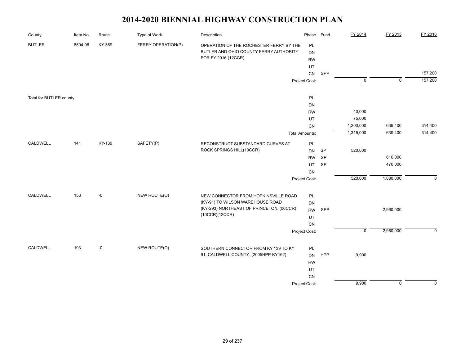| County                  | Item No. | Route  | <b>Type of Work</b> | Description                                                                  | Phase                  | <b>Fund</b> | FY 2014        | FY 2015     | FY 2016     |
|-------------------------|----------|--------|---------------------|------------------------------------------------------------------------------|------------------------|-------------|----------------|-------------|-------------|
| <b>BUTLER</b>           | 8504.06  | KY-369 | FERRY OPERATION(P)  | OPERATION OF THE ROCHESTER FERRY BY THE                                      | PL                     |             |                |             |             |
|                         |          |        |                     | BUTLER AND OHIO COUNTY FERRY AUTHORITY                                       | <b>DN</b>              |             |                |             |             |
|                         |          |        |                     | FOR FY 2016.(12CCR)                                                          | <b>RW</b>              |             |                |             |             |
|                         |          |        |                     |                                                                              | UT                     |             |                |             |             |
|                         |          |        |                     |                                                                              | ${\sf CN}$             | SPP         |                |             | 157,200     |
|                         |          |        |                     |                                                                              | Project Cost:          |             | $\overline{0}$ | $\mathbf 0$ | 157,200     |
|                         |          |        |                     |                                                                              |                        |             |                |             |             |
| Total for BUTLER county |          |        |                     |                                                                              | PL                     |             |                |             |             |
|                         |          |        |                     |                                                                              | DN                     |             |                |             |             |
|                         |          |        |                     |                                                                              | <b>RW</b>              |             | 40,000         |             |             |
|                         |          |        |                     |                                                                              | UT                     |             | 75,000         |             |             |
|                         |          |        |                     |                                                                              | CN                     |             | 1,200,000      | 639,400     | 314,400     |
|                         |          |        |                     |                                                                              | <b>Total Amounts:</b>  |             | 1,315,000      | 639,400     | 314,400     |
| CALDWELL                | 141      | KY-139 | SAFETY(P)           | RECONSTRUCT SUBSTANDARD CURVES AT                                            | PL                     |             |                |             |             |
|                         |          |        |                     | ROCK SPRINGS HILL(10CCR)                                                     | DN                     | <b>SP</b>   | 520,000        |             |             |
|                         |          |        |                     |                                                                              | <b>RW</b>              | SP          |                | 610,000     |             |
|                         |          |        |                     |                                                                              |                        | SP          |                | 470,000     |             |
|                         |          |        |                     |                                                                              | CN                     |             |                |             |             |
|                         |          |        |                     |                                                                              | Project Cost:          |             | 520,000        | 1,080,000   | $\mathbf 0$ |
|                         |          |        |                     |                                                                              |                        |             |                |             |             |
| CALDWELL                | 153      | -0     | NEW ROUTE(O)        | NEW CONNECTOR FROM HOPKINSVILLE ROAD                                         | PL                     |             |                |             |             |
|                         |          |        |                     | (KY-91) TO WILSON WAREHOUSE ROAD                                             | <b>DN</b>              |             |                |             |             |
|                         |          |        |                     | (KY-293) NORTHEAST OF PRINCETON. (06CCR)                                     | <b>RW</b>              | SPP         |                | 2,960,000   |             |
|                         |          |        |                     | (10CCR)(12CCR)                                                               | UT                     |             |                |             |             |
|                         |          |        |                     |                                                                              | CN                     |             |                |             |             |
|                         |          |        |                     |                                                                              | Project Cost:          |             | $\overline{0}$ | 2,960,000   | $\Omega$    |
| CALDWELL                |          |        |                     |                                                                              |                        |             |                |             |             |
|                         | 193      | -0     | NEW ROUTE(O)        | SOUTHERN CONNECTOR FROM KY 139 TO KY<br>91, CALDWELL COUNTY. (2005HPP-KY162) | PL                     |             |                |             |             |
|                         |          |        |                     |                                                                              | <b>DN</b><br><b>RW</b> | HPP         | 9,900          |             |             |
|                         |          |        |                     |                                                                              |                        |             |                |             |             |
|                         |          |        |                     |                                                                              |                        |             |                |             |             |
|                         |          |        |                     |                                                                              | ${\sf CN}$             |             |                |             |             |
|                         |          |        |                     |                                                                              | Project Cost:          |             | 9,900          | $\mathbf 0$ | $\mathbf 0$ |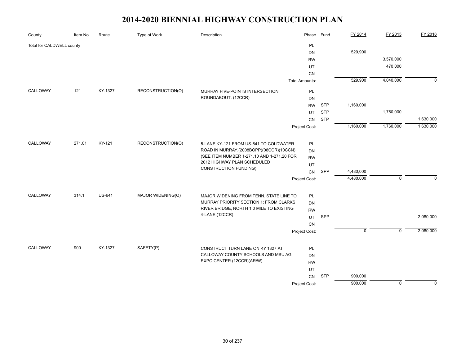| County                    | Item No. | Route         | <b>Type of Work</b> | Description                                                                                                                                                                                    | Phase                 | <b>Fund</b> | FY 2014     | FY 2015        | FY 2016     |
|---------------------------|----------|---------------|---------------------|------------------------------------------------------------------------------------------------------------------------------------------------------------------------------------------------|-----------------------|-------------|-------------|----------------|-------------|
| Total for CALDWELL county |          |               |                     |                                                                                                                                                                                                | <b>PL</b>             |             |             |                |             |
|                           |          |               |                     |                                                                                                                                                                                                | DN                    |             | 529,900     |                |             |
|                           |          |               |                     |                                                                                                                                                                                                | <b>RW</b>             |             |             | 3,570,000      |             |
|                           |          |               |                     |                                                                                                                                                                                                | UT                    |             |             | 470,000        |             |
|                           |          |               |                     |                                                                                                                                                                                                | CN                    |             |             |                |             |
|                           |          |               |                     |                                                                                                                                                                                                | <b>Total Amounts:</b> |             | 529,900     | 4,040,000      | $\mathbf 0$ |
| CALLOWAY                  | 121      | KY-1327       | RECONSTRUCTION(O)   | MURRAY FIVE-POINTS INTERSECTION                                                                                                                                                                | PL                    |             |             |                |             |
|                           |          |               |                     | ROUNDABOUT. (12CCR)                                                                                                                                                                            | DN                    |             |             |                |             |
|                           |          |               |                     |                                                                                                                                                                                                | <b>RW</b>             | <b>STP</b>  | 1,160,000   |                |             |
|                           |          |               |                     |                                                                                                                                                                                                | UT                    | <b>STP</b>  |             | 1,760,000      |             |
|                           |          |               |                     |                                                                                                                                                                                                | CN                    | <b>STP</b>  |             |                | 1,630,000   |
|                           |          |               |                     |                                                                                                                                                                                                | Project Cost:         |             | 1,160,000   | 1,760,000      | 1,630,000   |
|                           |          |               |                     |                                                                                                                                                                                                |                       |             |             |                |             |
| CALLOWAY                  | 271.01   | KY-121        | RECONSTRUCTION(O)   | 5-LANE KY-121 FROM US-641 TO COLDWATER<br>ROAD IN MURRAY.(2008BOPP)(08CCR)(10CCN)<br>(SEE ITEM NUMBER 1-271.10 AND 1-271.20 FOR<br>2012 HIGHWAY PLAN SCHEDULED<br><b>CONSTRUCTION FUNDING)</b> | PL                    |             |             |                |             |
|                           |          |               |                     |                                                                                                                                                                                                | DN                    |             |             |                |             |
|                           |          |               |                     |                                                                                                                                                                                                | <b>RW</b>             |             |             |                |             |
|                           |          |               |                     |                                                                                                                                                                                                | UT                    |             |             |                |             |
|                           |          |               |                     |                                                                                                                                                                                                | CN                    | SPP         | 4,480,000   |                |             |
|                           |          |               |                     |                                                                                                                                                                                                | Project Cost:         |             | 4,480,000   | $\mathbf 0$    | $\mathbf 0$ |
| CALLOWAY                  | 314.1    | <b>US-641</b> | MAJOR WIDENING(O)   | MAJOR WIDENING FROM TENN. STATE LINE TO<br>MURRAY PRIORITY SECTION 1; FROM CLARKS                                                                                                              | PL                    |             |             |                |             |
|                           |          |               |                     |                                                                                                                                                                                                | DN                    |             |             |                |             |
|                           |          |               |                     | RIVER BRIDGE, NORTH 1.0 MILE TO EXISTING                                                                                                                                                       | <b>RW</b>             |             |             |                |             |
|                           |          |               |                     | 4-LANE.(12CCR)                                                                                                                                                                                 | UT                    | SPP         |             |                | 2,080,000   |
|                           |          |               |                     |                                                                                                                                                                                                | CN                    |             |             |                |             |
|                           |          |               |                     |                                                                                                                                                                                                | Project Cost:         |             | $\mathbf 0$ | $\mathbf 0$    | 2,080,000   |
|                           |          |               |                     |                                                                                                                                                                                                |                       |             |             |                |             |
| CALLOWAY                  | 900      | KY-1327       | SAFETY(P)           | CONSTRUCT TURN LANE ON KY 1327 AT                                                                                                                                                              | PL                    |             |             |                |             |
|                           |          |               |                     | CALLOWAY COUNTY SCHOOLS AND MSU AG<br>EXPO CENTER.(12CCR)(AR/W)                                                                                                                                | <b>DN</b>             |             |             |                |             |
|                           |          |               |                     |                                                                                                                                                                                                | <b>RW</b>             |             |             |                |             |
|                           |          |               |                     |                                                                                                                                                                                                | UT                    |             |             |                |             |
|                           |          |               |                     |                                                                                                                                                                                                | <b>CN</b>             | <b>STP</b>  | 900,000     |                |             |
|                           |          |               |                     |                                                                                                                                                                                                | Project Cost:         |             | 900,000     | $\overline{0}$ | $\mathbf 0$ |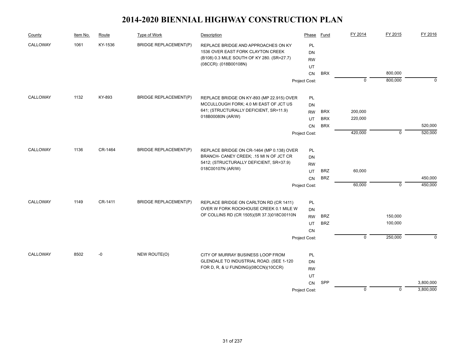| County   | Item No. | Route   | Type of Work                 | Description                                                                                                                    | Phase               | Fund       | FY 2014        | FY 2015     | FY 2016   |
|----------|----------|---------|------------------------------|--------------------------------------------------------------------------------------------------------------------------------|---------------------|------------|----------------|-------------|-----------|
| CALLOWAY | 1061     | KY-1536 | <b>BRIDGE REPLACEMENT(P)</b> | REPLACE BRIDGE AND APPROACHES ON KY                                                                                            | <b>PL</b>           |            |                |             |           |
|          |          |         |                              | 1536 OVER EAST FORK CLAYTON CREEK                                                                                              | DN                  |            |                |             |           |
|          |          |         |                              | (B108) 0.3 MILE SOUTH OF KY 280. (SR=27.7)                                                                                     | <b>RW</b>           |            |                |             |           |
|          |          |         |                              | (08CCR): (018B00108N)                                                                                                          | UT                  |            |                |             |           |
|          |          |         |                              |                                                                                                                                | <b>CN</b>           | <b>BRX</b> |                | 800,000     |           |
|          |          |         |                              |                                                                                                                                | Project Cost:       |            | $\overline{0}$ | 800,000     | $\Omega$  |
| CALLOWAY | 1132     | KY-893  | <b>BRIDGE REPLACEMENT(P)</b> | REPLACE BRIDGE ON KY-893 (MP 22.915) OVER                                                                                      | PL                  |            |                |             |           |
|          |          |         |                              | MCCULLOUGH FORK; 4.0 MI EAST OF JCT US                                                                                         | DN                  |            |                |             |           |
|          |          |         |                              | 641; (STRUCTURALLY DEFICIENT, SR=11.9)                                                                                         | <b>RW</b>           | <b>BRX</b> | 200,000        |             |           |
|          |          |         |                              | 018B00080N (AR/W)                                                                                                              | UT                  | <b>BRX</b> | 220,000        |             |           |
|          |          |         |                              |                                                                                                                                | <b>CN</b>           | <b>BRX</b> |                |             | 520,000   |
|          |          |         |                              |                                                                                                                                | Project Cost:       |            | 420,000        | $\mathbf 0$ | 520,000   |
| CALLOWAY | 1136     | CR-1464 | <b>BRIDGE REPLACEMENT(P)</b> |                                                                                                                                |                     |            |                |             |           |
|          |          |         |                              | REPLACE BRIDGE ON CR-1464 (MP 0.138) OVER<br>BRANCH- CANEY CREEK; .15 MI N OF JCT CR                                           | PL                  |            |                |             |           |
|          |          |         |                              | 5412; (STRUCTURALLY DEFICIENT, SR=37.9)<br>018C00107N (AR/W)                                                                   | DN                  |            |                |             |           |
|          |          |         |                              |                                                                                                                                | <b>RW</b>           | <b>BRZ</b> | 60,000         |             |           |
|          |          |         |                              |                                                                                                                                | UT                  | <b>BRZ</b> |                |             | 450,000   |
|          |          |         |                              |                                                                                                                                | CN<br>Project Cost: |            | 60,000         | $\mathbf 0$ | 450,000   |
|          |          |         |                              |                                                                                                                                |                     |            |                |             |           |
| CALLOWAY | 1149     | CR-1411 | <b>BRIDGE REPLACEMENT(P)</b> | REPLACE BRIDGE ON CARLTON RD (CR 1411)<br>OVER W FORK ROCKHOUSE CREEK 0.1 MILE W<br>OF COLLINS RD (CR 1505)(SR 37.3)018C00110N | PL                  |            |                |             |           |
|          |          |         |                              |                                                                                                                                | DN                  |            |                |             |           |
|          |          |         |                              |                                                                                                                                | <b>RW</b>           | <b>BRZ</b> |                | 150,000     |           |
|          |          |         |                              |                                                                                                                                | UT                  | <b>BRZ</b> |                | 100,000     |           |
|          |          |         |                              |                                                                                                                                | <b>CN</b>           |            |                |             |           |
|          |          |         |                              |                                                                                                                                | Project Cost:       |            | $\overline{0}$ | 250,000     | $\Omega$  |
| CALLOWAY | 8502     | $-0$    | NEW ROUTE(O)                 | CITY OF MURRAY BUSINESS LOOP FROM                                                                                              | PL                  |            |                |             |           |
|          |          |         |                              | GLENDALE TO INDUSTRIAL ROAD. (SEE 1-120<br>FOR D, R, & U FUNDING)(08CCN)(10CCR)                                                | DN                  |            |                |             |           |
|          |          |         |                              |                                                                                                                                | <b>RW</b>           |            |                |             |           |
|          |          |         |                              |                                                                                                                                | UT                  |            |                |             |           |
|          |          |         |                              |                                                                                                                                |                     | SPP        |                |             | 3,800,000 |
|          |          |         |                              |                                                                                                                                | Project Cost:       |            | $\mathbf 0$    | $\mathbf 0$ | 3,800,000 |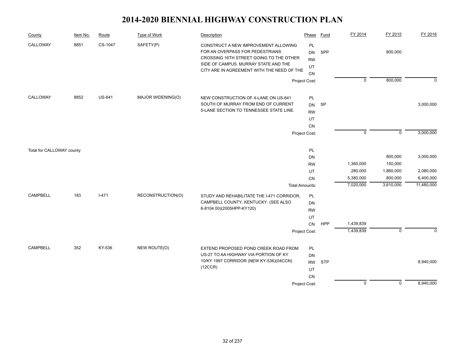| CALLOWAY<br>8851<br>CS-1047<br>SAFETY(P)<br>PL<br>CONSTRUCT A NEW IMPROVEMENT ALLOWING                                                                                                                            |                             |
|-------------------------------------------------------------------------------------------------------------------------------------------------------------------------------------------------------------------|-----------------------------|
| FOR AN OVERPASS FOR PEDESTRIANS<br>SPP<br>800,000<br>DN<br>CROSSING 16TH STREET GOING TO THE OTHER<br><b>RW</b><br>SIDE OF CAMPUS. MURRAY STATE AND THE<br>UT<br>CITY ARE IN AGREEMENT WITH THE NEED OF THE<br>CN |                             |
| 800,000<br>$\mathbf 0$<br>Project Cost:                                                                                                                                                                           | $\mathbf 0$                 |
| CALLOWAY<br>8852<br><b>US-641</b><br>MAJOR WIDENING(O)<br>NEW CONSTRUCTION OF 4-LANE ON US-641<br>PL<br>SOUTH OF MURRAY FROM END OF CURRENT<br><b>SP</b><br><b>DN</b><br>5-LANE SECTION TO TENNESSEE STATE LINE.  | 3,000,000                   |
| <b>RW</b><br>UT<br>CN                                                                                                                                                                                             |                             |
| $\pmb{0}$<br>Project Cost:                                                                                                                                                                                        | $\mathsf 0$<br>3,000,000    |
| PL<br>Total for CALLOWAY county                                                                                                                                                                                   |                             |
| 800,000<br><b>DN</b>                                                                                                                                                                                              | 3,000,000                   |
| 1,360,000<br>150,000<br><b>RW</b>                                                                                                                                                                                 |                             |
| 280,000<br>1,860,000<br>UT                                                                                                                                                                                        | 2,080,000                   |
| 5,380,000<br>800,000<br><b>CN</b>                                                                                                                                                                                 | 6,400,000                   |
| 7,020,000<br>3,610,000<br><b>Total Amounts:</b>                                                                                                                                                                   | 11,480,000                  |
| $I - 471$<br><b>CAMPBELL</b><br>183<br>RECONSTRUCTION(O)<br>STUDY AND REHABILITATE THE I-471 CORRIDOR,<br>PL<br>CAMPBELL COUNTY, KENTUCKY. (SEE ALSO                                                              |                             |
| <b>DN</b><br>6-8104.00)(2005HPP-KY120)                                                                                                                                                                            |                             |
| <b>RW</b><br>UT                                                                                                                                                                                                   |                             |
| 1,439,839<br><b>HPP</b><br>${\sf CN}$                                                                                                                                                                             |                             |
| 1,439,839<br>Project Cost:                                                                                                                                                                                        | $\mathbf 0$<br>$\mathbf 0$  |
|                                                                                                                                                                                                                   |                             |
| <b>CAMPBELL</b><br>352<br>KY-536<br>NEW ROUTE(O)<br>EXTEND PROPOSED POND CREEK ROAD FROM<br>PL                                                                                                                    |                             |
| US-27 TO AA HIGHWAY VIA PORTION OF KY<br>DN<br>10/KY 1997 CORRIDOR (NEW KY-536)(04CCN)                                                                                                                            | 8,940,000                   |
| <b>RW</b><br><b>STP</b><br>(12CCR)                                                                                                                                                                                |                             |
| UT<br>CN                                                                                                                                                                                                          |                             |
| $\mathbf 0$<br>Project Cost:                                                                                                                                                                                      | 8,940,000<br>$\overline{0}$ |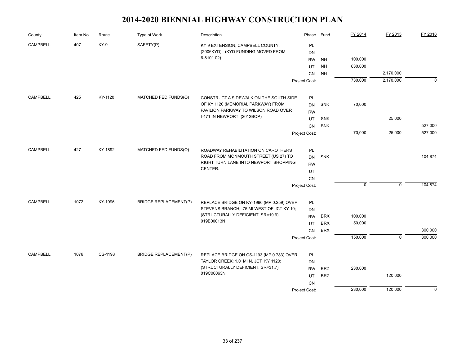| County          | Item No. | Route   | Type of Work                 | Description                                                                                                                     | Phase         | Fund       | FY 2014     | FY 2015     | FY 2016     |
|-----------------|----------|---------|------------------------------|---------------------------------------------------------------------------------------------------------------------------------|---------------|------------|-------------|-------------|-------------|
| <b>CAMPBELL</b> | 407      | KY-9    | SAFETY(P)                    | KY 9 EXTENSION, CAMPBELL COUNTY.                                                                                                | PL            |            |             |             |             |
|                 |          |         |                              | (2006KYD). (KYD FUNDING MOVED FROM                                                                                              | <b>DN</b>     |            |             |             |             |
|                 |          |         |                              | 6-8101.02)                                                                                                                      | <b>RW</b>     | <b>NH</b>  | 100,000     |             |             |
|                 |          |         |                              |                                                                                                                                 | UT            | <b>NH</b>  | 630,000     |             |             |
|                 |          |         |                              |                                                                                                                                 | CN            | <b>NH</b>  |             | 2,170,000   |             |
|                 |          |         |                              |                                                                                                                                 | Project Cost: |            | 730,000     | 2,170,000   | $\Omega$    |
| <b>CAMPBELL</b> | 425      | KY-1120 | MATCHED FED FUNDS(O)         | CONSTRUCT A SIDEWALK ON THE SOUTH SIDE                                                                                          | PL            |            |             |             |             |
|                 |          |         |                              | OF KY 1120 (MEMORIAL PARKWAY) FROM                                                                                              | <b>DN</b>     | SNK        | 70,000      |             |             |
|                 |          |         |                              | PAVILION PARKWAY TO WILSON ROAD OVER                                                                                            | <b>RW</b>     |            |             |             |             |
|                 |          |         |                              | I-471 IN NEWPORT. (2012BOP)                                                                                                     | UT            | <b>SNK</b> |             | 25,000      |             |
|                 |          |         |                              |                                                                                                                                 | <b>CN</b>     | <b>SNK</b> |             |             | 527,000     |
|                 |          |         |                              |                                                                                                                                 | Project Cost: |            | 70,000      | 25,000      | 527,000     |
| <b>CAMPBELL</b> | 427      | KY-1892 | MATCHED FED FUNDS(O)         |                                                                                                                                 |               |            |             |             |             |
|                 |          |         |                              | ROADWAY REHABILITATION ON CAROTHERS<br>ROAD FROM MONMOUTH STREET (US 27) TO<br>RIGHT TURN LANE INTO NEWPORT SHOPPING<br>CENTER. | PL            |            |             |             | 104,874     |
|                 |          |         |                              |                                                                                                                                 | <b>DN</b>     | SNK        |             |             |             |
|                 |          |         |                              |                                                                                                                                 | <b>RW</b>     |            |             |             |             |
|                 |          |         |                              |                                                                                                                                 | UT            |            |             |             |             |
|                 |          |         |                              |                                                                                                                                 | CN            |            | $\mathbf 0$ | $\mathbf 0$ | 104,874     |
|                 |          |         |                              |                                                                                                                                 | Project Cost: |            |             |             |             |
| <b>CAMPBELL</b> | 1072     | KY-1996 | <b>BRIDGE REPLACEMENT(P)</b> | REPLACE BRIDGE ON KY-1996 (MP 0.259) OVER                                                                                       | PL            |            |             |             |             |
|                 |          |         |                              | STEVENS BRANCH; .75 MI WEST OF JCT KY 10;                                                                                       | <b>DN</b>     |            |             |             |             |
|                 |          |         |                              | (STRUCTURALLY DEFICIENT, SR=19.9)<br>019B00013N                                                                                 | <b>RW</b>     | <b>BRX</b> | 100,000     |             |             |
|                 |          |         |                              |                                                                                                                                 | UT            | <b>BRX</b> | 50,000      |             |             |
|                 |          |         |                              |                                                                                                                                 | <b>CN</b>     | <b>BRX</b> |             |             | 300,000     |
|                 |          |         |                              |                                                                                                                                 | Project Cost: |            | 150,000     | $\mathbf 0$ | 300,000     |
| <b>CAMPBELL</b> | 1076     | CS-1193 | <b>BRIDGE REPLACEMENT(P)</b> | REPLACE BRIDGE ON CS-1193 (MP 0.783) OVER                                                                                       | PL            |            |             |             |             |
|                 |          |         |                              | TAYLOR CREEK; 1.0 MI N. JCT KY 1120;                                                                                            | <b>DN</b>     |            |             |             |             |
|                 |          |         |                              | (STRUCTURALLY DEFICIENT, SR=31.7)<br>019C00063N                                                                                 | <b>RW</b>     | <b>BRZ</b> | 230,000     |             |             |
|                 |          |         |                              |                                                                                                                                 | UT            | <b>BRZ</b> |             | 120,000     |             |
|                 |          |         |                              |                                                                                                                                 | <b>CN</b>     |            |             |             |             |
|                 |          |         |                              |                                                                                                                                 | Project Cost: |            | 230,000     | 120,000     | $\mathbf 0$ |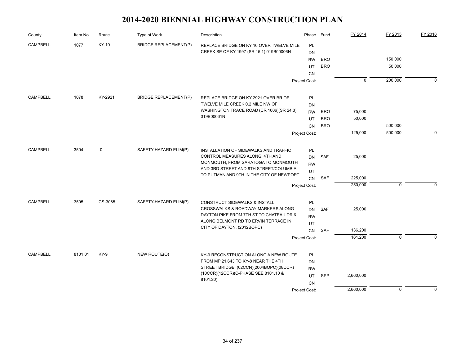| County          | Item No. | Route   | Type of Work                 | Description                                                                                                                | Phase         | <b>Fund</b> | FY 2014     | FY 2015     | FY 2016     |
|-----------------|----------|---------|------------------------------|----------------------------------------------------------------------------------------------------------------------------|---------------|-------------|-------------|-------------|-------------|
| <b>CAMPBELL</b> | 1077     | KY-10   | <b>BRIDGE REPLACEMENT(P)</b> | REPLACE BRIDGE ON KY 10 OVER TWELVE MILE                                                                                   | PL            |             |             |             |             |
|                 |          |         |                              | CREEK SE OF KY 1997 (SR 15.1) 019B00006N                                                                                   | DN            |             |             |             |             |
|                 |          |         |                              |                                                                                                                            | <b>RW</b>     | <b>BRO</b>  |             | 150,000     |             |
|                 |          |         |                              |                                                                                                                            | UT            | <b>BRO</b>  |             | 50,000      |             |
|                 |          |         |                              |                                                                                                                            | <b>CN</b>     |             |             |             |             |
|                 |          |         |                              |                                                                                                                            | Project Cost: |             | $\mathbf 0$ | 200,000     | $\Omega$    |
| <b>CAMPBELL</b> | 1078     | KY-2921 | <b>BRIDGE REPLACEMENT(P)</b> | REPLACE BRIDGE ON KY 2921 OVER BR OF                                                                                       | PL            |             |             |             |             |
|                 |          |         |                              | TWELVE MILE CREEK 0.2 MILE NW OF                                                                                           | DN            |             |             |             |             |
|                 |          |         |                              | WASHINGTON TRACE ROAD (CR 1006)(SR 24.3)                                                                                   | <b>RW</b>     | <b>BRO</b>  | 75,000      |             |             |
|                 |          |         |                              | 019B00061N                                                                                                                 | UT            | <b>BRO</b>  | 50,000      |             |             |
|                 |          |         |                              |                                                                                                                            | <b>CN</b>     | <b>BRO</b>  |             | 500,000     |             |
|                 |          |         |                              |                                                                                                                            | Project Cost: |             | 125,000     | 500,000     | $\Omega$    |
| <b>CAMPBELL</b> | 3504     | -0      | SAFETY-HAZARD ELIM(P)        |                                                                                                                            |               |             |             |             |             |
|                 |          |         |                              | INSTALLATION OF SIDEWALKS AND TRAFFIC<br>CONTROL MEASURES ALONG: 4TH AND                                                   | <b>PL</b>     |             |             |             |             |
|                 |          |         |                              | MONMOUTH, FROM SARATOGA TO MONMOUTH<br>AND 3RD STREET AND 8TH STREET/COLUMBIA<br>TO PUTMAN AND 9TH IN THE CITY OF NEWPORT. | DN            | SAF         | 25,000      |             |             |
|                 |          |         |                              |                                                                                                                            | <b>RW</b>     |             |             |             |             |
|                 |          |         |                              |                                                                                                                            | UT            | <b>SAF</b>  | 225,000     |             |             |
|                 |          |         |                              |                                                                                                                            | <b>CN</b>     |             | 250,000     | $\mathbf 0$ | $\Omega$    |
|                 |          |         |                              |                                                                                                                            | Project Cost: |             |             |             |             |
| <b>CAMPBELL</b> | 3505     | CS-3085 | SAFETY-HAZARD ELIM(P)        | CONSTRUCT SIDEWALKS & INSTALL                                                                                              | PL            |             |             |             |             |
|                 |          |         |                              | CROSSWALKS & ROADWAY MARKERS ALONG                                                                                         | <b>DN</b>     | SAF         | 25,000      |             |             |
|                 |          |         |                              | DAYTON PIKE FROM 7TH ST TO CHATEAU DR &<br>ALONG BELMONT RD TO ERVIN TERRACE IN                                            | <b>RW</b>     |             |             |             |             |
|                 |          |         |                              | CITY OF DAYTON. (2012BOPC)                                                                                                 | UT            |             |             |             |             |
|                 |          |         |                              |                                                                                                                            | CN            | SAF         | 136,200     |             |             |
|                 |          |         |                              |                                                                                                                            | Project Cost: |             | 161,200     | $\mathbf 0$ | $\Omega$    |
| <b>CAMPBELL</b> | 8101.01  | KY-9    | NEW ROUTE(O)                 | KY-9 RECONSTRUCTION ALONG A NEW ROUTE                                                                                      | PL            |             |             |             |             |
|                 |          |         |                              | FROM MP 21.643 TO KY-8 NEAR THE 4TH                                                                                        | <b>DN</b>     |             |             |             |             |
|                 |          |         |                              | STREET BRIDGE. (02CCN)(2004BOPC)(08CCR)<br>(10CCR)(12CCR)(C-PHASE SEE 8101.10 &<br>8101.20)                                | <b>RW</b>     |             |             |             |             |
|                 |          |         |                              |                                                                                                                            | UT            | <b>SPP</b>  | 2,660,000   |             |             |
|                 |          |         |                              |                                                                                                                            | <b>CN</b>     |             |             |             |             |
|                 |          |         |                              |                                                                                                                            | Project Cost: |             | 2,660,000   | $\mathbf 0$ | $\mathbf 0$ |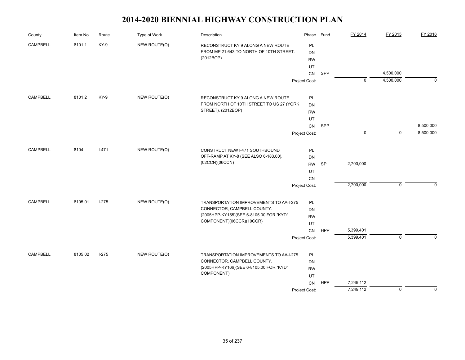| County          | Item No. | Route   | Type of Work | Description                                                                                | Phase                               | Fund       | FY 2014     | FY 2015     | FY 2016     |
|-----------------|----------|---------|--------------|--------------------------------------------------------------------------------------------|-------------------------------------|------------|-------------|-------------|-------------|
| <b>CAMPBELL</b> | 8101.1   | KY-9    | NEW ROUTE(O) | RECONSTRUCT KY 9 ALONG A NEW ROUTE<br>FROM MP 21.643 TO NORTH OF 10TH STREET.<br>(2012BOP) | <b>PL</b><br><b>DN</b><br><b>RW</b> |            |             |             |             |
|                 |          |         |              |                                                                                            | UT                                  |            |             |             |             |
|                 |          |         |              |                                                                                            | CN                                  | SPP        |             | 4,500,000   |             |
|                 |          |         |              |                                                                                            | Project Cost:                       |            | $\mathbf 0$ | 4,500,000   | $\mathbf 0$ |
| <b>CAMPBELL</b> | 8101.2   | KY-9    | NEW ROUTE(O) | RECONSTRUCT KY 9 ALONG A NEW ROUTE                                                         | PL                                  |            |             |             |             |
|                 |          |         |              | FROM NORTH OF 10TH STREET TO US 27 (YORK                                                   | <b>DN</b>                           |            |             |             |             |
|                 |          |         |              | STREET). (2012BOP)                                                                         | <b>RW</b>                           |            |             |             |             |
|                 |          |         |              |                                                                                            | UT                                  |            |             |             |             |
|                 |          |         |              |                                                                                            | CN                                  | SPP        |             |             | 8,500,000   |
|                 |          |         |              |                                                                                            | Project Cost:                       |            | $\mathbf 0$ | $\mathbf 0$ | 8,500,000   |
| <b>CAMPBELL</b> | 8104     | $I-471$ | NEW ROUTE(O) | CONSTRUCT NEW I-471 SOUTHBOUND                                                             | PL                                  |            |             |             |             |
|                 |          |         |              | OFF-RAMP AT KY-8 (SEE ALSO 6-183.00).<br>(02CCN)(06CCN)                                    | <b>DN</b>                           |            |             |             |             |
|                 |          |         |              |                                                                                            | <b>RW</b>                           | SP         | 2,700,000   |             |             |
|                 |          |         |              |                                                                                            | UT                                  |            |             |             |             |
|                 |          |         |              |                                                                                            | <b>CN</b>                           |            |             |             |             |
|                 |          |         |              | Project Cost:                                                                              |                                     |            | 2,700,000   | $\mathbf 0$ | $\Omega$    |
| CAMPBELL        | 8105.01  | $I-275$ | NEW ROUTE(O) | TRANSPORTATION IMPROVEMENTS TO AA-I-275                                                    | PL                                  |            |             |             |             |
|                 |          |         |              | CONNECTOR, CAMPBELL COUNTY.                                                                | <b>DN</b>                           |            |             |             |             |
|                 |          |         |              | (2005HPP-KY155)(SEE 6-8105.00 FOR "KYD"                                                    | <b>RW</b>                           |            |             |             |             |
|                 |          |         |              | COMPONENT)(06CCR)(10CCR)                                                                   | UT                                  |            |             |             |             |
|                 |          |         |              |                                                                                            | CN                                  | <b>HPP</b> | 5,399,401   |             |             |
|                 |          |         |              |                                                                                            | Project Cost:                       |            | 5,399,401   | $\mathbf 0$ | $\Omega$    |
| <b>CAMPBELL</b> | 8105.02  | $1-275$ | NEW ROUTE(O) | TRANSPORTATION IMPROVEMENTS TO AA-I-275                                                    | PL                                  |            |             |             |             |
|                 |          |         |              | CONNECTOR, CAMPBELL COUNTY.                                                                | DN                                  |            |             |             |             |
|                 |          |         |              | (2005HPP-KY166)(SEE 6-8105.00 FOR "KYD"                                                    | <b>RW</b>                           |            |             |             |             |
|                 |          |         |              | COMPONENT)                                                                                 | UT                                  |            |             |             |             |
|                 |          |         |              |                                                                                            | CN                                  | <b>HPP</b> | 7,249,112   |             |             |
|                 |          |         |              |                                                                                            | Project Cost:                       |            | 7,249,112   | $\mathbf 0$ | $\mathbf 0$ |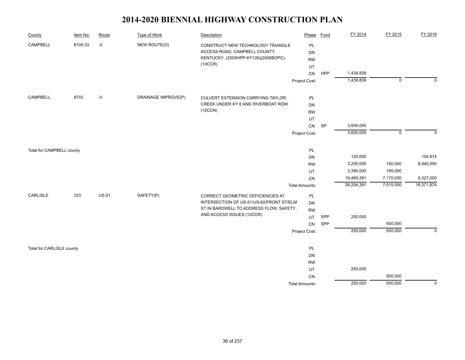| County                    | Item No. | Route        | Type of Work        | Description                                                          | Phase                 | Fund | FY 2014    | FY 2015     | FY 2016        |
|---------------------------|----------|--------------|---------------------|----------------------------------------------------------------------|-----------------------|------|------------|-------------|----------------|
| CAMPBELL                  | 8105.03  | $-0$         | NEW ROUTE(O)        | CONSTRUCT NEW TECHNOLOGY TRIANGLE                                    | PL                    |      |            |             |                |
|                           |          |              |                     | ACCESS ROAD, CAMPBELL COUNTY,                                        | <b>DN</b>             |      |            |             |                |
|                           |          |              |                     | KENTUCKY. (2005HPP-KY126)(2006BOPC).                                 | <b>RW</b>             |      |            |             |                |
|                           |          |              |                     | (10CCR)                                                              | UT                    |      |            |             |                |
|                           |          |              |                     |                                                                      | CN                    | HPP  | 1,439,839  |             |                |
|                           |          |              |                     |                                                                      | Project Cost:         |      | 1,439,839  | $\mathbf 0$ | $\mathbf{0}$   |
| CAMPBELL                  | 8703     | -0           | DRAINAGE IMPROVE(P) | CULVERT EXTENSION CARRYING TAYLOR                                    | PL                    |      |            |             |                |
|                           |          |              |                     | CREEK UNDER KY 8 AND RIVERBOAT ROW.                                  | <b>DN</b>             |      |            |             |                |
|                           |          |              |                     | (12CCN)                                                              | <b>RW</b>             |      |            |             |                |
|                           |          |              |                     |                                                                      | UT                    |      |            |             |                |
|                           |          |              |                     |                                                                      | CN                    | SP   | 3,600,000  |             |                |
|                           |          |              |                     |                                                                      | Project Cost:         |      | 3,600,000  | $\mathbf 0$ | $\Omega$       |
|                           |          |              |                     |                                                                      |                       |      |            |             |                |
| Total for CAMPBELL county |          |              |                     |                                                                      | PL                    |      |            |             |                |
|                           |          |              |                     |                                                                      | <b>DN</b>             |      | 120,000    |             | 104,874        |
|                           |          |              |                     |                                                                      | <b>RW</b>             |      | 3,205,000  | 150,000     | 8,940,000      |
|                           |          |              |                     |                                                                      | UT                    |      | 3,390,000  | 195,000     |                |
|                           |          |              |                     |                                                                      | CN                    |      | 19,489,391 | 7,170,000   | 9,327,000      |
|                           |          |              |                     |                                                                      | <b>Total Amounts:</b> |      | 26,204,391 | 7,515,000   | 18,371,874     |
| CARLISLE                  | 333      | <b>US-51</b> | SAFETY(P)           | CORRECT GEOMETRIC DEFICIENCIES AT                                    | PL                    |      |            |             |                |
|                           |          |              |                     | INTERSECTION OF US-51/US-62/FRONT ST/ELM                             | <b>DN</b>             |      |            |             |                |
|                           |          |              |                     | ST IN BARDWELL TO ADDRESS FLOW, SAFETY,<br>AND ACCESS ISSUES.(12CCR) | <b>RW</b>             |      |            |             |                |
|                           |          |              |                     |                                                                      | UT                    | SPP  | 250,000    |             |                |
|                           |          |              |                     |                                                                      | CN                    | SPP  |            | 500,000     |                |
|                           |          |              |                     |                                                                      | Project Cost:         |      | 250,000    | 500,000     | $\mathbf 0$    |
| Total for CARLISLE county |          |              |                     |                                                                      | PL                    |      |            |             |                |
|                           |          |              |                     |                                                                      | <b>DN</b>             |      |            |             |                |
|                           |          |              |                     |                                                                      | <b>RW</b>             |      |            |             |                |
|                           |          |              |                     |                                                                      | UT                    |      | 250,000    |             |                |
|                           |          |              |                     |                                                                      | CN                    |      |            | 500,000     |                |
|                           |          |              |                     |                                                                      | <b>Total Amounts:</b> |      | 250,000    | 500,000     | $\overline{0}$ |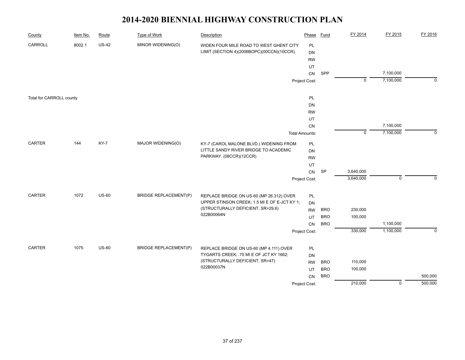| County                   | Item No. | Route        | Type of Work                 | Description                                                                        | Phase           | Fund       | FY 2014        | FY 2015        | FY 2016     |
|--------------------------|----------|--------------|------------------------------|------------------------------------------------------------------------------------|-----------------|------------|----------------|----------------|-------------|
| CARROLL                  | 8002.1   | <b>US-42</b> | MINOR WIDENING(O)            | WIDEN FOUR MILE ROAD TO WEST GHENT CITY                                            | PL              |            |                |                |             |
|                          |          |              |                              | LIMIT.(SECTION 4)(2006BOPC)(00CCN)(10CCR)                                          | DN              |            |                |                |             |
|                          |          |              |                              |                                                                                    | <b>RW</b>       |            |                |                |             |
|                          |          |              |                              |                                                                                    | UT              |            |                |                |             |
|                          |          |              |                              |                                                                                    | CN              | SPP        |                | 7,100,000      |             |
|                          |          |              |                              |                                                                                    | Project Cost:   |            | $\overline{0}$ | 7,100,000      | $\mathbf 0$ |
| Total for CARROLL county |          |              |                              |                                                                                    | PL              |            |                |                |             |
|                          |          |              |                              |                                                                                    | DN              |            |                |                |             |
|                          |          |              |                              |                                                                                    | <b>RW</b>       |            |                |                |             |
|                          |          |              |                              |                                                                                    | UT              |            |                |                |             |
|                          |          |              |                              |                                                                                    | CN              |            |                | 7,100,000      |             |
|                          |          |              |                              |                                                                                    | Total Amounts:  |            | $\mathsf 0$    | 7,100,000      | $\mathbf 0$ |
| CARTER                   | 144      | KY-7         | MAJOR WIDENING(O)            | KY-7 (CAROL MALONE BLVD.) WIDENING FROM                                            | PL              |            |                |                |             |
|                          |          |              |                              | LITTLE SANDY RIVER BRIDGE TO ACADEMIC                                              | DN              |            |                |                |             |
|                          |          |              |                              | PARKWAY. (08CCR)(12CCR)                                                            | <b>RW</b>       |            |                |                |             |
|                          |          |              |                              |                                                                                    | UT              |            |                |                |             |
|                          |          |              |                              |                                                                                    | CN              | <b>SP</b>  | 3,640,000      |                |             |
|                          |          |              |                              |                                                                                    | Project Cost:   |            | 3,640,000      | $\mathbf 0$    | $\Omega$    |
| <b>CARTER</b>            | 1072     | $US-60$      | <b>BRIDGE REPLACEMENT(P)</b> | REPLACE BRIDGE ON US-60 (MP 26.312) OVER                                           | PL              |            |                |                |             |
|                          |          |              |                              | UPPER STINSON CREEK; 1.5 MI E OF E-JCT KY 1;                                       | DN              |            |                |                |             |
|                          |          |              |                              | (STRUCTURALLY DEFICIENT, SR=29.6)                                                  | <b>RW</b>       | <b>BRO</b> | 230,000        |                |             |
|                          |          |              |                              | 022B00064N                                                                         | UT              | <b>BRO</b> | 100,000        |                |             |
|                          |          |              |                              |                                                                                    | CN              | <b>BRO</b> |                | 1,100,000      |             |
|                          |          |              |                              |                                                                                    | Project Cost:   |            | 330,000        | 1,100,000      | $\mathbf 0$ |
| CARTER                   | 1075     | <b>US-60</b> | <b>BRIDGE REPLACEMENT(P)</b> |                                                                                    |                 |            |                |                |             |
|                          |          |              |                              | REPLACE BRIDGE ON US-60 (MP 4.111) OVER<br>TYGARTS CREEK; .75 MI E OF JCT KY 1662; | PL              |            |                |                |             |
|                          |          |              |                              | (STRUCTURALLY DEFICIENT, SR=47)                                                    | DN<br><b>RW</b> | <b>BRO</b> | 110,000        |                |             |
|                          |          |              |                              | 022B00037N                                                                         | UT              | <b>BRO</b> | 100,000        |                |             |
|                          |          |              |                              |                                                                                    | CN              | <b>BRO</b> |                |                | 500,000     |
|                          |          |              |                              |                                                                                    | Project Cost:   |            | 210,000        | $\overline{0}$ | 500,000     |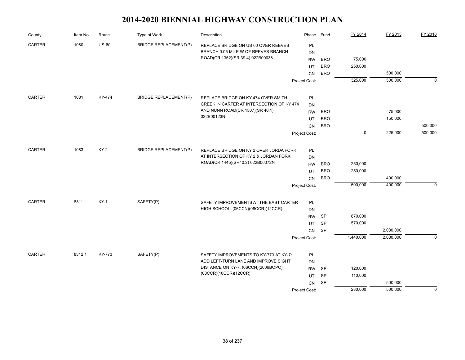| County                | Item No. | Route       | Type of Work                 | Description                                                                     | Phase         | Fund       | FY 2014     | FY 2015            | FY 2016     |
|-----------------------|----------|-------------|------------------------------|---------------------------------------------------------------------------------|---------------|------------|-------------|--------------------|-------------|
| CARTER                | 1080     | $US-60$     | <b>BRIDGE REPLACEMENT(P)</b> | REPLACE BRIDGE ON US 60 OVER REEVES                                             | PL            |            |             |                    |             |
|                       |          |             |                              | BRANCH 0.05 MILE W OF REEVES BRANCH                                             | DN            |            |             |                    |             |
|                       |          |             |                              | ROAD(CR 1352)(SR 39.4) 022B00038                                                | <b>RW</b>     | <b>BRO</b> | 75,000      |                    |             |
|                       |          |             |                              |                                                                                 | UT            | <b>BRO</b> | 250,000     |                    |             |
|                       |          |             |                              |                                                                                 | <b>CN</b>     | <b>BRO</b> |             | 500,000            |             |
|                       |          |             |                              |                                                                                 | Project Cost: |            | 325,000     | 500,000            | $\mathbf 0$ |
| CARTER                | 1081     | KY-474      | <b>BRIDGE REPLACEMENT(P)</b> | REPLACE BRIDGE ON KY 474 OVER SMITH                                             | PL            |            |             |                    |             |
|                       |          |             |                              | CREEK IN CARTER AT INTERSECTION OF KY 474                                       | DN            |            |             |                    |             |
|                       |          |             |                              | AND NUNN ROAD(CR 1507)(SR 40.1)                                                 | <b>RW</b>     | <b>BRO</b> |             | 75,000             |             |
|                       |          |             |                              | 022B00123N                                                                      | UT            | <b>BRO</b> |             | 150,000            |             |
|                       |          |             |                              |                                                                                 | <b>CN</b>     | <b>BRO</b> |             |                    | 500,000     |
|                       |          |             |                              |                                                                                 | Project Cost: |            | $\mathbf 0$ | 225,000            | 500,000     |
|                       |          | <b>KY-2</b> | <b>BRIDGE REPLACEMENT(P)</b> |                                                                                 |               |            |             |                    |             |
| <b>CARTER</b><br>1083 |          |             |                              | REPLACE BRIDGE ON KY 2 OVER JORDA FORK<br>AT INTERSECTION OF KY 2 & JORDAN FORK | PL            |            |             |                    |             |
|                       |          |             |                              | ROAD(CR 1445)(SR40.2) 022B00072N                                                | <b>DN</b>     |            |             |                    |             |
|                       |          |             |                              |                                                                                 | <b>RW</b>     | <b>BRO</b> | 250,000     |                    |             |
|                       |          |             |                              |                                                                                 | UT            | <b>BRO</b> | 250,000     |                    |             |
|                       |          |             |                              |                                                                                 | <b>CN</b>     | <b>BRO</b> | 500,000     | 400,000<br>400,000 | $\mathbf 0$ |
|                       |          |             |                              |                                                                                 | Project Cost: |            |             |                    |             |
| CARTER                | 8311     | $KY-1$      | SAFETY(P)                    | SAFETY IMPROVEMENTS AT THE EAST CARTER                                          | PL            |            |             |                    |             |
|                       |          |             |                              | HIGH SCHOOL. (06CCN)(08CCR)(12CCR)                                              | <b>DN</b>     |            |             |                    |             |
|                       |          |             |                              |                                                                                 | <b>RW</b>     | SP         | 870,000     |                    |             |
|                       |          |             |                              |                                                                                 | UT            | <b>SP</b>  | 570,000     |                    |             |
|                       |          |             |                              |                                                                                 | CN            | SP         |             | 2,080,000          |             |
|                       |          |             |                              |                                                                                 | Project Cost: |            | 1,440,000   | 2,080,000          | $\Omega$    |
| CARTER                | 8312.1   | KY-773      | SAFETY(P)                    | SAFETY IMPROVEMENTS TO KY-773 AT KY-7:                                          | PL            |            |             |                    |             |
|                       |          |             |                              | ADD LEFT-TURN LANE AND IMPROVE SIGHT                                            | DN            |            |             |                    |             |
|                       |          |             |                              | DISTANCE ON KY-7. (06CCN)(2006BOPC)                                             | <b>RW</b>     | SP         | 120,000     |                    |             |
|                       |          |             |                              | (08CCR)(10CCR)(12CCR)                                                           | UT            | <b>SP</b>  | 110,000     |                    |             |
|                       |          |             |                              |                                                                                 | CN            | SP         |             | 500,000            |             |
|                       |          |             |                              |                                                                                 | Project Cost: |            | 230,000     | 500,000            | $\mathbf 0$ |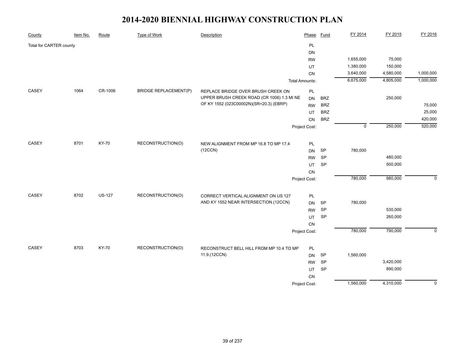| County                  | Item No. | Route         | Type of Work                 | Description                                | Phase                 | <b>Fund</b> | FY 2014     | FY 2015   | FY 2016        |
|-------------------------|----------|---------------|------------------------------|--------------------------------------------|-----------------------|-------------|-------------|-----------|----------------|
| Total for CARTER county |          |               |                              |                                            | PL                    |             |             |           |                |
|                         |          |               |                              |                                            | DN                    |             |             |           |                |
|                         |          |               |                              |                                            | <b>RW</b>             |             | 1,655,000   | 75,000    |                |
|                         |          |               |                              |                                            | UT                    |             | 1,380,000   | 150,000   |                |
|                         |          |               |                              |                                            | CN                    |             | 3,640,000   | 4,580,000 | 1,000,000      |
|                         |          |               |                              |                                            | <b>Total Amounts:</b> |             | 6,675,000   | 4,805,000 | 1,000,000      |
| CASEY                   | 1064     | CR-1006       | <b>BRIDGE REPLACEMENT(P)</b> | REPLACE BRIDGE OVER BRUSH CREEK ON         | PL                    |             |             |           |                |
|                         |          |               |                              | UPPER BRUSH CREEK ROAD (CR 1006) 1.3 MI NE | <b>DN</b>             | <b>BRZ</b>  |             | 250,000   |                |
|                         |          |               |                              | OF KY 1552 (023C00002N)(SR=20.3) (EBRP)    | <b>RW</b>             | <b>BRZ</b>  |             |           | 75,000         |
|                         |          |               |                              |                                            | UT                    | <b>BRZ</b>  |             |           | 25,000         |
|                         |          |               |                              |                                            | CN                    | <b>BRZ</b>  |             |           | 420,000        |
|                         |          |               |                              |                                            | Project Cost:         |             | $\mathbf 0$ | 250,000   | 520,000        |
|                         |          |               |                              |                                            |                       |             |             |           |                |
| CASEY                   | 8701     | KY-70         | RECONSTRUCTION(O)            | NEW ALIGNMENT FROM MP 16.8 TO MP 17.4      | PL                    |             |             |           |                |
|                         |          |               |                              | (12CCN)                                    | <b>DN</b>             | SP          | 780,000     |           |                |
|                         |          |               |                              |                                            | <b>RW</b>             | SP          |             | 480,000   |                |
|                         |          |               |                              |                                            | UT                    | SP          |             | 500,000   |                |
|                         |          |               |                              |                                            | ${\sf CN}$            |             |             |           |                |
|                         |          |               |                              |                                            | Project Cost:         |             | 780,000     | 980,000   | $\mathbf 0$    |
|                         |          |               |                              |                                            |                       |             |             |           |                |
| CASEY                   | 8702     | <b>US-127</b> | RECONSTRUCTION(O)            | CORRECT VERTICAL ALIGNMENT ON US 127       | PL                    |             |             |           |                |
|                         |          |               |                              | AND KY 1552 NEAR INTERSECTION.(12CCN)      | <b>DN</b>             | <b>SP</b>   | 780,000     |           |                |
|                         |          |               |                              |                                            | <b>RW</b>             | SP          |             | 530,000   |                |
|                         |          |               |                              |                                            | UT                    | SP          |             | 260,000   |                |
|                         |          |               |                              |                                            | ${\sf CN}$            |             |             |           |                |
|                         |          |               |                              |                                            | Project Cost:         |             | 780,000     | 790,000   | $\mathsf 0$    |
|                         |          |               |                              |                                            |                       |             |             |           |                |
| CASEY                   | 8703     | KY-70         | RECONSTRUCTION(O)            | RECONSTRUCT BELL HILL FROM MP 10.4 TO MP   | PL                    |             |             |           |                |
|                         |          |               |                              | 11.9.(12CCN)                               | <b>DN</b>             | <b>SP</b>   | 1,560,000   |           |                |
|                         |          |               |                              |                                            | <b>RW</b>             | SP          |             | 3,420,000 |                |
|                         |          |               |                              |                                            | UT                    | SP          |             | 890,000   |                |
|                         |          |               |                              |                                            | CN                    |             |             |           |                |
|                         |          |               |                              |                                            | Project Cost:         |             | 1,560,000   | 4,310,000 | $\overline{0}$ |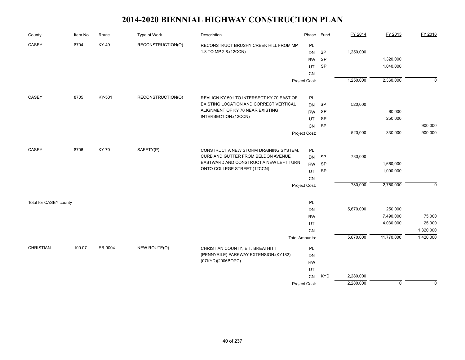| County                 | Item No. | Route   | Type of Work      | Description                               | Phase                 | Fund       | FY 2014   | FY 2015     | FY 2016        |
|------------------------|----------|---------|-------------------|-------------------------------------------|-----------------------|------------|-----------|-------------|----------------|
| CASEY                  | 8704     | KY-49   | RECONSTRUCTION(O) | RECONSTRUCT BRUSHY CREEK HILL FROM MP     | <b>PL</b>             |            |           |             |                |
|                        |          |         |                   | 1.8 TO MP 2.8.(12CCN)                     | <b>DN</b>             | <b>SP</b>  | 1,250,000 |             |                |
|                        |          |         |                   |                                           | <b>RW</b>             | SP         |           | 1,320,000   |                |
|                        |          |         |                   |                                           | UT                    | SP         |           | 1,040,000   |                |
|                        |          |         |                   |                                           | CN                    |            |           |             |                |
|                        |          |         |                   |                                           | Project Cost:         |            | 1,250,000 | 2,360,000   | $\overline{0}$ |
| CASEY                  | 8705     | KY-501  | RECONSTRUCTION(O) | REALIGN KY 501 TO INTERSECT KY 70 EAST OF | <b>PL</b>             |            |           |             |                |
|                        |          |         |                   | EXISTING LOCATION AND CORRECT VERTICAL    | <b>DN</b>             | SP         | 520,000   |             |                |
|                        |          |         |                   | ALIGNMENT OF KY 70 NEAR EXISTING          | <b>RW</b>             | SP         |           | 80,000      |                |
|                        |          |         |                   | INTERSECTION.(12CCN)                      | UT                    | SP         |           | 250,000     |                |
|                        |          |         |                   |                                           | CN                    | SP         |           |             | 900,000        |
|                        |          |         |                   |                                           | Project Cost:         |            | 520,000   | 330,000     | 900,000        |
|                        |          |         |                   |                                           |                       |            |           |             |                |
| CASEY                  | 8706     | KY-70   | SAFETY(P)         | CONSTRUCT A NEW STORM DRAINING SYSTEM,    | $\mathsf{PL}$         |            |           |             |                |
|                        |          |         |                   | CURB AND GUTTER FROM BELDON AVENUE        | <b>DN</b>             | <b>SP</b>  | 780,000   |             |                |
|                        |          |         |                   | EASTWARD AND CONSTRUCT A NEW LEFT TURN    | <b>RW</b>             | <b>SP</b>  |           | 1,660,000   |                |
|                        |          |         |                   | ONTO COLLEGE STREET.(12CCN)               | UT                    | <b>SP</b>  |           | 1,090,000   |                |
|                        |          |         |                   |                                           | CN                    |            |           |             |                |
|                        |          |         |                   |                                           | Project Cost:         |            | 780,000   | 2,750,000   | $\mathbf 0$    |
| Total for CASEY county |          |         |                   |                                           | PL                    |            |           |             |                |
|                        |          |         |                   |                                           | DN                    |            | 5,670,000 | 250,000     |                |
|                        |          |         |                   |                                           | <b>RW</b>             |            |           | 7,490,000   | 75,000         |
|                        |          |         |                   |                                           | UT                    |            |           | 4,030,000   | 25,000         |
|                        |          |         |                   |                                           | CN                    |            |           |             | 1,320,000      |
|                        |          |         |                   |                                           | <b>Total Amounts:</b> |            | 5,670,000 | 11,770,000  | 1,420,000      |
| <b>CHRISTIAN</b>       | 100.07   | EB-9004 | NEW ROUTE(O)      | CHRISTIAN COUNTY, E.T. BREATHITT          | PL                    |            |           |             |                |
|                        |          |         |                   | (PENNYRILE) PARKWAY EXTENSION.(KY182)     | DN                    |            |           |             |                |
|                        |          |         |                   | (07KYD)(2006BOPC)                         | <b>RW</b>             |            |           |             |                |
|                        |          |         |                   |                                           | UT                    |            |           |             |                |
|                        |          |         |                   |                                           | CN                    | <b>KYD</b> | 2,280,000 |             |                |
|                        |          |         |                   |                                           | Project Cost:         |            | 2,280,000 | $\mathbf 0$ | $\mathbf 0$    |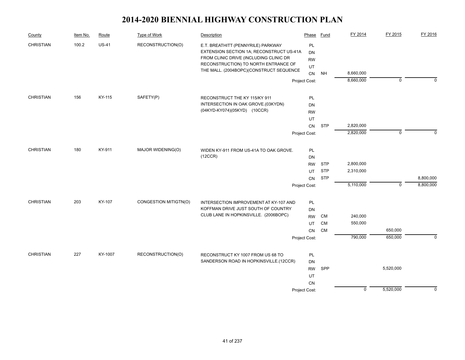| County           | Item No. | Route   | Type of Work          | Description                                                                                                                                                                                                 | Phase                              | Fund       | FY 2014     | FY 2015     | FY 2016     |
|------------------|----------|---------|-----------------------|-------------------------------------------------------------------------------------------------------------------------------------------------------------------------------------------------------------|------------------------------------|------------|-------------|-------------|-------------|
| <b>CHRISTIAN</b> | 100.2    | $US-41$ | RECONSTRUCTION(O)     | E.T. BREATHITT (PENNYRILE) PARKWAY<br>EXTENSION SECTION 1A; RECONSTRUCT US-41A<br>FROM CLINIC DRIVE (INCLUDING CLINIC DR<br>RECONSTRUCTION) TO NORTH ENTRANCE OF<br>THE MALL. (2004BOPC)(CONSTRUCT SEQUENCE | PL<br><b>DN</b><br><b>RW</b><br>UT |            | 8,660,000   |             |             |
|                  |          |         |                       |                                                                                                                                                                                                             | CN<br>Project Cost:                | <b>NH</b>  | 8,660,000   | $\mathbf 0$ | $\Omega$    |
|                  |          |         |                       |                                                                                                                                                                                                             |                                    |            |             |             |             |
| <b>CHRISTIAN</b> | 156      | KY-115  | SAFETY(P)             | RECONSTRUCT THE KY 115/KY 911                                                                                                                                                                               | PL                                 |            |             |             |             |
|                  |          |         |                       | INTERSECTION IN OAK GROVE.(03KYDN)                                                                                                                                                                          | DN                                 |            |             |             |             |
|                  |          |         |                       | (04KYD-KY074)(05KYD) (10CCR)                                                                                                                                                                                | <b>RW</b>                          |            |             |             |             |
|                  |          |         |                       |                                                                                                                                                                                                             | UT                                 |            |             |             |             |
|                  |          |         |                       |                                                                                                                                                                                                             | CN                                 | <b>STP</b> | 2,820,000   |             |             |
|                  |          |         |                       |                                                                                                                                                                                                             | Project Cost:                      |            | 2,820,000   | $\mathbf 0$ | $\Omega$    |
| <b>CHRISTIAN</b> | 180      | KY-911  | MAJOR WIDENING(O)     | WIDEN KY-911 FROM US-41A TO OAK GROVE.                                                                                                                                                                      | PL                                 |            |             |             |             |
|                  |          |         |                       | (12CCR)                                                                                                                                                                                                     | DN                                 |            |             |             |             |
|                  |          |         |                       |                                                                                                                                                                                                             | <b>RW</b>                          | <b>STP</b> | 2,800,000   |             |             |
|                  |          |         |                       |                                                                                                                                                                                                             | UT                                 | <b>STP</b> | 2,310,000   |             |             |
|                  |          |         |                       |                                                                                                                                                                                                             | CN                                 | <b>STP</b> |             |             | 8,800,000   |
|                  |          |         |                       |                                                                                                                                                                                                             | Project Cost:                      |            | 5,110,000   | $\mathbf 0$ | 8,800,000   |
| <b>CHRISTIAN</b> | 203      | KY-107  | CONGESTION MITIGTN(O) | INTERSECTION IMPROVEMENT AT KY-107 AND                                                                                                                                                                      | PL                                 |            |             |             |             |
|                  |          |         |                       | KOFFMAN DRIVE JUST SOUTH OF COUNTRY                                                                                                                                                                         | DN                                 |            |             |             |             |
|                  |          |         |                       | CLUB LANE IN HOPKINSVILLE. (2006BOPC)                                                                                                                                                                       | <b>RW</b>                          | CM         | 240,000     |             |             |
|                  |          |         |                       |                                                                                                                                                                                                             | UT                                 | <b>CM</b>  | 550,000     |             |             |
|                  |          |         |                       |                                                                                                                                                                                                             | <b>CN</b>                          | <b>CM</b>  |             | 650,000     |             |
|                  |          |         |                       |                                                                                                                                                                                                             | Project Cost:                      |            | 790,000     | 650,000     | $\Omega$    |
|                  |          |         |                       |                                                                                                                                                                                                             |                                    |            |             |             |             |
| <b>CHRISTIAN</b> | 227      | KY-1007 | RECONSTRUCTION(O)     | RECONSTRUCT KY 1007 FROM US 68 TO                                                                                                                                                                           | PL                                 |            |             |             |             |
|                  |          |         |                       | SANDERSON ROAD IN HOPKINSVILLE.(12CCR)                                                                                                                                                                      | DN                                 |            |             |             |             |
|                  |          |         |                       |                                                                                                                                                                                                             | <b>RW</b>                          | SPP        |             | 5,520,000   |             |
|                  |          |         |                       |                                                                                                                                                                                                             | UT                                 |            |             |             |             |
|                  |          |         |                       |                                                                                                                                                                                                             | CN                                 |            |             |             |             |
|                  |          |         |                       |                                                                                                                                                                                                             | Project Cost:                      |            | $\mathbf 0$ | 5,520,000   | $\mathbf 0$ |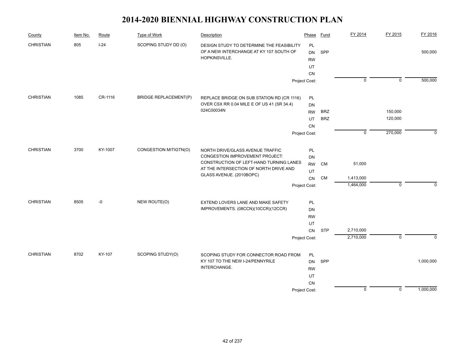| County           | Item No. | Route   | Type of Work          | Description                                                                          | Phase           | <b>Fund</b> | FY 2014        | FY 2015        | FY 2016   |
|------------------|----------|---------|-----------------------|--------------------------------------------------------------------------------------|-----------------|-------------|----------------|----------------|-----------|
| <b>CHRISTIAN</b> | 805      | $I-24$  | SCOPING STUDY DD (O)  | DESIGN STUDY TO DETERMINE THE FEASIBILITY<br>OF A NEW INTERCHANGE AT KY 107 SOUTH OF | PL<br><b>DN</b> | SPP         |                |                | 500,000   |
|                  |          |         |                       | HOPKINSVILLE.                                                                        | <b>RW</b>       |             |                |                |           |
|                  |          |         |                       |                                                                                      | UT              |             |                |                |           |
|                  |          |         |                       |                                                                                      | CN              |             |                |                |           |
|                  |          |         |                       |                                                                                      | Project Cost:   |             | $\mathbf 0$    | $\overline{0}$ | 500,000   |
| <b>CHRISTIAN</b> | 1085     | CR-1116 | BRIDGE REPLACEMENT(P) | REPLACE BRIDGE ON SUB STATION RD (CR 1116)                                           | <b>PL</b>       |             |                |                |           |
|                  |          |         |                       | OVER CSX RR 0.04 MILE E OF US 41 (SR 34.4)                                           | DN              |             |                |                |           |
|                  |          |         |                       | 024C00034N                                                                           | <b>RW</b>       | <b>BRZ</b>  |                | 150,000        |           |
|                  |          |         |                       |                                                                                      | UT              | <b>BRZ</b>  |                | 120,000        |           |
|                  |          |         |                       |                                                                                      | CN              |             |                |                |           |
|                  |          |         |                       |                                                                                      | Project Cost:   |             | $\overline{0}$ | 270,000        | $\Omega$  |
| <b>CHRISTIAN</b> | 3700     | KY-1007 | CONGESTION MITIGTN(O) | NORTH DRIVE/GLASS AVENUE TRAFFIC                                                     | PL              |             |                |                |           |
|                  |          |         |                       | CONGESTION IMPROVEMENT PROJECT:                                                      | DN              |             |                |                |           |
|                  |          |         |                       | CONSTRUCTION OF LEFT-HAND TURNING LANES                                              | <b>RW</b>       | <b>CM</b>   | 51,000         |                |           |
|                  |          |         |                       | AT THE INTERSECTION OF NORTH DRIVE AND<br>GLASS AVENUE. (2010BOPC)                   | UT              |             |                |                |           |
|                  |          |         |                       |                                                                                      | CN              | <b>CM</b>   | 1,413,000      |                |           |
|                  |          |         |                       |                                                                                      | Project Cost:   |             | 1,464,000      | $\mathbf 0$    | $\Omega$  |
| <b>CHRISTIAN</b> | 8505     | -0      | NEW ROUTE(O)          | EXTEND LOVERS LANE AND MAKE SAFETY                                                   | <b>PL</b>       |             |                |                |           |
|                  |          |         |                       | IMPROVEMENTS. (08CCN)(10CCR)(12CCR)                                                  | DN              |             |                |                |           |
|                  |          |         |                       |                                                                                      | <b>RW</b>       |             |                |                |           |
|                  |          |         |                       |                                                                                      | UT              |             |                |                |           |
|                  |          |         |                       |                                                                                      | <b>CN</b>       | <b>STP</b>  | 2,710,000      |                |           |
|                  |          |         |                       |                                                                                      | Project Cost:   |             | 2,710,000      | $\overline{0}$ | $\Omega$  |
| <b>CHRISTIAN</b> | 8702     | KY-107  | SCOPING STUDY(O)      | SCOPING STUDY FOR CONNECTOR ROAD FROM                                                | PL              |             |                |                |           |
|                  |          |         |                       | KY 107 TO THE NEW I-24/PENNYRILE                                                     | <b>DN</b>       | SPP         |                |                | 1,000,000 |
|                  |          |         |                       | INTERCHANGE.                                                                         | <b>RW</b>       |             |                |                |           |
|                  |          |         |                       |                                                                                      | UT              |             |                |                |           |
|                  |          |         |                       |                                                                                      | CN              |             |                |                |           |
|                  |          |         |                       |                                                                                      | Project Cost:   |             | $\mathbf 0$    | $\mathbf 0$    | 1,000,000 |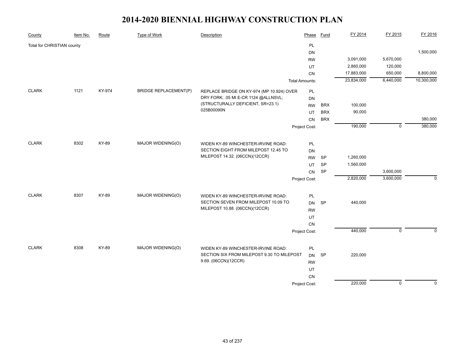| County                     | Item No. | Route  | <b>Type of Work</b>            | Description                                                                       | Phase                 | <b>Fund</b> | FY 2014    | FY 2015     | FY 2016      |
|----------------------------|----------|--------|--------------------------------|-----------------------------------------------------------------------------------|-----------------------|-------------|------------|-------------|--------------|
| Total for CHRISTIAN county |          |        |                                |                                                                                   | PL                    |             |            |             |              |
|                            |          |        |                                |                                                                                   | DN                    |             |            |             | 1,500,000    |
|                            |          |        |                                |                                                                                   | <b>RW</b>             |             | 3,091,000  | 5,670,000   |              |
|                            |          |        |                                |                                                                                   | UT                    |             | 2,860,000  | 120,000     |              |
|                            |          |        |                                |                                                                                   | CN                    |             | 17,883,000 | 650,000     | 8,800,000    |
|                            |          |        |                                |                                                                                   | <b>Total Amounts:</b> |             | 23,834,000 | 6,440,000   | 10,300,000   |
| <b>CLARK</b>               | 1121     | KY-974 | <b>BRIDGE REPLACEMENT(P)</b>   | REPLACE BRIDGE ON KY-974 (MP 10.924) OVER                                         | PL                    |             |            |             |              |
|                            |          |        |                                | DRY FORK; .05 MI E-CR 1124 @ALLNSVL;                                              | <b>DN</b>             |             |            |             |              |
|                            |          |        |                                | (STRUCTURALLY DEFICIENT, SR=23.1)                                                 | <b>RW</b>             | <b>BRX</b>  | 100,000    |             |              |
|                            |          |        |                                | 025B00090N                                                                        | UT                    | <b>BRX</b>  | 90,000     |             |              |
|                            |          |        |                                |                                                                                   | <b>CN</b>             | <b>BRX</b>  |            |             | 380,000      |
|                            |          |        |                                |                                                                                   | Project Cost:         |             | 190,000    | $\mathbf 0$ | 380,000      |
|                            |          |        |                                |                                                                                   |                       |             |            |             |              |
| <b>CLARK</b>               | 8302     | KY-89  | MAJOR WIDENING(O)              | WIDEN KY-89 WINCHESTER-IRVINE ROAD:                                               | PL                    |             |            |             |              |
|                            |          |        |                                | SECTION EIGHT FROM MILEPOST 12.45 TO                                              | <b>DN</b>             |             |            |             |              |
|                            |          |        | MILEPOST 14.32. (06CCN)(12CCR) | <b>RW</b>                                                                         | SP                    | 1,260,000   |            |             |              |
|                            |          |        |                                |                                                                                   | UT                    | SP          | 1,560,000  |             |              |
|                            |          |        |                                |                                                                                   | CN                    | SP          |            | 3,600,000   |              |
|                            |          |        |                                |                                                                                   | Project Cost:         |             | 2,820,000  | 3,600,000   | $\mathbf{0}$ |
|                            |          |        |                                |                                                                                   |                       |             |            |             |              |
| <b>CLARK</b>               | 8307     | KY-89  | MAJOR WIDENING(O)              | WIDEN KY-89 WINCHESTER-IRVINE ROAD:                                               | PL                    |             |            |             |              |
|                            |          |        |                                | SECTION SEVEN FROM MILEPOST 10.09 TO                                              | <b>DN</b>             | SP          | 440,000    |             |              |
|                            |          |        |                                | MILEPOST 10.88. (06CCN)(12CCR)                                                    | <b>RW</b>             |             |            |             |              |
|                            |          |        |                                |                                                                                   | UT                    |             |            |             |              |
|                            |          |        |                                |                                                                                   | CN                    |             |            |             |              |
|                            |          |        |                                |                                                                                   | Project Cost:         |             | 440,000    | $\mathbf 0$ | $\Omega$     |
|                            |          |        |                                |                                                                                   |                       |             |            |             |              |
| <b>CLARK</b>               | 8308     | KY-89  | MAJOR WIDENING(O)              | WIDEN KY-89 WINCHESTER-IRVINE ROAD:<br>SECTION SIX FROM MILEPOST 9.30 TO MILEPOST | PL                    |             |            |             |              |
|                            |          |        |                                | 9.69. (06CCN)(12CCR)                                                              | DN                    | <b>SP</b>   | 220,000    |             |              |
|                            |          |        |                                |                                                                                   | <b>RW</b>             |             |            |             |              |
|                            |          |        |                                |                                                                                   | UT                    |             |            |             |              |
|                            |          |        |                                |                                                                                   | CN                    |             | 220,000    |             | $\mathbf 0$  |
|                            |          |        |                                |                                                                                   | Project Cost:         |             |            | $\mathbf 0$ |              |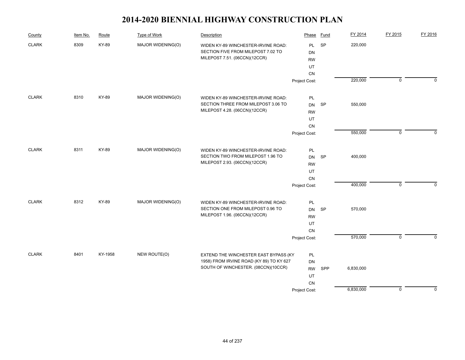| County           | Item No. | Route   | Type of Work      | Description                              | Phase         | Fund      | FY 2014   | FY 2015        | FY 2016     |
|------------------|----------|---------|-------------------|------------------------------------------|---------------|-----------|-----------|----------------|-------------|
| <b>CLARK</b>     | 8309     | KY-89   | MAJOR WIDENING(O) | WIDEN KY-89 WINCHESTER-IRVINE ROAD:      | PL            | SP        | 220,000   |                |             |
|                  |          |         |                   | SECTION FIVE FROM MILEPOST 7.02 TO       | DN            |           |           |                |             |
|                  |          |         |                   | MILEPOST 7.51. (06CCN)(12CCR)            | <b>RW</b>     |           |           |                |             |
|                  |          |         |                   |                                          | UT            |           |           |                |             |
|                  |          |         |                   |                                          | CN            |           |           |                |             |
|                  |          |         |                   |                                          | Project Cost: |           | 220,000   | $\overline{0}$ | $\Omega$    |
| <b>CLARK</b>     | 8310     | KY-89   | MAJOR WIDENING(O) | WIDEN KY-89 WINCHESTER-IRVINE ROAD:      | PL            |           |           |                |             |
|                  |          |         |                   | SECTION THREE FROM MILEPOST 3.06 TO      | <b>DN</b>     | <b>SP</b> | 550,000   |                |             |
|                  |          |         |                   | MILEPOST 4.28. (06CCN)(12CCR)            | <b>RW</b>     |           |           |                |             |
|                  |          |         |                   |                                          | UT            |           |           |                |             |
|                  |          |         |                   |                                          | CN            |           |           |                |             |
|                  |          |         |                   |                                          | Project Cost: |           | 550,000   | $\mathbf 0$    | $\Omega$    |
| <b>CLARK</b>     | 8311     | KY-89   | MAJOR WIDENING(O) | WIDEN KY-89 WINCHESTER-IRVINE ROAD:      | PL            |           |           |                |             |
|                  |          |         |                   | SECTION TWO FROM MILEPOST 1.96 TO        | DN            | <b>SP</b> | 400,000   |                |             |
|                  |          |         |                   | MILEPOST 2.93. (06CCN)(12CCR)            | <b>RW</b>     |           |           |                |             |
|                  |          |         |                   |                                          | UT            |           |           |                |             |
|                  |          |         |                   |                                          | CN            |           |           |                |             |
|                  |          |         |                   |                                          | Project Cost: |           | 400,000   | $\mathsf 0$    | $\mathbf 0$ |
| $\texttt{CLARK}$ | 8312     | KY-89   | MAJOR WIDENING(O) | WIDEN KY-89 WINCHESTER-IRVINE ROAD:      | PL            |           |           |                |             |
|                  |          |         |                   | SECTION ONE FROM MILEPOST 0.96 TO        | <b>DN</b>     | SP        | 570,000   |                |             |
|                  |          |         |                   | MILEPOST 1.96. (06CCN)(12CCR)            | <b>RW</b>     |           |           |                |             |
|                  |          |         |                   |                                          | UT            |           |           |                |             |
|                  |          |         |                   |                                          | CN            |           |           |                |             |
|                  |          |         |                   |                                          | Project Cost: |           | 570,000   | $\overline{0}$ | $\Omega$    |
| <b>CLARK</b>     | 8401     | KY-1958 | NEW ROUTE(O)      | EXTEND THE WINCHESTER EAST BYPASS (KY    | PL            |           |           |                |             |
|                  |          |         |                   | 1958) FROM IRVINE ROAD (KY 89) TO KY 627 | DN            |           |           |                |             |
|                  |          |         |                   | SOUTH OF WINCHESTER. (08CCN)(10CCR)      | <b>RW</b>     | SPP       | 6,830,000 |                |             |
|                  |          |         |                   |                                          | UT            |           |           |                |             |
|                  |          |         |                   |                                          | CN            |           |           |                |             |
|                  |          |         |                   |                                          | Project Cost: |           | 6,830,000 | $\mathbf 0$    | $\mathbf 0$ |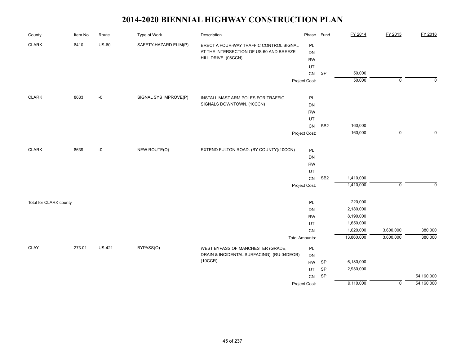| County                 | Item No. | Route         | <b>Type of Work</b>   | Description                                | Phase                 | <b>Fund</b>     | FY 2014    | FY 2015             | FY 2016     |
|------------------------|----------|---------------|-----------------------|--------------------------------------------|-----------------------|-----------------|------------|---------------------|-------------|
| <b>CLARK</b>           | 8410     | <b>US-60</b>  | SAFETY-HAZARD ELIM(P) | ERECT A FOUR-WAY TRAFFIC CONTROL SIGNAL    | PL                    |                 |            |                     |             |
|                        |          |               |                       | AT THE INTERSECTION OF US-60 AND BREEZE    | <b>DN</b>             |                 |            |                     |             |
|                        |          |               |                       | HILL DRIVE. (08CCN)                        | <b>RW</b>             |                 |            |                     |             |
|                        |          |               |                       |                                            | UT                    |                 |            |                     |             |
|                        |          |               |                       |                                            | CN                    | SP              | 50,000     |                     |             |
|                        |          |               |                       |                                            | Project Cost:         |                 | 50,000     | $\overline{0}$      | $\mathbf 0$ |
| <b>CLARK</b>           | 8633     | $-0$          | SIGNAL SYS IMPROVE(P) | INSTALL MAST ARM POLES FOR TRAFFIC         | PL                    |                 |            |                     |             |
|                        |          |               |                       | SIGNALS DOWNTOWN. (10CCN)                  | DN                    |                 |            |                     |             |
|                        |          |               |                       |                                            | <b>RW</b>             |                 |            |                     |             |
|                        |          |               |                       |                                            | UT                    |                 |            |                     |             |
|                        |          |               |                       |                                            | CN                    | SB <sub>2</sub> | 160,000    |                     |             |
|                        |          |               |                       |                                            | Project Cost:         |                 | 160,000    | $\mathbf 0$         | $\Omega$    |
| <b>CLARK</b>           | 8639     | $-0$          | NEW ROUTE(O)          | EXTEND FULTON ROAD. (BY COUNTY)(10CCN)     | PL                    |                 |            |                     |             |
|                        |          |               |                       |                                            | DN                    |                 |            |                     |             |
|                        |          |               |                       |                                            | <b>RW</b>             |                 |            |                     |             |
|                        |          |               |                       |                                            | UT                    |                 |            |                     |             |
|                        |          |               |                       |                                            | CN                    | SB <sub>2</sub> | 1,410,000  |                     |             |
|                        |          |               |                       |                                            | Project Cost:         |                 | 1,410,000  | $\mathsf{O}\xspace$ | $\Omega$    |
| Total for CLARK county |          |               |                       |                                            | PL                    |                 | 220,000    |                     |             |
|                        |          |               |                       |                                            | DN                    |                 | 2,180,000  |                     |             |
|                        |          |               |                       |                                            | <b>RW</b>             |                 | 8,190,000  |                     |             |
|                        |          |               |                       |                                            | UT                    |                 | 1,650,000  |                     |             |
|                        |          |               |                       |                                            | CN                    |                 | 1,620,000  | 3,600,000           | 380,000     |
|                        |          |               |                       |                                            | <b>Total Amounts:</b> |                 | 13,860,000 | 3,600,000           | 380,000     |
| <b>CLAY</b>            | 273.01   | <b>US-421</b> | BYPASS(O)             | WEST BYPASS OF MANCHESTER (GRADE,          | PL                    |                 |            |                     |             |
|                        |          |               |                       | DRAIN & INCIDENTAL SURFACING). (RU-04DEOB) | DN                    |                 |            |                     |             |
|                        |          |               |                       | (10CCR)                                    | <b>RW</b>             | SP              | 6,180,000  |                     |             |
|                        |          |               |                       |                                            | UT                    | SP              | 2,930,000  |                     |             |
|                        |          |               |                       |                                            | CN                    | SP              |            |                     | 54,160,000  |
|                        |          |               |                       |                                            | Project Cost:         |                 | 9,110,000  | $\overline{0}$      | 54,160,000  |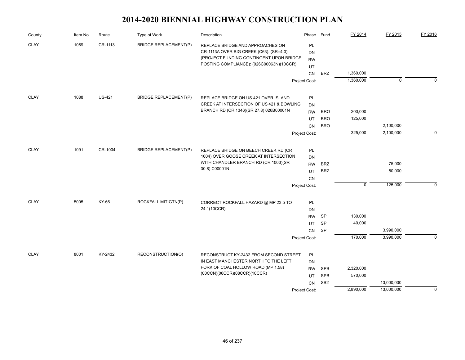| County      | Item No. | Route         | Type of Work                 | Description                                                                                                                                                        | Phase                               | Fund            | FY 2014     | FY 2015     | FY 2016     |
|-------------|----------|---------------|------------------------------|--------------------------------------------------------------------------------------------------------------------------------------------------------------------|-------------------------------------|-----------------|-------------|-------------|-------------|
| <b>CLAY</b> | 1069     | CR-1113       | <b>BRIDGE REPLACEMENT(P)</b> | REPLACE BRIDGE AND APPROACHES ON<br>CR-1113A OVER BIG CREEK (C63). (SR=4.0)<br>(PROJECT FUNDING CONTINGENT UPON BRIDGE<br>POSTING COMPLIANCE): (026C00063N)(10CCR) | <b>PL</b><br><b>DN</b><br><b>RW</b> |                 |             |             |             |
|             |          |               |                              |                                                                                                                                                                    | UT                                  |                 |             |             |             |
|             |          |               |                              |                                                                                                                                                                    | CN                                  | <b>BRZ</b>      | 1,360,000   |             |             |
|             |          |               |                              |                                                                                                                                                                    | Project Cost:                       |                 | 1,360,000   | $\mathbf 0$ | $\Omega$    |
| <b>CLAY</b> | 1088     | <b>US-421</b> | <b>BRIDGE REPLACEMENT(P)</b> | REPLACE BRIDGE ON US 421 OVER ISLAND                                                                                                                               | <b>PL</b>                           |                 |             |             |             |
|             |          |               |                              | CREEK AT INTERSECTION OF US 421 & BOWLING                                                                                                                          | <b>DN</b>                           |                 |             |             |             |
|             |          |               |                              | BRANCH RD (CR 1346)(SR 27.8) 026B00001N                                                                                                                            | <b>RW</b>                           | <b>BRO</b>      | 200,000     |             |             |
|             |          |               |                              |                                                                                                                                                                    | UT                                  | <b>BRO</b>      | 125,000     |             |             |
|             |          |               |                              |                                                                                                                                                                    | <b>CN</b>                           | <b>BRO</b>      |             | 2,100,000   |             |
|             |          |               |                              |                                                                                                                                                                    | Project Cost:                       |                 | 325,000     | 2,100,000   | $\Omega$    |
| <b>CLAY</b> | 1091     | CR-1004       | <b>BRIDGE REPLACEMENT(P)</b> | REPLACE BRIDGE ON BEECH CREEK RD (CR                                                                                                                               | PL                                  |                 |             |             |             |
|             |          |               |                              | 1004) OVER GOOSE CREEK AT INTERSECTION                                                                                                                             | DN                                  |                 |             |             |             |
|             |          |               |                              | WITH CHANDLER BRANCH RD (CR 1003)(SR                                                                                                                               | <b>RW</b>                           | <b>BRZ</b>      |             | 75,000      |             |
|             |          |               |                              | 30.8) C00001N                                                                                                                                                      | UT                                  | <b>BRZ</b>      |             | 50,000      |             |
|             |          |               |                              |                                                                                                                                                                    | CN                                  |                 |             |             |             |
|             |          |               |                              |                                                                                                                                                                    | Project Cost:                       |                 | $\mathbf 0$ | 125,000     | $\Omega$    |
| <b>CLAY</b> | 5005     | KY-66         | ROCKFALL MITIGTN(P)          | CORRECT ROCKFALL HAZARD @ MP 23.5 TO                                                                                                                               | PL                                  |                 |             |             |             |
|             |          |               |                              | 24.1(10CCR)                                                                                                                                                        | DN                                  |                 |             |             |             |
|             |          |               |                              |                                                                                                                                                                    | <b>RW</b>                           | SP              | 130,000     |             |             |
|             |          |               |                              |                                                                                                                                                                    | UT                                  | <b>SP</b>       | 40,000      |             |             |
|             |          |               |                              |                                                                                                                                                                    | <b>CN</b>                           | SP              |             | 3,990,000   |             |
|             |          |               |                              |                                                                                                                                                                    | Project Cost:                       |                 | 170,000     | 3,990,000   | $\Omega$    |
|             |          |               |                              |                                                                                                                                                                    |                                     |                 |             |             |             |
| <b>CLAY</b> | 8001     | KY-2432       | RECONSTRUCTION(O)            | RECONSTRUCT KY-2432 FROM SECOND STREET<br>IN EAST MANCHESTER NORTH TO THE LEFT                                                                                     | PL                                  |                 |             |             |             |
|             |          |               |                              | FORK OF COAL HOLLOW ROAD (MP 1.58)                                                                                                                                 | <b>DN</b>                           | <b>SPB</b>      | 2,320,000   |             |             |
|             |          |               |                              | (00CCN)(06CCR)(08CCR)(10CCR)                                                                                                                                       | <b>RW</b><br>UT                     | <b>SPB</b>      | 570,000     |             |             |
|             |          |               |                              |                                                                                                                                                                    | CN                                  | SB <sub>2</sub> |             | 13,000,000  |             |
|             |          |               |                              |                                                                                                                                                                    | Project Cost:                       |                 | 2,890,000   | 13,000,000  | $\mathbf 0$ |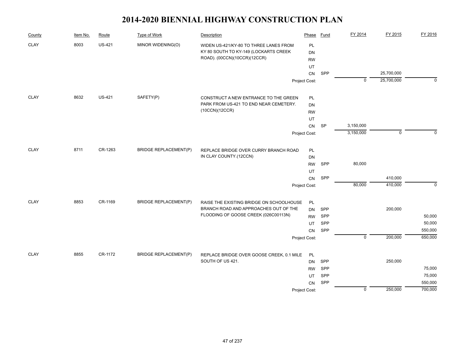| County      | Item No. | Route         | Type of Work                 | Description                               | Phase         | Fund      | FY 2014        | FY 2015     | FY 2016     |
|-------------|----------|---------------|------------------------------|-------------------------------------------|---------------|-----------|----------------|-------------|-------------|
| <b>CLAY</b> | 8003     | <b>US-421</b> | MINOR WIDENING(O)            | WIDEN US-421/KY-80 TO THREE LANES FROM    | PL            |           |                |             |             |
|             |          |               |                              | KY 80 SOUTH TO KY-149 (LOCKARTS CREEK     | DN            |           |                |             |             |
|             |          |               |                              | ROAD). (00CCN)(10CCR)(12CCR)              | <b>RW</b>     |           |                |             |             |
|             |          |               |                              |                                           | UT            |           |                |             |             |
|             |          |               |                              |                                           | CN            | SPP       |                | 25,700,000  |             |
|             |          |               |                              |                                           | Project Cost: |           | $\mathbf 0$    | 25,700,000  | $\mathbf 0$ |
| <b>CLAY</b> | 8632     | <b>US-421</b> | SAFETY(P)                    | CONSTRUCT A NEW ENTRANCE TO THE GREEN     | PL            |           |                |             |             |
|             |          |               |                              | PARK FROM US-421 TO END NEAR CEMETERY.    | <b>DN</b>     |           |                |             |             |
|             |          |               |                              | (10CCN)(12CCR)                            | <b>RW</b>     |           |                |             |             |
|             |          |               |                              |                                           | UT            |           |                |             |             |
|             |          |               |                              |                                           | CN            | <b>SP</b> | 3,150,000      |             |             |
|             |          |               |                              |                                           | Project Cost: |           | 3,150,000      | $\mathbf 0$ | $\Omega$    |
| <b>CLAY</b> | 8711     | CR-1263       | <b>BRIDGE REPLACEMENT(P)</b> | REPLACE BRIDGE OVER CURRY BRANCH ROAD     | PL            |           |                |             |             |
|             |          |               |                              | IN CLAY COUNTY.(12CCN)                    | DN            |           |                |             |             |
|             |          |               |                              |                                           | <b>RW</b>     | SPP       | 80,000         |             |             |
|             |          |               |                              |                                           | UT            |           |                |             |             |
|             |          |               |                              |                                           | <b>CN</b>     | SPP       |                | 410,000     |             |
|             |          |               |                              |                                           | Project Cost: |           | 80,000         | 410,000     | $\Omega$    |
| <b>CLAY</b> | 8853     | CR-1169       | <b>BRIDGE REPLACEMENT(P)</b> | RAISE THE EXISTING BRIDGE ON SCHOOLHOUSE  | PL            |           |                |             |             |
|             |          |               |                              | BRANCH ROAD AND APPROACHES OUT OF THE     | <b>DN</b>     | SPP       |                | 200,000     |             |
|             |          |               |                              | FLOODING OF GOOSE CREEK (026C00113N)      | <b>RW</b>     | SPP       |                |             | 50,000      |
|             |          |               |                              |                                           | UT            | SPP       |                |             | 50,000      |
|             |          |               |                              |                                           | <b>CN</b>     | SPP       |                |             | 550,000     |
|             |          |               |                              |                                           | Project Cost: |           | $\overline{0}$ | 200,000     | 650,000     |
| <b>CLAY</b> | 8855     | CR-1172       | <b>BRIDGE REPLACEMENT(P)</b> | REPLACE BRIDGE OVER GOOSE CREEK, 0.1 MILE | PL            |           |                |             |             |
|             |          |               |                              | SOUTH OF US 421.                          | DN            | SPP       |                | 250,000     |             |
|             |          |               |                              |                                           | <b>RW</b>     | SPP       |                |             | 75,000      |
|             |          |               |                              |                                           | UT            | SPP       |                |             | 75,000      |
|             |          |               |                              |                                           | <b>CN</b>     | SPP       |                |             | 550,000     |
|             |          |               |                              |                                           | Project Cost: |           | 0              | 250,000     | 700,000     |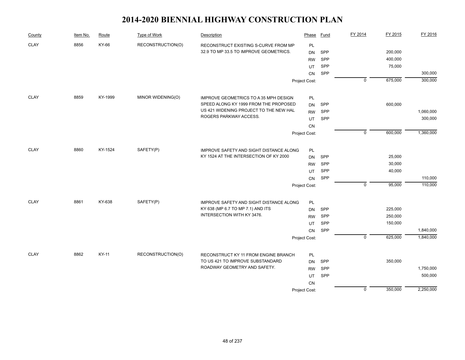| County      | Item No. | Route   | Type of Work      | Description                                    | Phase         | Fund       | FY 2014        | FY 2015 | FY 2016   |
|-------------|----------|---------|-------------------|------------------------------------------------|---------------|------------|----------------|---------|-----------|
| <b>CLAY</b> | 8856     | KY-66   | RECONSTRUCTION(O) | RECONSTRUCT EXISTING S-CURVE FROM MP           | <b>PL</b>     |            |                |         |           |
|             |          |         |                   | 32.9 TO MP 33.5 TO IMPROVE GEOMETRICS.         | <b>DN</b>     | SPP        |                | 200,000 |           |
|             |          |         |                   |                                                | <b>RW</b>     | SPP        |                | 400,000 |           |
|             |          |         |                   |                                                | UT            | SPP        |                | 75,000  |           |
|             |          |         |                   |                                                | CN            | SPP        |                |         | 300,000   |
|             |          |         |                   |                                                | Project Cost: |            | $\mathbf 0$    | 675,000 | 300,000   |
| <b>CLAY</b> | 8859     | KY-1999 | MINOR WIDENING(O) | IMPROVE GEOMETRICS TO A 35 MPH DESIGN          | PL            |            |                |         |           |
|             |          |         |                   | SPEED ALONG KY 1999 FROM THE PROPOSED          | <b>DN</b>     | SPP        |                | 600,000 |           |
|             |          |         |                   | US 421 WIDENING PROJECT TO THE NEW HAL         | <b>RW</b>     | SPP        |                |         | 1,060,000 |
|             |          |         |                   | ROGERS PARKWAY ACCESS.                         | UT            | SPP        |                |         | 300,000   |
|             |          |         |                   |                                                | CN            |            |                |         |           |
|             |          |         |                   |                                                | Project Cost: |            | $\mathbf 0$    | 600,000 | 1,360,000 |
| <b>CLAY</b> | 8860     | KY-1524 | SAFETY(P)         | <b>IMPROVE SAFETY AND SIGHT DISTANCE ALONG</b> | PL            |            |                |         |           |
|             |          |         |                   | KY 1524 AT THE INTERSECTION OF KY 2000         | <b>DN</b>     | <b>SPP</b> |                | 25,000  |           |
|             |          |         |                   |                                                | <b>RW</b>     | SPP        |                | 30,000  |           |
|             |          |         |                   |                                                | UT            | SPP        |                | 40,000  |           |
|             |          |         |                   |                                                | CN            | SPP        |                |         | 110,000   |
|             |          |         |                   |                                                | Project Cost: |            | $\mathbf 0$    | 95,000  | 110,000   |
| <b>CLAY</b> | 8861     | KY-638  | SAFETY(P)         | IMPROVE SAFETY AND SIGHT DISTANCE ALONG        | PL            |            |                |         |           |
|             |          |         |                   | KY 638 (MP 6.7 TO MP 7.1) AND ITS              | <b>DN</b>     | SPP        |                | 225,000 |           |
|             |          |         |                   | INTERSECTION WITH KY 3476.                     | <b>RW</b>     | SPP        |                | 250,000 |           |
|             |          |         |                   |                                                | UT            | SPP        |                | 150,000 |           |
|             |          |         |                   |                                                | CN            | SPP        |                |         | 1,840,000 |
|             |          |         |                   |                                                | Project Cost: |            | $\overline{0}$ | 625,000 | 1,840,000 |
| <b>CLAY</b> | 8862     | KY-11   | RECONSTRUCTION(O) | RECONSTRUCT KY 11 FROM ENGINE BRANCH           | PL            |            |                |         |           |
|             |          |         |                   | TO US 421 TO IMPROVE SUBSTANDARD               | <b>DN</b>     | SPP        |                | 350,000 |           |
|             |          |         |                   | ROADWAY GEOMETRY AND SAFETY.                   | <b>RW</b>     | SPP        |                |         | 1,750,000 |
|             |          |         |                   |                                                | UT            | SPP        |                |         | 500,000   |
|             |          |         |                   |                                                | CN            |            |                |         |           |
|             |          |         |                   |                                                | Project Cost: |            | $\mathbf 0$    | 350,000 | 2,250,000 |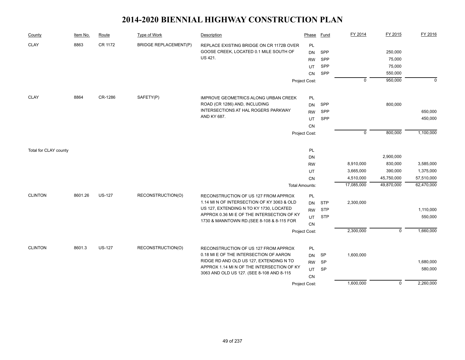| County                | Item No. | Route         | Type of Work                 | <b>Description</b>                                                                            | Phase                 | Fund       | FY 2014     | FY 2015           | FY 2016     |
|-----------------------|----------|---------------|------------------------------|-----------------------------------------------------------------------------------------------|-----------------------|------------|-------------|-------------------|-------------|
| <b>CLAY</b>           | 8863     | CR 1172       | <b>BRIDGE REPLACEMENT(P)</b> | REPLACE EXISTING BRIDGE ON CR 1172B OVER<br>GOOSE CREEK, LOCATED 0.1 MILE SOUTH OF<br>US 421. | PL<br><b>DN</b>       | SPP<br>SPP |             | 250,000<br>75,000 |             |
|                       |          |               |                              |                                                                                               | <b>RW</b><br>UT       | SPP        |             | 75,000            |             |
|                       |          |               |                              |                                                                                               | <b>CN</b>             | SPP        |             | 550,000           |             |
|                       |          |               |                              |                                                                                               | Project Cost:         |            | $\mathbf 0$ | 950,000           | $\mathbf 0$ |
|                       |          |               |                              |                                                                                               |                       |            |             |                   |             |
| <b>CLAY</b>           | 8864     | CR-1286       | SAFETY(P)                    | <b>IMPROVE GEOMETRICS ALONG URBAN CREEK</b>                                                   | PL                    |            |             |                   |             |
|                       |          |               |                              | ROAD (CR 1286) AND, INCLUDING                                                                 | <b>DN</b>             | SPP        |             | 800,000           |             |
|                       |          |               |                              | INTERSECTIONS AT HAL ROGERS PARKWAY                                                           | <b>RW</b>             | SPP        |             |                   | 650,000     |
|                       |          |               |                              | AND KY 687.                                                                                   | UT                    | SPP        |             |                   | 450,000     |
|                       |          |               |                              |                                                                                               | <b>CN</b>             |            |             |                   |             |
|                       |          |               |                              |                                                                                               | Project Cost:         |            | $\mathbf 0$ | 800,000           | 1,100,000   |
| Total for CLAY county |          |               |                              |                                                                                               | PL                    |            |             |                   |             |
|                       |          |               |                              |                                                                                               | DN                    |            |             | 2,900,000         |             |
|                       |          |               |                              |                                                                                               | <b>RW</b>             |            | 8,910,000   | 830,000           | 3,585,000   |
|                       |          |               |                              |                                                                                               | UT                    |            | 3,665,000   | 390,000           | 1,375,000   |
|                       |          |               |                              |                                                                                               | <b>CN</b>             |            | 4,510,000   | 45,750,000        | 57,510,000  |
|                       |          |               |                              |                                                                                               | <b>Total Amounts:</b> |            | 17,085,000  | 49,870,000        | 62,470,000  |
| <b>CLINTON</b>        | 8601.26  | <b>US-127</b> | RECONSTRUCTION(O)            | RECONSTRUCTION OF US 127 FROM APPROX                                                          | PL                    |            |             |                   |             |
|                       |          |               |                              | 1.14 MI N OF INTERSECTION OF KY 3063 & OLD                                                    | <b>DN</b>             | <b>STP</b> | 2,300,000   |                   |             |
|                       |          |               |                              | US 127, EXTENDING N TO KY 1730, LOCATED                                                       | <b>RW</b>             | <b>STP</b> |             |                   | 1,110,000   |
|                       |          |               |                              | APPROX 0.36 MI E OF THE INTERSECTION OF KY<br>1730 & MANNTOWN RD. (SEE 8-108 & 8-115 FOR      | UT                    | <b>STP</b> |             |                   | 550,000     |
|                       |          |               |                              |                                                                                               | <b>CN</b>             |            |             |                   |             |
|                       |          |               |                              |                                                                                               | Project Cost:         |            | 2,300,000   | $\mathbf 0$       | 1,660,000   |
| <b>CLINTON</b>        | 8601.3   | <b>US-127</b> | RECONSTRUCTION(O)            | RECONSTRUCTION OF US 127 FROM APPROX                                                          | PL                    |            |             |                   |             |
|                       |          |               |                              | 0.18 MI E OF THE INTERSECTION OF AARON                                                        | <b>DN</b>             | SP         | 1,600,000   |                   |             |
|                       |          |               |                              | RIDGE RD AND OLD US 127, EXTENDING N TO                                                       | <b>RW</b>             | <b>SP</b>  |             |                   | 1,680,000   |
|                       |          |               |                              | APPROX 1.14 MI N OF THE INTERSECTION OF KY                                                    | UT                    | SP         |             |                   | 580,000     |
|                       |          |               |                              | 3063 AND OLD US 127. (SEE 8-108 AND 8-115                                                     | CN                    |            |             |                   |             |
|                       |          |               |                              |                                                                                               | Project Cost:         |            | 1,600,000   | $\mathbf 0$       | 2,260,000   |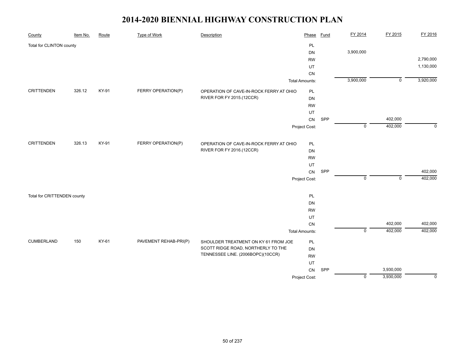| County                      | Item No. | Route | <b>Type of Work</b>   | Description                             | Phase                 | <b>Fund</b> | FY 2014     | FY 2015        | FY 2016     |
|-----------------------------|----------|-------|-----------------------|-----------------------------------------|-----------------------|-------------|-------------|----------------|-------------|
| Total for CLINTON county    |          |       |                       |                                         | PL                    |             |             |                |             |
|                             |          |       |                       |                                         | DN                    |             | 3,900,000   |                |             |
|                             |          |       |                       |                                         | <b>RW</b>             |             |             |                | 2,790,000   |
|                             |          |       |                       |                                         | UT                    |             |             |                | 1,130,000   |
|                             |          |       |                       |                                         | CN                    |             |             |                |             |
|                             |          |       |                       |                                         | <b>Total Amounts:</b> |             | 3,900,000   | $\overline{0}$ | 3,920,000   |
| CRITTENDEN                  | 326.12   | KY-91 | FERRY OPERATION(P)    | OPERATION OF CAVE-IN-ROCK FERRY AT OHIO | PL                    |             |             |                |             |
|                             |          |       |                       | RIVER FOR FY 2015.(12CCR)               | DN                    |             |             |                |             |
|                             |          |       |                       |                                         | <b>RW</b>             |             |             |                |             |
|                             |          |       |                       |                                         | UT                    |             |             |                |             |
|                             |          |       |                       |                                         | CN                    | SPP         |             | 402,000        |             |
|                             |          |       |                       |                                         | Project Cost:         |             | $\mathbf 0$ | 402,000        | $\mathbf 0$ |
| <b>CRITTENDEN</b>           | 326.13   | KY-91 | FERRY OPERATION(P)    | OPERATION OF CAVE-IN-ROCK FERRY AT OHIO | PL                    |             |             |                |             |
|                             |          |       |                       | RIVER FOR FY 2016.(12CCR)               | DN                    |             |             |                |             |
|                             |          |       |                       |                                         | <b>RW</b>             |             |             |                |             |
|                             |          |       |                       |                                         | UT                    |             |             |                |             |
|                             |          |       |                       |                                         | ${\sf CN}$            | SPP         |             |                | 402,000     |
|                             |          |       |                       |                                         | Project Cost:         |             | $\mathbf 0$ | $\mathbf 0$    | 402,000     |
|                             |          |       |                       |                                         |                       |             |             |                |             |
| Total for CRITTENDEN county |          |       |                       |                                         | PL                    |             |             |                |             |
|                             |          |       |                       |                                         | <b>DN</b>             |             |             |                |             |
|                             |          |       |                       |                                         | <b>RW</b>             |             |             |                |             |
|                             |          |       |                       |                                         | UT                    |             |             |                |             |
|                             |          |       |                       |                                         | CN                    |             |             | 402,000        | 402,000     |
|                             |          |       |                       |                                         | <b>Total Amounts:</b> |             | $\pmb{0}$   | 402,000        | 402,000     |
| <b>CUMBERLAND</b>           | 150      | KY-61 | PAVEMENT REHAB-PRI(P) | SHOULDER TREATMENT ON KY 61 FROM JOE    | PL                    |             |             |                |             |
|                             |          |       |                       | SCOTT RIDGE ROAD, NORTHERLY TO THE      | DN                    |             |             |                |             |
|                             |          |       |                       | TENNESSEE LINE. (2006BOPC)(10CCR)       | <b>RW</b>             |             |             |                |             |
|                             |          |       |                       |                                         | UT                    |             |             |                |             |
|                             |          |       |                       |                                         | CN                    | SPP         |             | 3,930,000      |             |
|                             |          |       |                       |                                         | Project Cost:         |             | $\mathsf 0$ | 3,930,000      | $\mathbf 0$ |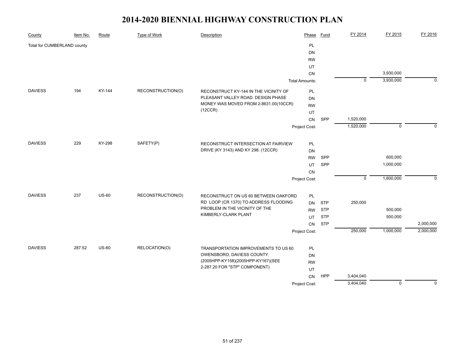| County                      | Item No. | Route   | <b>Type of Work</b> | Description                                      | Phase                 | <b>Fund</b> | FY 2014        | FY 2015     | FY 2016     |
|-----------------------------|----------|---------|---------------------|--------------------------------------------------|-----------------------|-------------|----------------|-------------|-------------|
| Total for CUMBERLAND county |          |         |                     |                                                  | PL                    |             |                |             |             |
|                             |          |         |                     |                                                  | DN                    |             |                |             |             |
|                             |          |         |                     |                                                  | <b>RW</b>             |             |                |             |             |
|                             |          |         |                     |                                                  | UT                    |             |                |             |             |
|                             |          |         |                     |                                                  | CN                    |             |                | 3,930,000   |             |
|                             |          |         |                     |                                                  | <b>Total Amounts:</b> |             | $\overline{0}$ | 3,930,000   | $\mathbf 0$ |
| <b>DAVIESS</b>              | 194      | KY-144  | RECONSTRUCTION(O)   | RECONSTRUCT KY-144 IN THE VICINITY OF            | PL                    |             |                |             |             |
|                             |          |         |                     | PLEASANT VALLEY ROAD. DESIGN PHASE               | DN                    |             |                |             |             |
|                             |          |         |                     | MONEY WAS MOVED FROM 2-8631.00(10CCR)<br>(12CCR) | <b>RW</b>             |             |                |             |             |
|                             |          |         |                     |                                                  | UT                    |             |                |             |             |
|                             |          |         |                     |                                                  | CN                    | SPP         | 1,520,000      |             |             |
|                             |          |         |                     |                                                  | Project Cost:         |             | 1,520,000      | $\mathbf 0$ | $\Omega$    |
| <b>DAVIESS</b>              | 229      | KY-298  | SAFETY(P)           | RECONSTRUCT INTERSECTION AT FAIRVIEW             | PL                    |             |                |             |             |
|                             |          |         |                     | DRIVE (KY 3143) AND KY 298. (12CCR)              | DN                    |             |                |             |             |
|                             |          |         |                     |                                                  | <b>RW</b>             | SPP         |                | 600,000     |             |
|                             |          |         |                     |                                                  | UT                    | SPP         |                | 1,000,000   |             |
|                             |          |         |                     |                                                  | CN                    |             |                |             |             |
|                             |          |         |                     |                                                  | Project Cost:         |             | $\mathbf 0$    | 1,600,000   | $\Omega$    |
| <b>DAVIESS</b>              | 237      | $US-60$ | RECONSTRUCTION(O)   | RECONSTRUCT ON US 60 BETWEEN OAKFORD             | PL                    |             |                |             |             |
|                             |          |         |                     | RD LOOP (CR 1370) TO ADDRESS FLOODING            | <b>DN</b>             | <b>STP</b>  | 250,000        |             |             |
|                             |          |         |                     | PROBLEM IN THE VICINITY OF THE                   | <b>RW</b>             | <b>STP</b>  |                | 500,000     |             |
|                             |          |         |                     | KIMBERLY-CLARK PLANT                             | UT                    | <b>STP</b>  |                | 500,000     |             |
|                             |          |         |                     |                                                  | CN                    | <b>STP</b>  |                |             | 2,000,000   |
|                             |          |         |                     |                                                  | Project Cost:         |             | 250,000        | 1,000,000   | 2,000,000   |
|                             |          |         |                     |                                                  |                       |             |                |             |             |
| <b>DAVIESS</b>              | 287.52   | $US-60$ | RELOCATION(O)       | TRANSPORTATION IMPROVEMENTS TO US 60             | PL                    |             |                |             |             |
|                             |          |         |                     | OWENSBORO, DAVIESS COUNTY.                       | DN                    |             |                |             |             |
|                             |          |         |                     | (2005HPP-KY158)(2005HPP-KY167)(SEE               | <b>RW</b>             |             |                |             |             |
|                             |          |         |                     | 2-287.20 FOR "STP" COMPONENT)                    | UT                    |             |                |             |             |
|                             |          |         |                     |                                                  | CN                    | HPP         | 3,404,040      |             |             |
|                             |          |         |                     |                                                  | Project Cost:         |             | 3,404,040      | $\mathbf 0$ | $\mathbf 0$ |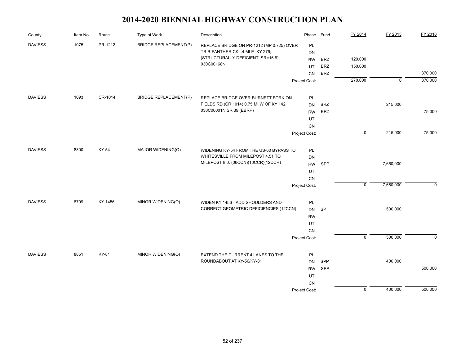| County         | Item No. | Route   | Type of Work                 | Description                               | Phase         | <b>Fund</b> | FY 2014        | FY 2015     | FY 2016  |
|----------------|----------|---------|------------------------------|-------------------------------------------|---------------|-------------|----------------|-------------|----------|
| <b>DAVIESS</b> | 1075     | PR-1212 | <b>BRIDGE REPLACEMENT(P)</b> | REPLACE BRIDGE ON PR-1212 (MP 0.725) OVER | PL            |             |                |             |          |
|                |          |         |                              | TRIB-PANTHER CK; .4 MI E KY 279;          | DN            |             |                |             |          |
|                |          |         |                              | (STRUCTURALLY DEFICIENT, SR=16.8)         | <b>RW</b>     | <b>BRZ</b>  | 120,000        |             |          |
|                |          |         |                              | 030C00168N                                | UT            | <b>BRZ</b>  | 150,000        |             |          |
|                |          |         |                              |                                           | CN            | <b>BRZ</b>  |                |             | 370,000  |
|                |          |         |                              |                                           | Project Cost: |             | 270,000        | $\mathbf 0$ | 370,000  |
| <b>DAVIESS</b> | 1093     | CR-1014 | <b>BRIDGE REPLACEMENT(P)</b> | REPLACE BRIDGE OVER BURNETT FORK ON       | PL            |             |                |             |          |
|                |          |         |                              | FIELDS RD (CR 1014) 0.75 MI W OF KY 142   | <b>DN</b>     | <b>BRZ</b>  |                | 215,000     |          |
|                |          |         |                              | 030C00001N SR 39 (EBRP)                   | <b>RW</b>     | <b>BRZ</b>  |                |             | 75,000   |
|                |          |         |                              |                                           | UT            |             |                |             |          |
|                |          |         |                              |                                           | <b>CN</b>     |             |                |             |          |
|                |          |         |                              |                                           | Project Cost: |             | $\overline{0}$ | 215,000     | 75,000   |
| <b>DAVIESS</b> | 8300     | KY-54   | MAJOR WIDENING(O)            | WIDENING KY-54 FROM THE US-60 BYPASS TO   | PL            |             |                |             |          |
|                |          |         |                              | WHITESVILLE FROM MILEPOST 4.51 TO         | DN            |             |                |             |          |
|                |          |         |                              | MILEPOST 8.0. (06CCN)(10CCR)(12CCR)       | <b>RW</b>     | SPP         |                | 7,660,000   |          |
|                |          |         |                              |                                           | UT            |             |                |             |          |
|                |          |         |                              |                                           | CN            |             |                |             |          |
|                |          |         |                              |                                           | Project Cost: |             | $\overline{0}$ | 7,660,000   | $\Omega$ |
| <b>DAVIESS</b> | 8709     | KY-1456 | MINOR WIDENING(O)            | WIDEN KY 1456 - ADD SHOULDERS AND         | PL            |             |                |             |          |
|                |          |         |                              | CORRECT GEOMETRIC DEFICIENCIES (12CCN)    | DN            | SP          |                | 500,000     |          |
|                |          |         |                              |                                           | <b>RW</b>     |             |                |             |          |
|                |          |         |                              |                                           | UT            |             |                |             |          |
|                |          |         |                              |                                           | CN            |             |                |             |          |
|                |          |         |                              |                                           | Project Cost: |             | $\overline{0}$ | 500,000     | $\Omega$ |
| <b>DAVIESS</b> | 8851     | KY-81   | MINOR WIDENING(O)            | EXTEND THE CURRENT 4 LANES TO THE         | PL            |             |                |             |          |
|                |          |         |                              | ROUNDABOUT AT KY-56/KY-81                 | <b>DN</b>     | SPP         |                | 400,000     |          |
|                |          |         |                              |                                           | <b>RW</b>     | SPP         |                |             | 500,000  |
|                |          |         |                              |                                           | UT            |             |                |             |          |
|                |          |         |                              |                                           | CN            |             |                |             |          |
|                |          |         |                              |                                           | Project Cost: |             | $\pmb{0}$      | 400,000     | 500,000  |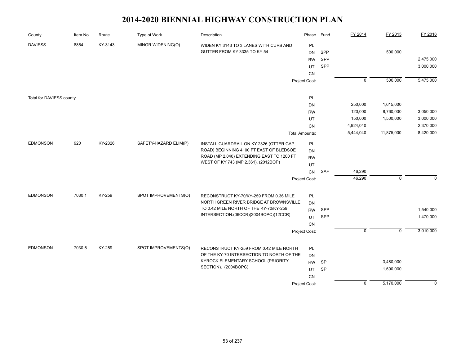| County                   | Item No. | Route   | Type of Work          | Description                                                                     | Phase                 | <b>Fund</b> | FY 2014        | FY 2015     | FY 2016     |
|--------------------------|----------|---------|-----------------------|---------------------------------------------------------------------------------|-----------------------|-------------|----------------|-------------|-------------|
| <b>DAVIESS</b>           | 8854     | KY-3143 | MINOR WIDENING(O)     | WIDEN KY 3143 TO 3 LANES WITH CURB AND                                          | PL                    |             |                |             |             |
|                          |          |         |                       | GUTTER FROM KY 3335 TO KY 54                                                    | <b>DN</b>             | SPP         |                | 500,000     |             |
|                          |          |         |                       |                                                                                 | <b>RW</b>             | SPP         |                |             | 2,475,000   |
|                          |          |         |                       |                                                                                 | UT                    | SPP         |                |             | 3,000,000   |
|                          |          |         |                       |                                                                                 | CN                    |             |                |             |             |
|                          |          |         |                       |                                                                                 | Project Cost:         |             | $\mathbf 0$    | 500,000     | 5,475,000   |
|                          |          |         |                       |                                                                                 |                       |             |                |             |             |
| Total for DAVIESS county |          |         |                       |                                                                                 | PL                    |             |                |             |             |
|                          |          |         |                       |                                                                                 | DN                    |             | 250,000        | 1,615,000   |             |
|                          |          |         |                       |                                                                                 | <b>RW</b>             |             | 120,000        | 8,760,000   | 3,050,000   |
|                          |          |         |                       |                                                                                 | UT                    |             | 150,000        | 1,500,000   | 3,000,000   |
|                          |          |         |                       |                                                                                 | CN                    |             | 4,924,040      |             | 2,370,000   |
|                          |          |         |                       |                                                                                 | <b>Total Amounts:</b> |             | 5,444,040      | 11,875,000  | 8,420,000   |
| <b>EDMONSON</b>          | 920      | KY-2326 | SAFETY-HAZARD ELIM(P) | INSTALL GUARDRAIL ON KY 2326 (OTTER GAP                                         | PL                    |             |                |             |             |
|                          |          |         |                       | ROAD) BEGINNING 4100 FT EAST OF BLEDSOE                                         | DN                    |             |                |             |             |
|                          |          |         |                       | ROAD (MP 2.040) EXTENDING EAST TO 1200 FT                                       | <b>RW</b>             |             |                |             |             |
|                          |          |         |                       | WEST OF KY 743 (MP 2.361). (2012BOP)                                            | UT                    |             |                |             |             |
|                          |          |         |                       |                                                                                 | CN                    | <b>SAF</b>  | 46,290         |             |             |
|                          |          |         |                       |                                                                                 | Project Cost:         |             | 46,290         | $\mathbf 0$ | $\Omega$    |
|                          |          |         |                       |                                                                                 |                       |             |                |             |             |
| <b>EDMONSON</b>          | 7030.1   | KY-259  | SPOT IMPROVEMENTS(O)  | RECONSTRUCT KY-70/KY-259 FROM 0.36 MILE                                         | PL                    |             |                |             |             |
|                          |          |         |                       | NORTH GREEN RIVER BRIDGE AT BROWNSVILLE                                         | <b>DN</b>             |             |                |             |             |
|                          |          |         |                       | TO 0.42 MILE NORTH OF THE KY-70/KY-259<br>INTERSECTION.(06CCR)(2004BOPC)(12CCR) | <b>RW</b>             | SPP         |                |             | 1,540,000   |
|                          |          |         |                       |                                                                                 | <b>UT</b>             | SPP         |                |             | 1,470,000   |
|                          |          |         |                       |                                                                                 | CN                    |             |                |             |             |
|                          |          |         |                       |                                                                                 | Project Cost:         |             | $\mathbf 0$    | $\mathbf 0$ | 3,010,000   |
| <b>EDMONSON</b>          | 7030.5   | KY-259  | SPOT IMPROVEMENTS(O)  | RECONSTRUCT KY-259 FROM 0.42 MILE NORTH                                         | PL                    |             |                |             |             |
|                          |          |         |                       | OF THE KY-70 INTERSECTION TO NORTH OF THE                                       | DN                    |             |                |             |             |
|                          |          |         |                       | KYROCK ELEMENTARY SCHOOL (PRIORITY                                              | <b>RW</b>             | SP          |                | 3,480,000   |             |
|                          |          |         |                       | SECTION). (2004BOPC)                                                            | UT                    | <b>SP</b>   |                | 1,690,000   |             |
|                          |          |         |                       |                                                                                 | CN                    |             |                |             |             |
|                          |          |         |                       |                                                                                 | Project Cost:         |             | $\overline{0}$ | 5,170,000   | $\mathbf 0$ |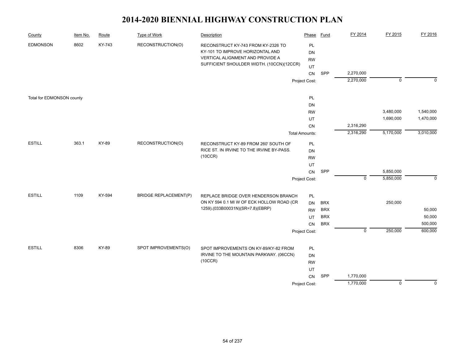| County                    | Item No. | Route  | <b>Type of Work</b>          | Description                                                                                                                                             | Phase                 | <b>Fund</b> | FY 2014     | FY 2015        | FY 2016     |
|---------------------------|----------|--------|------------------------------|---------------------------------------------------------------------------------------------------------------------------------------------------------|-----------------------|-------------|-------------|----------------|-------------|
| <b>EDMONSON</b>           | 8602     | KY-743 | RECONSTRUCTION(O)            | RECONSTRUCT KY-743 FROM KY-2326 TO<br>KY-101 TO IMPROVE HORIZONTAL AND<br>VERTICAL ALIGNMENT AND PROVIDE A<br>SUFFICIENT SHOULDER WIDTH. (10CCN)(12CCR) | PL<br>DN<br><b>RW</b> |             |             |                |             |
|                           |          |        |                              |                                                                                                                                                         | UT<br>CN              | <b>SPP</b>  | 2,270,000   |                |             |
|                           |          |        |                              |                                                                                                                                                         | Project Cost:         |             | 2,270,000   | $\overline{0}$ | $\mathbf 0$ |
|                           |          |        |                              |                                                                                                                                                         |                       |             |             |                |             |
| Total for EDMONSON county |          |        |                              |                                                                                                                                                         | PL                    |             |             |                |             |
|                           |          |        |                              |                                                                                                                                                         | DN                    |             |             |                |             |
|                           |          |        |                              |                                                                                                                                                         | <b>RW</b>             |             |             | 3,480,000      | 1,540,000   |
|                           |          |        |                              |                                                                                                                                                         | UT                    |             |             | 1,690,000      | 1,470,000   |
|                           |          |        |                              |                                                                                                                                                         | CN                    |             | 2,316,290   |                |             |
|                           |          |        |                              |                                                                                                                                                         | <b>Total Amounts:</b> |             | 2,316,290   | 5,170,000      | 3,010,000   |
| <b>ESTILL</b>             | 363.1    | KY-89  | RECONSTRUCTION(O)            | RECONSTRUCT KY-89 FROM 260' SOUTH OF                                                                                                                    | PL                    |             |             |                |             |
|                           |          |        |                              | RICE ST. IN IRVINE TO THE IRVINE BY-PASS.                                                                                                               | DN                    |             |             |                |             |
|                           |          |        |                              | (10CCR)                                                                                                                                                 | <b>RW</b>             |             |             |                |             |
|                           |          |        |                              |                                                                                                                                                         | UT                    |             |             |                |             |
|                           |          |        |                              |                                                                                                                                                         | CN                    | SPP         |             | 5,850,000      |             |
|                           |          |        |                              |                                                                                                                                                         | Project Cost:         |             | $\mathbf 0$ | 5,850,000      | $\mathbf 0$ |
| <b>ESTILL</b>             | 1109     | KY-594 | <b>BRIDGE REPLACEMENT(P)</b> | REPLACE BRIDGE OVER HENDERSON BRANCH                                                                                                                    | $\mathsf{PL}$         |             |             |                |             |
|                           |          |        |                              | ON KY 594 0.1 MI W OF ECK HOLLOW ROAD (CR                                                                                                               | <b>DN</b>             | <b>BRX</b>  |             | 250,000        |             |
|                           |          |        |                              | 1259).(033B00031N)(SR=7.8)(EBRP)                                                                                                                        | <b>RW</b>             | <b>BRX</b>  |             |                | 50,000      |
|                           |          |        |                              |                                                                                                                                                         | UT                    | <b>BRX</b>  |             |                | 50,000      |
|                           |          |        |                              |                                                                                                                                                         | CN                    | <b>BRX</b>  |             |                | 500,000     |
|                           |          |        |                              |                                                                                                                                                         | Project Cost:         |             | $\mathbf 0$ | 250,000        | 600,000     |
| <b>ESTILL</b>             | 8306     | KY-89  | SPOT IMPROVEMENTS(O)         |                                                                                                                                                         |                       |             |             |                |             |
|                           |          |        |                              | SPOT IMPROVEMENTS ON KY-89/KY-82 FROM<br>IRVINE TO THE MOUNTAIN PARKWAY. (06CCN)                                                                        | PL<br>DN              |             |             |                |             |
|                           |          |        |                              | (10CCR)                                                                                                                                                 | <b>RW</b>             |             |             |                |             |
|                           |          |        |                              |                                                                                                                                                         | UT                    |             |             |                |             |
|                           |          |        |                              |                                                                                                                                                         | <b>CN</b>             | SPP         | 1,770,000   |                |             |
|                           |          |        |                              |                                                                                                                                                         | Project Cost:         |             | 1,770,000   | $\overline{0}$ | $\mathbf 0$ |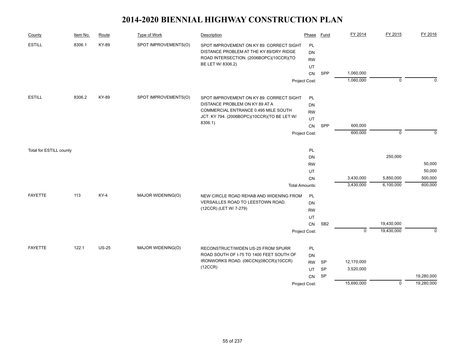| County                  | Item No. | Route        | Type of Work         | Description                                                            | Phase                 | Fund            | FY 2014     | FY 2015     | FY 2016     |
|-------------------------|----------|--------------|----------------------|------------------------------------------------------------------------|-----------------------|-----------------|-------------|-------------|-------------|
| <b>ESTILL</b>           | 8306.1   | KY-89        | SPOT IMPROVEMENTS(O) | SPOT IMPROVEMENT ON KY 89: CORRECT SIGHT                               | PL                    |                 |             |             |             |
|                         |          |              |                      | DISTANCE PROBLEM AT THE KY 89/DRY RIDGE                                | DN                    |                 |             |             |             |
|                         |          |              |                      | ROAD INTERSECTION. (2006BOPC)(10CCR)(TO                                | <b>RW</b>             |                 |             |             |             |
|                         |          |              |                      | BE LET W/ 8306.2)                                                      | UT                    |                 |             |             |             |
|                         |          |              |                      |                                                                        | CN                    | SPP             | 1,060,000   |             |             |
|                         |          |              |                      |                                                                        | Project Cost:         |                 | 1,060,000   | $\Omega$    | $\Omega$    |
|                         |          |              |                      |                                                                        |                       |                 |             |             |             |
| <b>ESTILL</b>           | 8306.2   | KY-89        | SPOT IMPROVEMENTS(O) | SPOT IMPROVEMENT ON KY 89: CORRECT SIGHT                               | PL                    |                 |             |             |             |
|                         |          |              |                      | DISTANCE PROBLEM ON KY 89 AT A<br>COMMERCIAL ENTRANCE 0.495 MILE SOUTH | DN                    |                 |             |             |             |
|                         |          |              |                      | JCT. KY 794. (2006BOPC)(10CCR)(TO BE LET W/                            | <b>RW</b>             |                 |             |             |             |
|                         |          |              |                      | 8306.1)                                                                | UT                    |                 |             |             |             |
|                         |          |              |                      |                                                                        | CN                    | SPP             | 600,000     |             |             |
|                         |          |              |                      |                                                                        | Project Cost:         |                 | 600,000     | $\mathbf 0$ | $\Omega$    |
|                         |          |              |                      |                                                                        | PL                    |                 |             |             |             |
| Total for ESTILL county |          |              |                      |                                                                        | DN                    |                 |             | 250,000     |             |
|                         |          |              |                      |                                                                        | <b>RW</b>             |                 |             |             | 50,000      |
|                         |          |              |                      |                                                                        |                       |                 |             |             | 50,000      |
|                         |          |              |                      |                                                                        | UT<br>CN              |                 | 3,430,000   | 5,850,000   | 500,000     |
|                         |          |              |                      |                                                                        | <b>Total Amounts:</b> |                 | 3,430,000   | 6,100,000   | 600,000     |
| <b>FAYETTE</b>          | 113      | <b>KY-4</b>  | MAJOR WIDENING(O)    | NEW CIRCLE ROAD REHAB AND WIDENING FROM                                | PL                    |                 |             |             |             |
|                         |          |              |                      | VERSAILLES ROAD TO LEESTOWN ROAD.                                      | DN                    |                 |             |             |             |
|                         |          |              |                      | (12CCR) (LET W/ 7-279)                                                 | <b>RW</b>             |                 |             |             |             |
|                         |          |              |                      |                                                                        | UT                    |                 |             |             |             |
|                         |          |              |                      |                                                                        | CN                    | SB <sub>2</sub> |             | 19,430,000  |             |
|                         |          |              |                      |                                                                        | Project Cost:         |                 | $\mathbf 0$ | 19,430,000  | $\mathbf 0$ |
|                         |          |              |                      |                                                                        |                       |                 |             |             |             |
| <b>FAYETTE</b>          | 122.1    | <b>US-25</b> | MAJOR WIDENING(O)    | RECONSTRUCT/WIDEN US-25 FROM SPURR                                     | PL                    |                 |             |             |             |
|                         |          |              |                      | ROAD SOUTH OF I-75 TO 1400 FEET SOUTH OF                               | <b>DN</b>             |                 |             |             |             |
|                         |          |              |                      | IRONWORKS ROAD. (06CCN)(08CCR)(10CCR)                                  | <b>RW</b>             | SP              | 12,170,000  |             |             |
|                         |          |              |                      | (12CCR)                                                                | UT                    | <b>SP</b>       | 3,520,000   |             |             |
|                         |          |              |                      |                                                                        | CN                    | SP              |             |             | 19,280,000  |
|                         |          |              |                      |                                                                        | Project Cost:         |                 | 15,690,000  | $\mathbf 0$ | 19,280,000  |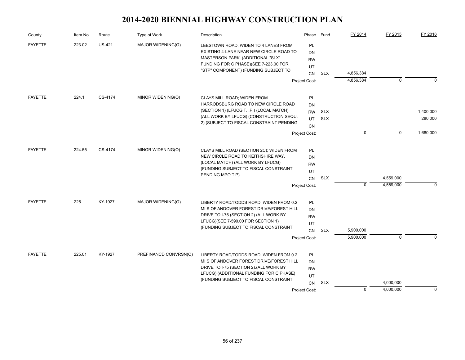| County         | Item No. | Route         | Type of Work          | Description                                                                     | Phase           | Fund       | FY 2014     | FY 2015     | FY 2016     |
|----------------|----------|---------------|-----------------------|---------------------------------------------------------------------------------|-----------------|------------|-------------|-------------|-------------|
| <b>FAYETTE</b> | 223.02   | <b>US-421</b> | MAJOR WIDENING(O)     | LEESTOWN ROAD; WIDEN TO 4 LANES FROM<br>EXISTING 4-LANE NEAR NEW CIRCLE ROAD TO | <b>PL</b><br>DN |            |             |             |             |
|                |          |               |                       | MASTERSON PARK. (ADDITIONAL "SLX"                                               | <b>RW</b>       |            |             |             |             |
|                |          |               |                       | FUNDING FOR C PHASE)(SEE 7-223.00 FOR                                           | UT              |            |             |             |             |
|                |          |               |                       | "STP" COMPONENT) (FUNDING SUBJECT TO                                            | <b>CN</b>       | <b>SLX</b> | 4,856,384   |             |             |
|                |          |               |                       |                                                                                 | Project Cost:   |            | 4,856,384   | $\mathbf 0$ | $\Omega$    |
| <b>FAYETTE</b> | 224.1    | CS-4174       | MINOR WIDENING(O)     |                                                                                 |                 |            |             |             |             |
|                |          |               |                       | CLAYS MILL ROAD; WIDEN FROM<br>HARRODSBURG ROAD TO NEW CIRCLE ROAD              | PL<br>DN        |            |             |             |             |
|                |          |               |                       | (SECTION 1) (LFUCG T.I.P.) (LOCAL MATCH)                                        | <b>RW</b>       | <b>SLX</b> |             |             | 1,400,000   |
|                |          |               |                       | (ALL WORK BY LFUCG) (CONSTRUCTION SEQU.                                         | UT              | <b>SLX</b> |             |             | 280,000     |
|                |          |               |                       | 2) (SUBJECT TO FISCAL CONSTRAINT PENDING                                        | CN              |            |             |             |             |
|                |          |               |                       |                                                                                 | Project Cost:   |            | $\mathbf 0$ | $\mathbf 0$ | 1,680,000   |
| <b>FAYETTE</b> | 224.55   | CS-4174       | MINOR WIDENING(O)     | CLAYS MILL ROAD (SECTION 2C); WIDEN FROM                                        | PL              |            |             |             |             |
|                |          |               |                       | NEW CIRCLE ROAD TO KEITHSHIRE WAY.                                              | DN              |            |             |             |             |
|                |          |               |                       | (LOCAL MATCH) (ALL WORK BY LFUCG)                                               | <b>RW</b>       |            |             |             |             |
|                |          |               |                       | (FUNDING SUBJECT TO FISCAL CONSTRAINT                                           | UT              |            |             |             |             |
|                |          |               |                       | PENDING MPO TIP).                                                               | CN              | <b>SLX</b> |             | 4,559,000   |             |
|                |          |               |                       |                                                                                 | Project Cost:   |            | $\mathbf 0$ | 4,559,000   | $\mathbf 0$ |
| <b>FAYETTE</b> | 225      | KY-1927       | MAJOR WIDENING(O)     | LIBERTY ROAD/TODDS ROAD; WIDEN FROM 0.2                                         | PL              |            |             |             |             |
|                |          |               |                       | MI S OF ANDOVER FOREST DRIVE/FOREST HILL                                        | DN              |            |             |             |             |
|                |          |               |                       | DRIVE TO I-75 (SECTION 2) (ALL WORK BY                                          | <b>RW</b>       |            |             |             |             |
|                |          |               |                       | LFUCG)(SEE 7-590.00 FOR SECTION 1)                                              | UT              |            |             |             |             |
|                |          |               |                       | (FUNDING SUBJECT TO FISCAL CONSTRAINT                                           | CN              | <b>SLX</b> | 5,900,000   |             |             |
|                |          |               |                       |                                                                                 | Project Cost:   |            | 5,900,000   | $\mathbf 0$ | n           |
| <b>FAYETTE</b> | 225.01   | KY-1927       | PREFINANCD CONVRSN(O) | LIBERTY ROAD/TODDS ROAD; WIDEN FROM 0.2                                         | <b>PL</b>       |            |             |             |             |
|                |          |               |                       | MIS OF ANDOVER FOREST DRIVE/FOREST HILL                                         | DN              |            |             |             |             |
|                |          |               |                       | DRIVE TO I-75 (SECTION 2). (ALL WORK BY                                         | <b>RW</b>       |            |             |             |             |
|                |          |               |                       | LFUCG) (ADDITIONAL FUNDING FOR C PHASE)                                         | UT              |            |             |             |             |
|                |          |               |                       | (FUNDING SUBJECT TO FISCAL CONSTRAINT                                           | <b>CN</b>       | <b>SLX</b> |             | 4,000,000   |             |
|                |          |               |                       |                                                                                 | Project Cost:   |            | $\mathbf 0$ | 4,000,000   | $\Omega$    |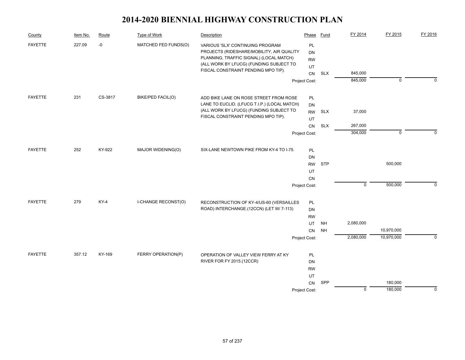| County         | Item No. | Route   | Type of Work         | Description                                                                                                              | Phase                        | Fund       | FY 2014     | FY 2015        | FY 2016     |
|----------------|----------|---------|----------------------|--------------------------------------------------------------------------------------------------------------------------|------------------------------|------------|-------------|----------------|-------------|
| <b>FAYETTE</b> | 227.09   | $-0$    | MATCHED FED FUNDS(O) | VARIOUS 'SLX' CONTINUING PROGRAM<br>PROJECTS (RIDESHARE/MOBILITY, AIR QUALITY<br>PLANNING, TRAFFIC SIGNAL) (LOCAL MATCH) | PL<br><b>DN</b><br><b>RW</b> |            |             |                |             |
|                |          |         |                      | (ALL WORK BY LFUCG) (FUNDING SUBJECT TO<br>FISCAL CONSTRAINT PENDING MPO TIP).                                           | UT                           |            |             |                |             |
|                |          |         |                      |                                                                                                                          | <b>CN</b>                    | <b>SLX</b> | 845,000     |                |             |
|                |          |         |                      |                                                                                                                          | Project Cost:                |            | 845,000     | $\overline{0}$ | $\Omega$    |
| <b>FAYETTE</b> | 231      | CS-3817 | BIKE/PED FACIL(O)    | ADD BIKE LANE ON ROSE STREET FROM ROSE                                                                                   | PL                           |            |             |                |             |
|                |          |         |                      | LANE TO EUCLID. (LFUCG T.I.P.) (LOCAL MATCH)                                                                             | <b>DN</b>                    |            |             |                |             |
|                |          |         |                      | (ALL WORK BY LFUCG) (FUNDING SUBJECT TO                                                                                  | <b>RW</b>                    | <b>SLX</b> | 37,000      |                |             |
|                |          |         |                      | FISCAL CONSTRAINT PENDING MPO TIP).                                                                                      | UT                           |            |             |                |             |
|                |          |         |                      |                                                                                                                          | <b>CN</b>                    | <b>SLX</b> | 267,000     |                |             |
|                |          |         |                      |                                                                                                                          | Project Cost:                |            | 304,000     | $\mathbf 0$    | $\Omega$    |
| <b>FAYETTE</b> | 252      | KY-922  | MAJOR WIDENING(O)    | SIX-LANE NEWTOWN PIKE FROM KY-4 TO I-75.                                                                                 | PL                           |            |             |                |             |
|                |          |         |                      |                                                                                                                          | <b>DN</b>                    |            |             |                |             |
|                |          |         |                      |                                                                                                                          | <b>RW</b>                    | <b>STP</b> |             | 500,000        |             |
|                |          |         |                      |                                                                                                                          | UT                           |            |             |                |             |
|                |          |         |                      |                                                                                                                          | CN                           |            |             |                |             |
|                |          |         |                      |                                                                                                                          | Project Cost:                |            | $\mathsf 0$ | 500,000        | $\mathbf 0$ |
| <b>FAYETTE</b> | 279      | KY-4    | I-CHANGE RECONST(O)  | RECONSTRUCTION OF KY-4/US-60 (VERSAILLES                                                                                 | PL                           |            |             |                |             |
|                |          |         |                      | ROAD) INTERCHANGE.(12CCN) (LET W/ 7-113)                                                                                 | DN                           |            |             |                |             |
|                |          |         |                      |                                                                                                                          | <b>RW</b>                    |            |             |                |             |
|                |          |         |                      |                                                                                                                          | UT                           | <b>NH</b>  | 2,080,000   |                |             |
|                |          |         |                      |                                                                                                                          | CN                           | <b>NH</b>  |             | 10,970,000     |             |
|                |          |         |                      |                                                                                                                          | Project Cost:                |            | 2,080,000   | 10,970,000     | $\mathbf 0$ |
| <b>FAYETTE</b> | 357.12   | KY-169  | FERRY OPERATION(P)   | OPERATION OF VALLEY VIEW FERRY AT KY                                                                                     | PL                           |            |             |                |             |
|                |          |         |                      | RIVER FOR FY 2015.(12CCR)                                                                                                | DN                           |            |             |                |             |
|                |          |         |                      |                                                                                                                          | <b>RW</b>                    |            |             |                |             |
|                |          |         |                      |                                                                                                                          | UT                           |            |             |                |             |
|                |          |         |                      |                                                                                                                          | CN                           | SPP        |             | 180,000        |             |
|                |          |         |                      |                                                                                                                          | Project Cost:                |            | $\mathbf 0$ | 180,000        | $\mathbf 0$ |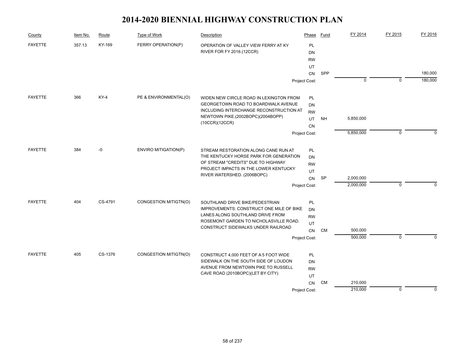| County         | Item No. | Route   | Type of Work          | Description                                         | Phase         | Fund      | FY 2014     | FY 2015        | FY 2016            |
|----------------|----------|---------|-----------------------|-----------------------------------------------------|---------------|-----------|-------------|----------------|--------------------|
| <b>FAYETTE</b> | 357.13   | KY-169  | FERRY OPERATION(P)    | OPERATION OF VALLEY VIEW FERRY AT KY                | PL            |           |             |                |                    |
|                |          |         |                       | RIVER FOR FY 2016.(12CCR)                           | <b>DN</b>     |           |             |                |                    |
|                |          |         |                       |                                                     | <b>RW</b>     |           |             |                |                    |
|                |          |         |                       |                                                     | UT            |           |             |                |                    |
|                |          |         |                       |                                                     | CN            | SPP       | $\mathbf 0$ | $\mathbf 0$    | 180,000<br>180,000 |
|                |          |         |                       |                                                     | Project Cost: |           |             |                |                    |
| <b>FAYETTE</b> | 366      | $KY-4$  | PE & ENVIRONMENTAL(O) | WIDEN NEW CIRCLE ROAD IN LEXINGTON FROM             | PL            |           |             |                |                    |
|                |          |         |                       | GEORGETOWN ROAD TO BOARDWALK AVENUE                 | DN            |           |             |                |                    |
|                |          |         |                       | INCLUDING INTERCHANGE RECONSTRUCTION AT             | <b>RW</b>     |           |             |                |                    |
|                |          |         |                       | NEWTOWN PIKE.(2002BOPC)(2004BOPP)<br>(10CCR)(12CCR) | UT            | NΗ        | 5,850,000   |                |                    |
|                |          |         |                       |                                                     | CN            |           |             |                |                    |
|                |          |         |                       |                                                     | Project Cost: |           | 5,850,000   | $\mathbf 0$    | $\Omega$           |
| <b>FAYETTE</b> | 384      | -0      | ENVIRO MITIGATION(P)  | STREAM RESTORATION ALONG CANE RUN AT                | PL            |           |             |                |                    |
|                |          |         |                       | THE KENTUCKY HORSE PARK FOR GENERATION              | DN            |           |             |                |                    |
|                |          |         |                       | OF STREAM "CREDITS" DUE TO HIGHWAY                  | <b>RW</b>     |           |             |                |                    |
|                |          |         |                       | PROJECT IMPACTS IN THE LOWER KENTUCKY               | UT            |           |             |                |                    |
|                |          |         |                       | RIVER WATERSHED. (2006BOPC)                         | CN            | <b>SP</b> | 2,000,000   |                |                    |
|                |          |         |                       |                                                     | Project Cost: |           | 2,000,000   | $\mathbf 0$    | $\Omega$           |
| <b>FAYETTE</b> | 404      | CS-4791 | CONGESTION MITIGTN(O) | SOUTHLAND DRIVE BIKE/PEDESTRIAN                     | PL            |           |             |                |                    |
|                |          |         |                       | IMPROVEMENTS: CONSTRUCT ONE MILE OF BIKE            | DN            |           |             |                |                    |
|                |          |         |                       | LANES ALONG SOUTHLAND DRIVE FROM                    | <b>RW</b>     |           |             |                |                    |
|                |          |         |                       | ROSEMONT GARDEN TO NICHOLASVILLE ROAD.              | UT            |           |             |                |                    |
|                |          |         |                       | CONSTRUCT SIDEWALKS UNDER RAILROAD                  | CN            | <b>CM</b> | 500,000     |                |                    |
|                |          |         |                       |                                                     | Project Cost: |           | 500,000     | $\overline{0}$ | $\Omega$           |
| <b>FAYETTE</b> | 405      | CS-1376 | CONGESTION MITIGTN(O) | CONSTRUCT 4,000 FEET OF A 5 FOOT WIDE               | <b>PL</b>     |           |             |                |                    |
|                |          |         |                       | SIDEWALK ON THE SOUTH SIDE OF LOUDON                | DN            |           |             |                |                    |
|                |          |         |                       | AVENUE FROM NEWTOWN PIKE TO RUSSELL                 | <b>RW</b>     |           |             |                |                    |
|                |          |         |                       | CAVE ROAD (2010BOPC)(LET BY CITY)                   | UT            |           |             |                |                    |
|                |          |         |                       |                                                     | CN            | CM        | 210,000     |                |                    |
|                |          |         |                       |                                                     | Project Cost: |           | 210,000     | $\mathbf 0$    | $\Omega$           |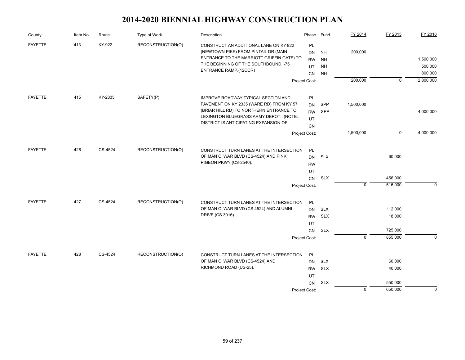| County         | Item No. | Route   | Type of Work      | Description                                                                                                                                                                                                   | Phase                                                            | <b>Fund</b>                                      | FY 2014        | FY 2015                                 | FY 2016                         |
|----------------|----------|---------|-------------------|---------------------------------------------------------------------------------------------------------------------------------------------------------------------------------------------------------------|------------------------------------------------------------------|--------------------------------------------------|----------------|-----------------------------------------|---------------------------------|
| <b>FAYETTE</b> | 413      | KY-922  | RECONSTRUCTION(O) | CONSTRUCT AN ADDITIONAL LANE ON KY 922<br>(NEWTOWN PIKE) FROM PINTAIL DR (MAIN<br>ENTRANCE TO THE MARRIOTT GRIFFIN GATE) TO<br>THE BEGINNING OF THE SOUTHBOUND I-75<br>ENTRANCE RAMP.(12CCR)                  | <b>PL</b><br><b>DN</b><br><b>RW</b><br>UT<br>CN                  | <b>NH</b><br><b>NH</b><br><b>NH</b><br><b>NH</b> | 200,000        |                                         | 1,500,000<br>500,000<br>800,000 |
|                |          |         |                   |                                                                                                                                                                                                               | Project Cost:                                                    |                                                  | 200,000        | $\mathbf 0$                             | 2,800,000                       |
| <b>FAYETTE</b> | 415      | KY-2335 | SAFETY(P)         | IMPROVE ROADWAY TYPICAL SECTION AND<br>PAVEMENT ON KY 2335 (WARE RD) FROM KY 57<br>(BRIAR HILL RD) TO NORTHERN ENTRANCE TO<br>LEXINGTON BLUEGRASS ARMY DEPOT. (NOTE:<br>DISTRICT IS ANTICIPATING EXPANSION OF | PL<br><b>DN</b><br>RW<br>UT<br>CN                                | SPP<br>SPP                                       | 1,500,000      |                                         | 4,000,000                       |
|                |          |         |                   |                                                                                                                                                                                                               | Project Cost:                                                    |                                                  | 1,500,000      | $\mathsf 0$                             | 4,000,000                       |
| <b>FAYETTE</b> | 426      | CS-4524 | RECONSTRUCTION(O) | CONSTRUCT TURN LANES AT THE INTERSECTION<br>OF MAN O' WAR BLVD (CS-4524) AND PINK<br>PIGEON PKWY (CS-2540).                                                                                                   | PL<br><b>DN</b><br><b>RW</b><br>UT<br><b>CN</b><br>Project Cost: | <b>SLX</b><br><b>SLX</b>                         | $\mathbf 0$    | 60,000<br>456,000<br>516,000            | $\mathbf 0$                     |
| <b>FAYETTE</b> | 427      | CS-4524 | RECONSTRUCTION(O) | CONSTRUCT TURN LANES AT THE INTERSECTION<br>OF MAN O' WAR BLVD (CS 4524) AND ALUMNI<br>DRIVE (CS 3016).                                                                                                       | PL<br><b>DN</b><br><b>RW</b><br>UT<br>CN<br>Project Cost:        | <b>SLX</b><br><b>SLX</b><br><b>SLX</b>           | $\overline{0}$ | 112,000<br>18,000<br>725,000<br>855,000 | $\Omega$                        |
| <b>FAYETTE</b> | 428      | CS-4524 | RECONSTRUCTION(O) | CONSTRUCT TURN LANES AT THE INTERSECTION<br>OF MAN O' WAR BLVD (CS-4524) AND<br>RICHMOND ROAD (US-25).                                                                                                        | <b>PL</b><br><b>DN</b><br><b>RW</b><br>UT<br>CN<br>Project Cost: | <b>SLX</b><br><b>SLX</b><br><b>SLX</b>           | $\mathbf 0$    | 60,000<br>40,000<br>550,000<br>650,000  | $\Omega$                        |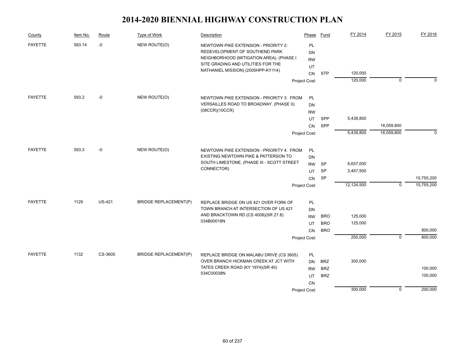| County         | Item No. | Route         | Type of Work                 | Description                                                                                                        | Phase                 | Fund       | FY 2014    | FY 2015        | FY 2016    |
|----------------|----------|---------------|------------------------------|--------------------------------------------------------------------------------------------------------------------|-----------------------|------------|------------|----------------|------------|
| <b>FAYETTE</b> | 593.14   | $-0$          | NEW ROUTE(O)                 | NEWTOWN PIKE EXTENSION - PRIORITY 2:<br>REDEVELOPMENT OF SOUTHEND PARK<br>NEIGHBORHOOD (MITIGATION AREA). (PHASE I | PL<br>DN<br><b>RW</b> |            |            |                |            |
|                |          |               |                              | SITE GRADING AND UTILITIES FOR THE<br>NATHANIEL MISSION) (2005HPP-KY114)                                           | UT                    |            |            |                |            |
|                |          |               |                              |                                                                                                                    | <b>CN</b>             | <b>STP</b> | 120,000    |                |            |
|                |          |               |                              |                                                                                                                    | Project Cost:         |            | 120,000    | $\mathbf 0$    | $\Omega$   |
| <b>FAYETTE</b> | 593.2    | -0            | NEW ROUTE(O)                 | NEWTOWN PIKE EXTENSION - PRIORITY 3: FROM                                                                          | PL                    |            |            |                |            |
|                |          |               |                              | VERSAILLES ROAD TO BROADWAY. (PHASE II)                                                                            | <b>DN</b>             |            |            |                |            |
|                |          |               |                              | (08CCR)(10CCR)                                                                                                     | <b>RW</b>             |            |            |                |            |
|                |          |               |                              |                                                                                                                    | UT                    | SPP        | 5,439,800  |                |            |
|                |          |               |                              |                                                                                                                    | CN                    | SPP        |            | 16,059,800     |            |
|                |          |               |                              |                                                                                                                    | Project Cost:         |            | 5,439,800  | 16,059,800     | $\Omega$   |
| <b>FAYETTE</b> | 593.3    | $-0$          | NEW ROUTE(O)                 | NEWTOWN PIKE EXTENSION - PRIORITY 4: FROM                                                                          | PL                    |            |            |                |            |
|                |          |               |                              | EXISTING NEWTOWN PIKE & PATTERSON TO                                                                               | <b>DN</b>             |            |            |                |            |
|                |          |               |                              | SOUTH LIMESTONE. (PHASE III - SCOTT STREET                                                                         | <b>RW</b>             | <b>SP</b>  | 8,657,000  |                |            |
|                |          |               |                              | CONNECTOR)                                                                                                         | UT                    | <b>SP</b>  | 3,467,500  |                |            |
|                |          |               |                              |                                                                                                                    | CN                    | SP         |            |                | 10,755,200 |
|                |          |               |                              |                                                                                                                    | Project Cost:         |            | 12,124,500 | $\mathbf 0$    | 10,755,200 |
| <b>FAYETTE</b> | 1129     | <b>US-421</b> | <b>BRIDGE REPLACEMENT(P)</b> | REPLACE BRIDGE ON US 421 OVER FORK OF                                                                              | PL                    |            |            |                |            |
|                |          |               |                              | TOWN BRANCH AT INTERSECTION OF US 421                                                                              | DN                    |            |            |                |            |
|                |          |               |                              | AND BRACKTOWN RD (CS 4008)(SR 27.8)                                                                                | <b>RW</b>             | <b>BRO</b> | 125,000    |                |            |
|                |          |               |                              | 034B00018N                                                                                                         | UT                    | <b>BRO</b> | 125,000    |                |            |
|                |          |               |                              |                                                                                                                    | <b>CN</b>             | <b>BRO</b> |            |                | 800,000    |
|                |          |               |                              |                                                                                                                    | Project Cost:         |            | 250,000    | $\overline{0}$ | 800,000    |
| <b>FAYETTE</b> | 1132     | CS-3605       | <b>BRIDGE REPLACEMENT(P)</b> | REPLACE BRIDGE ON MALABU DRIVE (CS 3605)                                                                           | PL                    |            |            |                |            |
|                |          |               |                              | OVER BRANCH HICKMAN CREEK AT JCT WITH                                                                              | <b>DN</b>             | <b>BRZ</b> | 300,000    |                |            |
|                |          |               |                              | TATES CREEK ROAD (KY 1974)(SR 40)                                                                                  | <b>RW</b>             | <b>BRZ</b> |            |                | 100,000    |
|                |          |               |                              | 034C00038N                                                                                                         | UT                    | <b>BRZ</b> |            |                | 100,000    |
|                |          |               |                              |                                                                                                                    | CN                    |            |            |                |            |
|                |          |               |                              |                                                                                                                    | Project Cost:         |            | 300,000    | 0              | 200,000    |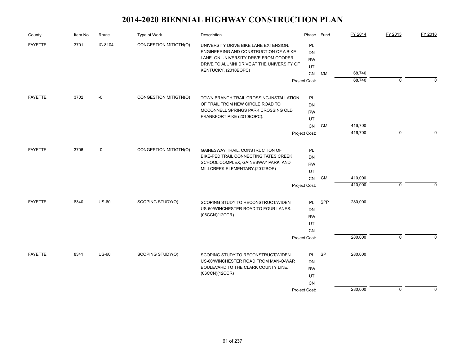| County         | Item No. | Route        | Type of Work          | Description                                                                     | Phase           | Fund      | FY 2014 | FY 2015     | FY 2016  |
|----------------|----------|--------------|-----------------------|---------------------------------------------------------------------------------|-----------------|-----------|---------|-------------|----------|
| <b>FAYETTE</b> | 3701     | IC-8104      | CONGESTION MITIGTN(O) | UNIVERSITY DRIVE BIKE LANE EXTENSION:<br>ENGINEERING AND CONSTRUCTION OF A BIKE | PL<br><b>DN</b> |           |         |             |          |
|                |          |              |                       | LANE ON UNIVERSITY DRIVE FROM COOPER                                            | <b>RW</b>       |           |         |             |          |
|                |          |              |                       | DRIVE TO ALUMNI DRIVE AT THE UNIVERSITY OF<br>KENTUCKY. (2010BOPC)              | UT              |           |         |             |          |
|                |          |              |                       |                                                                                 | CN              | <b>CM</b> | 68,740  |             |          |
|                |          |              |                       |                                                                                 | Project Cost:   |           | 68,740  | $\mathbf 0$ | $\Omega$ |
| <b>FAYETTE</b> | 3702     | $-0$         | CONGESTION MITIGTN(O) | TOWN BRANCH TRAIL CROSSING-INSTALLATION                                         | PL              |           |         |             |          |
|                |          |              |                       | OF TRAIL FROM NEW CIRCLE ROAD TO                                                | <b>DN</b>       |           |         |             |          |
|                |          |              |                       | MCCONNELL SPRINGS PARK CROSSING OLD                                             | <b>RW</b>       |           |         |             |          |
|                |          |              |                       | FRANKFORT PIKE (2010BOPC).                                                      | UT              |           |         |             |          |
|                |          |              |                       |                                                                                 | CN              | <b>CM</b> | 416,700 |             |          |
|                |          |              |                       |                                                                                 | Project Cost:   |           | 416,700 | 0           | $\Omega$ |
| <b>FAYETTE</b> | 3706     | $-0$         | CONGESTION MITIGTN(O) | GAINESWAY TRAIL. CONSTRUCTION OF                                                | PL              |           |         |             |          |
|                |          |              |                       | BIKE-PED TRAIL CONNECTING TATES CREEK                                           | <b>DN</b>       |           |         |             |          |
|                |          |              |                       | SCHOOL COMPLEX, GAINESWAY PARK, AND                                             | <b>RW</b>       |           |         |             |          |
|                |          |              |                       | MILLCREEK ELEMENTARY.(2012BOP)                                                  | UT              |           |         |             |          |
|                |          |              |                       |                                                                                 | CN              | <b>CM</b> | 410,000 |             |          |
|                |          |              |                       |                                                                                 | Project Cost:   |           | 410,000 | 0           | $\Omega$ |
| <b>FAYETTE</b> | 8340     | <b>US-60</b> | SCOPING STUDY(O)      | SCOPING STUDY TO RECONSTRUCT/WIDEN                                              | <b>PL</b>       | SPP       | 280,000 |             |          |
|                |          |              |                       | US-60/WINCHESTER ROAD TO FOUR LANES.                                            | <b>DN</b>       |           |         |             |          |
|                |          |              |                       | (06CCN)(12CCR)                                                                  | <b>RW</b>       |           |         |             |          |
|                |          |              |                       |                                                                                 | UT              |           |         |             |          |
|                |          |              |                       |                                                                                 | CN              |           |         |             |          |
|                |          |              |                       |                                                                                 | Project Cost:   |           | 280,000 | $\mathbf 0$ | $\Omega$ |
| <b>FAYETTE</b> | 8341     | <b>US-60</b> | SCOPING STUDY(O)      | SCOPING STUDY TO RECONSTRUCT/WIDEN                                              | PL              | SP        | 280,000 |             |          |
|                |          |              |                       | US-60/WINCHESTER ROAD FROM MAN-O-WAR                                            | DN              |           |         |             |          |
|                |          |              |                       | BOULEVARD TO THE CLARK COUNTY LINE.                                             | <b>RW</b>       |           |         |             |          |
|                |          |              |                       | (06CCN)(12CCR)                                                                  | UT              |           |         |             |          |
|                |          |              |                       |                                                                                 | CN              |           |         |             |          |
|                |          |              |                       |                                                                                 | Project Cost:   |           | 280,000 | 0           | 0        |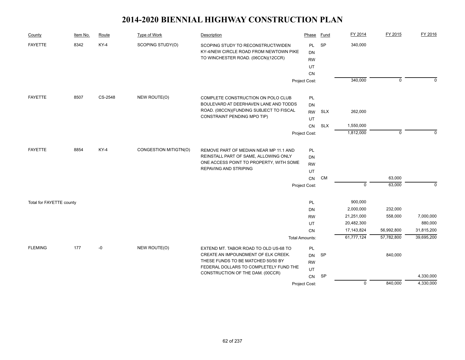| County                   | Item No. | Route   | <b>Type of Work</b>   | Description                                                                                                        | Phase                               | <b>Fund</b> | FY 2014        | FY 2015     | FY 2016    |
|--------------------------|----------|---------|-----------------------|--------------------------------------------------------------------------------------------------------------------|-------------------------------------|-------------|----------------|-------------|------------|
| <b>FAYETTE</b>           | 8342     | $KY-4$  | SCOPING STUDY(O)      | SCOPING STUDY TO RECONSTRUCT/WIDEN<br>KY-4/NEW CIRCLE ROAD FROM NEWTOWN PIKE<br>TO WINCHESTER ROAD. (06CCN)(12CCR) | <b>PL</b><br><b>DN</b><br><b>RW</b> | <b>SP</b>   | 340,000        |             |            |
|                          |          |         |                       |                                                                                                                    | UT                                  |             |                |             |            |
|                          |          |         |                       |                                                                                                                    | CN                                  |             |                |             |            |
|                          |          |         |                       |                                                                                                                    | Project Cost:                       |             | 340,000        | $\mathbf 0$ | $\Omega$   |
| <b>FAYETTE</b>           | 8507     | CS-2548 | NEW ROUTE(O)          | COMPLETE CONSTRUCTION ON POLO CLUB                                                                                 | PL                                  |             |                |             |            |
|                          |          |         |                       | BOULEVARD AT DEERHAVEN LANE AND TODDS                                                                              | DN                                  |             |                |             |            |
|                          |          |         |                       | ROAD. (08CCN)(FUNDING SUBJECT TO FISCAL                                                                            | <b>RW</b>                           | <b>SLX</b>  | 262,000        |             |            |
|                          |          |         |                       | CONSTRAINT PENDING MPO TIP)                                                                                        | UT                                  |             |                |             |            |
|                          |          |         |                       |                                                                                                                    | CN                                  | <b>SLX</b>  | 1,550,000      |             |            |
|                          |          |         |                       |                                                                                                                    | Project Cost:                       |             | 1,812,000      | $\mathbf 0$ | $\Omega$   |
| <b>FAYETTE</b>           | 8854     | $KY-4$  | CONGESTION MITIGTN(O) |                                                                                                                    |                                     |             |                |             |            |
|                          |          |         |                       | REMOVE PART OF MEDIAN NEAR MP 11.1 AND<br>REINSTALL PART OF SAME, ALLOWING ONLY                                    | PL<br>DN                            |             |                |             |            |
|                          |          |         |                       | ONE ACCESS POINT TO PROPERTY, WITH SOME                                                                            | <b>RW</b>                           |             |                |             |            |
|                          |          |         |                       | REPAVING AND STRIPING                                                                                              | UT                                  |             |                |             |            |
|                          |          |         |                       |                                                                                                                    | CN                                  | <b>CM</b>   |                | 63,000      |            |
|                          |          |         |                       |                                                                                                                    | Project Cost:                       |             | $\mathbf 0$    | 63,000      | $\Omega$   |
| Total for FAYETTE county |          |         |                       |                                                                                                                    | PL                                  |             | 900,000        |             |            |
|                          |          |         |                       |                                                                                                                    | DN                                  |             | 2,000,000      | 232,000     |            |
|                          |          |         |                       |                                                                                                                    | <b>RW</b>                           |             | 21,251,000     | 558,000     | 7,000,000  |
|                          |          |         |                       |                                                                                                                    | UT                                  |             | 20,482,300     |             | 880,000    |
|                          |          |         |                       |                                                                                                                    | <b>CN</b>                           |             | 17,143,824     | 56,992,800  | 31,815,200 |
|                          |          |         |                       |                                                                                                                    | <b>Total Amounts:</b>               |             | 61,777,124     | 57,782,800  | 39,695,200 |
| <b>FLEMING</b>           | 177      | -0      | NEW ROUTE(O)          | EXTEND MT. TABOR ROAD TO OLD US-68 TO                                                                              | PL                                  |             |                |             |            |
|                          |          |         |                       | CREATE AN IMPOUNDMENT OF ELK CREEK.                                                                                | <b>DN</b>                           | <b>SP</b>   |                | 840,000     |            |
|                          |          |         |                       | THESE FUNDS TO BE MATCHED 50/50 BY<br>FEDERAL DOLLARS TO COMPLETELY FUND THE                                       | <b>RW</b>                           |             |                |             |            |
|                          |          |         |                       | CONSTRUCTION OF THE DAM. (00CCR)                                                                                   | UT                                  |             |                |             |            |
|                          |          |         |                       |                                                                                                                    | CN                                  | SP          |                |             | 4,330,000  |
|                          |          |         |                       |                                                                                                                    | Project Cost:                       |             | $\overline{0}$ | 840,000     | 4,330,000  |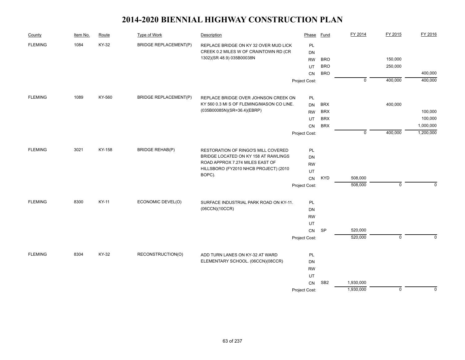| County         | Item No. | Route  | Type of Work                 | Description                                                                 | Phase           | Fund            | FY 2014        | FY 2015        | FY 2016   |
|----------------|----------|--------|------------------------------|-----------------------------------------------------------------------------|-----------------|-----------------|----------------|----------------|-----------|
| <b>FLEMING</b> | 1084     | KY-32  | <b>BRIDGE REPLACEMENT(P)</b> | REPLACE BRIDGE ON KY 32 OVER MUD LICK                                       | <b>PL</b>       |                 |                |                |           |
|                |          |        |                              | CREEK 0.2 MILES W OF CRAINTOWN RD (CR                                       | DN              |                 |                |                |           |
|                |          |        |                              | 1302)(SR 48.9) 035B00038N                                                   | <b>RW</b>       | <b>BRO</b>      |                | 150,000        |           |
|                |          |        |                              |                                                                             | UT              | <b>BRO</b>      |                | 250,000        |           |
|                |          |        |                              |                                                                             | <b>CN</b>       | <b>BRO</b>      |                |                | 400,000   |
|                |          |        |                              |                                                                             | Project Cost:   |                 | $\overline{0}$ | 400,000        | 400,000   |
| <b>FLEMING</b> | 1089     | KY-560 | <b>BRIDGE REPLACEMENT(P)</b> | REPLACE BRIDGE OVER JOHNSON CREEK ON                                        | PL              |                 |                |                |           |
|                |          |        |                              | KY 560 0.3 MI S OF FLEMING/MASON CO LINE.                                   | <b>DN</b>       | <b>BRX</b>      |                | 400,000        |           |
|                |          |        |                              | (035B00085N)(SR=36.4)(EBRP)                                                 | <b>RW</b>       | <b>BRX</b>      |                |                | 100,000   |
|                |          |        |                              |                                                                             | UT              | <b>BRX</b>      |                |                | 100,000   |
|                |          |        |                              |                                                                             | CN              | <b>BRX</b>      |                |                | 1,000,000 |
|                |          |        |                              |                                                                             | Project Cost:   |                 | $\mathbf 0$    | 400,000        | 1,200,000 |
| <b>FLEMING</b> | 3021     | KY-158 | <b>BRIDGE REHAB(P)</b>       |                                                                             |                 |                 |                |                |           |
|                |          |        |                              | RESTORATION OF RINGO'S MILL COVERED<br>BRIDGE LOCATED ON KY 158 AT RAWLINGS | PL<br><b>DN</b> |                 |                |                |           |
|                |          |        |                              | ROAD APPROX 7.274 MILES EAST OF                                             | <b>RW</b>       |                 |                |                |           |
|                |          |        |                              | HILLSBORO (FY2010 NHCB PROJECT) (2010                                       | UT              |                 |                |                |           |
|                |          |        |                              | BOPC).                                                                      | CN              | <b>KYD</b>      | 508,000        |                |           |
|                |          |        |                              |                                                                             | Project Cost:   |                 | 508,000        | $\mathbf 0$    | 0         |
|                |          |        |                              |                                                                             |                 |                 |                |                |           |
| <b>FLEMING</b> | 8300     | KY-11  | ECONOMIC DEVEL(O)            | SURFACE INDUSTRIAL PARK ROAD ON KY-11.                                      | PL              |                 |                |                |           |
|                |          |        |                              | (06CCN)(10CCR)                                                              | <b>DN</b>       |                 |                |                |           |
|                |          |        |                              |                                                                             | <b>RW</b>       |                 |                |                |           |
|                |          |        |                              |                                                                             | UT              |                 |                |                |           |
|                |          |        |                              |                                                                             | CN              | <b>SP</b>       | 520,000        |                |           |
|                |          |        |                              |                                                                             | Project Cost:   |                 | 520,000        | $\overline{0}$ | $\Omega$  |
| <b>FLEMING</b> | 8304     | KY-32  | RECONSTRUCTION(O)            | ADD TURN LANES ON KY-32 AT WARD                                             | PL              |                 |                |                |           |
|                |          |        |                              | ELEMENTARY SCHOOL. (06CCN)(08CCR)                                           | <b>DN</b>       |                 |                |                |           |
|                |          |        |                              |                                                                             | <b>RW</b>       |                 |                |                |           |
|                |          |        |                              |                                                                             | UT              |                 |                |                |           |
|                |          |        |                              |                                                                             | CN              | SB <sub>2</sub> | 1,930,000      |                |           |
|                |          |        |                              |                                                                             | Project Cost:   |                 | 1,930,000      | $\mathbf 0$    | 0         |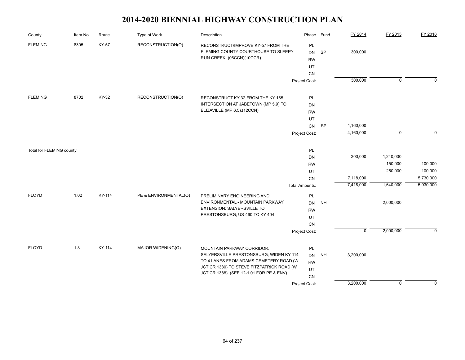| County                   | Item No. | Route  | <b>Type of Work</b>   | Description                                                                                            | Phase                              | <b>Fund</b> | FY 2014     | FY 2015        | FY 2016        |
|--------------------------|----------|--------|-----------------------|--------------------------------------------------------------------------------------------------------|------------------------------------|-------------|-------------|----------------|----------------|
| <b>FLEMING</b>           | 8305     | KY-57  | RECONSTRUCTION(O)     | RECONSTRUCT/IMPROVE KY-57 FROM THE<br>FLEMING COUNTY COURTHOUSE TO SLEEPY<br>RUN CREEK. (06CCN)(10CCR) | PL<br><b>DN</b><br><b>RW</b><br>UT | <b>SP</b>   | 300,000     |                |                |
|                          |          |        |                       |                                                                                                        | CN                                 |             |             |                |                |
|                          |          |        |                       |                                                                                                        | Project Cost:                      |             | 300,000     | $\overline{0}$ | $\overline{0}$ |
| <b>FLEMING</b>           | 8702     | KY-32  | RECONSTRUCTION(O)     | RECONSTRUCT KY 32 FROM THE KY 165                                                                      | <b>PL</b>                          |             |             |                |                |
|                          |          |        |                       | INTERSECTION AT JABETOWN (MP 5.9) TO                                                                   | DN                                 |             |             |                |                |
|                          |          |        |                       | ELIZAVILLE (MP 6.5).(12CCN)                                                                            | <b>RW</b>                          |             |             |                |                |
|                          |          |        |                       |                                                                                                        | UT                                 |             |             |                |                |
|                          |          |        |                       |                                                                                                        | CN                                 | SP          | 4,160,000   |                |                |
|                          |          |        |                       |                                                                                                        | Project Cost:                      |             | 4,160,000   | $\mathbf 0$    | $\mathbf 0$    |
| Total for FLEMING county |          |        |                       |                                                                                                        | PL                                 |             |             |                |                |
|                          |          |        |                       |                                                                                                        | DN                                 |             | 300,000     | 1,240,000      |                |
|                          |          |        |                       |                                                                                                        | <b>RW</b>                          |             |             | 150,000        | 100,000        |
|                          |          |        |                       |                                                                                                        | UT                                 |             |             | 250,000        | 100,000        |
|                          |          |        |                       |                                                                                                        | <b>CN</b>                          |             | 7,118,000   |                | 5,730,000      |
|                          |          |        |                       |                                                                                                        | <b>Total Amounts:</b>              |             | 7,418,000   | 1,640,000      | 5,930,000      |
| <b>FLOYD</b>             | 1.02     | KY-114 | PE & ENVIRONMENTAL(O) | PRELIMINARY ENGINEERING AND                                                                            | PL                                 |             |             |                |                |
|                          |          |        |                       | ENVIRONMENTAL - MOUNTAIN PARKWAY<br><b>EXTENSION: SALYERSVILLE TO</b>                                  | <b>DN</b>                          | <b>NH</b>   |             | 2,000,000      |                |
|                          |          |        |                       | PRESTONSBURG; US-460 TO KY 404                                                                         | <b>RW</b>                          |             |             |                |                |
|                          |          |        |                       |                                                                                                        | UT<br>CN                           |             |             |                |                |
|                          |          |        |                       |                                                                                                        | Project Cost:                      |             | $\mathsf 0$ | 2,000,000      | $\mathbf 0$    |
|                          |          |        |                       |                                                                                                        |                                    |             |             |                |                |
| <b>FLOYD</b>             | 1.3      | KY-114 | MAJOR WIDENING(O)     | MOUNTAIN PARKWAY CORRIDOR:                                                                             | PL                                 |             |             |                |                |
|                          |          |        |                       | SALYERSVILLE-PRESTONSBURG; WIDEN KY 114                                                                | <b>DN</b>                          | <b>NH</b>   | 3,200,000   |                |                |
|                          |          |        |                       | TO 4 LANES FROM ADAMS CEMETERY ROAD (W                                                                 | <b>RW</b>                          |             |             |                |                |
|                          |          |        |                       | JCT CR 1380) TO STEVE FITZPATRICK ROAD (W<br>JCT CR 1388). (SEE 12-1.01 FOR PE & ENV)                  | UT                                 |             |             |                |                |
|                          |          |        |                       |                                                                                                        | CN                                 |             |             |                |                |
|                          |          |        |                       |                                                                                                        | Project Cost:                      |             | 3,200,000   | $\overline{0}$ | $\mathbf 0$    |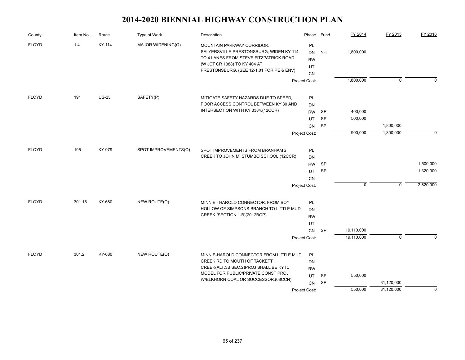| County       | Item No. | Route        | <b>Type of Work</b>  | Description                                                                                                                                                                                        | Phase                             | Fund      | FY 2014     | FY 2015        | FY 2016     |
|--------------|----------|--------------|----------------------|----------------------------------------------------------------------------------------------------------------------------------------------------------------------------------------------------|-----------------------------------|-----------|-------------|----------------|-------------|
| <b>FLOYD</b> | 1.4      | KY-114       | MAJOR WIDENING(O)    | <b>MOUNTAIN PARKWAY CORRIDOR:</b><br>SALYERSVILLE-PRESTONSBURG; WIDEN KY 114<br>TO 4 LANES FROM STEVE FITZPATRICK ROAD<br>(W JCT CR 1388) TO KY 404 AT<br>PRESTONSBURG. (SEE 12-1.01 FOR PE & ENV) | PL<br>DN<br><b>RW</b><br>UT<br>CN | <b>NH</b> | 1,800,000   |                |             |
|              |          |              |                      |                                                                                                                                                                                                    | Project Cost:                     |           | 1,800,000   | $\mathbf 0$    | $\Omega$    |
| <b>FLOYD</b> | 191      | <b>US-23</b> | SAFETY(P)            | MITIGATE SAFETY HAZARDS DUE TO SPEED,                                                                                                                                                              | PL                                |           |             |                |             |
|              |          |              |                      | POOR ACCESS CONTROL BETWEEN KY 80 AND                                                                                                                                                              | DN                                |           |             |                |             |
|              |          |              |                      | INTERSECTION WITH KY 3384.(12CCR)                                                                                                                                                                  | <b>RW</b>                         | SP        | 400,000     |                |             |
|              |          |              |                      |                                                                                                                                                                                                    | UT                                | SP        | 500,000     |                |             |
|              |          |              |                      |                                                                                                                                                                                                    | CN                                | <b>SP</b> |             | 1,800,000      |             |
|              |          |              |                      |                                                                                                                                                                                                    | Project Cost:                     |           | 900,000     | 1,800,000      | $\mathbf 0$ |
| <b>FLOYD</b> | 195      | KY-979       | SPOT IMPROVEMENTS(O) | SPOT IMPROVEMENTS FROM BRANHAM'S                                                                                                                                                                   | PL                                |           |             |                |             |
|              |          |              |                      | CREEK TO JOHN M. STUMBO SCHOOL.(12CCR)                                                                                                                                                             | DN                                |           |             |                |             |
|              |          |              |                      |                                                                                                                                                                                                    | <b>RW</b>                         | SP        |             |                | 1,500,000   |
|              |          |              |                      |                                                                                                                                                                                                    | UT                                | SP        |             |                | 1,320,000   |
|              |          |              |                      |                                                                                                                                                                                                    | CN                                |           |             |                |             |
|              |          |              |                      |                                                                                                                                                                                                    | Project Cost:                     |           | $\mathbf 0$ | $\overline{0}$ | 2,820,000   |
|              | 301.15   | KY-680       |                      |                                                                                                                                                                                                    |                                   |           |             |                |             |
| <b>FLOYD</b> |          |              | NEW ROUTE(O)         | MINNIE - HAROLD CONNECTOR; FROM BOY<br>HOLLOW OF SIMPSONS BRANCH TO LITTLE MUD                                                                                                                     | PL<br>DN                          |           |             |                |             |
|              |          |              |                      | CREEK (SECTION 1-B)(2012BOP)                                                                                                                                                                       | <b>RW</b>                         |           |             |                |             |
|              |          |              |                      |                                                                                                                                                                                                    | UT                                |           |             |                |             |
|              |          |              |                      |                                                                                                                                                                                                    | CN                                | <b>SP</b> | 19,110,000  |                |             |
|              |          |              |                      |                                                                                                                                                                                                    | Project Cost:                     |           | 19,110,000  | $\mathbf 0$    | $\Omega$    |
|              |          |              |                      |                                                                                                                                                                                                    |                                   |           |             |                |             |
| <b>FLOYD</b> | 301.2    | KY-680       | NEW ROUTE(O)         | MINNIE-HAROLD CONNECTOR; FROM LITTLE MUD<br>CREEK RD TO MOUTH OF TACKETT                                                                                                                           | <b>PL</b><br><b>DN</b>            |           |             |                |             |
|              |          |              |                      | CREEK(ALT.3B SEC.2)PROJ SHALL BE KYTC                                                                                                                                                              | <b>RW</b>                         |           |             |                |             |
|              |          |              |                      | MODEL FOR PUBLIC/PRIVATE CONST PROJ                                                                                                                                                                | UT                                | <b>SP</b> | 550,000     |                |             |
|              |          |              |                      | W/ELKHORN COAL OR SUCCESSOR.(08CCN)                                                                                                                                                                | CN                                | <b>SP</b> |             | 31,120,000     |             |
|              |          |              |                      |                                                                                                                                                                                                    | Project Cost:                     |           | 550,000     | 31,120,000     | $\Omega$    |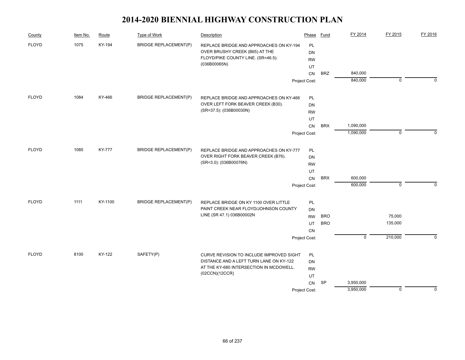| County       | Item No. | Route         | Type of Work                 | Description                                                                                                     | Phase                        | Fund       | FY 2014                | FY 2015     | FY 2016     |
|--------------|----------|---------------|------------------------------|-----------------------------------------------------------------------------------------------------------------|------------------------------|------------|------------------------|-------------|-------------|
| <b>FLOYD</b> | 1075     | KY-194        | <b>BRIDGE REPLACEMENT(P)</b> | REPLACE BRIDGE AND APPROACHES ON KY-194<br>OVER BRUSHY CREEK (B65) AT THE<br>FLOYD/PIKE COUNTY LINE. (SR=46.5): | PL<br><b>DN</b><br><b>RW</b> |            |                        |             |             |
|              |          |               |                              | (036B00065N)                                                                                                    | UT                           |            |                        |             |             |
|              |          |               |                              |                                                                                                                 | CN                           | <b>BRZ</b> | 840,000                |             |             |
|              |          |               |                              |                                                                                                                 | Project Cost:                |            | 840,000                | $\mathbf 0$ | $\Omega$    |
| <b>FLOYD</b> | 1084     | KY-466        | <b>BRIDGE REPLACEMENT(P)</b> | REPLACE BRIDGE AND APPROACHES ON KY-466                                                                         | PL                           |            |                        |             |             |
|              |          |               |                              | OVER LEFT FORK BEAVER CREEK (B30).                                                                              | <b>DN</b>                    |            |                        |             |             |
|              |          |               |                              | (SR=37.5): (036B00030N)                                                                                         | <b>RW</b>                    |            |                        |             |             |
|              |          |               |                              |                                                                                                                 | UT                           |            |                        |             |             |
|              |          |               |                              |                                                                                                                 | CN                           | <b>BRX</b> | 1,090,000              |             |             |
|              |          |               |                              |                                                                                                                 | Project Cost:                |            | 1,090,000              | $\mathbf 0$ | $\mathbf 0$ |
| <b>FLOYD</b> | 1085     | <b>KY-777</b> | <b>BRIDGE REPLACEMENT(P)</b> | REPLACE BRIDGE AND APPROACHES ON KY-777                                                                         | PL                           |            |                        |             |             |
|              |          |               |                              | OVER RIGHT FORK BEAVER CREEK (B76).                                                                             | <b>DN</b>                    |            |                        |             |             |
|              |          |               |                              | (SR=3.0): (036B00076N)                                                                                          | <b>RW</b>                    |            |                        |             |             |
|              |          |               |                              |                                                                                                                 | UT                           |            |                        |             |             |
|              |          |               |                              |                                                                                                                 | CN                           | <b>BRX</b> | 600,000                |             |             |
|              |          |               |                              |                                                                                                                 | Project Cost:                |            | 600,000                | $\mathbf 0$ | $\Omega$    |
| <b>FLOYD</b> | 1111     | KY-1100       | <b>BRIDGE REPLACEMENT(P)</b> | REPLACE BRIDGE ON KY 1100 OVER LITTLE                                                                           | PL                           |            |                        |             |             |
|              |          |               |                              | PAINT CREEK NEAR FLOYD/JOHNSON COUNTY                                                                           | DN                           |            |                        |             |             |
|              |          |               |                              | LINE (SR 47.1) 036B00002N                                                                                       | <b>RW</b>                    | <b>BRO</b> |                        | 75,000      |             |
|              |          |               |                              |                                                                                                                 | UT                           | <b>BRO</b> |                        | 135,000     |             |
|              |          |               |                              |                                                                                                                 | <b>CN</b>                    |            | $\mathbf 0$            | 210,000     | $\Omega$    |
|              |          |               |                              |                                                                                                                 | Project Cost:                |            |                        |             |             |
| <b>FLOYD</b> | 8100     | KY-122        | SAFETY(P)                    | CURVE REVISION TO INCLUDE IMPROVED SIGHT                                                                        | PL                           |            |                        |             |             |
|              |          |               |                              | DISTANCE AND A LEFT TURN LANE ON KY-122                                                                         | DN                           |            |                        |             |             |
|              |          |               |                              | AT THE KY-680 INTERSECTION IN MCDOWELL.<br>(02CCN)(12CCR)                                                       | <b>RW</b>                    |            |                        |             |             |
|              |          |               |                              |                                                                                                                 | UT                           |            |                        |             |             |
|              |          |               |                              |                                                                                                                 | CN                           | SP         | 3,950,000<br>3,950,000 | $\mathbf 0$ | $\Omega$    |
|              |          |               |                              |                                                                                                                 | Project Cost:                |            |                        |             |             |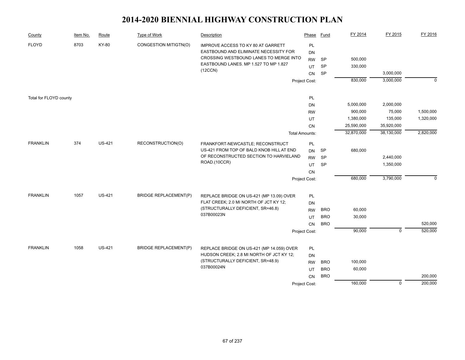| County                 | Item No. | Route         | Type of Work                 | Description                                                                   | Phase                 | <b>Fund</b> | FY 2014    | FY 2015     | FY 2016        |
|------------------------|----------|---------------|------------------------------|-------------------------------------------------------------------------------|-----------------------|-------------|------------|-------------|----------------|
| <b>FLOYD</b>           | 8703     | KY-80         | CONGESTION MITIGTN(O)        | IMPROVE ACCESS TO KY 80 AT GARRETT                                            | PL                    |             |            |             |                |
|                        |          |               |                              | EASTBOUND AND ELIMINATE NECESSITY FOR                                         | <b>DN</b>             |             |            |             |                |
|                        |          |               |                              | CROSSING WESTBOUND LANES TO MERGE INTO                                        | <b>RW</b>             | <b>SP</b>   | 500,000    |             |                |
|                        |          |               |                              | EASTBOUND LANES. MP 1.527 TO MP 1.827<br>(12CCN)                              | UT                    | <b>SP</b>   | 330,000    |             |                |
|                        |          |               |                              |                                                                               | CN                    | SP          |            | 3,000,000   |                |
|                        |          |               |                              |                                                                               | Project Cost:         |             | 830,000    | 3,000,000   | $\overline{0}$ |
|                        |          |               |                              |                                                                               | PL                    |             |            |             |                |
| Total for FLOYD county |          |               |                              |                                                                               | DN                    |             | 5,000,000  | 2,000,000   |                |
|                        |          |               |                              |                                                                               | <b>RW</b>             |             | 900,000    | 75,000      | 1,500,000      |
|                        |          |               |                              |                                                                               | UT                    |             | 1,380,000  | 135,000     | 1,320,000      |
|                        |          |               |                              |                                                                               | CN                    |             | 25,590,000 | 35,920,000  |                |
|                        |          |               |                              |                                                                               | <b>Total Amounts:</b> |             | 32,870,000 | 38,130,000  | 2,820,000      |
| <b>FRANKLIN</b>        | 374      | <b>US-421</b> | RECONSTRUCTION(O)            | FRANKFORT-NEWCASTLE; RECONSTRUCT                                              | PL                    |             |            |             |                |
|                        |          |               |                              | US-421 FROM TOP OF BALD KNOB HILL AT END                                      | <b>DN</b>             | <b>SP</b>   | 680,000    |             |                |
|                        |          |               |                              | OF RECONSTRUCTED SECTION TO HARVIELAND                                        | <b>RW</b>             | SP          |            | 2,440,000   |                |
|                        |          |               |                              | ROAD.(10CCR)                                                                  | UT                    | <b>SP</b>   |            | 1,350,000   |                |
|                        |          |               |                              |                                                                               | <b>CN</b>             |             |            |             |                |
|                        |          |               |                              |                                                                               | Project Cost:         |             | 680,000    | 3,790,000   | $\Omega$       |
|                        |          |               |                              |                                                                               |                       |             |            |             |                |
| <b>FRANKLIN</b>        | 1057     | <b>US-421</b> | <b>BRIDGE REPLACEMENT(P)</b> | REPLACE BRIDGE ON US-421 (MP 13.09) OVER                                      | PL                    |             |            |             |                |
|                        |          |               |                              | FLAT CREEK; 2.0 MI NORTH OF JCT KY 12;                                        | <b>DN</b>             |             |            |             |                |
|                        |          |               |                              | (STRUCTURALLY DEFICIENT, SR=46.8)                                             | <b>RW</b>             | <b>BRO</b>  | 60,000     |             |                |
|                        |          |               |                              | 037B00023N                                                                    | UT                    | <b>BRO</b>  | 30,000     |             |                |
|                        |          |               |                              |                                                                               | CN                    | <b>BRO</b>  |            |             | 520,000        |
|                        |          |               |                              |                                                                               | Project Cost:         |             | 90,000     | $\Omega$    | 520,000        |
|                        |          |               |                              |                                                                               |                       |             |            |             |                |
| <b>FRANKLIN</b>        | 1058     | <b>US-421</b> | <b>BRIDGE REPLACEMENT(P)</b> | REPLACE BRIDGE ON US-421 (MP 14.059) OVER                                     | PL                    |             |            |             |                |
|                        |          |               |                              | HUDSON CREEK; 2.8 MI NORTH OF JCT KY 12;<br>(STRUCTURALLY DEFICIENT, SR=48.9) | <b>DN</b>             |             |            |             |                |
|                        |          |               |                              | 037B00024N                                                                    | <b>RW</b>             | <b>BRO</b>  | 100,000    |             |                |
|                        |          |               |                              |                                                                               | UT                    | <b>BRO</b>  | 60,000     |             |                |
|                        |          |               |                              |                                                                               | CN                    | <b>BRO</b>  |            |             | 200,000        |
|                        |          |               |                              |                                                                               | Project Cost:         |             | 160,000    | $\mathbf 0$ | 200,000        |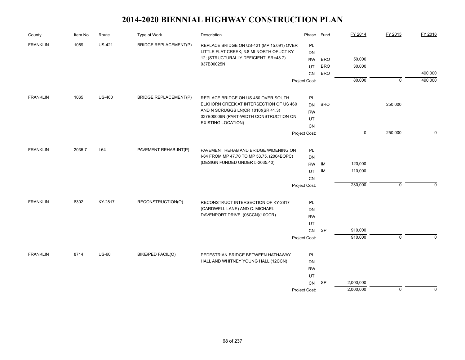| County          | Item No. | Route         | Type of Work                 | Description                                                           | Phase         | Fund       | FY 2014        | FY 2015     | FY 2016     |
|-----------------|----------|---------------|------------------------------|-----------------------------------------------------------------------|---------------|------------|----------------|-------------|-------------|
| <b>FRANKLIN</b> | 1059     | <b>US-421</b> | <b>BRIDGE REPLACEMENT(P)</b> | REPLACE BRIDGE ON US-421 (MP 15.091) OVER                             | PL            |            |                |             |             |
|                 |          |               |                              | LITTLE FLAT CREEK; 3.8 MI NORTH OF JCT KY                             | DN            |            |                |             |             |
|                 |          |               |                              | 12; (STRUCTURALLY DEFICIENT, SR=48.7)<br>037B00025N                   | <b>RW</b>     | <b>BRO</b> | 50,000         |             |             |
|                 |          |               |                              |                                                                       | UT            | <b>BRO</b> | 30,000         |             |             |
|                 |          |               |                              |                                                                       | CN            | <b>BRO</b> |                |             | 490,000     |
|                 |          |               |                              |                                                                       | Project Cost: |            | 80,000         | $\mathbf 0$ | 490,000     |
| <b>FRANKLIN</b> | 1065     | <b>US-460</b> | <b>BRIDGE REPLACEMENT(P)</b> | REPLACE BRIDGE ON US 460 OVER SOUTH                                   | PL            |            |                |             |             |
|                 |          |               |                              | ELKHORN CREEK AT INTERSECTION OF US 460                               | <b>DN</b>     | <b>BRO</b> |                | 250,000     |             |
|                 |          |               |                              | AND N SCRUGGS LN(CR 1010)(SR 41.3)                                    | <b>RW</b>     |            |                |             |             |
|                 |          |               |                              | 037B00006N (PART-WIDTH CONSTRUCTION ON                                | UT            |            |                |             |             |
|                 |          |               |                              | <b>EXISTING LOCATION)</b>                                             | CN            |            |                |             |             |
|                 |          |               |                              |                                                                       | Project Cost: |            | $\overline{0}$ | 250,000     | $\mathbf 0$ |
| <b>FRANKLIN</b> | 2035.7   | $I-64$        | PAVEMENT REHAB-INT(P)        | PAVEMENT REHAB AND BRIDGE WIDENING ON                                 | PL            |            |                |             |             |
|                 |          |               |                              | I-64 FROM MP 47.70 TO MP 53.75. (2004BOPC)                            | DN            |            |                |             |             |
|                 |          |               |                              | (DESIGN FUNDED UNDER 5-2035.40)                                       | <b>RW</b>     | ΙM         | 120,000        |             |             |
|                 |          |               |                              |                                                                       | UT            | IM         | 110,000        |             |             |
|                 |          |               |                              |                                                                       | CN            |            |                |             |             |
|                 |          |               |                              |                                                                       | Project Cost: |            | 230,000        | $\mathbf 0$ | $\Omega$    |
| <b>FRANKLIN</b> | 8302     | KY-2817       | RECONSTRUCTION(O)            |                                                                       |               |            |                |             |             |
|                 |          |               |                              | RECONSTRUCT INTERSECTION OF KY-2817<br>(CARDWELL LANE) AND C. MICHAEL | PL<br>DN      |            |                |             |             |
|                 |          |               |                              | DAVENPORT DRIVE. (06CCN)(10CCR)                                       | <b>RW</b>     |            |                |             |             |
|                 |          |               |                              |                                                                       | UT            |            |                |             |             |
|                 |          |               |                              |                                                                       | CN            | <b>SP</b>  | 910,000        |             |             |
|                 |          |               |                              |                                                                       | Project Cost: |            | 910,000        | $\mathbf 0$ | $\Omega$    |
|                 |          |               |                              |                                                                       |               |            |                |             |             |
| <b>FRANKLIN</b> | 8714     | $US-60$       | <b>BIKE/PED FACIL(O)</b>     | PEDESTRIAN BRIDGE BETWEEN HATHAWAY                                    | PL            |            |                |             |             |
|                 |          |               |                              | HALL AND WHITNEY YOUNG HALL.(12CCN)                                   | DN            |            |                |             |             |
|                 |          |               |                              |                                                                       | <b>RW</b>     |            |                |             |             |
|                 |          |               |                              |                                                                       | UT            |            |                |             |             |
|                 |          |               |                              |                                                                       | <b>CN</b>     | SP         | 2,000,000      |             |             |
|                 |          |               |                              |                                                                       | Project Cost: |            | 2,000,000      | $\mathbf 0$ | $\mathbf 0$ |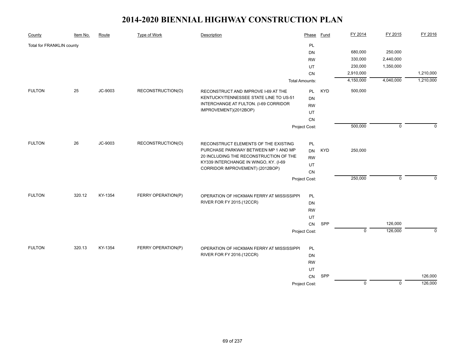| County                    | Item No. | Route   | <b>Type of Work</b> | Description                                                                  | Phase                 | Fund       | FY 2014        | FY 2015        | FY 2016            |
|---------------------------|----------|---------|---------------------|------------------------------------------------------------------------------|-----------------------|------------|----------------|----------------|--------------------|
| Total for FRANKLIN county |          |         |                     |                                                                              | PL                    |            |                |                |                    |
|                           |          |         |                     |                                                                              | DN                    |            | 680,000        | 250,000        |                    |
|                           |          |         |                     |                                                                              | <b>RW</b>             |            | 330,000        | 2,440,000      |                    |
|                           |          |         |                     |                                                                              | UT                    |            | 230,000        | 1,350,000      |                    |
|                           |          |         |                     |                                                                              | CN                    |            | 2,910,000      |                | 1,210,000          |
|                           |          |         |                     |                                                                              | <b>Total Amounts:</b> |            | 4,150,000      | 4,040,000      | 1,210,000          |
| <b>FULTON</b>             | 25       | JC-9003 | RECONSTRUCTION(O)   | RECONSTRUCT AND IMPROVE I-69 AT THE                                          | PL                    | <b>KYD</b> | 500,000        |                |                    |
|                           |          |         |                     | KENTUCKY/TENNESSEE STATE LINE TO US-51                                       | <b>DN</b>             |            |                |                |                    |
|                           |          |         |                     | INTERCHANGE AT FULTON. (I-69 CORRIDOR                                        | <b>RW</b>             |            |                |                |                    |
|                           |          |         |                     | IMPROVEMENT)(2012BOP)                                                        | UT                    |            |                |                |                    |
|                           |          |         |                     |                                                                              | CN                    |            |                |                |                    |
|                           |          |         |                     |                                                                              | Project Cost:         |            | 500,000        | $\mathbf 0$    | $\Omega$           |
|                           |          |         |                     |                                                                              |                       |            |                |                |                    |
| <b>FULTON</b>             | 26       | JC-9003 | RECONSTRUCTION(O)   | RECONSTRUCT ELEMENTS OF THE EXISTING<br>PURCHASE PARKWAY BETWEEN MP 1 AND MP | PL                    |            |                |                |                    |
|                           |          |         |                     | 20 INCLUDING THE RECONSTRUCTION OF THE                                       | DN                    | <b>KYD</b> | 250,000        |                |                    |
|                           |          |         |                     | KY339 INTERCHANGE IN WINGO, KY. (I-69                                        | <b>RW</b>             |            |                |                |                    |
|                           |          |         |                     | CORRIDOR IMPROVEMENT) (2012BOP)                                              | UT                    |            |                |                |                    |
|                           |          |         |                     |                                                                              | CN                    |            |                |                | $\Omega$           |
|                           |          |         |                     |                                                                              | Project Cost:         |            | 250,000        | $\mathbf 0$    |                    |
| <b>FULTON</b>             | 320.12   | KY-1354 | FERRY OPERATION(P)  | OPERATION OF HICKMAN FERRY AT MISSISSIPPI                                    | PL                    |            |                |                |                    |
|                           |          |         |                     | RIVER FOR FY 2015.(12CCR)                                                    | DN                    |            |                |                |                    |
|                           |          |         |                     |                                                                              | <b>RW</b>             |            |                |                |                    |
|                           |          |         |                     |                                                                              | UT                    |            |                |                |                    |
|                           |          |         |                     |                                                                              | CN                    | SPP        |                | 126,000        |                    |
|                           |          |         |                     |                                                                              | Project Cost:         |            | $\mathbf 0$    | 126,000        | $\mathbf{0}$       |
|                           |          |         |                     |                                                                              |                       |            |                |                |                    |
| <b>FULTON</b>             | 320.13   | KY-1354 | FERRY OPERATION(P)  | OPERATION OF HICKMAN FERRY AT MISSISSIPPI                                    | PL                    |            |                |                |                    |
|                           |          |         |                     | RIVER FOR FY 2016.(12CCR)                                                    | <b>DN</b>             |            |                |                |                    |
|                           |          |         |                     |                                                                              | <b>RW</b>             |            |                |                |                    |
|                           |          |         |                     |                                                                              | UT                    |            |                |                |                    |
|                           |          |         |                     |                                                                              | CN                    | SPP        | $\overline{0}$ | $\overline{0}$ | 126,000<br>126,000 |
|                           |          |         |                     |                                                                              | Project Cost:         |            |                |                |                    |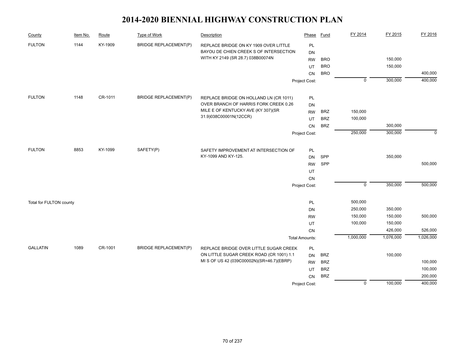| County                  | Item No. | Route   | <b>Type of Work</b>          | Description                               | Phase                 | Fund       | FY 2014        | FY 2015   | FY 2016     |
|-------------------------|----------|---------|------------------------------|-------------------------------------------|-----------------------|------------|----------------|-----------|-------------|
| <b>FULTON</b>           | 1144     | KY-1909 | <b>BRIDGE REPLACEMENT(P)</b> | REPLACE BRIDGE ON KY 1909 OVER LITTLE     | PL                    |            |                |           |             |
|                         |          |         |                              | BAYOU DE CHIEN CREEK S OF INTERSECTION    | <b>DN</b>             |            |                |           |             |
|                         |          |         |                              | WITH KY 2149 (SR 28.7) 038B00074N         | <b>RW</b>             | <b>BRO</b> |                | 150,000   |             |
|                         |          |         |                              |                                           | UT                    | <b>BRO</b> |                | 150,000   |             |
|                         |          |         |                              |                                           | CN                    | <b>BRO</b> |                |           | 400,000     |
|                         |          |         |                              |                                           | Project Cost:         |            | $\overline{0}$ | 300,000   | 400,000     |
| <b>FULTON</b>           | 1148     | CR-1011 | <b>BRIDGE REPLACEMENT(P)</b> | REPLACE BRIDGE ON HOLLAND LN (CR 1011)    | PL                    |            |                |           |             |
|                         |          |         |                              | OVER BRANCH OF HARRIS FORK CREEK 0.26     | DN                    |            |                |           |             |
|                         |          |         |                              | MILE E OF KENTUCKY AVE (KY 307)(SR        | <b>RW</b>             | <b>BRZ</b> | 150,000        |           |             |
|                         |          |         |                              | 31.9)038C00001N(12CCR)                    | UT                    | <b>BRZ</b> | 100,000        |           |             |
|                         |          |         |                              |                                           | <b>CN</b>             | <b>BRZ</b> |                | 300,000   |             |
|                         |          |         |                              |                                           | Project Cost:         |            | 250,000        | 300,000   | $\mathbf 0$ |
|                         |          |         |                              |                                           |                       |            |                |           |             |
| <b>FULTON</b>           | 8853     | KY-1099 | SAFETY(P)                    | SAFETY IMPROVEMENT AT INTERSECTION OF     | PL                    |            |                |           |             |
|                         |          |         |                              | KY-1099 AND KY-125.                       | <b>DN</b>             | SPP        |                | 350,000   |             |
|                         |          |         |                              |                                           | <b>RW</b>             | SPP        |                |           | 500,000     |
|                         |          |         |                              |                                           | UT                    |            |                |           |             |
|                         |          |         |                              |                                           | CN                    |            | $\overline{0}$ | 350,000   | 500,000     |
|                         |          |         |                              |                                           | Project Cost:         |            |                |           |             |
| Total for FULTON county |          |         |                              |                                           | PL                    |            | 500,000        |           |             |
|                         |          |         |                              |                                           | <b>DN</b>             |            | 250,000        | 350,000   |             |
|                         |          |         |                              |                                           | <b>RW</b>             |            | 150,000        | 150,000   | 500,000     |
|                         |          |         |                              |                                           | UT                    |            | 100,000        | 150,000   |             |
|                         |          |         |                              |                                           | CN                    |            |                | 426,000   | 526,000     |
|                         |          |         |                              |                                           | <b>Total Amounts:</b> |            | 1,000,000      | 1,076,000 | 1,026,000   |
| <b>GALLATIN</b>         | 1089     | CR-1001 | <b>BRIDGE REPLACEMENT(P)</b> | REPLACE BRIDGE OVER LITTLE SUGAR CREEK    | PL                    |            |                |           |             |
|                         |          |         |                              | ON LITTLE SUGAR CREEK ROAD (CR 1001) 1.1  | <b>DN</b>             | <b>BRZ</b> |                | 100,000   |             |
|                         |          |         |                              | MI S OF US 42 (039C00002N)(SR=46.7)(EBRP) | <b>RW</b>             | <b>BRZ</b> |                |           | 100,000     |
|                         |          |         |                              |                                           | UT                    | <b>BRZ</b> |                |           | 100,000     |
|                         |          |         |                              |                                           | <b>CN</b>             | <b>BRZ</b> |                |           | 200,000     |
|                         |          |         |                              |                                           | Project Cost:         |            | $\overline{0}$ | 100,000   | 400,000     |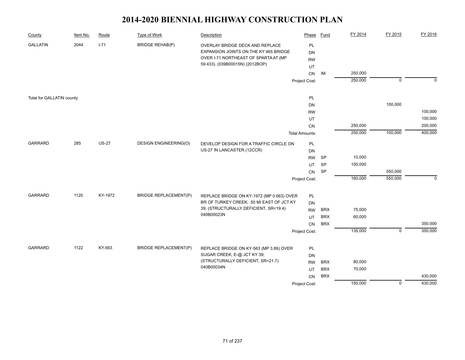| County                    | Item No. | Route        | Type of Work                 | Description                               | Phase                 | Fund       | FY 2014 | FY 2015        | FY 2016     |
|---------------------------|----------|--------------|------------------------------|-------------------------------------------|-----------------------|------------|---------|----------------|-------------|
| <b>GALLATIN</b>           | 2044     | $1 - 71$     | <b>BRIDGE REHAB(P)</b>       | OVERLAY BRIDGE DECK AND REPLACE           | PL                    |            |         |                |             |
|                           |          |              |                              | EXPANSION JOINTS ON THE KY 465 BRIDGE     | <b>DN</b>             |            |         |                |             |
|                           |          |              |                              | OVER I-71 NORTHEAST OF SPARTA AT (MP      | <b>RW</b>             |            |         |                |             |
|                           |          |              |                              | 59.433). (039B00015N) (2012BOP)           | UT                    |            |         |                |             |
|                           |          |              |                              |                                           | CN                    | IM         | 250,000 |                |             |
|                           |          |              |                              |                                           | Project Cost:         |            | 250,000 | $\mathbf 0$    | $\Omega$    |
|                           |          |              |                              |                                           |                       |            |         |                |             |
| Total for GALLATIN county |          |              |                              |                                           | PL                    |            |         |                |             |
|                           |          |              |                              |                                           | DN                    |            |         | 100,000        |             |
|                           |          |              |                              |                                           | <b>RW</b>             |            |         |                | 100,000     |
|                           |          |              |                              |                                           | UT                    |            |         |                | 100,000     |
|                           |          |              |                              |                                           | CN                    |            | 250,000 |                | 200,000     |
|                           |          |              |                              |                                           | <b>Total Amounts:</b> |            | 250,000 | 100,000        | 400,000     |
| <b>GARRARD</b>            | 285      | <b>US-27</b> | <b>DESIGN ENGINEERING(O)</b> | DEVELOP DESIGN FOR A TRAFFIC CIRCLE ON    | PL                    |            |         |                |             |
|                           |          |              |                              | US-27 IN LANCASTER.(12CCR)                | <b>DN</b>             |            |         |                |             |
|                           |          |              |                              |                                           | <b>RW</b>             | <b>SP</b>  | 10,000  |                |             |
|                           |          |              |                              |                                           | UT                    | SP         | 150,000 |                |             |
|                           |          |              |                              |                                           | CN                    | SP         |         | 550,000        |             |
|                           |          |              |                              |                                           | Project Cost:         |            | 160,000 | 550,000        | $\mathbf 0$ |
| <b>GARRARD</b>            | 1120     | KY-1972      | <b>BRIDGE REPLACEMENT(P)</b> | REPLACE BRIDGE ON KY-1972 (MP 0.663) OVER | PL                    |            |         |                |             |
|                           |          |              |                              | BR OF TURKEY CREEK; .50 MI EAST OF JCT KY | <b>DN</b>             |            |         |                |             |
|                           |          |              |                              | 39; (STRUCTURALLY DEFICIENT, SR=19.4)     | <b>RW</b>             | <b>BRX</b> | 75,000  |                |             |
|                           |          |              |                              | 040B00023N                                | UT                    | <b>BRX</b> | 60,000  |                |             |
|                           |          |              |                              |                                           | CN                    | <b>BRX</b> |         |                | 350,000     |
|                           |          |              |                              |                                           |                       |            | 135,000 | $\Omega$       | 350,000     |
|                           |          |              |                              |                                           | Project Cost:         |            |         |                |             |
| <b>GARRARD</b>            | 1122     | KY-563       | <b>BRIDGE REPLACEMENT(P)</b> | REPLACE BRIDGE ON KY-563 (MP 3.89) OVER   | PL                    |            |         |                |             |
|                           |          |              |                              | SUGAR CREEK; E-@ JCT KY 39;               | <b>DN</b>             |            |         |                |             |
|                           |          |              |                              | (STRUCTURALLY DEFICIENT, SR=21.7)         | <b>RW</b>             | <b>BRX</b> | 80,000  |                |             |
|                           |          |              |                              | 040B00034N                                | UT                    | <b>BRX</b> | 70,000  |                |             |
|                           |          |              |                              |                                           | CN                    | <b>BRX</b> |         |                | 430,000     |
|                           |          |              |                              |                                           | Project Cost:         |            | 150,000 | $\overline{0}$ | 430,000     |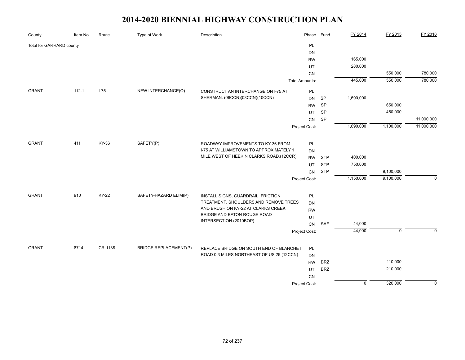| County                   | Item No. | Route        | <b>Type of Work</b>          | Description                               | Phase                 | Fund       | FY 2014        | FY 2015     | FY 2016     |
|--------------------------|----------|--------------|------------------------------|-------------------------------------------|-----------------------|------------|----------------|-------------|-------------|
| Total for GARRARD county |          |              |                              |                                           | PL                    |            |                |             |             |
|                          |          |              |                              |                                           | <b>DN</b>             |            |                |             |             |
|                          |          |              |                              |                                           | <b>RW</b>             |            | 165,000        |             |             |
|                          |          |              |                              |                                           | UT                    |            | 280,000        |             |             |
|                          |          |              |                              |                                           | CN                    |            |                | 550,000     | 780,000     |
|                          |          |              |                              |                                           | <b>Total Amounts:</b> |            | 445,000        | 550,000     | 780,000     |
| <b>GRANT</b>             | 112.1    | $I-75$       | NEW INTERCHANGE(O)           | CONSTRUCT AN INTERCHANGE ON I-75 AT       | PL                    |            |                |             |             |
|                          |          |              |                              | SHERMAN. (06CCN)(08CCN)(10CCN)            | <b>DN</b>             | SP         | 1,690,000      |             |             |
|                          |          |              |                              |                                           | <b>RW</b>             | SP         |                | 650,000     |             |
|                          |          |              |                              |                                           | UT                    | <b>SP</b>  |                | 450,000     |             |
|                          |          |              |                              |                                           | CN                    | <b>SP</b>  |                |             | 11,000,000  |
|                          |          |              |                              |                                           | Project Cost:         |            | 1,690,000      | 1,100,000   | 11,000,000  |
|                          |          |              |                              |                                           |                       |            |                |             |             |
| <b>GRANT</b>             | 411      | KY-36        | SAFETY(P)                    | ROADWAY IMPROVEMENTS TO KY-36 FROM        | PL                    |            |                |             |             |
|                          |          |              |                              | I-75 AT WILLIAMSTOWN TO APPROXIMATELY 1   | DN                    |            |                |             |             |
|                          |          |              |                              | MILE WEST OF HEEKIN CLARKS ROAD.(12CCR)   | <b>RW</b>             | <b>STP</b> | 400,000        |             |             |
|                          |          |              |                              |                                           | UT                    | <b>STP</b> | 750,000        |             |             |
|                          |          |              |                              |                                           | CN                    | <b>STP</b> |                | 9,100,000   |             |
|                          |          |              |                              |                                           | Project Cost:         |            | 1,150,000      | 9,100,000   | $\mathbf 0$ |
| <b>GRANT</b>             | 910      | <b>KY-22</b> | SAFETY-HAZARD ELIM(P)        | INSTALL SIGNS, GUARDRAIL, FRICTION        | PL                    |            |                |             |             |
|                          |          |              |                              | TREATMENT, SHOULDERS AND REMOVE TREES     | <b>DN</b>             |            |                |             |             |
|                          |          |              |                              | AND BRUSH ON KY-22 AT CLARKS CREEK        | <b>RW</b>             |            |                |             |             |
|                          |          |              |                              | BRIDGE AND BATON ROUGE ROAD               | UT                    |            |                |             |             |
|                          |          |              |                              | INTERSECTION.(2010BOP)                    | CN                    | <b>SAF</b> | 44,000         |             |             |
|                          |          |              |                              |                                           | Project Cost:         |            | 44,000         | $\mathbf 0$ | $\Omega$    |
|                          |          |              |                              |                                           |                       |            |                |             |             |
| <b>GRANT</b>             | 8714     | CR-1138      | <b>BRIDGE REPLACEMENT(P)</b> | REPLACE BRIDGE ON SOUTH END OF BLANCHET   | PL                    |            |                |             |             |
|                          |          |              |                              | ROAD 0.3 MILES NORTHEAST OF US 25.(12CCN) | <b>DN</b>             |            |                |             |             |
|                          |          |              |                              |                                           | <b>RW</b>             | <b>BRZ</b> |                | 110,000     |             |
|                          |          |              |                              |                                           | UT                    | <b>BRZ</b> |                | 210,000     |             |
|                          |          |              |                              |                                           | <b>CN</b>             |            |                |             |             |
|                          |          |              |                              |                                           | Project Cost:         |            | $\overline{0}$ | 320,000     | $\mathbf 0$ |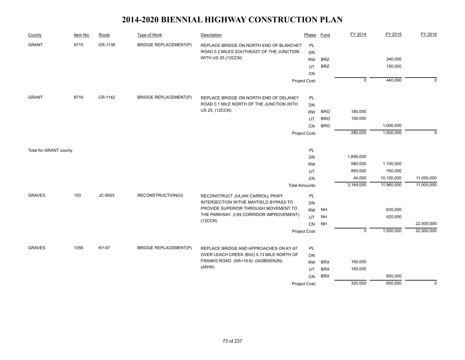| County                 | Item No. | Route        | <b>Type of Work</b>          | Description                                                                   | Phase                 | <b>Fund</b> | FY 2014        | FY 2015    | FY 2016     |
|------------------------|----------|--------------|------------------------------|-------------------------------------------------------------------------------|-----------------------|-------------|----------------|------------|-------------|
| <b>GRANT</b>           | 8715     | CR-1138      | <b>BRIDGE REPLACEMENT(P)</b> | REPLACE BRIDGE ON NORTH END OF BLANCHET                                       | PL                    |             |                |            |             |
|                        |          |              |                              | ROAD 0.2 MILES SOUTHEAST OF THE JUNCTION                                      | DN                    |             |                |            |             |
|                        |          |              |                              | WITH US 25.(12CCN)                                                            | <b>RW</b>             | <b>BRZ</b>  |                | 340,000    |             |
|                        |          |              |                              |                                                                               | UT                    | <b>BRZ</b>  |                | 100,000    |             |
|                        |          |              |                              |                                                                               | CN                    |             |                |            |             |
|                        |          |              |                              |                                                                               | Project Cost:         |             | $\overline{0}$ | 440,000    | $\mathbf 0$ |
| <b>GRANT</b>           | 8716     | CR-1142      | <b>BRIDGE REPLACEMENT(P)</b> | REPLACE BRIDGE ON NORTH END OF DELANEY                                        | PL                    |             |                |            |             |
|                        |          |              |                              | ROAD 0.1 MILE NORTH OF THE JUNCTION WITH                                      | <b>DN</b>             |             |                |            |             |
|                        |          |              |                              | US 25. (12CCN)                                                                | <b>RW</b>             | <b>BRO</b>  | 180,000        |            |             |
|                        |          |              |                              |                                                                               | UT                    | <b>BRO</b>  | 100,000        |            |             |
|                        |          |              |                              |                                                                               | <b>CN</b>             | <b>BRO</b>  |                | 1,000,000  |             |
|                        |          |              |                              |                                                                               | Project Cost:         |             | 280,000        | 1,000,000  | $\Omega$    |
| Total for GRANT county |          |              |                              |                                                                               | PL                    |             |                |            |             |
|                        |          |              |                              |                                                                               | <b>DN</b>             |             | 1,690,000      |            |             |
|                        |          |              |                              |                                                                               | <b>RW</b>             |             | 580,000        | 1,100,000  |             |
|                        |          |              |                              |                                                                               | UT                    |             | 850,000        | 760,000    |             |
|                        |          |              |                              |                                                                               | CN                    |             | 44,000         | 10,100,000 | 11,000,000  |
|                        |          |              |                              |                                                                               | <b>Total Amounts:</b> |             | 3,164,000      | 11,960,000 | 11,000,000  |
| <b>GRAVES</b>          | 193      | JC-9003      | RECONSTRUCTION(O)            | RECONSTRUCT JULIAN CARROLL PKWY                                               | PL                    |             |                |            |             |
|                        |          |              |                              | INTERSECTION W/THE MAYFIELD BYPASS TO<br>PROVIDE SUPERIOR THROUGH MOVEMENT TO | <b>DN</b>             |             |                |            |             |
|                        |          |              |                              | THE PARKWAY. (I-69 CORRIDOR IMPROVEMENT)                                      | <b>RW</b>             | NH          |                | 630,000    |             |
|                        |          |              |                              | (12CCR)                                                                       | UT                    | <b>NH</b>   |                | 420,000    |             |
|                        |          |              |                              |                                                                               | CN                    | <b>NH</b>   | $\pmb{0}$      |            | 22,500,000  |
|                        |          |              |                              |                                                                               | Project Cost:         |             |                | 1,050,000  | 22,500,000  |
| <b>GRAVES</b>          | 1056     | <b>KY-97</b> | <b>BRIDGE REPLACEMENT(P)</b> | REPLACE BRIDGE AND APPROACHES ON KY-97                                        | PL                    |             |                |            |             |
|                        |          |              |                              | OVER LEACH CREEK (B52) 0.13 MILE NORTH OF                                     | <b>DN</b>             |             |                |            |             |
|                        |          |              |                              | FRANKS ROAD. (SR=18.8): (042B00052N)                                          | <b>RW</b>             | <b>BRX</b>  | 160,000        |            |             |
|                        |          |              |                              | (AR/W)                                                                        | UT                    | <b>BRX</b>  | 160,000        |            |             |
|                        |          |              |                              |                                                                               | CN                    | <b>BRX</b>  |                | 650,000    |             |
|                        |          |              |                              |                                                                               | Project Cost:         |             | 320,000        | 650,000    | $\Omega$    |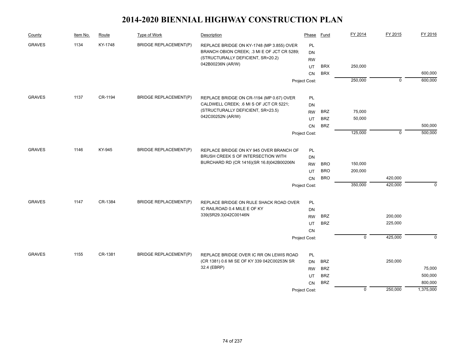| County        | Item No. | Route   | Type of Work                 | Description                                           | Phase         | Fund       | FY 2014        | FY 2015     | FY 2016        |
|---------------|----------|---------|------------------------------|-------------------------------------------------------|---------------|------------|----------------|-------------|----------------|
| <b>GRAVES</b> | 1134     | KY-1748 | <b>BRIDGE REPLACEMENT(P)</b> | REPLACE BRIDGE ON KY-1748 (MP 3.855) OVER             | PL            |            |                |             |                |
|               |          |         |                              | BRANCH OBION CREEK; .3 MI E OF JCT CR 5289;           | <b>DN</b>     |            |                |             |                |
|               |          |         |                              | (STRUCTURALLY DEFICIENT, SR=20.2)                     | <b>RW</b>     |            |                |             |                |
|               |          |         |                              | 042B00236N (AR/W)                                     | UT            | <b>BRX</b> | 250,000        |             |                |
|               |          |         |                              |                                                       | CN            | <b>BRX</b> |                |             | 600,000        |
|               |          |         |                              |                                                       | Project Cost: |            | 250,000        | $\mathbf 0$ | 600,000        |
| <b>GRAVES</b> | 1137     | CR-1194 | <b>BRIDGE REPLACEMENT(P)</b> | REPLACE BRIDGE ON CR-1194 (MP 0.67) OVER              | PL            |            |                |             |                |
|               |          |         |                              | CALDWELL CREEK; .6 MI S OF JCT CR 5221;               | DN            |            |                |             |                |
|               |          |         |                              | (STRUCTURALLY DEFICIENT, SR=23.5)                     | <b>RW</b>     | <b>BRZ</b> | 75,000         |             |                |
|               |          |         |                              | 042C00252N (AR/W)                                     | UT            | <b>BRZ</b> | 50,000         |             |                |
|               |          |         |                              |                                                       | <b>CN</b>     | <b>BRZ</b> |                |             | 500,000        |
|               |          |         |                              |                                                       | Project Cost: |            | 125,000        | $\mathbf 0$ | 500,000        |
| <b>GRAVES</b> | 1146     | KY-945  | <b>BRIDGE REPLACEMENT(P)</b> | REPLACE BRIDGE ON KY 945 OVER BRANCH OF               | PL            |            |                |             |                |
|               |          |         |                              | BRUSH CREEK S OF INTERSECTION WITH                    | DN            |            |                |             |                |
|               |          |         |                              | BURCHARD RD (CR 1416)(SR 16.8)042B00206N              | <b>RW</b>     | <b>BRO</b> | 150,000        |             |                |
|               |          |         |                              |                                                       | UT            | <b>BRO</b> | 200,000        |             |                |
|               |          |         |                              |                                                       | <b>CN</b>     | <b>BRO</b> |                | 420,000     |                |
|               |          |         |                              |                                                       | Project Cost: |            | 350,000        | 420,000     | $\mathbf 0$    |
|               |          |         |                              |                                                       |               |            |                |             |                |
| <b>GRAVES</b> | 1147     | CR-1384 | <b>BRIDGE REPLACEMENT(P)</b> | REPLACE BRIDGE ON RULE SHACK ROAD OVER                | PL            |            |                |             |                |
|               |          |         |                              | IC RAILROAD 0.4 MILE E OF KY<br>339(SR29.3)042C00146N | <b>DN</b>     |            |                |             |                |
|               |          |         |                              |                                                       | <b>RW</b>     | <b>BRZ</b> |                | 200,000     |                |
|               |          |         |                              |                                                       | UT            | <b>BRZ</b> |                | 225,000     |                |
|               |          |         |                              |                                                       | CN            |            |                |             |                |
|               |          |         |                              |                                                       | Project Cost: |            | $\overline{0}$ | 425,000     | $\overline{0}$ |
| <b>GRAVES</b> | 1155     | CR-1381 | <b>BRIDGE REPLACEMENT(P)</b> | REPLACE BRIDGE OVER IC RR ON LEWIS ROAD               | PL            |            |                |             |                |
|               |          |         |                              | (CR 1381) 0.6 MI SE OF KY 339 042C00253N SR           | <b>DN</b>     | <b>BRZ</b> |                | 250,000     |                |
|               |          |         |                              | 32.4 (EBRP)                                           | <b>RW</b>     | <b>BRZ</b> |                |             | 75,000         |
|               |          |         |                              |                                                       | UT            | <b>BRZ</b> |                |             | 500,000        |
|               |          |         |                              |                                                       | CN            | <b>BRZ</b> |                |             | 800,000        |
|               |          |         |                              |                                                       | Project Cost: |            | $\mathbf 0$    | 250,000     | 1,375,000      |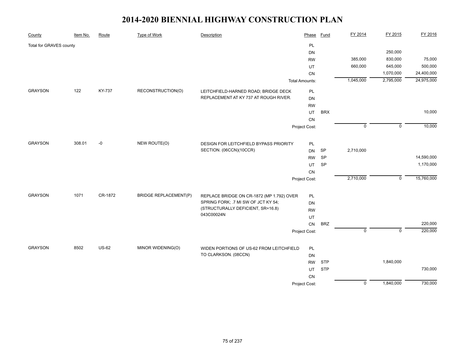| County                  | Item No. | Route        | <b>Type of Work</b>          | Description                               | Phase                 | Fund                       | FY 2014        | FY 2015        | FY 2016    |
|-------------------------|----------|--------------|------------------------------|-------------------------------------------|-----------------------|----------------------------|----------------|----------------|------------|
| Total for GRAVES county |          |              |                              |                                           | PL                    |                            |                |                |            |
|                         |          |              |                              |                                           | DN                    |                            |                | 250,000        |            |
|                         |          |              |                              |                                           | <b>RW</b>             |                            | 385,000        | 830,000        | 75,000     |
|                         |          |              |                              |                                           | UT                    |                            | 660,000        | 645,000        | 500,000    |
|                         |          |              |                              |                                           | CN                    |                            |                | 1,070,000      | 24,400,000 |
|                         |          |              |                              |                                           | <b>Total Amounts:</b> |                            | 1,045,000      | 2,795,000      | 24,975,000 |
| <b>GRAYSON</b>          | 122      | KY-737       | RECONSTRUCTION(O)            | LEITCHFIELD-HARNED ROAD; BRIDGE DECK      | PL                    |                            |                |                |            |
|                         |          |              |                              | REPLACEMENT AT KY 737 AT ROUGH RIVER.     | <b>DN</b>             |                            |                |                |            |
|                         |          |              |                              |                                           | <b>RW</b>             |                            |                |                |            |
|                         |          |              |                              |                                           | UT                    | <b>BRX</b>                 |                |                | 10,000     |
|                         |          |              |                              |                                           | ${\sf CN}$            |                            |                |                |            |
|                         |          |              |                              |                                           | Project Cost:         |                            | $\overline{0}$ | $\overline{0}$ | 10,000     |
| <b>GRAYSON</b>          | 308.01   | -0           | NEW ROUTE(O)                 | DESIGN FOR LEITCHFIELD BYPASS PRIORITY    | PL                    |                            |                |                |            |
|                         |          |              |                              | SECTION. (06CCN)(10CCR)                   | <b>DN</b>             | SP                         | 2,710,000      |                |            |
|                         |          |              |                              |                                           | <b>RW</b>             | $\ensuremath{\mathsf{SP}}$ |                |                | 14,590,000 |
|                         |          |              |                              |                                           | UT                    | SP                         |                |                | 1,170,000  |
|                         |          |              |                              |                                           | CN                    |                            |                |                |            |
|                         |          |              |                              |                                           | Project Cost:         |                            | 2,710,000      | $\mathbf 0$    | 15,760,000 |
|                         |          |              |                              |                                           |                       |                            |                |                |            |
| <b>GRAYSON</b>          | 1071     | CR-1872      | <b>BRIDGE REPLACEMENT(P)</b> | REPLACE BRIDGE ON CR-1872 (MP 1.792) OVER | PL                    |                            |                |                |            |
|                         |          |              |                              | SPRING FORK; .7 MI SW OF JCT KY 54;       | DN                    |                            |                |                |            |
|                         |          |              |                              | (STRUCTURALLY DEFICIENT, SR=16.8)         | <b>RW</b>             |                            |                |                |            |
|                         |          |              |                              | 043C00024N                                | UT                    |                            |                |                |            |
|                         |          |              |                              |                                           | ${\sf CN}$            | <b>BRZ</b>                 |                |                | 220,000    |
|                         |          |              |                              |                                           | Project Cost:         |                            | $\mathbf 0$    | $\mathbf 0$    | 220,000    |
| <b>GRAYSON</b>          | 8502     | <b>US-62</b> | MINOR WIDENING(O)            | WIDEN PORTIONS OF US-62 FROM LEITCHFIELD  | PL                    |                            |                |                |            |
|                         |          |              |                              | TO CLARKSON. (08CCN)                      | DN                    |                            |                |                |            |
|                         |          |              |                              |                                           | <b>RW</b>             | <b>STP</b>                 |                | 1,840,000      |            |
|                         |          |              |                              |                                           | UT                    | <b>STP</b>                 |                |                | 730,000    |
|                         |          |              |                              |                                           | CN                    |                            |                |                |            |
|                         |          |              |                              |                                           | Project Cost:         |                            | $\overline{0}$ | 1,840,000      | 730,000    |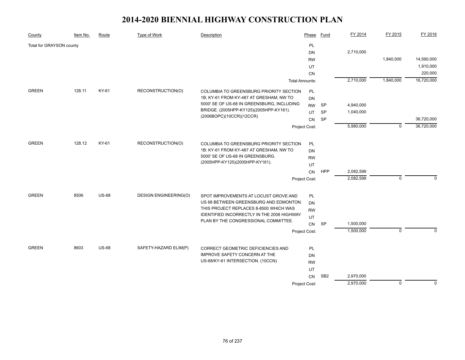| County                   | Item No. | Route        | <b>Type of Work</b>          | Description                                                                 | Phase                 | <b>Fund</b>     | FY 2014   | FY 2015     | FY 2016     |
|--------------------------|----------|--------------|------------------------------|-----------------------------------------------------------------------------|-----------------------|-----------------|-----------|-------------|-------------|
| Total for GRAYSON county |          |              |                              |                                                                             | PL                    |                 |           |             |             |
|                          |          |              |                              |                                                                             | <b>DN</b>             |                 | 2,710,000 |             |             |
|                          |          |              |                              |                                                                             | <b>RW</b>             |                 |           | 1,840,000   | 14,590,000  |
|                          |          |              |                              |                                                                             | UT                    |                 |           |             | 1,910,000   |
|                          |          |              |                              |                                                                             | CN                    |                 |           |             | 220,000     |
|                          |          |              |                              |                                                                             | <b>Total Amounts:</b> |                 | 2,710,000 | 1,840,000   | 16,720,000  |
| <b>GREEN</b>             | 128.11   | KY-61        | RECONSTRUCTION(O)            | COLUMBIA TO GREENSBURG PRIORITY SECTION                                     | PL                    |                 |           |             |             |
|                          |          |              |                              | 1B; KY-61 FROM KY-487 AT GRESHAM, NW TO                                     | <b>DN</b>             |                 |           |             |             |
|                          |          |              |                              | 5000' SE OF US-68 IN GREENSBURG, INCLUDING                                  | <b>RW</b>             | <b>SP</b>       | 4,940,000 |             |             |
|                          |          |              |                              | BRIDGE. (2005HPP-KY125)(2005HPP-KY161).                                     | UT                    | <b>SP</b>       | 1,040,000 |             |             |
|                          |          |              |                              | (2006BOPC)(10CCR)(12CCR)                                                    | CN                    | SP              |           |             | 36,720,000  |
|                          |          |              |                              |                                                                             | Project Cost:         |                 | 5,980,000 | $\mathbf 0$ | 36,720,000  |
|                          |          |              |                              |                                                                             |                       |                 |           |             |             |
| <b>GREEN</b>             | 128.12   | KY-61        | RECONSTRUCTION(O)            | COLUMBIA TO GREENSBURG PRIORITY SECTION                                     | PL                    |                 |           |             |             |
|                          |          |              |                              | 1B: KY-61 FROM KY-487 AT GRESHAM, NW TO<br>5000' SE OF US-68 IN GREENSBURG. | <b>DN</b>             |                 |           |             |             |
|                          |          |              |                              | (2005HPP-KY125)(2005HPP-KY161).                                             | <b>RW</b>             |                 |           |             |             |
|                          |          |              |                              |                                                                             | UT                    |                 |           |             |             |
|                          |          |              |                              |                                                                             | <b>CN</b>             | <b>HPP</b>      | 2,082,599 |             |             |
|                          |          |              |                              |                                                                             | Project Cost:         |                 | 2,082,599 | $\mathbf 0$ | $\mathbf 0$ |
| <b>GREEN</b>             | 8506     | <b>US-68</b> | <b>DESIGN ENGINEERING(O)</b> | SPOT IMPROVEMENTS AT LOCUST GROVE AND                                       | PL                    |                 |           |             |             |
|                          |          |              |                              | US 68 BETWEEN GREENSBURG AND EDMONTON.                                      | <b>DN</b>             |                 |           |             |             |
|                          |          |              |                              | THIS PROJECT REPLACES 8-8500 WHICH WAS                                      | <b>RW</b>             |                 |           |             |             |
|                          |          |              |                              | IDENTIFIED INCORRECTLY IN THE 2008 HIGHWAY                                  | UT                    |                 |           |             |             |
|                          |          |              |                              | PLAN BY THE CONGRESSIONAL COMMITTEE.                                        | CN                    | SP              | 1,500,000 |             |             |
|                          |          |              |                              |                                                                             | Project Cost:         |                 | 1,500,000 | $\mathbf 0$ | $\Omega$    |
| <b>GREEN</b>             |          |              |                              |                                                                             |                       |                 |           |             |             |
|                          | 8603     | <b>US-68</b> | SAFETY-HAZARD ELIM(P)        | CORRECT GEOMETRIC DEFICIENCIES AND<br>IMPROVE SAFETY CONCERN AT THE         | <b>PL</b>             |                 |           |             |             |
|                          |          |              |                              | US-68/KY-61 INTERSECTION. (10CCN)                                           | DN                    |                 |           |             |             |
|                          |          |              |                              |                                                                             | <b>RW</b><br>UT       |                 |           |             |             |
|                          |          |              |                              |                                                                             | CN                    | SB <sub>2</sub> | 2,970,000 |             |             |
|                          |          |              |                              |                                                                             | Project Cost:         |                 | 2,970,000 | $\mathbf 0$ | $\mathbf 0$ |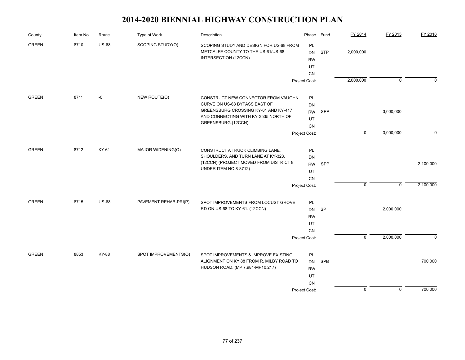| County       | Item No. | Route        | Type of Work          | Description                                                                                                                                | Phase                                    | Fund       | FY 2014        | FY 2015     | FY 2016   |
|--------------|----------|--------------|-----------------------|--------------------------------------------------------------------------------------------------------------------------------------------|------------------------------------------|------------|----------------|-------------|-----------|
| <b>GREEN</b> | 8710     | <b>US-68</b> | SCOPING STUDY(O)      | SCOPING STUDY AND DESIGN FOR US-68 FROM<br>METCALFE COUNTY TO THE US-61/US-68<br>INTERSECTION.(12CCN)                                      | PL<br><b>DN</b><br><b>RW</b><br>UT       | <b>STP</b> | 2,000,000      |             |           |
|              |          |              |                       |                                                                                                                                            | CN<br>Project Cost:                      |            | 2,000,000      | $\mathbf 0$ | $\Omega$  |
| <b>GREEN</b> | 8711     | -0           | NEW ROUTE(O)          | CONSTRUCT NEW CONNECTOR FROM VAUGHN<br>CURVE ON US-68 BYPASS EAST OF                                                                       | PL<br>DN                                 |            |                |             |           |
|              |          |              |                       | GREENSBURG CROSSING KY-61 AND KY-417<br>AND CONNECTING WITH KY-3535 NORTH OF<br>GREENSBURG.(12CCN)                                         | <b>RW</b><br>UT<br>${\sf CN}$            | SPP        |                | 3,000,000   |           |
|              |          |              |                       |                                                                                                                                            | Project Cost:                            |            | $\overline{0}$ | 3,000,000   | $\Omega$  |
| <b>GREEN</b> | 8712     | KY-61        | MAJOR WIDENING(O)     | CONSTRUCT A TRUCK CLIMBING LANE,<br>SHOULDERS, AND TURN LANE AT KY-323.<br>(12CCN) (PROJECT MOVED FROM DISTRICT 8<br>UNDER ITEM NO.8-8712) | PL<br>DN<br><b>RW</b><br>UT              | SPP        |                |             | 2,100,000 |
|              |          |              |                       |                                                                                                                                            | CN<br>Project Cost:                      |            | $\mathbf 0$    | $\mathbf 0$ | 2,100,000 |
| <b>GREEN</b> | 8715     | <b>US-68</b> | PAVEMENT REHAB-PRI(P) | SPOT IMPROVEMENTS FROM LOCUST GROVE<br>RD ON US-68 TO KY-61. (12CCN)                                                                       | PL<br>DN<br><b>RW</b><br>UT<br>CN        | <b>SP</b>  |                | 2,000,000   |           |
|              |          |              |                       |                                                                                                                                            | Project Cost:                            |            | $\overline{0}$ | 2,000,000   | $\Omega$  |
| <b>GREEN</b> | 8853     | KY-88        | SPOT IMPROVEMENTS(O)  | SPOT IMPROVEMENTS & IMPROVE EXISTING<br>ALIGNMENT ON KY 88 FROM R. MILBY ROAD TO<br>HUDSON ROAD. (MP 7.981-MP10.217)                       | PL<br><b>DN</b><br><b>RW</b><br>UT<br>CN | <b>SPB</b> |                |             | 700,000   |
|              |          |              |                       |                                                                                                                                            | Project Cost:                            |            | $\mathbf 0$    | $\mathbf 0$ | 700,000   |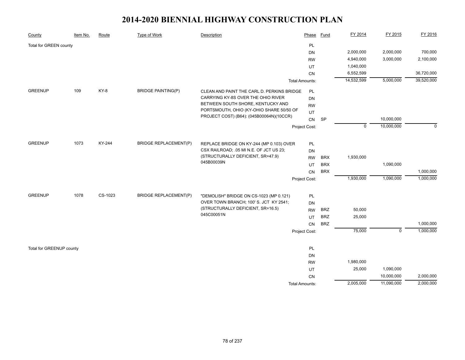| County                   | Item No. | Route   | Type of Work                 | Description                                                                  | Phase                 | <b>Fund</b> | FY 2014     | FY 2015     | FY 2016    |
|--------------------------|----------|---------|------------------------------|------------------------------------------------------------------------------|-----------------------|-------------|-------------|-------------|------------|
| Total for GREEN county   |          |         |                              |                                                                              | PL                    |             |             |             |            |
|                          |          |         |                              |                                                                              | <b>DN</b>             |             | 2,000,000   | 2,000,000   | 700,000    |
|                          |          |         |                              |                                                                              | <b>RW</b>             |             | 4,940,000   | 3,000,000   | 2,100,000  |
|                          |          |         |                              |                                                                              | UT                    |             | 1,040,000   |             |            |
|                          |          |         |                              |                                                                              | CN                    |             | 6,552,599   |             | 36,720,000 |
|                          |          |         |                              |                                                                              | <b>Total Amounts:</b> |             | 14,532,599  | 5,000,000   | 39,520,000 |
| <b>GREENUP</b>           | 109      | KY-8    | <b>BRIDGE PAINTING(P)</b>    | CLEAN AND PAINT THE CARL D. PERKINS BRIDGE                                   | PL                    |             |             |             |            |
|                          |          |         |                              | CARRYING KY-8S OVER THE OHIO RIVER                                           | DN                    |             |             |             |            |
|                          |          |         |                              | BETWEEN SOUTH SHORE, KENTUCKY AND                                            | <b>RW</b>             |             |             |             |            |
|                          |          |         |                              | PORTSMOUTH, OHIO (KY-OHIO SHARE 50/50 OF                                     | UT                    |             |             |             |            |
|                          |          |         |                              | PROJECT COST) (B64): (045B00064N)(10CCR)                                     | CN                    | SP          |             | 10,000,000  |            |
|                          |          |         |                              |                                                                              | Project Cost:         |             | $\mathbf 0$ | 10,000,000  | $\Omega$   |
|                          |          |         |                              |                                                                              |                       |             |             |             |            |
| <b>GREENUP</b>           | 1073     | KY-244  | <b>BRIDGE REPLACEMENT(P)</b> | REPLACE BRIDGE ON KY-244 (MP 0.103) OVER                                     | PL                    |             |             |             |            |
|                          |          |         |                              | CSX RAILROAD; .05 MI N.E. OF JCT US 23;<br>(STRUCTURALLY DEFICIENT, SR=47.9) | <b>DN</b>             |             |             |             |            |
|                          |          |         |                              | 045B00039N                                                                   | <b>RW</b>             | <b>BRX</b>  | 1,930,000   |             |            |
|                          |          |         |                              |                                                                              | UT                    | <b>BRX</b>  |             | 1,090,000   |            |
|                          |          |         |                              |                                                                              | <b>CN</b>             | <b>BRX</b>  |             |             | 1,000,000  |
|                          |          |         |                              |                                                                              | Project Cost:         |             | 1,930,000   | 1,090,000   | 1,000,000  |
| <b>GREENUP</b>           | 1078     | CS-1023 | <b>BRIDGE REPLACEMENT(P)</b> | "DEMOLISH" BRIDGE ON CS-1023 (MP 0.121)                                      | <b>PL</b>             |             |             |             |            |
|                          |          |         |                              | OVER TOWN BRANCH; 100' S. JCT KY 2541;                                       | <b>DN</b>             |             |             |             |            |
|                          |          |         |                              | (STRUCTURALLY DEFICIENT, SR=16.5)                                            | <b>RW</b>             | <b>BRZ</b>  | 50,000      |             |            |
|                          |          |         |                              | 045C00051N                                                                   | UT                    | <b>BRZ</b>  | 25,000      |             |            |
|                          |          |         |                              |                                                                              | CN                    | <b>BRZ</b>  |             |             | 1,000,000  |
|                          |          |         |                              |                                                                              | Project Cost:         |             | 75,000      | $\mathbf 0$ | 1,000,000  |
|                          |          |         |                              |                                                                              |                       |             |             |             |            |
| Total for GREENUP county |          |         |                              |                                                                              | PL                    |             |             |             |            |
|                          |          |         |                              |                                                                              | <b>DN</b>             |             |             |             |            |
|                          |          |         |                              |                                                                              | <b>RW</b>             |             | 1,980,000   |             |            |
|                          |          |         |                              |                                                                              | UT                    |             | 25,000      | 1,090,000   |            |
|                          |          |         |                              |                                                                              | CN                    |             |             | 10,000,000  | 2,000,000  |
|                          |          |         |                              |                                                                              | <b>Total Amounts:</b> |             | 2,005,000   | 11,090,000  | 2,000,000  |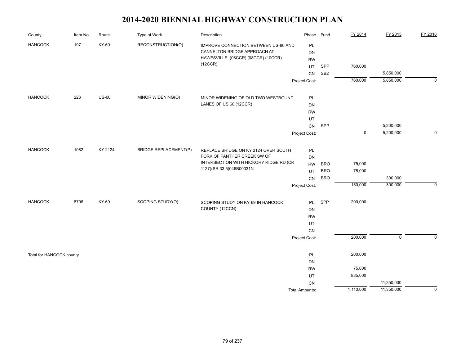| County                   | Item No. | Route        | Type of Work                 | Description                                                                                                 | Phase                 | <b>Fund</b>     | FY 2014     | FY 2015        | FY 2016     |
|--------------------------|----------|--------------|------------------------------|-------------------------------------------------------------------------------------------------------------|-----------------------|-----------------|-------------|----------------|-------------|
| <b>HANCOCK</b>           | 197      | KY-69        | RECONSTRUCTION(O)            | IMPROVE CONNECTION BETWEEN US-60 AND<br>CANNELTON BRIDGE APPROACH AT<br>HAWESVILLE. (06CCR) (08CCR) (10CCR) | PL<br>DN              |                 |             |                |             |
|                          |          |              |                              | (12CCR)                                                                                                     | <b>RW</b>             | SPP             | 760,000     |                |             |
|                          |          |              |                              |                                                                                                             | UT<br>CN              | SB <sub>2</sub> |             | 5,850,000      |             |
|                          |          |              |                              |                                                                                                             | Project Cost:         |                 | 760,000     | 5,850,000      | $\mathbf 0$ |
|                          |          |              |                              |                                                                                                             |                       |                 |             |                |             |
| <b>HANCOCK</b>           | 226      | <b>US-60</b> | MINOR WIDENING(O)            | MINOR WIDENING OF OLD TWO WESTBOUND                                                                         | PL                    |                 |             |                |             |
|                          |          |              |                              | LANES OF US 60.(12CCR)                                                                                      | DN                    |                 |             |                |             |
|                          |          |              |                              |                                                                                                             | <b>RW</b>             |                 |             |                |             |
|                          |          |              |                              |                                                                                                             | UT                    |                 |             |                |             |
|                          |          |              |                              |                                                                                                             | CN                    | SPP             |             | 5,200,000      |             |
|                          |          |              |                              |                                                                                                             | Project Cost:         |                 | $\mathbf 0$ | 5,200,000      | $\Omega$    |
| <b>HANCOCK</b>           | 1082     | KY-2124      | <b>BRIDGE REPLACEMENT(P)</b> | REPLACE BRIDGE ON KY 2124 OVER SOUTH                                                                        | PL                    |                 |             |                |             |
|                          |          |              |                              | FORK OF PANTHER CREEK SW OF                                                                                 | <b>DN</b>             |                 |             |                |             |
|                          |          |              |                              | INTERSECTION WITH HICKORY RIDGE RD (CR                                                                      | <b>RW</b>             | <b>BRO</b>      | 75,000      |                |             |
|                          |          |              |                              | 1127)(SR 33.5)046B00031N                                                                                    | UT                    | <b>BRO</b>      | 75,000      |                |             |
|                          |          |              |                              |                                                                                                             | CN                    | <b>BRO</b>      |             | 300,000        |             |
|                          |          |              |                              |                                                                                                             | Project Cost:         |                 | 150,000     | 300,000        | $\mathbf 0$ |
| <b>HANCOCK</b>           | 8708     | KY-69        | SCOPING STUDY(O)             | SCOPING STUDY ON KY-69 IN HANCOCK                                                                           | PL                    | SPP             | 200,000     |                |             |
|                          |          |              |                              | COUNTY.(12CCN)                                                                                              | <b>DN</b>             |                 |             |                |             |
|                          |          |              |                              |                                                                                                             | <b>RW</b>             |                 |             |                |             |
|                          |          |              |                              |                                                                                                             | UT                    |                 |             |                |             |
|                          |          |              |                              |                                                                                                             | CN                    |                 |             |                |             |
|                          |          |              |                              |                                                                                                             | Project Cost:         |                 | 200,000     | $\overline{0}$ | $\Omega$    |
| Total for HANCOCK county |          |              |                              |                                                                                                             | PL                    |                 | 200,000     |                |             |
|                          |          |              |                              |                                                                                                             | DN                    |                 |             |                |             |
|                          |          |              |                              |                                                                                                             | <b>RW</b>             |                 | 75,000      |                |             |
|                          |          |              |                              |                                                                                                             | UT                    |                 | 835,000     |                |             |
|                          |          |              |                              |                                                                                                             | <b>CN</b>             |                 |             | 11,350,000     |             |
|                          |          |              |                              |                                                                                                             | <b>Total Amounts:</b> |                 | 1,110,000   | 11,350,000     | $\mathbf 0$ |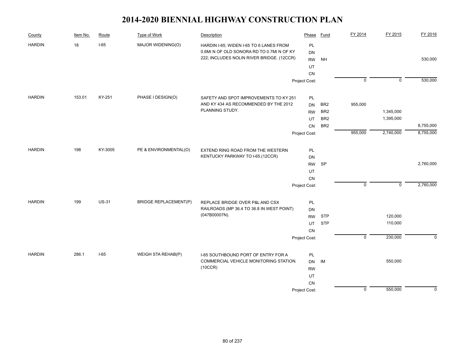| County        | Item No. | Route        | Type of Work                 | Description                               | Phase         | Fund            | FY 2014        | FY 2015        | FY 2016     |
|---------------|----------|--------------|------------------------------|-------------------------------------------|---------------|-----------------|----------------|----------------|-------------|
| <b>HARDIN</b> | 18       | $I-65$       | MAJOR WIDENING(O)            | HARDIN I-65; WIDEN I-65 TO 6 LANES FROM   | PL            |                 |                |                |             |
|               |          |              |                              | 0.6MI N OF OLD SONORA RD TO 0.7MI N OF KY | DN            |                 |                |                |             |
|               |          |              |                              | 222; INCLUDES NOLIN RIVER BRIDGE. (12CCR) | <b>RW</b>     | <b>NH</b>       |                |                | 530,000     |
|               |          |              |                              |                                           | UT            |                 |                |                |             |
|               |          |              |                              |                                           | <b>CN</b>     |                 |                |                |             |
|               |          |              |                              |                                           | Project Cost: |                 | $\overline{0}$ | $\overline{0}$ | 530,000     |
| <b>HARDIN</b> | 153.01   | KY-251       | PHASE I DESIGN(O)            | SAFETY AND SPOT IMPROVEMENTS TO KY 251    | PL            |                 |                |                |             |
|               |          |              |                              | AND KY 434 AS RECOMMENDED BY THE 2012     | <b>DN</b>     | BR <sub>2</sub> | 955,000        |                |             |
|               |          |              |                              | PLANNING STUDY.                           | <b>RW</b>     | BR <sub>2</sub> |                | 1,345,000      |             |
|               |          |              |                              |                                           | UT            | BR <sub>2</sub> |                | 1,395,000      |             |
|               |          |              |                              |                                           | CN            | BR <sub>2</sub> |                |                | 8,755,000   |
|               |          |              |                              |                                           | Project Cost: |                 | 955,000        | 2,740,000      | 8,755,000   |
| <b>HARDIN</b> | 198      | KY-3005      | PE & ENVIRONMENTAL(O)        | EXTEND RING ROAD FROM THE WESTERN         | PL            |                 |                |                |             |
|               |          |              |                              | KENTUCKY PARKWAY TO I-65.(12CCR)          | DN            |                 |                |                |             |
|               |          |              |                              |                                           | <b>RW</b>     | <b>SP</b>       |                |                | 2,760,000   |
|               |          |              |                              |                                           | UT            |                 |                |                |             |
|               |          |              |                              |                                           | CN            |                 |                |                |             |
|               |          |              |                              |                                           | Project Cost: |                 | $\overline{0}$ | $\mathbf 0$    | 2,760,000   |
| <b>HARDIN</b> | 199      | <b>US-31</b> | <b>BRIDGE REPLACEMENT(P)</b> | REPLACE BRIDGE OVER P&L AND CSX           | PL            |                 |                |                |             |
|               |          |              |                              | RAILROADS (MP 36.4 TO 36.8 IN WEST POINT) | DN            |                 |                |                |             |
|               |          |              |                              | (047B00007N).                             | <b>RW</b>     | <b>STP</b>      |                | 120,000        |             |
|               |          |              |                              |                                           | <b>UT</b>     | <b>STP</b>      |                | 110,000        |             |
|               |          |              |                              |                                           | <b>CN</b>     |                 |                |                |             |
|               |          |              |                              |                                           | Project Cost: |                 | $\overline{0}$ | 230,000        | $\Omega$    |
| <b>HARDIN</b> | 286.1    | $I-65$       | WEIGH STA REHAB(P)           | I-65 SOUTHBOUND PORT OF ENTRY FOR A       | PL            |                 |                |                |             |
|               |          |              |                              | COMMERCIAL VEHICLE MONITORING STATION.    | DN            | IM              |                | 550,000        |             |
|               |          |              |                              | (10CCR)                                   | <b>RW</b>     |                 |                |                |             |
|               |          |              |                              |                                           | UT            |                 |                |                |             |
|               |          |              |                              |                                           | CN            |                 |                |                |             |
|               |          |              |                              |                                           | Project Cost: |                 | $\mathsf 0$    | 550,000        | $\mathbf 0$ |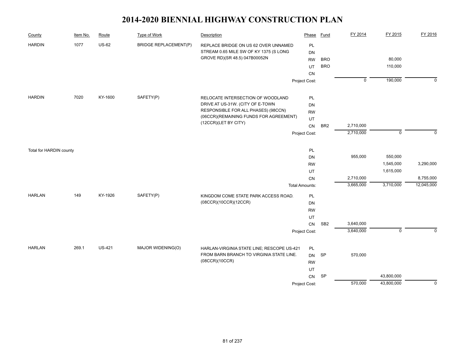| County                  | Item No. | Route         | <b>Type of Work</b>          | Description                                                | Phase                       | <b>Fund</b>     | FY 2014        | FY 2015     | FY 2016                 |
|-------------------------|----------|---------------|------------------------------|------------------------------------------------------------|-----------------------------|-----------------|----------------|-------------|-------------------------|
| <b>HARDIN</b>           | 1077     | <b>US-62</b>  | <b>BRIDGE REPLACEMENT(P)</b> | REPLACE BRIDGE ON US 62 OVER UNNAMED                       | PL                          |                 |                |             |                         |
|                         |          |               |                              | STREAM 0.65 MILE SW OF KY 1375 (S LONG                     | <b>DN</b>                   |                 |                |             |                         |
|                         |          |               |                              | GROVE RD)(SR 48.5) 047B00052N                              | <b>RW</b>                   | <b>BRO</b>      |                | 80,000      |                         |
|                         |          |               |                              |                                                            | UT                          | <b>BRO</b>      |                | 110,000     |                         |
|                         |          |               |                              |                                                            | CN                          |                 |                |             |                         |
|                         |          |               |                              |                                                            | Project Cost:               |                 | $\overline{0}$ | 190,000     | $\mathbf 0$             |
| <b>HARDIN</b>           | 7020     | KY-1600       | SAFETY(P)                    | RELOCATE INTERSECTION OF WOODLAND                          | PL                          |                 |                |             |                         |
|                         |          |               |                              | DRIVE AT US-31W. (CITY OF E-TOWN                           | DN                          |                 |                |             |                         |
|                         |          |               |                              | RESPONSIBLE FOR ALL PHASES) (98CCN)                        | <b>RW</b>                   |                 |                |             |                         |
|                         |          |               |                              | (06CCR)(REMAINING FUNDS FOR AGREEMENT)                     | UT                          |                 |                |             |                         |
|                         |          |               |                              | (12CCR)(LET BY CITY)                                       | CN                          | BR <sub>2</sub> | 2,710,000      |             |                         |
|                         |          |               |                              |                                                            | Project Cost:               |                 | 2,710,000      | $\mathbf 0$ | $\Omega$                |
|                         |          |               |                              |                                                            |                             |                 |                |             |                         |
| Total for HARDIN county |          |               |                              |                                                            | PL                          |                 | 955,000        |             |                         |
|                         |          |               |                              |                                                            | <b>DN</b>                   |                 |                | 550,000     |                         |
|                         |          |               |                              |                                                            | <b>RW</b>                   |                 |                | 1,545,000   | 3,290,000               |
|                         |          |               |                              |                                                            | UT                          |                 | 2,710,000      | 1,615,000   |                         |
|                         |          |               |                              |                                                            | CN<br><b>Total Amounts:</b> |                 | 3,665,000      | 3,710,000   | 8,755,000<br>12,045,000 |
| <b>HARLAN</b>           | 149      | KY-1926       | SAFETY(P)                    | KINGDOM COME STATE PARK ACCESS ROAD.                       | <b>PL</b>                   |                 |                |             |                         |
|                         |          |               |                              | (08CCR)(10CCR)(12CCR)                                      | DN                          |                 |                |             |                         |
|                         |          |               |                              |                                                            | <b>RW</b>                   |                 |                |             |                         |
|                         |          |               |                              |                                                            | UT                          |                 |                |             |                         |
|                         |          |               |                              |                                                            | CN                          | SB <sub>2</sub> | 3,640,000      |             |                         |
|                         |          |               |                              |                                                            | Project Cost:               |                 | 3,640,000      | $\mathbf 0$ | $\Omega$                |
|                         |          |               |                              |                                                            |                             |                 |                |             |                         |
| <b>HARLAN</b>           | 269.1    | <b>US-421</b> | MAJOR WIDENING(O)            | HARLAN-VIRGINIA STATE LINE; RESCOPE US-421                 | PL                          |                 |                |             |                         |
|                         |          |               |                              | FROM BARN BRANCH TO VIRGINIA STATE LINE.<br>(08CCR)(10CCR) | <b>DN</b>                   | <b>SP</b>       | 570,000        |             |                         |
|                         |          |               |                              |                                                            | <b>RW</b>                   |                 |                |             |                         |
|                         |          |               |                              |                                                            | UT<br>CN                    | <b>SP</b>       |                | 43,800,000  |                         |
|                         |          |               |                              |                                                            | Project Cost:               |                 | 570,000        | 43,800,000  | $\mathbf 0$             |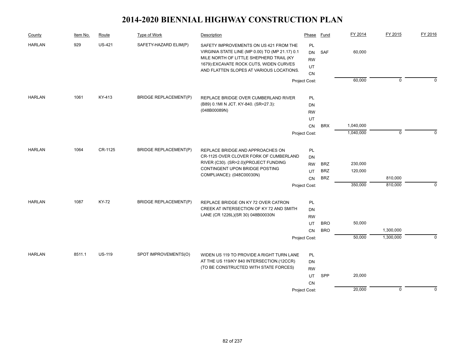| County        | Item No. | Route         | Type of Work                 | Description                                                                                                                                                                                                                 | Phase                                    | Fund       | FY 2014   | FY 2015     | FY 2016     |
|---------------|----------|---------------|------------------------------|-----------------------------------------------------------------------------------------------------------------------------------------------------------------------------------------------------------------------------|------------------------------------------|------------|-----------|-------------|-------------|
| <b>HARLAN</b> | 929      | <b>US-421</b> | SAFETY-HAZARD ELIM(P)        | SAFETY IMPROVEMENTS ON US 421 FROM THE<br>VIRGINIA STATE LINE (MP 0.00) TO (MP 21.17) 0.1<br>MILE NORTH OF LITTLE SHEPHERD TRAIL (KY<br>1679): EXCAVATE ROCK CUTS, WIDEN CURVES<br>AND FLATTEN SLOPES AT VARIOUS LOCATIONS. | <b>PL</b><br>DN<br><b>RW</b><br>UT<br>CN | <b>SAF</b> | 60,000    |             |             |
|               |          |               |                              |                                                                                                                                                                                                                             | Project Cost:                            |            | 60,000    | $\mathbf 0$ | $\Omega$    |
| <b>HARLAN</b> | 1061     | KY-413        | <b>BRIDGE REPLACEMENT(P)</b> | REPLACE BRIDGE OVER CUMBERLAND RIVER                                                                                                                                                                                        | <b>PL</b>                                |            |           |             |             |
|               |          |               |                              | (B89) 0.1MI N JCT. KY-840. (SR=27.3):                                                                                                                                                                                       | <b>DN</b>                                |            |           |             |             |
|               |          |               |                              | (048B00089N)                                                                                                                                                                                                                | <b>RW</b>                                |            |           |             |             |
|               |          |               |                              |                                                                                                                                                                                                                             | UT                                       |            |           |             |             |
|               |          |               |                              |                                                                                                                                                                                                                             | CN                                       | <b>BRX</b> | 1,040,000 |             |             |
|               |          |               |                              |                                                                                                                                                                                                                             | Project Cost:                            |            | 1,040,000 | $\mathbf 0$ | $\Omega$    |
| <b>HARLAN</b> | 1064     | CR-1125       | <b>BRIDGE REPLACEMENT(P)</b> | REPLACE BRIDGE AND APPROACHES ON                                                                                                                                                                                            | PL                                       |            |           |             |             |
|               |          |               |                              | CR-1125 OVER CLOVER FORK OF CUMBERLAND                                                                                                                                                                                      | <b>DN</b>                                |            |           |             |             |
|               |          |               |                              | RIVER (C30). (SR=2.0)(PROJECT FUNDING                                                                                                                                                                                       | <b>RW</b>                                | <b>BRZ</b> | 230,000   |             |             |
|               |          |               |                              | CONTINGENT UPON BRIDGE POSTING                                                                                                                                                                                              | UT                                       | <b>BRZ</b> | 120,000   |             |             |
|               |          |               |                              | COMPLIANCE): (048C00030N)                                                                                                                                                                                                   | <b>CN</b>                                | <b>BRZ</b> |           | 810,000     |             |
|               |          |               |                              |                                                                                                                                                                                                                             | Project Cost:                            |            | 350,000   | 810,000     | $\mathbf 0$ |
| <b>HARLAN</b> | 1087     | KY-72         | <b>BRIDGE REPLACEMENT(P)</b> |                                                                                                                                                                                                                             |                                          |            |           |             |             |
|               |          |               |                              | REPLACE BRIDGE ON KY 72 OVER CATRON<br>CREEK AT INTERSECTION OF KY 72 AND SMITH                                                                                                                                             | PL<br><b>DN</b>                          |            |           |             |             |
|               |          |               |                              | LANE (CR 1226L)(SR 30) 048B00030N                                                                                                                                                                                           | <b>RW</b>                                |            |           |             |             |
|               |          |               |                              |                                                                                                                                                                                                                             | UT                                       | <b>BRO</b> | 50,000    |             |             |
|               |          |               |                              |                                                                                                                                                                                                                             | CN                                       | <b>BRO</b> |           | 1,300,000   |             |
|               |          |               |                              |                                                                                                                                                                                                                             | Project Cost:                            |            | 50,000    | 1,300,000   | $\mathbf 0$ |
|               |          |               |                              |                                                                                                                                                                                                                             |                                          |            |           |             |             |
| <b>HARLAN</b> | 8511.1   | <b>US-119</b> | SPOT IMPROVEMENTS(O)         | WIDEN US 119 TO PROVIDE A RIGHT TURN LANE                                                                                                                                                                                   | <b>PL</b>                                |            |           |             |             |
|               |          |               |                              | AT THE US 119/KY 840 INTERSECTION.(12CCR)                                                                                                                                                                                   | DN                                       |            |           |             |             |
|               |          |               |                              | (TO BE CONSTRUCTED WITH STATE FORCES)                                                                                                                                                                                       | <b>RW</b>                                |            |           |             |             |
|               |          |               |                              |                                                                                                                                                                                                                             | UT                                       | SPP        | 20,000    |             |             |
|               |          |               |                              |                                                                                                                                                                                                                             | CN                                       |            |           |             |             |
|               |          |               |                              |                                                                                                                                                                                                                             | Project Cost:                            |            | 20,000    | $\mathbf 0$ | $\mathbf 0$ |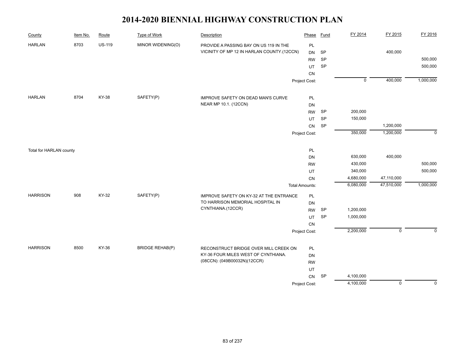| 8703<br><b>US-119</b><br>MINOR WIDENING(O)<br><b>HARLAN</b><br>PL<br>PROVIDE A PASSING BAY ON US 119 IN THE |                            |
|-------------------------------------------------------------------------------------------------------------|----------------------------|
| VICINITY OF MP 12 IN HARLAN COUNTY.(12CCN)<br>400,000<br><b>SP</b><br><b>DN</b>                             |                            |
| SP<br><b>RW</b>                                                                                             | 500,000                    |
| <b>SP</b><br>UT                                                                                             | 500,000                    |
| CN                                                                                                          |                            |
| $\overline{0}$<br>400,000<br>Project Cost:                                                                  | 1,000,000                  |
| 8704<br><b>KY-38</b><br>SAFETY(P)<br><b>HARLAN</b><br>PL<br>IMPROVE SAFETY ON DEAD MAN'S CURVE              |                            |
| NEAR MP 10.1. (12CCN)<br>DN                                                                                 |                            |
| <b>RW</b><br><b>SP</b><br>200,000                                                                           |                            |
| SP<br>150,000<br><b>UT</b>                                                                                  |                            |
| SP<br>1,200,000<br>CN                                                                                       |                            |
| 350,000<br>1,200,000                                                                                        | $\mathbf 0$                |
| Project Cost:                                                                                               |                            |
| PL<br>Total for HARLAN county                                                                               |                            |
| 400,000<br>630,000<br>DN                                                                                    |                            |
| 430,000<br><b>RW</b>                                                                                        | 500,000                    |
| 340,000<br>UT                                                                                               | 500,000                    |
| 47,110,000<br>4,680,000<br>CN                                                                               |                            |
| 6,080,000<br>47,510,000<br><b>Total Amounts:</b>                                                            | 1,000,000                  |
| KY-32<br>SAFETY(P)<br><b>HARRISON</b><br>908<br>IMPROVE SAFETY ON KY-32 AT THE ENTRANCE<br>PL               |                            |
| TO HARRISON MEMORIAL HOSPITAL IN<br>DN                                                                      |                            |
| CYNTHIANA.(12CCR)<br>SP<br>1,200,000<br><b>RW</b>                                                           |                            |
| 1,000,000<br>SP<br>UT                                                                                       |                            |
| ${\sf CN}$                                                                                                  |                            |
| 2,200,000<br>Project Cost:                                                                                  | $\mathsf 0$<br>$\mathbf 0$ |
| KY-36<br><b>HARRISON</b><br>8500<br><b>BRIDGE REHAB(P)</b><br>RECONSTRUCT BRIDGE OVER MILL CREEK ON<br>PL   |                            |
| KY-36 FOUR MILES WEST OF CYNTHIANA.<br>DN                                                                   |                            |
| (08CCN): (049B00032N)(12CCR)<br><b>RW</b>                                                                   |                            |
| UT                                                                                                          |                            |
| SP<br>4,100,000<br>CN                                                                                       |                            |
| 4,100,000<br>Project Cost:                                                                                  | $\overline{0}$<br>$\Omega$ |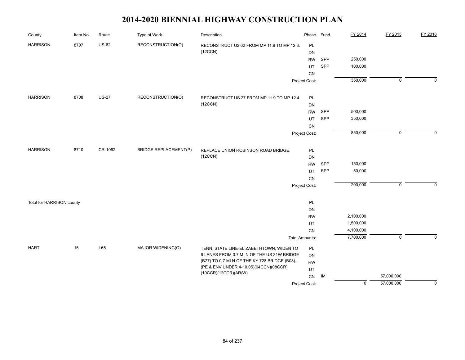| County                    | Item No. | Route        | <b>Type of Work</b>          | Description                                                    | Phase                 | Fund | FY 2014        | FY 2015        | FY 2016        |
|---------------------------|----------|--------------|------------------------------|----------------------------------------------------------------|-----------------------|------|----------------|----------------|----------------|
| <b>HARRISON</b>           | 8707     | <b>US-62</b> | RECONSTRUCTION(O)            | RECONSTRUCT U2 62 FROM MP 11.9 TO MP 12.3.                     | PL                    |      |                |                |                |
|                           |          |              |                              | (12CCN)                                                        | <b>DN</b>             |      |                |                |                |
|                           |          |              |                              |                                                                | <b>RW</b>             | SPP  | 250,000        |                |                |
|                           |          |              |                              |                                                                | UT                    | SPP  | 100,000        |                |                |
|                           |          |              |                              |                                                                | CN                    |      |                |                |                |
|                           |          |              |                              |                                                                | Project Cost:         |      | 350,000        | $\overline{0}$ | $\overline{0}$ |
| <b>HARRISON</b>           | 8708     | <b>US-27</b> | RECONSTRUCTION(O)            | RECONSTRUCT US 27 FROM MP 11.9 TO MP 12.4.                     | PL                    |      |                |                |                |
|                           |          |              |                              | (12CCN)                                                        | DN                    |      |                |                |                |
|                           |          |              |                              |                                                                | <b>RW</b>             | SPP  | 500,000        |                |                |
|                           |          |              |                              |                                                                | UT                    | SPP  | 350,000        |                |                |
|                           |          |              |                              |                                                                | CN                    |      |                |                |                |
|                           |          |              |                              |                                                                | Project Cost:         |      | 850,000        | $\mathsf 0$    | $\Omega$       |
| <b>HARRISON</b>           | 8710     | CR-1062      | <b>BRIDGE REPLACEMENT(P)</b> | REPLACE UNION ROBINSON ROAD BRIDGE.                            | PL                    |      |                |                |                |
|                           |          |              |                              | (12CCN)                                                        | DN                    |      |                |                |                |
|                           |          |              |                              |                                                                | <b>RW</b>             | SPP  | 150,000        |                |                |
|                           |          |              |                              |                                                                | UT                    | SPP  | 50,000         |                |                |
|                           |          |              |                              |                                                                | ${\sf CN}$            |      |                |                |                |
|                           |          |              |                              |                                                                | Project Cost:         |      | 200,000        | $\mathsf 0$    | $\mathbf 0$    |
| Total for HARRISON county |          |              |                              |                                                                | PL                    |      |                |                |                |
|                           |          |              |                              |                                                                | DN                    |      |                |                |                |
|                           |          |              |                              |                                                                | <b>RW</b>             |      | 2,100,000      |                |                |
|                           |          |              |                              |                                                                | UT                    |      | 1,500,000      |                |                |
|                           |          |              |                              |                                                                | CN                    |      | 4,100,000      |                |                |
|                           |          |              |                              |                                                                | <b>Total Amounts:</b> |      | 7,700,000      | $\overline{0}$ | $\mathbf 0$    |
| <b>HART</b>               | 15       | $I-65$       | MAJOR WIDENING(O)            | TENN. STATE LINE-ELIZABETHTOWN; WIDEN TO                       | PL                    |      |                |                |                |
|                           |          |              |                              | 6 LANES FROM 0.7 MI N OF THE US 31W BRIDGE                     | DN                    |      |                |                |                |
|                           |          |              |                              | (B27) TO 0.7 MI N OF THE KY 728 BRIDGE (B08).                  | <b>RW</b>             |      |                |                |                |
|                           |          |              |                              | (PE & ENV UNDER 4-10.05)(04CCN)(08CCR)<br>(10CCR)(12CCR)(AR/W) | UT                    |      |                |                |                |
|                           |          |              |                              |                                                                | CN                    | IM   |                | 57,000,000     |                |
|                           |          |              |                              |                                                                | Project Cost:         |      | $\overline{0}$ | 57,000,000     | $\overline{0}$ |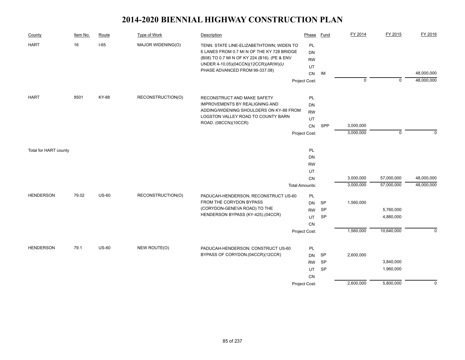| County                                    | Item No. | Route        | <b>Type of Work</b> | <b>Description</b>                                                                                                                                                                                               | Phase                                                                          | <b>Fund</b>                         | FY 2014                | FY 2015                  | FY 2016                  |
|-------------------------------------------|----------|--------------|---------------------|------------------------------------------------------------------------------------------------------------------------------------------------------------------------------------------------------------------|--------------------------------------------------------------------------------|-------------------------------------|------------------------|--------------------------|--------------------------|
| <b>HART</b>                               | 16       | $I-65$       | MAJOR WIDENING(O)   | TENN. STATE LINE-ELIZABETHTOWN; WIDEN TO<br>6 LANES FROM 0.7 MI N OF THE KY 728 BRIDGE<br>(B08) TO 0.7 MI N OF KY 224 (B16). (PE & ENV<br>UNDER 4-10.05)(04CCN)(12CCR)(AR/W)(U<br>PHASE ADVANCED FROM 99-337.08) | PL<br><b>DN</b><br><b>RW</b><br>UT<br>CN                                       | IM                                  |                        |                          | 48,000,000               |
|                                           |          |              |                     |                                                                                                                                                                                                                  | Project Cost:                                                                  |                                     | $\overline{0}$         | $\overline{0}$           | 48,000,000               |
|                                           |          |              |                     |                                                                                                                                                                                                                  |                                                                                |                                     |                        |                          |                          |
| <b>HART</b>                               | 8501     | KY-88        | RECONSTRUCTION(O)   | RECONSTRUCT AND MAKE SAFETY<br><b>IMPROVEMENTS BY REALIGNING AND</b><br>ADDING/WIDENING SHOULDERS ON KY-88 FROM<br>LOGSTON VALLEY ROAD TO COUNTY BARN<br>ROAD. (08CCN)(10CCR)                                    | PL<br>DN<br><b>RW</b><br>UT<br>CN                                              | SPP                                 | 3,000,000              |                          |                          |
|                                           |          |              |                     |                                                                                                                                                                                                                  | Project Cost:                                                                  |                                     | 3,000,000              | $\mathbf 0$              | $\Omega$                 |
| Total for HART county<br><b>HENDERSON</b> | 79.02    | <b>US-60</b> | RECONSTRUCTION(O)   | PADUCAH-HENDERSON; RECONSTRUCT US-60                                                                                                                                                                             | PL<br><b>DN</b><br><b>RW</b><br><b>UT</b><br>CN<br><b>Total Amounts:</b><br>PL |                                     | 3,000,000<br>3,000,000 | 57,000,000<br>57,000,000 | 48,000,000<br>48,000,000 |
|                                           |          |              |                     | FROM THE CORYDON BYPASS                                                                                                                                                                                          | <b>DN</b>                                                                      | SP                                  | 1,560,000              |                          |                          |
|                                           |          |              |                     | (CORYDON-GENEVA ROAD) TO THE                                                                                                                                                                                     | <b>RW</b>                                                                      | <b>SP</b>                           |                        | 5,760,000                |                          |
|                                           |          |              |                     | HENDERSON BYPASS (KY-425).(04CCR)                                                                                                                                                                                | UT<br><b>CN</b>                                                                | <b>SP</b>                           |                        | 4,880,000                |                          |
|                                           |          |              |                     |                                                                                                                                                                                                                  | Project Cost:                                                                  |                                     | 1,560,000              | 10,640,000               | $\mathbf 0$              |
| <b>HENDERSON</b>                          | 79.1     | <b>US-60</b> | NEW ROUTE(O)        | PADUCAH-HENDERSON; CONSTRUCT US-60<br>BYPASS OF CORYDON.(04CCR)(12CCR)                                                                                                                                           | PL<br>DN<br><b>RW</b><br>UT<br>CN                                              | <b>SP</b><br><b>SP</b><br><b>SP</b> | 2,600,000              | 3,840,000<br>1,960,000   |                          |
|                                           |          |              |                     |                                                                                                                                                                                                                  | Project Cost:                                                                  |                                     | 2,600,000              | 5,800,000                | $\overline{0}$           |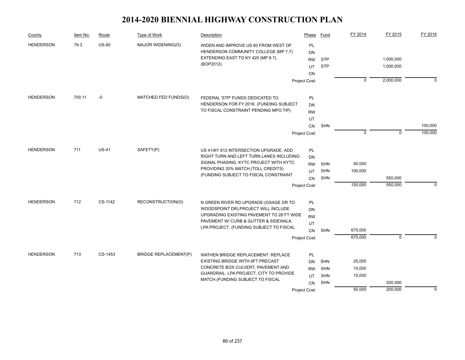| County           | Item No. | Route        | Type of Work                 | Description                                                                 | Phase         | Fund       | FY 2014        | FY 2015        | FY 2016     |
|------------------|----------|--------------|------------------------------|-----------------------------------------------------------------------------|---------------|------------|----------------|----------------|-------------|
| <b>HENDERSON</b> | 79.3     | $US-60$      | MAJOR WIDENING(O)            | WIDEN AND IMPROVE US 60 FROM WEST OF                                        | PL            |            |                |                |             |
|                  |          |              |                              | HENDERSON COMMUNITY COLLEGE (MP 7.7)                                        | DN            |            |                |                |             |
|                  |          |              |                              | EXTENDING EAST TO KY 425 (MP 8.7).<br>(BOP2012)                             | <b>RW</b>     | <b>STP</b> |                | 1,000,000      |             |
|                  |          |              |                              |                                                                             | UT            | <b>STP</b> |                | 1,000,000      |             |
|                  |          |              |                              |                                                                             | <b>CN</b>     |            |                |                |             |
|                  |          |              |                              |                                                                             | Project Cost: |            | $\overline{0}$ | 2,000,000      | $\mathbf 0$ |
| <b>HENDERSON</b> | 700.11   | $-0$         | MATCHED FED FUNDS(O)         | FEDERAL 'STP' FUNDS DEDICATED TO                                            | <b>PL</b>     |            |                |                |             |
|                  |          |              |                              | HENDERSON FOR FY 2016. (FUNDING SUBJECT                                     | DN            |            |                |                |             |
|                  |          |              |                              | TO FISCAL CONSTRAINT PENDING MPO TIP)                                       | <b>RW</b>     |            |                |                |             |
|                  |          |              |                              |                                                                             | UT            |            |                |                |             |
|                  |          |              |                              |                                                                             | CN            | <b>SHN</b> |                |                | 100,000     |
|                  |          |              |                              |                                                                             | Project Cost: |            | $\mathbf 0$    | $\Omega$       | 100,000     |
| <b>HENDERSON</b> | 711      | <b>US-41</b> | SAFETY(P)                    | US 41/KY 812 INTERSECTION UPGRADE: ADD                                      | PL            |            |                |                |             |
|                  |          |              |                              | RIGHT TURN AND LEFT TURN LANES INCLUDING                                    | <b>DN</b>     |            |                |                |             |
|                  |          |              |                              | SIGNAL PHASING. KYTC PROJECT WITH KYTC                                      | <b>RW</b>     | <b>SHN</b> | 50,000         |                |             |
|                  |          |              |                              | PROVIDING 20% MATCH. (TOLL CREDITS)                                         | UT            | <b>SHN</b> | 100,000        |                |             |
|                  |          |              |                              | (FUNDING SUBJECT TO FISCAL CONSTRAINT                                       | CN            | <b>SHN</b> |                | 550,000        |             |
|                  |          |              |                              |                                                                             | Project Cost: |            | 150,000        | 550,000        | $\mathbf 0$ |
| <b>HENDERSON</b> | 712      | CS-1142      | RECONSTRUCTION(O)            | N GREEN RIVER RD UPGRADE-(OSAGE DR TO                                       | PL            |            |                |                |             |
|                  |          |              |                              | WOODSPOINT DR).PROJECT WILL INCLUDE                                         | DN            |            |                |                |             |
|                  |          |              |                              | UPGRADING EXISTING PAVEMENT TO 28 FT WIDE                                   | <b>RW</b>     |            |                |                |             |
|                  |          |              |                              | PAVEMENT W/ CURB & GUTTER & SIDEWALK.                                       | UT            |            |                |                |             |
|                  |          |              |                              | LPA PROJECT. (FUNDING SUBJECT TO FISCAL                                     | CN            | <b>SHN</b> | 675,000        |                |             |
|                  |          |              |                              |                                                                             | Project Cost: |            | 675,000        | $\overline{0}$ | $\Omega$    |
| <b>HENDERSON</b> | 713      | CS-1453      | <b>BRIDGE REPLACEMENT(P)</b> | WATHEN BRIDGE REPLACEMENT: REPLACE                                          | PL            |            |                |                |             |
|                  |          |              |                              | EXISTING BRIDGE WITH 6FT PRECAST                                            | DN            | <b>SHN</b> | 25,000         |                |             |
|                  |          |              |                              | CONCRETE BOX CULVERT, PAVEMENT AND                                          | <b>RW</b>     | SHN        | 10,000         |                |             |
|                  |          |              |                              | GUARDRAIL. LPA PROJECT. CITY TO PROVIDE<br>MATCH.(FUNDING SUBJECT TO FISCAL | UT            | SHN        | 15,000         |                |             |
|                  |          |              |                              |                                                                             | CN            | <b>SHN</b> |                | 200,000        |             |
|                  |          |              |                              |                                                                             | Project Cost: |            | 50,000         | 200,000        | $\theta$    |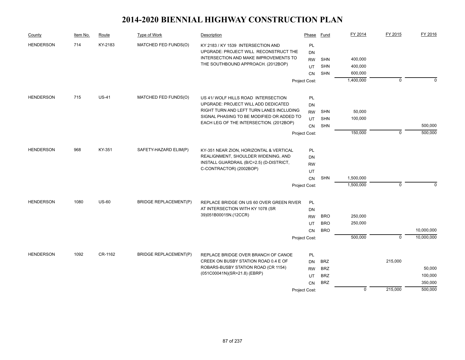| County           | Item No. | Route        | Type of Work                             | Description                                                                     | Phase         | Fund       | FY 2014     | FY 2015        | FY 2016     |
|------------------|----------|--------------|------------------------------------------|---------------------------------------------------------------------------------|---------------|------------|-------------|----------------|-------------|
| <b>HENDERSON</b> | 714      | KY-2183      | MATCHED FED FUNDS(O)                     | KY 2183 / KY 1539 INTERSECTION AND                                              | PL            |            |             |                |             |
|                  |          |              |                                          | UPGRADE: PROJECT WILL RECONSTRUCT THE                                           | DN            |            |             |                |             |
|                  |          |              |                                          | INTERSECTION AND MAKE IMPROVEMENTS TO                                           | <b>RW</b>     | <b>SHN</b> | 400,000     |                |             |
|                  |          |              |                                          | THE SOUTHBOUND APPROACH. (2012BOP)                                              | UT            | <b>SHN</b> | 400,000     |                |             |
|                  |          |              |                                          |                                                                                 | <b>CN</b>     | <b>SHN</b> | 600,000     |                |             |
|                  |          |              |                                          |                                                                                 | Project Cost: |            | 1,400,000   | $\mathbf 0$    | $\mathbf 0$ |
|                  |          |              |                                          |                                                                                 |               |            |             |                |             |
| <b>HENDERSON</b> | 715      | <b>US-41</b> | MATCHED FED FUNDS(O)                     | US 41/ WOLF HILLS ROAD INTERSECTION                                             | PL            |            |             |                |             |
|                  |          |              |                                          | UPGRADE: PROJECT WILL ADD DEDICATED<br>RIGHT TURN AND LEFT TURN LANES INCLUDING | <b>DN</b>     |            |             |                |             |
|                  |          |              |                                          | SIGNAL PHASING TO BE MODIFIED OR ADDED TO                                       | <b>RW</b>     | <b>SHN</b> | 50,000      |                |             |
|                  |          |              |                                          | EACH LEG OF THE INTERSECTION. (2012BOP)                                         | UT            | <b>SHN</b> | 100,000     |                |             |
|                  |          |              |                                          |                                                                                 | <b>CN</b>     | <b>SHN</b> |             |                | 500,000     |
|                  |          |              |                                          |                                                                                 | Project Cost: |            | 150,000     | $\mathbf 0$    | 500,000     |
| <b>HENDERSON</b> | 968      | KY-351       | SAFETY-HAZARD ELIM(P)                    |                                                                                 |               |            |             |                |             |
|                  |          |              |                                          | KY-351 NEAR ZION, HORIZONTAL & VERTICAL<br>REALIGNMENT, SHOULDER WIDENING, AND  | <b>PL</b>     |            |             |                |             |
|                  |          |              | INSTALL GUARDRAIL (B/C=2.5) (D-DISTRICT, | DN                                                                              |               |            |             |                |             |
|                  |          |              |                                          | C-CONTRACTOR) (2002BOP)                                                         | <b>RW</b>     |            |             |                |             |
|                  |          |              |                                          |                                                                                 | UT            |            |             |                |             |
|                  |          |              |                                          |                                                                                 | <b>CN</b>     | <b>SHN</b> | 1,500,000   |                |             |
|                  |          |              |                                          |                                                                                 | Project Cost: |            | 1,500,000   | $\mathbf 0$    | $\Omega$    |
| <b>HENDERSON</b> | 1080     | <b>US-60</b> | <b>BRIDGE REPLACEMENT(P)</b>             | REPLACE BRIDGE ON US 60 OVER GREEN RIVER                                        | PL            |            |             |                |             |
|                  |          |              |                                          | AT INTERSECTION WITH KY 1078 (SR                                                | <b>DN</b>     |            |             |                |             |
|                  |          |              |                                          | 39)051B00015N.(12CCR)                                                           | <b>RW</b>     | <b>BRO</b> | 250,000     |                |             |
|                  |          |              |                                          |                                                                                 | UT            | <b>BRO</b> | 250,000     |                |             |
|                  |          |              |                                          |                                                                                 | <b>CN</b>     | <b>BRO</b> |             |                | 10,000,000  |
|                  |          |              |                                          |                                                                                 | Project Cost: |            | 500,000     | $\overline{0}$ | 10,000,000  |
|                  |          |              |                                          |                                                                                 |               |            |             |                |             |
| <b>HENDERSON</b> | 1092     | CR-1162      | <b>BRIDGE REPLACEMENT(P)</b>             | REPLACE BRIDGE OVER BRANCH OF CANOE                                             | <b>PL</b>     |            |             |                |             |
|                  |          |              |                                          | CREEK ON BUSBY STATION ROAD 0.4 E OF                                            | <b>DN</b>     | <b>BRZ</b> |             | 215,000        |             |
|                  |          |              |                                          | ROBARS-BUSBY STATION ROAD (CR 1154)                                             | <b>RW</b>     | <b>BRZ</b> |             |                | 50,000      |
|                  |          |              |                                          | (051C00041N)(SR=21.8) (EBRP)                                                    | UT            | <b>BRZ</b> |             |                | 100,000     |
|                  |          |              |                                          |                                                                                 | <b>CN</b>     | <b>BRZ</b> |             |                | 350,000     |
|                  |          |              |                                          |                                                                                 | Project Cost: |            | $\mathbf 0$ | 215,000        | 500,000     |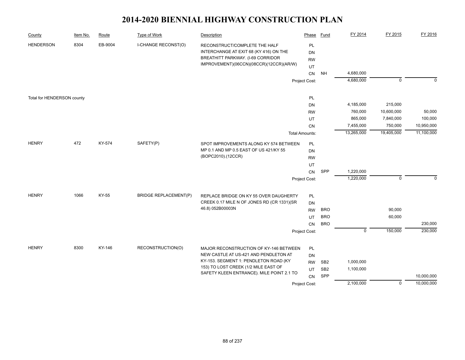| County                     | Item No. | Route   | Type of Work                 | Description                                                                                                                                             | Phase                 | <b>Fund</b>     | FY 2014                | FY 2015     | FY 2016    |
|----------------------------|----------|---------|------------------------------|---------------------------------------------------------------------------------------------------------------------------------------------------------|-----------------------|-----------------|------------------------|-------------|------------|
| <b>HENDERSON</b>           | 8304     | EB-9004 | <b>I-CHANGE RECONST(O)</b>   | RECONSTRUCT/COMPLETE THE HALF<br>INTERCHANGE AT EXIT 68 (KY 416) ON THE<br>BREATHITT PARKWAY. (I-69 CORRIDOR<br>IMPROVEMENT)(06CCN)(08CCR)(12CCR)(AR/W) | PL<br>DN<br><b>RW</b> |                 |                        |             |            |
|                            |          |         |                              |                                                                                                                                                         | UT                    |                 |                        |             |            |
|                            |          |         |                              |                                                                                                                                                         | CN                    | <b>NH</b>       | 4,680,000<br>4,680,000 | $\mathbf 0$ | $\Omega$   |
|                            |          |         |                              |                                                                                                                                                         | Project Cost:         |                 |                        |             |            |
| Total for HENDERSON county |          |         |                              |                                                                                                                                                         | PL                    |                 |                        |             |            |
|                            |          |         |                              |                                                                                                                                                         | <b>DN</b>             |                 | 4,185,000              | 215,000     |            |
|                            |          |         |                              |                                                                                                                                                         | <b>RW</b>             |                 | 760,000                | 10,600,000  | 50,000     |
|                            |          |         |                              |                                                                                                                                                         | UT                    |                 | 865,000                | 7,840,000   | 100,000    |
|                            |          |         |                              |                                                                                                                                                         | CN                    |                 | 7,455,000              | 750,000     | 10,950,000 |
|                            |          |         |                              |                                                                                                                                                         | <b>Total Amounts:</b> |                 | 13,265,000             | 19,405,000  | 11,100,000 |
| <b>HENRY</b>               | 472      | KY-574  | SAFETY(P)                    | SPOT IMPROVEMENTS ALONG KY 574 BETWEEN                                                                                                                  | PL                    |                 |                        |             |            |
|                            |          |         |                              | MP 0.1 AND MP 0.5 EAST OF US 421/KY 55                                                                                                                  | <b>DN</b>             |                 |                        |             |            |
|                            |          |         | (BOPC2010).(12CCR)           | <b>RW</b>                                                                                                                                               |                       |                 |                        |             |            |
|                            |          |         |                              |                                                                                                                                                         | UT                    |                 |                        |             |            |
|                            |          |         |                              |                                                                                                                                                         | CN                    | <b>SPP</b>      | 1,220,000              |             |            |
|                            |          |         |                              |                                                                                                                                                         | Project Cost:         |                 | 1,220,000              | $\mathbf 0$ | $\Omega$   |
| <b>HENRY</b>               | 1066     | KY-55   | <b>BRIDGE REPLACEMENT(P)</b> | REPLACE BRIDGE ON KY 55 OVER DAUGHERTY                                                                                                                  | <b>PL</b>             |                 |                        |             |            |
|                            |          |         |                              | CREEK 0.17 MILE N OF JONES RD (CR 1331)(SR                                                                                                              | DN                    |                 |                        |             |            |
|                            |          |         |                              | 46.8) 052B00003N                                                                                                                                        | <b>RW</b>             | <b>BRO</b>      |                        | 90,000      |            |
|                            |          |         |                              |                                                                                                                                                         | UT                    | <b>BRO</b>      |                        | 60,000      |            |
|                            |          |         |                              |                                                                                                                                                         | CN                    | <b>BRO</b>      |                        |             | 230,000    |
|                            |          |         |                              |                                                                                                                                                         | Project Cost:         |                 | $\mathbf 0$            | 150,000     | 230,000    |
|                            |          |         |                              |                                                                                                                                                         |                       |                 |                        |             |            |
| <b>HENRY</b>               | 8300     | KY-146  | RECONSTRUCTION(O)            | MAJOR RECONSTRUCTION OF KY-146 BETWEEN                                                                                                                  | PL                    |                 |                        |             |            |
|                            |          |         |                              | NEW CASTLE AT US-421 AND PENDLETON AT                                                                                                                   | <b>DN</b>             |                 |                        |             |            |
|                            |          |         |                              | KY-153. SEGMENT 1: PENDLETON ROAD (KY                                                                                                                   | <b>RW</b>             | SB <sub>2</sub> | 1,000,000              |             |            |
|                            |          |         |                              | 153) TO LOST CREEK (1/2 MILE EAST OF<br>SAFETY KLEEN ENTRANCE). MILE POINT 2.1 TO                                                                       | UT                    | SB <sub>2</sub> | 1,100,000              |             |            |
|                            |          |         |                              |                                                                                                                                                         | <b>CN</b>             | SPP             |                        |             | 10,000,000 |
|                            |          |         |                              |                                                                                                                                                         | Project Cost:         |                 | 2,100,000              | $\mathbf 0$ | 10,000,000 |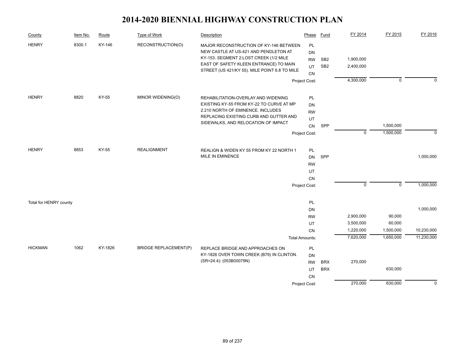| County                 | Item No. | Route   | <b>Type of Work</b>          | Description                                                                                                                                                                                                          | Phase                                                     | <b>Fund</b>                        | FY 2014                                          | FY 2015                                    | FY 2016                  |
|------------------------|----------|---------|------------------------------|----------------------------------------------------------------------------------------------------------------------------------------------------------------------------------------------------------------------|-----------------------------------------------------------|------------------------------------|--------------------------------------------------|--------------------------------------------|--------------------------|
| <b>HENRY</b>           | 8300.1   | KY-146  | RECONSTRUCTION(O)            | MAJOR RECONSTRUCTION OF KY-146 BETWEEN<br>NEW CASTLE AT US-421 AND PENDLETON AT<br>KY-153. SEGMENT 2:LOST CREEK (1/2 MILE<br>EAST OF SAFETY KLEEN ENTRANCE) TO MAIN<br>STREET (US 421/KY 55). MILE POINT 6.8 TO MILE | <b>PL</b><br>DN<br><b>RW</b><br>UT<br>CN                  | SB <sub>2</sub><br>SB <sub>2</sub> | 1,900,000<br>2,400,000                           |                                            |                          |
|                        |          |         |                              |                                                                                                                                                                                                                      | Project Cost:                                             |                                    | 4,300,000                                        | $\mathbf 0$                                | $\Omega$                 |
| <b>HENRY</b>           | 8820     | KY-55   | MINOR WIDENING(O)            | REHABILITATION-OVERLAY AND WIDENING<br>EXISTING KY-55 FROM KY-22 TO CURVE AT MP<br>2.210 NORTH OF EMINENCE. INCLUDES<br>REPLACING EXISTING CURB AND GUTTER AND<br>SIDEWALKS, AND RELOCATION OF IMPACT                | <b>PL</b><br><b>DN</b><br><b>RW</b><br>UT<br>CN           | SPP                                |                                                  | 1,500,000                                  |                          |
|                        |          |         |                              |                                                                                                                                                                                                                      | Project Cost:                                             |                                    | $\mathbf 0$                                      | 1,500,000                                  | $\mathbf 0$              |
| <b>HENRY</b>           | 8853     | KY-55   | <b>REALIGNMENT</b>           | REALIGN & WIDEN KY 55 FROM KY 22 NORTH 1<br>MILE IN EMINENCE                                                                                                                                                         | PL<br><b>DN</b><br><b>RW</b><br>UT<br>CN<br>Project Cost: | SPP                                | $\overline{0}$                                   | $\overline{0}$                             | 1,000,000<br>1,000,000   |
| Total for HENRY county |          |         |                              |                                                                                                                                                                                                                      | PL<br>DN                                                  |                                    |                                                  |                                            | 1,000,000                |
|                        |          |         |                              |                                                                                                                                                                                                                      | <b>RW</b><br>UT<br><b>CN</b><br><b>Total Amounts:</b>     |                                    | 2,900,000<br>3,500,000<br>1,220,000<br>7,620,000 | 90,000<br>60,000<br>1,500,000<br>1,650,000 | 10,230,000<br>11,230,000 |
| <b>HICKMAN</b>         | 1062     | KY-1826 | <b>BRIDGE REPLACEMENT(P)</b> | REPLACE BRIDGE AND APPROACHES ON<br>KY-1826 OVER TOWN CREEK (B79) IN CLINTON.<br>(SR=24.4): (053B00079N)                                                                                                             | PL<br>DN<br><b>RW</b><br>UT<br>CN                         | <b>BRX</b><br><b>BRX</b>           | 270,000                                          | 630,000                                    |                          |
|                        |          |         |                              |                                                                                                                                                                                                                      | Project Cost:                                             |                                    | 270,000                                          | 630,000                                    | $\mathbf 0$              |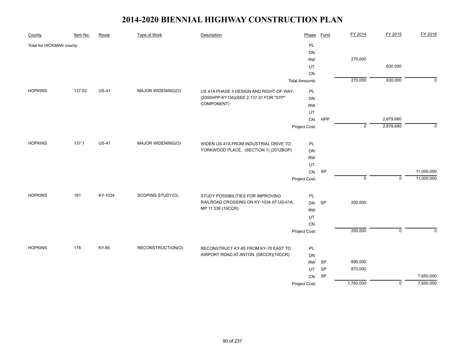| County                   | Item No. | Route        | Type of Work      | Description                              | Phase                 | <b>Fund</b> | FY 2014     | FY 2015        | FY 2016     |
|--------------------------|----------|--------------|-------------------|------------------------------------------|-----------------------|-------------|-------------|----------------|-------------|
| Total for HICKMAN county |          |              |                   |                                          | PL                    |             |             |                |             |
|                          |          |              |                   |                                          | DN                    |             |             |                |             |
|                          |          |              |                   |                                          | <b>RW</b>             |             | 270,000     |                |             |
|                          |          |              |                   |                                          | UT                    |             |             | 630,000        |             |
|                          |          |              |                   |                                          | CN                    |             |             |                |             |
|                          |          |              |                   |                                          | <b>Total Amounts:</b> |             | 270,000     | 630,000        | $\mathbf 0$ |
| <b>HOPKINS</b>           | 137.02   | $US-41$      | MAJOR WIDENING(O) | US 41A PHASE II DESIGN AND RIGHT-OF-WAY. | PL                    |             |             |                |             |
|                          |          |              |                   | (2005HPP-KY135)(SEE 2-137.01 FOR "STP"   | DN                    |             |             |                |             |
|                          |          |              |                   | COMPONENT)                               | <b>RW</b>             |             |             |                |             |
|                          |          |              |                   |                                          | UT                    |             |             |                |             |
|                          |          |              |                   |                                          | CN                    | HPP         |             | 2,879,680      |             |
|                          |          |              |                   |                                          | Project Cost:         |             | $\mathbf 0$ | 2,879,680      | $\mathbf 0$ |
| <b>HOPKINS</b>           | 137.1    | <b>US-41</b> | MAJOR WIDENING(O) | WIDEN US-41A FROM INDUSTRIAL DRIVE TO    |                       |             |             |                |             |
|                          |          |              |                   | YORKWOOD PLACE. (SECTION 1) (2012BOP)    | PL<br>DN              |             |             |                |             |
|                          |          |              |                   |                                          | <b>RW</b>             |             |             |                |             |
|                          |          |              |                   |                                          | UT                    |             |             |                |             |
|                          |          |              |                   |                                          | CN                    | <b>SP</b>   |             |                | 11,000,000  |
|                          |          |              |                   |                                          | Project Cost:         |             | $\mathbf 0$ | $\mathsf 0$    | 11,000,000  |
|                          |          |              |                   |                                          |                       |             |             |                |             |
| <b>HOPKINS</b>           | 161      | KY-1034      | SCOPING STUDY(O)  | STUDY POSSIBILITIES FOR IMPROVING        | PL                    |             |             |                |             |
|                          |          |              |                   | RAILROAD CROSSING ON KY-1034 AT US-41A,  | <b>DN</b>             | <b>SP</b>   | 200,000     |                |             |
|                          |          |              |                   | MP 11.336.(10CCR)                        | <b>RW</b>             |             |             |                |             |
|                          |          |              |                   |                                          | UT                    |             |             |                |             |
|                          |          |              |                   |                                          | CN                    |             |             |                |             |
|                          |          |              |                   |                                          | Project Cost:         |             | 200,000     | $\mathbf 0$    | $\mathbf 0$ |
| <b>HOPKINS</b>           | 176      | KY-85        | RECONSTRUCTION(O) | RECONSTRUCT KY-85 FROM KY-70 EAST TO     | PL                    |             |             |                |             |
|                          |          |              |                   | AIRPORT ROAD AT ANTON. (08CCR)(10CCR)    | DN                    |             |             |                |             |
|                          |          |              |                   |                                          | <b>RW</b>             | SP          | 890,000     |                |             |
|                          |          |              |                   |                                          | UT                    | SP          | 870,000     |                |             |
|                          |          |              |                   |                                          | CN                    | SP          |             |                | 7,650,000   |
|                          |          |              |                   |                                          | Project Cost:         |             | 1,760,000   | $\overline{0}$ | 7,650,000   |
|                          |          |              |                   |                                          |                       |             |             |                |             |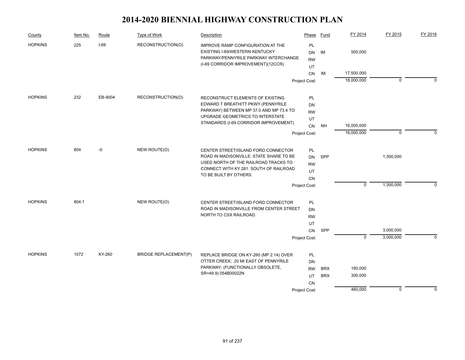| Type of Work<br>Item No.<br>Route<br>Description<br>County                                                                                                                                                 | Phase                              | Fund       | FY 2014     | FY 2015     | FY 2016     |
|------------------------------------------------------------------------------------------------------------------------------------------------------------------------------------------------------------|------------------------------------|------------|-------------|-------------|-------------|
| 225<br>$I-69$<br><b>HOPKINS</b><br>RECONSTRUCTION(O)<br>IMPROVE RAMP CONFIGURATION AT THE<br>EXISTING I-69/WESTERN KENTUCKY<br>PARKWAY/PENNYRILE PARKWAY INTERCHANGE<br>(I-69 CORRIDOR IMPROVEMENT)(12CCR) | PL<br><b>DN</b><br><b>RW</b><br>UT | IM         | 500,000     |             |             |
|                                                                                                                                                                                                            | CN                                 | IM         | 17,500,000  |             |             |
|                                                                                                                                                                                                            | Project Cost:                      |            | 18,000,000  | $\mathbf 0$ | $\Omega$    |
|                                                                                                                                                                                                            |                                    |            |             |             |             |
| <b>HOPKINS</b><br>232<br>EB-9004<br>RECONSTRUCTION(O)<br>RECONSTRUCT ELEMENTS OF EXISTING<br>EDWARD T BREATHITT PKWY (PENNYRILE                                                                            | PL                                 |            |             |             |             |
| PARKWAY) BETWEEN MP 37.0 AND MP 73.4 TO                                                                                                                                                                    | DN<br><b>RW</b>                    |            |             |             |             |
| UPGRADE GEOMETRICS TO INTERSTATE                                                                                                                                                                           | UT                                 |            |             |             |             |
| STANDARDS (I-69 CORRIDOR IMPROVEMENT)                                                                                                                                                                      | CN                                 | NH         | 16,000,000  |             |             |
|                                                                                                                                                                                                            | Project Cost:                      |            | 16,000,000  | $\mathbf 0$ | $\Omega$    |
| -0<br>NEW ROUTE(O)<br><b>HOPKINS</b><br>804<br>CENTER STREET/ISLAND FORD CONNECTOR                                                                                                                         | <b>PL</b>                          |            |             |             |             |
| ROAD IN MADISONVILLE: STATE SHARE TO BE                                                                                                                                                                    | DN                                 | SPP        |             | 1,300,000   |             |
| USED NORTH OF THE RAILROAD TRACKS TO                                                                                                                                                                       | <b>RW</b>                          |            |             |             |             |
| CONNECT WITH KY 281. SOUTH OF RAILROAD                                                                                                                                                                     | UT                                 |            |             |             |             |
| TO BE BUILT BY OTHERS.                                                                                                                                                                                     | <b>CN</b>                          |            |             |             |             |
|                                                                                                                                                                                                            | Project Cost:                      |            | $\mathbf 0$ | 1,300,000   | $\Omega$    |
| 804.1<br>NEW ROUTE(O)<br><b>HOPKINS</b><br>CENTER STREET/ISLAND FORD CONNECTOR                                                                                                                             | PL                                 |            |             |             |             |
| ROAD IN MADISONVILLE FROM CENTER STREET                                                                                                                                                                    | DN                                 |            |             |             |             |
| NORTH TO CSX RAILROAD.                                                                                                                                                                                     | <b>RW</b>                          |            |             |             |             |
|                                                                                                                                                                                                            | UT                                 |            |             |             |             |
|                                                                                                                                                                                                            | <b>CN</b>                          | SPP        | $\mathbf 0$ | 3,000,000   |             |
|                                                                                                                                                                                                            | Project Cost:                      |            |             | 3,000,000   | $\mathbf 0$ |
| <b>HOPKINS</b><br>1072<br>KY-260<br><b>BRIDGE REPLACEMENT(P)</b><br>REPLACE BRIDGE ON KY-260 (MP 2.14) OVER                                                                                                | PL                                 |            |             |             |             |
| OTTER CREEK; .20 MI EAST OF PENNYRILE                                                                                                                                                                      | DN                                 |            |             |             |             |
| PARKWAY; (FUNCTIONALLY OBSOLETE,<br>SR=49.9) 054B00022N                                                                                                                                                    | <b>RW</b>                          | <b>BRX</b> | 160,000     |             |             |
|                                                                                                                                                                                                            | UT                                 | <b>BRX</b> | 300,000     |             |             |
|                                                                                                                                                                                                            | <b>CN</b><br>Project Cost:         |            | 460,000     | $\mathbf 0$ | $\mathbf 0$ |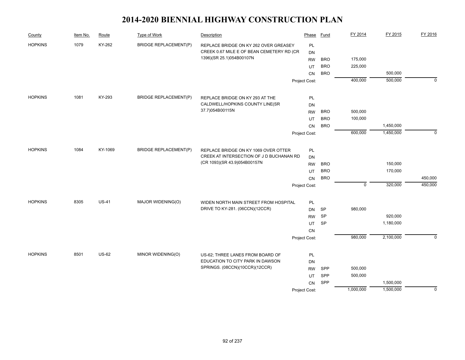| County         | Item No. | Route        | Type of Work                 | Description                                                              | Phase         | Fund       | FY 2014     | FY 2015   | FY 2016     |
|----------------|----------|--------------|------------------------------|--------------------------------------------------------------------------|---------------|------------|-------------|-----------|-------------|
| <b>HOPKINS</b> | 1079     | KY-262       | <b>BRIDGE REPLACEMENT(P)</b> | REPLACE BRIDGE ON KY 262 OVER GREASEY                                    | PL            |            |             |           |             |
|                |          |              |                              | CREEK 0.67 MILE E OF BEAN CEMETERY RD (CR                                | DN            |            |             |           |             |
|                |          |              |                              | 1396)(SR 25.1)054B00107N                                                 | <b>RW</b>     | <b>BRO</b> | 175,000     |           |             |
|                |          |              |                              |                                                                          | UT            | <b>BRO</b> | 225,000     |           |             |
|                |          |              |                              |                                                                          | <b>CN</b>     | <b>BRO</b> |             | 500,000   |             |
|                |          |              |                              |                                                                          | Project Cost: |            | 400,000     | 500,000   | $\mathbf 0$ |
| <b>HOPKINS</b> | 1081     | KY-293       | <b>BRIDGE REPLACEMENT(P)</b> | REPLACE BRIDGE ON KY 293 AT THE                                          | PL            |            |             |           |             |
|                |          |              |                              | CALDWELL/HOPKINS COUNTY LINE(SR                                          | DN            |            |             |           |             |
|                |          |              |                              | 37.7)054B00115N                                                          | <b>RW</b>     | <b>BRO</b> | 500,000     |           |             |
|                |          |              |                              |                                                                          | UT            | <b>BRO</b> | 100,000     |           |             |
|                |          |              |                              |                                                                          | CN            | <b>BRO</b> |             | 1,450,000 |             |
|                |          |              |                              |                                                                          | Project Cost: |            | 600,000     | 1,450,000 | $\Omega$    |
|                |          |              |                              |                                                                          |               |            |             |           |             |
| <b>HOPKINS</b> | 1084     | KY-1069      | <b>BRIDGE REPLACEMENT(P)</b> | REPLACE BRIDGE ON KY 1069 OVER OTTER                                     | PL            |            |             |           |             |
|                |          |              |                              | CREEK AT INTERSECTION OF J D BUCHANAN RD<br>(CR 1093)(SR 43.9)054B00157N | DN            |            |             |           |             |
|                |          |              |                              |                                                                          | <b>RW</b>     | <b>BRO</b> |             | 150,000   |             |
|                |          |              |                              |                                                                          | UT            | <b>BRO</b> |             | 170,000   |             |
|                |          |              |                              |                                                                          | CN            | <b>BRO</b> | $\mathbf 0$ |           | 450,000     |
|                |          |              |                              |                                                                          | Project Cost: |            |             | 320,000   | 450,000     |
| <b>HOPKINS</b> | 8305     | $US-41$      | MAJOR WIDENING(O)            | WIDEN NORTH MAIN STREET FROM HOSPITAL                                    | PL            |            |             |           |             |
|                |          |              |                              | DRIVE TO KY-281. (06CCN)(12CCR)                                          | <b>DN</b>     | <b>SP</b>  | 980,000     |           |             |
|                |          |              |                              |                                                                          | <b>RW</b>     | <b>SP</b>  |             | 920,000   |             |
|                |          |              |                              |                                                                          | UT            | SP         |             | 1,180,000 |             |
|                |          |              |                              |                                                                          | CN            |            |             |           |             |
|                |          |              |                              |                                                                          | Project Cost: |            | 980,000     | 2,100,000 | $\Omega$    |
| <b>HOPKINS</b> | 8501     | <b>US-62</b> | MINOR WIDENING(O)            | US-62; THREE LANES FROM BOARD OF                                         | PL            |            |             |           |             |
|                |          |              |                              | EDUCATION TO CITY PARK IN DAWSON                                         | DN            |            |             |           |             |
|                |          |              |                              | SPRINGS. (08CCN)(10CCR)(12CCR)                                           | <b>RW</b>     | SPP        | 500,000     |           |             |
|                |          |              |                              |                                                                          | UT            | SPP        | 500,000     |           |             |
|                |          |              |                              |                                                                          | CN            | SPP        |             | 1,500,000 |             |
|                |          |              |                              |                                                                          | Project Cost: |            | 1,000,000   | 1,500,000 | $\mathbf 0$ |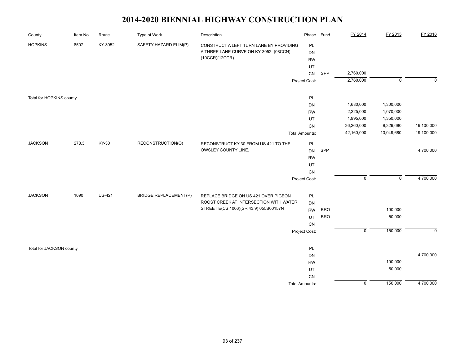| County                   | Item No. | Route         | <b>Type of Work</b>          | Description                                                                    | Phase                 | <b>Fund</b> | FY 2014        | FY 2015        | FY 2016      |
|--------------------------|----------|---------------|------------------------------|--------------------------------------------------------------------------------|-----------------------|-------------|----------------|----------------|--------------|
| <b>HOPKINS</b>           | 8507     | KY-3052       | SAFETY-HAZARD ELIM(P)        | CONSTRUCT A LEFT TURN LANE BY PROVIDING                                        | PL                    |             |                |                |              |
|                          |          |               |                              | A THREE LANE CURVE ON KY-3052. (08CCN)                                         | <b>DN</b>             |             |                |                |              |
|                          |          |               |                              | (10CCR)(12CCR)                                                                 | <b>RW</b>             |             |                |                |              |
|                          |          |               |                              |                                                                                | UT                    |             |                |                |              |
|                          |          |               |                              |                                                                                | CN                    | SPP         | 2,760,000      |                |              |
|                          |          |               |                              |                                                                                | Project Cost:         |             | 2,760,000      | $\overline{0}$ | $\mathbf{0}$ |
|                          |          |               |                              |                                                                                |                       |             |                |                |              |
| Total for HOPKINS county |          |               |                              |                                                                                | PL                    |             |                |                |              |
|                          |          |               |                              |                                                                                | <b>DN</b>             |             | 1,680,000      | 1,300,000      |              |
|                          |          |               |                              |                                                                                | <b>RW</b>             |             | 2,225,000      | 1,070,000      |              |
|                          |          |               |                              |                                                                                | UT                    |             | 1,995,000      | 1,350,000      |              |
|                          |          |               |                              |                                                                                | CN                    |             | 36,260,000     | 9,329,680      | 19,100,000   |
|                          |          |               |                              |                                                                                | <b>Total Amounts:</b> |             | 42,160,000     | 13,049,680     | 19,100,000   |
| <b>JACKSON</b>           | 278.3    | KY-30         | RECONSTRUCTION(O)            | RECONSTRUCT KY 30 FROM US 421 TO THE                                           | PL                    |             |                |                |              |
|                          |          |               |                              | OWSLEY COUNTY LINE.                                                            | <b>DN</b>             | SPP         |                |                | 4,700,000    |
|                          |          |               |                              |                                                                                | <b>RW</b>             |             |                |                |              |
|                          |          |               |                              |                                                                                | UT                    |             |                |                |              |
|                          |          |               |                              |                                                                                | CN                    |             |                |                |              |
|                          |          |               |                              |                                                                                | Project Cost:         |             | $\mathbf 0$    | $\mathbf 0$    | 4,700,000    |
| <b>JACKSON</b>           | 1090     | <b>US-421</b> | <b>BRIDGE REPLACEMENT(P)</b> |                                                                                |                       |             |                |                |              |
|                          |          |               |                              | REPLACE BRIDGE ON US 421 OVER PIGEON<br>ROOST CREEK AT INTERSECTION WITH WATER | PL                    |             |                |                |              |
|                          |          |               |                              | STREET E(CS 1006)(SR 43.9) 055B00157N                                          | <b>DN</b>             |             |                |                |              |
|                          |          |               |                              |                                                                                | <b>RW</b>             | <b>BRO</b>  |                | 100,000        |              |
|                          |          |               |                              |                                                                                | UT                    | <b>BRO</b>  |                | 50,000         |              |
|                          |          |               |                              |                                                                                | CN                    |             |                |                |              |
|                          |          |               |                              |                                                                                | Project Cost:         |             | $\overline{0}$ | 150,000        | $\mathbf 0$  |
| Total for JACKSON county |          |               |                              |                                                                                | PL                    |             |                |                |              |
|                          |          |               |                              |                                                                                | DN                    |             |                |                | 4,700,000    |
|                          |          |               |                              |                                                                                | <b>RW</b>             |             |                | 100,000        |              |
|                          |          |               |                              |                                                                                | UT                    |             |                | 50,000         |              |
|                          |          |               |                              |                                                                                | CN                    |             |                |                |              |
|                          |          |               |                              |                                                                                | <b>Total Amounts:</b> |             | $\overline{0}$ | 150,000        | 4,700,000    |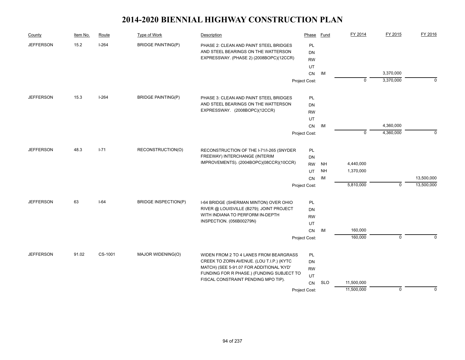| County           | Item No.                  | Route    | Type of Work                | Description                                                                      | Phase         | Fund       | FY 2014     | FY 2015     | FY 2016     |
|------------------|---------------------------|----------|-----------------------------|----------------------------------------------------------------------------------|---------------|------------|-------------|-------------|-------------|
| <b>JEFFERSON</b> | 15.2                      | $I-264$  | <b>BRIDGE PAINTING(P)</b>   | PHASE 2: CLEAN AND PAINT STEEL BRIDGES                                           | PL            |            |             |             |             |
|                  |                           |          |                             | AND STEEL BEARINGS ON THE WATTERSON                                              | <b>DN</b>     |            |             |             |             |
|                  |                           |          |                             | EXPRESSWAY. (PHASE 2) (2008BOPC)(12CCR)                                          | <b>RW</b>     |            |             |             |             |
|                  |                           |          |                             |                                                                                  | UT            |            |             |             |             |
|                  |                           |          |                             |                                                                                  | CN            | IM         |             | 3,370,000   |             |
|                  |                           |          |                             |                                                                                  | Project Cost: |            | 0           | 3,370,000   | $\mathbf 0$ |
| <b>JEFFERSON</b> | 15.3                      | $I-264$  | <b>BRIDGE PAINTING(P)</b>   | PHASE 3: CLEAN AND PAINT STEEL BRIDGES                                           | PL            |            |             |             |             |
|                  |                           |          |                             | AND STEEL BEARINGS ON THE WATTERSON                                              | DN            |            |             |             |             |
|                  |                           |          |                             | EXPRESSWAY. (2008BOPC)(12CCR)                                                    | <b>RW</b>     |            |             |             |             |
|                  |                           |          |                             |                                                                                  | UT            |            |             |             |             |
|                  |                           |          |                             |                                                                                  | CN            | IM         |             | 4,360,000   |             |
|                  |                           |          |                             |                                                                                  | Project Cost: |            | $\mathbf 0$ | 4,360,000   | $\mathbf 0$ |
| <b>JEFFERSON</b> | 48.3                      | $I - 71$ | RECONSTRUCTION(O)           | RECONSTRUCTION OF THE I-71/I-265 (SNYDER                                         | PL            |            |             |             |             |
|                  |                           |          |                             | FREEWAY) INTERCHANGE (INTERIM                                                    | DN            |            |             |             |             |
|                  |                           |          |                             | IMPROVEMENTS). (2004BOPC)(08CCR)(10CCR)                                          | <b>RW</b>     | <b>NH</b>  | 4,440,000   |             |             |
|                  |                           |          |                             |                                                                                  | UT            | <b>NH</b>  | 1,370,000   |             |             |
|                  |                           |          |                             |                                                                                  | CN            | IM         |             |             | 13,500,000  |
|                  |                           |          |                             |                                                                                  | Project Cost: |            | 5,810,000   | $\mathbf 0$ | 13,500,000  |
| <b>JEFFERSON</b> | 63                        | $I-64$   | <b>BRIDGE INSPECTION(P)</b> | I-64 BRIDGE (SHERMAN MINTON) OVER OHIO                                           | PL            |            |             |             |             |
|                  |                           |          |                             | RIVER @ LOUISVILLE (B279); JOINT PROJECT                                         | DN            |            |             |             |             |
|                  |                           |          |                             | WITH INDIANA TO PERFORM IN-DEPTH                                                 | <b>RW</b>     |            |             |             |             |
|                  |                           |          |                             | INSPECTION. (056B00279N)                                                         | UT            |            |             |             |             |
|                  |                           |          |                             |                                                                                  | CN            | IМ         | 160,000     |             |             |
|                  |                           |          |                             |                                                                                  | Project Cost: |            | 160,000     | $\mathbf 0$ | $\Omega$    |
|                  |                           | CS-1001  | MAJOR WIDENING(O)           | WIDEN FROM 2 TO 4 LANES FROM BEARGRASS                                           | PL            |            |             |             |             |
|                  | 91.02<br><b>JEFFERSON</b> |          |                             | CREEK TO ZORN AVENUE. (LOU T.I.P.) (KYTC                                         | DN            |            |             |             |             |
|                  |                           |          |                             | MATCH) (SEE 5-91.07 FOR ADDITIONAL 'KYD'                                         | <b>RW</b>     |            |             |             |             |
|                  |                           |          |                             | FUNDING FOR R PHASE.) (FUNDING SUBJECT TO<br>FISCAL CONSTRAINT PENDING MPO TIP). | UT            |            |             |             |             |
|                  |                           |          |                             |                                                                                  | CN            | <b>SLO</b> | 11,500,000  |             |             |
|                  |                           |          |                             |                                                                                  | Project Cost: |            | 11,500,000  | $\mathbf 0$ | $\mathbf 0$ |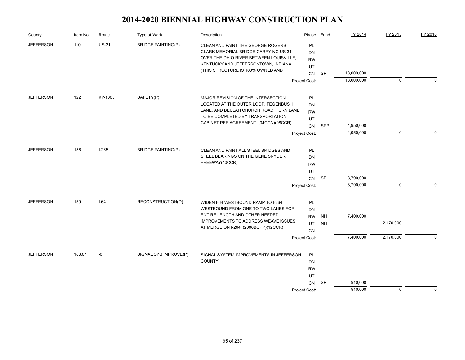| County           | Item No. | Route        | Type of Work              | Description                                                                                                                                                        | Phase                 | Fund      | FY 2014                  | FY 2015     | FY 2016     |
|------------------|----------|--------------|---------------------------|--------------------------------------------------------------------------------------------------------------------------------------------------------------------|-----------------------|-----------|--------------------------|-------------|-------------|
| <b>JEFFERSON</b> | 110      | <b>US-31</b> | <b>BRIDGE PAINTING(P)</b> | CLEAN AND PAINT THE GEORGE ROGERS<br><b>CLARK MEMORIAL BRIDGE CARRYING US-31</b><br>OVER THE OHIO RIVER BETWEEN LOUISVILLE,<br>KENTUCKY AND JEFFERSONTOWN, INDIANA | PL<br>DN<br><b>RW</b> |           |                          |             |             |
|                  |          |              |                           | (THIS STRUCTURE IS 100% OWNED AND                                                                                                                                  | UT                    |           |                          |             |             |
|                  |          |              |                           |                                                                                                                                                                    | <b>CN</b>             | <b>SP</b> | 18,000,000<br>18,000,000 | $\mathbf 0$ | $\Omega$    |
|                  |          |              |                           |                                                                                                                                                                    | Project Cost:         |           |                          |             |             |
| <b>JEFFERSON</b> | 122      | KY-1065      | SAFETY(P)                 | MAJOR REVISION OF THE INTERSECTION                                                                                                                                 | PL                    |           |                          |             |             |
|                  |          |              |                           | LOCATED AT THE OUTER LOOP, FEGENBUSH                                                                                                                               | DN                    |           |                          |             |             |
|                  |          |              |                           | LANE, AND BEULAH CHURCH ROAD. TURN LANE                                                                                                                            | <b>RW</b>             |           |                          |             |             |
|                  |          |              |                           | TO BE COMPLETED BY TRANSPORTATION<br>CABINET PER AGREEMENT. (04CCN)(08CCR)                                                                                         | UT                    |           |                          |             |             |
|                  |          |              |                           |                                                                                                                                                                    | <b>CN</b>             | SPP       | 4,950,000                |             |             |
|                  |          |              |                           |                                                                                                                                                                    | Project Cost:         |           | 4,950,000                | $\mathbf 0$ | $\Omega$    |
| <b>JEFFERSON</b> | 136      | $I-265$      | <b>BRIDGE PAINTING(P)</b> | CLEAN AND PAINT ALL STEEL BRIDGES AND                                                                                                                              | PL                    |           |                          |             |             |
|                  |          |              |                           | STEEL BEARINGS ON THE GENE SNYDER                                                                                                                                  | DN                    |           |                          |             |             |
|                  |          |              |                           | FREEWAY(10CCR)                                                                                                                                                     | <b>RW</b>             |           |                          |             |             |
|                  |          |              |                           |                                                                                                                                                                    | UT                    |           |                          |             |             |
|                  |          |              |                           |                                                                                                                                                                    | CN                    | <b>SP</b> | 3,790,000                |             |             |
|                  |          |              |                           |                                                                                                                                                                    | Project Cost:         |           | 3,790,000                | $\mathbf 0$ | $\Omega$    |
| <b>JEFFERSON</b> | 159      | $I-64$       | RECONSTRUCTION(O)         | WIDEN I-64 WESTBOUND RAMP TO I-264                                                                                                                                 | PL                    |           |                          |             |             |
|                  |          |              |                           | WESTBOUND FROM ONE TO TWO LANES FOR                                                                                                                                | DN                    |           |                          |             |             |
|                  |          |              |                           | ENTIRE LENGTH AND OTHER NEEDED                                                                                                                                     | <b>RW</b>             | <b>NH</b> | 7,400,000                |             |             |
|                  |          |              |                           | <b>IMPROVEMENTS TO ADDRESS WEAVE ISSUES</b><br>AT MERGE ON I-264. (2006BOPP)(12CCR)                                                                                | UT                    | <b>NH</b> |                          | 2,170,000   |             |
|                  |          |              |                           |                                                                                                                                                                    | <b>CN</b>             |           |                          |             |             |
|                  |          |              |                           |                                                                                                                                                                    | Project Cost:         |           | 7,400,000                | 2,170,000   | $\Omega$    |
| <b>JEFFERSON</b> | 183.01   | $-0$         | SIGNAL SYS IMPROVE(P)     | SIGNAL SYSTEM IMPROVEMENTS IN JEFFERSON                                                                                                                            | PL                    |           |                          |             |             |
|                  |          |              |                           | COUNTY.                                                                                                                                                            | DN                    |           |                          |             |             |
|                  |          |              |                           |                                                                                                                                                                    | <b>RW</b>             |           |                          |             |             |
|                  |          |              |                           |                                                                                                                                                                    | UT                    |           |                          |             |             |
|                  |          |              |                           |                                                                                                                                                                    | <b>CN</b>             | SP        | 910,000                  |             |             |
|                  |          |              |                           |                                                                                                                                                                    | Project Cost:         |           | 910,000                  | $\mathbf 0$ | $\mathbf 0$ |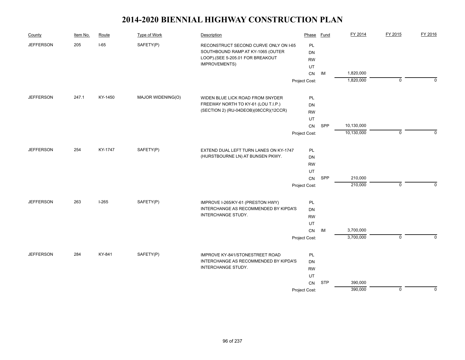| County           | Item No. | Route   | Type of Work      | Description                            | Phase         | <b>Fund</b> | FY 2014    | FY 2015     | FY 2016     |
|------------------|----------|---------|-------------------|----------------------------------------|---------------|-------------|------------|-------------|-------------|
| <b>JEFFERSON</b> | 205      | $I-65$  | SAFETY(P)         | RECONSTRUCT SECOND CURVE ONLY ON I-65  | PL            |             |            |             |             |
|                  |          |         |                   | SOUTHBOUND RAMP AT KY-1065 (OUTER      | DN            |             |            |             |             |
|                  |          |         |                   | LOOP).(SEE 5-205.01 FOR BREAKOUT       | <b>RW</b>     |             |            |             |             |
|                  |          |         |                   | IMPROVEMENTS)                          | UT            |             |            |             |             |
|                  |          |         |                   |                                        | CN            | IM          | 1,820,000  |             |             |
|                  |          |         |                   |                                        | Project Cost: |             | 1,820,000  | $\mathbf 0$ | $\Omega$    |
| <b>JEFFERSON</b> | 247.1    | KY-1450 | MAJOR WIDENING(O) | WIDEN BLUE LICK ROAD FROM SNYDER       | PL            |             |            |             |             |
|                  |          |         |                   | FREEWAY NORTH TO KY-61 (LOU T.I.P.)    | <b>DN</b>     |             |            |             |             |
|                  |          |         |                   | (SECTION 2) (RU-04DEOB)(08CCR)(12CCR)  | <b>RW</b>     |             |            |             |             |
|                  |          |         |                   |                                        | UT            |             |            |             |             |
|                  |          |         |                   |                                        | CN            | SPP         | 10,130,000 |             |             |
|                  |          |         |                   |                                        | Project Cost: |             | 10,130,000 | $\mathbf 0$ | $\mathbf 0$ |
| <b>JEFFERSON</b> | 254      | KY-1747 | SAFETY(P)         | EXTEND DUAL LEFT TURN LANES ON KY-1747 | PL            |             |            |             |             |
|                  |          |         |                   | (HURSTBOURNE LN) AT BUNSEN PKWY.       | DN            |             |            |             |             |
|                  |          |         |                   |                                        | <b>RW</b>     |             |            |             |             |
|                  |          |         |                   |                                        | UT            |             |            |             |             |
|                  |          |         |                   |                                        | CN            | SPP         | 210,000    |             |             |
|                  |          |         |                   |                                        | Project Cost: |             | 210,000    | $\pmb{0}$   | $\Omega$    |
|                  |          |         |                   |                                        |               |             |            |             |             |
| <b>JEFFERSON</b> | 263      | $I-265$ | SAFETY(P)         | IMPROVE I-265/KY-61 (PRESTON HWY)      | PL            |             |            |             |             |
|                  |          |         |                   | INTERCHANGE AS RECOMMENDED BY KIPDA'S  | <b>DN</b>     |             |            |             |             |
|                  |          |         |                   | INTERCHANGE STUDY.                     | <b>RW</b>     |             |            |             |             |
|                  |          |         |                   |                                        | UT            |             |            |             |             |
|                  |          |         |                   |                                        | ${\sf CN}$    | IM          | 3,700,000  |             |             |
|                  |          |         |                   |                                        | Project Cost: |             | 3,700,000  | $\mathbf 0$ | $\Omega$    |
| <b>JEFFERSON</b> | 284      | KY-841  | SAFETY(P)         | <b>IMPROVE KY-841/STONESTREET ROAD</b> | PL            |             |            |             |             |
|                  |          |         |                   | INTERCHANGE AS RECOMMENDED BY KIPDA'S  | <b>DN</b>     |             |            |             |             |
|                  |          |         |                   | INTERCHANGE STUDY.                     | <b>RW</b>     |             |            |             |             |
|                  |          |         |                   |                                        | UT            |             |            |             |             |
|                  |          |         |                   |                                        | CN            | <b>STP</b>  | 390,000    |             |             |
|                  |          |         |                   |                                        | Project Cost: |             | 390,000    | $\pmb{0}$   | $\mathbf 0$ |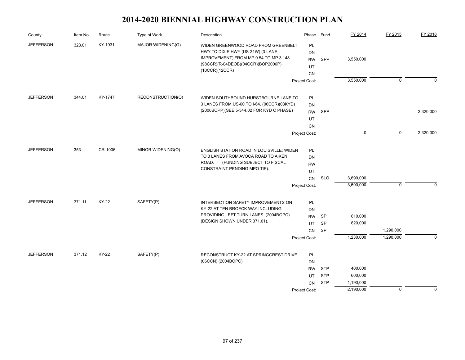| County           | Item No. | Route   | Type of Work      | Description                                                                                                                                              | Phase                              | Fund       | FY 2014     | FY 2015        | FY 2016     |
|------------------|----------|---------|-------------------|----------------------------------------------------------------------------------------------------------------------------------------------------------|------------------------------------|------------|-------------|----------------|-------------|
| <b>JEFFERSON</b> | 323.01   | KY-1931 | MAJOR WIDENING(O) | WIDEN GREENWOOD ROAD FROM GREENBELT<br>HWY TO DIXIE HWY (US-31W) (3-LANE<br>IMPROVEMENT) FROM MP 0.54 TO MP 3.148.<br>(98CCR)(R-04DEOB)(04CCR)(BOP2006P) | PL<br><b>DN</b><br><b>RW</b><br>UT | SPP        | 3,550,000   |                |             |
|                  |          |         |                   | (10CCR)(12CCR)                                                                                                                                           | <b>CN</b>                          |            |             |                |             |
|                  |          |         |                   |                                                                                                                                                          | Project Cost:                      |            | 3,550,000   | $\overline{0}$ | $\Omega$    |
| <b>JEFFERSON</b> | 344.01   | KY-1747 | RECONSTRUCTION(O) | WIDEN SOUTHBOUND HURSTBOURNE LANE TO                                                                                                                     | PL                                 |            |             |                |             |
|                  |          |         |                   | 3 LANES FROM US-60 TO I-64. (06CCR)(03KYD)                                                                                                               | DN                                 |            |             |                |             |
|                  |          |         |                   | (2006BOPP)(SEE 5-344.02 FOR KYD C PHASE)                                                                                                                 | <b>RW</b>                          | SPP        |             |                | 2,320,000   |
|                  |          |         |                   |                                                                                                                                                          | UT                                 |            |             |                |             |
|                  |          |         |                   |                                                                                                                                                          | <b>CN</b>                          |            |             |                |             |
|                  |          |         |                   |                                                                                                                                                          | Project Cost:                      |            | $\mathbf 0$ | $\mathbf 0$    | 2,320,000   |
| <b>JEFFERSON</b> | 353      | CR-1006 | MINOR WIDENING(O) | ENGLISH STATION ROAD IN LOUISVILLE; WIDEN                                                                                                                | PL                                 |            |             |                |             |
|                  |          |         |                   | TO 3 LANES FROM AVOCA ROAD TO AIKEN                                                                                                                      | DN                                 |            |             |                |             |
|                  |          |         |                   | (FUNDING SUBJECT TO FISCAL<br>ROAD.                                                                                                                      | <b>RW</b>                          |            |             |                |             |
|                  |          |         |                   | CONSTRAINT PENDING MPO TIP).                                                                                                                             | UT                                 |            |             |                |             |
|                  |          |         |                   |                                                                                                                                                          | CN                                 | <b>SLO</b> | 3,690,000   |                |             |
|                  |          |         |                   |                                                                                                                                                          | Project Cost:                      |            | 3,690,000   | $\mathbf 0$    | $\Omega$    |
| <b>JEFFERSON</b> | 371.11   | KY-22   | SAFETY(P)         | INTERSECTION SAFETY IMPROVEMENTS ON                                                                                                                      | PL                                 |            |             |                |             |
|                  |          |         |                   | KY-22 AT TEN BROECK WAY INCLUDING                                                                                                                        | DN                                 |            |             |                |             |
|                  |          |         |                   | PROVIDING LEFT TURN LANES. (2004BOPC)                                                                                                                    | <b>RW</b>                          | SP         | 610,000     |                |             |
|                  |          |         |                   | (DESIGN SHOWN UNDER 371.01).                                                                                                                             | UT                                 | SP         | 620,000     |                |             |
|                  |          |         |                   |                                                                                                                                                          | <b>CN</b>                          | SP         |             | 1,290,000      |             |
|                  |          |         |                   |                                                                                                                                                          | Project Cost:                      |            | 1,230,000   | 1,290,000      | $\Omega$    |
| <b>JEFFERSON</b> | 371.12   | KY-22   | SAFETY(P)         | RECONSTRUCT KY-22 AT SPRINGCREST DRIVE.                                                                                                                  | PL                                 |            |             |                |             |
|                  |          |         |                   | (06CCN) (2004BOPC)                                                                                                                                       | <b>DN</b>                          |            |             |                |             |
|                  |          |         |                   |                                                                                                                                                          | <b>RW</b>                          | <b>STP</b> | 400,000     |                |             |
|                  |          |         |                   |                                                                                                                                                          | UT                                 | <b>STP</b> | 600,000     |                |             |
|                  |          |         |                   |                                                                                                                                                          | <b>CN</b>                          | <b>STP</b> | 1,190,000   |                |             |
|                  |          |         |                   |                                                                                                                                                          | Project Cost:                      |            | 2,190,000   | $\mathbf 0$    | $\mathbf 0$ |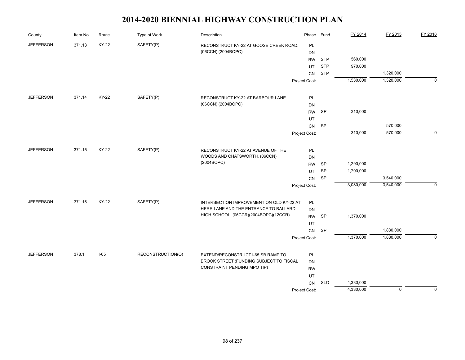| County           | Item No. | Route  | <b>Type of Work</b> | Description                                                         | Phase         | Fund            | FY 2014   | FY 2015     | FY 2016        |
|------------------|----------|--------|---------------------|---------------------------------------------------------------------|---------------|-----------------|-----------|-------------|----------------|
| <b>JEFFERSON</b> | 371.13   | KY-22  | SAFETY(P)           | RECONSTRUCT KY-22 AT GOOSE CREEK ROAD.                              | PL            |                 |           |             |                |
|                  |          |        |                     | (06CCN) (2004BOPC)                                                  | DN            |                 |           |             |                |
|                  |          |        |                     |                                                                     | <b>RW</b>     | <b>STP</b>      | 560,000   |             |                |
|                  |          |        |                     |                                                                     | UT            | <b>STP</b>      | 970,000   |             |                |
|                  |          |        |                     |                                                                     | CN            | <b>STP</b>      |           | 1,320,000   |                |
|                  |          |        |                     |                                                                     | Project Cost: |                 | 1,530,000 | 1,320,000   | $\overline{0}$ |
| <b>JEFFERSON</b> | 371.14   | KY-22  | SAFETY(P)           | RECONSTRUCT KY-22 AT BARBOUR LANE.                                  | PL            |                 |           |             |                |
|                  |          |        |                     | (06CCN) (2004BOPC)                                                  | DN            |                 |           |             |                |
|                  |          |        |                     |                                                                     | <b>RW</b>     | <b>SP</b>       | 310,000   |             |                |
|                  |          |        |                     |                                                                     | UT            |                 |           |             |                |
|                  |          |        |                     |                                                                     | CN            | <b>SP</b>       |           | 570,000     |                |
|                  |          |        |                     |                                                                     | Project Cost: |                 | 310,000   | 570,000     | $\mathbf 0$    |
| <b>JEFFERSON</b> | 371.15   | KY-22  |                     |                                                                     |               |                 |           |             |                |
|                  |          |        | SAFETY(P)           | RECONSTRUCT KY-22 AT AVENUE OF THE<br>WOODS AND CHATSWORTH. (06CCN) | PL            |                 |           |             |                |
|                  |          |        |                     | (2004BOPC)                                                          | DN            |                 | 1,290,000 |             |                |
|                  |          |        |                     |                                                                     | <b>RW</b>     | <b>SP</b>       |           |             |                |
|                  |          |        |                     |                                                                     | UT            | <b>SP</b><br>SP | 1,790,000 | 3,540,000   |                |
|                  |          |        |                     |                                                                     | CN            |                 | 3,080,000 | 3,540,000   | $\mathbf 0$    |
|                  |          |        |                     |                                                                     | Project Cost: |                 |           |             |                |
| <b>JEFFERSON</b> | 371.16   | KY-22  | SAFETY(P)           | INTERSECTION IMPROVEMENT ON OLD KY-22 AT                            | PL            |                 |           |             |                |
|                  |          |        |                     | HERR LANE AND THE ENTRANCE TO BALLARD                               | DN            |                 |           |             |                |
|                  |          |        |                     | HIGH SCHOOL. (06CCR)(2004BOPC)(12CCR)                               | <b>RW</b>     | <b>SP</b>       | 1,370,000 |             |                |
|                  |          |        |                     |                                                                     | UT            |                 |           |             |                |
|                  |          |        |                     |                                                                     | CN            | <b>SP</b>       |           | 1,830,000   |                |
|                  |          |        |                     |                                                                     | Project Cost: |                 | 1,370,000 | 1,830,000   | $\mathbf 0$    |
| <b>JEFFERSON</b> | 378.1    | $I-65$ | RECONSTRUCTION(O)   | EXTEND/RECONSTRUCT I-65 SB RAMP TO                                  | PL            |                 |           |             |                |
|                  |          |        |                     | BROOK STREET (FUNDING SUBJECT TO FISCAL                             | DN            |                 |           |             |                |
|                  |          |        |                     | CONSTRAINT PENDING MPO TIP)                                         | <b>RW</b>     |                 |           |             |                |
|                  |          |        |                     |                                                                     | UT            |                 |           |             |                |
|                  |          |        |                     |                                                                     | CN            | <b>SLO</b>      | 4,330,000 |             |                |
|                  |          |        |                     |                                                                     | Project Cost: |                 | 4,330,000 | $\mathbf 0$ | $\mathbf 0$    |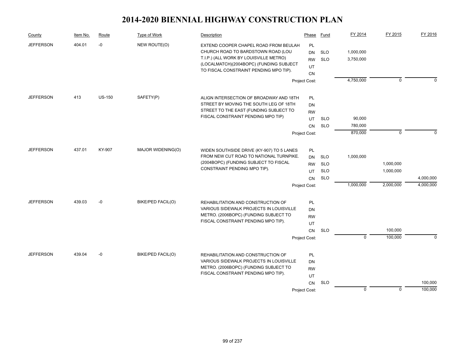| County           | Item No. | Route         | Type of Work      | Description                                                                                                                                                                                                | Phase                              | Fund                     | FY 2014                | FY 2015     | FY 2016   |
|------------------|----------|---------------|-------------------|------------------------------------------------------------------------------------------------------------------------------------------------------------------------------------------------------------|------------------------------------|--------------------------|------------------------|-------------|-----------|
| <b>JEFFERSON</b> | 404.01   | -0            | NEW ROUTE(O)      | EXTEND COOPER CHAPEL ROAD FROM BEULAH<br>CHURCH ROAD TO BARDSTOWN ROAD (LOU<br>T.I.P.) (ALL WORK BY LOUISVILLE METRO)<br>(LOCALMATCH)(2004BOPC) (FUNDING SUBJECT<br>TO FISCAL CONSTRAINT PENDING MPO TIP). | PL<br><b>DN</b><br><b>RW</b><br>UT | <b>SLO</b><br><b>SLO</b> | 1,000,000<br>3,750,000 |             |           |
|                  |          |               |                   |                                                                                                                                                                                                            | <b>CN</b><br>Project Cost:         |                          | 4,750,000              | $\mathbf 0$ | $\Omega$  |
| <b>JEFFERSON</b> | 413      | <b>US-150</b> | SAFETY(P)         | ALIGN INTERSECTION OF BROADWAY AND 18TH                                                                                                                                                                    | PL                                 |                          |                        |             |           |
|                  |          |               |                   | STREET BY MOVING THE SOUTH LEG OF 18TH                                                                                                                                                                     | DN                                 |                          |                        |             |           |
|                  |          |               |                   | STREET TO THE EAST (FUNDING SUBJECT TO                                                                                                                                                                     | <b>RW</b>                          |                          |                        |             |           |
|                  |          |               |                   | FISCAL CONSTRAINT PENDING MPO TIP)                                                                                                                                                                         | UT                                 | SLO                      | 90,000                 |             |           |
|                  |          |               |                   |                                                                                                                                                                                                            | <b>CN</b>                          | <b>SLO</b>               | 780,000                |             |           |
|                  |          |               |                   |                                                                                                                                                                                                            | Project Cost:                      |                          | 870,000                | $\mathbf 0$ | $\Omega$  |
| <b>JEFFERSON</b> | 437.01   | KY-907        | MAJOR WIDENING(O) | WIDEN SOUTHSIDE DRIVE (KY-907) TO 5 LANES                                                                                                                                                                  | PL                                 |                          |                        |             |           |
|                  |          |               |                   | FROM NEW CUT ROAD TO NATIONAL TURNPIKE.                                                                                                                                                                    | <b>DN</b>                          | <b>SLO</b>               | 1,000,000              |             |           |
|                  |          |               |                   | (2004BOPC) (FUNDING SUBJECT TO FISCAL                                                                                                                                                                      | <b>RW</b>                          | <b>SLO</b>               |                        | 1,000,000   |           |
|                  |          |               |                   | CONSTRAINT PENDING MPO TIP).                                                                                                                                                                               | UT                                 | <b>SLO</b>               |                        | 1,000,000   |           |
|                  |          |               |                   |                                                                                                                                                                                                            | <b>CN</b>                          | <b>SLO</b>               |                        |             | 4,000,000 |
|                  |          |               |                   |                                                                                                                                                                                                            | Project Cost:                      |                          | 1,000,000              | 2,000,000   | 4,000,000 |
| <b>JEFFERSON</b> | 439.03   | -0            | BIKE/PED FACIL(O) | REHABILITATION AND CONSTRUCTION OF                                                                                                                                                                         | PL                                 |                          |                        |             |           |
|                  |          |               |                   | VARIOUS SIDEWALK PROJECTS IN LOUISVILLE                                                                                                                                                                    | DN                                 |                          |                        |             |           |
|                  |          |               |                   | METRO. (2006BOPC) (FUNDING SUBJECT TO                                                                                                                                                                      | <b>RW</b>                          |                          |                        |             |           |
|                  |          |               |                   | FISCAL CONSTRAINT PENDING MPO TIP).                                                                                                                                                                        | UT                                 |                          |                        |             |           |
|                  |          |               |                   |                                                                                                                                                                                                            | CN                                 | <b>SLO</b>               |                        | 100,000     |           |
|                  |          |               |                   |                                                                                                                                                                                                            | Project Cost:                      |                          | $\overline{0}$         | 100,000     | $\Omega$  |
| <b>JEFFERSON</b> | 439.04   | $-0$          | BIKE/PED FACIL(O) | REHABILITATION AND CONSTRUCTION OF                                                                                                                                                                         | PL                                 |                          |                        |             |           |
|                  |          |               |                   | VARIOUS SIDEWALK PROJECTS IN LOUISVILLE                                                                                                                                                                    | DN                                 |                          |                        |             |           |
|                  |          |               |                   | METRO. (2006BOPC) (FUNDING SUBJECT TO                                                                                                                                                                      | <b>RW</b>                          |                          |                        |             |           |
|                  |          |               |                   | FISCAL CONSTRAINT PENDING MPO TIP).                                                                                                                                                                        | UT                                 |                          |                        |             |           |
|                  |          |               |                   |                                                                                                                                                                                                            | CN                                 | <b>SLO</b>               |                        |             | 100,000   |
|                  |          |               |                   |                                                                                                                                                                                                            | Project Cost:                      |                          | $\mathbf 0$            | $\mathbf 0$ | 100,000   |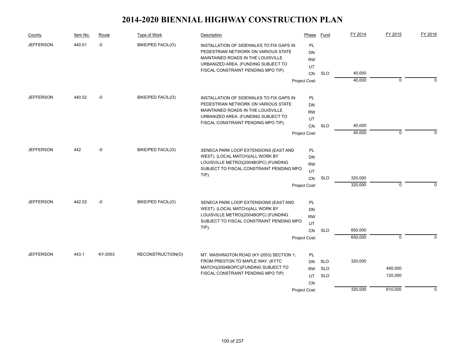| County           | Item No. | Route   | Type of Work             | Description                                                                                                                                                  | Phase                 | Fund       | FY 2014          | FY 2015      | FY 2016     |
|------------------|----------|---------|--------------------------|--------------------------------------------------------------------------------------------------------------------------------------------------------------|-----------------------|------------|------------------|--------------|-------------|
| <b>JEFFERSON</b> | 440.01   | $-0$    | <b>BIKE/PED FACIL(O)</b> | INSTALLATION OF SIDEWALKS TO FIX GAPS IN<br>PEDESTRIAN NETWORK ON VARIOUS STATE<br>MAINTAINED ROADS IN THE LOUISVILLE<br>URBANIZED AREA. (FUNDING SUBJECT TO | PL<br>DN<br><b>RW</b> |            |                  |              |             |
|                  |          |         |                          | FISCAL CONSTRAINT PENDING MPO TIP).                                                                                                                          | UT                    |            |                  |              |             |
|                  |          |         |                          |                                                                                                                                                              | CN                    | <b>SLO</b> | 40,000<br>40,000 | $\mathbf 0$  | $\Omega$    |
|                  |          |         |                          |                                                                                                                                                              | Project Cost:         |            |                  |              |             |
| <b>JEFFERSON</b> | 440.02   | -0      | BIKE/PED FACIL(O)        | INSTALLATION OF SIDEWALKS TO FIX GAPS IN                                                                                                                     | PL                    |            |                  |              |             |
|                  |          |         |                          | PEDESTRIAN NETWORK ON VARIOUS STATE                                                                                                                          | DN                    |            |                  |              |             |
|                  |          |         |                          | MAINTAINED ROADS IN THE LOUISVILLE                                                                                                                           | <b>RW</b>             |            |                  |              |             |
|                  |          |         |                          | URBANIZED AREA. (FUNDING SUBJECT TO<br>FISCAL CONSTRAINT PENDING MPO TIP).                                                                                   | UT                    |            |                  |              |             |
|                  |          |         |                          |                                                                                                                                                              | <b>CN</b>             | <b>SLO</b> | 40,000           |              |             |
|                  |          |         |                          |                                                                                                                                                              | Project Cost:         |            | 40,000           | $\Omega$     | $\Omega$    |
| <b>JEFFERSON</b> | 442      | $-0$    | BIKE/PED FACIL(O)        | SENECA PARK LOOP EXTENSIONS (EAST AND                                                                                                                        | <b>PL</b>             |            |                  |              |             |
|                  |          |         |                          | WEST). (LOCAL MATCH)(ALL WORK BY                                                                                                                             | <b>DN</b>             |            |                  |              |             |
|                  |          |         |                          | LOUISVILLE METRO)(2004BOPC) (FUNDING                                                                                                                         | <b>RW</b>             |            |                  |              |             |
|                  |          |         |                          | SUBJECT TO FISCAL CONSTRAINT PENDING MPO                                                                                                                     | UT                    |            |                  |              |             |
|                  |          |         |                          | TIP).                                                                                                                                                        | CN                    | <b>SLO</b> | 320,000          |              |             |
|                  |          |         |                          |                                                                                                                                                              | Project Cost:         |            | 320,000          | 0            | $\Omega$    |
| <b>JEFFERSON</b> | 442.02   | -0      | BIKE/PED FACIL(O)        | SENECA PARK LOOP EXTENSIONS (EAST AND                                                                                                                        | PL                    |            |                  |              |             |
|                  |          |         |                          | WEST). (LOCAL MATCH)(ALL WORK BY                                                                                                                             | DN                    |            |                  |              |             |
|                  |          |         |                          | LOUISVILLE METRO)(2004BOPC) (FUNDING                                                                                                                         | <b>RW</b>             |            |                  |              |             |
|                  |          |         |                          | SUBJECT TO FISCAL CONSTRAINT PENDING MPO<br>TIP).                                                                                                            | UT                    |            |                  |              |             |
|                  |          |         |                          |                                                                                                                                                              | <b>CN</b>             | <b>SLO</b> | 650,000          |              |             |
|                  |          |         |                          |                                                                                                                                                              | Project Cost:         |            | 650,000          | $\mathbf{0}$ | $\Omega$    |
| <b>JEFFERSON</b> | 443.1    | KY-2053 | RECONSTRUCTION(O)        | MT. WASHINGTON ROAD (KY-2053) SECTION 1;                                                                                                                     | <b>PL</b>             |            |                  |              |             |
|                  |          |         |                          | FROM PRESTON TO MAPLE WAY. (KYTC                                                                                                                             | DN                    | <b>SLO</b> | 320,000          |              |             |
|                  |          |         |                          | MATCH)(2004BOPC)(FUNDING SUBJECT TO                                                                                                                          | <b>RW</b>             | <b>SLO</b> |                  | 490,000      |             |
|                  |          |         |                          | FISCAL CONSTRAINT PENDING MPO TIP)                                                                                                                           | UT                    | <b>SLO</b> |                  | 120,000      |             |
|                  |          |         |                          |                                                                                                                                                              | <b>CN</b>             |            |                  |              |             |
|                  |          |         |                          |                                                                                                                                                              | Project Cost:         |            | 320,000          | 610,000      | $\mathbf 0$ |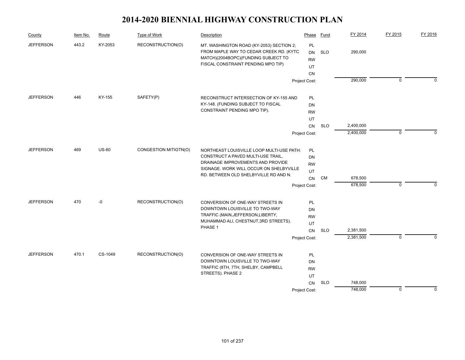| County           | Item No. | Route        | Type of Work          | Description                                                                                                                                                                                              | Phase                                                     | Fund       | FY 2014                | FY 2015     | FY 2016  |
|------------------|----------|--------------|-----------------------|----------------------------------------------------------------------------------------------------------------------------------------------------------------------------------------------------------|-----------------------------------------------------------|------------|------------------------|-------------|----------|
| <b>JEFFERSON</b> | 443.2    | KY-2053      | RECONSTRUCTION(O)     | MT. WASHINGTON ROAD (KY-2053) SECTION 2;<br>FROM MAPLE WAY TO CEDAR CREEK RD. (KYTC<br>MATCH)(2004BOPC)(FUNDING SUBJECT TO<br>FISCAL CONSTRAINT PENDING MPO TIP)                                         | PL<br>DN<br><b>RW</b><br>UT<br><b>CN</b>                  | <b>SLO</b> | 290,000                |             |          |
|                  |          |              |                       |                                                                                                                                                                                                          | Project Cost:                                             |            | 290,000                | $\mathbf 0$ | $\Omega$ |
| <b>JEFFERSON</b> | 446      | KY-155       | SAFETY(P)             | RECONSTRUCT INTERSECTION OF KY-155 AND<br>KY-148. (FUNDING SUBJECT TO FISCAL<br>CONSTRAINT PENDING MPO TIP).                                                                                             | PL<br>DN<br><b>RW</b><br>UT<br>CN<br>Project Cost:        | <b>SLO</b> | 2,400,000<br>2,400,000 | $\mathbf 0$ | $\Omega$ |
| <b>JEFFERSON</b> | 469      | <b>US-60</b> | CONGESTION MITIGTN(O) | NORTHEAST LOUISVILLE LOOP MULTI-USE PATH:<br>CONSTRUCT A PAVED MULTI-USE TRAIL,<br>DRAINAGE IMPROVEMENTS AND PROVIDE<br>SIGNAGE. WORK WILL OCCUR ON SHELBYVILLE<br>RD. BETWEEN OLD SHELBYVILLE RD AND N. | PL<br>DN<br><b>RW</b><br>UT<br><b>CN</b><br>Project Cost: | CM         | 678,500<br>678,500     | $\Omega$    | $\Omega$ |
| <b>JEFFERSON</b> | 470      | $-0$         | RECONSTRUCTION(O)     | CONVERSION OF ONE-WAY STREETS IN<br>DOWNTOWN LOUISVILLE TO TWO-WAY<br>TRAFFIC (MAIN, JEFFERSON, LIBERTY,<br>MUHAMMAD ALI, CHESTNUT, 3RD STREETS).<br>PHASE 1                                             | PL<br>DN<br><b>RW</b><br>UT<br>CN<br>Project Cost:        | <b>SLO</b> | 2,381,500<br>2,381,500 | $\mathbf 0$ | $\Omega$ |
| <b>JEFFERSON</b> | 470.1    | CS-1049      | RECONSTRUCTION(O)     | CONVERSION OF ONE-WAY STREETS IN<br>DOWNTOWN LOUISVILLE TO TWO-WAY<br>TRAFFIC (8TH, 7TH, SHELBY, CAMPBELL<br>STREETS). PHASE 2                                                                           | PL<br>DN<br><b>RW</b><br>UT<br><b>CN</b><br>Project Cost: | <b>SLO</b> | 748,000<br>748,000     | $\mathbf 0$ | $\Omega$ |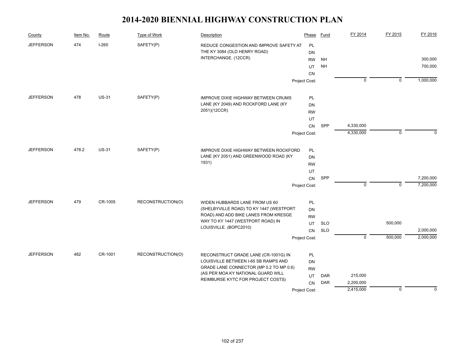| County           | Item No. | Route        | Type of Work      | Description                                   | Phase         | Fund       | FY 2014        | FY 2015        | FY 2016     |
|------------------|----------|--------------|-------------------|-----------------------------------------------|---------------|------------|----------------|----------------|-------------|
| <b>JEFFERSON</b> | 474      | $I-265$      | SAFETY(P)         | REDUCE CONGESTION AND IMPROVE SAFETY AT       | PL            |            |                |                |             |
|                  |          |              |                   | THE KY 3084 (OLD HENRY ROAD)                  | DN            |            |                |                |             |
|                  |          |              |                   | INTERCHANGE. (12CCR)                          | <b>RW</b>     | NH         |                |                | 300,000     |
|                  |          |              |                   |                                               | UT            | <b>NH</b>  |                |                | 700,000     |
|                  |          |              |                   |                                               | <b>CN</b>     |            |                |                |             |
|                  |          |              |                   |                                               | Project Cost: |            | $\overline{0}$ | $\overline{0}$ | 1,000,000   |
| <b>JEFFERSON</b> | 478      | <b>US-31</b> | SAFETY(P)         | IMPROVE DIXIE HIGHWAY BETWEEN CRUMS           | PL            |            |                |                |             |
|                  |          |              |                   | LANE (KY 2049) AND ROCKFORD LANE (KY          | <b>DN</b>     |            |                |                |             |
|                  |          |              |                   | 2051)(12CCR)                                  | <b>RW</b>     |            |                |                |             |
|                  |          |              |                   |                                               | UT            |            |                |                |             |
|                  |          |              |                   |                                               | <b>CN</b>     | SPP        | 4,330,000      |                |             |
|                  |          |              |                   |                                               | Project Cost: |            | 4,330,000      | $\mathbf 0$    | $\Omega$    |
|                  |          |              |                   |                                               |               |            |                |                |             |
| <b>JEFFERSON</b> | 478.2    | <b>US-31</b> | SAFETY(P)         | <b>IMPROVE DIXIE HIGHWAY BETWEEN ROCKFORD</b> | PL            |            |                |                |             |
|                  |          |              |                   | LANE (KY 2051) AND GREENWOOD ROAD (KY         | DN            |            |                |                |             |
|                  |          |              |                   | 1931)                                         | <b>RW</b>     |            |                |                |             |
|                  |          |              |                   |                                               | UT            |            |                |                |             |
|                  |          |              |                   |                                               | ${\sf CN}$    | SPP        |                |                | 7,200,000   |
|                  |          |              |                   |                                               | Project Cost: |            | $\mathbf 0$    | $\mathbf 0$    | 7,200,000   |
| <b>JEFFERSON</b> | 479      | CR-1005      | RECONSTRUCTION(O) | WIDEN HUBBARDS LANE FROM US 60                | PL            |            |                |                |             |
|                  |          |              |                   | (SHELBYVILLE ROAD) TO KY 1447 (WESTPORT       | <b>DN</b>     |            |                |                |             |
|                  |          |              |                   | ROAD) AND ADD BIKE LANES FROM KRESGE          | <b>RW</b>     |            |                |                |             |
|                  |          |              |                   | WAY TO KY 1447 (WESTPORT ROAD) IN             | UT            | <b>SLO</b> |                | 500,000        |             |
|                  |          |              |                   | LOUISVILLE. (BOPC2010)                        | <b>CN</b>     | <b>SLO</b> |                |                | 2,000,000   |
|                  |          |              |                   |                                               | Project Cost: |            | $\mathbf 0$    | 500,000        | 2,000,000   |
| <b>JEFFERSON</b> | 482      | CR-1001      | RECONSTRUCTION(O) | RECONSTRUCT GRADE LANE (CR-1001G) IN          | PL            |            |                |                |             |
|                  |          |              |                   | LOUISVILLE BETWEEN I-65 SB RAMPS AND          | DN            |            |                |                |             |
|                  |          |              |                   | GRADE LANE CONNECTOR (MP 0.2 TO MP 0.6)       | <b>RW</b>     |            |                |                |             |
|                  |          |              |                   | (AS PER MOA KY NATIONAL GUARD WILL            | UT            | <b>DAR</b> | 215,000        |                |             |
|                  |          |              |                   | REIMBURSE KYTC FOR PROJECT COSTS)             | CN            | <b>DAR</b> | 2,200,000      |                |             |
|                  |          |              |                   |                                               | Project Cost: |            | 2,415,000      | $\mathbf 0$    | $\mathbf 0$ |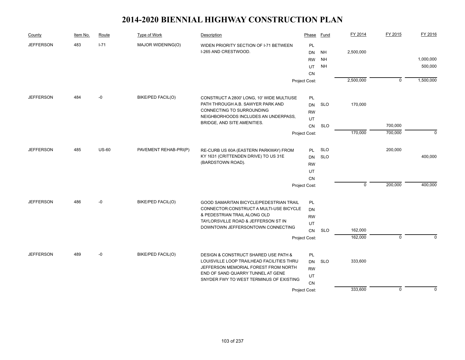| County           | Item No. | Route        | <b>Type of Work</b>   | Description                                                                   | Phase         | Fund       | FY 2014     | FY 2015        | FY 2016     |
|------------------|----------|--------------|-----------------------|-------------------------------------------------------------------------------|---------------|------------|-------------|----------------|-------------|
| <b>JEFFERSON</b> | 483      | $I - 71$     | MAJOR WIDENING(O)     | WIDEN PRIORITY SECTION OF I-71 BETWEEN                                        | PL            |            |             |                |             |
|                  |          |              |                       | I-265 AND CRESTWOOD.                                                          | DN            | <b>NH</b>  | 2,500,000   |                |             |
|                  |          |              |                       |                                                                               | <b>RW</b>     | <b>NH</b>  |             |                | 1,000,000   |
|                  |          |              |                       |                                                                               | UT            | <b>NH</b>  |             |                | 500,000     |
|                  |          |              |                       |                                                                               | CN            |            |             |                |             |
|                  |          |              |                       |                                                                               | Project Cost: |            | 2,500,000   | $\overline{0}$ | 1,500,000   |
| <b>JEFFERSON</b> | 484      | -0           | BIKE/PED FACIL(O)     | CONSTRUCT A 2800' LONG, 10' WIDE MULTIUSE                                     | PL            |            |             |                |             |
|                  |          |              |                       | PATH THROUGH A.B. SAWYER PARK AND                                             | DN            | <b>SLO</b> | 170,000     |                |             |
|                  |          |              |                       | CONNECTING TO SURROUNDING                                                     | <b>RW</b>     |            |             |                |             |
|                  |          |              |                       | NEIGHBORHOODS INCLUDES AN UNDERPASS,                                          | UT            |            |             |                |             |
|                  |          |              |                       | BRIDGE, AND SITE AMENITIES.                                                   | CN            | <b>SLO</b> |             | 700,000        |             |
|                  |          |              |                       |                                                                               | Project Cost: |            | 170,000     | 700,000        | $\mathbf 0$ |
|                  |          | <b>US-60</b> |                       |                                                                               |               |            |             |                |             |
| <b>JEFFERSON</b> | 485      |              | PAVEMENT REHAB-PRI(P) | RE-CURB US 60A (EASTERN PARKWAY) FROM<br>KY 1631 (CRITTENDEN DRIVE) TO US 31E | <b>PL</b>     | <b>SLO</b> |             | 200,000        |             |
|                  |          |              |                       | (BARDSTOWN ROAD).                                                             | DN            | <b>SLO</b> |             |                | 400,000     |
|                  |          |              |                       |                                                                               | <b>RW</b>     |            |             |                |             |
|                  |          |              |                       |                                                                               | UT            |            |             |                |             |
|                  |          |              |                       |                                                                               | <b>CN</b>     |            | $\mathbf 0$ | 200,000        | 400,000     |
|                  |          |              |                       |                                                                               | Project Cost: |            |             |                |             |
| <b>JEFFERSON</b> | 486      | -0           | BIKE/PED FACIL(O)     | GOOD SAMARITAN BICYCLE/PEDESTRIAN TRAIL                                       | PL            |            |             |                |             |
|                  |          |              |                       | CONNECTOR: CONSTRUCT A MULTI-USE BICYCLE                                      | DN            |            |             |                |             |
|                  |          |              |                       | & PEDESTRIAN TRAIL ALONG OLD<br>TAYLORSVILLE ROAD & JEFFERSON ST IN           | <b>RW</b>     |            |             |                |             |
|                  |          |              |                       | DOWNTOWN JEFFERSONTOWN CONNECTING                                             | UT            |            |             |                |             |
|                  |          |              |                       |                                                                               | <b>CN</b>     | <b>SLO</b> | 162,000     |                |             |
|                  |          |              |                       |                                                                               | Project Cost: |            | 162,000     | $\mathbf 0$    | $\Omega$    |
| <b>JEFFERSON</b> | 489      | -0           | BIKE/PED FACIL(O)     | <b>DESIGN &amp; CONSTRUCT SHARED USE PATH &amp;</b>                           | <b>PL</b>     |            |             |                |             |
|                  |          |              |                       | LOUISVILLE LOOP TRAILHEAD FACILITIES THRU                                     | DN            | <b>SLO</b> | 333,600     |                |             |
|                  |          |              |                       | JEFFERSON MEMORIAL FOREST FROM NORTH                                          | <b>RW</b>     |            |             |                |             |
|                  |          |              |                       | END OF SAND QUARRY TUNNEL AT GENE                                             | UT            |            |             |                |             |
|                  |          |              |                       | SNYDER FWY TO WEST TERMINUS OF EXISTING                                       | CN            |            |             |                |             |
|                  |          |              |                       |                                                                               | Project Cost: |            | 333,600     | 0              | $\mathbf 0$ |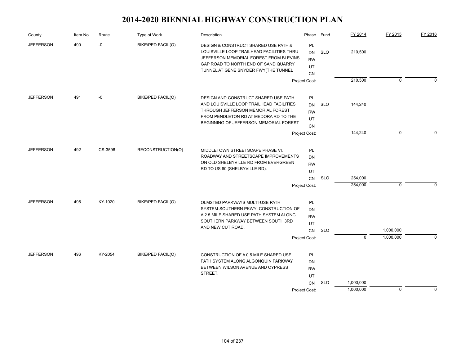| County           | Item No. | Route   | Type of Work             | Description                                                                                                                                                                                                 | Phase                                                  | Fund       | FY 2014                | FY 2015     | FY 2016  |
|------------------|----------|---------|--------------------------|-------------------------------------------------------------------------------------------------------------------------------------------------------------------------------------------------------------|--------------------------------------------------------|------------|------------------------|-------------|----------|
| <b>JEFFERSON</b> | 490      | $-0$    | BIKE/PED FACIL(O)        | DESIGN & CONSTRUCT SHARED USE PATH &<br>LOUISVILLE LOOP TRAILHEAD FACILITIES THRU<br>JEFFERSON MEMORIAL FOREST FROM BLEVINS<br>GAP ROAD TO NORTH END OF SAND QUARRY<br>TUNNEL AT GENE SNYDER FWY(THE TUNNEL | <b>PL</b><br><b>DN</b><br><b>RW</b><br>UT<br><b>CN</b> | <b>SLO</b> | 210,500                |             |          |
|                  |          |         |                          |                                                                                                                                                                                                             | Project Cost:                                          |            | 210,500                | $\mathbf 0$ | $\Omega$ |
| <b>JEFFERSON</b> | 491      | -0      | <b>BIKE/PED FACIL(O)</b> | DESIGN AND CONSTRUCT SHARED USE PATH<br>AND LOUISVILLE LOOP TRAILHEAD FACILITIES<br>THROUGH JEFFERSON MEMORIAL FOREST<br>FROM PENDLETON RD AT MEDORA RD TO THE<br>BEGINNING OF JEFFERSON MEMORIAL FOREST    | PL<br><b>DN</b><br><b>RW</b><br>UT                     | <b>SLO</b> | 144,240                |             |          |
|                  |          |         |                          |                                                                                                                                                                                                             | <b>CN</b><br>Project Cost:                             |            | 144,240                | $\mathbf 0$ | $\Omega$ |
|                  |          |         |                          |                                                                                                                                                                                                             |                                                        |            |                        |             |          |
| <b>JEFFERSON</b> | 492      | CS-3596 | RECONSTRUCTION(O)        | MIDDLETOWN STREETSCAPE PHASE VI.<br>ROADWAY AND STREETSCAPE IMPROVEMENTS<br>ON OLD SHELBYVILLE RD FROM EVERGREEN<br>RD TO US 60 (SHELBYVILLE RD).                                                           | PL<br>DN<br><b>RW</b>                                  |            |                        |             |          |
|                  |          |         |                          |                                                                                                                                                                                                             | UT<br><b>CN</b>                                        | <b>SLO</b> | 254,000<br>254,000     | $\mathbf 0$ | $\Omega$ |
|                  |          |         |                          |                                                                                                                                                                                                             | Project Cost:                                          |            |                        |             |          |
| <b>JEFFERSON</b> | 495      | KY-1020 | BIKE/PED FACIL(O)        | OLMSTED PARKWAYS MULTI-USE PATH<br>SYSTEM-SOUTHERN PKWY: CONSTRUCTION OF<br>A 2.5 MILE SHARED USE PATH SYSTEM ALONG<br>SOUTHERN PARKWAY BETWEEN SOUTH 3RD<br>AND NEW CUT ROAD.                              | PL<br><b>DN</b><br><b>RW</b><br>UT                     |            |                        | 1,000,000   |          |
|                  |          |         |                          |                                                                                                                                                                                                             | CN<br>Project Cost:                                    | <b>SLO</b> | $\overline{0}$         | 1,000,000   | $\Omega$ |
| <b>JEFFERSON</b> | 496      | KY-2054 | <b>BIKE/PED FACIL(O)</b> | CONSTRUCTION OF A 0.5 MILE SHARED USE<br>PATH SYSTEM ALONG ALGONQUIN PARKWAY<br>BETWEEN WILSON AVENUE AND CYPRESS<br>STREET.                                                                                | PL<br><b>DN</b><br><b>RW</b><br>UT                     |            |                        |             |          |
|                  |          |         |                          |                                                                                                                                                                                                             | CN<br>Project Cost:                                    | <b>SLO</b> | 1,000,000<br>1,000,000 | $\mathbf 0$ | $\Omega$ |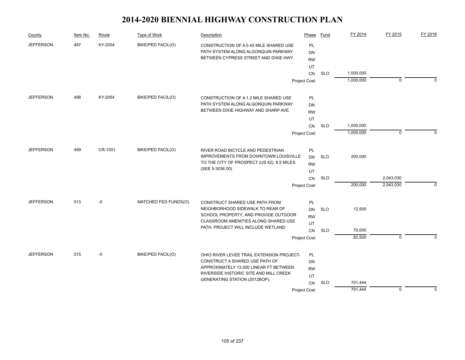| County           | Item No. | Route   | Type of Work             | Description                                                    | Phase         | Fund       | FY 2014   | FY 2015     | FY 2016     |
|------------------|----------|---------|--------------------------|----------------------------------------------------------------|---------------|------------|-----------|-------------|-------------|
| <b>JEFFERSON</b> | 497      | KY-2054 | BIKE/PED FACIL(O)        | CONSTRUCTION OF A 0.45 MILE SHARED USE                         | <b>PL</b>     |            |           |             |             |
|                  |          |         |                          | PATH SYSTEM ALONG ALGONQUIN PARKWAY                            | DN            |            |           |             |             |
|                  |          |         |                          | BETWEEN CYPRESS STREET AND DIXIE HWY.                          | <b>RW</b>     |            |           |             |             |
|                  |          |         |                          |                                                                | UT            |            |           |             |             |
|                  |          |         |                          |                                                                | <b>CN</b>     | <b>SLO</b> | 1,000,000 |             |             |
|                  |          |         |                          |                                                                | Project Cost: |            | 1,000,000 | $\mathbf 0$ | $\Omega$    |
| <b>JEFFERSON</b> | 498      | KY-2054 | BIKE/PED FACIL(O)        | CONSTRUCTION OF A 1.2 MILE SHARED USE                          | PL            |            |           |             |             |
|                  |          |         |                          | PATH SYSTEM ALONG ALGONQUIN PARKWAY                            | DN            |            |           |             |             |
|                  |          |         |                          | BETWEEN DIXIE HIGHWAY AND SHARP AVE.                           | <b>RW</b>     |            |           |             |             |
|                  |          |         |                          |                                                                | UT            |            |           |             |             |
|                  |          |         |                          |                                                                | <b>CN</b>     | <b>SLO</b> | 1,000,000 |             |             |
|                  |          |         |                          |                                                                | Project Cost: |            | 1,000,000 | $\mathbf 0$ | $\Omega$    |
|                  |          |         |                          |                                                                |               |            |           |             |             |
| <b>JEFFERSON</b> | 499      | CR-1001 | <b>BIKE/PED FACIL(O)</b> | RIVER ROAD BICYCLE AND PEDESTRIAN                              | PL            |            |           |             |             |
|                  |          |         |                          | <b>IMPROVEMENTS FROM DOWNTOWN LOUISVILLE</b>                   | DN            | <b>SLO</b> | 200,000   |             |             |
|                  |          |         |                          | TO THE CITY OF PROSPECT (US 42), 8.5 MILES.<br>(SEE 5-3036.00) | <b>RW</b>     |            |           |             |             |
|                  |          |         |                          |                                                                | UT            |            |           |             |             |
|                  |          |         |                          |                                                                | CN            | <b>SLO</b> |           | 2,043,030   |             |
|                  |          |         |                          |                                                                | Project Cost: |            | 200,000   | 2,043,030   | $\mathbf 0$ |
| <b>JEFFERSON</b> | 513      | $-0$    | MATCHED FED FUNDS(O)     | CONSTRUCT SHARED USE PATH FROM                                 | PL            |            |           |             |             |
|                  |          |         |                          | NEIGHBORHOOD SIDEWALK TO REAR OF                               | <b>DN</b>     | <b>SLO</b> | 12,500    |             |             |
|                  |          |         |                          | SCHOOL PROPERTY, AND PROVIDE OUTDOOR                           | <b>RW</b>     |            |           |             |             |
|                  |          |         |                          | CLASSROOM AMENITIES ALONG SHARED USE                           | UT            |            |           |             |             |
|                  |          |         |                          | PATH. PROJECT WILL INCLUDE WETLAND                             | CN            | <b>SLO</b> | 70,000    |             |             |
|                  |          |         |                          |                                                                | Project Cost: |            | 82,500    | $\mathbf 0$ | $\Omega$    |
| <b>JEFFERSON</b> | 515      | $-0$    | BIKE/PED FACIL(O)        | OHIO RIVER LEVEE TRAIL EXTENSION PROJECT-                      | PL            |            |           |             |             |
|                  |          |         |                          | CONSTRUCT A SHARED USE PATH OF                                 | <b>DN</b>     |            |           |             |             |
|                  |          |         |                          | APPROXIMATELY 13,000 LINEAR FT BETWEEN                         | <b>RW</b>     |            |           |             |             |
|                  |          |         |                          | RIVERSIDE HISTORIC SITE AND MILL CREEK                         | UT            |            |           |             |             |
|                  |          |         |                          | GENERATING STATION (2012BOP).                                  | CN            | <b>SLO</b> | 701,444   |             |             |
|                  |          |         |                          |                                                                | Project Cost: |            | 701,444   | $\mathbf 0$ | $\Omega$    |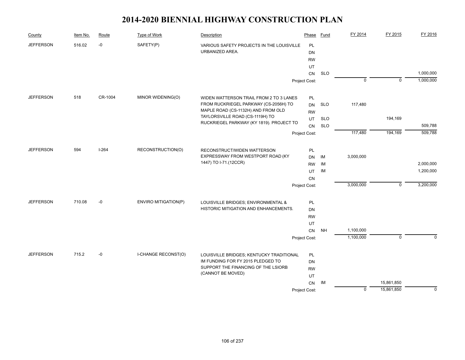| County           | Item No. | Route   | Type of Work                | Description                                                                   | Phase           | Fund       | FY 2014        | FY 2015        | FY 2016   |
|------------------|----------|---------|-----------------------------|-------------------------------------------------------------------------------|-----------------|------------|----------------|----------------|-----------|
| <b>JEFFERSON</b> | 516.02   | $-0$    | SAFETY(P)                   | VARIOUS SAFETY PROJECTS IN THE LOUISVILLE                                     | PL              |            |                |                |           |
|                  |          |         |                             | URBANIZED AREA.                                                               | <b>DN</b>       |            |                |                |           |
|                  |          |         |                             |                                                                               | <b>RW</b>       |            |                |                |           |
|                  |          |         |                             |                                                                               | UT              |            |                |                |           |
|                  |          |         |                             |                                                                               | CN              | <b>SLO</b> |                |                | 1,000,000 |
|                  |          |         |                             |                                                                               | Project Cost:   |            | $\overline{0}$ | $\mathbf{0}$   | 1,000,000 |
| <b>JEFFERSON</b> | 518      | CR-1004 | MINOR WIDENING(O)           | WIDEN WATTERSON TRAIL FROM 2 TO 3 LANES                                       | PL              |            |                |                |           |
|                  |          |         |                             | FROM RUCKRIEGEL PARKWAY (CS-2056H) TO                                         | <b>DN</b>       | <b>SLO</b> | 117,480        |                |           |
|                  |          |         |                             | MAPLE ROAD (CS-1132H) AND FROM OLD                                            | <b>RW</b>       |            |                |                |           |
|                  |          |         |                             | TAYLORSVILLE ROAD (CS-1119H) TO                                               | UT              | <b>SLO</b> |                | 194,169        |           |
|                  |          |         |                             | RUCKRIEGEL PARKWAY (KY 1819). PROJECT TO                                      | CN              | <b>SLO</b> |                |                | 509,788   |
|                  |          |         |                             |                                                                               | Project Cost:   |            | 117,480        | 194,169        | 509,788   |
| <b>JEFFERSON</b> | 594      | $I-264$ | RECONSTRUCTION(O)           | RECONSTRUCT/WIDEN WATTERSON                                                   | PL              |            |                |                |           |
|                  |          |         |                             | EXPRESSWAY FROM WESTPORT ROAD (KY                                             | <b>DN</b>       | IM         | 3,000,000      |                |           |
|                  |          |         |                             | 1447) TO I-71.(12CCR)                                                         | <b>RW</b>       | IM         |                |                | 2,000,000 |
|                  |          |         |                             |                                                                               | UT              | IM         |                |                | 1,200,000 |
|                  |          |         |                             |                                                                               | CN              |            |                |                |           |
|                  |          |         |                             |                                                                               | Project Cost:   |            | 3,000,000      | $\mathbf 0$    | 3,200,000 |
| <b>JEFFERSON</b> | 710.08   | $-0$    | <b>ENVIRO MITIGATION(P)</b> | LOUISVILLE BRIDGES; ENVIRONMENTAL &                                           | PL              |            |                |                |           |
|                  |          |         |                             | HISTORIC MITIGATION AND ENHANCEMENTS.                                         | DN              |            |                |                |           |
|                  |          |         |                             |                                                                               | <b>RW</b>       |            |                |                |           |
|                  |          |         |                             |                                                                               | UT              |            |                |                |           |
|                  |          |         |                             |                                                                               | <b>CN</b>       | NH         | 1,100,000      |                |           |
|                  |          |         |                             |                                                                               | Project Cost:   |            | 1,100,000      | $\overline{0}$ | $\Omega$  |
| <b>JEFFERSON</b> | 715.2    | $-0$    | <b>I-CHANGE RECONST(O)</b>  |                                                                               |                 |            |                |                |           |
|                  |          |         |                             | LOUISVILLE BRIDGES; KENTUCKY TRADITIONAL<br>IM FUNDING FOR FY 2015 PLEDGED TO | PL<br><b>DN</b> |            |                |                |           |
|                  |          |         |                             | SUPPORT THE FINANCING OF THE LSIORB                                           | <b>RW</b>       |            |                |                |           |
|                  |          |         |                             | (CANNOT BE MOVED)                                                             | UT              |            |                |                |           |
|                  |          |         |                             |                                                                               | CN              | IM         |                | 15,861,850     |           |
|                  |          |         |                             |                                                                               | Project Cost:   |            | $\mathbf 0$    | 15,861,850     | 0         |
|                  |          |         |                             |                                                                               |                 |            |                |                |           |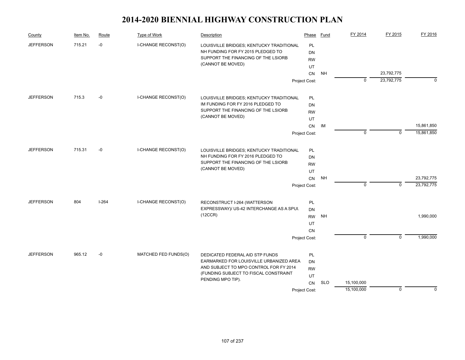| County           | Item No. | Route   | Type of Work                        | Description                                                               | Phase         | Fund       | FY 2014        | FY 2015        | FY 2016    |
|------------------|----------|---------|-------------------------------------|---------------------------------------------------------------------------|---------------|------------|----------------|----------------|------------|
| <b>JEFFERSON</b> | 715.21   | -0      | I-CHANGE RECONST(O)                 | LOUISVILLE BRIDGES; KENTUCKY TRADITIONAL                                  | <b>PL</b>     |            |                |                |            |
|                  |          |         |                                     | NH FUNDING FOR FY 2015 PLEDGED TO                                         | <b>DN</b>     |            |                |                |            |
|                  |          |         |                                     | SUPPORT THE FINANCING OF THE LSIORB                                       | <b>RW</b>     |            |                |                |            |
|                  |          |         |                                     | (CANNOT BE MOVED)                                                         | UT            |            |                |                |            |
|                  |          |         |                                     |                                                                           | <b>CN</b>     | <b>NH</b>  |                | 23,792,775     |            |
|                  |          |         |                                     |                                                                           | Project Cost: |            | $\mathbf 0$    | 23,792,775     | $\Omega$   |
| <b>JEFFERSON</b> | 715.3    | $-0$    | I-CHANGE RECONST(O)                 | LOUISVILLE BRIDGES; KENTUCKY TRADITIONAL                                  | PL            |            |                |                |            |
|                  |          |         |                                     | IM FUNDING FOR FY 2016 PLEDGED TO                                         | DN            |            |                |                |            |
|                  |          |         |                                     | SUPPORT THE FINANCING OF THE LSIORB                                       | <b>RW</b>     |            |                |                |            |
|                  |          |         |                                     | (CANNOT BE MOVED)                                                         | UT            |            |                |                |            |
|                  |          |         |                                     |                                                                           | CN            | IM         |                |                | 15,861,850 |
|                  |          |         |                                     |                                                                           | Project Cost: |            | $\Omega$       | $\mathbf 0$    | 15,861,850 |
| <b>JEFFERSON</b> | 715.31   | $-0$    | I-CHANGE RECONST(O)                 | LOUISVILLE BRIDGES; KENTUCKY TRADITIONAL                                  | PL            |            |                |                |            |
|                  |          |         |                                     | NH FUNDING FOR FY 2016 PLEDGED TO                                         | DN            |            |                |                |            |
|                  |          |         | SUPPORT THE FINANCING OF THE LSIORB | <b>RW</b>                                                                 |               |            |                |                |            |
|                  |          |         |                                     | (CANNOT BE MOVED)                                                         | UT            |            |                |                |            |
|                  |          |         |                                     |                                                                           | CN            | <b>NH</b>  |                |                | 23,792,775 |
|                  |          |         |                                     |                                                                           | Project Cost: |            | $\mathbf 0$    | $\mathbf 0$    | 23,792,775 |
| <b>JEFFERSON</b> | 804      | $I-264$ | I-CHANGE RECONST(O)                 |                                                                           |               |            |                |                |            |
|                  |          |         |                                     | RECONSTRUCT I-264 (WATTERSON<br>EXPRESSWAY)/ US-42 INTERCHANGE AS A SPUI. | PL<br>DN      |            |                |                |            |
|                  |          |         |                                     | (12CCR)                                                                   | <b>RW</b>     | <b>NH</b>  |                |                | 1,990,000  |
|                  |          |         |                                     |                                                                           | UT            |            |                |                |            |
|                  |          |         |                                     |                                                                           | <b>CN</b>     |            |                |                |            |
|                  |          |         |                                     |                                                                           |               |            | $\overline{0}$ | $\overline{0}$ | 1,990,000  |
|                  |          |         |                                     |                                                                           | Project Cost: |            |                |                |            |
| <b>JEFFERSON</b> | 965.12   | -0      | MATCHED FED FUNDS(O)                | DEDICATED FEDERAL AID STP FUNDS                                           | PL            |            |                |                |            |
|                  |          |         |                                     | EARMARKED FOR LOUISVILLE URBANIZED AREA                                   | <b>DN</b>     |            |                |                |            |
|                  |          |         |                                     | AND SUBJECT TO MPO CONTROL FOR FY 2014                                    | <b>RW</b>     |            |                |                |            |
|                  |          |         |                                     | (FUNDING SUBJECT TO FISCAL CONSTRAINT                                     | UT            |            |                |                |            |
|                  |          |         |                                     | PENDING MPO TIP).                                                         | CN            | <b>SLO</b> | 15,100,000     |                |            |
|                  |          |         |                                     |                                                                           | Project Cost: |            | 15,100,000     | $\mathbf 0$    | $\Omega$   |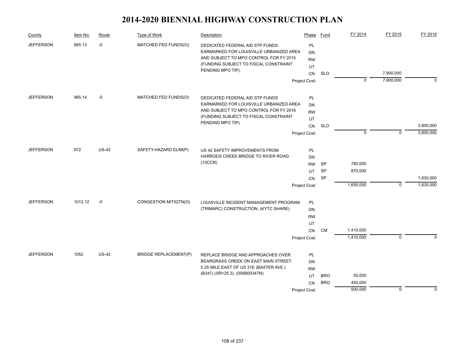| County           | Item No. | Route   | Type of Work                        | Description                                                                                                          | Phase                        | Fund       | FY 2014     | FY 2015     | FY 2016     |
|------------------|----------|---------|-------------------------------------|----------------------------------------------------------------------------------------------------------------------|------------------------------|------------|-------------|-------------|-------------|
| <b>JEFFERSON</b> | 965.13   | $-0$    | MATCHED FED FUNDS(O)                | DEDICATED FEDERAL AID STP FUNDS<br>EARMARKED FOR LOUISVILLE URBANIZED AREA<br>AND SUBJECT TO MPO CONTROL FOR FY 2015 | <b>PL</b><br>DN<br><b>RW</b> |            |             |             |             |
|                  |          |         |                                     | (FUNDING SUBJECT TO FISCAL CONSTRAINT<br>PENDING MPO TIP).                                                           | UT                           |            |             |             |             |
|                  |          |         |                                     |                                                                                                                      | CN                           | <b>SLO</b> |             | 7,900,000   |             |
|                  |          |         |                                     |                                                                                                                      | Project Cost:                |            | $\mathbf 0$ | 7,900,000   | $\Omega$    |
| <b>JEFFERSON</b> | 965.14   | $-0$    | MATCHED FED FUNDS(O)                | DEDICATED FEDERAL AID STP FUNDS                                                                                      | PL                           |            |             |             |             |
|                  |          |         |                                     | EARMARKED FOR LOUISVILLE URBANIZED AREA                                                                              | DN                           |            |             |             |             |
|                  |          |         |                                     | AND SUBJECT TO MPO CONTROL FOR FY 2016                                                                               | <b>RW</b>                    |            |             |             |             |
|                  |          |         |                                     | (FUNDING SUBJECT TO FISCAL CONSTRAINT<br>PENDING MPO TIP).                                                           | UT                           |            |             |             |             |
|                  |          |         |                                     |                                                                                                                      | CN                           | <b>SLO</b> |             |             | 3,800,000   |
|                  |          |         |                                     |                                                                                                                      | Project Cost:                |            | $\mathbf 0$ | $\mathbf 0$ | 3,800,000   |
| <b>JEFFERSON</b> | 972      | $US-42$ | SAFETY-HAZARD ELIM(P)               | US 42 SAFETY IMPROVEMENTS FROM                                                                                       | PL                           |            |             |             |             |
|                  |          |         | HARRODS CREEK BRIDGE TO RIVER ROAD. | DN                                                                                                                   |                              |            |             |             |             |
|                  |          |         | (10CCR)                             | <b>RW</b>                                                                                                            | <b>SP</b>                    | 780,000    |             |             |             |
|                  |          |         |                                     |                                                                                                                      | UT                           | <b>SP</b>  | 870,000     |             |             |
|                  |          |         |                                     |                                                                                                                      | CN                           | SP         |             |             | 1,630,000   |
|                  |          |         |                                     |                                                                                                                      | Project Cost:                |            | 1,650,000   | $\mathbf 0$ | 1,630,000   |
| <b>JEFFERSON</b> | 1012.12  | $-0$    | CONGESTION MITIGTN(O)               | LOUISVILLE INCIDENT MANAGEMENT PROGRAM                                                                               | <b>PL</b>                    |            |             |             |             |
|                  |          |         |                                     | (TRIMARC) CONSTRUCTION. (KYTC SHARE)                                                                                 | <b>DN</b>                    |            |             |             |             |
|                  |          |         |                                     |                                                                                                                      | <b>RW</b>                    |            |             |             |             |
|                  |          |         |                                     |                                                                                                                      | UT                           |            |             |             |             |
|                  |          |         |                                     |                                                                                                                      | CN                           | CM         | 1,410,000   |             |             |
|                  |          |         |                                     |                                                                                                                      | Project Cost:                |            | 1,410,000   | $\mathbf 0$ | $\Omega$    |
| <b>JEFFERSON</b> | 1052     | $US-42$ | <b>BRIDGE REPLACEMENT(P)</b>        | REPLACE BRIDGE AND APPROACHES OVER                                                                                   | PL                           |            |             |             |             |
|                  |          |         |                                     | BEARGRASS CREEK ON EAST MAIN STREET                                                                                  | <b>DN</b>                    |            |             |             |             |
|                  |          |         |                                     | 0.25 MILE EAST OF US 31E (BAXTER AVE.)                                                                               | <b>RW</b>                    |            |             |             |             |
|                  |          |         |                                     | (B347) (SR=25.3). (056B00347N)                                                                                       | UT                           | <b>BRO</b> | 50,000      |             |             |
|                  |          |         |                                     |                                                                                                                      | <b>CN</b>                    | <b>BRO</b> | 450,000     |             |             |
|                  |          |         |                                     |                                                                                                                      | Project Cost:                |            | 500,000     | $\mathbf 0$ | $\mathbf 0$ |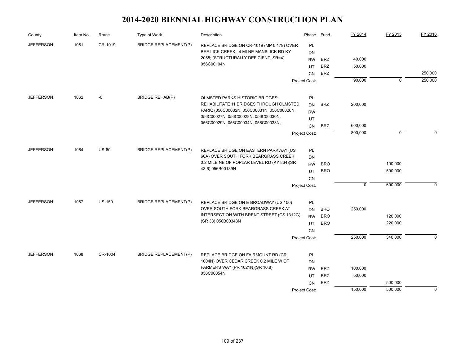| County           | Item No. | Route         | Type of Work                 | Description                                                                   | Phase                      | Fund       | FY 2014     | FY 2015     | FY 2016     |
|------------------|----------|---------------|------------------------------|-------------------------------------------------------------------------------|----------------------------|------------|-------------|-------------|-------------|
| <b>JEFFERSON</b> | 1061     | CR-1019       | <b>BRIDGE REPLACEMENT(P)</b> | REPLACE BRIDGE ON CR-1019 (MP 0.179) OVER                                     | PL                         |            |             |             |             |
|                  |          |               |                              | BEE LICK CREEK; .4 MI NE-MANSLICK RD-KY                                       | <b>DN</b>                  |            |             |             |             |
|                  |          |               |                              | 2055; (STRUCTURALLY DEFICIENT, SR=4)<br>056C00104N                            | <b>RW</b>                  | <b>BRZ</b> | 40,000      |             |             |
|                  |          |               |                              |                                                                               | UT                         | <b>BRZ</b> | 50,000      |             |             |
|                  |          |               |                              |                                                                               | <b>CN</b>                  | <b>BRZ</b> |             |             | 250,000     |
|                  |          |               |                              |                                                                               | Project Cost:              |            | 90,000      | $\mathbf 0$ | 250,000     |
| <b>JEFFERSON</b> | 1062     | -0            | <b>BRIDGE REHAB(P)</b>       | OLMSTED PARKS HISTORIC BRIDGES:                                               | PL                         |            |             |             |             |
|                  |          |               |                              | REHABILITATE 11 BRIDGES THROUGH OLMSTED                                       | DN                         | <b>BRZ</b> | 200,000     |             |             |
|                  |          |               |                              | PARK: (056C00032N, 056C00031N, 056C00026N,                                    | <b>RW</b>                  |            |             |             |             |
|                  |          |               |                              | 056C00027N, 056C00028N, 056C00030N,                                           | UT                         |            |             |             |             |
|                  |          |               |                              | 056C00029N, 056C00034N, 056C00033N,                                           | <b>CN</b>                  | <b>BRZ</b> | 600,000     |             |             |
|                  |          |               |                              |                                                                               | Project Cost:              |            | 800,000     | $\mathbf 0$ | $\Omega$    |
| <b>JEFFERSON</b> | 1064     | <b>US-60</b>  | <b>BRIDGE REPLACEMENT(P)</b> |                                                                               |                            |            |             |             |             |
|                  |          |               |                              | REPLACE BRIDGE ON EASTERN PARKWAY (US<br>60A) OVER SOUTH FORK BEARGRASS CREEK | PL                         |            |             |             |             |
|                  |          |               |                              | 0.2 MILE NE OF POPLAR LEVEL RD (KY 864)(SR                                    | DN                         | <b>BRO</b> |             | 100,000     |             |
|                  |          |               |                              | 43.6) 056B00139N                                                              | <b>RW</b>                  | <b>BRO</b> |             | 500,000     |             |
|                  |          |               |                              |                                                                               | UT                         |            |             |             |             |
|                  |          |               |                              |                                                                               | <b>CN</b><br>Project Cost: |            | $\mathbf 0$ | 600,000     | $\Omega$    |
|                  |          |               |                              |                                                                               |                            |            |             |             |             |
| <b>JEFFERSON</b> | 1067     | <b>US-150</b> | <b>BRIDGE REPLACEMENT(P)</b> | REPLACE BRIDGE ON E BROADWAY (US 150)                                         | PL                         |            |             |             |             |
|                  |          |               |                              | OVER SOUTH FORK BEARGRASS CREEK AT                                            | DN                         | <b>BRO</b> | 250,000     |             |             |
|                  |          |               |                              | INTERSECTION WITH BRENT STREET (CS 1312G)<br>(SR 38) 056B00348N               | <b>RW</b>                  | <b>BRO</b> |             | 120,000     |             |
|                  |          |               |                              |                                                                               | UT                         | <b>BRO</b> |             | 220,000     |             |
|                  |          |               |                              |                                                                               | CN                         |            |             |             |             |
|                  |          |               |                              |                                                                               | Project Cost:              |            | 250,000     | 340,000     | $\Omega$    |
| <b>JEFFERSON</b> | 1068     | CR-1004       | <b>BRIDGE REPLACEMENT(P)</b> | REPLACE BRIDGE ON FAIRMOUNT RD (CR                                            | PL                         |            |             |             |             |
|                  |          |               |                              | 1004N) OVER CEDAR CREEK 0.2 MILE W OF                                         | DN                         |            |             |             |             |
|                  |          |               |                              | FARMERS WAY (PR 1021N)(SR 16.8)                                               | <b>RW</b>                  | <b>BRZ</b> | 100,000     |             |             |
|                  |          |               |                              | 056C00054N                                                                    | UT                         | <b>BRZ</b> | 50,000      |             |             |
|                  |          |               |                              |                                                                               | <b>CN</b>                  | <b>BRZ</b> |             | 500,000     |             |
|                  |          |               |                              |                                                                               | Project Cost:              |            | 150,000     | 500,000     | $\mathbf 0$ |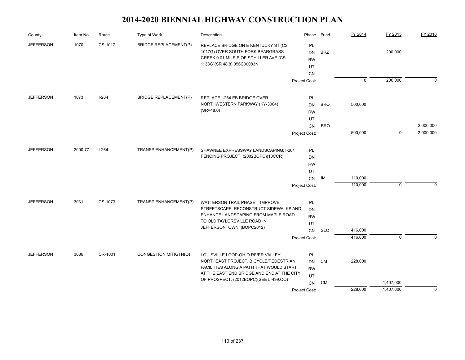| County           | Item No. | Route   | Type of Work                 | Description                                                                                                                                    | Phase                                           | Fund       | FY 2014     | FY 2015                | FY 2016     |
|------------------|----------|---------|------------------------------|------------------------------------------------------------------------------------------------------------------------------------------------|-------------------------------------------------|------------|-------------|------------------------|-------------|
| <b>JEFFERSON</b> | 1070     | CS-1017 | <b>BRIDGE REPLACEMENT(P)</b> | REPLACE BRIDGE ON E KENTUCKY ST (CS<br>1017G) OVER SOUTH FORK BEARGRASS<br>CREEK 0.01 MILE E OF SCHILLER AVE (CS<br>1138G)(SR 48.8) 056C00083N | PL<br><b>DN</b><br><b>RW</b><br>UT<br><b>CN</b> | <b>BRZ</b> |             | 200,000                |             |
|                  |          |         |                              |                                                                                                                                                | Project Cost:                                   |            | $\mathbf 0$ | 200,000                | $\Omega$    |
| <b>JEFFERSON</b> | 1073     | $I-264$ | <b>BRIDGE REPLACEMENT(P)</b> | REPLACE I-264 EB BRIDGE OVER                                                                                                                   | PL                                              |            |             |                        |             |
|                  |          |         |                              | NORTHWESTERN PARKWAY (KY-3064)                                                                                                                 | <b>DN</b>                                       | <b>BRO</b> | 500,000     |                        |             |
|                  |          |         |                              | $(SR=48.0)$                                                                                                                                    | <b>RW</b>                                       |            |             |                        |             |
|                  |          |         |                              |                                                                                                                                                | UT                                              |            |             |                        |             |
|                  |          |         |                              |                                                                                                                                                | CN                                              | <b>BRO</b> |             |                        | 2,000,000   |
|                  |          |         |                              |                                                                                                                                                | Project Cost:                                   |            | 500,000     | $\mathbf 0$            | 2,000,000   |
| <b>JEFFERSON</b> | 2000.77  | $I-264$ | TRANSP ENHANCEMENT(P)        | SHAWNEE EXPRESSWAY LANDSCAPING; I-264                                                                                                          | PL                                              |            |             |                        |             |
|                  |          |         |                              | FENCING PROJECT. (2002BOPC)(10CCR)                                                                                                             | DN                                              |            |             |                        |             |
|                  |          |         |                              |                                                                                                                                                | <b>RW</b>                                       |            |             |                        |             |
|                  |          |         |                              |                                                                                                                                                | UT                                              |            |             |                        |             |
|                  |          |         |                              |                                                                                                                                                | CN                                              | IM         | 110,000     |                        |             |
|                  |          |         |                              |                                                                                                                                                | Project Cost:                                   |            | 110,000     | $\mathbf 0$            | $\mathbf 0$ |
|                  |          |         |                              |                                                                                                                                                |                                                 |            |             |                        |             |
| <b>JEFFERSON</b> | 3031     | CS-1073 | TRANSP ENHANCEMENT(P)        | WATTERSON TRAIL PHASE I- IMPROVE<br>STREETSCAPE, RECONSTRUCT SIDEWALKS AND                                                                     | PL                                              |            |             |                        |             |
|                  |          |         |                              | ENHANCE LANDSCAPING FROM MAPLE ROAD                                                                                                            | DN                                              |            |             |                        |             |
|                  |          |         |                              | TO OLD TAYLORSVILLE ROAD IN                                                                                                                    | <b>RW</b><br>UT                                 |            |             |                        |             |
|                  |          |         |                              | JEFFERSONTOWN. (BOPC2012)                                                                                                                      | CN                                              | <b>SLO</b> | 416,000     |                        |             |
|                  |          |         |                              |                                                                                                                                                | Project Cost:                                   |            | 416,000     | $\mathbf 0$            | $\Omega$    |
|                  |          |         |                              |                                                                                                                                                |                                                 |            |             |                        |             |
| <b>JEFFERSON</b> | 3036     | CR-1001 | CONGESTION MITIGTN(O)        | LOUISVILLE LOOP-OHIO RIVER VALLEY                                                                                                              | PL                                              |            |             |                        |             |
|                  |          |         |                              | NORTHEAST PROJECT. BICYCLE/PEDESTRIAN<br>FACILITIES ALONG A PATH THAT WOULD START                                                              | <b>DN</b>                                       | CM         | 228,000     |                        |             |
|                  |          |         |                              | AT THE EAST END BRIDGE AND END AT THE CITY                                                                                                     | <b>RW</b>                                       |            |             |                        |             |
|                  |          |         |                              | OF PROSPECT. (2012BOPC)(SEE 5-499.OO)                                                                                                          | UT                                              |            |             |                        |             |
|                  |          |         |                              |                                                                                                                                                | <b>CN</b>                                       | <b>CM</b>  | 228,000     | 1,407,000<br>1,407,000 |             |
|                  |          |         |                              |                                                                                                                                                | Project Cost:                                   |            |             |                        | $\mathbf 0$ |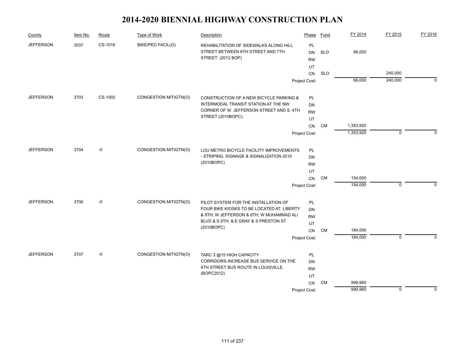| County           | Item No. | Route   | Type of Work          | Description                                                                                       | Phase                        | Fund       | FY 2014   | FY 2015     | FY 2016     |
|------------------|----------|---------|-----------------------|---------------------------------------------------------------------------------------------------|------------------------------|------------|-----------|-------------|-------------|
| <b>JEFFERSON</b> | 3037     | CS-1016 | BIKE/PED FACIL(O)     | REHABILITATION OF SIDEWALKS ALONG HILL<br>STREET BETWEEN 6TH STREET AND 7TH<br>STREET. (2012 BOP) | PL<br><b>DN</b><br><b>RW</b> | <b>SLO</b> | 66,000    |             |             |
|                  |          |         |                       |                                                                                                   | UT<br>CN                     | <b>SLO</b> |           | 240,000     |             |
|                  |          |         |                       |                                                                                                   | Project Cost:                |            | 66,000    | 240,000     | $\mathbf 0$ |
|                  |          |         |                       |                                                                                                   |                              |            |           |             |             |
| <b>JEFFERSON</b> | 3703     | CS-1002 | CONGESTION MITIGTN(O) | CONSTRUCTION OF A NEW BICYCLE PARKING &                                                           | PL                           |            |           |             |             |
|                  |          |         |                       | INTERMODAL TRANSIT STATION AT THE NW                                                              | DN                           |            |           |             |             |
|                  |          |         |                       | CORNER OF W. JEFFERSON STREET AND S. 4TH                                                          | <b>RW</b>                    |            |           |             |             |
|                  |          |         |                       | STREET (2010BOPC).                                                                                | UT                           |            |           |             |             |
|                  |          |         |                       |                                                                                                   | CN                           | CM         | 1,353,920 |             |             |
|                  |          |         |                       |                                                                                                   | Project Cost:                |            | 1,353,920 | $\mathbf 0$ | $\Omega$    |
| <b>JEFFERSON</b> | 3704     | $-0$    | CONGESTION MITIGTN(O) |                                                                                                   |                              |            |           |             |             |
|                  |          |         |                       | LOU METRO BICYCLE FACILITY IMPROVEMENTS<br>- STRIPING, SIGNAGE & SIGNALIZATION 2010               | PL<br>DN                     |            |           |             |             |
|                  |          |         |                       | (2010BOPC)                                                                                        | <b>RW</b>                    |            |           |             |             |
|                  |          |         |                       |                                                                                                   | UT                           |            |           |             |             |
|                  |          |         |                       |                                                                                                   | CN                           | CM         | 154,000   |             |             |
|                  |          |         |                       |                                                                                                   | Project Cost:                |            | 154,000   | 0           | $\mathbf 0$ |
|                  |          |         |                       |                                                                                                   |                              |            |           |             |             |
| <b>JEFFERSON</b> | 3706     | $-0$    | CONGESTION MITIGTN(O) | PILOT SYSTEM FOR THE INSTALLATION OF                                                              | PL                           |            |           |             |             |
|                  |          |         |                       | FOUR BIKE KIOSKS TO BE LOCATED AT: LIBERTY                                                        | DN                           |            |           |             |             |
|                  |          |         |                       | & 8TH; W JEFFERSON & 6TH; W MUHAMMAD ALI<br>BLVD & S 5TH; & E GRAY & S PRESTON ST                 | <b>RW</b>                    |            |           |             |             |
|                  |          |         |                       | (2010BOPC)                                                                                        | UT                           |            |           |             |             |
|                  |          |         |                       |                                                                                                   | CN                           | CM         | 184,000   |             |             |
|                  |          |         |                       |                                                                                                   | Project Cost:                |            | 184,000   | $\mathbf 0$ | $\Omega$    |
| <b>JEFFERSON</b> | 3707     | $-0$    | CONGESTION MITIGTN(O) | TARC 3 @15 HIGH CAPACITY                                                                          | PL                           |            |           |             |             |
|                  |          |         |                       | CORRIDORS-INCREASE BUS SERVICE ON THE                                                             | DN                           |            |           |             |             |
|                  |          |         |                       | 4TH STREET BUS ROUTE IN LOUISVILLE.                                                               | <b>RW</b>                    |            |           |             |             |
|                  |          |         |                       | (BOPC2012)                                                                                        | UT                           |            |           |             |             |
|                  |          |         |                       |                                                                                                   | <b>CN</b>                    | CM         | 999,960   |             |             |
|                  |          |         |                       |                                                                                                   | Project Cost:                |            | 999,960   | $\mathbf 0$ | $\mathbf 0$ |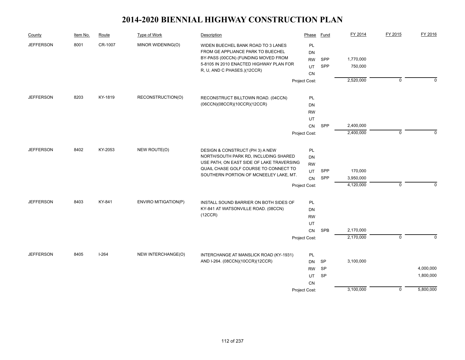| County           | Item No. | Route     | <b>Type of Work</b>                       | Description                                                                     | Phase                  | Fund            | FY 2014   | FY 2015     | FY 2016   |
|------------------|----------|-----------|-------------------------------------------|---------------------------------------------------------------------------------|------------------------|-----------------|-----------|-------------|-----------|
| <b>JEFFERSON</b> | 8001     | CR-1007   | MINOR WIDENING(O)                         | WIDEN BUECHEL BANK ROAD TO 3 LANES                                              | PL                     |                 |           |             |           |
|                  |          |           |                                           | FROM GE APPLIANCE PARK TO BUECHEL                                               | <b>DN</b>              |                 |           |             |           |
|                  |          |           |                                           | BY-PASS (00CCN) (FUNDING MOVED FROM<br>5-8105 IN 2010 ENACTED HIGHWAY PLAN FOR  | <b>RW</b>              | SPP             | 1,770,000 |             |           |
|                  |          |           |                                           | R, U, AND C PHASES.)(12CCR)                                                     | UT                     | SPP             | 750,000   |             |           |
|                  |          |           |                                           |                                                                                 | <b>CN</b>              |                 |           |             |           |
|                  |          |           |                                           |                                                                                 | Project Cost:          |                 | 2,520,000 | $\mathbf 0$ | $\Omega$  |
| <b>JEFFERSON</b> | 8203     | KY-1819   | RECONSTRUCTION(O)                         | RECONSTRUCT BILLTOWN ROAD. (04CCN)                                              | PL                     |                 |           |             |           |
|                  |          |           |                                           | (06CCN)(08CCR)(10CCR)(12CCR)                                                    | <b>DN</b>              |                 |           |             |           |
|                  |          |           |                                           |                                                                                 | <b>RW</b>              |                 |           |             |           |
|                  |          |           |                                           |                                                                                 | UT                     |                 |           |             |           |
|                  |          |           |                                           |                                                                                 | ${\sf CN}$             | SPP             | 2,400,000 |             |           |
|                  |          |           |                                           |                                                                                 | Project Cost:          |                 | 2,400,000 | $\mathbf 0$ | $\Omega$  |
| <b>JEFFERSON</b> | 8402     | KY-2053   | NEW ROUTE(O)                              | DESIGN & CONSTRUCT (PH 3) A NEW                                                 | PL                     |                 |           |             |           |
|                  |          |           |                                           | NORTH/SOUTH PARK RD, INCLUDING SHARED                                           | <b>DN</b>              |                 |           |             |           |
|                  |          |           | USE PATH, ON EAST SIDE OF LAKE TRAVERSING | <b>RW</b>                                                                       |                        |                 |           |             |           |
|                  |          |           |                                           | QUAIL CHASE GOLF COURSE TO CONNECT TO<br>SOUTHERN PORTION OF MCNEELEY LAKE, MT. | UT                     | SPP             | 170,000   |             |           |
|                  |          |           |                                           |                                                                                 | CN                     | SPP             | 3,950,000 |             |           |
|                  |          |           |                                           |                                                                                 | Project Cost:          |                 | 4,120,000 | $\mathbf 0$ | $\Omega$  |
| <b>JEFFERSON</b> | 8403     | KY-841    | <b>ENVIRO MITIGATION(P)</b>               | INSTALL SOUND BARRIER ON BOTH SIDES OF                                          | PL                     |                 |           |             |           |
|                  |          |           |                                           | KY-841 AT WATSONVILLE ROAD. (08CCN)                                             | DN                     |                 |           |             |           |
|                  |          |           |                                           | (12CCR)                                                                         | <b>RW</b>              |                 |           |             |           |
|                  |          |           |                                           |                                                                                 | UT                     |                 |           |             |           |
|                  |          |           |                                           |                                                                                 | <b>CN</b>              | <b>SPB</b>      | 2,170,000 |             |           |
|                  |          |           |                                           |                                                                                 | Project Cost:          |                 | 2,170,000 | $\Omega$    | $\Omega$  |
|                  |          |           |                                           |                                                                                 |                        |                 |           |             |           |
| <b>JEFFERSON</b> | 8405     | $I - 264$ | NEW INTERCHANGE(O)                        | INTERCHANGE AT MANSLICK ROAD (KY-1931)<br>AND I-264. (08CCN)(10CCR)(12CCR)      | PL                     |                 |           |             |           |
|                  |          |           |                                           |                                                                                 | <b>DN</b><br><b>RW</b> | SP<br><b>SP</b> | 3,100,000 |             | 4,000,000 |
|                  |          |           |                                           |                                                                                 | UT                     | SP              |           |             | 1,800,000 |
|                  |          |           |                                           |                                                                                 | CN                     |                 |           |             |           |
|                  |          |           |                                           |                                                                                 | Project Cost:          |                 | 3,100,000 | $\mathbf 0$ | 5,800,000 |
|                  |          |           |                                           |                                                                                 |                        |                 |           |             |           |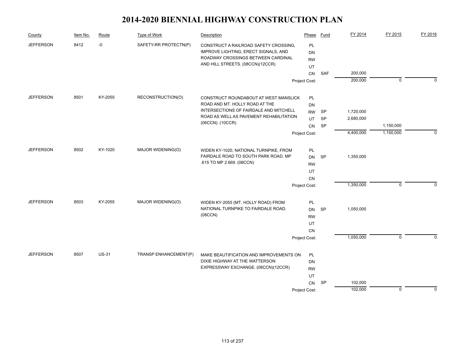| County           | Item No. | Route        | Type of Work                         | Description                                                                   | Phase           | Fund      | FY 2014   | FY 2015     | FY 2016     |
|------------------|----------|--------------|--------------------------------------|-------------------------------------------------------------------------------|-----------------|-----------|-----------|-------------|-------------|
| <b>JEFFERSON</b> | 8412     | $-0$         | SAFETY-RR PROTECTN(P)                | CONSTRUCT A RAILROAD SAFETY CROSSING,<br>IMPROVE LIGHTING, ERECT SIGNALS, AND | PL<br><b>DN</b> |           |           |             |             |
|                  |          |              |                                      | ROADWAY CROSSINGS BETWEEN CARDINAL                                            | <b>RW</b>       |           |           |             |             |
|                  |          |              |                                      | AND HILL STREETS. (08CCN)(12CCR)                                              | UT              |           |           |             |             |
|                  |          |              |                                      |                                                                               | CN              | SAF       | 200,000   |             |             |
|                  |          |              |                                      |                                                                               | Project Cost:   |           | 200,000   | $\mathbf 0$ | $\Omega$    |
| <b>JEFFERSON</b> | 8501     | KY-2055      | RECONSTRUCTION(O)                    | CONSTRUCT ROUNDABOUT AT WEST MANSLICK                                         | PL              |           |           |             |             |
|                  |          |              |                                      | ROAD AND MT. HOLLY ROAD AT THE                                                | DN              |           |           |             |             |
|                  |          |              |                                      | INTERSECTIONS OF FAIRDALE AND MITCHELL                                        | <b>RW</b>       | SP        | 1,720,000 |             |             |
|                  |          |              |                                      | ROAD AS WELL AS PAVEMENT REHABILITATION<br>(06CCN). (10CCR)                   | UT              | SP        | 2,680,000 |             |             |
|                  |          |              |                                      |                                                                               | CN              | SP        |           | 1,150,000   |             |
|                  |          |              |                                      |                                                                               | Project Cost:   |           | 4,400,000 | 1,150,000   | $\Omega$    |
| <b>JEFFERSON</b> | 8502     | KY-1020      | MAJOR WIDENING(O)                    | WIDEN KY-1020, NATIONAL TURNPIKE, FROM                                        | PL              |           |           |             |             |
|                  |          |              | FAIRDALE ROAD TO SOUTH PARK ROAD. MP | <b>DN</b>                                                                     | <b>SP</b>       | 1,350,000 |           |             |             |
|                  |          |              |                                      | .615 TO MP 2.669. (08CCN)                                                     | <b>RW</b>       |           |           |             |             |
|                  |          |              |                                      |                                                                               | UT              |           |           |             |             |
|                  |          |              |                                      |                                                                               | <b>CN</b>       |           |           |             |             |
|                  |          |              |                                      |                                                                               | Project Cost:   |           | 1,350,000 | 0           | 0           |
| <b>JEFFERSON</b> | 8503     | KY-2055      | MAJOR WIDENING(O)                    | WIDEN KY-2055 (MT. HOLLY ROAD) FROM                                           | PL              |           |           |             |             |
|                  |          |              |                                      | NATIONAL TURNPIKE TO FAIRDALE ROAD.                                           | <b>DN</b>       | <b>SP</b> | 1,050,000 |             |             |
|                  |          |              |                                      | (08CCN)                                                                       | <b>RW</b>       |           |           |             |             |
|                  |          |              |                                      |                                                                               | UT              |           |           |             |             |
|                  |          |              |                                      |                                                                               | <b>CN</b>       |           |           |             |             |
|                  |          |              |                                      |                                                                               | Project Cost:   |           | 1,050,000 | $\mathbf 0$ | $\Omega$    |
| <b>JEFFERSON</b> | 8507     | <b>US-31</b> | TRANSP ENHANCEMENT(P)                | MAKE BEAUTIFICATION AND IMPROVEMENTS ON                                       | PL              |           |           |             |             |
|                  |          |              |                                      | DIXIE HIGHWAY AT THE WATTERSON                                                | <b>DN</b>       |           |           |             |             |
|                  |          |              |                                      | EXPRESSWAY EXCHANGE. (08CCN)(12CCR)                                           | <b>RW</b>       |           |           |             |             |
|                  |          |              |                                      |                                                                               | UT              |           |           |             |             |
|                  |          |              |                                      |                                                                               | CN              | SP        | 102,000   |             |             |
|                  |          |              |                                      |                                                                               | Project Cost:   |           | 102,000   | $\mathbf 0$ | $\mathbf 0$ |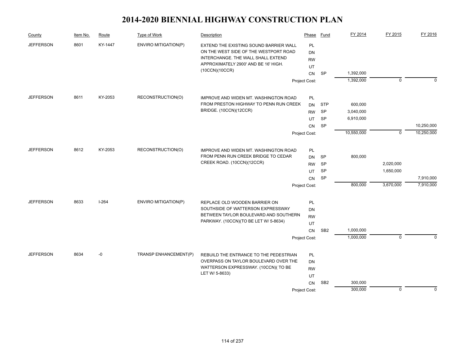| County           | Item No. | Route   | Type of Work                | Description                                                                                                           | Phase                        | Fund            | FY 2014    | FY 2015        | FY 2016     |
|------------------|----------|---------|-----------------------------|-----------------------------------------------------------------------------------------------------------------------|------------------------------|-----------------|------------|----------------|-------------|
| <b>JEFFERSON</b> | 8601     | KY-1447 | <b>ENVIRO MITIGATION(P)</b> | EXTEND THE EXISTING SOUND BARRIER WALL<br>ON THE WEST SIDE OF THE WESTPORT ROAD<br>INTERCHANGE. THE WALL SHALL EXTEND | PL<br><b>DN</b><br><b>RW</b> |                 |            |                |             |
|                  |          |         |                             | APPROXIMATELY 2900' AND BE 16' HIGH.                                                                                  | UT                           |                 |            |                |             |
|                  |          |         |                             | (10CCN)(10CCR)                                                                                                        | <b>CN</b>                    | SP              | 1,392,000  |                |             |
|                  |          |         |                             |                                                                                                                       | Project Cost:                |                 | 1,392,000  | $\overline{0}$ | $\Omega$    |
| <b>JEFFERSON</b> | 8611     | KY-2053 | RECONSTRUCTION(O)           | IMPROVE AND WIDEN MT. WASHINGTON ROAD                                                                                 | PL                           |                 |            |                |             |
|                  |          |         |                             | FROM PRESTON HIGHWAY TO PENN RUN CREEK                                                                                | DN                           | <b>STP</b>      | 600,000    |                |             |
|                  |          |         |                             | BRIDGE. (10CCN)(12CCR)                                                                                                | <b>RW</b>                    | SP              | 3,040,000  |                |             |
|                  |          |         |                             |                                                                                                                       | UT                           | <b>SP</b>       | 6,910,000  |                |             |
|                  |          |         |                             |                                                                                                                       | <b>CN</b>                    | SP              |            |                | 10,250,000  |
|                  |          |         |                             |                                                                                                                       | Project Cost:                |                 | 10,550,000 | $\mathbf 0$    | 10,250,000  |
| <b>JEFFERSON</b> | 8612     | KY-2053 | RECONSTRUCTION(O)           | IMPROVE AND WIDEN MT. WASHINGTON ROAD                                                                                 | PL                           |                 |            |                |             |
|                  |          |         |                             | FROM PENN RUN CREEK BRIDGE TO CEDAR                                                                                   | DN                           | SP              | 800,000    |                |             |
|                  |          |         |                             | CREEK ROAD. (10CCN)(12CCR)                                                                                            |                              | <b>SP</b>       |            | 2,020,000      |             |
|                  |          |         |                             |                                                                                                                       | UT                           | <b>SP</b>       |            | 1,650,000      |             |
|                  |          |         |                             |                                                                                                                       | CN                           | SP              |            |                | 7,910,000   |
|                  |          |         |                             |                                                                                                                       | Project Cost:                |                 | 800,000    | 3,670,000      | 7,910,000   |
| <b>JEFFERSON</b> | 8633     | $I-264$ | ENVIRO MITIGATION(P)        | REPLACE OLD WOODEN BARRIER ON                                                                                         | PL                           |                 |            |                |             |
|                  |          |         |                             | SOUTHSIDE OF WATTERSON EXPRESSWAY                                                                                     | DN                           |                 |            |                |             |
|                  |          |         |                             | BETWEEN TAYLOR BOULEVARD AND SOUTHERN                                                                                 | <b>RW</b>                    |                 |            |                |             |
|                  |          |         |                             | PARKWAY. (10CCN)(TO BE LET W/ 5-8634)                                                                                 | UT                           |                 |            |                |             |
|                  |          |         |                             |                                                                                                                       | CN                           | SB <sub>2</sub> | 1,000,000  |                |             |
|                  |          |         |                             |                                                                                                                       | Project Cost:                |                 | 1,000,000  | $\Omega$       | $\Omega$    |
| <b>JEFFERSON</b> | 8634     | -0      | TRANSP ENHANCEMENT(P)       | REBUILD THE ENTRANCE TO THE PEDESTRIAN                                                                                | PL                           |                 |            |                |             |
|                  |          |         |                             | OVERPASS ON TAYLOR BOULEVARD OVER THE                                                                                 | DN                           |                 |            |                |             |
|                  |          |         |                             | WATTERSON EXPRESSWAY. (10CCN)(TO BE                                                                                   |                              |                 |            |                |             |
|                  |          |         |                             | LET W/ 5-8633)                                                                                                        | UT                           |                 |            |                |             |
|                  |          |         |                             |                                                                                                                       | <b>CN</b>                    | SB <sub>2</sub> | 300,000    |                |             |
|                  |          |         |                             |                                                                                                                       | Project Cost:                |                 | 300,000    | $\mathbf 0$    | $\mathbf 0$ |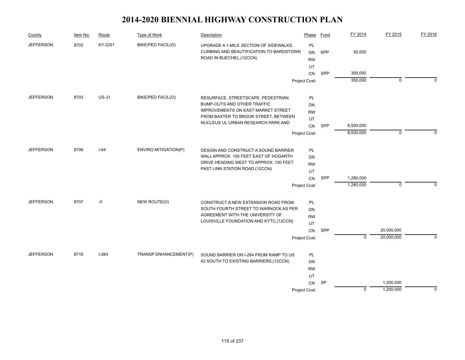| County           | Item No. | Route        | Type of Work                          | Description                                                                                                  | Phase                        | Fund       | FY 2014     | FY 2015     | FY 2016  |
|------------------|----------|--------------|---------------------------------------|--------------------------------------------------------------------------------------------------------------|------------------------------|------------|-------------|-------------|----------|
| <b>JEFFERSON</b> | 8702     | KY-2251      | BIKE/PED FACIL(O)                     | UPGRADE A 1-MILE SECTION OF SIDEWALKS,<br>CURBING AND BEAUTIFICATION TO BARDSTOWN<br>ROAD IN BUECHEL.(12CCN) | PL<br><b>DN</b><br><b>RW</b> | SPP        | 50,000      |             |          |
|                  |          |              |                                       |                                                                                                              | UT                           |            |             |             |          |
|                  |          |              |                                       |                                                                                                              | CN                           | SPP        | 300,000     |             |          |
|                  |          |              |                                       |                                                                                                              | Project Cost:                |            | 350,000     | $\mathbf 0$ | $\Omega$ |
| <b>JEFFERSON</b> | 8703     | <b>US-31</b> | <b>BIKE/PED FACIL(O)</b>              | RESURFACE, STREETSCAPE, PEDESTRIAN                                                                           | PL                           |            |             |             |          |
|                  |          |              |                                       | BUMP-OUTS AND OTHER TRAFFIC                                                                                  | DN                           |            |             |             |          |
|                  |          |              |                                       | IMPROVEMENTS ON EAST MARKET STREET                                                                           | <b>RW</b>                    |            |             |             |          |
|                  |          |              |                                       | FROM BAXTER TO BROOK STREET, BETWEEN                                                                         | UT                           |            |             |             |          |
|                  |          |              |                                       | NUCLEUS UL URBAN RESEARCH PARK AND                                                                           | CN                           | <b>SPP</b> | 8,500,000   |             |          |
|                  |          |              |                                       |                                                                                                              | Project Cost:                |            | 8,500,000   | $\mathbf 0$ | $\Omega$ |
| <b>JEFFERSON</b> | 8706     | $I-64$       | <b>ENVIRO MITIGATION(P)</b>           | <b>DESIGN AND CONSTRUCT A SOUND BARRIER</b>                                                                  | PL                           |            |             |             |          |
|                  |          |              | WALL APPROX. 100 FEET EAST OF HOGARTH | <b>DN</b>                                                                                                    |                              |            |             |             |          |
|                  |          |              |                                       | DRIVE HEADING WEST TO APPROX. 100 FEET                                                                       | <b>RW</b>                    |            |             |             |          |
|                  |          |              |                                       | PAST LINN STATION ROAD.(12CCN)                                                                               | UT                           |            |             |             |          |
|                  |          |              |                                       |                                                                                                              | CN                           | SPP        | 1,280,000   |             |          |
|                  |          |              |                                       |                                                                                                              | Project Cost:                |            | 1,280,000   | 0           | $\Omega$ |
| <b>JEFFERSON</b> | 8707     | $-0$         | NEW ROUTE(O)                          | CONSTRUCT A NEW EXTENSION ROAD FROM                                                                          | PL                           |            |             |             |          |
|                  |          |              |                                       | SOUTH FOURTH STREET TO WARNOCK AS PER                                                                        | DN                           |            |             |             |          |
|                  |          |              |                                       | AGREEMENT WITH THE UNIVERSITY OF                                                                             | <b>RW</b>                    |            |             |             |          |
|                  |          |              |                                       | LOUISVILLE FOUNDATION AND KYTC.(12CCN)                                                                       | UT                           |            |             |             |          |
|                  |          |              |                                       |                                                                                                              | CN                           | SPP        |             | 20,000,000  |          |
|                  |          |              |                                       |                                                                                                              | Project Cost:                |            | $\mathbf 0$ | 20,000,000  | $\Omega$ |
| <b>JEFFERSON</b> | 8716     | $I-264$      | TRANSP ENHANCEMENT(P)                 | SOUND BARRIER ON I-264 FROM RAMP TO US                                                                       | <b>PL</b>                    |            |             |             |          |
|                  |          |              |                                       | 42 SOUTH TO EXISTING BARRIERS.(12CCN)                                                                        | DN                           |            |             |             |          |
|                  |          |              |                                       |                                                                                                              | <b>RW</b>                    |            |             |             |          |
|                  |          |              |                                       |                                                                                                              | UT                           |            |             |             |          |
|                  |          |              |                                       |                                                                                                              | CN                           | SP         |             | 1,200,000   |          |
|                  |          |              |                                       |                                                                                                              | Project Cost:                |            | $\mathbf 0$ | 1,200,000   | $\Omega$ |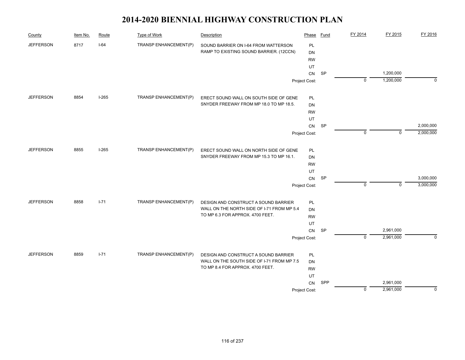| County           | Item No. | Route    | Type of Work          | Description                                | Phase           | Fund      | FY 2014     | FY 2015     | FY 2016     |
|------------------|----------|----------|-----------------------|--------------------------------------------|-----------------|-----------|-------------|-------------|-------------|
| <b>JEFFERSON</b> | 8717     | $I-64$   | TRANSP ENHANCEMENT(P) | SOUND BARRIER ON I-64 FROM WATTERSON       | PL              |           |             |             |             |
|                  |          |          |                       | RAMP TO EXISTING SOUND BARRIER. (12CCN)    | DN              |           |             |             |             |
|                  |          |          |                       |                                            | <b>RW</b>       |           |             |             |             |
|                  |          |          |                       |                                            | UT              |           |             |             |             |
|                  |          |          |                       |                                            | CN              | <b>SP</b> |             | 1,200,000   |             |
|                  |          |          |                       |                                            | Project Cost:   |           | $\mathbf 0$ | 1,200,000   | $\mathbf 0$ |
| <b>JEFFERSON</b> | 8854     | $I-265$  | TRANSP ENHANCEMENT(P) | ERECT SOUND WALL ON SOUTH SIDE OF GENE     | <b>PL</b>       |           |             |             |             |
|                  |          |          |                       | SNYDER FREEWAY FROM MP 18.0 TO MP 18.5.    | <b>DN</b>       |           |             |             |             |
|                  |          |          |                       |                                            | <b>RW</b>       |           |             |             |             |
|                  |          |          |                       |                                            | UT              |           |             |             |             |
|                  |          |          |                       |                                            | ${\sf CN}$      | SP        |             |             | 2,000,000   |
|                  |          |          |                       |                                            | Project Cost:   |           | $\mathbf 0$ | $\mathbf 0$ | 2,000,000   |
| <b>JEFFERSON</b> | 8855     | $I-265$  | TRANSP ENHANCEMENT(P) | ERECT SOUND WALL ON NORTH SIDE OF GENE     | <b>PL</b>       |           |             |             |             |
|                  |          |          |                       | SNYDER FREEWAY FROM MP 15.3 TO MP 16.1.    | <b>DN</b>       |           |             |             |             |
|                  |          |          |                       |                                            |                 |           |             |             |             |
|                  |          |          |                       |                                            | <b>RW</b><br>UT |           |             |             |             |
|                  |          |          |                       |                                            | ${\sf CN}$      | <b>SP</b> |             |             | 3,000,000   |
|                  |          |          |                       |                                            | Project Cost:   |           | $\mathbf 0$ | $\mathbf 0$ | 3,000,000   |
| <b>JEFFERSON</b> | 8858     | $1 - 71$ | TRANSP ENHANCEMENT(P) | DESIGN AND CONSTRUCT A SOUND BARRIER       | <b>PL</b>       |           |             |             |             |
|                  |          |          |                       | WALL ON THE NORTH SIDE OF I-71 FROM MP 5.4 | <b>DN</b>       |           |             |             |             |
|                  |          |          |                       | TO MP 6.3 FOR APPROX. 4700 FEET.           | <b>RW</b>       |           |             |             |             |
|                  |          |          |                       |                                            | UT              |           |             |             |             |
|                  |          |          |                       |                                            | CN              | <b>SP</b> |             | 2,961,000   |             |
|                  |          |          |                       |                                            | Project Cost:   |           | $\mathbf 0$ | 2,961,000   | $\mathbf 0$ |
| <b>JEFFERSON</b> | 8859     | $1 - 71$ | TRANSP ENHANCEMENT(P) | DESIGN AND CONSTRUCT A SOUND BARRIER       | <b>PL</b>       |           |             |             |             |
|                  |          |          |                       | WALL ON THE SOUTH SIDE OF I-71 FROM MP 7.5 | <b>DN</b>       |           |             |             |             |
|                  |          |          |                       | TO MP 8.4 FOR APPROX. 4700 FEET.           | <b>RW</b>       |           |             |             |             |
|                  |          |          |                       |                                            | UT              |           |             |             |             |
|                  |          |          |                       |                                            | CN              | SPP       |             | 2,961,000   |             |
|                  |          |          |                       |                                            | Project Cost:   |           | $\mathbf 0$ | 2,961,000   | $\mathbf 0$ |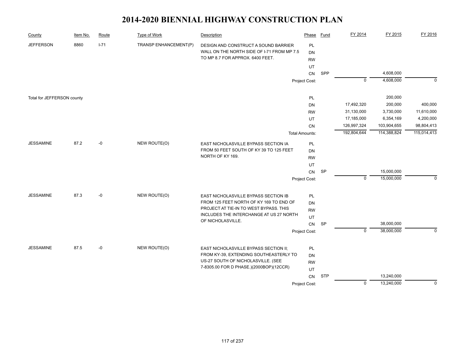| County                     | Item No. | Route  | Type of Work          | Description                                | Phase                 | <b>Fund</b> | FY 2014        | FY 2015     | FY 2016     |
|----------------------------|----------|--------|-----------------------|--------------------------------------------|-----------------------|-------------|----------------|-------------|-------------|
| <b>JEFFERSON</b>           | 8860     | $I-71$ | TRANSP ENHANCEMENT(P) | DESIGN AND CONSTRUCT A SOUND BARRIER       | PL                    |             |                |             |             |
|                            |          |        |                       | WALL ON THE NORTH SIDE OF I-71 FROM MP 7.5 | <b>DN</b>             |             |                |             |             |
|                            |          |        |                       | TO MP 8.7 FOR APPROX. 6400 FEET.           | <b>RW</b>             |             |                |             |             |
|                            |          |        |                       |                                            | UT                    |             |                |             |             |
|                            |          |        |                       |                                            | CN                    | SPP         |                | 4,608,000   |             |
|                            |          |        |                       |                                            | Project Cost:         |             | $\mathbf 0$    | 4,608,000   | $\mathbf 0$ |
| Total for JEFFERSON county |          |        |                       |                                            | PL                    |             |                | 200,000     |             |
|                            |          |        |                       |                                            | DN                    |             | 17,492,320     | 200,000     | 400,000     |
|                            |          |        |                       |                                            | <b>RW</b>             |             | 31,130,000     | 3,730,000   | 11,610,000  |
|                            |          |        |                       |                                            | UT                    |             | 17,185,000     | 6,354,169   | 4,200,000   |
|                            |          |        |                       |                                            | CN                    |             | 126,997,324    | 103,904,655 | 98,804,413  |
|                            |          |        |                       |                                            | <b>Total Amounts:</b> |             | 192,804,644    | 114,388,824 | 115,014,413 |
| <b>JESSAMINE</b>           | 87.2     | -0     | NEW ROUTE(O)          | EAST NICHOLASVILLE BYPASS SECTION IA       | <b>PL</b>             |             |                |             |             |
|                            |          |        |                       | FROM 50 FEET SOUTH OF KY 39 TO 125 FEET    | <b>DN</b>             |             |                |             |             |
|                            |          |        |                       | NORTH OF KY 169.                           | <b>RW</b>             |             |                |             |             |
|                            |          |        |                       |                                            | UT                    |             |                |             |             |
|                            |          |        |                       |                                            | ${\sf CN}$            | <b>SP</b>   |                | 15,000,000  |             |
|                            |          |        |                       |                                            | Project Cost:         |             | $\mathbf 0$    | 15,000,000  | $\Omega$    |
| <b>JESSAMINE</b>           | 87.3     | $-0$   | NEW ROUTE(O)          | EAST NICHOLASVILLE BYPASS SECTION IB       | PL                    |             |                |             |             |
|                            |          |        |                       | FROM 125 FEET NORTH OF KY 169 TO END OF    | <b>DN</b>             |             |                |             |             |
|                            |          |        |                       | PROJECT AT TIE-IN TO WEST BYPASS. THIS     | <b>RW</b>             |             |                |             |             |
|                            |          |        |                       | INCLUDES THE INTERCHANGE AT US 27 NORTH    | UT                    |             |                |             |             |
|                            |          |        |                       | OF NICHOLASVILLE.                          | CN                    | SP          |                | 38,000,000  |             |
|                            |          |        |                       |                                            | Project Cost:         |             | $\Omega$       | 38,000,000  | $\Omega$    |
|                            |          |        |                       |                                            |                       |             |                |             |             |
| <b>JESSAMINE</b>           | 87.5     | -0     | NEW ROUTE(O)          | EAST NICHOLASVILLE BYPASS SECTION II;      | PL                    |             |                |             |             |
|                            |          |        |                       | FROM KY-39, EXTENDING SOUTHEASTERLY TO     | <b>DN</b>             |             |                |             |             |
|                            |          |        |                       | US-27 SOUTH OF NICHOLASVILLE. (SEE         | <b>RW</b>             |             |                |             |             |
|                            |          |        |                       | 7-8305.00 FOR D PHASE.)(2000BOP)(12CCR)    | UT                    |             |                |             |             |
|                            |          |        |                       |                                            | CN                    | <b>STP</b>  |                | 13,240,000  |             |
|                            |          |        |                       |                                            | Project Cost:         |             | $\overline{0}$ | 13,240,000  | 0           |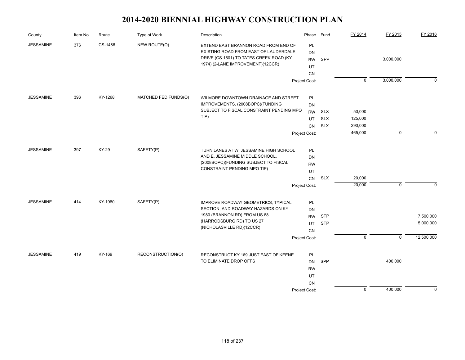| County           | Item No. | Route   | Type of Work         | Description                              | Phase         | Fund       | FY 2014            | FY 2015     | FY 2016     |
|------------------|----------|---------|----------------------|------------------------------------------|---------------|------------|--------------------|-------------|-------------|
| <b>JESSAMINE</b> | 376      | CS-1486 | NEW ROUTE(O)         | EXTEND EAST BRANNON ROAD FROM END OF     | PL            |            |                    |             |             |
|                  |          |         |                      | EXISTING ROAD FROM EAST OF LAUDERDALE    | <b>DN</b>     |            |                    |             |             |
|                  |          |         |                      | DRIVE (CS 1501) TO TATES CREEK ROAD (KY  | <b>RW</b>     | SPP        |                    | 3,000,000   |             |
|                  |          |         |                      | 1974) (2-LANE IMPROVEMENT)(12CCR)        | UT            |            |                    |             |             |
|                  |          |         |                      |                                          | <b>CN</b>     |            |                    |             |             |
|                  |          |         |                      |                                          | Project Cost: |            | $\mathbf 0$        | 3,000,000   | $\mathbf 0$ |
| <b>JESSAMINE</b> | 396      | KY-1268 | MATCHED FED FUNDS(O) | WILMORE DOWNTOWN DRAINAGE AND STREET     | PL            |            |                    |             |             |
|                  |          |         |                      | IMPROVEMENTS. (2008BOPC)(FUNDING         | <b>DN</b>     |            |                    |             |             |
|                  |          |         |                      | SUBJECT TO FISCAL CONSTRAINT PENDING MPO | <b>RW</b>     | <b>SLX</b> | 50,000             |             |             |
|                  |          |         |                      | $TIP$ )                                  |               | <b>SLX</b> |                    |             |             |
|                  |          |         |                      |                                          | UT            | <b>SLX</b> | 125,000<br>290,000 |             |             |
|                  |          |         |                      |                                          | CN            |            | 465,000            | $\mathbf 0$ | $\mathbf 0$ |
|                  |          |         |                      |                                          | Project Cost: |            |                    |             |             |
| <b>JESSAMINE</b> | 397      | KY-29   | SAFETY(P)            | TURN LANES AT W. JESSAMINE HIGH SCHOOL   | PL            |            |                    |             |             |
|                  |          |         |                      | AND E. JESSAMINE MIDDLE SCHOOL.          | <b>DN</b>     |            |                    |             |             |
|                  |          |         |                      | (2008BOPC)(FUNDING SUBJECT TO FISCAL     | <b>RW</b>     |            |                    |             |             |
|                  |          |         |                      | CONSTRAINT PENDING MPO TIP)              | UT            |            |                    |             |             |
|                  |          |         |                      |                                          | CN            | <b>SLX</b> | 20,000             |             |             |
|                  |          |         |                      |                                          | Project Cost: |            | 20,000             | $\mathbf 0$ | $\mathbf 0$ |
| <b>JESSAMINE</b> | 414      | KY-1980 | SAFETY(P)            | IMPROVE ROADWAY GEOMETRICS, TYPICAL      | PL            |            |                    |             |             |
|                  |          |         |                      | SECTION, AND ROADWAY HAZARDS ON KY       | DN            |            |                    |             |             |
|                  |          |         |                      | 1980 (BRANNON RD) FROM US 68             | <b>RW</b>     | <b>STP</b> |                    |             | 7,500,000   |
|                  |          |         |                      | (HARRODSBURG RD) TO US 27                | UT            | <b>STP</b> |                    |             | 5,000,000   |
|                  |          |         |                      | (NICHOLASVILLE RD)(12CCR)                |               |            |                    |             |             |
|                  |          |         |                      |                                          | <b>CN</b>     |            | $\mathbf 0$        | $\mathbf 0$ | 12,500,000  |
|                  |          |         |                      |                                          | Project Cost: |            |                    |             |             |
| <b>JESSAMINE</b> | 419      | KY-169  | RECONSTRUCTION(O)    | RECONSTRUCT KY 169 JUST EAST OF KEENE    | PL            |            |                    |             |             |
|                  |          |         |                      | TO ELIMINATE DROP OFFS                   | <b>DN</b>     | SPP        |                    | 400,000     |             |
|                  |          |         |                      |                                          | <b>RW</b>     |            |                    |             |             |
|                  |          |         |                      |                                          | UT            |            |                    |             |             |
|                  |          |         |                      |                                          | <b>CN</b>     |            |                    |             |             |
|                  |          |         |                      |                                          | Project Cost: |            | $\mathbf 0$        | 400,000     | $\mathbf 0$ |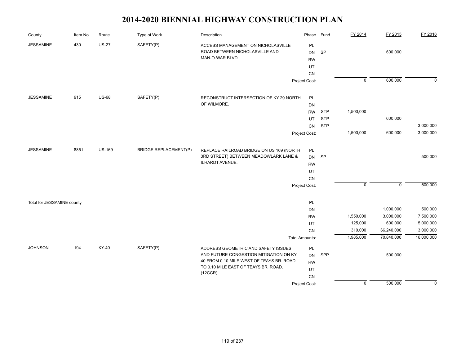| County                     | Item No. | Route         | <b>Type of Work</b>          | Description                                                                                                                                                                  | Phase                                            | <b>Fund</b> | FY 2014        | FY 2015        | FY 2016     |
|----------------------------|----------|---------------|------------------------------|------------------------------------------------------------------------------------------------------------------------------------------------------------------------------|--------------------------------------------------|-------------|----------------|----------------|-------------|
| <b>JESSAMINE</b>           | 430      | $US-27$       | SAFETY(P)                    | ACCESS MANAGEMENT ON NICHOLASVILLE<br>ROAD BETWEEN NICHOLASVILLE AND<br>MAN-O-WAR BLVD.                                                                                      | PL<br><b>DN</b><br><b>RW</b><br>UT<br>${\sf CN}$ | SP          |                | 600,000        |             |
|                            |          |               |                              |                                                                                                                                                                              | Project Cost:                                    |             | $\overline{0}$ | 600,000        | $\mathbf 0$ |
| <b>JESSAMINE</b>           | 915      | <b>US-68</b>  | SAFETY(P)                    | RECONSTRUCT INTERSECTION OF KY 29 NORTH<br>OF WILMORE.                                                                                                                       | PL<br>DN                                         |             |                |                |             |
|                            |          |               |                              |                                                                                                                                                                              | <b>RW</b>                                        | <b>STP</b>  | 1,500,000      |                |             |
|                            |          |               |                              |                                                                                                                                                                              | UT                                               | <b>STP</b>  |                | 600,000        |             |
|                            |          |               |                              |                                                                                                                                                                              | CN                                               | <b>STP</b>  |                |                | 3,000,000   |
|                            |          |               |                              |                                                                                                                                                                              | Project Cost:                                    |             | 1,500,000      | 600,000        | 3,000,000   |
| <b>JESSAMINE</b>           | 8851     | <b>US-169</b> | <b>BRIDGE REPLACEMENT(P)</b> | REPLACE RAILROAD BRIDGE ON US 169 (NORTH                                                                                                                                     | PL                                               |             |                |                |             |
|                            |          |               |                              | 3RD STREET) BETWEEN MEADOWLARK LANE &                                                                                                                                        | <b>DN</b>                                        | SP          |                |                | 500,000     |
|                            |          |               |                              | ILHARDT AVENUE.                                                                                                                                                              | <b>RW</b>                                        |             |                |                |             |
|                            |          |               |                              |                                                                                                                                                                              | UT                                               |             |                |                |             |
|                            |          |               |                              |                                                                                                                                                                              | CN                                               |             |                |                |             |
|                            |          |               |                              |                                                                                                                                                                              | Project Cost:                                    |             | $\Omega$       | $\overline{0}$ | 500,000     |
| Total for JESSAMINE county |          |               |                              |                                                                                                                                                                              | PL                                               |             |                |                |             |
|                            |          |               |                              |                                                                                                                                                                              | DN                                               |             |                | 1,000,000      | 500,000     |
|                            |          |               |                              |                                                                                                                                                                              | <b>RW</b>                                        |             | 1,550,000      | 3,000,000      | 7,500,000   |
|                            |          |               |                              |                                                                                                                                                                              | UT                                               |             | 125,000        | 600,000        | 5,000,000   |
|                            |          |               |                              |                                                                                                                                                                              | ${\sf CN}$                                       |             | 310,000        | 66,240,000     | 3,000,000   |
|                            |          |               |                              |                                                                                                                                                                              | <b>Total Amounts:</b>                            |             | 1,985,000      | 70,840,000     | 16,000,000  |
| <b>JOHNSON</b>             | 194      | KY-40         | SAFETY(P)                    | ADDRESS GEOMETRIC AND SAFETY ISSUES<br>AND FUTURE CONGESTION MITIGATION ON KY<br>40 FROM 0.10 MILE WEST OF TEAYS BR. ROAD<br>TO 0.10 MILE EAST OF TEAYS BR. ROAD.<br>(12CCR) | PL<br><b>DN</b><br><b>RW</b><br>UT<br>${\sf CN}$ | SPP         |                | 500,000        |             |
|                            |          |               |                              |                                                                                                                                                                              | Project Cost:                                    |             | $\overline{0}$ | 500,000        | $\mathbf 0$ |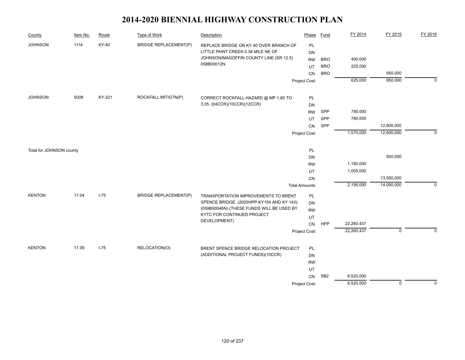| County                   | Item No. | Route    | <b>Type of Work</b>          | Description                                          | Phase                 | <b>Fund</b>     | FY 2014    | FY 2015        | FY 2016     |
|--------------------------|----------|----------|------------------------------|------------------------------------------------------|-----------------------|-----------------|------------|----------------|-------------|
| <b>JOHNSON</b>           | 1114     | KY-40    | <b>BRIDGE REPLACEMENT(P)</b> | REPLACE BRIDGE ON KY 40 OVER BRANCH OF               | PL                    |                 |            |                |             |
|                          |          |          |                              | LITTLE PAINT CREEK 0.38 MILE NE OF                   | DN                    |                 |            |                |             |
|                          |          |          |                              | JOHNSON/MAGOFFIN COUNTY LINE (SR 12.5)<br>058B00012N | <b>RW</b>             | <b>BRO</b>      | 400,000    |                |             |
|                          |          |          |                              |                                                      | UT                    | <b>BRO</b>      | 225,000    |                |             |
|                          |          |          |                              |                                                      | CN                    | <b>BRO</b>      |            | 950,000        |             |
|                          |          |          |                              |                                                      | Project Cost:         |                 | 625,000    | 950,000        | $\mathbf 0$ |
| <b>JOHNSON</b>           | 5008     | KY-321   | ROCKFALL MITIGTN(P)          | CORRECT ROCKFALL HAZARD @ MP 1.80 TO                 | PL                    |                 |            |                |             |
|                          |          |          |                              | 3.05. (04CCR)(10CCR)(12CCR)                          | DN                    |                 |            |                |             |
|                          |          |          |                              |                                                      | <b>RW</b>             | SPP             | 790,000    |                |             |
|                          |          |          |                              |                                                      | UT                    | SPP             | 780,000    |                |             |
|                          |          |          |                              |                                                      | <b>CN</b>             | SPP             |            | 12,600,000     |             |
|                          |          |          |                              |                                                      | Project Cost:         |                 | 1,570,000  | 12,600,000     | $\mathbf 0$ |
| Total for JOHNSON county |          |          |                              |                                                      | PL                    |                 |            |                |             |
|                          |          |          |                              |                                                      | DN                    |                 |            | 500,000        |             |
|                          |          |          |                              |                                                      | <b>RW</b>             |                 | 1,190,000  |                |             |
|                          |          |          |                              |                                                      | UT                    |                 | 1,005,000  |                |             |
|                          |          |          |                              |                                                      | CN                    |                 |            | 13,550,000     |             |
|                          |          |          |                              |                                                      | <b>Total Amounts:</b> |                 | 2,195,000  | 14,050,000     | $\Omega$    |
| <b>KENTON</b>            | 17.04    | $I - 75$ | <b>BRIDGE REPLACEMENT(P)</b> | TRANSPORTATION IMPROVEMENTS TO BRENT                 | PL                    |                 |            |                |             |
|                          |          |          |                              | SPENCE BRIDGE. (2005HPP-KY154 AND KY 143):           | DN                    |                 |            |                |             |
|                          |          |          |                              | (059B00046N) (THESE FUNDS WILL BE USED BY            | <b>RW</b>             |                 |            |                |             |
|                          |          |          |                              | KYTC FOR CONTINUED PROJECT<br>DEVELOPMENT)           | UT                    |                 |            |                |             |
|                          |          |          |                              |                                                      | CN                    | <b>HPP</b>      | 22,260,437 |                |             |
|                          |          |          |                              |                                                      | Project Cost:         |                 | 22,260,437 | $\mathbf 0$    | $\mathbf 0$ |
| <b>KENTON</b>            | 17.09    | $I-75$   | RELOCATION(O)                | BRENT SPENCE BRIDGE RELOCATION PROJECT               | PL                    |                 |            |                |             |
|                          |          |          |                              | (ADDITIONAL PROJECT FUNDS)(10CCR)                    | DN                    |                 |            |                |             |
|                          |          |          |                              |                                                      | <b>RW</b>             |                 |            |                |             |
|                          |          |          |                              |                                                      | UT                    |                 |            |                |             |
|                          |          |          |                              |                                                      | CN                    | SB <sub>2</sub> | 6,520,000  |                |             |
|                          |          |          |                              |                                                      | Project Cost:         |                 | 6,520,000  | $\overline{0}$ | $\mathbf 0$ |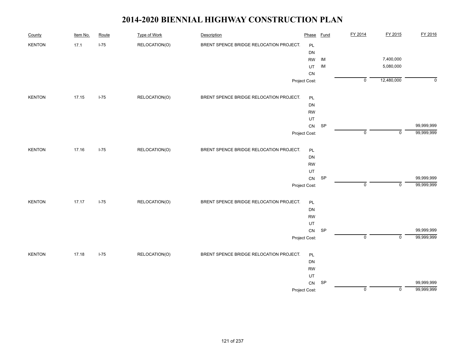| County        | Item No. | Route  | <b>Type of Work</b> | Description                             | Phase         | <b>Fund</b> | FY 2014        | FY 2015        | FY 2016     |
|---------------|----------|--------|---------------------|-----------------------------------------|---------------|-------------|----------------|----------------|-------------|
| <b>KENTON</b> | 17.1     | $I-75$ | RELOCATION(O)       | BRENT SPENCE BRIDGE RELOCATION PROJECT. | PL            |             |                |                |             |
|               |          |        |                     |                                         | DN            |             |                |                |             |
|               |          |        |                     |                                         | <b>RW</b>     | $\sf IM$    |                | 7,400,000      |             |
|               |          |        |                     |                                         | UT            | IM          |                | 5,080,000      |             |
|               |          |        |                     |                                         | CN            |             |                |                |             |
|               |          |        |                     |                                         | Project Cost: |             | $\overline{0}$ | 12,480,000     | $\mathbf 0$ |
| <b>KENTON</b> | 17.15    | $I-75$ | RELOCATION(O)       | BRENT SPENCE BRIDGE RELOCATION PROJECT. | PL            |             |                |                |             |
|               |          |        |                     |                                         | DN            |             |                |                |             |
|               |          |        |                     |                                         | <b>RW</b>     |             |                |                |             |
|               |          |        |                     |                                         | UT            |             |                |                |             |
|               |          |        |                     |                                         | ${\sf CN}$    | SP          |                |                | 99,999,999  |
|               |          |        |                     |                                         | Project Cost: |             | $\mathsf 0$    | $\mathsf 0$    | 99,999,999  |
| <b>KENTON</b> | 17.16    | $I-75$ | RELOCATION(O)       | BRENT SPENCE BRIDGE RELOCATION PROJECT. | PL            |             |                |                |             |
|               |          |        |                     |                                         | DN            |             |                |                |             |
|               |          |        |                     |                                         | <b>RW</b>     |             |                |                |             |
|               |          |        |                     |                                         | UT            |             |                |                |             |
|               |          |        |                     |                                         | ${\sf CN}$    | SP          |                |                | 99,999,999  |
|               |          |        |                     |                                         | Project Cost: |             | $\mathsf 0$    | $\mathbf 0$    | 99,999,999  |
| <b>KENTON</b> | 17.17    | $I-75$ | RELOCATION(O)       | BRENT SPENCE BRIDGE RELOCATION PROJECT. | PL            |             |                |                |             |
|               |          |        |                     |                                         | DN            |             |                |                |             |
|               |          |        |                     |                                         | <b>RW</b>     |             |                |                |             |
|               |          |        |                     |                                         | UT            |             |                |                |             |
|               |          |        |                     |                                         | ${\sf CN}$    | SP          |                |                | 99,999,999  |
|               |          |        |                     |                                         | Project Cost: |             | $\overline{0}$ | $\overline{0}$ | 99,999,999  |
| KENTON        | 17.18    | $I-75$ | RELOCATION(O)       | BRENT SPENCE BRIDGE RELOCATION PROJECT. | PL            |             |                |                |             |
|               |          |        |                     |                                         | DN            |             |                |                |             |
|               |          |        |                     |                                         | <b>RW</b>     |             |                |                |             |
|               |          |        |                     |                                         | UT            |             |                |                |             |
|               |          |        |                     |                                         | CN            | SP          |                |                | 99,999,999  |
|               |          |        |                     |                                         | Project Cost: |             | $\mathsf 0$    | $\mathsf 0$    | 99,999,999  |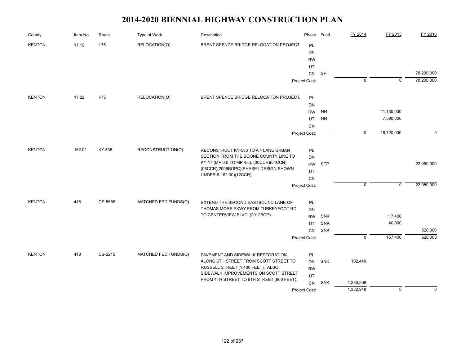| County        | Item No. | Route   | Type of Work         | Description                                                      | Phase         | <b>Fund</b> | FY 2014        | FY 2015     | FY 2016     |
|---------------|----------|---------|----------------------|------------------------------------------------------------------|---------------|-------------|----------------|-------------|-------------|
| <b>KENTON</b> | 17.19    | $I-75$  | RELOCATION(O)        | BRENT SPENCE BRIDGE RELOCATION PROJECT.                          | <b>PL</b>     |             |                |             |             |
|               |          |         |                      |                                                                  | DN            |             |                |             |             |
|               |          |         |                      |                                                                  | <b>RW</b>     |             |                |             |             |
|               |          |         |                      |                                                                  | UT            |             |                |             |             |
|               |          |         |                      |                                                                  | CN            | <b>SP</b>   |                |             | 78,200,000  |
|               |          |         |                      |                                                                  | Project Cost: |             | 0              | 0           | 78,200,000  |
| <b>KENTON</b> | 17.22    | $I-75$  | RELOCATION(O)        | BRENT SPENCE BRIDGE RELOCATION PROJECT.                          | PL            |             |                |             |             |
|               |          |         |                      |                                                                  | DN            |             |                |             |             |
|               |          |         |                      |                                                                  | <b>RW</b>     | <b>NH</b>   |                | 11,130,000  |             |
|               |          |         |                      |                                                                  | UT            | <b>NH</b>   |                | 7,590,000   |             |
|               |          |         |                      |                                                                  | <b>CN</b>     |             |                |             |             |
|               |          |         |                      |                                                                  | Project Cost: |             | $\mathbf 0$    | 18,720,000  | $\Omega$    |
| <b>KENTON</b> | 162.01   | KY-536  | RECONSTRUCTION(O)    | RECONSTRUCT KY-536 TO A 4 LANE URBAN                             | PL            |             |                |             |             |
|               |          |         |                      | SECTION FROM THE BOONE COUNTY LINE TO                            | DN            |             |                |             |             |
|               |          |         |                      | KY-17 (MP 0.0 TO MP 4.5). (00CCR)(04CCN)                         | <b>RW</b>     | <b>STP</b>  |                |             | 22,050,000  |
|               |          |         |                      | (06CCR)(2006BOPC)(PHASE I DESIGN SHOWN<br>UNDER 6-162.00)(12CCR) | UT            |             |                |             |             |
|               |          |         |                      |                                                                  | <b>CN</b>     |             |                |             |             |
|               |          |         |                      |                                                                  | Project Cost: |             | $\mathbf 0$    | $\mathbf 0$ | 22,050,000  |
| <b>KENTON</b> | 416      | CS-5555 | MATCHED FED FUNDS(O) | EXTEND THE SECOND EASTBOUND LANE OF                              | PL            |             |                |             |             |
|               |          |         |                      | THOMAS MORE PKWY FROM TURKEYFOOT RD                              | DN            |             |                |             |             |
|               |          |         |                      | TO CENTERVIEW BLVD. (2012BOP)                                    | <b>RW</b>     | <b>SNK</b>  |                | 117,400     |             |
|               |          |         |                      |                                                                  | UT            | SNK         |                | 40,000      |             |
|               |          |         |                      |                                                                  | CN            | SNK         |                |             | 528,000     |
|               |          |         |                      |                                                                  | Project Cost: |             | $\overline{0}$ | 157,400     | 528,000     |
| <b>KENTON</b> | 418      | CS-2215 | MATCHED FED FUNDS(O) | PAVEMENT AND SIDEWALK RESTORATION                                | PL            |             |                |             |             |
|               |          |         |                      | ALONG 6TH STREET FROM SCOTT STREET TO                            | <b>DN</b>     | <b>SNK</b>  | 102,440        |             |             |
|               |          |         |                      | RUSSELL STREET (1,400 FEET). ALSO                                | <b>RW</b>     |             |                |             |             |
|               |          |         |                      | SIDEWALK IMPROVEMENTS ON SCOTT STREET                            | UT            |             |                |             |             |
|               |          |         |                      | FROM 4TH STREET TO 6TH STREET (900 FEET).                        | <b>CN</b>     | <b>SNK</b>  | 1,280,508      |             |             |
|               |          |         |                      |                                                                  | Project Cost: |             | 1,382,948      | $\mathbf 0$ | $\mathbf 0$ |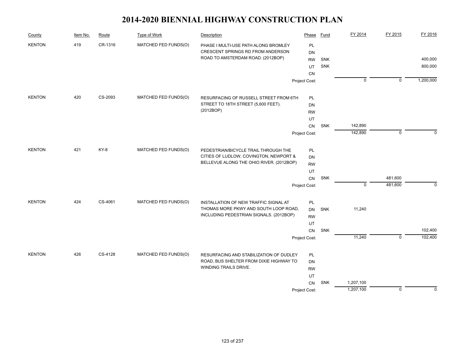| County        | Item No. | Route   | Type of Work         | Description                              | Phase           | Fund       | FY 2014        | FY 2015        | FY 2016     |
|---------------|----------|---------|----------------------|------------------------------------------|-----------------|------------|----------------|----------------|-------------|
| <b>KENTON</b> | 419      | CR-1316 | MATCHED FED FUNDS(O) | PHASE I MULTI-USE PATH ALONG BROMLEY     | PL              |            |                |                |             |
|               |          |         |                      | CRESCENT SPRINGS RD FROM ANDERSON        | DN              |            |                |                |             |
|               |          |         |                      | ROAD TO AMSTERDAM ROAD. (2012BOP)        | <b>RW</b>       | <b>SNK</b> |                |                | 400,000     |
|               |          |         |                      |                                          | UT              | SNK        |                |                | 800,000     |
|               |          |         |                      |                                          | <b>CN</b>       |            |                |                |             |
|               |          |         |                      |                                          | Project Cost:   |            | $\overline{0}$ | $\overline{0}$ | 1,200,000   |
| <b>KENTON</b> | 420      | CS-2093 | MATCHED FED FUNDS(O) | RESURFACING OF RUSSELL STREET FROM 6TH   | PL              |            |                |                |             |
|               |          |         |                      | STREET TO 18TH STREET (5,600 FEET).      | DN              |            |                |                |             |
|               |          |         |                      | (2012BOP)                                | <b>RW</b>       |            |                |                |             |
|               |          |         |                      |                                          | UT              |            |                |                |             |
|               |          |         |                      |                                          | CN              | SNK        | 142,890        |                |             |
|               |          |         |                      |                                          | Project Cost:   |            | 142,890        | $\mathbf 0$    | $\Omega$    |
| <b>KENTON</b> | 421      | KY-8    | MATCHED FED FUNDS(O) | PEDESTRIAN/BICYCLE TRAIL THROUGH THE     | PL              |            |                |                |             |
|               |          |         |                      | CITIES OF LUDLOW, COVINGTON, NEWPORT &   | DN              |            |                |                |             |
|               |          |         |                      | BELLEVUE ALONG THE OHIO RIVER. (2012BOP) |                 |            |                |                |             |
|               |          |         |                      |                                          | <b>RW</b><br>UT |            |                |                |             |
|               |          |         |                      |                                          | CN              | SNK        |                | 481,600        |             |
|               |          |         |                      |                                          | Project Cost:   |            | $\mathbf 0$    | 481,600        | $\mathbf 0$ |
| <b>KENTON</b> | 424      | CS-4061 | MATCHED FED FUNDS(O) | INSTALLATION OF NEW TRAFFIC SIGNAL AT    | PL              |            |                |                |             |
|               |          |         |                      | THOMAS MORE PKWY AND SOUTH LOOP ROAD,    | DN              | SNK        | 11,240         |                |             |
|               |          |         |                      | INCLUDING PEDESTRIAN SIGNALS. (2012BOP)  | <b>RW</b>       |            |                |                |             |
|               |          |         |                      |                                          | UT              |            |                |                |             |
|               |          |         |                      |                                          | CN              | SNK        |                |                | 102,400     |
|               |          |         |                      |                                          | Project Cost:   |            | 11,240         | $\overline{0}$ | 102,400     |
| <b>KENTON</b> | 426      | CS-4128 | MATCHED FED FUNDS(O) | RESURFACING AND STABILIZATION OF DUDLEY  | <b>PL</b>       |            |                |                |             |
|               |          |         |                      | ROAD, BUS SHELTER FROM DIXIE HIGHWAY TO  | DN              |            |                |                |             |
|               |          |         |                      | WINDING TRAILS DRIVE.                    | <b>RW</b>       |            |                |                |             |
|               |          |         |                      |                                          | UT              |            |                |                |             |
|               |          |         |                      |                                          | CN              | SNK        | 1,207,100      |                |             |
|               |          |         |                      |                                          | Project Cost:   |            | 1,207,100      | $\mathbf 0$    | $\Omega$    |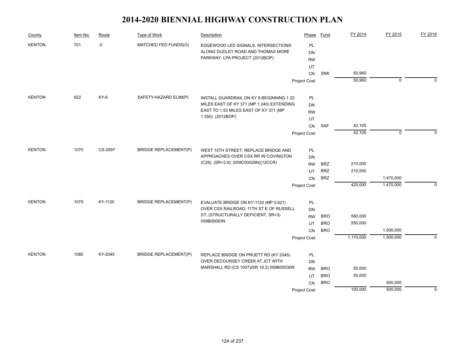| County                | Item No. | Route   | Type of Work                 | Description                                                                 | Phase         | Fund       | FY 2014   | FY 2015      | FY 2016     |
|-----------------------|----------|---------|------------------------------|-----------------------------------------------------------------------------|---------------|------------|-----------|--------------|-------------|
| <b>KENTON</b>         | 701      | -0      | MATCHED FED FUNDS(O)         | EDGEWOOD LED SIGNALS. INTERSECTIONS                                         | PL            |            |           |              |             |
|                       |          |         |                              | ALONG DUDLEY ROAD AND THOMAS MORE                                           | DN            |            |           |              |             |
|                       |          |         |                              | PARKWAY. LPA PROJECT (2012BOP)                                              | <b>RW</b>     |            |           |              |             |
|                       |          |         |                              |                                                                             | UT            |            |           |              |             |
|                       |          |         |                              |                                                                             | CN            | <b>SNK</b> | 50,960    |              |             |
|                       |          |         |                              |                                                                             | Project Cost: |            | 50,960    | $\mathbf 0$  | $\Omega$    |
| <b>KENTON</b>         | 922      | KY-8    | SAFETY-HAZARD ELIM(P)        | INSTALL GUARDRAIL ON KY 8 BEGINNING 1.22                                    | PL            |            |           |              |             |
|                       |          |         |                              | MILES EAST OF KY 371 (MP 1.240) EXTENDING                                   | DN            |            |           |              |             |
|                       |          |         |                              | EAST TO 1.53 MILES EAST OF KY 371 (MP                                       | <b>RW</b>     |            |           |              |             |
|                       |          |         |                              | 1.550). (2012BOP)                                                           | UT            |            |           |              |             |
|                       |          |         |                              |                                                                             | CN            | SAF        | 42,105    |              |             |
|                       |          |         |                              |                                                                             | Project Cost: |            | 42,105    | $\mathbf{0}$ | $\Omega$    |
|                       |          |         |                              |                                                                             |               |            |           |              |             |
| 1070<br><b>KENTON</b> |          | CS-2097 | <b>BRIDGE REPLACEMENT(P)</b> | WEST 15TH STREET; REPLACE BRIDGE AND                                        | PL            |            |           |              |             |
|                       |          |         |                              | APPROACHES OVER CSX RR IN COVINGTON<br>(C29). (SR=3.9): (059C00029N)(12CCR) | DN            |            |           |              |             |
|                       |          |         |                              |                                                                             | <b>RW</b>     | <b>BRZ</b> | 210,000   |              |             |
|                       |          |         |                              |                                                                             | UT            | <b>BRZ</b> | 210,000   |              |             |
|                       |          |         |                              |                                                                             | CN            | <b>BRZ</b> |           | 1,470,000    |             |
|                       |          |         |                              |                                                                             | Project Cost: |            | 420,000   | 1,470,000    | $\mathbf 0$ |
| <b>KENTON</b>         | 1075     | KY-1120 | <b>BRIDGE REPLACEMENT(P)</b> | EVALUATE BRIDGE ON KY-1120 (MP 0.621)                                       | PL            |            |           |              |             |
|                       |          |         |                              | OVER CSX RAILROAD; 11TH ST E OF RUSSELL                                     | DN            |            |           |              |             |
|                       |          |         |                              | ST; (STRUCTURALLY DEFICIENT, SR=3)                                          | <b>RW</b>     | <b>BRO</b> | 560,000   |              |             |
|                       |          |         |                              | 059B00083N                                                                  | UT            | <b>BRO</b> | 550,000   |              |             |
|                       |          |         |                              |                                                                             | <b>CN</b>     | <b>BRO</b> |           | 1,500,000    |             |
|                       |          |         |                              |                                                                             | Project Cost: |            | 1,110,000 | 1,500,000    | $\Omega$    |
| <b>KENTON</b>         | 1080     | KY-2045 | <b>BRIDGE REPLACEMENT(P)</b> | REPLACE BRIDGE ON PRUETT RD (KY 2045)                                       | PL            |            |           |              |             |
|                       |          |         |                              | OVER DECOURSEY CREEK AT JCT WITH                                            | DN            |            |           |              |             |
|                       |          |         |                              | MARSHALL RD (CS 1007)(SR 18.2) 059B00030N                                   | <b>RW</b>     | <b>BRO</b> | 50,000    |              |             |
|                       |          |         |                              |                                                                             | UT            | <b>BRO</b> | 50,000    |              |             |
|                       |          |         |                              |                                                                             | CN            | <b>BRO</b> |           | 500,000      |             |
|                       |          |         |                              |                                                                             | Project Cost: |            | 100,000   | 500,000      | $\mathbf 0$ |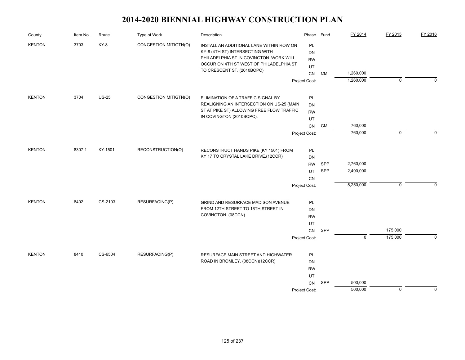| County        | Item No. | Route   | Type of Work          | Description                                                                                                            | Phase                        | Fund      | FY 2014        | FY 2015     | FY 2016     |
|---------------|----------|---------|-----------------------|------------------------------------------------------------------------------------------------------------------------|------------------------------|-----------|----------------|-------------|-------------|
| <b>KENTON</b> | 3703     | KY-8    | CONGESTION MITIGTN(O) | INSTALL AN ADDITIONAL LANE WITHIN ROW ON<br>KY-8 (4TH ST) INTERSECTING WITH<br>PHILADELPHIA ST IN COVINGTON. WORK WILL | PL<br><b>DN</b><br><b>RW</b> |           |                |             |             |
|               |          |         |                       | OCCUR ON 4TH ST WEST OF PHILADELPHIA ST                                                                                | UT                           |           |                |             |             |
|               |          |         |                       | TO CRESCENT ST. (2010BOPC)                                                                                             | CN                           | <b>CM</b> | 1,260,000      |             |             |
|               |          |         |                       |                                                                                                                        | Project Cost:                |           | 1,260,000      | $\mathbf 0$ | $\Omega$    |
| <b>KENTON</b> | 3704     | $US-25$ | CONGESTION MITIGTN(O) | ELIMINATION OF A TRAFFIC SIGNAL BY                                                                                     | PL                           |           |                |             |             |
|               |          |         |                       | REALIGNING AN INTERSECTION ON US-25 (MAIN                                                                              | DN                           |           |                |             |             |
|               |          |         |                       | ST AT PIKE ST) ALLOWING FREE FLOW TRAFFIC                                                                              | <b>RW</b>                    |           |                |             |             |
|               |          |         |                       | IN COVINGTON (2010BOPC).                                                                                               | UT                           |           |                |             |             |
|               |          |         |                       |                                                                                                                        | CN                           | <b>CM</b> | 760,000        |             |             |
|               |          |         |                       |                                                                                                                        | Project Cost:                |           | 760,000        | $\mathbf 0$ | $\Omega$    |
| <b>KENTON</b> | 8307.1   | KY-1501 | RECONSTRUCTION(O)     | RECONSTRUCT HANDS PIKE (KY 1501) FROM                                                                                  | PL                           |           |                |             |             |
|               |          |         |                       | KY 17 TO CRYSTAL LAKE DRIVE.(12CCR)                                                                                    |                              |           |                |             |             |
|               |          |         |                       |                                                                                                                        | <b>SPP</b>                   | 2,760,000 |                |             |             |
|               |          |         |                       |                                                                                                                        | UT                           | SPP       | 2,490,000      |             |             |
|               |          |         |                       |                                                                                                                        | CN                           |           |                |             |             |
|               |          |         |                       |                                                                                                                        | Project Cost:                |           | 5,250,000      | $\mathbf 0$ | $\Omega$    |
| <b>KENTON</b> | 8402     | CS-2103 | RESURFACING(P)        | GRIND AND RESURFACE MADISON AVENUE                                                                                     | PL                           |           |                |             |             |
|               |          |         |                       | FROM 12TH STREET TO 16TH STREET IN                                                                                     | DN                           |           |                |             |             |
|               |          |         |                       | COVINGTON. (08CCN)                                                                                                     | <b>RW</b>                    |           |                |             |             |
|               |          |         |                       |                                                                                                                        | UT                           |           |                |             |             |
|               |          |         |                       |                                                                                                                        | <b>CN</b>                    | SPP       |                | 175,000     |             |
|               |          |         |                       |                                                                                                                        | Project Cost:                |           | $\overline{0}$ | 175,000     | $\Omega$    |
| <b>KENTON</b> | 8410     | CS-6504 | RESURFACING(P)        | RESURFACE MAIN STREET AND HIGHWATER                                                                                    | PL                           |           |                |             |             |
|               |          |         |                       | ROAD IN BROMLEY. (08CCN)(12CCR)                                                                                        | DN                           |           |                |             |             |
|               |          |         |                       |                                                                                                                        | <b>RW</b>                    |           |                |             |             |
|               |          |         |                       |                                                                                                                        | UT                           |           |                |             |             |
|               |          |         |                       |                                                                                                                        | CN                           | SPP       | 500,000        |             |             |
|               |          |         |                       |                                                                                                                        | Project Cost:                |           | 500,000        | $\mathbf 0$ | $\mathbf 0$ |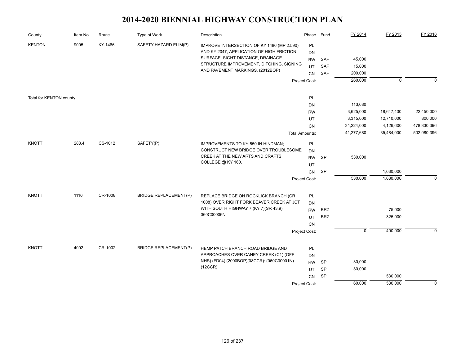| County                  | Item No. | Route   | <b>Type of Work</b>          | Description                                                                                                                                                                                                  | Phase                                           | Fund                     | FY 2014                     | FY 2015    | FY 2016      |
|-------------------------|----------|---------|------------------------------|--------------------------------------------------------------------------------------------------------------------------------------------------------------------------------------------------------------|-------------------------------------------------|--------------------------|-----------------------------|------------|--------------|
| <b>KENTON</b>           | 9005     | KY-1486 | SAFETY-HAZARD ELIM(P)        | IMPROVE INTERSECTION OF KY 1486 (MP 2.590)<br>AND KY 2047, APPLICATION OF HIGH FRICTION<br>SURFACE, SIGHT DISTANCE, DRAINAGE<br>STRUCTURE IMPROVEMENT, DITCHING, SIGNING<br>AND PAVEMENT MARKINGS. (2012BOP) | PL<br><b>DN</b><br><b>RW</b><br>UT<br><b>CN</b> | SAF<br><b>SAF</b><br>SAF | 45,000<br>15,000<br>200,000 |            |              |
|                         |          |         |                              |                                                                                                                                                                                                              | Project Cost:                                   |                          | 260,000                     | $\Omega$   | $\Omega$     |
| Total for KENTON county |          |         |                              |                                                                                                                                                                                                              | PL                                              |                          |                             |            |              |
|                         |          |         |                              |                                                                                                                                                                                                              | <b>DN</b>                                       |                          | 113,680                     |            |              |
|                         |          |         |                              |                                                                                                                                                                                                              | <b>RW</b>                                       |                          | 3,625,000                   | 18,647,400 | 22,450,000   |
|                         |          |         |                              |                                                                                                                                                                                                              | UT                                              |                          | 3,315,000                   | 12,710,000 | 800,000      |
|                         |          |         |                              |                                                                                                                                                                                                              | CN                                              |                          | 34,224,000                  | 4,126,600  | 478,830,396  |
|                         |          |         |                              |                                                                                                                                                                                                              | <b>Total Amounts:</b>                           |                          | 41,277,680                  | 35,484,000 | 502,080,396  |
| <b>KNOTT</b>            | 283.4    | CS-1012 | SAFETY(P)                    | IMPROVEMENTS TO KY-550 IN HINDMAN;<br>CONSTRUCT NEW BRIDGE OVER TROUBLESOME                                                                                                                                  | PL<br><b>DN</b>                                 |                          |                             |            |              |
|                         |          |         |                              | CREEK AT THE NEW ARTS AND CRAFTS                                                                                                                                                                             | <b>RW</b>                                       | SP                       | 530,000                     |            |              |
|                         |          |         |                              | COLLEGE @ KY 160.                                                                                                                                                                                            | UT                                              |                          |                             |            |              |
|                         |          |         |                              |                                                                                                                                                                                                              | CN                                              | <b>SP</b>                |                             | 1,630,000  |              |
|                         |          |         |                              |                                                                                                                                                                                                              | Project Cost:                                   |                          | 530,000                     | 1,630,000  | $\mathbf{0}$ |
| <b>KNOTT</b>            | 1116     | CR-1008 | <b>BRIDGE REPLACEMENT(P)</b> | REPLACE BRIDGE ON ROCKLICK BRANCH (CR                                                                                                                                                                        | PL                                              |                          |                             |            |              |
|                         |          |         |                              | 1008) OVER RIGHT FORK BEAVER CREEK AT JCT                                                                                                                                                                    | DN                                              |                          |                             |            |              |
|                         |          |         |                              | WITH SOUTH HIGHWAY 7 (KY 7)(SR 43.9)                                                                                                                                                                         | <b>RW</b>                                       | <b>BRZ</b>               |                             | 75,000     |              |
|                         |          |         |                              | 060C00006N                                                                                                                                                                                                   | UT                                              | <b>BRZ</b>               |                             | 325,000    |              |
|                         |          |         |                              |                                                                                                                                                                                                              | CN                                              |                          |                             |            |              |
|                         |          |         |                              |                                                                                                                                                                                                              | Project Cost:                                   |                          | $\overline{0}$              | 400,000    | $\mathbf 0$  |
|                         |          |         |                              |                                                                                                                                                                                                              |                                                 |                          |                             |            |              |
| <b>KNOTT</b>            | 4092     | CR-1002 | <b>BRIDGE REPLACEMENT(P)</b> | HEMP PATCH BRANCH ROAD BRIDGE AND                                                                                                                                                                            | PL                                              |                          |                             |            |              |
|                         |          |         |                              | APPROACHES OVER CANEY CREEK (C1) (OFF                                                                                                                                                                        | DN                                              |                          |                             |            |              |
|                         |          |         |                              | NHS) (FD04) (2000BOP)(08CCR): (060C00001N)                                                                                                                                                                   | <b>RW</b>                                       | <b>SP</b>                | 30,000                      |            |              |
|                         |          |         |                              | (12CCR)                                                                                                                                                                                                      | UT                                              | <b>SP</b>                | 30,000                      |            |              |
|                         |          |         |                              |                                                                                                                                                                                                              | CN                                              | <b>SP</b>                |                             | 530,000    |              |
|                         |          |         |                              |                                                                                                                                                                                                              | Project Cost:                                   |                          | 60,000                      | 530,000    | $\mathbf 0$  |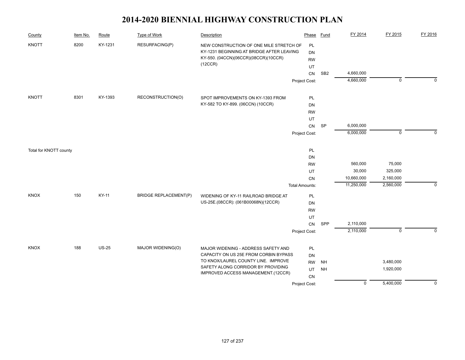| County                 | Item No. | Route        | <b>Type of Work</b>          | Description                                                                                                                  | Phase                        | <b>Fund</b>     | FY 2014        | FY 2015        | FY 2016      |
|------------------------|----------|--------------|------------------------------|------------------------------------------------------------------------------------------------------------------------------|------------------------------|-----------------|----------------|----------------|--------------|
| <b>KNOTT</b>           | 8200     | KY-1231      | RESURFACING(P)               | NEW CONSTRUCTION OF ONE MILE STRETCH OF<br>KY-1231 BEGINNING AT BRIDGE AFTER LEAVING<br>KY-550. (04CCN)(06CCR)(08CCR)(10CCR) | PL<br><b>DN</b><br><b>RW</b> |                 |                |                |              |
|                        |          |              |                              | (12CCR)                                                                                                                      | UT                           |                 |                |                |              |
|                        |          |              |                              |                                                                                                                              | CN                           | SB <sub>2</sub> | 4,660,000      |                |              |
|                        |          |              |                              |                                                                                                                              | Project Cost:                |                 | 4,660,000      | $\overline{0}$ | $\mathbf{0}$ |
| <b>KNOTT</b>           | 8301     | KY-1393      | RECONSTRUCTION(O)            | SPOT IMPROVEMENTS ON KY-1393 FROM                                                                                            | PL                           |                 |                |                |              |
|                        |          |              |                              | KY-582 TO KY-899. (06CCN) (10CCR)                                                                                            | DN                           |                 |                |                |              |
|                        |          |              |                              |                                                                                                                              | <b>RW</b>                    |                 |                |                |              |
|                        |          |              |                              |                                                                                                                              | UT                           |                 |                |                |              |
|                        |          |              |                              |                                                                                                                              | CN                           | <b>SP</b>       | 6,000,000      |                |              |
|                        |          |              |                              |                                                                                                                              | Project Cost:                |                 | 6,000,000      | $\mathbf 0$    | $\Omega$     |
| Total for KNOTT county |          |              |                              |                                                                                                                              | PL                           |                 |                |                |              |
|                        |          |              |                              |                                                                                                                              | DN                           |                 |                |                |              |
|                        |          |              |                              |                                                                                                                              | <b>RW</b>                    |                 | 560,000        | 75,000         |              |
|                        |          |              |                              |                                                                                                                              | UT                           |                 | 30,000         | 325,000        |              |
|                        |          |              |                              |                                                                                                                              | CN                           |                 | 10,660,000     | 2,160,000      |              |
|                        |          |              |                              |                                                                                                                              | <b>Total Amounts:</b>        |                 | 11,250,000     | 2,560,000      | $\mathbf 0$  |
| <b>KNOX</b>            | 150      | <b>KY-11</b> | <b>BRIDGE REPLACEMENT(P)</b> | WIDENING OF KY-11 RAILROAD BRIDGE AT                                                                                         | PL                           |                 |                |                |              |
|                        |          |              |                              | US-25E.(08CCR): (061B00068N)(12CCR)                                                                                          | <b>DN</b>                    |                 |                |                |              |
|                        |          |              |                              |                                                                                                                              | <b>RW</b>                    |                 |                |                |              |
|                        |          |              |                              |                                                                                                                              | UT<br>CN                     | SPP             | 2,110,000      |                |              |
|                        |          |              |                              |                                                                                                                              | Project Cost:                |                 | 2,110,000      | $\mathsf 0$    | $\mathbf 0$  |
|                        |          |              |                              |                                                                                                                              |                              |                 |                |                |              |
| <b>KNOX</b>            | 188      | <b>US-25</b> | MAJOR WIDENING(O)            | MAJOR WIDENING - ADDRESS SAFETY AND                                                                                          | PL                           |                 |                |                |              |
|                        |          |              |                              | CAPACITY ON US 25E FROM CORBIN BYPASS                                                                                        | <b>DN</b>                    |                 |                |                |              |
|                        |          |              |                              | TO KNOX/LAUREL COUNTY LINE. IMPROVE                                                                                          | <b>RW</b>                    | <b>NH</b>       |                | 3,480,000      |              |
|                        |          |              |                              | SAFETY ALONG CORRIDOR BY PROVIDING<br>IMPROVED ACCESS MANAGEMENT.(12CCR)                                                     | UT                           | <b>NH</b>       |                | 1,920,000      |              |
|                        |          |              |                              |                                                                                                                              | CN                           |                 |                |                |              |
|                        |          |              |                              |                                                                                                                              | Project Cost:                |                 | $\overline{0}$ | 5,400,000      | $\mathbf 0$  |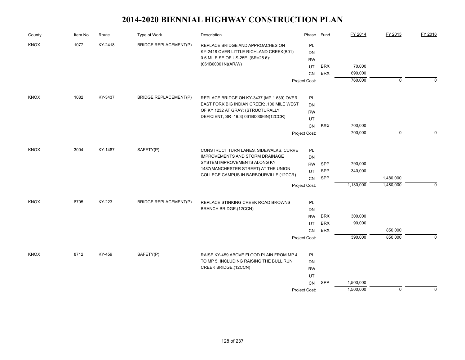| County      | Item No. | Route   | Type of Work                 | Description                                                           | Phase           | Fund       | FY 2014   | FY 2015     | FY 2016     |
|-------------|----------|---------|------------------------------|-----------------------------------------------------------------------|-----------------|------------|-----------|-------------|-------------|
| <b>KNOX</b> | 1077     | KY-2418 | <b>BRIDGE REPLACEMENT(P)</b> | REPLACE BRIDGE AND APPROACHES ON                                      | PL              |            |           |             |             |
|             |          |         |                              | KY-2418 OVER LITTLE RICHLAND CREEK(B01)                               | DN              |            |           |             |             |
|             |          |         |                              | 0.6 MILE SE OF US-25E. (SR=25.6):                                     | <b>RW</b>       |            |           |             |             |
|             |          |         |                              | (061B00001N)(AR/W)                                                    | UT              | <b>BRX</b> | 70,000    |             |             |
|             |          |         |                              |                                                                       | <b>CN</b>       | <b>BRX</b> | 690,000   |             |             |
|             |          |         |                              |                                                                       | Project Cost:   |            | 760,000   | $\mathbf 0$ | $\Omega$    |
| <b>KNOX</b> | 1082     | KY-3437 | <b>BRIDGE REPLACEMENT(P)</b> | REPLACE BRIDGE ON KY-3437 (MP 1.639) OVER                             | <b>PL</b>       |            |           |             |             |
|             |          |         |                              | EAST FORK BIG INDIAN CREEK; .100 MILE WEST                            | DN              |            |           |             |             |
|             |          |         |                              | OF KY 1232 AT GRAY; (STRUCTURALLY                                     | <b>RW</b>       |            |           |             |             |
|             |          |         |                              | DEFICIENT, SR=19.3) 061B00086N(12CCR)                                 | UT              |            |           |             |             |
|             |          |         |                              |                                                                       | CN              | <b>BRX</b> | 700,000   |             |             |
|             |          |         |                              |                                                                       | Project Cost:   |            | 700,000   | $\mathbf 0$ | $\Omega$    |
| <b>KNOX</b> | 3004     | KY-1487 | SAFETY(P)                    | CONSTRUCT TURN LANES, SIDEWALKS, CURVE                                | PL              |            |           |             |             |
|             |          |         |                              | IMPROVEMENTS AND STORM DRAINAGE                                       | <b>DN</b>       |            |           |             |             |
|             |          |         |                              | SYSTEM IMPROVEMENTS ALONG KY<br>1487 (MANCHESTER STREET) AT THE UNION | <b>RW</b>       | SPP        | 790,000   |             |             |
|             |          |         |                              |                                                                       | UT              | SPP        | 340,000   |             |             |
|             |          |         |                              | COLLEGE CAMPUS IN BARBOURVILLE.(12CCR)                                | CN              | SPP        |           | 1,480,000   |             |
|             |          |         |                              |                                                                       | Project Cost:   |            | 1,130,000 | 1,480,000   | $\mathbf 0$ |
| KNOX        | 8705     | KY-223  | <b>BRIDGE REPLACEMENT(P)</b> |                                                                       |                 |            |           |             |             |
|             |          |         |                              | REPLACE STINKING CREEK ROAD BROWNS<br><b>BRANCH BRIDGE.(12CCN)</b>    | PL              |            |           |             |             |
|             |          |         |                              |                                                                       | DN              | <b>BRX</b> | 300,000   |             |             |
|             |          |         |                              |                                                                       | <b>RW</b><br>UT | <b>BRX</b> | 90,000    |             |             |
|             |          |         |                              |                                                                       | <b>CN</b>       | <b>BRX</b> |           | 850,000     |             |
|             |          |         |                              |                                                                       | Project Cost:   |            | 390,000   | 850,000     | $\mathbf 0$ |
|             |          |         |                              |                                                                       |                 |            |           |             |             |
| <b>KNOX</b> | 8712     | KY-459  | SAFETY(P)                    | RAISE KY-459 ABOVE FLOOD PLAIN FROM MP 4                              | PL              |            |           |             |             |
|             |          |         |                              | TO MP 5, INCLUDING RAISING THE BULL RUN                               | <b>DN</b>       |            |           |             |             |
|             |          |         |                              | CREEK BRIDGE.(12CCN)                                                  | <b>RW</b>       |            |           |             |             |
|             |          |         |                              |                                                                       | UT              |            |           |             |             |
|             |          |         |                              |                                                                       | CN              | SPP        | 1,500,000 |             |             |
|             |          |         |                              |                                                                       | Project Cost:   |            | 1,500,000 | $\mathbf 0$ | $\mathbf 0$ |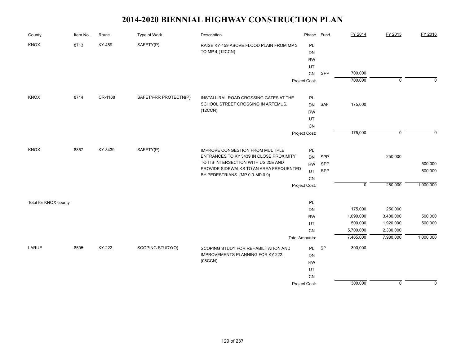| County                | Item No. | Route   | <b>Type of Work</b>   | Description                                                                                                       | Phase                 | <b>Fund</b> | FY 2014     | FY 2015        | FY 2016     |
|-----------------------|----------|---------|-----------------------|-------------------------------------------------------------------------------------------------------------------|-----------------------|-------------|-------------|----------------|-------------|
| KNOX                  | 8713     | KY-459  | SAFETY(P)             | RAISE KY-459 ABOVE FLOOD PLAIN FROM MP 3                                                                          | PL                    |             |             |                |             |
|                       |          |         |                       | TO MP 4.(12CCN)                                                                                                   | DN                    |             |             |                |             |
|                       |          |         |                       |                                                                                                                   | <b>RW</b>             |             |             |                |             |
|                       |          |         |                       |                                                                                                                   | UT                    |             |             |                |             |
|                       |          |         |                       |                                                                                                                   | CN                    | SPP         | 700,000     |                |             |
|                       |          |         |                       |                                                                                                                   | Project Cost:         |             | 700,000     | $\overline{0}$ | $\mathbf 0$ |
| KNOX                  | 8714     | CR-1168 | SAFETY-RR PROTECTN(P) | INSTALL RAILROAD CROSSING GATES AT THE                                                                            | PL                    |             |             |                |             |
|                       |          |         |                       | SCHOOL STREET CROSSING IN ARTEMUS.                                                                                | <b>DN</b>             | SAF         | 175,000     |                |             |
|                       |          |         |                       | (12CCN)                                                                                                           | <b>RW</b>             |             |             |                |             |
|                       |          |         |                       |                                                                                                                   | UT                    |             |             |                |             |
|                       |          |         |                       |                                                                                                                   | CN                    |             |             |                |             |
|                       |          |         |                       |                                                                                                                   | Project Cost:         |             | 175,000     | $\mathsf 0$    | $\Omega$    |
| <b>KNOX</b>           | 8857     | KY-3439 | SAFETY(P)             | IMPROVE CONGESTION FROM MULTIPLE                                                                                  | PL                    |             |             |                |             |
|                       |          |         |                       | ENTRANCES TO KY 3439 IN CLOSE PROXIMITY                                                                           | <b>DN</b>             | SPP         |             | 250,000        |             |
|                       |          |         |                       | TO ITS INTERSECTION WITH US 25E AND<br>PROVIDE SIDEWALKS TO AN AREA FREQUENTED<br>BY PEDESTRIANS. (MP 0.0-MP 0.9) | <b>RW</b>             | SPP         |             |                | 500,000     |
|                       |          |         |                       |                                                                                                                   | <b>UT</b>             | SPP         |             |                | 500,000     |
|                       |          |         |                       |                                                                                                                   | CN                    |             |             |                |             |
|                       |          |         |                       |                                                                                                                   | Project Cost:         |             | $\mathbf 0$ | 250,000        | 1,000,000   |
|                       |          |         |                       |                                                                                                                   |                       |             |             |                |             |
| Total for KNOX county |          |         |                       |                                                                                                                   | PL                    |             | 175,000     | 250,000        |             |
|                       |          |         |                       |                                                                                                                   | DN                    |             | 1,090,000   | 3,480,000      | 500,000     |
|                       |          |         |                       |                                                                                                                   | <b>RW</b><br>UT       |             | 500,000     | 1,920,000      | 500,000     |
|                       |          |         |                       |                                                                                                                   | CN                    |             | 5,700,000   | 2,330,000      |             |
|                       |          |         |                       |                                                                                                                   | <b>Total Amounts:</b> |             | 7,465,000   | 7,980,000      | 1,000,000   |
| LARUE                 | 8505     | KY-222  | SCOPING STUDY(O)      | SCOPING STUDY FOR REHABILITATION AND                                                                              | PL                    | <b>SP</b>   | 300,000     |                |             |
|                       |          |         |                       | IMPROVEMENTS PLANNING FOR KY 222.                                                                                 | DN                    |             |             |                |             |
|                       |          |         |                       | (08CCN)                                                                                                           | <b>RW</b>             |             |             |                |             |
|                       |          |         |                       |                                                                                                                   | <b>UT</b>             |             |             |                |             |
|                       |          |         |                       |                                                                                                                   | <b>CN</b>             |             |             |                |             |
|                       |          |         |                       |                                                                                                                   | Project Cost:         |             | 300,000     | $\mathbf 0$    | $\mathbf 0$ |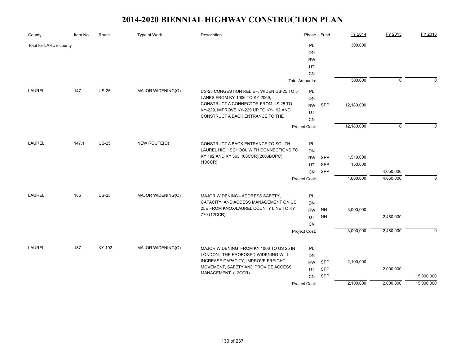| County                 | Item No. | Route   | Type of Work      | Description                                                                                             | Phase                 | Fund       | FY 2014    | FY 2015     | FY 2016      |
|------------------------|----------|---------|-------------------|---------------------------------------------------------------------------------------------------------|-----------------------|------------|------------|-------------|--------------|
| Total for LARUE county |          |         |                   |                                                                                                         | PL                    |            | 300,000    |             |              |
|                        |          |         |                   |                                                                                                         | DN                    |            |            |             |              |
|                        |          |         |                   |                                                                                                         | <b>RW</b>             |            |            |             |              |
|                        |          |         |                   |                                                                                                         | UT                    |            |            |             |              |
|                        |          |         |                   |                                                                                                         | <b>CN</b>             |            |            |             |              |
|                        |          |         |                   |                                                                                                         | <b>Total Amounts:</b> |            | 300,000    | $\mathbf 0$ | $\mathbf{0}$ |
| <b>LAUREL</b>          | 147      | $US-25$ | MAJOR WIDENING(O) | US-25 CONGESTION RELIEF; WIDEN US-25 TO 5                                                               | PL                    |            |            |             |              |
|                        |          |         |                   | LANES FROM KY-1006 TO KY-2069,                                                                          | DN                    |            |            |             |              |
|                        |          |         |                   | CONSTRUCT A CONNECTOR FROM US-25 TO<br>KY-229, IMPROVE KY-229 UP TO KY-192 AND                          | <b>RW</b>             | SPP        | 12,180,000 |             |              |
|                        |          |         |                   | CONSTRUCT A BACK ENTRANCE TO THE                                                                        | UT                    |            |            |             |              |
|                        |          |         |                   |                                                                                                         | <b>CN</b>             |            |            |             |              |
|                        |          |         |                   |                                                                                                         | Project Cost:         |            | 12,180,000 | $\Omega$    | $\Omega$     |
| <b>LAUREL</b>          | 147.1    | $US-25$ | NEW ROUTE(O)      | CONSTRUCT A BACK ENTRANCE TO SOUTH                                                                      | PL                    |            |            |             |              |
|                        |          |         |                   | LAUREL HIGH SCHOOL WITH CONNECTIONS TO                                                                  | DN                    |            |            |             |              |
|                        |          |         |                   | KY 192 AND KY 363. (06CCR)(2006BOPC).                                                                   | <b>RW</b>             | SPP        | 1,510,000  |             |              |
|                        |          |         |                   | (10CCR)                                                                                                 | UT                    | SPP        | 150,000    |             |              |
|                        |          |         |                   |                                                                                                         | <b>CN</b>             | SPP        |            | 4,650,000   |              |
|                        |          |         |                   |                                                                                                         | Project Cost:         |            | 1,660,000  | 4,650,000   | $\Omega$     |
| <b>LAUREL</b>          | 185      | $US-25$ | MAJOR WIDENING(O) | MAJOR WIDENING - ADDRESS SAFETY,                                                                        | PL                    |            |            |             |              |
|                        |          |         |                   | CAPACITY, AND ACCESS MANAGEMENT ON US                                                                   | DN                    |            |            |             |              |
|                        |          |         |                   | 25E FROM KNOX/LAUREL COUNTY LINE TO KY                                                                  | <b>RW</b>             | <b>NH</b>  | 3,000,000  |             |              |
|                        |          |         |                   | 770 (12CCR)                                                                                             | UT                    | <b>NH</b>  |            | 2,480,000   |              |
|                        |          |         |                   |                                                                                                         | <b>CN</b>             |            |            |             |              |
|                        |          |         |                   |                                                                                                         | Project Cost:         |            | 3,000,000  | 2,480,000   | $\mathbf 0$  |
|                        |          |         |                   |                                                                                                         |                       |            |            |             |              |
| <b>LAUREL</b>          | 187      | KY-192  | MAJOR WIDENING(O) | MAJOR WIDENING FROM KY 1006 TO US 25 IN                                                                 | PL                    |            |            |             |              |
|                        |          |         |                   | LONDON. THE PROPOSED WIDENING WILL                                                                      | DN                    |            |            |             |              |
|                        |          |         |                   | <b>INCREASE CAPACITY, IMPROVE FREIGHT</b><br>MOVEMENT, SAFETY AND PROVIDE ACCESS<br>MANAGEMENT. (12CCR) | <b>RW</b>             | SPP<br>SPP | 2,100,000  | 2,000,000   |              |
|                        |          |         |                   |                                                                                                         | UT<br>CN              | SPP        |            |             | 15,000,000   |
|                        |          |         |                   |                                                                                                         | Project Cost:         |            | 2,100,000  | 2,000,000   | 15,000,000   |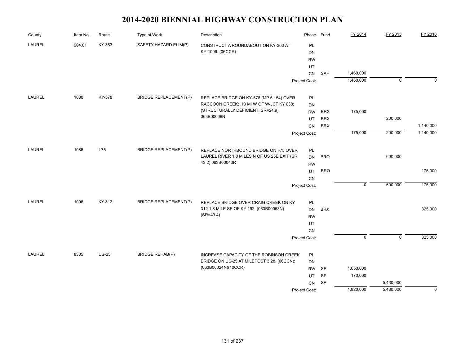| County        | Item No. | Route        | Type of Work                 | Description                                                                           | Phase         | Fund       | FY 2014        | FY 2015        | FY 2016     |
|---------------|----------|--------------|------------------------------|---------------------------------------------------------------------------------------|---------------|------------|----------------|----------------|-------------|
| <b>LAUREL</b> | 904.01   | KY-363       | SAFETY-HAZARD ELIM(P)        | CONSTRUCT A ROUNDABOUT ON KY-363 AT                                                   | PL            |            |                |                |             |
|               |          |              |                              | KY-1006. (06CCR)                                                                      | <b>DN</b>     |            |                |                |             |
|               |          |              |                              |                                                                                       | <b>RW</b>     |            |                |                |             |
|               |          |              |                              |                                                                                       | UT            |            |                |                |             |
|               |          |              |                              |                                                                                       | CN            | SAF        | 1,460,000      |                |             |
|               |          |              |                              |                                                                                       | Project Cost: |            | 1,460,000      | $\overline{0}$ | $\Omega$    |
| LAUREL        | 1080     | KY-578       | <b>BRIDGE REPLACEMENT(P)</b> | REPLACE BRIDGE ON KY-578 (MP 5.154) OVER                                              | PL            |            |                |                |             |
|               |          |              |                              | RACCOON CREEK; .10 MI W OF W-JCT KY 638;                                              | <b>DN</b>     |            |                |                |             |
|               |          |              |                              | (STRUCTURALLY DEFICIENT, SR=24.9)                                                     | <b>RW</b>     | <b>BRX</b> | 175,000        |                |             |
|               |          |              |                              | 063B00069N                                                                            | UT            | <b>BRX</b> |                | 200,000        |             |
|               |          |              |                              |                                                                                       | CN            | <b>BRX</b> |                |                | 1,140,000   |
|               |          |              |                              |                                                                                       | Project Cost: |            | 175,000        | 200,000        | 1,140,000   |
| LAUREL        | 1086     | $I - 75$     | <b>BRIDGE REPLACEMENT(P)</b> | REPLACE NORTHBOUND BRIDGE ON I-75 OVER                                                | PL            |            |                |                |             |
|               |          |              |                              | LAUREL RIVER 1.8 MILES N OF US 25E EXIT (SR                                           | DN            | <b>BRO</b> |                | 600,000        |             |
|               |          |              |                              | 43.2) 063B00043R                                                                      | <b>RW</b>     |            |                |                |             |
|               |          |              |                              |                                                                                       | UT            | <b>BRO</b> |                |                | 175,000     |
|               |          |              |                              |                                                                                       | CN            |            |                |                |             |
|               |          |              |                              |                                                                                       | Project Cost: |            | $\overline{0}$ | 600,000        | 175,000     |
| <b>LAUREL</b> | 1096     | KY-312       | <b>BRIDGE REPLACEMENT(P)</b> | REPLACE BRIDGE OVER CRAIG CREEK ON KY                                                 | PL            |            |                |                |             |
|               |          |              |                              | 312 1.8 MILE SE OF KY 192. (063B00053N)                                               | DN            | <b>BRX</b> |                |                | 325,000     |
|               |          |              |                              | $(SR = 49.4)$                                                                         | <b>RW</b>     |            |                |                |             |
|               |          |              |                              |                                                                                       | UT            |            |                |                |             |
|               |          |              |                              |                                                                                       | CN            |            |                |                |             |
|               |          |              |                              |                                                                                       | Project Cost: |            | $\overline{0}$ | $\overline{0}$ | 325,000     |
|               |          |              |                              |                                                                                       |               |            |                |                |             |
| LAUREL        | 8305     | <b>US-25</b> | <b>BRIDGE REHAB(P)</b>       | INCREASE CAPACITY OF THE ROBINSON CREEK<br>BRIDGE ON US-25 AT MILEPOST 3.28. (06CCN): | PL            |            |                |                |             |
|               |          |              |                              | (063B00024N)(10CCR)                                                                   | DN            | <b>SP</b>  | 1,650,000      |                |             |
|               |          |              |                              |                                                                                       | <b>RW</b>     | SP         | 170,000        |                |             |
|               |          |              |                              |                                                                                       | UT<br>CN      | <b>SP</b>  |                | 5,430,000      |             |
|               |          |              |                              |                                                                                       |               |            | 1,820,000      | 5,430,000      | $\mathbf 0$ |
|               |          |              |                              |                                                                                       | Project Cost: |            |                |                |             |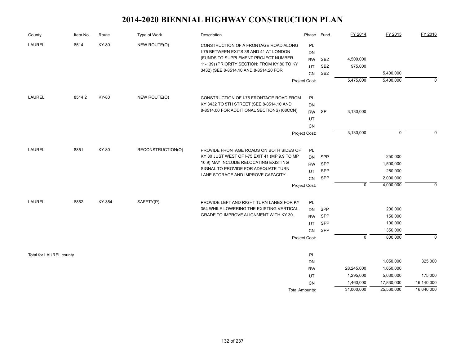| County                  | Item No. | Route  | Type of Work      | Description                                                                                                                                                                                                     | Phase                                              | Fund                                                  | FY 2014                              | FY 2015                                                   | FY 2016               |
|-------------------------|----------|--------|-------------------|-----------------------------------------------------------------------------------------------------------------------------------------------------------------------------------------------------------------|----------------------------------------------------|-------------------------------------------------------|--------------------------------------|-----------------------------------------------------------|-----------------------|
| <b>LAUREL</b>           | 8514     | KY-80  | NEW ROUTE(O)      | CONSTRUCTION OF A FRONTAGE ROAD ALONG<br>I-75 BETWEEN EXITS 38 AND 41 AT LONDON<br>(FUNDS TO SUPPLEMENT PROJECT NUMBER<br>11-139) (PRIORITY SECTION: FROM KY 80 TO KY<br>3432) (SEE 8-8514.10 AND 8-8514.20 FOR | PL<br>DN<br><b>RW</b><br>UT<br>CN                  | SB <sub>2</sub><br>SB <sub>2</sub><br>SB <sub>2</sub> | 4,500,000<br>975,000                 | 5,400,000                                                 |                       |
|                         |          |        |                   |                                                                                                                                                                                                                 | Project Cost:                                      |                                                       | 5,475,000                            | 5,400,000                                                 | $\Omega$              |
| LAUREL                  | 8514.2   | KY-80  | NEW ROUTE(O)      | CONSTRUCTION OF I-75 FRONTAGE ROAD FROM<br>KY 3432 TO 5TH STREET (SEE 8-8514.10 AND<br>8-8514.00 FOR ADDITIONAL SECTIONS) (08CCN)                                                                               | PL<br>DN<br><b>RW</b><br>UT<br><b>CN</b>           | <b>SP</b>                                             | 3,130,000                            |                                                           |                       |
|                         |          |        |                   |                                                                                                                                                                                                                 | Project Cost:                                      |                                                       | 3,130,000                            | $\mathbf 0$                                               | $\Omega$              |
| <b>LAUREL</b>           | 8851     | KY-80  | RECONSTRUCTION(O) | PROVIDE FRONTAGE ROADS ON BOTH SIDES OF<br>KY 80 JUST WEST OF I-75 EXIT 41 (MP 9.9 TO MP<br>10.9) MAY INCLUDE RELOCATING EXISTING<br>SIGNAL TO PROVIDE FOR ADEQUATE TURN<br>LANE STORAGE AND IMPROVE CAPACITY.  | PL<br>DN<br><b>RW</b><br>UT<br>CN<br>Project Cost: | SPP<br>SPP<br>SPP<br>SPP                              | $\mathbf 0$                          | 250,000<br>1,500,000<br>250,000<br>2,000,000<br>4,000,000 | $\mathbf 0$           |
| <b>LAUREL</b>           | 8852     | KY-354 | SAFETY(P)         | PROVIDE LEFT AND RIGHT TURN LANES FOR KY<br>354 WHILE LOWERING THE EXISTING VERTICAL<br>GRADE TO IMPROVE ALIGNMENT WITH KY 30.                                                                                  | PL<br>DN<br><b>RW</b><br>UT<br>CN<br>Project Cost: | SPP<br>SPP<br><b>SPP</b><br>SPP                       | $\overline{0}$                       | 200,000<br>150,000<br>100,000<br>350,000<br>800,000       | $\mathbf 0$           |
| Total for LAUREL county |          |        |                   |                                                                                                                                                                                                                 | PL<br>DN                                           |                                                       |                                      | 1,050,000                                                 | 325,000               |
|                         |          |        |                   |                                                                                                                                                                                                                 | <b>RW</b><br>UT<br><b>CN</b>                       |                                                       | 28,245,000<br>1,295,000<br>1,460,000 | 1,650,000<br>5,030,000<br>17,830,000                      | 175,000<br>16,140,000 |
|                         |          |        |                   |                                                                                                                                                                                                                 | Total Amounts:                                     |                                                       | 31,000,000                           | 25,560,000                                                | 16,640,000            |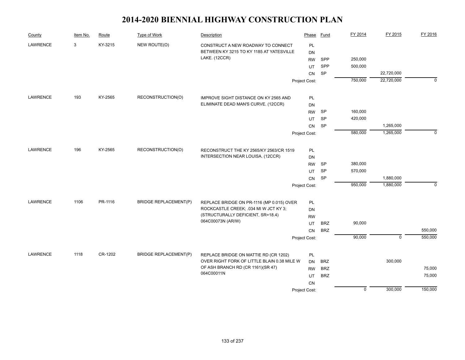| County          | Item No. | Route   | Type of Work                 | Description                                     | Phase         | Fund       | FY 2014     | FY 2015     | FY 2016     |
|-----------------|----------|---------|------------------------------|-------------------------------------------------|---------------|------------|-------------|-------------|-------------|
| <b>LAWRENCE</b> | 3        | KY-3215 | NEW ROUTE(O)                 | CONSTRUCT A NEW ROADWAY TO CONNECT              | PL            |            |             |             |             |
|                 |          |         |                              | BETWEEN KY 3215 TO KY 1185 AT YATESVILLE        | DN            |            |             |             |             |
|                 |          |         |                              | LAKE. (12CCR)                                   | <b>RW</b>     | SPP        | 250,000     |             |             |
|                 |          |         |                              |                                                 | UT            | SPP        | 500,000     |             |             |
|                 |          |         |                              |                                                 | CN            | <b>SP</b>  |             | 22,720,000  |             |
|                 |          |         |                              |                                                 | Project Cost: |            | 750,000     | 22,720,000  | $\Omega$    |
| <b>LAWRENCE</b> | 193      | KY-2565 | RECONSTRUCTION(O)            | IMPROVE SIGHT DISTANCE ON KY 2565 AND           | PL            |            |             |             |             |
|                 |          |         |                              | ELIMINATE DEAD MAN'S CURVE. (12CCR)             | DN            |            |             |             |             |
|                 |          |         |                              |                                                 | <b>RW</b>     | SP         | 160,000     |             |             |
|                 |          |         |                              |                                                 | UT            | <b>SP</b>  | 420,000     |             |             |
|                 |          |         |                              |                                                 | CN            | <b>SP</b>  |             | 1,265,000   |             |
|                 |          |         |                              |                                                 | Project Cost: |            | 580,000     | 1,265,000   | $\mathbf 0$ |
|                 |          |         |                              |                                                 |               |            |             |             |             |
| <b>LAWRENCE</b> | 196      | KY-2565 | RECONSTRUCTION(O)            | RECONSTRUCT THE KY 2565/KY 2563/CR 1519         | PL            |            |             |             |             |
|                 |          |         |                              | INTERSECTION NEAR LOUISA. (12CCR)               | DN            |            |             |             |             |
|                 |          |         |                              |                                                 | <b>RW</b>     | <b>SP</b>  | 380,000     |             |             |
|                 |          |         |                              |                                                 | <b>UT</b>     | SP         | 570,000     |             |             |
|                 |          |         |                              |                                                 | CN            | SP         |             | 1,880,000   |             |
|                 |          |         |                              |                                                 | Project Cost: |            | 950,000     | 1,880,000   | $\mathbf 0$ |
| <b>LAWRENCE</b> | 1106     | PR-1116 | <b>BRIDGE REPLACEMENT(P)</b> | REPLACE BRIDGE ON PR-1116 (MP 0.015) OVER       | PL            |            |             |             |             |
|                 |          |         |                              | ROCKCASTLE CREEK; .034 MI W JCT KY 3;           | DN            |            |             |             |             |
|                 |          |         |                              | (STRUCTURALLY DEFICIENT, SR=18.4)               | <b>RW</b>     |            |             |             |             |
|                 |          |         |                              | 064C00073N (AR/W)                               | UT            | <b>BRZ</b> | 90,000      |             |             |
|                 |          |         |                              |                                                 | CN            | <b>BRZ</b> |             |             | 550,000     |
|                 |          |         |                              |                                                 | Project Cost: |            | 90,000      | $\mathbf 0$ | 550,000     |
|                 |          |         |                              |                                                 |               |            |             |             |             |
| LAWRENCE        | 1118     | CR-1202 | <b>BRIDGE REPLACEMENT(P)</b> | REPLACE BRIDGE ON MATTIE RD (CR 1202)           | PL            |            |             |             |             |
|                 |          |         |                              | OVER RIGHT FORK OF LITTLE BLAIN 0.38 MILE W     | <b>DN</b>     | <b>BRZ</b> |             | 300,000     |             |
|                 |          |         |                              | OF ASH BRANCH RD (CR 1161)(SR 47)<br>064C00011N | <b>RW</b>     | <b>BRZ</b> |             |             | 75,000      |
|                 |          |         |                              |                                                 | UT            | <b>BRZ</b> |             |             | 75,000      |
|                 |          |         |                              |                                                 | <b>CN</b>     |            |             |             |             |
|                 |          |         |                              |                                                 | Project Cost: |            | $\mathbf 0$ | 300,000     | 150,000     |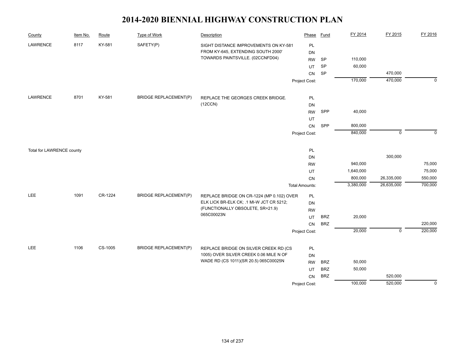| County                    | Item No. | Route   | <b>Type of Work</b>          | Description                               | Phase                 | Fund       | FY 2014   | FY 2015     | FY 2016     |
|---------------------------|----------|---------|------------------------------|-------------------------------------------|-----------------------|------------|-----------|-------------|-------------|
| LAWRENCE                  | 8117     | KY-581  | SAFETY(P)                    | SIGHT DISTANCE IMPROVEMENTS ON KY-581     | PL                    |            |           |             |             |
|                           |          |         |                              | FROM KY-645, EXTENDING SOUTH 2000'        | DN                    |            |           |             |             |
|                           |          |         |                              | TOWARDS PAINTSVILLE. (02CCNFD04)          | <b>RW</b>             | <b>SP</b>  | 110,000   |             |             |
|                           |          |         |                              |                                           | UT                    | SP         | 60,000    |             |             |
|                           |          |         |                              |                                           | CN                    | SP         |           | 470,000     |             |
|                           |          |         |                              |                                           | Project Cost:         |            | 170,000   | 470,000     | $\mathbf 0$ |
|                           |          |         |                              |                                           |                       |            |           |             |             |
| LAWRENCE                  | 8701     | KY-581  | <b>BRIDGE REPLACEMENT(P)</b> | REPLACE THE GEORGES CREEK BRIDGE.         | PL                    |            |           |             |             |
|                           |          |         |                              | (12CCN)                                   | DN                    |            |           |             |             |
|                           |          |         |                              |                                           | <b>RW</b>             | SPP        | 40,000    |             |             |
|                           |          |         |                              |                                           | UT                    |            |           |             |             |
|                           |          |         |                              |                                           | CN                    | SPP        | 800,000   |             |             |
|                           |          |         |                              |                                           | Project Cost:         |            | 840,000   | $\mathbf 0$ | $\Omega$    |
|                           |          |         |                              |                                           |                       |            |           |             |             |
| Total for LAWRENCE county |          |         |                              |                                           | PL                    |            |           |             |             |
|                           |          |         |                              |                                           | DN                    |            |           | 300,000     |             |
|                           |          |         |                              |                                           | <b>RW</b>             |            | 940,000   |             | 75,000      |
|                           |          |         |                              |                                           | UT                    |            | 1,640,000 |             | 75,000      |
|                           |          |         |                              |                                           | CN                    |            | 800,000   | 26,335,000  | 550,000     |
|                           |          |         |                              |                                           | <b>Total Amounts:</b> |            | 3,380,000 | 26,635,000  | 700,000     |
| <b>LEE</b>                | 1091     | CR-1224 | <b>BRIDGE REPLACEMENT(P)</b> | REPLACE BRIDGE ON CR-1224 (MP 0.102) OVER | PL                    |            |           |             |             |
|                           |          |         |                              | ELK LICK BR-ELK CK; .1 MI-W JCT CR 5212;  | DN                    |            |           |             |             |
|                           |          |         |                              | (FUNCTIONALLY OBSOLETE, SR=21.9)          | <b>RW</b>             |            |           |             |             |
|                           |          |         |                              | 065C00023N                                | UT                    | <b>BRZ</b> | 20,000    |             |             |
|                           |          |         |                              |                                           | ${\sf CN}$            | <b>BRZ</b> |           |             | 220,000     |
|                           |          |         |                              |                                           | Project Cost:         |            | 20,000    | $\mathbf 0$ | 220,000     |
|                           |          |         |                              |                                           |                       |            |           |             |             |
| <b>LEE</b>                | 1106     | CS-1005 | <b>BRIDGE REPLACEMENT(P)</b> | REPLACE BRIDGE ON SILVER CREEK RD (CS     | PL                    |            |           |             |             |
|                           |          |         |                              | 1005) OVER SILVER CREEK 0.06 MILE N OF    | DN                    |            |           |             |             |
|                           |          |         |                              | WADE RD (CS 1011)(SR 20.5) 065C00025N     | <b>RW</b>             | <b>BRZ</b> | 50,000    |             |             |
|                           |          |         |                              |                                           | UT                    | <b>BRZ</b> | 50,000    |             |             |
|                           |          |         |                              |                                           | CN                    | <b>BRZ</b> |           | 520,000     |             |
|                           |          |         |                              |                                           | Project Cost:         |            | 100,000   | 520,000     | $\mathbf 0$ |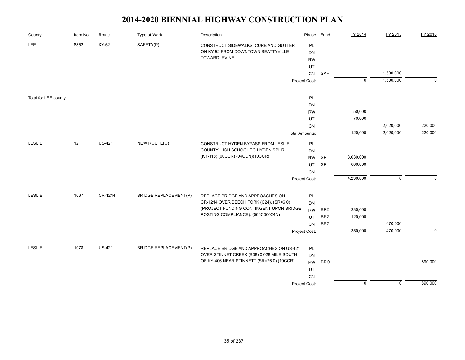| County               | Item No. | Route         | <b>Type of Work</b>          | Description                                                                            | Phase                 | <b>Fund</b> | FY 2014        | FY 2015        | FY 2016     |
|----------------------|----------|---------------|------------------------------|----------------------------------------------------------------------------------------|-----------------------|-------------|----------------|----------------|-------------|
| <b>LEE</b>           | 8852     | KY-52         | SAFETY(P)                    | CONSTRUCT SIDEWALKS, CURB AND GUTTER                                                   | PL                    |             |                |                |             |
|                      |          |               |                              | ON KY 52 FROM DOWNTOWN BEATTYVILLE                                                     | DN                    |             |                |                |             |
|                      |          |               |                              | <b>TOWARD IRVINE</b>                                                                   | <b>RW</b>             |             |                |                |             |
|                      |          |               |                              |                                                                                        | UT                    |             |                |                |             |
|                      |          |               |                              |                                                                                        | ${\sf CN}$            | SAF         |                | 1,500,000      |             |
|                      |          |               |                              |                                                                                        | Project Cost:         |             | $\overline{0}$ | 1,500,000      | $\mathbf 0$ |
| Total for LEE county |          |               |                              |                                                                                        | PL                    |             |                |                |             |
|                      |          |               |                              |                                                                                        | DN                    |             |                |                |             |
|                      |          |               |                              |                                                                                        | <b>RW</b>             |             | 50,000         |                |             |
|                      |          |               |                              |                                                                                        | UT                    |             | 70,000         |                |             |
|                      |          |               |                              |                                                                                        | CN                    |             |                | 2,020,000      | 220,000     |
|                      |          |               |                              |                                                                                        | <b>Total Amounts:</b> |             | 120,000        | 2,020,000      | 220,000     |
| LESLIE               | 12       | <b>US-421</b> | NEW ROUTE(O)                 | CONSTRUCT HYDEN BYPASS FROM LESLIE                                                     | PL                    |             |                |                |             |
|                      |          |               |                              | COUNTY HIGH SCHOOL TO HYDEN SPUR                                                       | DN                    |             |                |                |             |
|                      |          |               |                              | (KY-118).(00CCR) (04CCN)(10CCR)                                                        | <b>RW</b>             | <b>SP</b>   | 3,630,000      |                |             |
|                      |          |               |                              |                                                                                        | UT                    | <b>SP</b>   | 600,000        |                |             |
|                      |          |               |                              |                                                                                        | <b>CN</b>             |             |                |                |             |
|                      |          |               |                              |                                                                                        | Project Cost:         |             | 4,230,000      | $\mathbf 0$    | $\Omega$    |
| <b>LESLIE</b>        | 1067     | CR-1214       | <b>BRIDGE REPLACEMENT(P)</b> | REPLACE BRIDGE AND APPROACHES ON                                                       | PL                    |             |                |                |             |
|                      |          |               |                              | CR-1214 OVER BEECH FORK (C24). (SR=6.0)                                                | DN                    |             |                |                |             |
|                      |          |               |                              | (PROJECT FUNDING CONTINGENT UPON BRIDGE                                                | <b>RW</b>             | <b>BRZ</b>  | 230,000        |                |             |
|                      |          |               |                              | POSTING COMPLIANCE): (066C00024N)                                                      | UT                    | <b>BRZ</b>  | 120,000        |                |             |
|                      |          |               |                              |                                                                                        | CN                    | <b>BRZ</b>  |                | 470,000        |             |
|                      |          |               |                              |                                                                                        | Project Cost:         |             | 350,000        | 470,000        | $\mathbf 0$ |
|                      |          |               |                              |                                                                                        |                       |             |                |                |             |
| LESLIE               | 1078     | <b>US-421</b> | <b>BRIDGE REPLACEMENT(P)</b> | REPLACE BRIDGE AND APPROACHES ON US-421                                                | PL                    |             |                |                |             |
|                      |          |               |                              | OVER STINNET CREEK (B08) 0.028 MILE SOUTH<br>OF KY-406 NEAR STINNETT.(SR=26.0) (10CCR) | DN                    |             |                |                |             |
|                      |          |               |                              |                                                                                        | <b>RW</b>             | <b>BRO</b>  |                |                | 890,000     |
|                      |          |               |                              |                                                                                        | UT                    |             |                |                |             |
|                      |          |               |                              |                                                                                        | CN                    |             | $\mathbf 0$    | $\overline{0}$ | 890,000     |
|                      |          |               |                              |                                                                                        | Project Cost:         |             |                |                |             |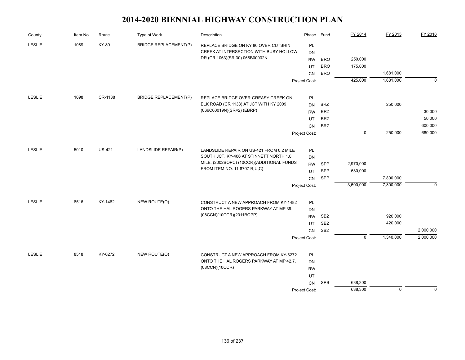| County        | Item No. | Route         | Type of Work                 | Description                                                                    | Phase           | Fund            | FY 2014        | FY 2015     | FY 2016     |
|---------------|----------|---------------|------------------------------|--------------------------------------------------------------------------------|-----------------|-----------------|----------------|-------------|-------------|
| <b>LESLIE</b> | 1089     | KY-80         | <b>BRIDGE REPLACEMENT(P)</b> | REPLACE BRIDGE ON KY 80 OVER CUTSHIN                                           | PL              |                 |                |             |             |
|               |          |               |                              | CREEK AT INTERSECTION WITH BUSY HOLLOW                                         | <b>DN</b>       |                 |                |             |             |
|               |          |               |                              | DR (CR 1063)(SR 30) 066B00002N                                                 | <b>RW</b>       | <b>BRO</b>      | 250,000        |             |             |
|               |          |               |                              |                                                                                | UT              | <b>BRO</b>      | 175,000        |             |             |
|               |          |               |                              |                                                                                | <b>CN</b>       | <b>BRO</b>      |                | 1,681,000   |             |
|               |          |               |                              |                                                                                | Project Cost:   |                 | 425,000        | 1,681,000   | $\Omega$    |
| LESLIE        | 1098     | CR-1138       | <b>BRIDGE REPLACEMENT(P)</b> | REPLACE BRIDGE OVER GREASY CREEK ON                                            | PL              |                 |                |             |             |
|               |          |               |                              | ELK ROAD (CR 1138) AT JCT WITH KY 2009                                         | <b>DN</b>       | <b>BRZ</b>      |                | 250,000     |             |
|               |          |               |                              | (066C00019N)(SR=2) (EBRP)                                                      | <b>RW</b>       | <b>BRZ</b>      |                |             | 30,000      |
|               |          |               |                              |                                                                                | UT              | <b>BRZ</b>      |                |             | 50,000      |
|               |          |               |                              |                                                                                | CN              | <b>BRZ</b>      |                |             | 600,000     |
|               |          |               |                              |                                                                                | Project Cost:   |                 | $\overline{0}$ | 250,000     | 680,000     |
| <b>LESLIE</b> | 5010     | <b>US-421</b> | LANDSLIDE REPAIR(P)          | LANDSLIDE REPAIR ON US-421 FROM 0.2 MILE                                       | PL              |                 |                |             |             |
|               |          |               |                              | SOUTH JCT. KY-406 AT STINNETT NORTH 1.0                                        | <b>DN</b>       |                 |                |             |             |
|               |          |               |                              | MILE. (2002BOPC) (10CCR)(ADDITIONAL FUNDS                                      | <b>RW</b>       | <b>SPP</b>      | 2,970,000      |             |             |
|               |          |               |                              | FROM ITEM NO. 11-8707 R,U,C)                                                   | UT              | SPP             | 630,000        |             |             |
|               |          |               |                              |                                                                                | CN              | SPP             |                | 7,800,000   |             |
|               |          |               |                              |                                                                                | Project Cost:   |                 | 3,600,000      | 7,800,000   | $\mathbf 0$ |
| <b>LESLIE</b> | 8516     | KY-1482       | NEW ROUTE(O)                 |                                                                                |                 |                 |                |             |             |
|               |          |               |                              | CONSTRUCT A NEW APPROACH FROM KY-1482<br>ONTO THE HAL ROGERS PARKWAY AT MP 39. | <b>PL</b>       |                 |                |             |             |
|               |          |               |                              | (08CCN)(10CCR)(2011BOPP)                                                       | DN<br><b>RW</b> | SB <sub>2</sub> |                | 920,000     |             |
|               |          |               |                              |                                                                                | UT              | SB <sub>2</sub> |                | 420,000     |             |
|               |          |               |                              |                                                                                | CN              | SB <sub>2</sub> |                |             | 2,000,000   |
|               |          |               |                              |                                                                                | Project Cost:   |                 | $\overline{0}$ | 1,340,000   | 2,000,000   |
|               |          |               |                              |                                                                                |                 |                 |                |             |             |
| <b>LESLIE</b> | 8518     | KY-6272       | NEW ROUTE(O)                 | CONSTRUCT A NEW APPROACH FROM KY-6272                                          | PL              |                 |                |             |             |
|               |          |               |                              | ONTO THE HAL ROGERS PARKWAY AT MP 42.7.                                        | <b>DN</b>       |                 |                |             |             |
|               |          |               |                              | (08CCN)(10CCR)                                                                 | <b>RW</b>       |                 |                |             |             |
|               |          |               |                              |                                                                                | UT              |                 |                |             |             |
|               |          |               |                              |                                                                                | CN              | <b>SPB</b>      | 638,300        |             |             |
|               |          |               |                              |                                                                                | Project Cost:   |                 | 638,300        | $\mathbf 0$ | $\Omega$    |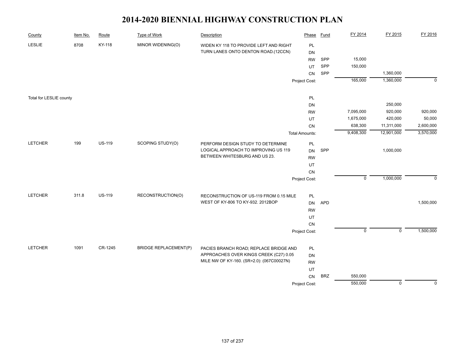| County                  | Item No. | Route         | Type of Work                 | Description                                                                         | Phase                 | <b>Fund</b> | FY 2014        | FY 2015        | FY 2016     |
|-------------------------|----------|---------------|------------------------------|-------------------------------------------------------------------------------------|-----------------------|-------------|----------------|----------------|-------------|
| <b>LESLIE</b>           | 8708     | KY-118        | MINOR WIDENING(O)            | WIDEN KY 118 TO PROVIDE LEFT AND RIGHT                                              | PL                    |             |                |                |             |
|                         |          |               |                              | TURN LANES ONTO DENTON ROAD.(12CCN)                                                 | <b>DN</b>             |             |                |                |             |
|                         |          |               |                              |                                                                                     | <b>RW</b>             | SPP         | 15,000         |                |             |
|                         |          |               |                              |                                                                                     | UT                    | SPP         | 150,000        |                |             |
|                         |          |               |                              |                                                                                     | ${\sf CN}$            | SPP         |                | 1,360,000      |             |
|                         |          |               |                              |                                                                                     | Project Cost:         |             | 165,000        | 1,360,000      | $\mathbf 0$ |
| Total for LESLIE county |          |               |                              |                                                                                     | PL                    |             |                |                |             |
|                         |          |               |                              |                                                                                     | DN                    |             |                | 250,000        |             |
|                         |          |               |                              |                                                                                     | <b>RW</b>             |             | 7,095,000      | 920,000        | 920,000     |
|                         |          |               |                              |                                                                                     | UT                    |             | 1,675,000      | 420,000        | 50,000      |
|                         |          |               |                              |                                                                                     | CN                    |             | 638,300        | 11,311,000     | 2,600,000   |
|                         |          |               |                              |                                                                                     | <b>Total Amounts:</b> |             | 9,408,300      | 12,901,000     | 3,570,000   |
| <b>LETCHER</b>          | 199      | <b>US-119</b> | SCOPING STUDY(O)             | PERFORM DESIGN STUDY TO DETERMINE                                                   | PL                    |             |                |                |             |
|                         |          |               |                              | LOGICAL APPROACH TO IMPROVING US 119                                                | DN                    | SPP         |                | 1,000,000      |             |
|                         |          |               |                              | BETWEEN WHITESBURG AND US 23.                                                       | <b>RW</b>             |             |                |                |             |
|                         |          |               |                              |                                                                                     | UT                    |             |                |                |             |
|                         |          |               |                              |                                                                                     | CN                    |             |                |                |             |
|                         |          |               |                              |                                                                                     | Project Cost:         |             | $\overline{0}$ | 1,000,000      | $\Omega$    |
| <b>LETCHER</b>          | 311.8    | <b>US-119</b> | RECONSTRUCTION(O)            | RECONSTRUCTION OF US-119 FROM 0.15 MILE                                             | PL                    |             |                |                |             |
|                         |          |               |                              | WEST OF KY-806 TO KY-932, 2012BOP                                                   | <b>DN</b>             | <b>APD</b>  |                |                | 1,500,000   |
|                         |          |               |                              |                                                                                     | <b>RW</b>             |             |                |                |             |
|                         |          |               |                              |                                                                                     | UT                    |             |                |                |             |
|                         |          |               |                              |                                                                                     | CN                    |             |                |                |             |
|                         |          |               |                              |                                                                                     | Project Cost:         |             | $\mathsf 0$    | $\mathsf 0$    | 1,500,000   |
|                         |          |               |                              |                                                                                     |                       |             |                |                |             |
| <b>LETCHER</b>          | 1091     | CR-1245       | <b>BRIDGE REPLACEMENT(P)</b> | PACIES BRANCH ROAD; REPLACE BRIDGE AND                                              | PL                    |             |                |                |             |
|                         |          |               |                              | APPROACHES OVER KINGS CREEK (C27) 0.05<br>MILE NW OF KY-160. (SR=2.0): (067C00027N) | DN                    |             |                |                |             |
|                         |          |               |                              |                                                                                     | <b>RW</b>             |             |                |                |             |
|                         |          |               |                              |                                                                                     | UT                    | <b>BRZ</b>  | 550,000        |                |             |
|                         |          |               |                              |                                                                                     | ${\sf CN}$            |             | 550,000        | $\overline{0}$ | $\mathbf 0$ |
|                         |          |               |                              |                                                                                     | Project Cost:         |             |                |                |             |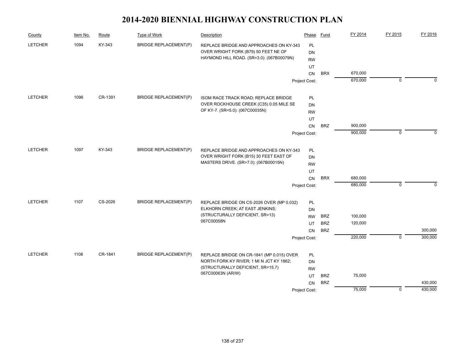| County         | Item No. | Route   | Type of Work                          | Description                                   | Phase         | Fund       | FY 2014 | FY 2015        | FY 2016     |
|----------------|----------|---------|---------------------------------------|-----------------------------------------------|---------------|------------|---------|----------------|-------------|
| <b>LETCHER</b> | 1094     | KY-343  | <b>BRIDGE REPLACEMENT(P)</b>          | REPLACE BRIDGE AND APPROACHES ON KY-343       | PL            |            |         |                |             |
|                |          |         |                                       | OVER WRIGHT FORK (B79) 50 FEET NE OF          | <b>DN</b>     |            |         |                |             |
|                |          |         |                                       | HAYMOND HILL ROAD. (SR=3.0): (067B00079N)     | <b>RW</b>     |            |         |                |             |
|                |          |         |                                       |                                               | UT            |            |         |                |             |
|                |          |         |                                       |                                               | <b>CN</b>     | <b>BRX</b> | 670,000 |                |             |
|                |          |         |                                       |                                               | Project Cost: |            | 670,000 | $\mathbf 0$    | $\Omega$    |
| <b>LETCHER</b> | 1096     | CR-1391 | <b>BRIDGE REPLACEMENT(P)</b>          | ISOM RACE TRACK ROAD; REPLACE BRIDGE          | PL            |            |         |                |             |
|                |          |         |                                       | OVER ROCKHOUSE CREEK (C35) 0.05 MILE SE       | <b>DN</b>     |            |         |                |             |
|                |          |         |                                       | OF KY-7. (SR=5.0): (067C00035N)               | <b>RW</b>     |            |         |                |             |
|                |          |         |                                       |                                               | UT            |            |         |                |             |
|                |          |         |                                       |                                               | CN            | <b>BRZ</b> | 900,000 |                |             |
|                |          |         |                                       |                                               | Project Cost: |            | 900,000 | $\mathbf{0}$   | $\Omega$    |
| <b>LETCHER</b> | 1097     | KY-343  | <b>BRIDGE REPLACEMENT(P)</b>          | REPLACE BRIDGE AND APPROACHES ON KY-343       | PL            |            |         |                |             |
|                |          |         |                                       | OVER WRIGHT FORK (B15) 30 FEET EAST OF        | DN            |            |         |                |             |
|                |          |         | MASTERS DRIVE. (SR=7.0): (067B00015N) | <b>RW</b>                                     |               |            |         |                |             |
|                |          |         |                                       |                                               | UT            |            |         |                |             |
|                |          |         |                                       |                                               | CN            | <b>BRX</b> | 680,000 |                |             |
|                |          |         |                                       |                                               | Project Cost: |            | 680,000 | $\mathbf 0$    | $\mathbf 0$ |
|                |          |         |                                       |                                               |               |            |         |                |             |
| <b>LETCHER</b> | 1107     | CS-2026 | <b>BRIDGE REPLACEMENT(P)</b>          | REPLACE BRIDGE ON CS-2026 OVER (MP 0.032)     | PL            |            |         |                |             |
|                |          |         |                                       | ELKHORN CREEK; AT EAST JENKINS;               | <b>DN</b>     |            |         |                |             |
|                |          |         |                                       | (STRUCTURALLY DEFICIENT, SR=13)<br>067C00058N | <b>RW</b>     | <b>BRZ</b> | 100,000 |                |             |
|                |          |         |                                       |                                               | UT            | <b>BRZ</b> | 120,000 |                |             |
|                |          |         |                                       |                                               | <b>CN</b>     | <b>BRZ</b> |         |                | 300,000     |
|                |          |         |                                       |                                               | Project Cost: |            | 220,000 | $\overline{0}$ | 300,000     |
| <b>LETCHER</b> | 1108     | CR-1841 | <b>BRIDGE REPLACEMENT(P)</b>          | REPLACE BRIDGE ON CR-1841 (MP 0.015) OVER     | PL            |            |         |                |             |
|                |          |         |                                       | NORTH FORK KY RIVER; 1 MI N JCT KY 1862;      | <b>DN</b>     |            |         |                |             |
|                |          |         |                                       | (STRUCTURALLY DEFICIENT, SR=15.7)             | <b>RW</b>     |            |         |                |             |
|                |          |         |                                       | 067C00063N (AR/W)                             | UT            | <b>BRZ</b> | 75,000  |                |             |
|                |          |         |                                       |                                               | CN            | <b>BRZ</b> |         |                | 430,000     |
|                |          |         |                                       |                                               | Project Cost: |            | 75,000  | $\mathbf 0$    | 430,000     |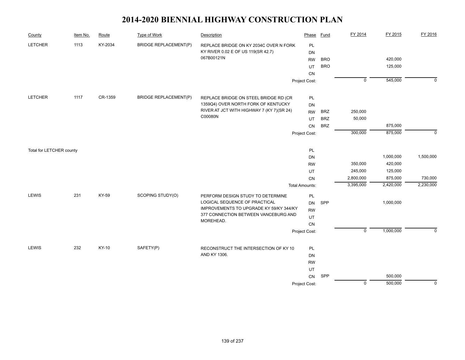| County                   | Item No. | Route   | <b>Type of Work</b>          | Description                                                                     | Phase                 | <b>Fund</b> | FY 2014        | FY 2015   | FY 2016     |
|--------------------------|----------|---------|------------------------------|---------------------------------------------------------------------------------|-----------------------|-------------|----------------|-----------|-------------|
| <b>LETCHER</b>           | 1113     | KY-2034 | <b>BRIDGE REPLACEMENT(P)</b> | REPLACE BRIDGE ON KY 2034C OVER N FORK                                          | PL                    |             |                |           |             |
|                          |          |         |                              | KY RIVER 0.02 E OF US 119(SR 42.7)                                              | DN                    |             |                |           |             |
|                          |          |         |                              | 067B00121N                                                                      | <b>RW</b>             | <b>BRO</b>  |                | 420,000   |             |
|                          |          |         |                              |                                                                                 | UT                    | <b>BRO</b>  |                | 125,000   |             |
|                          |          |         |                              |                                                                                 | CN                    |             |                |           |             |
|                          |          |         |                              |                                                                                 | Project Cost:         |             | $\overline{0}$ | 545,000   | $\Omega$    |
| <b>LETCHER</b>           | 1117     | CR-1359 | <b>BRIDGE REPLACEMENT(P)</b> | REPLACE BRIDGE ON STEEL BRIDGE RD (CR                                           | <b>PL</b>             |             |                |           |             |
|                          |          |         |                              | 1359Q4) OVER NORTH FORK OF KENTUCKY                                             | DN                    |             |                |           |             |
|                          |          |         |                              | RIVER AT JCT WITH HIGHWAY 7 (KY 7)(SR 24)                                       | <b>RW</b>             | <b>BRZ</b>  | 250,000        |           |             |
|                          |          |         |                              | C00080N                                                                         | UT                    | <b>BRZ</b>  | 50,000         |           |             |
|                          |          |         |                              |                                                                                 | CN                    | <b>BRZ</b>  |                | 875,000   |             |
|                          |          |         |                              |                                                                                 | Project Cost:         |             | 300,000        | 875,000   | $\Omega$    |
| Total for LETCHER county |          |         |                              |                                                                                 | $\mathsf{PL}$         |             |                |           |             |
|                          |          |         |                              |                                                                                 | <b>DN</b>             |             |                | 1,000,000 | 1,500,000   |
|                          |          |         |                              |                                                                                 | <b>RW</b>             |             | 350,000        | 420,000   |             |
|                          |          |         |                              |                                                                                 | UT                    |             | 245,000        | 125,000   |             |
|                          |          |         |                              |                                                                                 | CN                    |             | 2,800,000      | 875,000   | 730,000     |
|                          |          |         |                              |                                                                                 | <b>Total Amounts:</b> |             | 3,395,000      | 2,420,000 | 2,230,000   |
| LEWIS                    | 231      | KY-59   | SCOPING STUDY(O)             | PERFORM DESIGN STUDY TO DETERMINE                                               | PL                    |             |                |           |             |
|                          |          |         |                              | LOGICAL SEQUENCE OF PRACTICAL                                                   | <b>DN</b>             | SPP         |                | 1,000,000 |             |
|                          |          |         |                              | IMPROVEMENTS TO UPGRADE KY 59/KY 344/KY<br>377 CONNECTION BETWEEN VANCEBURG AND | <b>RW</b>             |             |                |           |             |
|                          |          |         |                              | MOREHEAD.                                                                       | UT                    |             |                |           |             |
|                          |          |         |                              |                                                                                 | CN                    |             |                |           |             |
|                          |          |         |                              |                                                                                 | Project Cost:         |             | $\mathbf 0$    | 1,000,000 | $\Omega$    |
| LEWIS                    | 232      | KY-10   | SAFETY(P)                    | RECONSTRUCT THE INTERSECTION OF KY 10                                           | PL                    |             |                |           |             |
|                          |          |         |                              | AND KY 1306.                                                                    | DN                    |             |                |           |             |
|                          |          |         |                              |                                                                                 | <b>RW</b>             |             |                |           |             |
|                          |          |         |                              |                                                                                 | UT                    |             |                |           |             |
|                          |          |         |                              |                                                                                 | CN                    | SPP         |                | 500,000   |             |
|                          |          |         |                              |                                                                                 | Project Cost:         |             | $\overline{0}$ | 500,000   | $\mathbf 0$ |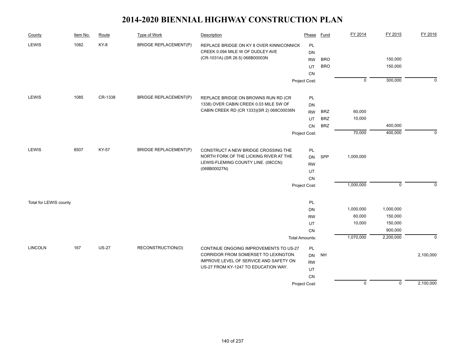| County                 | Item No. | Route        | <b>Type of Work</b>          | Description                                                                   | Phase                 | <b>Fund</b> | FY 2014        | FY 2015              | FY 2016     |
|------------------------|----------|--------------|------------------------------|-------------------------------------------------------------------------------|-----------------------|-------------|----------------|----------------------|-------------|
| <b>LEWIS</b>           | 1082     | KY-8         | <b>BRIDGE REPLACEMENT(P)</b> | REPLACE BRIDGE ON KY 8 OVER KINNICONNICK                                      | PL                    |             |                |                      |             |
|                        |          |              |                              | CREEK 0.094 MILE W OF DUDLEY AVE                                              | DN                    |             |                |                      |             |
|                        |          |              |                              | (CR-1031A) (SR 26.5) 068B00003N                                               | <b>RW</b>             | <b>BRO</b>  |                | 150,000              |             |
|                        |          |              |                              |                                                                               | UT                    | <b>BRO</b>  |                | 150,000              |             |
|                        |          |              |                              |                                                                               | CN                    |             |                |                      |             |
|                        |          |              |                              |                                                                               | Project Cost:         |             | $\overline{0}$ | 300,000              | $\mathbf 0$ |
| LEWIS                  | 1085     | CR-1338      | <b>BRIDGE REPLACEMENT(P)</b> | REPLACE BRIDGE ON BROWNS RUN RD (CR                                           | PL                    |             |                |                      |             |
|                        |          |              |                              | 1338) OVER CABIN CREEK 0.03 MILE SW OF                                        | DN                    |             |                |                      |             |
|                        |          |              |                              | CABIN CREEK RD (CR 1333)(SR 2) 068C00036N                                     | <b>RW</b>             | <b>BRZ</b>  | 60,000         |                      |             |
|                        |          |              |                              |                                                                               | UT                    | <b>BRZ</b>  | 10,000         |                      |             |
|                        |          |              |                              |                                                                               | CN                    | <b>BRZ</b>  |                | 400,000              |             |
|                        |          |              |                              |                                                                               | Project Cost:         |             | 70,000         | 400,000              | $\mathbf 0$ |
| LEWIS                  | 8507     | <b>KY-57</b> | <b>BRIDGE REPLACEMENT(P)</b> |                                                                               |                       |             |                |                      |             |
|                        |          |              |                              | CONSTRUCT A NEW BRIDGE CROSSING THE<br>NORTH FORK OF THE LICKING RIVER AT THE | PL<br><b>DN</b>       | SPP         | 1,000,000      |                      |             |
|                        |          |              |                              | LEWIS-FLEMING COUNTY LINE. (08CCN):                                           | <b>RW</b>             |             |                |                      |             |
|                        |          |              |                              | (068B00027N)                                                                  | UT                    |             |                |                      |             |
|                        |          |              |                              |                                                                               | CN                    |             |                |                      |             |
|                        |          |              |                              |                                                                               | Project Cost:         |             | 1,000,000      | $\mathsf 0$          | $\mathbf 0$ |
|                        |          |              |                              |                                                                               |                       |             |                |                      |             |
| Total for LEWIS county |          |              |                              |                                                                               | PL                    |             |                |                      |             |
|                        |          |              |                              |                                                                               | DN                    |             | 1,000,000      | 1,000,000            |             |
|                        |          |              |                              |                                                                               | <b>RW</b>             |             | 60,000         | 150,000              |             |
|                        |          |              |                              |                                                                               | UT                    |             | 10,000         | 150,000              |             |
|                        |          |              |                              |                                                                               | CN                    |             | 1,070,000      | 900,000<br>2,200,000 | $\mathbf 0$ |
|                        |          |              |                              |                                                                               | <b>Total Amounts:</b> |             |                |                      |             |
| <b>LINCOLN</b>         | 167      | <b>US-27</b> | RECONSTRUCTION(O)            | CONTINUE ONGOING IMPROVEMENTS TO US-27                                        | PL                    |             |                |                      |             |
|                        |          |              |                              | CORRIDOR FROM SOMERSET TO LEXINGTON.                                          | <b>DN</b>             | <b>NH</b>   |                |                      | 2,100,000   |
|                        |          |              |                              | IMPROVE LEVEL OF SERVICE AND SAFETY ON                                        | <b>RW</b>             |             |                |                      |             |
|                        |          |              |                              | US-27 FROM KY-1247 TO EDUCATION WAY.                                          | UT                    |             |                |                      |             |
|                        |          |              |                              |                                                                               | CN                    |             |                |                      |             |
|                        |          |              |                              |                                                                               | Project Cost:         |             | $\overline{0}$ | $\overline{0}$       | 2,100,000   |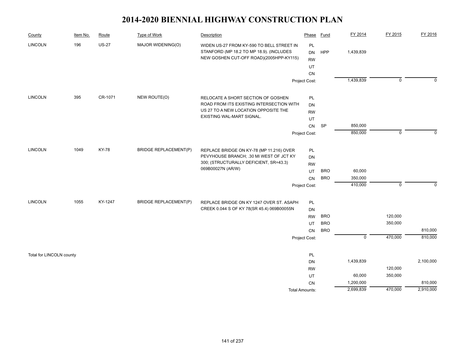| County                   | Item No. | Route        | <b>Type of Work</b>          | Description                                | Phase                 | <b>Fund</b> | FY 2014                   | FY 2015        | FY 2016   |
|--------------------------|----------|--------------|------------------------------|--------------------------------------------|-----------------------|-------------|---------------------------|----------------|-----------|
| <b>LINCOLN</b>           | 196      | <b>US-27</b> | MAJOR WIDENING(O)            | WIDEN US-27 FROM KY-590 TO BELL STREET IN  | PL                    |             |                           |                |           |
|                          |          |              |                              | STANFORD (MP 18.2 TO MP 18.9). (INCLUDES   | <b>DN</b>             | HPP         | 1,439,839                 |                |           |
|                          |          |              |                              | NEW GOSHEN CUT-OFF ROAD)(2005HPP-KY115)    | <b>RW</b>             |             |                           |                |           |
|                          |          |              |                              |                                            | UT                    |             |                           |                |           |
|                          |          |              |                              |                                            | CN                    |             |                           |                |           |
|                          |          |              |                              |                                            | Project Cost:         |             | 1,439,839                 | $\overline{0}$ | $\Omega$  |
| <b>LINCOLN</b>           | 395      | CR-1071      | NEW ROUTE(O)                 | RELOCATE A SHORT SECTION OF GOSHEN         | PL                    |             |                           |                |           |
|                          |          |              |                              | ROAD FROM ITS EXISTING INTERSECTION WITH   | DN                    |             |                           |                |           |
|                          |          |              |                              | US 27 TO A NEW LOCATION OPPOSITE THE       | <b>RW</b>             |             |                           |                |           |
|                          |          |              |                              | EXISTING WAL-MART SIGNAL.                  | UT                    |             |                           |                |           |
|                          |          |              |                              |                                            | CN                    | <b>SP</b>   | 850,000                   |                |           |
|                          |          |              |                              |                                            | Project Cost:         |             | 850,000                   | $\mathbf 0$    | $\Omega$  |
| <b>LINCOLN</b>           | 1049     | <b>KY-78</b> | <b>BRIDGE REPLACEMENT(P)</b> | REPLACE BRIDGE ON KY-78 (MP 11.216) OVER   | PL                    |             |                           |                |           |
|                          |          |              |                              | PEVYHOUSE BRANCH; .30 MI WEST OF JCT KY    | DN                    |             |                           |                |           |
|                          |          |              |                              | 300; (STRUCTURALLY DEFICIENT, SR=43.3)     | <b>RW</b>             |             |                           |                |           |
|                          |          |              |                              | 069B00027N (AR/W)                          | UT                    | <b>BRO</b>  | 60,000                    |                |           |
|                          |          |              |                              |                                            | CN                    | <b>BRO</b>  | 350,000                   |                |           |
|                          |          |              |                              |                                            | Project Cost:         |             | 410,000                   | $\mathbf 0$    | $\Omega$  |
| <b>LINCOLN</b>           | 1055     | KY-1247      | <b>BRIDGE REPLACEMENT(P)</b> | REPLACE BRIDGE ON KY 1247 OVER ST. ASAPH   | PL                    |             |                           |                |           |
|                          |          |              |                              | CREEK 0.044 S OF KY 78(SR 45.4) 069B00055N | DN                    |             |                           |                |           |
|                          |          |              |                              |                                            | <b>RW</b>             | <b>BRO</b>  |                           | 120,000        |           |
|                          |          |              |                              |                                            | UT                    | <b>BRO</b>  |                           | 350,000        |           |
|                          |          |              |                              |                                            | <b>CN</b>             | <b>BRO</b>  |                           |                | 810,000   |
|                          |          |              |                              |                                            | Project Cost:         |             | $\overline{\mathfrak{o}}$ | 470,000        | 810,000   |
| Total for LINCOLN county |          |              |                              |                                            | PL                    |             |                           |                |           |
|                          |          |              |                              |                                            | DN                    |             | 1,439,839                 |                | 2,100,000 |
|                          |          |              |                              |                                            | <b>RW</b>             |             |                           | 120,000        |           |
|                          |          |              |                              |                                            | UT                    |             | 60,000                    | 350,000        |           |
|                          |          |              |                              |                                            | CN                    |             | 1,200,000                 |                | 810,000   |
|                          |          |              |                              |                                            | <b>Total Amounts:</b> |             | 2,699,839                 | 470,000        | 2,910,000 |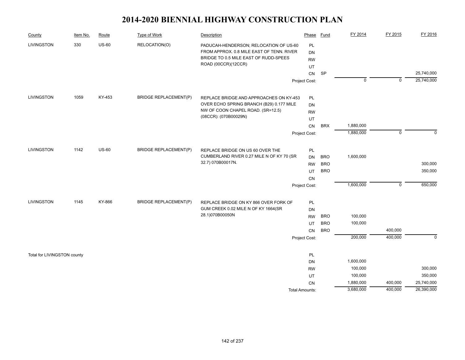| County                      | Item No. | Route        | Type of Work                 | Description                               | Phase          | Fund       | FY 2014   | FY 2015     | FY 2016     |
|-----------------------------|----------|--------------|------------------------------|-------------------------------------------|----------------|------------|-----------|-------------|-------------|
| <b>LIVINGSTON</b>           | 330      | $US-60$      | RELOCATION(O)                | PADUCAH-HENDERSON; RELOCATION OF US-60    | PL             |            |           |             |             |
|                             |          |              |                              | FROM APPROX. 0.8 MILE EAST OF TENN. RIVER | DN             |            |           |             |             |
|                             |          |              |                              | BRIDGE TO 0.5 MILE EAST OF RUDD-SPEES     | <b>RW</b>      |            |           |             |             |
|                             |          |              |                              | ROAD (00CCR)(12CCR)                       | UT             |            |           |             |             |
|                             |          |              |                              |                                           | CN             | SP         |           |             | 25,740,000  |
|                             |          |              |                              |                                           | Project Cost:  |            | 0         | 0           | 25,740,000  |
| <b>LIVINGSTON</b>           | 1059     | KY-453       | <b>BRIDGE REPLACEMENT(P)</b> | REPLACE BRIDGE AND APPROACHES ON KY-453   | PL             |            |           |             |             |
|                             |          |              |                              | OVER ECHO SPRING BRANCH (B29) 0.177 MILE  | DN             |            |           |             |             |
|                             |          |              |                              | NW OF COON CHAPEL ROAD. (SR=12.5)         | <b>RW</b>      |            |           |             |             |
|                             |          |              |                              | (08CCR): (070B00029N)                     | UT             |            |           |             |             |
|                             |          |              |                              |                                           | CN             | <b>BRX</b> | 1,880,000 |             |             |
|                             |          |              |                              |                                           | Project Cost:  |            | 1,880,000 | $\mathbf 0$ | $\Omega$    |
| <b>LIVINGSTON</b>           | 1142     | <b>US-60</b> | <b>BRIDGE REPLACEMENT(P)</b> | REPLACE BRIDGE ON US 60 OVER THE          | PL             |            |           |             |             |
|                             |          |              |                              | CUMBERLAND RIVER 0.27 MILE N OF KY 70 (SR | DN             | <b>BRO</b> | 1,600,000 |             |             |
|                             |          |              |                              | 32.7) 070B00017N.                         | <b>RW</b>      | <b>BRO</b> |           |             | 300,000     |
|                             |          |              |                              |                                           | UT             | <b>BRO</b> |           |             | 350,000     |
|                             |          |              |                              |                                           | CN             |            |           |             |             |
|                             |          |              |                              |                                           | Project Cost:  |            | 1,600,000 | $\mathsf 0$ | 650,000     |
| <b>LIVINGSTON</b>           | 1145     | KY-866       | <b>BRIDGE REPLACEMENT(P)</b> | REPLACE BRIDGE ON KY 866 OVER FORK OF     | PL             |            |           |             |             |
|                             |          |              |                              | GUM CREEK 0.02 MILE N OF KY 1664(SR       | DN             |            |           |             |             |
|                             |          |              |                              | 28.1)070B00050N                           | <b>RW</b>      | <b>BRO</b> | 100,000   |             |             |
|                             |          |              |                              |                                           | UT             | <b>BRO</b> | 100,000   |             |             |
|                             |          |              |                              |                                           | CN             | <b>BRO</b> |           | 400,000     |             |
|                             |          |              |                              |                                           | Project Cost:  |            | 200,000   | 400,000     | $\mathbf 0$ |
| Total for LIVINGSTON county |          |              |                              |                                           | PL             |            |           |             |             |
|                             |          |              |                              |                                           | DN             |            | 1,600,000 |             |             |
|                             |          |              |                              |                                           | <b>RW</b>      |            | 100,000   |             | 300,000     |
|                             |          |              |                              |                                           | UT             |            | 100,000   |             | 350,000     |
|                             |          |              |                              |                                           | CN             |            | 1,880,000 | 400,000     | 25,740,000  |
|                             |          |              |                              |                                           | Total Amounts: |            | 3,680,000 | 400,000     | 26,390,000  |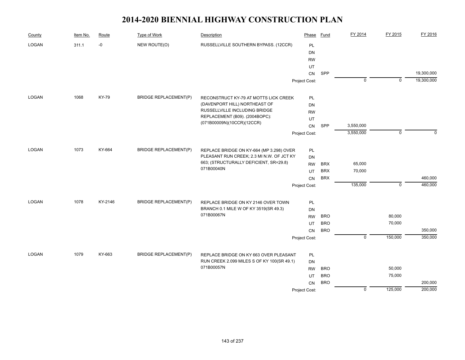| County       | Item No. | Route   | Type of Work                 | Description                                                                  | Phase         | Fund       | FY 2014        | FY 2015        | FY 2016            |
|--------------|----------|---------|------------------------------|------------------------------------------------------------------------------|---------------|------------|----------------|----------------|--------------------|
| <b>LOGAN</b> | 311.1    | $-0$    | NEW ROUTE(O)                 | RUSSELLVILLE SOUTHERN BYPASS. (12CCR)                                        | PL            |            |                |                |                    |
|              |          |         |                              |                                                                              | DN            |            |                |                |                    |
|              |          |         |                              |                                                                              | <b>RW</b>     |            |                |                |                    |
|              |          |         |                              |                                                                              | UT            |            |                |                |                    |
|              |          |         |                              |                                                                              | CN            | SPP        |                |                | 19,300,000         |
|              |          |         |                              |                                                                              | Project Cost: |            | $\overline{0}$ | $\overline{0}$ | 19,300,000         |
| <b>LOGAN</b> | 1068     | KY-79   | <b>BRIDGE REPLACEMENT(P)</b> | RECONSTRUCT KY-79 AT MOTTS LICK CREEK                                        | PL            |            |                |                |                    |
|              |          |         |                              | (DAVENPORT HILL) NORTHEAST OF                                                | DN            |            |                |                |                    |
|              |          |         |                              | RUSSELLVILLE INCLUDING BRIDGE                                                | <b>RW</b>     |            |                |                |                    |
|              |          |         |                              | REPLACEMENT (B09). (2004BOPC):                                               | UT            |            |                |                |                    |
|              |          |         |                              | (071B00009N)(10CCR)(12CCR)                                                   | CN            | SPP        | 3,550,000      |                |                    |
|              |          |         |                              |                                                                              | Project Cost: |            | 3,550,000      | $\mathbf 0$    | $\Omega$           |
| <b>LOGAN</b> | 1073     | KY-664  | <b>BRIDGE REPLACEMENT(P)</b> | REPLACE BRIDGE ON KY-664 (MP 3.298) OVER                                     | PL            |            |                |                |                    |
|              |          |         |                              | PLEASANT RUN CREEK; 2.3 MI N.W. OF JCT KY                                    | DN            |            |                |                |                    |
|              |          |         |                              | 663; (STRUCTURALLY DEFICIENT, SR=29.8)                                       | <b>RW</b>     | <b>BRX</b> | 65,000         |                |                    |
|              |          |         |                              | 071B00040N                                                                   | UT            | <b>BRX</b> | 70,000         |                |                    |
|              |          |         |                              |                                                                              | CN            | <b>BRX</b> |                |                | 460,000            |
|              |          |         |                              |                                                                              | Project Cost: |            | 135,000        | $\mathbf 0$    | 460,000            |
| <b>LOGAN</b> | 1078     | KY-2146 | <b>BRIDGE REPLACEMENT(P)</b> |                                                                              |               |            |                |                |                    |
|              |          |         |                              | REPLACE BRIDGE ON KY 2146 OVER TOWN<br>BRANCH 0.1 MILE W OF KY 3519(SR 49.3) | PL<br>DN      |            |                |                |                    |
|              |          |         |                              | 071B00067N                                                                   | <b>RW</b>     | <b>BRO</b> |                | 80,000         |                    |
|              |          |         |                              |                                                                              | UT            | <b>BRO</b> |                | 70,000         |                    |
|              |          |         |                              |                                                                              | CN            | <b>BRO</b> |                |                | 350,000            |
|              |          |         |                              |                                                                              | Project Cost: |            | $\overline{0}$ | 150,000        | 350,000            |
|              |          |         |                              |                                                                              |               |            |                |                |                    |
| LOGAN        | 1079     | KY-663  | <b>BRIDGE REPLACEMENT(P)</b> | REPLACE BRIDGE ON KY 663 OVER PLEASANT                                       | PL            |            |                |                |                    |
|              |          |         |                              | RUN CREEK 2.099 MILES S OF KY 100(SR 49.1)<br>071B00057N                     | DN            |            |                |                |                    |
|              |          |         |                              |                                                                              | <b>RW</b>     | <b>BRO</b> |                | 50,000         |                    |
|              |          |         |                              |                                                                              | UT            | <b>BRO</b> |                | 75,000         |                    |
|              |          |         |                              |                                                                              | CN            | <b>BRO</b> | $\mathbf 0$    | 125,000        | 200,000<br>200,000 |
|              |          |         |                              |                                                                              | Project Cost: |            |                |                |                    |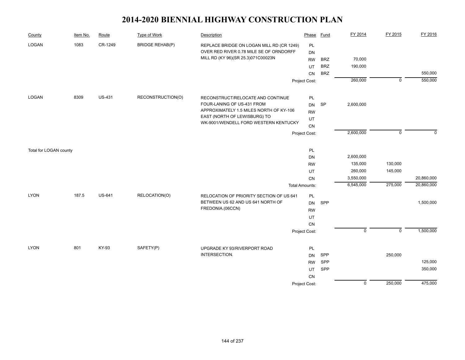| County                 | Item No. | Route         | <b>Type of Work</b>    | <b>Description</b>                        | Phase                 | <b>Fund</b> | FY 2014        | FY 2015        | FY 2016     |
|------------------------|----------|---------------|------------------------|-------------------------------------------|-----------------------|-------------|----------------|----------------|-------------|
| LOGAN                  | 1083     | CR-1249       | <b>BRIDGE REHAB(P)</b> | REPLACE BRIDGE ON LOGAN MILL RD (CR 1249) | PL                    |             |                |                |             |
|                        |          |               |                        | OVER RED RIVER 0.78 MILE SE OF ORNDORFF   | <b>DN</b>             |             |                |                |             |
|                        |          |               |                        | MILL RD (KY 96)(SR 25.3)071C00023N        | <b>RW</b>             | <b>BRZ</b>  | 70,000         |                |             |
|                        |          |               |                        |                                           | UT                    | <b>BRZ</b>  | 190,000        |                |             |
|                        |          |               |                        |                                           | CN                    | <b>BRZ</b>  |                |                | 550,000     |
|                        |          |               |                        |                                           | Project Cost:         |             | 260,000        | $\overline{0}$ | 550,000     |
| LOGAN                  | 8309     | <b>US-431</b> | RECONSTRUCTION(O)      | RECONSTRUCT/RELOCATE AND CONTINUE         | PL                    |             |                |                |             |
|                        |          |               |                        | FOUR-LANING OF US-431 FROM                | <b>DN</b>             | SP          | 2,600,000      |                |             |
|                        |          |               |                        | APPROXIMATELY 1.5 MILES NORTH OF KY-106   | <b>RW</b>             |             |                |                |             |
|                        |          |               |                        | EAST (NORTH OF LEWISBURG) TO              | UT                    |             |                |                |             |
|                        |          |               |                        | WK-9001/WENDELL FORD WESTERN KENTUCKY     | CN                    |             |                |                |             |
|                        |          |               |                        |                                           | Project Cost:         |             | 2,600,000      | $\mathbf 0$    | $\mathbf 0$ |
| Total for LOGAN county |          |               |                        |                                           | PL                    |             |                |                |             |
|                        |          |               |                        |                                           | <b>DN</b>             |             | 2,600,000      |                |             |
|                        |          |               |                        |                                           | <b>RW</b>             |             | 135,000        | 130,000        |             |
|                        |          |               |                        |                                           | UT                    |             | 260,000        | 145,000        |             |
|                        |          |               |                        |                                           | CN                    |             | 3,550,000      |                | 20,860,000  |
|                        |          |               |                        |                                           | <b>Total Amounts:</b> |             | 6,545,000      | 275,000        | 20,860,000  |
| <b>LYON</b>            | 187.5    | <b>US-641</b> | RELOCATION(O)          | RELOCATION OF PRIORITY SECTION OF US 641  | PL                    |             |                |                |             |
|                        |          |               |                        | BETWEEN US 62 AND US 641 NORTH OF         | <b>DN</b>             | SPP         |                |                | 1,500,000   |
|                        |          |               |                        | FREDONIA.(06CCN)                          | <b>RW</b>             |             |                |                |             |
|                        |          |               |                        |                                           | UT                    |             |                |                |             |
|                        |          |               |                        |                                           | ${\sf CN}$            |             |                |                |             |
|                        |          |               |                        |                                           | Project Cost:         |             | $\pmb{0}$      | $\mathsf 0$    | 1,500,000   |
|                        |          |               |                        |                                           |                       |             |                |                |             |
| <b>LYON</b>            | 801      | KY-93         | SAFETY(P)              | UPGRADE KY 93/RIVERPORT ROAD              | PL                    |             |                |                |             |
|                        |          |               |                        | INTERSECTION.                             | <b>DN</b>             | SPP         |                | 250,000        |             |
|                        |          |               |                        |                                           | <b>RW</b>             | SPP         |                |                | 125,000     |
|                        |          |               |                        |                                           | UT                    | SPP         |                |                | 350,000     |
|                        |          |               |                        |                                           | CN                    |             |                |                |             |
|                        |          |               |                        |                                           | Project Cost:         |             | $\overline{0}$ | 250,000        | 475,000     |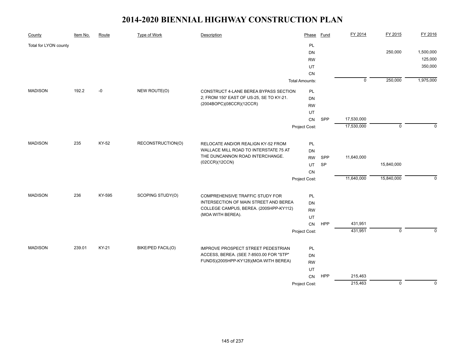| County                | Item No. | Route  | <b>Type of Work</b> | Description                              | Phase                 | <b>Fund</b> | FY 2014        | FY 2015        | FY 2016     |
|-----------------------|----------|--------|---------------------|------------------------------------------|-----------------------|-------------|----------------|----------------|-------------|
| Total for LYON county |          |        |                     |                                          | PL                    |             |                |                |             |
|                       |          |        |                     |                                          | DN                    |             |                | 250,000        | 1,500,000   |
|                       |          |        |                     |                                          | <b>RW</b>             |             |                |                | 125,000     |
|                       |          |        |                     |                                          | UT                    |             |                |                | 350,000     |
|                       |          |        |                     |                                          | <b>CN</b>             |             |                |                |             |
|                       |          |        |                     |                                          | <b>Total Amounts:</b> |             | $\overline{0}$ | 250,000        | 1,975,000   |
| <b>MADISON</b>        | 192.2    | -0     | NEW ROUTE(O)        | CONSTRUCT 4-LANE BEREA BYPASS SECTION    | PL                    |             |                |                |             |
|                       |          |        |                     | 2; FROM 150' EAST OF US-25, SE TO KY-21. | <b>DN</b>             |             |                |                |             |
|                       |          |        |                     | (2004BOPC)(08CCR)(12CCR)                 | <b>RW</b>             |             |                |                |             |
|                       |          |        |                     |                                          | UT                    |             |                |                |             |
|                       |          |        |                     |                                          | CN                    | SPP         | 17,530,000     |                |             |
|                       |          |        |                     |                                          | Project Cost:         |             | 17,530,000     | $\mathbf 0$    | $\Omega$    |
| <b>MADISON</b>        | 235      | KY-52  | RECONSTRUCTION(O)   | RELOCATE AND/OR REALIGN KY-52 FROM       | PL                    |             |                |                |             |
|                       |          |        |                     | WALLACE MILL ROAD TO INTERSTATE 75 AT    | <b>DN</b>             |             |                |                |             |
|                       |          |        |                     | THE DUNCANNON ROAD INTERCHANGE.          | <b>RW</b>             | SPP         | 11,640,000     |                |             |
|                       |          |        |                     | (02CCR)(12CCN)                           | UT                    | SP          |                | 15,840,000     |             |
|                       |          |        |                     |                                          | CN                    |             |                |                |             |
|                       |          |        |                     |                                          | Project Cost:         |             | 11,640,000     | 15,840,000     | $\Omega$    |
|                       |          |        |                     |                                          |                       |             |                |                |             |
| <b>MADISON</b>        | 236      | KY-595 | SCOPING STUDY(O)    | COMPREHENSIVE TRAFFIC STUDY FOR          | PL                    |             |                |                |             |
|                       |          |        |                     | INTERSECTION OF MAIN STREET AND BEREA    | <b>DN</b>             |             |                |                |             |
|                       |          |        |                     | COLLEGE CAMPUS, BEREA. (2005HPP-KY112)   | <b>RW</b>             |             |                |                |             |
|                       |          |        |                     | (MOA WITH BEREA).                        | UT                    |             |                |                |             |
|                       |          |        |                     |                                          | CN                    | <b>HPP</b>  | 431,951        |                |             |
|                       |          |        |                     |                                          | Project Cost:         |             | 431,951        | $\mathbf 0$    | $\Omega$    |
| <b>MADISON</b>        | 239.01   | KY-21  | BIKE/PED FACIL(O)   | IMPROVE PROSPECT STREET PEDESTRIAN       | <b>PL</b>             |             |                |                |             |
|                       |          |        |                     | ACCESS, BEREA. (SEE 7-8503.00 FOR "STP"  | DN                    |             |                |                |             |
|                       |          |        |                     | FUNDS)(2005HPP-KY128)(MOA WITH BEREA)    | <b>RW</b>             |             |                |                |             |
|                       |          |        |                     |                                          | UT                    |             |                |                |             |
|                       |          |        |                     |                                          | CN                    | HPP         | 215,463        |                |             |
|                       |          |        |                     |                                          | Project Cost:         |             | 215,463        | $\overline{0}$ | $\mathbf 0$ |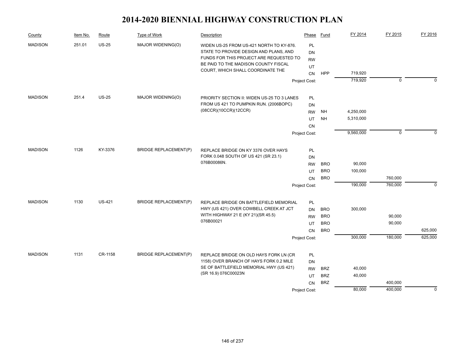| County         | Item No. | Route         | Type of Work                 | Description                                                                                                                                                           | Phase                        | Fund       | FY 2014   | FY 2015     | FY 2016     |
|----------------|----------|---------------|------------------------------|-----------------------------------------------------------------------------------------------------------------------------------------------------------------------|------------------------------|------------|-----------|-------------|-------------|
| <b>MADISON</b> | 251.01   | $US-25$       | MAJOR WIDENING(O)            | WIDEN US-25 FROM US-421 NORTH TO KY-876.<br>STATE TO PROVIDE DESIGN AND PLANS, AND<br>FUNDS FOR THIS PROJECT ARE REQUESTED TO<br>BE PAID TO THE MADISON COUNTY FISCAL | <b>PL</b><br>DN<br><b>RW</b> |            |           |             |             |
|                |          |               |                              | COURT, WHICH SHALL COORDINATE THE                                                                                                                                     | UT                           |            |           |             |             |
|                |          |               |                              |                                                                                                                                                                       | CN                           | <b>HPP</b> | 719,920   |             |             |
|                |          |               |                              |                                                                                                                                                                       | Project Cost:                |            | 719,920   | 0           | $\Omega$    |
| <b>MADISON</b> | 251.4    | <b>US-25</b>  | MAJOR WIDENING(O)            | PRIORITY SECTION II: WIDEN US-25 TO 3 LANES                                                                                                                           | <b>PL</b>                    |            |           |             |             |
|                |          |               |                              | FROM US 421 TO PUMPKIN RUN. (2006BOPC)                                                                                                                                | <b>DN</b>                    |            |           |             |             |
|                |          |               |                              | (08CCR)(10CCR)(12CCR)                                                                                                                                                 | <b>RW</b>                    | NH         | 4,250,000 |             |             |
|                |          |               |                              |                                                                                                                                                                       | UT                           | <b>NH</b>  | 5,310,000 |             |             |
|                |          |               |                              |                                                                                                                                                                       | <b>CN</b>                    |            |           |             |             |
|                |          |               |                              |                                                                                                                                                                       | Project Cost:                |            | 9,560,000 | $\mathbf 0$ |             |
| <b>MADISON</b> | 1126     | KY-3376       | <b>BRIDGE REPLACEMENT(P)</b> | REPLACE BRIDGE ON KY 3376 OVER HAYS                                                                                                                                   | PL                           |            |           |             |             |
|                |          |               |                              | FORK 0.048 SOUTH OF US 421 (SR 23.1)                                                                                                                                  | <b>DN</b>                    |            |           |             |             |
|                |          |               |                              | 076B00086N.                                                                                                                                                           | <b>RW</b>                    | <b>BRO</b> | 90,000    |             |             |
|                |          |               |                              |                                                                                                                                                                       | UT                           | <b>BRO</b> | 100,000   |             |             |
|                |          |               |                              |                                                                                                                                                                       | <b>CN</b>                    | <b>BRO</b> |           | 760,000     |             |
|                |          |               |                              |                                                                                                                                                                       | Project Cost:                |            | 190,000   | 760,000     | $\Omega$    |
| <b>MADISON</b> | 1130     | <b>US-421</b> | <b>BRIDGE REPLACEMENT(P)</b> | REPLACE BRIDGE ON BATTLEFIELD MEMORIAL                                                                                                                                | PL                           |            |           |             |             |
|                |          |               |                              | HWY (US 421) OVER COWBELL CREEK AT JCT                                                                                                                                | DN                           | <b>BRO</b> | 300,000   |             |             |
|                |          |               |                              | WITH HIGHWAY 21 E (KY 21)(SR 45.5)                                                                                                                                    | <b>RW</b>                    | <b>BRO</b> |           | 90,000      |             |
|                |          |               |                              | 076B00021                                                                                                                                                             | UT                           | <b>BRO</b> |           | 90,000      |             |
|                |          |               |                              |                                                                                                                                                                       | CN                           | <b>BRO</b> |           |             | 625,000     |
|                |          |               |                              |                                                                                                                                                                       | Project Cost:                |            | 300,000   | 180,000     | 625,000     |
|                |          |               |                              |                                                                                                                                                                       |                              |            |           |             |             |
| <b>MADISON</b> | 1131     | CR-1158       | <b>BRIDGE REPLACEMENT(P)</b> | REPLACE BRIDGE ON OLD HAYS FORK LN (CR<br>1158) OVER BRANCH OF HAYS FORK 0.2 MILE                                                                                     | PL                           |            |           |             |             |
|                |          |               |                              | SE OF BATTLEFIELD MEMORIAL HWY (US 421)                                                                                                                               | DN<br><b>RW</b>              | <b>BRZ</b> | 40,000    |             |             |
|                |          |               |                              | (SR 16.9) 076C00023N                                                                                                                                                  | UT                           | <b>BRZ</b> | 40,000    |             |             |
|                |          |               |                              |                                                                                                                                                                       | <b>CN</b>                    | <b>BRZ</b> |           | 400,000     |             |
|                |          |               |                              |                                                                                                                                                                       | Project Cost:                |            | 80,000    | 400,000     | $\mathbf 0$ |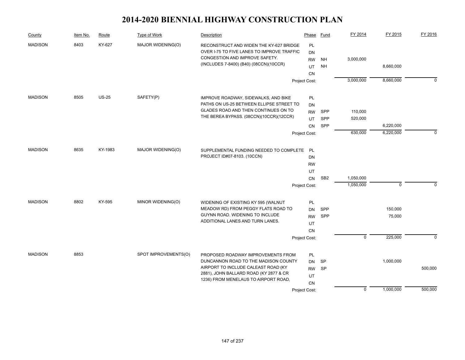| County         | Item No. | Route   | Type of Work         | Description                                | Phase         | <b>Fund</b>     | FY 2014                   | FY 2015     | FY 2016  |
|----------------|----------|---------|----------------------|--------------------------------------------|---------------|-----------------|---------------------------|-------------|----------|
| <b>MADISON</b> | 8403     | KY-627  | MAJOR WIDENING(O)    | RECONSTRUCT AND WIDEN THE KY-627 BRIDGE    | <b>PL</b>     |                 |                           |             |          |
|                |          |         |                      | OVER I-75 TO FIVE LANES TO IMPROVE TRAFFIC | <b>DN</b>     |                 |                           |             |          |
|                |          |         |                      | CONGESTION AND IMPROVE SAFETY.             | <b>RW</b>     | NH              | 3,000,000                 |             |          |
|                |          |         |                      | (INCLUDES 7-8400) (B40) (08CCN)(10CCR)     | UT            | <b>NH</b>       |                           | 8,660,000   |          |
|                |          |         |                      |                                            | <b>CN</b>     |                 |                           |             |          |
|                |          |         |                      |                                            | Project Cost: |                 | 3,000,000                 | 8,660,000   | $\Omega$ |
| <b>MADISON</b> | 8505     | $US-25$ | SAFETY(P)            | IMPROVE ROADWAY, SIDEWALKS, AND BIKE       | PL            |                 |                           |             |          |
|                |          |         |                      | PATHS ON US-25 BETWEEN ELLIPSE STREET TO   | DN            |                 |                           |             |          |
|                |          |         |                      | GLADES ROAD AND THEN CONTINUES ON TO       | <b>RW</b>     | <b>SPP</b>      | 110,000                   |             |          |
|                |          |         |                      | THE BEREA BYPASS. (08CCN)(10CCR)(12CCR)    | UT            | SPP             | 520,000                   |             |          |
|                |          |         |                      |                                            | CN            | SPP             |                           | 6,220,000   |          |
|                |          |         |                      |                                            | Project Cost: |                 | 630,000                   | 6,220,000   | $\Omega$ |
|                |          |         |                      |                                            |               |                 |                           |             |          |
| <b>MADISON</b> | 8635     | KY-1983 | MAJOR WIDENING(O)    | SUPPLEMENTAL FUNDING NEEDED TO COMPLETE PL |               |                 |                           |             |          |
|                |          |         |                      | PROJECT ID#07-8103. (10CCN)                | DN            |                 |                           |             |          |
|                |          |         |                      |                                            | <b>RW</b>     |                 |                           |             |          |
|                |          |         |                      |                                            | UT            |                 |                           |             |          |
|                |          |         |                      |                                            | CN            | SB <sub>2</sub> | 1,050,000                 |             | $\Omega$ |
|                |          |         |                      |                                            | Project Cost: |                 | 1,050,000                 | $\mathbf 0$ |          |
| <b>MADISON</b> | 8802     | KY-595  | MINOR WIDENING(O)    | WIDENING OF EXISTING KY 595 (WALNUT        | PL            |                 |                           |             |          |
|                |          |         |                      | MEADOW RD) FROM PEGGY FLATS ROAD TO        | <b>DN</b>     | SPP             |                           | 150,000     |          |
|                |          |         |                      | GUYNN ROAD. WIDENING TO INCLUDE            | <b>RW</b>     | SPP             |                           | 75,000      |          |
|                |          |         |                      | ADDITIONAL LANES AND TURN LANES.           | UT            |                 |                           |             |          |
|                |          |         |                      |                                            | <b>CN</b>     |                 |                           |             |          |
|                |          |         |                      |                                            | Project Cost: |                 | $\overline{\mathfrak{o}}$ | 225,000     | $\Omega$ |
| <b>MADISON</b> | 8853     |         | SPOT IMPROVEMENTS(O) | PROPOSED ROADWAY IMPROVEMENTS FROM         | PL            |                 |                           |             |          |
|                |          |         |                      | DUNCANNON ROAD TO THE MADISON COUNTY       | <b>DN</b>     | <b>SP</b>       |                           | 1,000,000   |          |
|                |          |         |                      | AIRPORT TO INCLUDE CALEAST ROAD (KY)       | <b>RW</b>     | <b>SP</b>       |                           |             | 500,000  |
|                |          |         |                      | 2881), JOHN BALLARD ROAD (KY 2877 & CR     | UT            |                 |                           |             |          |
|                |          |         |                      | 1236) FROM MENELAUS TO AIRPORT ROAD,       | CN            |                 |                           |             |          |
|                |          |         |                      |                                            | Project Cost: |                 | $\mathbf 0$               | 1,000,000   | 500,000  |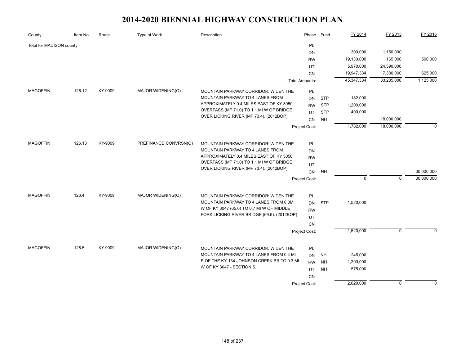| County                   | Item No. | Route   | Type of Work          | Description                                                                         | Phase                 | Fund       | FY 2014      | FY 2015      | FY 2016    |
|--------------------------|----------|---------|-----------------------|-------------------------------------------------------------------------------------|-----------------------|------------|--------------|--------------|------------|
| Total for MADISON county |          |         |                       |                                                                                     | PL                    |            |              |              |            |
|                          |          |         |                       |                                                                                     | DN                    |            | 300,000      | 1,150,000    |            |
|                          |          |         |                       |                                                                                     | <b>RW</b>             |            | 19,130,000   | 165,000      | 500,000    |
|                          |          |         |                       |                                                                                     | UT                    |            | 5,970,000    | 24,590,000   |            |
|                          |          |         |                       |                                                                                     | CN                    |            | 19,947,334   | 7,380,000    | 625,000    |
|                          |          |         |                       |                                                                                     | <b>Total Amounts:</b> |            | 45, 347, 334 | 33,285,000   | 1,125,000  |
| <b>MAGOFFIN</b>          | 126.12   | KY-9009 | MAJOR WIDENING(O)     | MOUNTAIN PARKWAY CORRIDOR: WIDEN THE                                                | PL                    |            |              |              |            |
|                          |          |         |                       | MOUNTAIN PARKWAY TO 4 LANES FROM                                                    | <b>DN</b>             | <b>STP</b> | 182,000      |              |            |
|                          |          |         |                       | APPROXIMATELY 0.4 MILES EAST OF KY 3050                                             | <b>RW</b>             | <b>STP</b> | 1,200,000    |              |            |
|                          |          |         |                       | OVERPASS (MP 71.0) TO 1.1 MI W OF BRIDGE                                            | UT                    | <b>STP</b> | 400,000      |              |            |
|                          |          |         |                       | OVER LICKING RIVER (MP 73.4). (2012BOP)                                             | <b>CN</b>             | <b>NH</b>  |              | 18,000,000   |            |
|                          |          |         |                       |                                                                                     | Project Cost:         |            | 1,782,000    | 18,000,000   | $\Omega$   |
|                          |          |         |                       |                                                                                     |                       |            |              |              |            |
| <b>MAGOFFIN</b>          | 126.13   | KY-9009 | PREFINANCD CONVRSN(O) | MOUNTAIN PARKWAY CORRIDOR: WIDEN THE                                                | PL                    |            |              |              |            |
|                          |          |         |                       | MOUNTAIN PARKWAY TO 4 LANES FROM                                                    | <b>DN</b>             |            |              |              |            |
|                          |          |         |                       | APPROXIMATELY 0.4 MILES EAST OF KY 3050                                             | <b>RW</b>             |            |              |              |            |
|                          |          |         |                       | OVERPASS (MP 71.0) TO 1.1 MI W OF BRIDGE<br>OVER LICKING RIVER (MP 73.4). (2012BOP) | UT                    |            |              |              |            |
|                          |          |         |                       |                                                                                     | CN                    | <b>NH</b>  |              |              | 30,000,000 |
|                          |          |         |                       |                                                                                     | Project Cost:         |            | $\mathbf 0$  | $\mathbf{0}$ | 30,000,000 |
| <b>MAGOFFIN</b>          | 126.4    | KY-9009 | MAJOR WIDENING(O)     | <b>MOUNTAIN PARKWAY CORRIDOR: WIDEN THE</b>                                         | PL                    |            |              |              |            |
|                          |          |         |                       | MOUNTAIN PARKWAY TO 4 LANES FROM 0.3MI                                              | <b>DN</b>             | <b>STP</b> | 1,520,000    |              |            |
|                          |          |         |                       | W OF KY 3047 (65.0) TO 0.7 MI W OF MIDDLE                                           | <b>RW</b>             |            |              |              |            |
|                          |          |         |                       | FORK LICKING RIVER BRIDGE (69.6). (2012BOP)                                         | UT                    |            |              |              |            |
|                          |          |         |                       |                                                                                     | CN                    |            |              |              |            |
|                          |          |         |                       |                                                                                     | Project Cost:         |            | 1,520,000    | $\mathbf 0$  | $\Omega$   |
|                          |          |         |                       |                                                                                     |                       |            |              |              |            |
| <b>MAGOFFIN</b>          | 126.5    | KY-9009 | MAJOR WIDENING(O)     | MOUNTAIN PARKWAY CORRIDOR: WIDEN THE                                                | PL                    |            |              |              |            |
|                          |          |         |                       | MOUNTAIN PARKWAY TO 4 LANES FROM 0.4 MI                                             | <b>DN</b>             | NH         | 245,000      |              |            |
|                          |          |         |                       | E OF THE KY-134 JOHNSON CREEK BR TO 0.3 MI                                          | <b>RW</b>             | <b>NH</b>  | 1,200,000    |              |            |
|                          |          |         |                       | W OF KY 3047 - SECTION 5.                                                           | UT                    | <b>NH</b>  | 575,000      |              |            |
|                          |          |         |                       |                                                                                     | <b>CN</b>             |            |              |              |            |
|                          |          |         |                       |                                                                                     | Project Cost:         |            | 2,020,000    | $\mathbf{0}$ | $\Omega$   |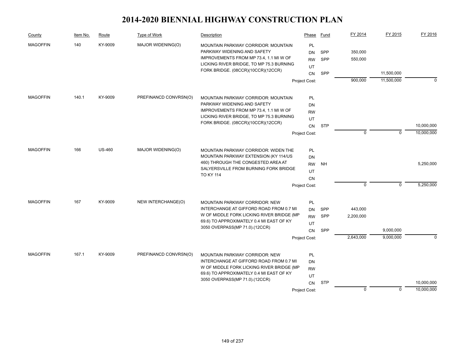| County          | Item No. | Route         | Type of Work          | Description                                                                          | Phase         | Fund       | FY 2014   | FY 2015     | FY 2016    |
|-----------------|----------|---------------|-----------------------|--------------------------------------------------------------------------------------|---------------|------------|-----------|-------------|------------|
| <b>MAGOFFIN</b> | 140      | KY-9009       | MAJOR WIDENING(O)     | MOUNTAIN PARKWAY CORRIDOR: MOUNTAIN                                                  | PL            |            |           |             |            |
|                 |          |               |                       | PARKWAY WIDENING AND SAFETY                                                          | DN            | <b>SPP</b> | 350,000   |             |            |
|                 |          |               |                       | IMPROVEMENTS FROM MP 73.4, 1.1 MI W OF                                               | <b>RW</b>     | <b>SPP</b> | 550,000   |             |            |
|                 |          |               |                       | LICKING RIVER BRIDGE, TO MP 75.3 BURNING<br>FORK BRIDGE. (08CCR)(10CCR)(12CCR)       | UT            |            |           |             |            |
|                 |          |               |                       |                                                                                      | <b>CN</b>     | SPP        |           | 11,500,000  |            |
|                 |          |               |                       |                                                                                      | Project Cost: |            | 900,000   | 11,500,000  | $\Omega$   |
| <b>MAGOFFIN</b> | 140.1    | KY-9009       | PREFINANCD CONVRSN(O) | MOUNTAIN PARKWAY CORRIDOR: MOUNTAIN                                                  | PL            |            |           |             |            |
|                 |          |               |                       | PARKWAY WIDENING AND SAFETY                                                          | DN            |            |           |             |            |
|                 |          |               |                       | IMPROVEMENTS FROM MP 73.4, 1.1 MI W OF                                               | <b>RW</b>     |            |           |             |            |
|                 |          |               |                       | LICKING RIVER BRIDGE, TO MP 75.3 BURNING                                             | UT            |            |           |             |            |
|                 |          |               |                       | FORK BRIDGE. (08CCR)(10CCR)(12CCR)                                                   |               | <b>STP</b> |           |             | 10,000,000 |
|                 |          |               |                       |                                                                                      | CN            |            | 0         | $\mathbf 0$ | 10,000,000 |
|                 |          |               |                       |                                                                                      | Project Cost: |            |           |             |            |
| <b>MAGOFFIN</b> | 166      | <b>US-460</b> | MAJOR WIDENING(O)     | MOUNTAIN PARKWAY CORRIDOR: WIDEN THE                                                 | PL            |            |           |             |            |
|                 |          |               |                       | MOUNTAIN PARKWAY EXTENSION (KY 114/US                                                | <b>DN</b>     |            |           |             |            |
|                 |          |               |                       | 460) THROUGH THE CONGESTED AREA AT                                                   | <b>RW</b>     | <b>NH</b>  |           |             | 5,250,000  |
|                 |          |               |                       | SALYERSVILLE FROM BURNING FORK BRIDGE                                                | UT            |            |           |             |            |
|                 |          |               |                       | <b>TO KY 114</b>                                                                     | <b>CN</b>     |            |           |             |            |
|                 |          |               |                       |                                                                                      | Project Cost: |            | $\Omega$  | $\mathbf 0$ | 5,250,000  |
|                 |          |               |                       |                                                                                      |               |            |           |             |            |
| <b>MAGOFFIN</b> | 167      | KY-9009       | NEW INTERCHANGE(O)    | MOUNTAIN PARKWAY CORRIDOR: NEW                                                       | PL            |            |           |             |            |
|                 |          |               |                       | INTERCHANGE AT GIFFORD ROAD FROM 0.7 MI<br>W OF MIDDLE FORK LICKING RIVER BRIDGE (MP | <b>DN</b>     | SPP        | 443,000   |             |            |
|                 |          |               |                       | 69.6) TO APPROXIMATELY 0.4 MI EAST OF KY                                             | <b>RW</b>     | <b>SPP</b> | 2,200,000 |             |            |
|                 |          |               |                       | 3050 OVERPASS(MP 71.0).(12CCR)                                                       | UT            |            |           |             |            |
|                 |          |               |                       |                                                                                      | <b>CN</b>     | SPP        |           | 9,000,000   |            |
|                 |          |               |                       |                                                                                      | Project Cost: |            | 2,643,000 | 9,000,000   | $\Omega$   |
| <b>MAGOFFIN</b> | 167.1    | KY-9009       | PREFINANCD CONVRSN(O) | <b>MOUNTAIN PARKWAY CORRIDOR: NEW</b>                                                | PL            |            |           |             |            |
|                 |          |               |                       | INTERCHANGE AT GIFFORD ROAD FROM 0.7 MI                                              | DN            |            |           |             |            |
|                 |          |               |                       | W OF MIDDLE FORK LICKING RIVER BRIDGE (MP                                            | <b>RW</b>     |            |           |             |            |
|                 |          |               |                       | 69.6) TO APPROXIMATELY 0.4 MI EAST OF KY                                             | UT            |            |           |             |            |
|                 |          |               |                       | 3050 OVERPASS(MP 71.0).(12CCR)                                                       | CN            | <b>STP</b> |           |             | 10,000,000 |
|                 |          |               |                       |                                                                                      | Project Cost: |            | $\Omega$  | $\mathbf 0$ | 10,000,000 |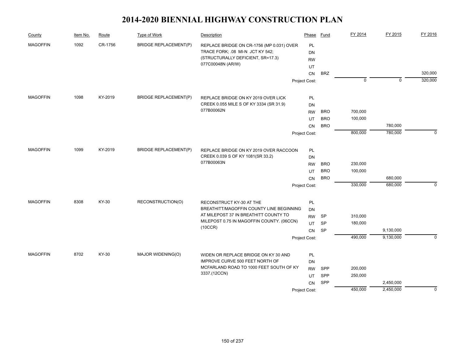| County          | Item No. | Route   | Type of Work                 | Description                                                                        | Phase           | Fund       | FY 2014     | FY 2015     | FY 2016     |
|-----------------|----------|---------|------------------------------|------------------------------------------------------------------------------------|-----------------|------------|-------------|-------------|-------------|
| <b>MAGOFFIN</b> | 1092     | CR-1756 | <b>BRIDGE REPLACEMENT(P)</b> | REPLACE BRIDGE ON CR-1756 (MP 0.031) OVER<br>TRACE FORK; .08 MI-N JCT KY 542;      | PL<br><b>DN</b> |            |             |             |             |
|                 |          |         |                              | (STRUCTURALLY DEFICIENT, SR=17.3)<br>077C00048N (AR/W)                             | <b>RW</b>       |            |             |             |             |
|                 |          |         |                              |                                                                                    | UT<br><b>CN</b> | <b>BRZ</b> |             |             | 320,000     |
|                 |          |         |                              |                                                                                    | Project Cost:   |            | $\mathbf 0$ | $\mathbf 0$ | 320,000     |
|                 |          |         |                              |                                                                                    |                 |            |             |             |             |
| <b>MAGOFFIN</b> | 1098     | KY-2019 | <b>BRIDGE REPLACEMENT(P)</b> | REPLACE BRIDGE ON KY 2019 OVER LICK                                                | PL              |            |             |             |             |
|                 |          |         |                              | CREEK 0.055 MILE S OF KY 3334 (SR 31.9)                                            | DN              |            |             |             |             |
|                 |          |         |                              | 077B00062N                                                                         | <b>RW</b>       | <b>BRO</b> | 700,000     |             |             |
|                 |          |         |                              |                                                                                    | UT              | <b>BRO</b> | 100,000     |             |             |
|                 |          |         |                              |                                                                                    | CN              | <b>BRO</b> |             | 780,000     |             |
|                 |          |         |                              |                                                                                    | Project Cost:   |            | 800,000     | 780,000     | $\Omega$    |
| <b>MAGOFFIN</b> | 1099     | KY-2019 | <b>BRIDGE REPLACEMENT(P)</b> |                                                                                    |                 |            |             |             |             |
|                 |          |         |                              | REPLACE BRIDGE ON KY 2019 OVER RACCOON<br>CREEK 0.039 S OF KY 1081(SR 33.2)        | PL              |            |             |             |             |
|                 |          |         | 077B00063N                   | DN<br><b>RW</b>                                                                    | <b>BRO</b>      | 230,000    |             |             |             |
|                 |          |         |                              | UT                                                                                 | <b>BRO</b>      | 100,000    |             |             |             |
|                 |          |         |                              |                                                                                    | <b>CN</b>       | <b>BRO</b> |             | 680,000     |             |
|                 |          |         |                              |                                                                                    | Project Cost:   |            | 330,000     | 680,000     | $\mathbf 0$ |
|                 |          |         |                              |                                                                                    |                 |            |             |             |             |
| <b>MAGOFFIN</b> | 8308     | KY-30   | RECONSTRUCTION(O)            | RECONSTRUCT KY-30 AT THE                                                           | PL              |            |             |             |             |
|                 |          |         |                              | BREATHITT/MAGOFFIN COUNTY LINE BEGINNING                                           | DN              |            |             |             |             |
|                 |          |         |                              | AT MILEPOST 37 IN BREATHITT COUNTY TO<br>MILEPOST 0.75 IN MAGOFFIN COUNTY. (06CCN) | <b>RW</b>       | SP         | 310,000     |             |             |
|                 |          |         |                              | (10CCR)                                                                            | UT              | <b>SP</b>  | 180,000     |             |             |
|                 |          |         |                              |                                                                                    | CN              | <b>SP</b>  |             | 9,130,000   |             |
|                 |          |         |                              |                                                                                    | Project Cost:   |            | 490,000     | 9,130,000   | $\Omega$    |
| <b>MAGOFFIN</b> | 8702     | KY-30   | MAJOR WIDENING(O)            | WIDEN OR REPLACE BRIDGE ON KY 30 AND                                               | PL              |            |             |             |             |
|                 |          |         |                              | IMPROVE CURVE 500 FEET NORTH OF                                                    | DN              |            |             |             |             |
|                 |          |         |                              | MCFARLAND ROAD TO 1000 FEET SOUTH OF KY                                            | <b>RW</b>       | SPP        | 200,000     |             |             |
|                 |          |         |                              | 3337.(12CCN)                                                                       | UT              | SPP        | 250,000     |             |             |
|                 |          |         |                              |                                                                                    | <b>CN</b>       | SPP        |             | 2,450,000   |             |
|                 |          |         |                              |                                                                                    | Project Cost:   |            | 450,000     | 2,450,000   | $\mathbf 0$ |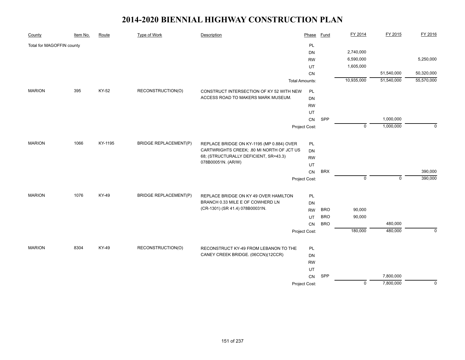| County                    | Item No. | Route   | Type of Work                 | Description                                                                            | Phase                 | <b>Fund</b> | FY 2014        | FY 2015     | FY 2016     |
|---------------------------|----------|---------|------------------------------|----------------------------------------------------------------------------------------|-----------------------|-------------|----------------|-------------|-------------|
| Total for MAGOFFIN county |          |         |                              |                                                                                        | PL                    |             |                |             |             |
|                           |          |         |                              |                                                                                        | <b>DN</b>             |             | 2,740,000      |             |             |
|                           |          |         |                              |                                                                                        | <b>RW</b>             |             | 6,590,000      |             | 5,250,000   |
|                           |          |         |                              |                                                                                        | UT                    |             | 1,605,000      |             |             |
|                           |          |         |                              |                                                                                        | CN                    |             |                | 51,540,000  | 50,320,000  |
|                           |          |         |                              |                                                                                        | <b>Total Amounts:</b> |             | 10,935,000     | 51,540,000  | 55,570,000  |
| <b>MARION</b>             | 395      | KY-52   | RECONSTRUCTION(O)            | CONSTRUCT INTERSECTION OF KY 52 WITH NEW                                               | PL                    |             |                |             |             |
|                           |          |         |                              | ACCESS ROAD TO MAKERS MARK MUSEUM.                                                     | DN                    |             |                |             |             |
|                           |          |         |                              |                                                                                        | <b>RW</b>             |             |                |             |             |
|                           |          |         |                              |                                                                                        | UT                    |             |                |             |             |
|                           |          |         |                              |                                                                                        | CN                    | SPP         |                | 1,000,000   |             |
|                           |          |         |                              |                                                                                        | Project Cost:         |             | $\mathbf 0$    | 1,000,000   | $\Omega$    |
|                           |          |         |                              |                                                                                        |                       |             |                |             |             |
| <b>MARION</b>             | 1066     | KY-1195 | <b>BRIDGE REPLACEMENT(P)</b> | REPLACE BRIDGE ON KY-1195 (MP 0.884) OVER<br>CARTWRIGHTS CREEK; .80 MI NORTH OF JCT US | PL<br><b>DN</b>       |             |                |             |             |
|                           |          |         |                              | 68; (STRUCTURALLY DEFICIENT, SR=43.3)                                                  | <b>RW</b>             |             |                |             |             |
|                           |          |         |                              | 078B00051N. (AR/W)                                                                     | UT                    |             |                |             |             |
|                           |          |         |                              |                                                                                        | CN                    | <b>BRX</b>  |                |             | 390,000     |
|                           |          |         |                              |                                                                                        | Project Cost:         |             | $\mathbf 0$    | $\mathbf 0$ | 390,000     |
|                           |          |         |                              |                                                                                        |                       |             |                |             |             |
| <b>MARION</b>             | 1076     | KY-49   | <b>BRIDGE REPLACEMENT(P)</b> | REPLACE BRIDGE ON KY 49 OVER HAMILTON                                                  | PL                    |             |                |             |             |
|                           |          |         |                              | BRANCH 0.33 MILE E OF COWHERD LN                                                       | <b>DN</b>             |             |                |             |             |
|                           |          |         |                              | (CR-1301) (SR 41.4) 078B00031N.                                                        | <b>RW</b>             | <b>BRO</b>  | 90,000         |             |             |
|                           |          |         |                              |                                                                                        | UT                    | <b>BRO</b>  | 90,000         |             |             |
|                           |          |         |                              |                                                                                        | CN                    | <b>BRO</b>  |                | 480,000     |             |
|                           |          |         |                              |                                                                                        | Project Cost:         |             | 180,000        | 480,000     | $\mathbf 0$ |
|                           |          |         |                              |                                                                                        |                       |             |                |             |             |
| <b>MARION</b>             | 8304     | KY-49   | RECONSTRUCTION(O)            | RECONSTRUCT KY-49 FROM LEBANON TO THE                                                  | PL                    |             |                |             |             |
|                           |          |         |                              | CANEY CREEK BRIDGE. (06CCN)(12CCR)                                                     | <b>DN</b>             |             |                |             |             |
|                           |          |         |                              |                                                                                        | <b>RW</b>             |             |                |             |             |
|                           |          |         |                              |                                                                                        | UT                    |             |                |             |             |
|                           |          |         |                              |                                                                                        | CN                    | SPP         |                | 7,800,000   |             |
|                           |          |         |                              |                                                                                        | Project Cost:         |             | $\overline{0}$ | 7,800,000   | $\mathbf 0$ |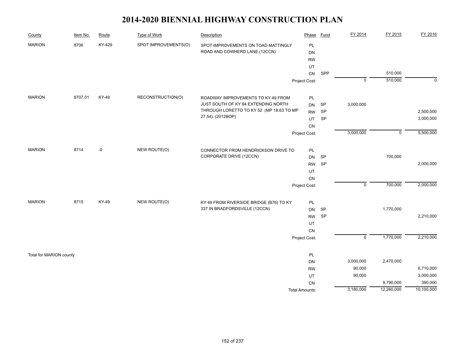| County                  | Item No. | Route  | Type of Work         | Description                              | Phase                 | Fund      | FY 2014                   | FY 2015        | FY 2016     |
|-------------------------|----------|--------|----------------------|------------------------------------------|-----------------------|-----------|---------------------------|----------------|-------------|
| <b>MARION</b>           | 8706     | KY-429 | SPOT IMPROVEMENTS(O) | SPOT IMPROVEMENTS ON TOAD MATTINGLY      | PL                    |           |                           |                |             |
|                         |          |        |                      | ROAD AND COWHERD LANE.(12CCN)            | DN                    |           |                           |                |             |
|                         |          |        |                      |                                          | <b>RW</b>             |           |                           |                |             |
|                         |          |        |                      |                                          | UT                    |           |                           |                |             |
|                         |          |        |                      |                                          | CN                    | SPP       |                           | 510,000        |             |
|                         |          |        |                      |                                          | Project Cost:         |           | $\mathbf 0$               | 510,000        | $\mathbf 0$ |
| <b>MARION</b>           | 8707.01  | KY-49  | RECONSTRUCTION(O)    | ROADWAY IMPROVEMENTS TO KY 49 FROM       | PL                    |           |                           |                |             |
|                         |          |        |                      | JUST SOUTH OF KY 84 EXTENDING NORTH      | <b>DN</b>             | SP        | 3,000,000                 |                |             |
|                         |          |        |                      | THROUGH LORETTO TO KY 52 (MP 18.63 TO MP | <b>RW</b>             | SP        |                           |                | 2,500,000   |
|                         |          |        |                      | 27.54). (2012BOP)                        | <b>UT</b>             | <b>SP</b> |                           |                | 3,000,000   |
|                         |          |        |                      |                                          | CN                    |           |                           |                |             |
|                         |          |        |                      |                                          | Project Cost:         |           | 3,000,000                 | $\overline{0}$ | 5,500,000   |
|                         |          |        |                      |                                          |                       |           |                           |                |             |
| <b>MARION</b>           | 8714     | -0     | NEW ROUTE(O)         | CONNECTOR FROM HENDRICKSON DRIVE TO      | PL                    |           |                           |                |             |
|                         |          |        |                      | CORPORATE DRIVE (12CCN)                  | DN                    | SP        |                           | 700,000        |             |
|                         |          |        |                      |                                          | <b>RW</b>             | SP        |                           |                | 2,000,000   |
|                         |          |        |                      |                                          | UT                    |           |                           |                |             |
|                         |          |        |                      |                                          | CN                    |           |                           |                |             |
|                         |          |        |                      |                                          | Project Cost:         |           | $\mathbf 0$               | 700,000        | 2,000,000   |
| <b>MARION</b>           | 8715     | KY-49  | NEW ROUTE(O)         | KY 49 FROM RIVERSIDE BRIDGE (B76) TO KY  | PL                    |           |                           |                |             |
|                         |          |        |                      | 337 IN BRADFORDSVILLE (12CCN)            | <b>DN</b>             | SP        |                           | 1,770,000      |             |
|                         |          |        |                      |                                          | <b>RW</b>             | <b>SP</b> |                           |                | 2,210,000   |
|                         |          |        |                      |                                          | UT                    |           |                           |                |             |
|                         |          |        |                      |                                          | CN                    |           |                           |                |             |
|                         |          |        |                      |                                          | Project Cost:         |           | $\overline{\mathfrak{o}}$ | 1,770,000      | 2,210,000   |
| Total for MARION county |          |        |                      |                                          | PL                    |           |                           |                |             |
|                         |          |        |                      |                                          | <b>DN</b>             |           | 3,000,000                 | 2,470,000      |             |
|                         |          |        |                      |                                          | <b>RW</b>             |           | 90,000                    |                | 6,710,000   |
|                         |          |        |                      |                                          | UT                    |           | 90,000                    |                | 3,000,000   |
|                         |          |        |                      |                                          | CN                    |           |                           | 9,790,000      | 390,000     |
|                         |          |        |                      |                                          | <b>Total Amounts:</b> |           | 3,180,000                 | 12,260,000     | 10,100,000  |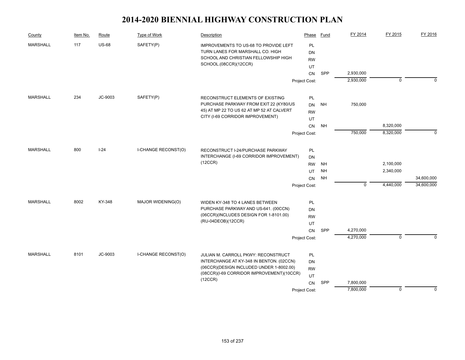| County          | Item No. | Route        | Type of Work               | Description                                                                         | Phase         | Fund      | FY 2014     | FY 2015        | FY 2016    |
|-----------------|----------|--------------|----------------------------|-------------------------------------------------------------------------------------|---------------|-----------|-------------|----------------|------------|
| <b>MARSHALL</b> | 117      | <b>US-68</b> | SAFETY(P)                  | IMPROVEMENTS TO US-68 TO PROVIDE LEFT                                               | PL            |           |             |                |            |
|                 |          |              |                            | TURN LANES FOR MARSHALL CO. HIGH                                                    | DN            |           |             |                |            |
|                 |          |              |                            | SCHOOL AND CHRISTIAN FELLOWSHIP HIGH                                                | <b>RW</b>     |           |             |                |            |
|                 |          |              |                            | SCHOOL.(08CCR)(12CCR)                                                               | UT            |           |             |                |            |
|                 |          |              |                            |                                                                                     | <b>CN</b>     | SPP       | 2,930,000   |                |            |
|                 |          |              |                            |                                                                                     | Project Cost: |           | 2,930,000   | $\mathbf 0$    | $\Omega$   |
|                 |          |              |                            |                                                                                     |               |           |             |                |            |
| <b>MARSHALL</b> | 234      | JC-9003      | SAFETY(P)                  | RECONSTRUCT ELEMENTS OF EXISTING                                                    | PL            |           |             |                |            |
|                 |          |              |                            | PURCHASE PARKWAY FROM EXIT 22 (KY80/US<br>45) AT MP 22 TO US 62 AT MP 52 AT CALVERT | <b>DN</b>     | <b>NH</b> | 750,000     |                |            |
|                 |          |              |                            | CITY (I-69 CORRIDOR IMPROVEMENT)                                                    | <b>RW</b>     |           |             |                |            |
|                 |          |              |                            |                                                                                     | UT            |           |             |                |            |
|                 |          |              |                            |                                                                                     | CN            | <b>NH</b> |             | 8,320,000      |            |
|                 |          |              |                            |                                                                                     | Project Cost: |           | 750,000     | 8,320,000      | $\Omega$   |
| <b>MARSHALL</b> | 800      | $I-24$       | <b>I-CHANGE RECONST(O)</b> | RECONSTRUCT I-24/PURCHASE PARKWAY                                                   | PL            |           |             |                |            |
|                 |          |              |                            | INTERCHANGE (I-69 CORRIDOR IMPROVEMENT)                                             | DN            |           |             |                |            |
|                 |          |              |                            | (12CCR)                                                                             | <b>RW</b>     | <b>NH</b> |             | 2,100,000      |            |
|                 |          |              |                            |                                                                                     | UT            | <b>NH</b> |             | 2,340,000      |            |
|                 |          |              |                            |                                                                                     | CN            | <b>NH</b> |             |                | 34,600,000 |
|                 |          |              |                            |                                                                                     | Project Cost: |           | $\mathbf 0$ | 4,440,000      | 34,600,000 |
|                 |          |              |                            |                                                                                     |               |           |             |                |            |
| <b>MARSHALL</b> | 8002     | KY-348       | MAJOR WIDENING(O)          | WIDEN KY-348 TO 4 LANES BETWEEN                                                     | PL            |           |             |                |            |
|                 |          |              |                            | PURCHASE PARKWAY AND US-641. (00CCN)                                                | DN            |           |             |                |            |
|                 |          |              |                            | (06CCR)(INCLUDES DESIGN FOR 1-8101.00)<br>(RU-04DEOB)(12CCR)                        | <b>RW</b>     |           |             |                |            |
|                 |          |              |                            |                                                                                     | UT            |           |             |                |            |
|                 |          |              |                            |                                                                                     | <b>CN</b>     | SPP       | 4,270,000   |                |            |
|                 |          |              |                            |                                                                                     | Project Cost: |           | 4,270,000   | $\overline{0}$ | $\Omega$   |
| <b>MARSHALL</b> | 8101     | JC-9003      | I-CHANGE RECONST(O)        | JULIAN M. CARROLL PKWY: RECONSTRUCT                                                 | PL            |           |             |                |            |
|                 |          |              |                            | INTERCHANGE AT KY-348 IN BENTON. (02CCN)                                            | <b>DN</b>     |           |             |                |            |
|                 |          |              |                            | (06CCR)(DESIGN INCLUDED UNDER 1-8002.00)                                            | <b>RW</b>     |           |             |                |            |
|                 |          |              |                            | (08CCR)(I-69 CORRIDOR IMPROVEMENT)(10CCR)                                           | UT            |           |             |                |            |
|                 |          |              |                            | (12CCR)                                                                             | <b>CN</b>     | SPP       | 7,800,000   |                |            |
|                 |          |              |                            |                                                                                     | Project Cost: |           | 7,800,000   | $\mathbf 0$    | $\Omega$   |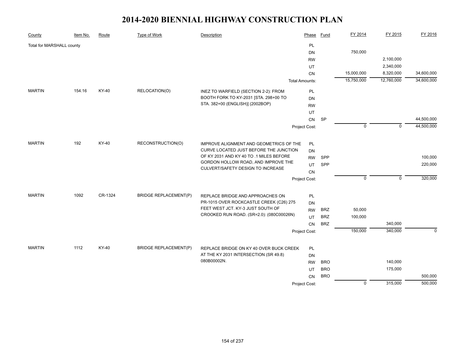| County                    | Item No. | Route   | <b>Type of Work</b>                 | Description                              | Phase                 | <b>Fund</b> | FY 2014        | FY 2015     | FY 2016    |
|---------------------------|----------|---------|-------------------------------------|------------------------------------------|-----------------------|-------------|----------------|-------------|------------|
| Total for MARSHALL county |          |         |                                     |                                          | PL                    |             |                |             |            |
|                           |          |         |                                     |                                          | <b>DN</b>             |             | 750,000        |             |            |
|                           |          |         |                                     |                                          | <b>RW</b>             |             |                | 2,100,000   |            |
|                           |          |         |                                     |                                          | UT                    |             |                | 2,340,000   |            |
|                           |          |         |                                     |                                          | CN                    |             | 15,000,000     | 8,320,000   | 34,600,000 |
|                           |          |         |                                     |                                          | <b>Total Amounts:</b> |             | 15,750,000     | 12,760,000  | 34,600,000 |
| <b>MARTIN</b>             | 154.16   | KY-40   | RELOCATION(O)                       | INEZ TO WARFIELD (SECTION 2-2): FROM     | PL                    |             |                |             |            |
|                           |          |         |                                     | BOOTH FORK TO KY-2031 [STA. 298+00 TO    | <b>DN</b>             |             |                |             |            |
|                           |          |         |                                     | STA. 382+00 (ENGLISH)] (2002BOP)         | <b>RW</b>             |             |                |             |            |
|                           |          |         |                                     |                                          | UT                    |             |                |             |            |
|                           |          |         |                                     |                                          | CN                    | SP          |                |             | 44,500,000 |
|                           |          |         |                                     |                                          | Project Cost:         |             | $\mathbf 0$    | $\mathbf 0$ | 44,500,000 |
| <b>MARTIN</b>             | 192      | KY-40   | RECONSTRUCTION(O)                   | IMPROVE ALIGNMENT AND GEOMETRICS OF THE  | <b>PL</b>             |             |                |             |            |
|                           |          |         |                                     | CURVE LOCATED JUST BEFORE THE JUNCTION   | DN                    |             |                |             |            |
|                           |          |         |                                     | OF KY 2031 AND KY 40 TO .1 MILES BEFORE  | <b>RW</b>             | SPP         |                |             | 100,000    |
|                           |          |         | GORDON HOLLOW ROAD, AND IMPROVE THE | UT                                       | SPP                   |             |                | 220,000     |            |
|                           |          |         |                                     | CULVERT/SAFETY DESIGN TO INCREASE        | CN                    |             |                |             |            |
|                           |          |         |                                     |                                          | Project Cost:         |             | $\mathbf 0$    | $\mathbf 0$ | 320,000    |
|                           |          |         |                                     |                                          |                       |             |                |             |            |
| <b>MARTIN</b>             | 1092     | CR-1324 | <b>BRIDGE REPLACEMENT(P)</b>        | REPLACE BRIDGE AND APPROACHES ON         | <b>PL</b>             |             |                |             |            |
|                           |          |         |                                     | PR-1015 OVER ROCKCASTLE CREEK (C26) 275  | <b>DN</b>             |             |                |             |            |
|                           |          |         |                                     | FEET WEST JCT. KY-3 JUST SOUTH OF        | <b>RW</b>             | <b>BRZ</b>  | 50,000         |             |            |
|                           |          |         |                                     | CROOKED RUN ROAD. (SR=2.0): (080C00026N) | UT                    | <b>BRZ</b>  | 100,000        |             |            |
|                           |          |         |                                     |                                          | CN                    | <b>BRZ</b>  |                | 340,000     |            |
|                           |          |         |                                     |                                          | Project Cost:         |             | 150,000        | 340,000     | $\Omega$   |
| <b>MARTIN</b>             | 1112     | KY-40   | <b>BRIDGE REPLACEMENT(P)</b>        | REPLACE BRIDGE ON KY 40 OVER BUCK CREEK  | <b>PL</b>             |             |                |             |            |
|                           |          |         |                                     | AT THE KY 2031 INTERSECTION (SR 49.8)    | DN                    |             |                |             |            |
|                           |          |         |                                     | 080B00002N.                              | <b>RW</b>             | <b>BRO</b>  |                | 140,000     |            |
|                           |          |         |                                     |                                          | UT                    | <b>BRO</b>  |                | 175,000     |            |
|                           |          |         |                                     |                                          | <b>CN</b>             | <b>BRO</b>  |                |             | 500,000    |
|                           |          |         |                                     |                                          | Project Cost:         |             | $\overline{0}$ | 315,000     | 500,000    |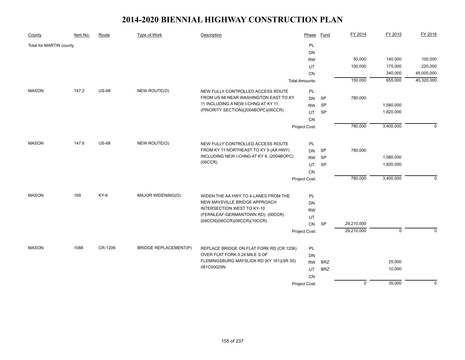| County                  | Item No. | Route        | <b>Type of Work</b>          | Description                                            | Phase                 | <b>Fund</b> | FY 2014        | FY 2015     | FY 2016      |
|-------------------------|----------|--------------|------------------------------|--------------------------------------------------------|-----------------------|-------------|----------------|-------------|--------------|
| Total for MARTIN county |          |              |                              |                                                        | PL                    |             |                |             |              |
|                         |          |              |                              |                                                        | DN                    |             |                |             |              |
|                         |          |              |                              |                                                        | <b>RW</b>             |             | 50,000         | 140,000     | 100,000      |
|                         |          |              |                              |                                                        | UT                    |             | 100,000        | 175,000     | 220,000      |
|                         |          |              |                              |                                                        | CN                    |             |                | 340,000     | 45,000,000   |
|                         |          |              |                              |                                                        | <b>Total Amounts:</b> |             | 150,000        | 655,000     | 45,320,000   |
| <b>MASON</b>            | 147.2    | <b>US-68</b> | NEW ROUTE(O)                 | NEW FULLY CONTROLLED ACCESS ROUTE                      | PL                    |             |                |             |              |
|                         |          |              |                              | FROM US 68 NEAR WASHINGTON EAST TO KY                  | <b>DN</b>             | <b>SP</b>   | 780,000        |             |              |
|                         |          |              |                              | 11 INCLUDING A NEW I-CHNG AT KY 11.                    | <b>RW</b>             | SP          |                | 1,580,000   |              |
|                         |          |              |                              | (PRIORITY SECTION)(2004BOPC)(06CCR)                    | <b>UT</b>             | SP          |                | 1,820,000   |              |
|                         |          |              |                              |                                                        | CN                    |             |                |             |              |
|                         |          |              |                              |                                                        | Project Cost:         |             | 780,000        | 3,400,000   | $\Omega$     |
|                         |          |              |                              |                                                        |                       |             |                |             |              |
| <b>MASON</b>            | 147.6    | <b>US-68</b> | NEW ROUTE(O)                 | NEW FULLY CONTROLLED ACCESS ROUTE                      | PL                    |             |                |             |              |
|                         |          |              |                              | FROM KY 11 NORTHEAST TO KY 9 (AA HWY)                  | <b>DN</b>             | <b>SP</b>   | 780,000        |             |              |
|                         |          |              |                              | INCLUDING NEW I-CHNG AT KY 9. (2004BOPC)               | <b>RW</b>             | SP          |                | 1,580,000   |              |
|                         |          |              |                              | (06CCR)                                                | <b>UT</b>             | <b>SP</b>   |                | 1,820,000   |              |
|                         |          |              |                              |                                                        | CN                    |             |                |             |              |
|                         |          |              |                              |                                                        | Project Cost:         |             | 780,000        | 3,400,000   | $\mathbf{0}$ |
|                         |          |              |                              |                                                        |                       |             |                |             |              |
| <b>MASON</b>            | 169      | KY-9         | MAJOR WIDENING(O)            | WIDEN THE AA HWY TO 4-LANES FROM THE                   | PL                    |             |                |             |              |
|                         |          |              |                              | NEW MAYSVILLE BRIDGE APPROACH                          | DN                    |             |                |             |              |
|                         |          |              |                              | INTERSECTION WEST TO KY-10                             | <b>RW</b>             |             |                |             |              |
|                         |          |              |                              | (FERNLEAF-GERMANTOWN RD). (00CCR)                      | UT                    |             |                |             |              |
|                         |          |              |                              | (04CCN)(06CCR)(08CCR)(10CCR)                           | CN                    | SP          | 29,210,000     |             |              |
|                         |          |              |                              |                                                        | Project Cost:         |             | 29,210,000     | $\mathbf 0$ | $\mathbf{0}$ |
|                         |          |              |                              |                                                        |                       |             |                |             |              |
| <b>MASON</b>            | 1088     | CR-1206      | <b>BRIDGE REPLACEMENT(P)</b> | REPLACE BRIDGE ON FLAT FORK RD (CR 1206)               | PL                    |             |                |             |              |
|                         |          |              |                              | OVER FLAT FORK 0.24 MILE S OF                          | <b>DN</b>             |             |                |             |              |
|                         |          |              |                              | FLEMINGSBURG MAYSLICK RD (KY 161)(SR 30)<br>081C00025N | <b>RW</b>             | <b>BRZ</b>  |                | 25,000      |              |
|                         |          |              |                              |                                                        | UT                    | <b>BRZ</b>  |                | 10,000      |              |
|                         |          |              |                              |                                                        | <b>CN</b>             |             |                |             |              |
|                         |          |              |                              |                                                        | Project Cost:         |             | $\overline{0}$ | 35,000      | $\mathbf 0$  |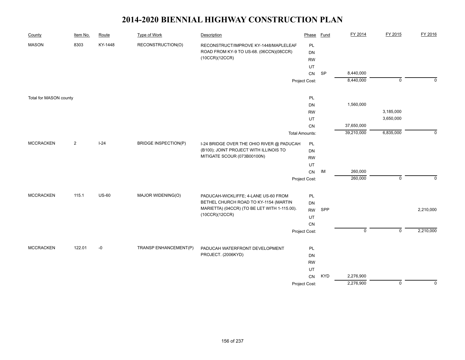| County                 | Item No. | Route        | Type of Work                | Description                                  | Phase                 | <b>Fund</b> | FY 2014     | FY 2015        | FY 2016     |
|------------------------|----------|--------------|-----------------------------|----------------------------------------------|-----------------------|-------------|-------------|----------------|-------------|
| <b>MASON</b>           | 8303     | KY-1448      | RECONSTRUCTION(O)           | RECONSTRUCT/IMPROVE KY-1448/MAPLELEAF        | PL                    |             |             |                |             |
|                        |          |              |                             | ROAD FROM KY-9 TO US-68. (06CCN)(08CCR)      | <b>DN</b>             |             |             |                |             |
|                        |          |              |                             | (10CCR)(12CCR)                               | <b>RW</b>             |             |             |                |             |
|                        |          |              |                             |                                              | UT                    |             |             |                |             |
|                        |          |              |                             |                                              | CN                    | <b>SP</b>   | 8,440,000   |                |             |
|                        |          |              |                             |                                              | Project Cost:         |             | 8,440,000   | $\overline{0}$ | $\mathbf 0$ |
|                        |          |              |                             |                                              |                       |             |             |                |             |
| Total for MASON county |          |              |                             |                                              | PL                    |             | 1,560,000   |                |             |
|                        |          |              |                             |                                              | DN                    |             |             | 3,185,000      |             |
|                        |          |              |                             |                                              | <b>RW</b>             |             |             | 3,650,000      |             |
|                        |          |              |                             |                                              | UT                    |             | 37,650,000  |                |             |
|                        |          |              |                             |                                              | CN                    |             | 39,210,000  | 6,835,000      | $\mathbf 0$ |
|                        |          |              |                             |                                              | <b>Total Amounts:</b> |             |             |                |             |
| <b>MCCRACKEN</b>       | 2        | $I-24$       | <b>BRIDGE INSPECTION(P)</b> | I-24 BRIDGE OVER THE OHIO RIVER @ PADUCAH    | PL                    |             |             |                |             |
|                        |          |              |                             | (B100); JOINT PROJECT WITH ILLINOIS TO       | DN                    |             |             |                |             |
|                        |          |              |                             | MITIGATE SCOUR (073B00100N)                  | <b>RW</b>             |             |             |                |             |
|                        |          |              |                             |                                              |                       |             |             |                |             |
|                        |          |              |                             |                                              | ${\sf CN}$            | IM          | 260,000     |                |             |
|                        |          |              |                             |                                              | Project Cost:         |             | 260,000     | $\mathsf 0$    | $\Omega$    |
| <b>MCCRACKEN</b>       | 115.1    | <b>US-60</b> | MAJOR WIDENING(O)           | PADUCAH-WICKLIFFE; 4-LANE US-60 FROM         | PL                    |             |             |                |             |
|                        |          |              |                             | BETHEL CHURCH ROAD TO KY-1154 (MARTIN        | DN                    |             |             |                |             |
|                        |          |              |                             | MARIETTA) (04CCR) (TO BE LET WITH 1-115.00). | <b>RW</b>             | SPP         |             |                | 2,210,000   |
|                        |          |              |                             | (10CCR)(12CCR)                               | UT                    |             |             |                |             |
|                        |          |              |                             |                                              | ${\sf CN}$            |             |             |                |             |
|                        |          |              |                             |                                              | Project Cost:         |             | $\mathsf 0$ | $\mathsf 0$    | 2,210,000   |
|                        |          |              |                             |                                              |                       |             |             |                |             |
| <b>MCCRACKEN</b>       | 122.01   | -0           | TRANSP ENHANCEMENT(P)       | PADUCAH WATERFRONT DEVELOPMENT               | PL                    |             |             |                |             |
|                        |          |              |                             | PROJECT. (2006KYD)                           | DN                    |             |             |                |             |
|                        |          |              |                             |                                              | <b>RW</b>             |             |             |                |             |
|                        |          |              |                             |                                              | UT                    |             |             |                |             |
|                        |          |              |                             |                                              | ${\sf CN}$            | <b>KYD</b>  | 2,276,900   |                |             |
|                        |          |              |                             |                                              | Project Cost:         |             | 2,276,900   | $\overline{0}$ | $\mathbf 0$ |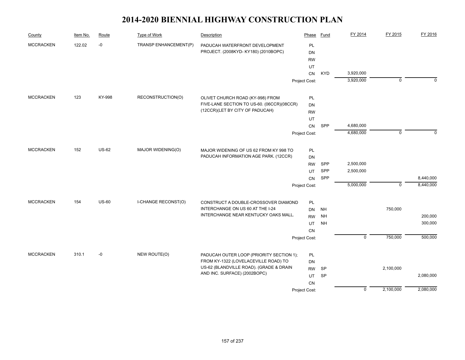| County           | Item No. | Route        | Type of Work               | Description                                                                     | Phase                      | Fund                   | FY 2014     | FY 2015        | FY 2016   |
|------------------|----------|--------------|----------------------------|---------------------------------------------------------------------------------|----------------------------|------------------------|-------------|----------------|-----------|
| <b>MCCRACKEN</b> | 122.02   | $-0$         | TRANSP ENHANCEMENT(P)      | PADUCAH WATERFRONT DEVELOPMENT                                                  | PL                         |                        |             |                |           |
|                  |          |              |                            | PROJECT. (2008KYD-KY180) (2010BOPC)                                             | DN                         |                        |             |                |           |
|                  |          |              |                            |                                                                                 | <b>RW</b>                  |                        |             |                |           |
|                  |          |              |                            |                                                                                 | UT                         |                        |             |                |           |
|                  |          |              |                            |                                                                                 | CN                         | <b>KYD</b>             | 3,920,000   |                |           |
|                  |          |              |                            |                                                                                 | Project Cost:              |                        | 3,920,000   | $\overline{0}$ | $\Omega$  |
| <b>MCCRACKEN</b> | 123      | KY-998       | RECONSTRUCTION(O)          | OLIVET CHURCH ROAD (KY-998) FROM                                                | PL                         |                        |             |                |           |
|                  |          |              |                            | FIVE-LANE SECTION TO US-60. (06CCR)(08CCR)                                      | <b>DN</b>                  |                        |             |                |           |
|                  |          |              |                            | (12CCR)(LET BY CITY OF PADUCAH)                                                 | <b>RW</b>                  |                        |             |                |           |
|                  |          |              |                            |                                                                                 | UT                         |                        |             |                |           |
|                  |          |              |                            |                                                                                 | CN                         | SPP                    | 4,680,000   |                |           |
|                  |          |              |                            |                                                                                 | Project Cost:              |                        | 4,680,000   | $\pmb{0}$      | $\Omega$  |
| <b>MCCRACKEN</b> | 152      | <b>US-62</b> | MAJOR WIDENING(O)          | MAJOR WIDENING OF US 62 FROM KY 998 TO                                          | PL                         |                        |             |                |           |
|                  |          |              |                            | PADUCAH INFORMATION AGE PARK. (12CCR)                                           | <b>DN</b>                  |                        |             |                |           |
|                  |          |              |                            |                                                                                 | SPP                        | 2,500,000              |             |                |           |
|                  |          |              |                            |                                                                                 | <b>RW</b><br>UT            | SPP                    | 2,500,000   |                |           |
|                  |          |              |                            |                                                                                 | CN                         | SPP                    |             |                | 8,440,000 |
|                  |          |              |                            |                                                                                 | Project Cost:              |                        | 5,000,000   | $\Omega$       | 8,440,000 |
| <b>MCCRACKEN</b> | 154      | <b>US-60</b> | <b>I-CHANGE RECONST(O)</b> |                                                                                 |                            |                        |             |                |           |
|                  |          |              |                            | CONSTRUCT A DOUBLE-CROSSOVER DIAMOND<br>INTERCHANGE ON US 60 AT THE I-24        | PL<br>DN                   | <b>NH</b>              |             | 750,000        |           |
|                  |          |              |                            | INTERCHANGE NEAR KENTUCKY OAKS MALL.                                            | <b>RW</b>                  | <b>NH</b>              |             |                | 200,000   |
|                  |          |              |                            |                                                                                 | UT                         | <b>NH</b>              |             |                | 300,000   |
|                  |          |              |                            |                                                                                 | CN                         |                        |             |                |           |
|                  |          |              |                            |                                                                                 | Project Cost:              |                        | $\mathbf 0$ | 750,000        | 500,000   |
|                  |          |              |                            |                                                                                 |                            |                        |             |                |           |
| <b>MCCRACKEN</b> | 310.1    | $-0$         | NEW ROUTE(O)               | PADUCAH OUTER LOOP (PRIORITY SECTION 1);                                        | PL                         |                        |             |                |           |
|                  |          |              |                            | FROM KY-1322 (LOVELACEVILLE ROAD) TO<br>US-62 (BLANDVILLE ROAD). (GRADE & DRAIN | <b>DN</b>                  |                        |             |                |           |
|                  |          |              |                            | AND INC. SURFACE) (2002BOPC)                                                    | <b>RW</b>                  | <b>SP</b><br><b>SP</b> |             | 2,100,000      | 2,080,000 |
|                  |          |              |                            |                                                                                 | UT                         |                        |             |                |           |
|                  |          |              |                            |                                                                                 | <b>CN</b><br>Project Cost: |                        | $\mathbf 0$ | 2,100,000      | 2,080,000 |
|                  |          |              |                            |                                                                                 |                            |                        |             |                |           |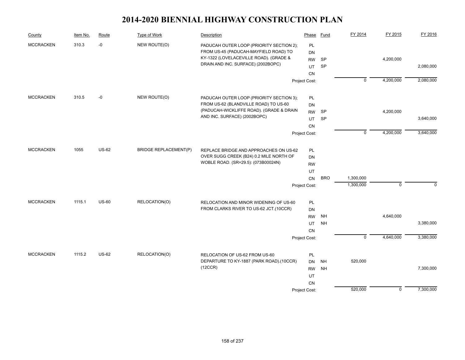| County           | Item No. | Route        | Type of Work                        | Description                                                                      | Phase           | Fund                   | FY 2014                   | FY 2015     | FY 2016     |
|------------------|----------|--------------|-------------------------------------|----------------------------------------------------------------------------------|-----------------|------------------------|---------------------------|-------------|-------------|
| <b>MCCRACKEN</b> | 310.3    | $-0$         | NEW ROUTE(O)                        | PADUCAH OUTER LOOP (PRIORITY SECTION 2);                                         | PL              |                        |                           |             |             |
|                  |          |              |                                     | FROM US-45 (PADUCAH-MAYFIELD ROAD) TO                                            | DN              |                        |                           |             |             |
|                  |          |              |                                     | KY-1322 (LOVELACEVILLE ROAD). (GRADE &                                           | <b>RW</b>       | <b>SP</b>              |                           | 4,200,000   |             |
|                  |          |              |                                     | DRAIN AND INC. SURFACE) (2002BOPC)                                               | UT              | SP                     |                           |             | 2,080,000   |
|                  |          |              |                                     |                                                                                  | CN              |                        |                           |             |             |
|                  |          |              |                                     |                                                                                  | Project Cost:   |                        | $\overline{0}$            | 4,200,000   | 2,080,000   |
| <b>MCCRACKEN</b> | 310.5    | $-0$         | NEW ROUTE(O)                        | PADUCAH OUTER LOOP (PRIORITY SECTION 3);                                         | PL              |                        |                           |             |             |
|                  |          |              |                                     | FROM US-62 (BLANDVILLE ROAD) TO US-60                                            | DN              |                        |                           |             |             |
|                  |          |              |                                     | (PADUCAH-WICKLIFFE ROAD). (GRADE & DRAIN                                         | <b>RW</b>       | <b>SP</b>              |                           | 4,200,000   |             |
|                  |          |              |                                     | AND INC. SURFACE) (2002BOPC)                                                     | UT              | SP                     |                           |             | 3,640,000   |
|                  |          |              |                                     |                                                                                  | <b>CN</b>       |                        |                           |             |             |
|                  |          |              |                                     |                                                                                  | Project Cost:   |                        | $\mathbf 0$               | 4,200,000   | 3,640,000   |
| <b>MCCRACKEN</b> | 1055     | <b>US-62</b> | <b>BRIDGE REPLACEMENT(P)</b>        | REPLACE BRIDGE AND APPROACHES ON US-62                                           | PL              |                        |                           |             |             |
|                  |          |              |                                     | OVER SUGG CREEK (B24) 0.2 MILE NORTH OF                                          | DN              |                        |                           |             |             |
|                  |          |              | WOBLE ROAD. (SR=29.5): (073B00024N) | <b>RW</b>                                                                        |                 |                        |                           |             |             |
|                  |          |              |                                     |                                                                                  | UT              |                        |                           |             |             |
|                  |          |              |                                     |                                                                                  | ${\sf CN}$      | <b>BRO</b>             | 1,300,000                 |             |             |
|                  |          |              |                                     |                                                                                  | Project Cost:   |                        | 1,300,000                 | $\mathbf 0$ | $\mathbf 0$ |
| <b>MCCRACKEN</b> | 1115.1   | <b>US-60</b> | RELOCATION(O)                       |                                                                                  |                 |                        |                           |             |             |
|                  |          |              |                                     | RELOCATION AND MINOR WIDENING OF US-60<br>FROM CLARKS RIVER TO US-62 JCT.(10CCR) | PL              |                        |                           |             |             |
|                  |          |              |                                     |                                                                                  | DN              |                        |                           | 4,640,000   |             |
|                  |          |              |                                     |                                                                                  | <b>RW</b><br>UT | <b>NH</b><br><b>NH</b> |                           |             | 3,380,000   |
|                  |          |              |                                     |                                                                                  | CN              |                        |                           |             |             |
|                  |          |              |                                     |                                                                                  | Project Cost:   |                        | $\overline{\mathfrak{o}}$ | 4,640,000   | 3,380,000   |
|                  |          |              |                                     |                                                                                  |                 |                        |                           |             |             |
| <b>MCCRACKEN</b> | 1115.2   | <b>US-62</b> | RELOCATION(O)                       | RELOCATION OF US-62 FROM US-60                                                   | PL              |                        |                           |             |             |
|                  |          |              |                                     | DEPARTURE TO KY-1887 (PARK ROAD).(10CCR)<br>(12CCR)                              | <b>DN</b>       | <b>NH</b>              | 520,000                   |             |             |
|                  |          |              |                                     |                                                                                  | <b>RW</b>       | <b>NH</b>              |                           |             | 7,300,000   |
|                  |          |              |                                     |                                                                                  | UT              |                        |                           |             |             |
|                  |          |              |                                     |                                                                                  | <b>CN</b>       |                        |                           |             |             |
|                  |          |              |                                     |                                                                                  | Project Cost:   |                        | 520,000                   | $\mathbf 0$ | 7,300,000   |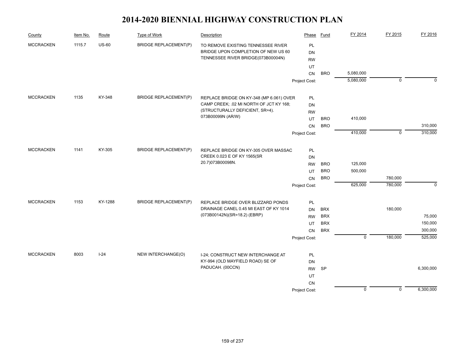| County           | Item No. | Route        | Type of Work                 | Description                                                            | Phase           | Fund       | FY 2014     | FY 2015     | FY 2016     |
|------------------|----------|--------------|------------------------------|------------------------------------------------------------------------|-----------------|------------|-------------|-------------|-------------|
| <b>MCCRACKEN</b> | 1115.7   | <b>US-60</b> | <b>BRIDGE REPLACEMENT(P)</b> | TO REMOVE EXISTING TENNESSEE RIVER                                     | PL              |            |             |             |             |
|                  |          |              |                              | BRIDGE UPON COMPLETION OF NEW US 60                                    | <b>DN</b>       |            |             |             |             |
|                  |          |              |                              | TENNESSEE RIVER BRIDGE(073B00004N)                                     | <b>RW</b>       |            |             |             |             |
|                  |          |              |                              |                                                                        | UT              |            |             |             |             |
|                  |          |              |                              |                                                                        | CN              | <b>BRO</b> | 5,080,000   |             |             |
|                  |          |              |                              |                                                                        | Project Cost:   |            | 5,080,000   | $\mathbf 0$ | $\Omega$    |
| <b>MCCRACKEN</b> | 1135     | KY-348       | <b>BRIDGE REPLACEMENT(P)</b> | REPLACE BRIDGE ON KY-348 (MP 6.061) OVER                               | <b>PL</b>       |            |             |             |             |
|                  |          |              |                              | CAMP CREEK; .02 MI NORTH OF JCT KY 168;                                | DN              |            |             |             |             |
|                  |          |              |                              | (STRUCTURALLY DEFICIENT, SR=4).                                        | <b>RW</b>       |            |             |             |             |
|                  |          |              |                              | 073B00099N (AR/W)                                                      | UT              | <b>BRO</b> | 410,000     |             |             |
|                  |          |              |                              |                                                                        | CN              | <b>BRO</b> |             |             | 310,000     |
|                  |          |              |                              |                                                                        | Project Cost:   |            | 410,000     | $\pmb{0}$   | 310,000     |
| <b>MCCRACKEN</b> | 1141     | KY-305       | <b>BRIDGE REPLACEMENT(P)</b> | REPLACE BRIDGE ON KY-305 OVER MASSAC                                   | <b>PL</b>       |            |             |             |             |
|                  |          |              |                              | CREEK 0.023 E OF KY 1565(SR                                            | DN              |            |             |             |             |
|                  |          |              |                              | 20.7)073B00098N.                                                       | <b>RW</b>       | <b>BRO</b> | 125,000     |             |             |
|                  |          |              |                              |                                                                        | UT              | <b>BRO</b> | 500,000     |             |             |
|                  |          |              |                              |                                                                        | CN              | <b>BRO</b> |             | 780,000     |             |
|                  |          |              |                              |                                                                        | Project Cost:   |            | 625,000     | 780,000     | $\mathbf 0$ |
| <b>MCCRACKEN</b> | 1153     | KY-1288      | <b>BRIDGE REPLACEMENT(P)</b> | REPLACE BRIDGE OVER BLIZZARD PONDS                                     | $\mathsf{PL}$   |            |             |             |             |
|                  |          |              |                              | DRAINAGE CANEL 0.45 MI EAST OF KY 1014                                 | <b>DN</b>       | <b>BRX</b> |             | 180,000     |             |
|                  |          |              |                              | (073B00142N)(SR=18.2) (EBRP)                                           | <b>RW</b>       | <b>BRX</b> |             |             | 75,000      |
|                  |          |              |                              |                                                                        | UT              | <b>BRX</b> |             |             | 150,000     |
|                  |          |              |                              |                                                                        | CN              | <b>BRX</b> |             |             | 300,000     |
|                  |          |              |                              |                                                                        | Project Cost:   |            | $\mathbf 0$ | 180,000     | 525,000     |
| <b>MCCRACKEN</b> | 8003     | $I-24$       | NEW INTERCHANGE(O)           |                                                                        |                 |            |             |             |             |
|                  |          |              |                              | I-24; CONSTRUCT NEW INTERCHANGE AT<br>KY-994 (OLD MAYFIELD ROAD) SE OF | PL<br><b>DN</b> |            |             |             |             |
|                  |          |              |                              | PADUCAH. (00CCN)                                                       | <b>RW</b>       | SP         |             |             | 6,300,000   |
|                  |          |              |                              |                                                                        | UT              |            |             |             |             |
|                  |          |              |                              |                                                                        | <b>CN</b>       |            |             |             |             |
|                  |          |              |                              |                                                                        | Project Cost:   |            | $\mathbf 0$ | $\pmb{0}$   | 6,300,000   |
|                  |          |              |                              |                                                                        |                 |            |             |             |             |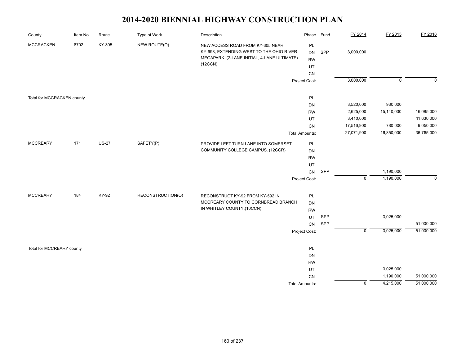| County                     | Item No. | Route        | Type of Work      | Description                                                                                                                            | Phase                             | Fund | FY 2014        | FY 2015        | FY 2016     |
|----------------------------|----------|--------------|-------------------|----------------------------------------------------------------------------------------------------------------------------------------|-----------------------------------|------|----------------|----------------|-------------|
| <b>MCCRACKEN</b>           | 8702     | KY-305       | NEW ROUTE(O)      | NEW ACCESS ROAD FROM KY-305 NEAR<br>KY-998, EXTENDING WEST TO THE OHIO RIVER<br>MEGAPARK. (2-LANE INITIAL, 4-LANE ULTIMATE)<br>(12CCN) | PL<br>DN<br><b>RW</b><br>UT<br>CN | SPP  | 3,000,000      |                |             |
|                            |          |              |                   |                                                                                                                                        | Project Cost:                     |      | 3,000,000      | $\overline{0}$ | $\Omega$    |
| Total for MCCRACKEN county |          |              |                   |                                                                                                                                        | PL                                |      |                |                |             |
|                            |          |              |                   |                                                                                                                                        | DN                                |      | 3,520,000      | 930,000        |             |
|                            |          |              |                   |                                                                                                                                        | <b>RW</b>                         |      | 2,625,000      | 15,140,000     | 16,085,000  |
|                            |          |              |                   |                                                                                                                                        | UT                                |      | 3,410,000      |                | 11,630,000  |
|                            |          |              |                   |                                                                                                                                        | CN                                |      | 17,516,900     | 780,000        | 9,050,000   |
|                            |          |              |                   |                                                                                                                                        | <b>Total Amounts:</b>             |      | 27,071,900     | 16,850,000     | 36,765,000  |
| <b>MCCREARY</b>            | 171      | <b>US-27</b> | SAFETY(P)         | PROVIDE LEFT TURN LANE INTO SOMERSET                                                                                                   | PL                                |      |                |                |             |
|                            |          |              |                   | COMMUNITY COLLEGE CAMPUS. (12CCR)                                                                                                      | <b>DN</b>                         |      |                |                |             |
|                            |          |              |                   |                                                                                                                                        | <b>RW</b>                         |      |                |                |             |
|                            |          |              |                   |                                                                                                                                        | UT                                |      |                |                |             |
|                            |          |              |                   |                                                                                                                                        | CN                                | SPP  |                | 1,190,000      |             |
|                            |          |              |                   |                                                                                                                                        | Project Cost:                     |      | $\mathbf 0$    | 1,190,000      | $\mathbf 0$ |
| <b>MCCREARY</b>            | 184      | KY-92        | RECONSTRUCTION(O) | RECONSTRUCT KY-92 FROM KY-592 IN                                                                                                       | PL                                |      |                |                |             |
|                            |          |              |                   | MCCREARY COUNTY TO CORNBREAD BRANCH                                                                                                    | DN                                |      |                |                |             |
|                            |          |              |                   | IN WHITLEY COUNTY.(10CCN)                                                                                                              | <b>RW</b>                         |      |                |                |             |
|                            |          |              |                   |                                                                                                                                        | UT                                | SPP  |                | 3,025,000      |             |
|                            |          |              |                   |                                                                                                                                        | CN                                | SPP  |                |                | 51,000,000  |
|                            |          |              |                   |                                                                                                                                        | Project Cost:                     |      | $\mathsf 0$    | 3,025,000      | 51,000,000  |
|                            |          |              |                   |                                                                                                                                        |                                   |      |                |                |             |
| Total for MCCREARY county  |          |              |                   |                                                                                                                                        | PL<br>DN                          |      |                |                |             |
|                            |          |              |                   |                                                                                                                                        | <b>RW</b>                         |      |                |                |             |
|                            |          |              |                   |                                                                                                                                        | UT                                |      |                | 3,025,000      |             |
|                            |          |              |                   |                                                                                                                                        | CN                                |      |                | 1,190,000      | 51,000,000  |
|                            |          |              |                   |                                                                                                                                        | <b>Total Amounts:</b>             |      | $\overline{0}$ | 4,215,000      | 51,000,000  |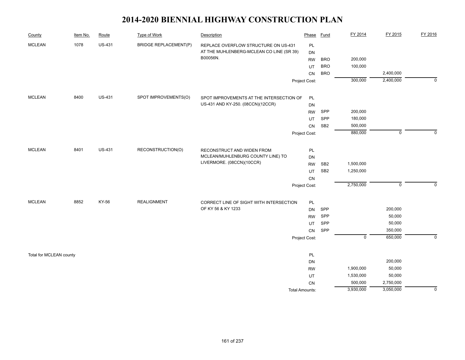| County                  | Item No. | Route         | <b>Type of Work</b>          | Description                                                     | Phase                 | <b>Fund</b>     | FY 2014                   | FY 2015     | FY 2016     |
|-------------------------|----------|---------------|------------------------------|-----------------------------------------------------------------|-----------------------|-----------------|---------------------------|-------------|-------------|
| <b>MCLEAN</b>           | 1078     | <b>US-431</b> | <b>BRIDGE REPLACEMENT(P)</b> | REPLACE OVERFLOW STRUCTURE ON US-431                            | PL                    |                 |                           |             |             |
|                         |          |               |                              | AT THE MUHLENBERG-MCLEAN CO LINE (SR 39)                        | DN                    |                 |                           |             |             |
|                         |          |               |                              | B00056N.                                                        | <b>RW</b>             | <b>BRO</b>      | 200,000                   |             |             |
|                         |          |               |                              |                                                                 | UT                    | <b>BRO</b>      | 100,000                   |             |             |
|                         |          |               |                              |                                                                 | CN                    | <b>BRO</b>      |                           | 2,400,000   |             |
|                         |          |               |                              |                                                                 | Project Cost:         |                 | 300,000                   | 2,400,000   | $\mathbf 0$ |
| <b>MCLEAN</b>           | 8400     | <b>US-431</b> | SPOT IMPROVEMENTS(O)         | SPOT IMPROVEMENTS AT THE INTERSECTION OF                        | PL                    |                 |                           |             |             |
|                         |          |               |                              | US-431 AND KY-250. (08CCN)(12CCR)                               | DN                    |                 |                           |             |             |
|                         |          |               |                              |                                                                 | <b>RW</b>             | SPP             | 200,000                   |             |             |
|                         |          |               |                              |                                                                 | UT                    | SPP             | 180,000                   |             |             |
|                         |          |               |                              |                                                                 | <b>CN</b>             | SB <sub>2</sub> | 500,000                   |             |             |
|                         |          |               |                              |                                                                 | Project Cost:         |                 | 880,000                   | $\mathbf 0$ | $\Omega$    |
| <b>MCLEAN</b>           | 8401     | <b>US-431</b> | RECONSTRUCTION(O)            |                                                                 |                       |                 |                           |             |             |
|                         |          |               |                              | RECONSTRUCT AND WIDEN FROM<br>MCLEAN/MUHLENBURG COUNTY LINE) TO | PL                    |                 |                           |             |             |
|                         |          |               |                              | LIVERMORE. (08CCN)(10CCR)                                       | DN                    |                 |                           |             |             |
|                         |          |               |                              |                                                                 | <b>RW</b>             | SB <sub>2</sub> | 1,500,000                 |             |             |
|                         |          |               |                              |                                                                 | UT                    | SB <sub>2</sub> | 1,250,000                 |             |             |
|                         |          |               |                              |                                                                 | CN                    |                 | 2,750,000                 | $\mathsf 0$ | $\Omega$    |
|                         |          |               |                              |                                                                 | Project Cost:         |                 |                           |             |             |
| <b>MCLEAN</b>           | 8852     | KY-56         | <b>REALIGNMENT</b>           | CORRECT LINE OF SIGHT WITH INTERSECTION                         | PL                    |                 |                           |             |             |
|                         |          |               |                              | OF KY 56 & KY 1233                                              | DN                    | SPP             |                           | 200,000     |             |
|                         |          |               |                              |                                                                 | <b>RW</b>             | SPP             |                           | 50,000      |             |
|                         |          |               |                              |                                                                 | UT                    | SPP             |                           | 50,000      |             |
|                         |          |               |                              |                                                                 | CN                    | SPP             |                           | 350,000     |             |
|                         |          |               |                              |                                                                 | Project Cost:         |                 | $\overline{\mathfrak{o}}$ | 650,000     | $\mathbf 0$ |
| Total for MCLEAN county |          |               |                              |                                                                 | PL                    |                 |                           |             |             |
|                         |          |               |                              |                                                                 | DN                    |                 |                           | 200,000     |             |
|                         |          |               |                              |                                                                 | <b>RW</b>             |                 | 1,900,000                 | 50,000      |             |
|                         |          |               |                              |                                                                 | UT                    |                 | 1,530,000                 | 50,000      |             |
|                         |          |               |                              |                                                                 | CN                    |                 | 500,000                   | 2,750,000   |             |
|                         |          |               |                              |                                                                 | <b>Total Amounts:</b> |                 | 3,930,000                 | 3,050,000   | 0           |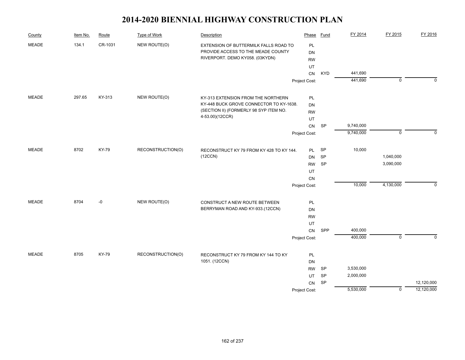| County       | Item No. | Route        | Type of Work      | Description                                         | Phase         | <b>Fund</b> | FY 2014   | FY 2015     | FY 2016    |
|--------------|----------|--------------|-------------------|-----------------------------------------------------|---------------|-------------|-----------|-------------|------------|
| <b>MEADE</b> | 134.1    | CR-1031      | NEW ROUTE(O)      | EXTENSION OF BUTTERMILK FALLS ROAD TO               | PL            |             |           |             |            |
|              |          |              |                   | PROVIDE ACCESS TO THE MEADE COUNTY                  | DN            |             |           |             |            |
|              |          |              |                   | RIVERPORT. DEMO KY058. (03KYDN)                     | <b>RW</b>     |             |           |             |            |
|              |          |              |                   |                                                     | UT            |             |           |             |            |
|              |          |              |                   |                                                     | CN            | <b>KYD</b>  | 441,690   |             |            |
|              |          |              |                   |                                                     | Project Cost: |             | 441,690   | $\mathbf 0$ | $\Omega$   |
| <b>MEADE</b> | 297.65   | KY-313       | NEW ROUTE(O)      | KY-313 EXTENSION FROM THE NORTHERN                  | PL            |             |           |             |            |
|              |          |              |                   | KY-448 BUCK GROVE CONNECTOR TO KY-1638.             | DN            |             |           |             |            |
|              |          |              |                   | (SECTION II) (FORMERLY 98 SYP ITEM NO.              | <b>RW</b>     |             |           |             |            |
|              |          |              |                   | 4-53.00)(12CCR)                                     | UT            |             |           |             |            |
|              |          |              |                   |                                                     | CN            | SP          | 9,740,000 |             |            |
|              |          |              |                   |                                                     | Project Cost: |             | 9,740,000 | $\mathbf 0$ | $\Omega$   |
| <b>MEADE</b> | 8702     | <b>KY-79</b> | RECONSTRUCTION(O) |                                                     | PL            | SP          | 10,000    |             |            |
|              |          |              |                   | RECONSTRUCT KY 79 FROM KY 428 TO KY 144.<br>(12CCN) | DN            | SP          |           | 1,040,000   |            |
|              |          |              |                   |                                                     | RW            | <b>SP</b>   |           | 3,090,000   |            |
|              |          |              |                   |                                                     | UT            |             |           |             |            |
|              |          |              |                   |                                                     | CN            |             |           |             |            |
|              |          |              |                   |                                                     | Project Cost: |             | 10,000    | 4,130,000   | 0          |
|              |          |              |                   |                                                     |               |             |           |             |            |
| <b>MEADE</b> | 8704     | -0           | NEW ROUTE(O)      | CONSTRUCT A NEW ROUTE BETWEEN                       | PL            |             |           |             |            |
|              |          |              |                   | BERRYMAN ROAD AND KY-933.(12CCN)                    | <b>DN</b>     |             |           |             |            |
|              |          |              |                   |                                                     | <b>RW</b>     |             |           |             |            |
|              |          |              |                   |                                                     | UT            |             |           |             |            |
|              |          |              |                   |                                                     | ${\sf CN}$    | SPP         | 400,000   |             |            |
|              |          |              |                   |                                                     | Project Cost: |             | 400,000   | $\mathbf 0$ | $\Omega$   |
| <b>MEADE</b> | 8705     | KY-79        | RECONSTRUCTION(O) | RECONSTRUCT KY 79 FROM KY 144 TO KY                 | PL            |             |           |             |            |
|              |          |              |                   | 1051. (12CCN)                                       | <b>DN</b>     |             |           |             |            |
|              |          |              |                   |                                                     | <b>RW</b>     | SP          | 3,530,000 |             |            |
|              |          |              |                   |                                                     | UT            | SP          | 2,000,000 |             |            |
|              |          |              |                   |                                                     | CN            | SP          |           |             | 12,120,000 |
|              |          |              |                   |                                                     | Project Cost: |             | 5,530,000 | $\mathbf 0$ | 12,120,000 |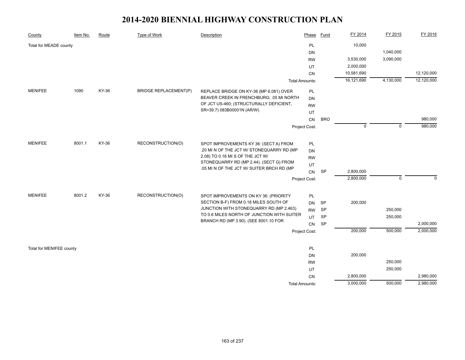| County                   | Item No. | Route | Type of Work                 | Description                                                                   | Phase                 | Fund       | FY 2014     | FY 2015        | FY 2016    |
|--------------------------|----------|-------|------------------------------|-------------------------------------------------------------------------------|-----------------------|------------|-------------|----------------|------------|
| Total for MEADE county   |          |       |                              |                                                                               | PL                    |            | 10,000      |                |            |
|                          |          |       |                              |                                                                               | DN                    |            |             | 1,040,000      |            |
|                          |          |       |                              |                                                                               | <b>RW</b>             |            | 3,530,000   | 3,090,000      |            |
|                          |          |       |                              |                                                                               | UT                    |            | 2,000,000   |                |            |
|                          |          |       |                              |                                                                               | CN                    |            | 10,581,690  |                | 12,120,000 |
|                          |          |       |                              |                                                                               | <b>Total Amounts:</b> |            | 16,121,690  | 4,130,000      | 12,120,000 |
| <b>MENIFEE</b>           | 1090     | KY-36 | <b>BRIDGE REPLACEMENT(P)</b> | REPLACE BRIDGE ON KY-36 (MP 6.081) OVER                                       | PL                    |            |             |                |            |
|                          |          |       |                              | BEAVER CREEK IN FRENCHBURG; .05 MI NORTH                                      | DN                    |            |             |                |            |
|                          |          |       |                              | OF JCT US-460; (STRUCTURALLY DEFICIENT,                                       | <b>RW</b>             |            |             |                |            |
|                          |          |       |                              | SR=39.7) 083B00001N (AR/W)                                                    | UT                    |            |             |                |            |
|                          |          |       |                              |                                                                               |                       | <b>BRO</b> |             |                | 980,000    |
|                          |          |       |                              |                                                                               | Project Cost:         |            | $\mathbf 0$ | $\overline{0}$ | 980,000    |
|                          |          |       |                              |                                                                               |                       |            |             |                |            |
| <b>MENIFEE</b>           | 8001.1   | KY-36 | RECONSTRUCTION(O)            | SPOT IMPROVEMENTS KY 36: (SECT A) FROM                                        | PL                    |            |             |                |            |
|                          |          |       |                              | .20 MI N OF THE JCT W/ STONEQUARRY RD (MP<br>2.08) TO 0.16 MI S OF THE JCT W/ | DN                    |            |             |                |            |
|                          |          |       |                              | STONEQUARRY RD (MP 2.44). (SECT G) FROM                                       | <b>RW</b>             |            |             |                |            |
|                          |          |       |                              | .05 MI N OF THE JCT W/ SUITER BRCH RD (MP                                     | UT                    |            |             |                |            |
|                          |          |       |                              |                                                                               | <b>CN</b>             | SP         | 2,800,000   |                |            |
|                          |          |       |                              |                                                                               | Project Cost:         |            | 2,800,000   | $\mathbf 0$    | $\Omega$   |
| <b>MENIFEE</b>           | 8001.2   | KY-36 | RECONSTRUCTION(O)            | SPOT IMPROVEMENTS ON KY 36: (PRIORITY                                         | PL                    |            |             |                |            |
|                          |          |       |                              | SECTION B-F) FROM 0.18 MILES SOUTH OF                                         | <b>DN</b>             | <b>SP</b>  | 200,000     |                |            |
|                          |          |       |                              | JUNCTION WITH STONEQUARRY RD (MP 2.463)                                       | <b>RW</b>             | <b>SP</b>  |             | 250,000        |            |
|                          |          |       |                              | TO 0.6 MILES NORTH OF JUNCTION WITH SUITER                                    | UT                    | <b>SP</b>  |             | 250,000        |            |
|                          |          |       |                              | BRANCH RD (MP 3.90). (SEE 8001.10 FOR                                         | CN                    | SP         |             |                | 2,000,000  |
|                          |          |       |                              |                                                                               | Project Cost:         |            | 200,000     | 500,000        | 2,000,000  |
|                          |          |       |                              |                                                                               |                       |            |             |                |            |
| Total for MENIFEE county |          |       |                              |                                                                               | PL                    |            |             |                |            |
|                          |          |       |                              |                                                                               | DN                    |            | 200,000     |                |            |
|                          |          |       |                              |                                                                               | <b>RW</b>             |            |             | 250,000        |            |
|                          |          |       |                              |                                                                               | UT                    |            |             | 250,000        |            |
|                          |          |       |                              |                                                                               | CN                    |            | 2,800,000   |                | 2,980,000  |
|                          |          |       |                              |                                                                               | <b>Total Amounts:</b> |            | 3,000,000   | 500,000        | 2,980,000  |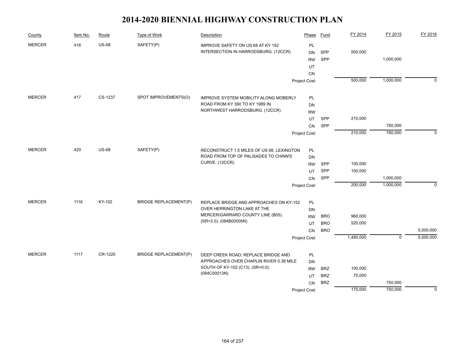| County        | Item No. | Route        | Type of Work                 | Description                                                            | Phase                      | Fund                     | FY 2014   | FY 2015                   | FY 2016     |
|---------------|----------|--------------|------------------------------|------------------------------------------------------------------------|----------------------------|--------------------------|-----------|---------------------------|-------------|
| <b>MERCER</b> | 416      | <b>US-68</b> | SAFETY(P)                    | IMPROVE SAFETY ON US 68 AT KY 152                                      | PL                         |                          |           |                           |             |
|               |          |              |                              | INTERSECTION IN HARRODSBURG. (12CCR)                                   | DN                         | SPP                      | 500,000   |                           |             |
|               |          |              |                              |                                                                        | <b>RW</b>                  | SPP                      |           | 1,000,000                 |             |
|               |          |              |                              |                                                                        | UT                         |                          |           |                           |             |
|               |          |              |                              |                                                                        | <b>CN</b>                  |                          |           |                           |             |
|               |          |              |                              |                                                                        | Project Cost:              |                          | 500,000   | 1,000,000                 | $\mathbf 0$ |
| <b>MERCER</b> | 417      | CS-1237      | SPOT IMPROVEMENTS(O)         | <b>IMPROVE SYSTEM MOBILITY ALONG MOBERLY</b>                           | PL                         |                          |           |                           |             |
|               |          |              |                              | ROAD FROM KY 390 TO KY 1989 IN                                         | DN                         |                          |           |                           |             |
|               |          |              |                              | NORTHWEST HARRODSBURG. (12CCR)                                         | <b>RW</b>                  |                          |           |                           |             |
|               |          |              |                              |                                                                        | UT                         | SPP                      | 210,000   |                           |             |
|               |          |              |                              |                                                                        | <b>CN</b>                  | SPP                      |           | 780,000                   |             |
|               |          |              |                              |                                                                        | Project Cost:              |                          | 210,000   | 780,000                   | $\Omega$    |
|               |          |              |                              |                                                                        |                            |                          |           |                           |             |
| <b>MERCER</b> | 420      | <b>US-68</b> | SAFETY(P)                    | RECONSTRUCT 1.5 MILES OF US 68, LEXINGTON                              | PL                         |                          |           |                           |             |
|               |          |              |                              | ROAD FROM TOP OF PALISADES TO CHINN'S                                  | DN                         |                          |           |                           |             |
|               |          |              |                              | CURVE. (12CCR)                                                         | <b>RW</b>                  | SPP                      | 100,000   |                           |             |
|               |          |              |                              |                                                                        | UT                         | SPP                      | 100,000   |                           |             |
|               |          |              |                              |                                                                        | CN                         | SPP                      |           | 1,000,000                 |             |
|               |          |              |                              |                                                                        | Project Cost:              |                          | 200,000   | 1,000,000                 | $\mathbf 0$ |
| <b>MERCER</b> | 1116     | KY-152       | <b>BRIDGE REPLACEMENT(P)</b> |                                                                        |                            |                          |           |                           |             |
|               |          |              |                              | REPLACE BRIDGE AND APPROACHES ON KY-152<br>OVER HERRINGTON LAKE AT THE | PL                         |                          |           |                           |             |
|               |          |              |                              | MERCER/GARRARD COUNTY LINE (B05).                                      | DN                         |                          | 960,000   |                           |             |
|               |          |              |                              | (SR=3.0); (084B00005N)                                                 | <b>RW</b>                  | <b>BRO</b><br><b>BRO</b> | 520,000   |                           |             |
|               |          |              |                              |                                                                        | UT                         | <b>BRO</b>               |           |                           | 5,000,000   |
|               |          |              |                              |                                                                        | <b>CN</b><br>Project Cost: |                          | 1,480,000 | $\overline{\mathfrak{o}}$ | 5,000,000   |
|               |          |              |                              |                                                                        |                            |                          |           |                           |             |
| <b>MERCER</b> | 1117     | CR-1225      | <b>BRIDGE REPLACEMENT(P)</b> | DEEP CREEK ROAD; REPLACE BRIDGE AND                                    | PL                         |                          |           |                           |             |
|               |          |              |                              | APPROACHES OVER CHAPLIN RIVER 0.38 MILE                                | DN                         |                          |           |                           |             |
|               |          |              |                              | SOUTH OF KY-152 (C13). (SR=0.0):                                       | <b>RW</b>                  | <b>BRZ</b>               | 100,000   |                           |             |
|               |          |              |                              | (084C00013N)                                                           | UT                         | <b>BRZ</b>               | 75,000    |                           |             |
|               |          |              |                              |                                                                        | <b>CN</b>                  | <b>BRZ</b>               |           | 750,000                   |             |
|               |          |              |                              |                                                                        | Project Cost:              |                          | 175,000   | 750,000                   | $\mathbf 0$ |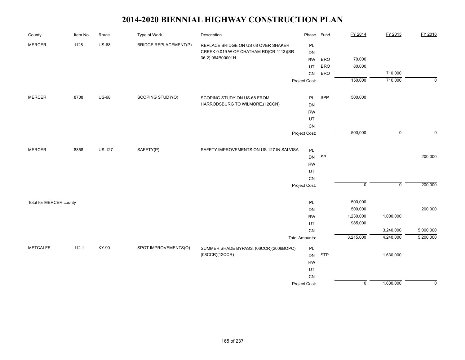| County                  | Item No. | Route         | Type of Work                 | Description                              | Phase                 | <b>Fund</b> | FY 2014        | FY 2015        | FY 2016     |
|-------------------------|----------|---------------|------------------------------|------------------------------------------|-----------------------|-------------|----------------|----------------|-------------|
| <b>MERCER</b>           | 1128     | <b>US-68</b>  | <b>BRIDGE REPLACEMENT(P)</b> | REPLACE BRIDGE ON US 68 OVER SHAKER      | PL                    |             |                |                |             |
|                         |          |               |                              | CREEK 0.019 W OF CHATHAM RD(CR-1113)(SR  | DN                    |             |                |                |             |
|                         |          |               |                              | 36.2) 084B00001N                         | <b>RW</b>             | <b>BRO</b>  | 70,000         |                |             |
|                         |          |               |                              |                                          | UT                    | <b>BRO</b>  | 80,000         |                |             |
|                         |          |               |                              |                                          | CN                    | <b>BRO</b>  |                | 710,000        |             |
|                         |          |               |                              |                                          | Project Cost:         |             | 150,000        | 710,000        | $\mathbf 0$ |
| <b>MERCER</b>           | 8708     | <b>US-68</b>  | SCOPING STUDY(O)             | SCOPING STUDY ON US-68 FROM              | PL                    | SPP         | 500,000        |                |             |
|                         |          |               |                              | HARRODSBURG TO WILMORE.(12CCN)           | <b>DN</b>             |             |                |                |             |
|                         |          |               |                              |                                          | <b>RW</b>             |             |                |                |             |
|                         |          |               |                              |                                          | UT                    |             |                |                |             |
|                         |          |               |                              |                                          | CN                    |             |                |                |             |
|                         |          |               |                              |                                          | Project Cost:         |             | 500,000        | $\mathbf 0$    | $\mathbf 0$ |
|                         |          |               |                              |                                          |                       |             |                |                |             |
| <b>MERCER</b>           | 8858     | <b>US-127</b> | SAFETY(P)                    | SAFETY IMPROVEMENTS ON US 127 IN SALVISA | PL                    |             |                |                |             |
|                         |          |               |                              |                                          | DN                    | SP          |                |                | 200,000     |
|                         |          |               |                              |                                          | <b>RW</b>             |             |                |                |             |
|                         |          |               |                              |                                          | UT                    |             |                |                |             |
|                         |          |               |                              |                                          | CN                    |             |                |                |             |
|                         |          |               |                              |                                          | Project Cost:         |             | $\mathsf 0$    | $\overline{0}$ | 200,000     |
| Total for MERCER county |          |               |                              |                                          | PL                    |             | 500,000        |                |             |
|                         |          |               |                              |                                          | DN                    |             | 500,000        |                | 200,000     |
|                         |          |               |                              |                                          | <b>RW</b>             |             | 1,230,000      | 1,000,000      |             |
|                         |          |               |                              |                                          | UT                    |             | 985,000        |                |             |
|                         |          |               |                              |                                          | CN                    |             |                | 3,240,000      | 5,000,000   |
|                         |          |               |                              |                                          | <b>Total Amounts:</b> |             | 3,215,000      | 4,240,000      | 5,200,000   |
| <b>METCALFE</b>         | 112.1    | KY-90         | SPOT IMPROVEMENTS(O)         | SUMMER SHADE BYPASS. (06CCR)(2006BOPC)   | PL                    |             |                |                |             |
|                         |          |               |                              | (08CCR)(12CCR)                           | DN                    | <b>STP</b>  |                | 1,630,000      |             |
|                         |          |               |                              |                                          | <b>RW</b>             |             |                |                |             |
|                         |          |               |                              |                                          | UT                    |             |                |                |             |
|                         |          |               |                              |                                          | CN                    |             |                |                |             |
|                         |          |               |                              |                                          | Project Cost:         |             | $\overline{0}$ | 1,630,000      | $\mathbf 0$ |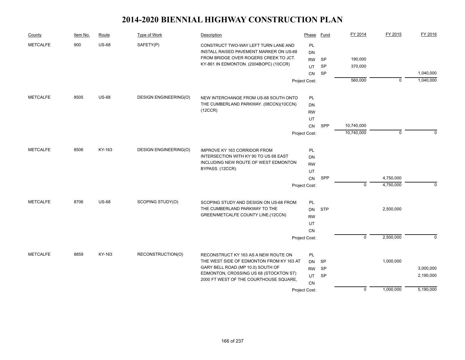| County          | Item No. | Route        | Type of Work                 | Description                                                                      | Phase         | Fund       | FY 2014        | FY 2015     | FY 2016   |
|-----------------|----------|--------------|------------------------------|----------------------------------------------------------------------------------|---------------|------------|----------------|-------------|-----------|
| <b>METCALFE</b> | 900      | <b>US-68</b> | SAFETY(P)                    | CONSTRUCT TWO-WAY LEFT TURN LANE AND                                             | PL            |            |                |             |           |
|                 |          |              |                              | INSTALL RAISED PAVEMENT MARKER ON US-68                                          | <b>DN</b>     |            |                |             |           |
|                 |          |              |                              | FROM BRIDGE OVER ROGERS CREEK TO JCT.                                            | <b>RW</b>     | SP         | 190,000        |             |           |
|                 |          |              |                              | KY-861 IN EDMONTON. (2004BOPC) (10CCR)                                           | UT            | <b>SP</b>  | 370,000        |             |           |
|                 |          |              |                              |                                                                                  | CN            | SP         |                |             | 1,040,000 |
|                 |          |              |                              |                                                                                  | Project Cost: |            | 560,000        | $\mathbf 0$ | 1,040,000 |
| <b>METCALFE</b> | 8505     | <b>US-68</b> | <b>DESIGN ENGINEERING(O)</b> | NEW INTERCHANGE FROM US-68 SOUTH ONTO                                            | PL            |            |                |             |           |
|                 |          |              |                              | THE CUMBERLAND PARKWAY. (08CCN)(10CCN)                                           | <b>DN</b>     |            |                |             |           |
|                 |          |              |                              | (12CCR)                                                                          | <b>RW</b>     |            |                |             |           |
|                 |          |              |                              |                                                                                  | UT            |            |                |             |           |
|                 |          |              |                              |                                                                                  | CN            | SPP        | 10,740,000     |             |           |
|                 |          |              |                              |                                                                                  | Project Cost: |            | 10,740,000     | $\mathbf 0$ | 0         |
| <b>METCALFE</b> | 8506     | KY-163       | <b>DESIGN ENGINEERING(O)</b> | <b>IMPROVE KY 163 CORRIDOR FROM</b>                                              | PL            |            |                |             |           |
|                 |          |              |                              | INTERSECTION WITH KY 90 TO US 68 EAST                                            | <b>DN</b>     |            |                |             |           |
|                 |          |              |                              | INCLUDING NEW ROUTE OF WEST EDMONTON                                             | <b>RW</b>     |            |                |             |           |
|                 |          |              |                              | BYPASS. (12CCR)                                                                  | UT            |            |                |             |           |
|                 |          |              |                              |                                                                                  | CN            | SPP        |                | 4,750,000   |           |
|                 |          |              |                              |                                                                                  | Project Cost: |            | $\mathbf 0$    | 4,750,000   | $\Omega$  |
|                 | 8706     | <b>US-68</b> |                              |                                                                                  |               |            |                |             |           |
| <b>METCALFE</b> |          |              | SCOPING STUDY(O)             | SCOPING STUDY AND DESIGN ON US-68 FROM<br>THE CUMBERLAND PARKWAY TO THE          | PL            | <b>STP</b> |                | 2,500,000   |           |
|                 |          |              |                              | GREEN/METCALFE COUNTY LINE.(12CCN)                                               | DN            |            |                |             |           |
|                 |          |              |                              |                                                                                  | <b>RW</b>     |            |                |             |           |
|                 |          |              |                              |                                                                                  | UT            |            |                |             |           |
|                 |          |              |                              |                                                                                  | <b>CN</b>     |            | $\overline{0}$ | 2,500,000   | $\Omega$  |
|                 |          |              |                              |                                                                                  | Project Cost: |            |                |             |           |
| <b>METCALFE</b> | 8859     | KY-163       | RECONSTRUCTION(O)            | RECONSTRUCT KY 163 AS A NEW ROUTE ON                                             | <b>PL</b>     |            |                |             |           |
|                 |          |              |                              | THE WEST SIDE OF EDMONTON FROM KY 163 AT                                         | <b>DN</b>     | <b>SP</b>  |                | 1,000,000   |           |
|                 |          |              |                              | GARY BELL ROAD (MP 10.0) SOUTH OF                                                | <b>RW</b>     | SP         |                |             | 3,000,000 |
|                 |          |              |                              | EDMONTON, CROSSING US 68 (STOCKTON ST)<br>2000 FT WEST OF THE COURTHOUSE SQUARE, | UT            | <b>SP</b>  |                |             | 2,190,000 |
|                 |          |              |                              |                                                                                  | CN            |            |                |             |           |
|                 |          |              |                              |                                                                                  | Project Cost: |            | $\mathbf 0$    | 1,000,000   | 5,190,000 |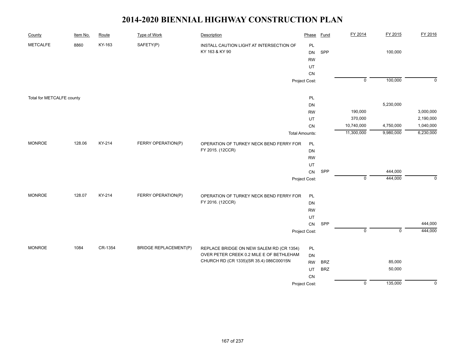| County                    | Item No. | Route   | <b>Type of Work</b>          | Description                                                | Phase                             | Fund       | FY 2014            | FY 2015     | FY 2016                |
|---------------------------|----------|---------|------------------------------|------------------------------------------------------------|-----------------------------------|------------|--------------------|-------------|------------------------|
| <b>METCALFE</b>           | 8860     | KY-163  | SAFETY(P)                    | INSTALL CAUTION LIGHT AT INTERSECTION OF<br>KY 163 & KY 90 | PL<br>DN<br><b>RW</b><br>UT<br>CN | SPP        |                    | 100,000     |                        |
|                           |          |         |                              |                                                            | Project Cost:                     |            | $\overline{0}$     | 100,000     | $\mathbf 0$            |
| Total for METCALFE county |          |         |                              |                                                            | PL<br>DN                          |            |                    | 5,230,000   |                        |
|                           |          |         |                              |                                                            |                                   |            |                    |             | 3,000,000              |
|                           |          |         |                              |                                                            | <b>RW</b>                         |            | 190,000<br>370,000 |             |                        |
|                           |          |         |                              |                                                            | UT<br>CN                          |            | 10,740,000         | 4,750,000   | 2,190,000<br>1,040,000 |
|                           |          |         |                              |                                                            |                                   |            | 11,300,000         | 9,980,000   | 6,230,000              |
|                           |          |         |                              |                                                            | <b>Total Amounts:</b>             |            |                    |             |                        |
| <b>MONROE</b>             | 128.06   | KY-214  | FERRY OPERATION(P)           | OPERATION OF TURKEY NECK BEND FERRY FOR                    | <b>PL</b>                         |            |                    |             |                        |
|                           |          |         |                              | FY 2015. (12CCR)                                           |                                   |            |                    |             |                        |
|                           |          |         |                              |                                                            |                                   |            |                    |             |                        |
|                           |          |         |                              |                                                            | UT                                |            |                    |             |                        |
|                           |          |         |                              |                                                            | CN                                | SPP        |                    | 444,000     |                        |
|                           |          |         |                              |                                                            | Project Cost:                     |            | $\mathsf 0$        | 444,000     | $\mathbf 0$            |
| <b>MONROE</b>             | 128.07   | KY-214  | FERRY OPERATION(P)           | OPERATION OF TURKEY NECK BEND FERRY FOR                    | <b>PL</b>                         |            |                    |             |                        |
|                           |          |         |                              | FY 2016. (12CCR)                                           | DN                                |            |                    |             |                        |
|                           |          |         |                              |                                                            | <b>RW</b>                         |            |                    |             |                        |
|                           |          |         |                              |                                                            | UT                                |            |                    |             |                        |
|                           |          |         |                              |                                                            | CN                                | SPP        |                    |             | 444,000                |
|                           |          |         |                              |                                                            | Project Cost:                     |            | $\mathbf 0$        | $\mathbf 0$ | 444,000                |
| <b>MONROE</b>             | 1084     | CR-1354 | <b>BRIDGE REPLACEMENT(P)</b> | REPLACE BRIDGE ON NEW SALEM RD (CR 1354)                   | PL                                |            |                    |             |                        |
|                           |          |         |                              | OVER PETER CREEK 0.2 MILE E OF BETHLEHAM                   | DN                                |            |                    |             |                        |
|                           |          |         |                              | CHURCH RD (CR 1335)(SR 35.4) 086C00015N                    | <b>RW</b>                         | <b>BRZ</b> |                    | 85,000      |                        |
|                           |          |         |                              |                                                            | UT                                | <b>BRZ</b> |                    | 50,000      |                        |
|                           |          |         |                              |                                                            | ${\sf CN}$                        |            |                    |             |                        |
|                           |          |         |                              |                                                            | Project Cost:                     |            | $\overline{0}$     | 135,000     | 0                      |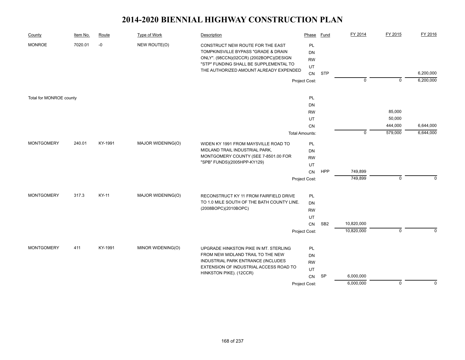| County                  | Item No. | Route   | Type of Work      | Description                                                                                                                                                                                            | Phase                              | <b>Fund</b>     | FY 2014     | FY 2015     | FY 2016     |
|-------------------------|----------|---------|-------------------|--------------------------------------------------------------------------------------------------------------------------------------------------------------------------------------------------------|------------------------------------|-----------------|-------------|-------------|-------------|
| <b>MONROE</b>           | 7020.01  | -0      | NEW ROUTE(O)      | CONSTRUCT NEW ROUTE FOR THE EAST<br>TOMPKINSVILLE BYPASS "GRADE & DRAIN<br>ONLY". (98CCN)(02CCR) (2002BOPC)(DESIGN<br>"STP" FUNDING SHALL BE SUPPLEMENTAL TO<br>THE AUTHORIZED AMOUNT ALREADY EXPENDED | PL<br><b>DN</b><br><b>RW</b><br>UT |                 |             |             |             |
|                         |          |         |                   |                                                                                                                                                                                                        | CN                                 | <b>STP</b>      |             |             | 6,200,000   |
|                         |          |         |                   |                                                                                                                                                                                                        | Project Cost:                      |                 | $\mathbf 0$ | $\mathbf 0$ | 6,200,000   |
| Total for MONROE county |          |         |                   |                                                                                                                                                                                                        | PL                                 |                 |             |             |             |
|                         |          |         |                   |                                                                                                                                                                                                        | DN                                 |                 |             |             |             |
|                         |          |         |                   |                                                                                                                                                                                                        | <b>RW</b>                          |                 |             | 85,000      |             |
|                         |          |         |                   |                                                                                                                                                                                                        | UT                                 |                 |             | 50,000      |             |
|                         |          |         |                   |                                                                                                                                                                                                        | CN                                 |                 |             | 444,000     | 6,644,000   |
|                         |          |         |                   |                                                                                                                                                                                                        | <b>Total Amounts:</b>              |                 | $\mathbf 0$ | 579,000     | 6,644,000   |
| <b>MONTGOMERY</b>       | 240.01   | KY-1991 | MAJOR WIDENING(O) | WIDEN KY 1991 FROM MAYSVILLE ROAD TO                                                                                                                                                                   | <b>PL</b>                          |                 |             |             |             |
|                         |          |         |                   | MIDLAND TRAIL INDUSTRIAL PARK,<br>MONTGOMERY COUNTY (SEE 7-8501.00 FOR                                                                                                                                 | DN                                 |                 |             |             |             |
|                         |          |         |                   | "SPB" FUNDS)(2005HPP-KY129)                                                                                                                                                                            | <b>RW</b>                          |                 |             |             |             |
|                         |          |         |                   |                                                                                                                                                                                                        | UT                                 | <b>HPP</b>      | 749,899     |             |             |
|                         |          |         |                   |                                                                                                                                                                                                        | CN                                 |                 | 749,899     | $\mathbf 0$ | $\Omega$    |
|                         |          |         |                   |                                                                                                                                                                                                        | Project Cost:                      |                 |             |             |             |
| <b>MONTGOMERY</b>       | 317.3    | KY-11   | MAJOR WIDENING(O) | RECONSTRUCT KY 11 FROM FAIRFIELD DRIVE                                                                                                                                                                 | PL                                 |                 |             |             |             |
|                         |          |         |                   | TO 1.0 MILE SOUTH OF THE BATH COUNTY LINE.                                                                                                                                                             | DN                                 |                 |             |             |             |
|                         |          |         |                   | (2008BOPC)(2010BOPC)                                                                                                                                                                                   | <b>RW</b>                          |                 |             |             |             |
|                         |          |         |                   |                                                                                                                                                                                                        | UT                                 |                 |             |             |             |
|                         |          |         |                   |                                                                                                                                                                                                        | CN                                 | SB <sub>2</sub> | 10,820,000  |             |             |
|                         |          |         |                   |                                                                                                                                                                                                        | Project Cost:                      |                 | 10,820,000  | $\mathbf 0$ | $\mathbf 0$ |
|                         |          |         |                   |                                                                                                                                                                                                        |                                    |                 |             |             |             |
| <b>MONTGOMERY</b>       | 411      | KY-1991 | MINOR WIDENING(O) | UPGRADE HINKSTON PIKE IN MT. STERLING<br>FROM NEW MIDLAND TRAIL TO THE NEW                                                                                                                             | PL                                 |                 |             |             |             |
|                         |          |         |                   | INDUSTRIAL PARK ENTRANCE (INCLUDES                                                                                                                                                                     | DN<br><b>RW</b>                    |                 |             |             |             |
|                         |          |         |                   | EXTENSION OF INDUSTRIAL ACCESS ROAD TO                                                                                                                                                                 | UT                                 |                 |             |             |             |
|                         |          |         |                   | HINKSTON PIKE). (12CCR)                                                                                                                                                                                | CN                                 | <b>SP</b>       | 6,000,000   |             |             |
|                         |          |         |                   |                                                                                                                                                                                                        | Project Cost:                      |                 | 6,000,000   | $\mathbf 0$ | $\mathbf 0$ |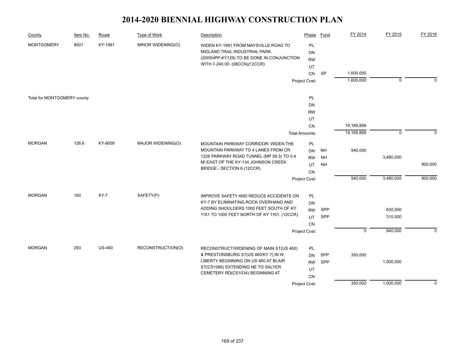| County                      | Item No. | Route         | Type of Work      | Description                                                                                                                                          | Phase                        | Fund                   | FY 2014        | FY 2015     | FY 2016     |
|-----------------------------|----------|---------------|-------------------|------------------------------------------------------------------------------------------------------------------------------------------------------|------------------------------|------------------------|----------------|-------------|-------------|
| <b>MONTGOMERY</b><br>8501   |          | KY-1991       | MINOR WIDENING(O) | WIDEN KY-1991 FROM MAYSVILLE ROAD TO<br>MIDLAND TRAIL INDUSTRIAL PARK.<br>(2005HPP-KY129) TO BE DONE IN CONJUNCTION<br>WITH 7-240.00. (08CCN)(12CCR) | PL<br><b>DN</b><br><b>RW</b> |                        |                |             |             |
|                             |          |               |                   |                                                                                                                                                      | UT                           |                        |                |             |             |
|                             |          |               |                   |                                                                                                                                                      | CN                           | <b>SP</b>              | 1,600,000      |             |             |
|                             |          |               |                   |                                                                                                                                                      | Project Cost:                |                        | 1,600,000      | $\mathbf 0$ | $\Omega$    |
| Total for MONTGOMERY county |          |               |                   |                                                                                                                                                      | PL                           |                        |                |             |             |
|                             |          |               |                   |                                                                                                                                                      | <b>DN</b>                    |                        |                |             |             |
|                             |          |               |                   |                                                                                                                                                      | <b>RW</b>                    |                        |                |             |             |
|                             |          |               |                   |                                                                                                                                                      | UT                           |                        |                |             |             |
|                             |          |               |                   |                                                                                                                                                      | CN                           |                        | 19,169,899     |             |             |
|                             |          |               |                   |                                                                                                                                                      | <b>Total Amounts:</b>        |                        | 19,169,899     | $\mathbf 0$ | $\Omega$    |
| <b>MORGAN</b>               | 126.6    | KY-9009       | MAJOR WIDENING(O) | MOUNTAIN PARKWAY CORRIDOR: WIDEN THE<br>MOUNTAIN PARKWAY TO 4 LANES FROM CR<br>1226 PARKWAY ROAD TUNNEL (MP 59.3) TO 0.4                             | PL<br>DN<br><b>RW</b>        | <b>NH</b><br><b>NH</b> | 540,000        | 3,480,000   |             |
|                             |          |               |                   | MI EAST OF THE KY-134 JOHNSON CREEK                                                                                                                  | UT                           | <b>NH</b>              |                |             | 900,000     |
|                             |          |               |                   | BRIDGE - SECTION 6.(12CCR)                                                                                                                           | <b>CN</b>                    |                        |                |             |             |
|                             |          |               |                   |                                                                                                                                                      | Project Cost:                |                        | 540,000        | 3,480,000   | 900,000     |
|                             |          |               |                   |                                                                                                                                                      |                              |                        |                |             |             |
| <b>MORGAN</b>               | 160      | <b>KY-7</b>   | SAFETY(P)         | IMPROVE SAFETY AND REDUCE ACCIDENTS ON                                                                                                               | PL                           |                        |                |             |             |
|                             |          |               |                   | KY-7 BY ELIMINATING ROCK OVERHANG AND<br>ADDING SHOULDERS 1000 FEET SOUTH OF KY                                                                      | <b>DN</b>                    |                        |                |             |             |
|                             |          |               |                   | 1161 TO 1000 FEET NORTH OF KY 1161. (12CCR)                                                                                                          | <b>RW</b>                    | SPP                    |                | 630,000     |             |
|                             |          |               |                   |                                                                                                                                                      | UT<br>CN                     | SPP                    |                | 310,000     |             |
|                             |          |               |                   |                                                                                                                                                      | Project Cost:                |                        | $\overline{0}$ | 940,000     | $\mathbf 0$ |
|                             |          |               |                   |                                                                                                                                                      |                              |                        |                |             |             |
| <b>MORGAN</b>               | 293      | <b>US-460</b> | RECONSTRUCTION(O) | RECONSTRUCT/WIDENING OF MAIN ST(US 460)                                                                                                              | PL                           |                        |                |             |             |
|                             |          |               |                   | & PRESTONSBURG ST(US 460/KY 7) IN W                                                                                                                  | <b>DN</b>                    | SPP                    | 350,000        |             |             |
|                             |          |               |                   | LIBERTY BEGINNING ON US 460 AT BLAIR                                                                                                                 | <b>RW</b>                    | SPP                    |                | 1,000,000   |             |
|                             |          |               |                   | ST(CS1066) EXTENDING NE TO SALYER                                                                                                                    | UT                           |                        |                |             |             |
|                             |          |               |                   | CEMETERY RD(CS1034) BEGINNING AT                                                                                                                     | <b>CN</b>                    |                        |                |             |             |
|                             |          |               |                   |                                                                                                                                                      | Project Cost:                |                        | 350,000        | 1,000,000   | $\mathbf 0$ |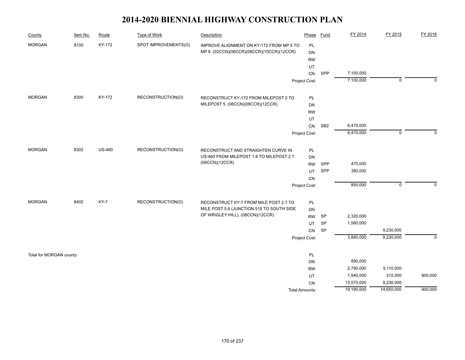| County                  | Item No. | Route         | Type of Work         | Description                               | Phase                 | <b>Fund</b>     | FY 2014    | FY 2015     | FY 2016     |
|-------------------------|----------|---------------|----------------------|-------------------------------------------|-----------------------|-----------------|------------|-------------|-------------|
| <b>MORGAN</b>           | 8100     | KY-172        | SPOT IMPROVEMENTS(O) | IMPROVE ALIGNMENT ON KY-172 FROM MP 5 TO  | PL                    |                 |            |             |             |
|                         |          |               |                      | MP 8. (02CCN)(06CCR)(08CCR)(10CCR)(12CCR) | DN                    |                 |            |             |             |
|                         |          |               |                      |                                           | <b>RW</b>             |                 |            |             |             |
|                         |          |               |                      |                                           | UT                    |                 |            |             |             |
|                         |          |               |                      |                                           | CN                    | SPP             | 7,100,000  |             |             |
|                         |          |               |                      |                                           | Project Cost:         |                 | 7,100,000  | $\mathbf 0$ | $\mathbf 0$ |
| <b>MORGAN</b>           | 8300     | KY-172        | RECONSTRUCTION(O)    | RECONSTRUCT KY-172 FROM MILEPOST 2 TO     | PL                    |                 |            |             |             |
|                         |          |               |                      | MILEPOST 5. (06CCN)(08CCR)(12CCR)         | DN                    |                 |            |             |             |
|                         |          |               |                      |                                           | <b>RW</b>             |                 |            |             |             |
|                         |          |               |                      |                                           | UT                    |                 |            |             |             |
|                         |          |               |                      |                                           | CN                    | SB <sub>2</sub> | 6,470,000  |             |             |
|                         |          |               |                      |                                           | Project Cost:         |                 | 6,470,000  | $\mathsf 0$ | $\Omega$    |
| <b>MORGAN</b>           | 8302     | <b>US-460</b> | RECONSTRUCTION(O)    | RECONSTRUCT AND STRAIGHTEN CURVE IN       | PL                    |                 |            |             |             |
|                         |          |               |                      | US-460 FROM MILEPOST 1.6 TO MILEPOST 2.1. | DN                    |                 |            |             |             |
|                         |          |               |                      | (06CCN)(12CCR)                            | <b>RW</b>             | SPP             | 470,000    |             |             |
|                         |          |               |                      |                                           | UT                    | SPP             | 380,000    |             |             |
|                         |          |               |                      |                                           | CN                    |                 |            |             |             |
|                         |          |               |                      |                                           | Project Cost:         |                 | 850,000    | $\mathsf 0$ | $\Omega$    |
| <b>MORGAN</b>           | 8402     | KY-7          | RECONSTRUCTION(O)    | RECONSTRUCT KY-7 FROM MILE POST 2.7 TO    | PL                    |                 |            |             |             |
|                         |          |               |                      | MILE POST 5.6 (JUNCTION 519 TO SOUTH SIDE | DN                    |                 |            |             |             |
|                         |          |               |                      | OF WRIGLEY HILL). (08CCN)(12CCR)          | <b>RW</b>             | SP              | 2,320,000  |             |             |
|                         |          |               |                      |                                           | UT                    | SP              | 1,560,000  |             |             |
|                         |          |               |                      |                                           | ${\sf CN}$            | SP              |            | 9,230,000   |             |
|                         |          |               |                      |                                           | Project Cost:         |                 | 3,880,000  | 9,230,000   | $\mathbf 0$ |
| Total for MORGAN county |          |               |                      |                                           | PL                    |                 |            |             |             |
|                         |          |               |                      |                                           | DN                    |                 | 890,000    |             |             |
|                         |          |               |                      |                                           | <b>RW</b>             |                 | 2,790,000  | 5,110,000   |             |
|                         |          |               |                      |                                           | UT                    |                 | 1,940,000  | 310,000     | 900,000     |
|                         |          |               |                      |                                           | <b>CN</b>             |                 | 13,570,000 | 9,230,000   |             |
|                         |          |               |                      |                                           | <b>Total Amounts:</b> |                 | 19,190,000 | 14,650,000  | 900,000     |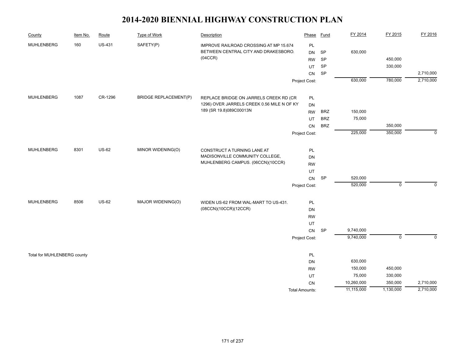| County                      | Item No. | Route         | Type of Work                 | Description                                | Phase                 | Fund       | FY 2014    | FY 2015        | FY 2016     |
|-----------------------------|----------|---------------|------------------------------|--------------------------------------------|-----------------------|------------|------------|----------------|-------------|
| <b>MUHLENBERG</b>           | 160      | <b>US-431</b> | SAFETY(P)                    | IMPROVE RAILROAD CROSSING AT MP 15.674     | PL                    |            |            |                |             |
|                             |          |               |                              | BETWEEN CENTRAL CITY AND DRAKESBORO.       | <b>DN</b>             | SP         | 630,000    |                |             |
|                             |          |               |                              | (04CCR)                                    | <b>RW</b>             | SP         |            | 450,000        |             |
|                             |          |               |                              |                                            | UT                    | <b>SP</b>  |            | 330,000        |             |
|                             |          |               |                              |                                            | CN                    | SP         |            |                | 2,710,000   |
|                             |          |               |                              |                                            | Project Cost:         |            | 630,000    | 780,000        | 2,710,000   |
| <b>MUHLENBERG</b>           | 1087     | CR-1296       | <b>BRIDGE REPLACEMENT(P)</b> | REPLACE BRIDGE ON JARRELS CREEK RD (CR     | PL                    |            |            |                |             |
|                             |          |               |                              | 1296) OVER JARRELS CREEK 0.56 MILE N OF KY | DN                    |            |            |                |             |
|                             |          |               |                              | 189 (SR 19.8)089C00013N                    | <b>RW</b>             | <b>BRZ</b> | 150,000    |                |             |
|                             |          |               |                              |                                            | UT                    | <b>BRZ</b> | 75,000     |                |             |
|                             |          |               |                              |                                            | CN                    | <b>BRZ</b> |            | 350,000        |             |
|                             |          |               |                              |                                            | Project Cost:         |            | 225,000    | 350,000        | $\Omega$    |
|                             |          |               |                              |                                            |                       |            |            |                |             |
| <b>MUHLENBERG</b>           | 8301     | <b>US-62</b>  | MINOR WIDENING(O)            | CONSTRUCT A TURNING LANE AT                | PL                    |            |            |                |             |
|                             |          |               |                              | MADISONVILLE COMMUNITY COLLEGE,            | <b>DN</b>             |            |            |                |             |
|                             |          |               |                              | MUHLENBERG CAMPUS. (06CCN)(10CCR)          | <b>RW</b>             |            |            |                |             |
|                             |          |               |                              |                                            | UT                    |            |            |                |             |
|                             |          |               |                              |                                            | ${\sf CN}$            | SP         | 520,000    |                |             |
|                             |          |               |                              |                                            | Project Cost:         |            | 520,000    | $\mathsf 0$    | $\mathbf 0$ |
| MUHLENBERG                  | 8506     | <b>US-62</b>  | MAJOR WIDENING(O)            | WIDEN US-62 FROM WAL-MART TO US-431.       | PL                    |            |            |                |             |
|                             |          |               |                              | (08CCN)(10CCR)(12CCR)                      | DN                    |            |            |                |             |
|                             |          |               |                              |                                            | <b>RW</b>             |            |            |                |             |
|                             |          |               |                              |                                            | UT                    |            |            |                |             |
|                             |          |               |                              |                                            | ${\sf CN}$            | SP         | 9,740,000  |                |             |
|                             |          |               |                              |                                            | Project Cost:         |            | 9,740,000  | $\overline{0}$ | $\mathbf 0$ |
| Total for MUHLENBERG county |          |               |                              |                                            | PL                    |            |            |                |             |
|                             |          |               |                              |                                            | DN                    |            | 630,000    |                |             |
|                             |          |               |                              |                                            | <b>RW</b>             |            | 150,000    | 450,000        |             |
|                             |          |               |                              |                                            | UT                    |            | 75,000     | 330,000        |             |
|                             |          |               |                              |                                            | CN                    |            | 10,260,000 | 350,000        | 2,710,000   |
|                             |          |               |                              |                                            | <b>Total Amounts:</b> |            | 11,115,000 | 1,130,000      | 2,710,000   |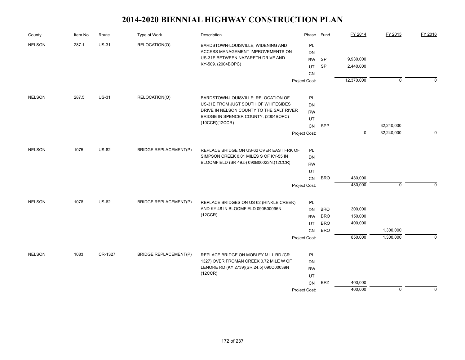| County        | Item No. | Route        | <b>Type of Work</b>                     | Description                                                                        | Phase         | Fund       | FY 2014     | FY 2015     | FY 2016     |
|---------------|----------|--------------|-----------------------------------------|------------------------------------------------------------------------------------|---------------|------------|-------------|-------------|-------------|
| <b>NELSON</b> | 287.1    | <b>US-31</b> | RELOCATION(O)                           | BARDSTOWN-LOUISVILLE; WIDENING AND                                                 | PL            |            |             |             |             |
|               |          |              |                                         | ACCESS MANAGEMENT IMPROVEMENTS ON                                                  | DN            |            |             |             |             |
|               |          |              |                                         | US-31E BETWEEN NAZARETH DRIVE AND                                                  | <b>RW</b>     | <b>SP</b>  | 9,930,000   |             |             |
|               |          |              |                                         | KY-509. (2004BOPC)                                                                 | UT            | <b>SP</b>  | 2,440,000   |             |             |
|               |          |              |                                         |                                                                                    | CN            |            |             |             |             |
|               |          |              |                                         |                                                                                    | Project Cost: |            | 12,370,000  | $\mathbf 0$ | $\Omega$    |
| <b>NELSON</b> | 287.5    | <b>US-31</b> | RELOCATION(O)                           | BARDSTOWN-LOUISVILLE; RELOCATION OF                                                | PL            |            |             |             |             |
|               |          |              |                                         | US-31E FROM JUST SOUTH OF WHITESIDES                                               | <b>DN</b>     |            |             |             |             |
|               |          |              |                                         | DRIVE IN NELSON COUNTY TO THE SALT RIVER                                           | <b>RW</b>     |            |             |             |             |
|               |          |              |                                         | BRIDGE IN SPENCER COUNTY. (2004BOPC)                                               | UT            |            |             |             |             |
|               |          |              |                                         | (10CCR)(12CCR)                                                                     | CN            | SPP        |             | 32,240,000  |             |
|               |          |              |                                         |                                                                                    | Project Cost: |            | $\mathbf 0$ | 32,240,000  | $\mathbf 0$ |
| <b>NELSON</b> | 1075     | <b>US-62</b> | <b>BRIDGE REPLACEMENT(P)</b>            |                                                                                    | PL            |            |             |             |             |
|               |          |              |                                         | REPLACE BRIDGE ON US-62 OVER EAST FRK OF<br>SIMPSON CREEK 0.01 MILES S OF KY-55 IN | <b>DN</b>     |            |             |             |             |
|               |          |              | BLOOMFIELD (SR 49.5) 090B00023N.(12CCR) | <b>RW</b>                                                                          |               |            |             |             |             |
|               |          |              |                                         |                                                                                    | UT            |            |             |             |             |
|               |          |              |                                         |                                                                                    | ${\sf CN}$    | <b>BRO</b> | 430,000     |             |             |
|               |          |              |                                         |                                                                                    | Project Cost: |            | 430,000     | $\mathbf 0$ | $\Omega$    |
|               |          |              |                                         |                                                                                    |               |            |             |             |             |
| <b>NELSON</b> | 1078     | <b>US-62</b> | <b>BRIDGE REPLACEMENT(P)</b>            | REPLACE BRIDGES ON US 62 (HINKLE CREEK)                                            | PL            |            |             |             |             |
|               |          |              |                                         | AND KY 48 IN BLOOMFIELD 090B00096N                                                 | <b>DN</b>     | <b>BRO</b> | 300,000     |             |             |
|               |          |              |                                         | (12CCR)                                                                            | <b>RW</b>     | <b>BRO</b> | 150,000     |             |             |
|               |          |              |                                         |                                                                                    | UT            | <b>BRO</b> | 400,000     |             |             |
|               |          |              |                                         |                                                                                    | CN            | <b>BRO</b> |             | 1,300,000   |             |
|               |          |              |                                         |                                                                                    | Project Cost: |            | 850,000     | 1,300,000   | $\Omega$    |
| <b>NELSON</b> | 1083     | CR-1327      | <b>BRIDGE REPLACEMENT(P)</b>            | REPLACE BRIDGE ON MOBLEY MILL RD (CR                                               | PL            |            |             |             |             |
|               |          |              |                                         | 1327) OVER FROMAN CREEK 0.72 MILE W OF                                             | DN            |            |             |             |             |
|               |          |              |                                         | LENORE RD (KY 2739)(SR 24.5) 090C00039N                                            | <b>RW</b>     |            |             |             |             |
|               |          |              |                                         | (12CCR)                                                                            | UT            |            |             |             |             |
|               |          |              |                                         |                                                                                    | CN            | <b>BRZ</b> | 400,000     |             |             |
|               |          |              |                                         |                                                                                    | Project Cost: |            | 400,000     | $\mathbf 0$ | $\Omega$    |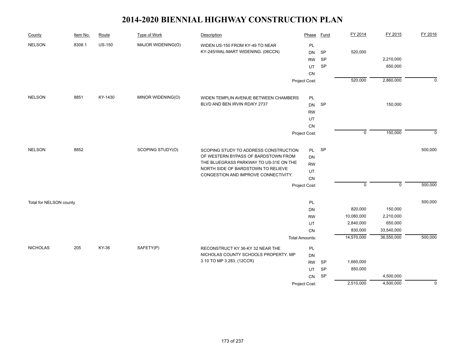| County                  | Item No. | Route         | Type of Work      | Description                                                          | Phase                 | <b>Fund</b> | FY 2014     | FY 2015     | FY 2016     |
|-------------------------|----------|---------------|-------------------|----------------------------------------------------------------------|-----------------------|-------------|-------------|-------------|-------------|
| <b>NELSON</b>           | 8308.1   | <b>US-150</b> | MAJOR WIDENING(O) | WIDEN US-150 FROM KY-49 TO NEAR<br>KY-245/WAL-MART WIDENING. (06CCN) | PL<br><b>DN</b>       | SP          | 520,000     |             |             |
|                         |          |               |                   |                                                                      | <b>RW</b>             | <b>SP</b>   |             | 2,210,000   |             |
|                         |          |               |                   |                                                                      | UT                    | SP          |             | 650,000     |             |
|                         |          |               |                   |                                                                      | CN                    |             |             |             |             |
|                         |          |               |                   |                                                                      | Project Cost:         |             | 520,000     | 2,860,000   | $\mathbf 0$ |
| <b>NELSON</b>           | 8851     | KY-1430       | MINOR WIDENING(O) | WIDEN TEMPLIN AVENUE BETWEEN CHAMBERS                                | PL                    |             |             |             |             |
|                         |          |               |                   | BLVD AND BEN IRVIN RD/KY 2737                                        | <b>DN</b>             | SP          |             | 150,000     |             |
|                         |          |               |                   |                                                                      | <b>RW</b>             |             |             |             |             |
|                         |          |               |                   |                                                                      | UT                    |             |             |             |             |
|                         |          |               |                   |                                                                      | CN                    |             |             |             |             |
|                         |          |               |                   |                                                                      | Project Cost:         |             | $\mathsf 0$ | 150,000     | $\mathbf 0$ |
| <b>NELSON</b>           | 8852     |               | SCOPING STUDY(O)  | SCOPING STUDY TO ADDRESS CONSTRUCTION                                | PL                    | <b>SP</b>   |             |             | 500,000     |
|                         |          |               |                   | OF WESTERN BYPASS OF BARDSTOWN FROM                                  | DN                    |             |             |             |             |
|                         |          |               |                   | THE BLUEGRASS PARKWAY TO US-31E ON THE                               | <b>RW</b>             |             |             |             |             |
|                         |          |               |                   | NORTH SIDE OF BARDSTOWN TO RELIEVE                                   | UT                    |             |             |             |             |
|                         |          |               |                   | CONGESTION AND IMPROVE CONNECTIVITY.                                 | ${\sf CN}$            |             |             |             |             |
|                         |          |               |                   |                                                                      | Project Cost:         |             | $\mathbf 0$ | $\mathbf 0$ | 500,000     |
| Total for NELSON county |          |               |                   |                                                                      | PL                    |             |             |             | 500,000     |
|                         |          |               |                   |                                                                      | DN                    |             | 820,000     | 150,000     |             |
|                         |          |               |                   |                                                                      | <b>RW</b>             |             | 10,080,000  | 2,210,000   |             |
|                         |          |               |                   |                                                                      | UT                    |             | 2,840,000   | 650,000     |             |
|                         |          |               |                   |                                                                      | CN                    |             | 830,000     | 33,540,000  |             |
|                         |          |               |                   |                                                                      | <b>Total Amounts:</b> |             | 14,570,000  | 36,550,000  | 500,000     |
| <b>NICHOLAS</b>         | 205      | KY-36         | SAFETY(P)         | RECONSTRUCT KY 36-KY 32 NEAR THE                                     | PL                    |             |             |             |             |
|                         |          |               |                   | NICHOLAS COUNTY SCHOOLS PROPERTY. MP                                 | <b>DN</b>             |             |             |             |             |
|                         |          |               |                   | 3.10 TO MP 3.283. (12CCR)                                            | <b>RW</b>             | SP          | 1,660,000   |             |             |
|                         |          |               |                   |                                                                      | UT                    | SP          | 850,000     |             |             |
|                         |          |               |                   |                                                                      | CN                    | SP          |             | 4,500,000   |             |
|                         |          |               |                   |                                                                      | Project Cost:         |             | 2,510,000   | 4,500,000   | $\mathbf 0$ |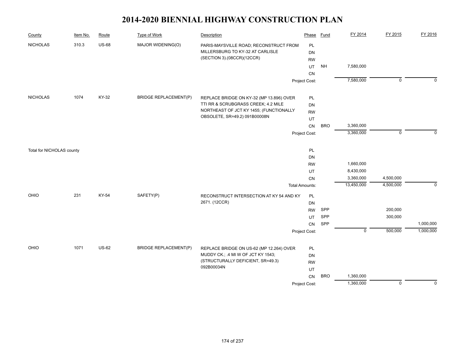| County                    | Item No. | Route        | <b>Type of Work</b>          | Description                                                                                              | Phase                 | <b>Fund</b> | FY 2014     | FY 2015        | FY 2016     |
|---------------------------|----------|--------------|------------------------------|----------------------------------------------------------------------------------------------------------|-----------------------|-------------|-------------|----------------|-------------|
| <b>NICHOLAS</b>           | 310.3    | <b>US-68</b> | MAJOR WIDENING(O)            | PARIS-MAYSVILLE ROAD; RECONSTRUCT FROM<br>MILLERSBURG TO KY-32 AT CARLISLE<br>(SECTION 3).(08CCR)(12CCR) | PL<br>DN              |             |             |                |             |
|                           |          |              |                              |                                                                                                          | <b>RW</b><br>UT       | <b>NH</b>   | 7,580,000   |                |             |
|                           |          |              |                              |                                                                                                          | CN                    |             |             |                |             |
|                           |          |              |                              |                                                                                                          | Project Cost:         |             | 7,580,000   | $\overline{0}$ | $\Omega$    |
|                           |          |              |                              |                                                                                                          |                       |             |             |                |             |
| <b>NICHOLAS</b>           | 1074     | KY-32        | <b>BRIDGE REPLACEMENT(P)</b> | REPLACE BRIDGE ON KY-32 (MP 13.896) OVER                                                                 | PL                    |             |             |                |             |
|                           |          |              |                              | TTI RR & SCRUBGRASS CREEK; 4.2 MILE                                                                      | DN                    |             |             |                |             |
|                           |          |              |                              | NORTHEAST OF JCT KY 1455; (FUNCTIONALLY                                                                  | <b>RW</b>             |             |             |                |             |
|                           |          |              |                              | OBSOLETE, SR=49.2) 091B00008N                                                                            | UT                    |             |             |                |             |
|                           |          |              |                              |                                                                                                          | CN                    | <b>BRO</b>  | 3,360,000   |                |             |
|                           |          |              |                              |                                                                                                          | Project Cost:         |             | 3,360,000   | $\mathbf 0$    | $\Omega$    |
| Total for NICHOLAS county |          |              |                              |                                                                                                          | PL                    |             |             |                |             |
|                           |          |              |                              |                                                                                                          | DN                    |             |             |                |             |
|                           |          |              |                              |                                                                                                          | <b>RW</b>             |             | 1,660,000   |                |             |
|                           |          |              |                              |                                                                                                          | UT                    |             | 8,430,000   |                |             |
|                           |          |              |                              |                                                                                                          | CN                    |             | 3,360,000   | 4,500,000      |             |
|                           |          |              |                              |                                                                                                          | <b>Total Amounts:</b> |             | 13,450,000  | 4,500,000      | $\mathbf 0$ |
| OHIO                      | 231      | KY-54        | SAFETY(P)                    | RECONSTRUCT INTERSECTION AT KY 54 AND KY                                                                 | PL                    |             |             |                |             |
|                           |          |              |                              | 2671. (12CCR)                                                                                            | DN                    |             |             |                |             |
|                           |          |              |                              |                                                                                                          | <b>RW</b>             | SPP         |             | 200,000        |             |
|                           |          |              |                              |                                                                                                          | UT                    | SPP         |             | 300,000        |             |
|                           |          |              |                              |                                                                                                          | ${\sf CN}$            | SPP         |             |                | 1,000,000   |
|                           |          |              |                              |                                                                                                          | Project Cost:         |             | $\mathsf 0$ | 500,000        | 1,000,000   |
| OHIO                      | 1071     | <b>US-62</b> | <b>BRIDGE REPLACEMENT(P)</b> | REPLACE BRIDGE ON US-62 (MP 12.264) OVER                                                                 | <b>PL</b>             |             |             |                |             |
|                           |          |              |                              | MUDDY CK.; .4 MI W OF JCT KY 1543;                                                                       | DN                    |             |             |                |             |
|                           |          |              |                              | (STRUCTURALLY DEFICIENT, SR=49.3)                                                                        | <b>RW</b>             |             |             |                |             |
|                           |          |              |                              | 092B00034N                                                                                               | UT                    |             |             |                |             |
|                           |          |              |                              |                                                                                                          | CN                    | <b>BRO</b>  | 1,360,000   |                |             |
|                           |          |              |                              |                                                                                                          | Project Cost:         |             | 1,360,000   | $\overline{0}$ | $\Omega$    |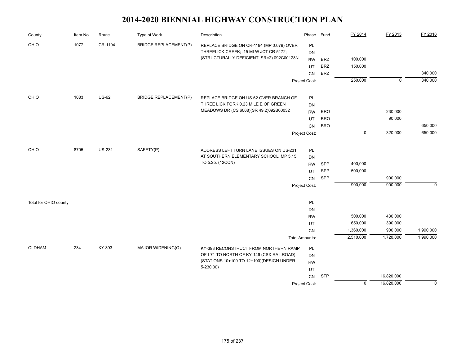| County                | Item No. | Route         | <b>Type of Work</b>          | Description                               | Phase                 | <b>Fund</b> | FY 2014        | FY 2015     | FY 2016     |
|-----------------------|----------|---------------|------------------------------|-------------------------------------------|-----------------------|-------------|----------------|-------------|-------------|
| OHIO                  | 1077     | CR-1194       | <b>BRIDGE REPLACEMENT(P)</b> | REPLACE BRIDGE ON CR-1194 (MP 0.079) OVER | PL                    |             |                |             |             |
|                       |          |               |                              | THREELICK CREEK; . 15 MI W JCT CR 5172;   | DN                    |             |                |             |             |
|                       |          |               |                              | (STRUCTURALLY DEFICIENT, SR=2) 092C00128N | <b>RW</b>             | <b>BRZ</b>  | 100,000        |             |             |
|                       |          |               |                              |                                           | UT                    | <b>BRZ</b>  | 150,000        |             |             |
|                       |          |               |                              |                                           | CN                    | <b>BRZ</b>  |                |             | 340,000     |
|                       |          |               |                              |                                           | Project Cost:         |             | 250,000        | $\mathbf 0$ | 340,000     |
| OHIO                  | 1083     | <b>US-62</b>  | <b>BRIDGE REPLACEMENT(P)</b> | REPLACE BRIDGE ON US 62 OVER BRANCH OF    | PL                    |             |                |             |             |
|                       |          |               |                              | THREE LICK FORK 0.23 MILE E OF GREEN      | <b>DN</b>             |             |                |             |             |
|                       |          |               |                              | MEADOWS DR (CS 6068)(SR 49.2)092B00032    | <b>RW</b>             | <b>BRO</b>  |                | 230,000     |             |
|                       |          |               |                              |                                           | UT                    | <b>BRO</b>  |                | 90,000      |             |
|                       |          |               |                              |                                           | CN                    | <b>BRO</b>  |                |             | 650,000     |
|                       |          |               |                              |                                           | Project Cost:         |             | $\mathbf 0$    | 320,000     | 650,000     |
|                       |          |               |                              |                                           |                       |             |                |             |             |
| OHIO                  | 8705     | <b>US-231</b> | SAFETY(P)                    | ADDRESS LEFT TURN LANE ISSUES ON US-231   | <b>PL</b>             |             |                |             |             |
|                       |          |               |                              | AT SOUTHERN ELEMENTARY SCHOOL, MP 5.15    | DN                    |             |                |             |             |
|                       |          |               |                              | TO 5.25. (12CCN)                          | <b>RW</b>             | SPP         | 400,000        |             |             |
|                       |          |               |                              |                                           | UT                    | SPP         | 500,000        |             |             |
|                       |          |               |                              |                                           | CN                    | SPP         |                | 900,000     |             |
|                       |          |               |                              |                                           | Project Cost:         |             | 900,000        | 900,000     | $\Omega$    |
| Total for OHIO county |          |               |                              |                                           | PL                    |             |                |             |             |
|                       |          |               |                              |                                           | DN                    |             |                |             |             |
|                       |          |               |                              |                                           | <b>RW</b>             |             | 500,000        | 430,000     |             |
|                       |          |               |                              |                                           | UT                    |             | 650,000        | 390,000     |             |
|                       |          |               |                              |                                           | CN                    |             | 1,360,000      | 900,000     | 1,990,000   |
|                       |          |               |                              |                                           | <b>Total Amounts:</b> |             | 2,510,000      | 1,720,000   | 1,990,000   |
| <b>OLDHAM</b>         | 234      | KY-393        | MAJOR WIDENING(O)            | KY-393 RECONSTRUCT FROM NORTHERN RAMP     | PL                    |             |                |             |             |
|                       |          |               |                              | OF I-71 TO NORTH OF KY-146 (CSX RAILROAD) | <b>DN</b>             |             |                |             |             |
|                       |          |               |                              | (STATIONS 10+100 TO 12+100)(DESIGN UNDER  | <b>RW</b>             |             |                |             |             |
|                       |          |               |                              | $5-230.00$                                | UT                    |             |                |             |             |
|                       |          |               |                              |                                           | CN                    | <b>STP</b>  |                | 16,820,000  |             |
|                       |          |               |                              |                                           | Project Cost:         |             | $\overline{0}$ | 16,820,000  | $\mathbf 0$ |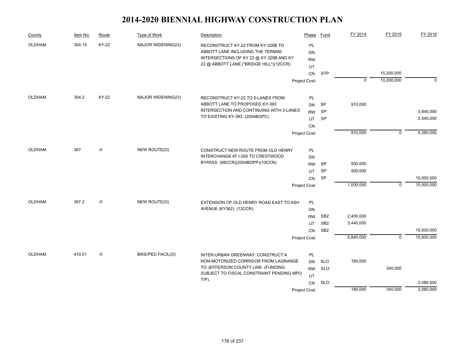| County        | Item No. | Route        | Type of Work             | Description                                                                        | Phase                  | Fund            | FY 2014     | FY 2015        | FY 2016    |
|---------------|----------|--------------|--------------------------|------------------------------------------------------------------------------------|------------------------|-----------------|-------------|----------------|------------|
| <b>OLDHAM</b> | 304.15   | <b>KY-22</b> | MAJOR WIDENING(O)        | RECONSTRUCT KY-22 FROM KY-329B TO<br>ABBOTT LANE INCLUDING THE TERMINI             | <b>PL</b><br><b>DN</b> |                 |             |                |            |
|               |          |              |                          | INTERSECTIONS OF KY 22 @ KY 329B AND KY<br>22 @ ABBOTT LANE.("BRIDGE HILL")(12CCR) | <b>RW</b>              |                 |             |                |            |
|               |          |              |                          |                                                                                    | UT                     | <b>STP</b>      |             | 10,200,000     |            |
|               |          |              |                          |                                                                                    | CN                     |                 | $\mathbf 0$ | 10,200,000     | $\Omega$   |
|               |          |              |                          |                                                                                    | Project Cost:          |                 |             |                |            |
| OLDHAM        | 304.2    | <b>KY-22</b> | MAJOR WIDENING(O)        | RECONSTRUCT KY-22 TO 5-LANES FROM                                                  | PL                     |                 |             |                |            |
|               |          |              |                          | ABBOTT LANE TO PROPOSED KY-393                                                     | <b>DN</b>              | SP              | 910,000     |                |            |
|               |          |              |                          | INTERSECTION AND CONTINUING WITH 3-LANES                                           | <b>RW</b>              | <b>SP</b>       |             |                | 3,840,000  |
|               |          |              |                          | TO EXISTING KY-393. (2004BOPC)                                                     | UT                     | SP              |             |                | 2,540,000  |
|               |          |              |                          |                                                                                    | CN                     |                 |             |                |            |
|               |          |              |                          |                                                                                    | Project Cost:          |                 | 910,000     | $\mathbf 0$    | 6,380,000  |
| <b>OLDHAM</b> | 367      | -0           | NEW ROUTE(O)             | CONSTRUCT NEW ROUTE FROM OLD HENRY                                                 | PL                     |                 |             |                |            |
|               |          |              |                          | INTERCHANGE AT I-265 TO CRESTWOOD                                                  | <b>DN</b>              |                 |             |                |            |
|               |          |              |                          | BYPASS. (98CCR)(2004BOPP)(10CCN)                                                   | <b>RW</b>              | SP              | 500,000     |                |            |
|               |          |              |                          |                                                                                    | UT                     | <b>SP</b>       | 500,000     |                |            |
|               |          |              |                          |                                                                                    | CN                     | <b>SP</b>       |             |                | 15,000,000 |
|               |          |              |                          |                                                                                    | Project Cost:          |                 | 1,000,000   | $\mathbf 0$    | 15,000,000 |
| <b>OLDHAM</b> | 367.2    | -0           | NEW ROUTE(O)             | EXTENSION OF OLD HENRY ROAD EAST TO ASH                                            | PL                     |                 |             |                |            |
|               |          |              |                          | AVENUE (KY362). (12CCR)                                                            | <b>DN</b>              |                 |             |                |            |
|               |          |              |                          |                                                                                    | <b>RW</b>              | SB <sub>2</sub> | 2,400,000   |                |            |
|               |          |              |                          |                                                                                    | UT                     | SB <sub>2</sub> | 3,440,000   |                |            |
|               |          |              |                          |                                                                                    | <b>CN</b>              | SB <sub>2</sub> |             |                | 15,000,000 |
|               |          |              |                          |                                                                                    | Project Cost:          |                 | 5,840,000   | $\overline{0}$ | 15,000,000 |
| <b>OLDHAM</b> | 410.01   | -0           | <b>BIKE/PED FACIL(O)</b> | INTER-URBAN GREENWAY: CONSTRUCT A                                                  | PL                     |                 |             |                |            |
|               |          |              |                          | NON-MOTORIZED CORRIDOR FROM LAGRANGE                                               | <b>DN</b>              | <b>SLO</b>      | 180,000     |                |            |
|               |          |              |                          | TO JEFFERSON COUNTY LINE. (FUNDING                                                 | <b>RW</b>              | <b>SLO</b>      |             | 340,000        |            |
|               |          |              |                          | SUBJECT TO FISCAL CONSTRAINT PENDING MPO                                           | UT                     |                 |             |                |            |
|               |          |              |                          | TIP).                                                                              | CN                     | <b>SLO</b>      |             |                | 2,080,000  |
|               |          |              |                          |                                                                                    | Project Cost:          |                 | 180,000     | 340,000        | 2,080,000  |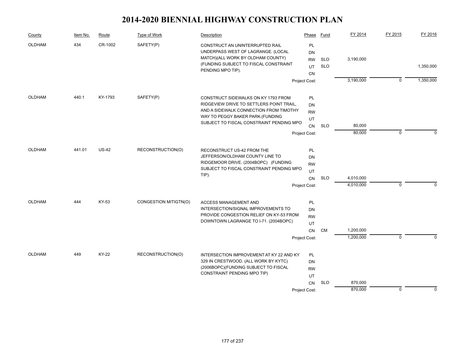| Item No. | Route        | Type of Work          | Description                                                                                                                                                              | Phase                                           | Fund                                                                                                                                                                                   | FY 2014                | FY 2015        | FY 2016     |
|----------|--------------|-----------------------|--------------------------------------------------------------------------------------------------------------------------------------------------------------------------|-------------------------------------------------|----------------------------------------------------------------------------------------------------------------------------------------------------------------------------------------|------------------------|----------------|-------------|
| 434      | CR-1002      | SAFETY(P)             | CONSTRUCT AN UNINTERRUPTED RAIL<br>UNDERPASS WEST OF LAGRANGE. (LOCAL<br>MATCH)(ALL WORK BY OLDHAM COUNTY)<br>(FUNDING SUBJECT TO FISCAL CONSTRAINT<br>PENDING MPO TIP). | <b>PL</b><br><b>DN</b><br><b>RW</b><br>UT       | <b>SLO</b><br><b>SLO</b>                                                                                                                                                               | 3,190,000              |                | 1,350,000   |
|          |              |                       |                                                                                                                                                                          |                                                 |                                                                                                                                                                                        | 3,190,000              | $\overline{0}$ | 1,350,000   |
| 440.1    | KY-1793      | SAFETY(P)             | CONSTRUCT SIDEWALKS ON KY 1793 FROM<br>RIDGEVIEW DRIVE TO SETTLERS POINT TRAIL,<br>AND A SIDEWALK CONNECTION FROM TIMOTHY<br>WAY TO PEGGY BAKER PARK. (FUNDING           | <b>PL</b><br>DN<br><b>RW</b><br>UT<br>CN        | <b>SLO</b>                                                                                                                                                                             | 80,000<br>80,000       | $\mathbf 0$    | n           |
| 441.01   | <b>US-42</b> | RECONSTRUCTION(O)     | RECONSTRUCT US-42 FROM THE<br>JEFFERSON/OLDHAM COUNTY LINE TO<br>RIDGEMOOR DRIVE. (2004BOPC) (FUNDING<br>TIP).                                                           | PL<br>DN<br><b>RW</b><br>UT<br>CN               | <b>SLO</b>                                                                                                                                                                             | 4,010,000<br>4,010,000 | $\mathbf 0$    | $\Omega$    |
| 444      | KY-53        | CONGESTION MITIGTN(O) | <b>ACCESS MANAGEMENT AND</b><br>INTERSECTION/SIGNAL IMPROVEMENTS TO<br>PROVIDE CONGESTION RELIEF ON KY-53 FROM<br>DOWNTOWN LAGRANGE TO I-71. (2004BOPC)                  | <b>PL</b><br><b>DN</b><br><b>RW</b><br>UT<br>CN | CM                                                                                                                                                                                     | 1,200,000<br>1,200,000 | $\mathbf 0$    |             |
| 449      | KY-22        | RECONSTRUCTION(O)     | INTERSECTION IMPROVEMENT AT KY 22 AND KY<br>329 IN CRESTWOOD. (ALL WORK BY KYTC)<br>(2006BOPC)(FUNDING SUBJECT TO FISCAL<br>CONSTRAINT PENDING MPO TIP)                  | <b>PL</b><br>DN<br><b>RW</b><br>UT<br>CN        | <b>SLO</b>                                                                                                                                                                             | 870,000                |                | $\Omega$    |
|          |              |                       |                                                                                                                                                                          |                                                 | <b>CN</b><br>Project Cost:<br>SUBJECT TO FISCAL CONSTRAINT PENDING MPO<br>Project Cost:<br>SUBJECT TO FISCAL CONSTRAINT PENDING MPO<br>Project Cost:<br>Project Cost:<br>Project Cost: |                        | 870,000        | $\mathbf 0$ |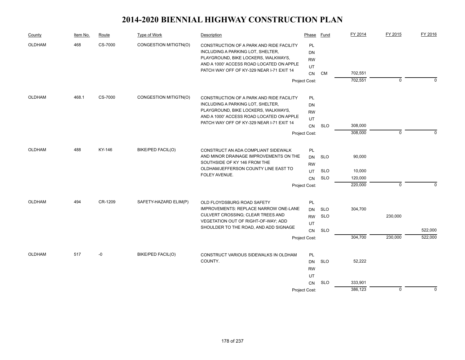| County               | Item No. | Route   | Type of Work             | Description                                                                                                                                                      | Phase                       | Fund       | FY 2014 | FY 2015     | FY 2016     |
|----------------------|----------|---------|--------------------------|------------------------------------------------------------------------------------------------------------------------------------------------------------------|-----------------------------|------------|---------|-------------|-------------|
| 468<br><b>OLDHAM</b> |          | CS-7000 | CONGESTION MITIGTN(O)    | CONSTRUCTION OF A PARK AND RIDE FACILITY<br>INCLUDING A PARKING LOT, SHELTER,<br>PLAYGROUND, BIKE LOCKERS, WALKWAYS,<br>AND A 1000' ACCESS ROAD LOCATED ON APPLE | PL<br>DN<br><b>RW</b><br>UT |            |         |             |             |
|                      |          |         |                          | PATCH WAY OFF OF KY-329 NEAR I-71 EXIT 14                                                                                                                        | <b>CN</b>                   | <b>CM</b>  | 702,551 |             |             |
|                      |          |         |                          |                                                                                                                                                                  | Project Cost:               |            | 702,551 | 0           | $\Omega$    |
| OLDHAM               | 468.1    | CS-7000 | CONGESTION MITIGTN(O)    | CONSTRUCTION OF A PARK AND RIDE FACILITY                                                                                                                         | PL                          |            |         |             |             |
|                      |          |         |                          | INCLUDING A PARKING LOT, SHELTER,                                                                                                                                | DN                          |            |         |             |             |
|                      |          |         |                          | PLAYGROUND, BIKE LOCKERS, WALKWAYS,                                                                                                                              | <b>RW</b>                   |            |         |             |             |
|                      |          |         |                          | AND A 1000' ACCESS ROAD LOCATED ON APPLE                                                                                                                         | UT                          |            |         |             |             |
|                      |          |         |                          | PATCH WAY OFF OF KY-329 NEAR I-71 EXIT 14                                                                                                                        | <b>CN</b>                   | <b>SLO</b> | 308,000 |             |             |
|                      |          |         |                          |                                                                                                                                                                  | Project Cost:               |            | 308,000 | $\mathbf 0$ | $\Omega$    |
| OLDHAM               | 488      | KY-146  | BIKE/PED FACIL(O)        | CONSTRUCT AN ADA COMPLIANT SIDEWALK                                                                                                                              | PL                          |            |         |             |             |
|                      |          |         |                          | AND MINOR DRAINAGE IMPROVEMENTS ON THE<br>SOUTHSIDE OF KY 146 FROM THE                                                                                           | <b>DN</b><br><b>RW</b>      | <b>SLO</b> | 90,000  |             |             |
|                      |          |         |                          | OLDHAM/JEFFERSON COUNTY LINE EAST TO                                                                                                                             | UT                          | <b>SLO</b> | 10,000  |             |             |
|                      |          |         |                          | FOLEY AVENUE.                                                                                                                                                    | <b>CN</b>                   | <b>SLO</b> | 120,000 |             |             |
|                      |          |         |                          |                                                                                                                                                                  | Project Cost:               |            | 220,000 | $\mathbf 0$ | $\Omega$    |
| OLDHAM               | 494      | CR-1209 | SAFETY-HAZARD ELIM(P)    | OLD FLOYDSBURG ROAD SAFETY                                                                                                                                       | PL                          |            |         |             |             |
|                      |          |         |                          | IMPROVEMENTS: REPLACE NARROW ONE-LANE                                                                                                                            | <b>DN</b>                   | <b>SLO</b> | 304,700 |             |             |
|                      |          |         |                          | CULVERT CROSSING; CLEAR TREES AND                                                                                                                                | <b>RW</b>                   | <b>SLO</b> |         | 230,000     |             |
|                      |          |         |                          | VEGETATION OUT OF RIGHT-OF-WAY; ADD<br>SHOULDER TO THE ROAD, AND ADD SIGNAGE                                                                                     | UT                          |            |         |             |             |
|                      |          |         |                          |                                                                                                                                                                  | <b>CN</b>                   | <b>SLO</b> |         |             | 522,000     |
|                      |          |         |                          |                                                                                                                                                                  | Project Cost:               |            | 304,700 | 230,000     | 522,000     |
| OLDHAM               | 517      | -0      | <b>BIKE/PED FACIL(O)</b> | CONSTRUCT VARIOUS SIDEWALKS IN OLDHAM                                                                                                                            | PL                          |            |         |             |             |
|                      |          |         |                          | COUNTY.                                                                                                                                                          | <b>DN</b>                   | <b>SLO</b> | 52,222  |             |             |
|                      |          |         |                          |                                                                                                                                                                  | <b>RW</b>                   |            |         |             |             |
|                      |          |         |                          |                                                                                                                                                                  | UT                          |            |         |             |             |
|                      |          |         |                          |                                                                                                                                                                  | <b>CN</b>                   | <b>SLO</b> | 333,901 |             |             |
|                      |          |         |                          |                                                                                                                                                                  | Project Cost:               |            | 386,123 | $\mathbf 0$ | $\mathbf 0$ |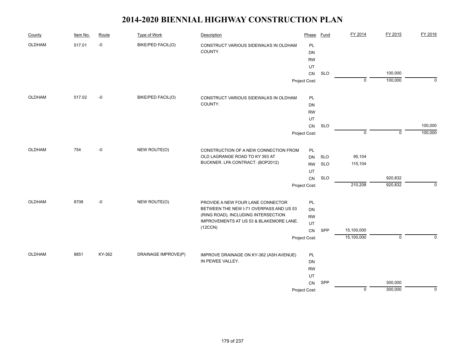| County        | Item No. | Route  | <b>Type of Work</b>      | Description                             | Phase         | <b>Fund</b> | FY 2014     | FY 2015     | FY 2016     |
|---------------|----------|--------|--------------------------|-----------------------------------------|---------------|-------------|-------------|-------------|-------------|
| OLDHAM        | 517.01   | -0     | <b>BIKE/PED FACIL(O)</b> | CONSTRUCT VARIOUS SIDEWALKS IN OLDHAM   | PL            |             |             |             |             |
|               |          |        |                          | COUNTY.                                 | DN            |             |             |             |             |
|               |          |        |                          |                                         | <b>RW</b>     |             |             |             |             |
|               |          |        |                          |                                         | UT            |             |             |             |             |
|               |          |        |                          |                                         | CN            | <b>SLO</b>  |             | 100,000     |             |
|               |          |        |                          |                                         | Project Cost: |             | $\mathbf 0$ | 100,000     | $\mathbf 0$ |
| OLDHAM        | 517.02   | -0     | BIKE/PED FACIL(O)        | CONSTRUCT VARIOUS SIDEWALKS IN OLDHAM   | PL            |             |             |             |             |
|               |          |        |                          | COUNTY.                                 | DN            |             |             |             |             |
|               |          |        |                          |                                         | <b>RW</b>     |             |             |             |             |
|               |          |        |                          |                                         | UT            |             |             |             |             |
|               |          |        |                          |                                         | CN            | <b>SLO</b>  |             |             | 100,000     |
|               |          |        |                          |                                         | Project Cost: |             | $\mathbf 0$ | $\mathbf 0$ | 100,000     |
| OLDHAM        | 754      | -0     | NEW ROUTE(O)             | CONSTRUCTION OF A NEW CONNECTION FROM   | PL            |             |             |             |             |
|               |          |        |                          | OLD LAGRANGE ROAD TO KY 393 AT          | DN            | <b>SLO</b>  | 95,104      |             |             |
|               |          |        |                          | BUCKNER. LPA CONTRACT. (BOP2012)        | <b>RW</b>     | <b>SLO</b>  | 115,104     |             |             |
|               |          |        |                          |                                         | UT            |             |             |             |             |
|               |          |        |                          |                                         | CN            | <b>SLO</b>  |             | 920,832     |             |
|               |          |        |                          |                                         | Project Cost: |             | 210,208     | 920,832     | $\Omega$    |
| <b>OLDHAM</b> | 8708     | -0     | NEW ROUTE(O)             | PROVIDE A NEW FOUR LANE CONNECTOR       | PL            |             |             |             |             |
|               |          |        |                          | BETWEEN THE NEW I-71 OVERPASS AND US 53 | DN            |             |             |             |             |
|               |          |        |                          | (RING ROAD), INCLUDING INTERSECTION     | <b>RW</b>     |             |             |             |             |
|               |          |        |                          | IMPROVEMENTS AT US 53 & BLAKEMORE LANE. | UT            |             |             |             |             |
|               |          |        |                          | (12CCN)                                 | CN            | SPP         | 15,100,000  |             |             |
|               |          |        |                          |                                         | Project Cost: |             | 15,100,000  | $\mathbf 0$ | $\mathbf 0$ |
| OLDHAM        | 8851     | KY-362 | DRAINAGE IMPROVE(P)      | IMPROVE DRAINAGE ON KY-362 (ASH AVENUE) | PL            |             |             |             |             |
|               |          |        |                          | IN PEWEE VALLEY.                        | DN            |             |             |             |             |
|               |          |        |                          |                                         | <b>RW</b>     |             |             |             |             |
|               |          |        |                          |                                         | UT            |             |             |             |             |
|               |          |        |                          |                                         | CN            | SPP         |             | 300,000     |             |
|               |          |        |                          |                                         | Project Cost: |             | $\mathbf 0$ | 300,000     | $\Omega$    |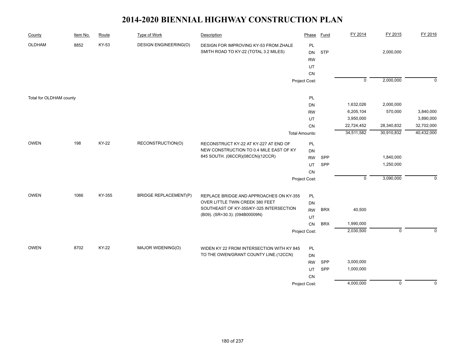| County                  | Item No. | Route        | <b>Type of Work</b>          | Description                                                                    | Phase                        | <b>Fund</b> | FY 2014     | FY 2015     | FY 2016     |
|-------------------------|----------|--------------|------------------------------|--------------------------------------------------------------------------------|------------------------------|-------------|-------------|-------------|-------------|
| OLDHAM                  | 8852     | KY-53        | <b>DESIGN ENGINEERING(O)</b> | DESIGN FOR IMPROVING KY-53 FROM ZHALE<br>SMITH ROAD TO KY-22 (TOTAL 3.2 MILES) | PL<br><b>DN</b><br><b>RW</b> | <b>STP</b>  |             | 2,000,000   |             |
|                         |          |              |                              |                                                                                | UT                           |             |             |             |             |
|                         |          |              |                              |                                                                                | CN                           |             | $\mathbf 0$ | 2,000,000   | $\mathbf 0$ |
|                         |          |              |                              |                                                                                | Project Cost:                |             |             |             |             |
| Total for OLDHAM county |          |              |                              |                                                                                | PL                           |             |             |             |             |
|                         |          |              |                              |                                                                                | DN                           |             | 1,632,026   | 2,000,000   |             |
|                         |          |              |                              |                                                                                | <b>RW</b>                    |             | 6,205,104   | 570,000     | 3,840,000   |
|                         |          |              |                              |                                                                                | UT                           |             | 3,950,000   |             | 3,890,000   |
|                         |          |              |                              |                                                                                | ${\sf CN}$                   |             | 22,724,452  | 28,340,832  | 32,702,000  |
|                         |          |              |                              |                                                                                | <b>Total Amounts:</b>        |             | 34,511,582  | 30,910,832  | 40,432,000  |
| OWEN                    | 198      | <b>KY-22</b> | RECONSTRUCTION(O)            | RECONSTRUCT KY-22 AT KY-227 AT END OF                                          | PL                           |             |             |             |             |
|                         |          |              |                              | NEW CONSTRUCTION TO 0.4 MILE EAST OF KY<br>845 SOUTH. (06CCR)(08CCN)(12CCR)    | DN                           |             |             |             |             |
|                         |          |              |                              |                                                                                | <b>RW</b>                    | SPP         |             | 1,840,000   |             |
|                         |          |              |                              |                                                                                | <b>UT</b>                    | <b>SPP</b>  |             | 1,250,000   |             |
|                         |          |              |                              |                                                                                | CN                           |             |             |             |             |
|                         |          |              |                              |                                                                                | Project Cost:                |             | $\mathbf 0$ | 3,090,000   | $\Omega$    |
| <b>OWEN</b>             | 1066     | KY-355       | <b>BRIDGE REPLACEMENT(P)</b> | REPLACE BRIDGE AND APPROACHES ON KY-355                                        | PL                           |             |             |             |             |
|                         |          |              |                              | OVER LITTLE TWIN CREEK 380 FEET                                                | DN                           |             |             |             |             |
|                         |          |              |                              | SOUTHEAST OF KY-355/KY-325 INTERSECTION                                        | <b>RW</b>                    | <b>BRX</b>  | 40,500      |             |             |
|                         |          |              |                              | (B09). (SR=30.3): (094B00009N)                                                 | UT                           |             |             |             |             |
|                         |          |              |                              |                                                                                | CN                           | <b>BRX</b>  | 1,990,000   |             |             |
|                         |          |              |                              |                                                                                | Project Cost:                |             | 2,030,500   | $\mathbf 0$ | $\mathbf 0$ |
|                         |          |              |                              |                                                                                |                              |             |             |             |             |
| <b>OWEN</b>             | 8702     | KY-22        | MAJOR WIDENING(O)            | WIDEN KY 22 FROM INTERSECTION WITH KY 845                                      | PL                           |             |             |             |             |
|                         |          |              |                              | TO THE OWEN/GRANT COUNTY LINE.(12CCN)                                          | DN                           |             |             |             |             |
|                         |          |              |                              |                                                                                | <b>RW</b>                    | <b>SPP</b>  | 3,000,000   |             |             |
|                         |          |              |                              |                                                                                | UT                           | SPP         | 1,000,000   |             |             |
|                         |          |              |                              |                                                                                | CN                           |             |             |             |             |
|                         |          |              |                              |                                                                                | Project Cost:                |             | 4,000,000   | $\mathbf 0$ | $\mathbf 0$ |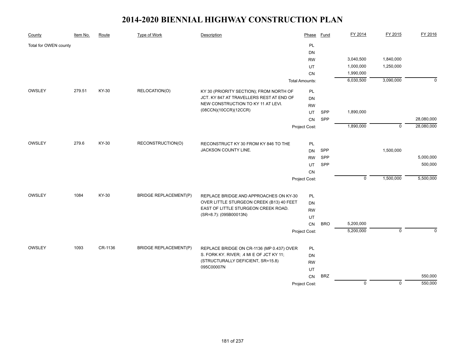| County                | Item No. | Route   | <b>Type of Work</b>          | Description                                                 | Phase                 | <b>Fund</b> | FY 2014        | FY 2015        | FY 2016    |
|-----------------------|----------|---------|------------------------------|-------------------------------------------------------------|-----------------------|-------------|----------------|----------------|------------|
| Total for OWEN county |          |         |                              |                                                             | PL                    |             |                |                |            |
|                       |          |         |                              |                                                             | <b>DN</b>             |             |                |                |            |
|                       |          |         |                              |                                                             | <b>RW</b>             |             | 3,040,500      | 1,840,000      |            |
|                       |          |         |                              |                                                             | UT                    |             | 1,000,000      | 1,250,000      |            |
|                       |          |         |                              |                                                             | CN                    |             | 1,990,000      |                |            |
|                       |          |         |                              |                                                             | <b>Total Amounts:</b> |             | 6,030,500      | 3,090,000      | $\Omega$   |
| OWSLEY                | 279.51   | KY-30   | RELOCATION(O)                | KY 30 (PRIORITY SECTION); FROM NORTH OF                     | PL                    |             |                |                |            |
|                       |          |         |                              | JCT. KY 847 AT TRAVELLERS REST AT END OF                    | DN                    |             |                |                |            |
|                       |          |         |                              | NEW CONSTRUCTION TO KY 11 AT LEVI.<br>(08CCN)(10CCR)(12CCR) | <b>RW</b>             |             |                |                |            |
|                       |          |         |                              |                                                             | UT                    | SPP         | 1,890,000      |                |            |
|                       |          |         |                              |                                                             | <b>CN</b>             | SPP         |                |                | 28,080,000 |
|                       |          |         |                              |                                                             | Project Cost:         |             | 1,890,000      | $\overline{0}$ | 28,080,000 |
| OWSLEY                | 279.6    | KY-30   | RECONSTRUCTION(O)            | RECONSTRUCT KY 30 FROM KY 846 TO THE                        | PL                    |             |                |                |            |
|                       |          |         |                              | JACKSON COUNTY LINE.                                        | <b>DN</b>             | SPP         |                | 1,500,000      |            |
|                       |          |         |                              |                                                             | <b>RW</b>             | SPP         |                |                | 5,000,000  |
|                       |          |         |                              |                                                             | UT                    | SPP         |                |                | 500,000    |
|                       |          |         |                              |                                                             | <b>CN</b>             |             |                |                |            |
|                       |          |         |                              |                                                             | Project Cost:         |             | $\mathbf 0$    | 1,500,000      | 5,500,000  |
|                       |          |         |                              |                                                             |                       |             |                |                |            |
| OWSLEY                | 1084     | KY-30   | <b>BRIDGE REPLACEMENT(P)</b> | REPLACE BRIDGE AND APPROACHES ON KY-30                      | PL                    |             |                |                |            |
|                       |          |         |                              | OVER LITTLE STURGEON CREEK (B13) 40 FEET                    | <b>DN</b>             |             |                |                |            |
|                       |          |         |                              | EAST OF LITTLE STURGEON CREEK ROAD.                         | <b>RW</b>             |             |                |                |            |
|                       |          |         |                              | (SR=8.7): (095B00013N)                                      | UT                    |             |                |                |            |
|                       |          |         |                              |                                                             | CN                    | <b>BRO</b>  | 5,200,000      |                |            |
|                       |          |         |                              |                                                             | Project Cost:         |             | 5,200,000      | $\mathbf 0$    | $\Omega$   |
| OWSLEY                | 1093     | CR-1136 | <b>BRIDGE REPLACEMENT(P)</b> | REPLACE BRIDGE ON CR-1136 (MP 0.437) OVER                   | PL                    |             |                |                |            |
|                       |          |         |                              | S. FORK KY. RIVER; .4 MI E OF JCT KY 11;                    | DN                    |             |                |                |            |
|                       |          |         |                              | (STRUCTURALLY DEFICIENT, SR=15.8)                           | <b>RW</b>             |             |                |                |            |
|                       |          |         |                              | 095C00007N                                                  | UT                    |             |                |                |            |
|                       |          |         |                              |                                                             | <b>CN</b>             | <b>BRZ</b>  |                |                | 550,000    |
|                       |          |         |                              |                                                             | Project Cost:         |             | $\overline{0}$ | $\overline{0}$ | 550,000    |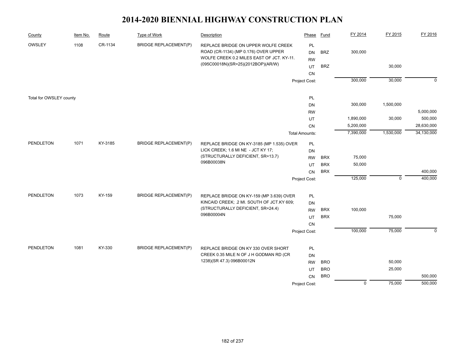| County                  | Item No. | Route   | <b>Type of Work</b>          | Description                                                                                                              | Phase                  | <b>Fund</b> | FY 2014        | FY 2015     | FY 2016     |
|-------------------------|----------|---------|------------------------------|--------------------------------------------------------------------------------------------------------------------------|------------------------|-------------|----------------|-------------|-------------|
| OWSLEY                  | 1108     | CR-1134 | <b>BRIDGE REPLACEMENT(P)</b> | REPLACE BRIDGE ON UPPER WOLFE CREEK<br>ROAD (CR-1134) (MP 0.176) OVER UPPER<br>WOLFE CREEK 0.2 MILES EAST OF JCT. KY-11. | PL<br>DN<br><b>RW</b>  | <b>BRZ</b>  | 300,000        |             |             |
|                         |          |         |                              | (095C00018N)(SR=25)(2012BOP)(AR/W)                                                                                       | UT                     | <b>BRZ</b>  |                | 30,000      |             |
|                         |          |         |                              |                                                                                                                          | CN                     |             |                |             |             |
|                         |          |         |                              |                                                                                                                          | Project Cost:          |             | 300,000        | 30,000      | $\mathbf 0$ |
|                         |          |         |                              |                                                                                                                          |                        |             |                |             |             |
| Total for OWSLEY county |          |         |                              |                                                                                                                          | PL                     |             |                |             |             |
|                         |          |         |                              |                                                                                                                          | <b>DN</b>              |             | 300,000        | 1,500,000   |             |
|                         |          |         |                              |                                                                                                                          | <b>RW</b>              |             |                |             | 5,000,000   |
|                         |          |         |                              |                                                                                                                          | UT                     |             | 1,890,000      | 30,000      | 500,000     |
|                         |          |         |                              |                                                                                                                          | CN                     |             | 5,200,000      |             | 28,630,000  |
|                         |          |         |                              |                                                                                                                          | <b>Total Amounts:</b>  |             | 7,390,000      | 1,530,000   | 34,130,000  |
| PENDLETON               | 1071     | KY-3185 | <b>BRIDGE REPLACEMENT(P)</b> | REPLACE BRIDGE ON KY-3185 (MP 1.535) OVER                                                                                | PL                     |             |                |             |             |
|                         |          |         |                              | LICK CREEK; 1.6 MI NE - JCT KY 17;                                                                                       | <b>DN</b>              |             |                |             |             |
|                         |          |         |                              | (STRUCTURALLY DEFICIENT, SR=13.7)                                                                                        | <b>RW</b>              | <b>BRX</b>  | 75,000         |             |             |
|                         |          |         |                              | 096B00038N                                                                                                               | UT                     | <b>BRX</b>  | 50,000         |             |             |
|                         |          |         |                              |                                                                                                                          | CN                     | <b>BRX</b>  |                |             | 400,000     |
|                         |          |         |                              |                                                                                                                          | Project Cost:          |             | 125,000        | $\mathbf 0$ | 400,000     |
|                         | 1073     | KY-159  |                              |                                                                                                                          |                        |             |                |             |             |
| PENDLETON               |          |         | <b>BRIDGE REPLACEMENT(P)</b> | REPLACE BRIDGE ON KY-159 (MP 3.639) OVER<br>KINCAID CREEK; .2 MI. SOUTH OF JCT.KY 609;                                   | PL                     |             |                |             |             |
|                         |          |         |                              | (STRUCTURALLY DEFICIENT, SR=24.4)                                                                                        | <b>DN</b><br><b>RW</b> | <b>BRX</b>  | 100,000        |             |             |
|                         |          |         |                              | 096B00004N                                                                                                               | UT                     | <b>BRX</b>  |                | 75,000      |             |
|                         |          |         |                              |                                                                                                                          | CN                     |             |                |             |             |
|                         |          |         |                              |                                                                                                                          | Project Cost:          |             | 100,000        | 75,000      | $\mathbf 0$ |
|                         |          |         |                              |                                                                                                                          |                        |             |                |             |             |
| <b>PENDLETON</b>        | 1081     | KY-330  | <b>BRIDGE REPLACEMENT(P)</b> | REPLACE BRIDGE ON KY 330 OVER SHORT                                                                                      | PL                     |             |                |             |             |
|                         |          |         |                              | CREEK 0.35 MILE N OF J H GODMAN RD (CR                                                                                   | <b>DN</b>              |             |                |             |             |
|                         |          |         |                              | 1238)(SR 47.3) 096B00012N                                                                                                | <b>RW</b>              | <b>BRO</b>  |                | 50,000      |             |
|                         |          |         |                              |                                                                                                                          | UT                     | <b>BRO</b>  |                | 25,000      |             |
|                         |          |         |                              |                                                                                                                          | <b>CN</b>              | <b>BRO</b>  |                |             | 500,000     |
|                         |          |         |                              |                                                                                                                          | Project Cost:          |             | $\overline{0}$ | 75,000      | 500,000     |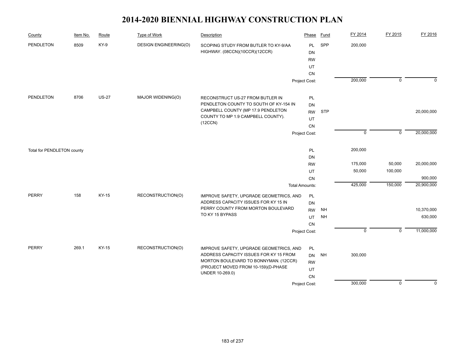| County                     | Item No. | Route        | <b>Type of Work</b>          | Description                                                                  | Phase                  | <b>Fund</b> | FY 2014     | FY 2015     | FY 2016     |
|----------------------------|----------|--------------|------------------------------|------------------------------------------------------------------------------|------------------------|-------------|-------------|-------------|-------------|
| <b>PENDLETON</b>           | 8509     | KY-9         | <b>DESIGN ENGINEERING(O)</b> | SCOPING STUDY FROM BUTLER TO KY-9/AA<br>HIGHWAY. (08CCN)(10CCR)(12CCR)       | <b>PL</b><br><b>DN</b> | SPP         | 200,000     |             |             |
|                            |          |              |                              |                                                                              | <b>RW</b>              |             |             |             |             |
|                            |          |              |                              |                                                                              | UT                     |             |             |             |             |
|                            |          |              |                              |                                                                              | <b>CN</b>              |             |             |             |             |
|                            |          |              |                              |                                                                              | Project Cost:          |             | 200,000     | $\mathbf 0$ | $\mathbf 0$ |
| <b>PENDLETON</b>           | 8706     | <b>US-27</b> | MAJOR WIDENING(O)            | RECONSTRUCT US-27 FROM BUTLER IN                                             | PL                     |             |             |             |             |
|                            |          |              |                              | PENDLETON COUNTY TO SOUTH OF KY-154 IN                                       | <b>DN</b>              |             |             |             |             |
|                            |          |              |                              | CAMPBELL COUNTY (MP 17.9 PENDLETON                                           | <b>RW</b>              | <b>STP</b>  |             |             | 20,000,000  |
|                            |          |              |                              | COUNTY TO MP 1.9 CAMPBELL COUNTY).                                           | UT                     |             |             |             |             |
|                            |          |              |                              | (12CCN)                                                                      | CN                     |             |             |             |             |
|                            |          |              |                              |                                                                              | Project Cost:          |             | $\mathsf 0$ | $\mathsf 0$ | 20,000,000  |
| Total for PENDLETON county |          |              |                              |                                                                              | PL                     |             | 200,000     |             |             |
|                            |          |              |                              |                                                                              | <b>DN</b>              |             |             |             |             |
|                            |          |              |                              |                                                                              | <b>RW</b>              |             | 175,000     | 50,000      | 20,000,000  |
|                            |          |              |                              |                                                                              | UT                     |             | 50,000      | 100,000     |             |
|                            |          |              |                              |                                                                              | CN                     |             |             |             | 900,000     |
|                            |          |              |                              |                                                                              | <b>Total Amounts:</b>  |             | 425,000     | 150,000     | 20,900,000  |
| <b>PERRY</b>               | 158      | KY-15        | RECONSTRUCTION(O)            | IMPROVE SAFETY, UPGRADE GEOMETRICS, AND                                      | PL                     |             |             |             |             |
|                            |          |              |                              | ADDRESS CAPACITY ISSUES FOR KY 15 IN                                         | <b>DN</b>              |             |             |             |             |
|                            |          |              |                              | PERRY COUNTY FROM MORTON BOULEVARD<br>TO KY 15 BYPASS                        | <b>RW</b>              | <b>NH</b>   |             |             | 10,370,000  |
|                            |          |              |                              |                                                                              | UT                     | <b>NH</b>   |             |             | 630,000     |
|                            |          |              |                              |                                                                              | CN                     |             | $\mathbf 0$ | $\mathsf 0$ | 11,000,000  |
|                            |          |              |                              |                                                                              | Project Cost:          |             |             |             |             |
| <b>PERRY</b>               | 269.1    | KY-15        | RECONSTRUCTION(O)            | IMPROVE SAFETY, UPGRADE GEOMETRICS, AND                                      | PL                     |             |             |             |             |
|                            |          |              |                              | ADDRESS CAPACITY ISSUES FOR KY 15 FROM                                       | <b>DN</b>              | <b>NH</b>   | 300,000     |             |             |
|                            |          |              |                              | MORTON BOULEVARD TO BONNYMAN. (12CCR)<br>(PROJECT MOVED FROM 10-159)(D-PHASE | <b>RW</b>              |             |             |             |             |
|                            |          |              |                              | UNDER 10-269.0)                                                              | UT                     |             |             |             |             |
|                            |          |              |                              |                                                                              | ${\sf CN}$             |             |             |             |             |
|                            |          |              |                              |                                                                              | Project Cost:          |             | 300,000     | $\mathbf 0$ | $\mathbf 0$ |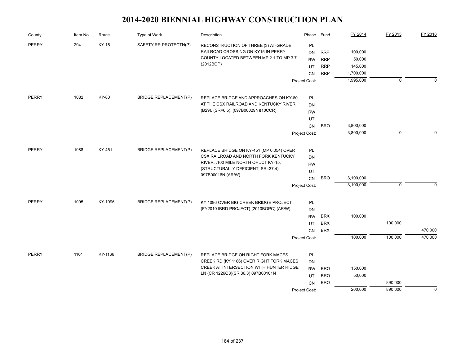| County       | Item No. | Route   | Type of Work                 | Description                                                               | Phase         | Fund       | FY 2014   | FY 2015     | FY 2016     |
|--------------|----------|---------|------------------------------|---------------------------------------------------------------------------|---------------|------------|-----------|-------------|-------------|
| <b>PERRY</b> | 294      | KY-15   | SAFETY-RR PROTECTN(P)        | RECONSTRUCTION OF THREE (3) AT-GRADE                                      | PL            |            |           |             |             |
|              |          |         |                              | RAILROAD CROSSING ON KY15 IN PERRY                                        | <b>DN</b>     | <b>RRP</b> | 100,000   |             |             |
|              |          |         |                              | COUNTY LOCATED BETWEEN MP 2.1 TO MP 3.7.                                  | <b>RW</b>     | <b>RRP</b> | 50,000    |             |             |
|              |          |         |                              | (2012BOP)                                                                 | UT            | <b>RRP</b> | 145,000   |             |             |
|              |          |         |                              |                                                                           | <b>CN</b>     | <b>RRP</b> | 1,700,000 |             |             |
|              |          |         |                              |                                                                           | Project Cost: |            | 1,995,000 | $\mathbf 0$ | $\mathbf 0$ |
| <b>PERRY</b> | 1082     | KY-80   | <b>BRIDGE REPLACEMENT(P)</b> | REPLACE BRIDGE AND APPROACHES ON KY-80                                    | PL            |            |           |             |             |
|              |          |         |                              | AT THE CSX RAILROAD AND KENTUCKY RIVER                                    | <b>DN</b>     |            |           |             |             |
|              |          |         |                              | (B29). (SR=6.5): (097B00029N)(10CCR)                                      | <b>RW</b>     |            |           |             |             |
|              |          |         |                              |                                                                           | UT            |            |           |             |             |
|              |          |         |                              |                                                                           | CN            | <b>BRO</b> | 3,800,000 |             |             |
|              |          |         |                              |                                                                           | Project Cost: |            | 3,800,000 | $\mathbf 0$ | $\Omega$    |
| <b>PERRY</b> | 1088     | KY-451  | <b>BRIDGE REPLACEMENT(P)</b> | REPLACE BRIDGE ON KY-451 (MP 0.054) OVER                                  | PL            |            |           |             |             |
|              |          |         |                              | CSX RAILROAD AND NORTH FORK KENTUCKY                                      | <b>DN</b>     |            |           |             |             |
|              |          |         |                              | RIVER; .100 MILE NORTH OF JCT KY-15;<br>(STRUCTURALLY DEFICIENT, SR=37.4) | <b>RW</b>     |            |           |             |             |
|              |          |         |                              |                                                                           | UT            |            |           |             |             |
|              |          |         |                              | 097B00016N (AR/W)                                                         | CN            | <b>BRO</b> | 3,100,000 |             |             |
|              |          |         |                              |                                                                           | Project Cost: |            | 3,100,000 | $\mathbf 0$ | $\Omega$    |
| <b>PERRY</b> | 1095     | KY-1096 | <b>BRIDGE REPLACEMENT(P)</b> | KY 1096 OVER BIG CREEK BRIDGE PROJECT                                     | PL            |            |           |             |             |
|              |          |         |                              | (FY2010 IBRD PROJECT) (2010BOPC) (AR/W)                                   | DN            |            |           |             |             |
|              |          |         |                              |                                                                           | <b>RW</b>     | <b>BRX</b> | 100,000   |             |             |
|              |          |         |                              |                                                                           | UT            | <b>BRX</b> |           | 100,000     |             |
|              |          |         |                              |                                                                           | <b>CN</b>     | <b>BRX</b> |           |             | 470,000     |
|              |          |         |                              |                                                                           | Project Cost: |            | 100,000   | 100,000     | 470,000     |
| <b>PERRY</b> | 1101     | KY-1166 | <b>BRIDGE REPLACEMENT(P)</b> | REPLACE BRIDGE ON RIGHT FORK MACES                                        | PL            |            |           |             |             |
|              |          |         |                              | CREEK RD (KY 1166) OVER RIGHT FORK MACES                                  | <b>DN</b>     |            |           |             |             |
|              |          |         |                              | CREEK AT INTERSECTION WITH HUNTER RIDGE                                   | <b>RW</b>     | <b>BRO</b> | 150,000   |             |             |
|              |          |         |                              | LN (CR 1226Q3)(SR 36.3) 097B00101N                                        | UT            | <b>BRO</b> | 50,000    |             |             |
|              |          |         |                              |                                                                           | <b>CN</b>     | <b>BRO</b> |           | 890,000     |             |
|              |          |         |                              |                                                                           | Project Cost: |            | 200,000   | 890,000     | $\mathbf 0$ |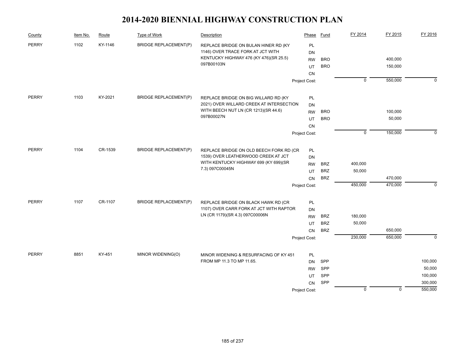| County       | Item No. | Route   | Type of Work                 | Description                                                         | Phase                  | Fund       | FY 2014        | FY 2015     | FY 2016           |
|--------------|----------|---------|------------------------------|---------------------------------------------------------------------|------------------------|------------|----------------|-------------|-------------------|
| <b>PERRY</b> | 1102     | KY-1146 | <b>BRIDGE REPLACEMENT(P)</b> | REPLACE BRIDGE ON BULAN HINER RD (KY                                | PL                     |            |                |             |                   |
|              |          |         |                              | 1146) OVER TRACE FORK AT JCT WITH                                   | <b>DN</b>              |            |                |             |                   |
|              |          |         |                              | KENTUCKY HIGHWAY 476 (KY 476)(SR 25.5)<br>097B00103N                | <b>RW</b>              | <b>BRO</b> |                | 400,000     |                   |
|              |          |         |                              |                                                                     | UT                     | <b>BRO</b> |                | 150,000     |                   |
|              |          |         |                              |                                                                     | CN                     |            |                |             |                   |
|              |          |         |                              |                                                                     | Project Cost:          |            | $\overline{0}$ | 550,000     | $\mathbf 0$       |
| <b>PERRY</b> | 1103     | KY-2021 | <b>BRIDGE REPLACEMENT(P)</b> | REPLACE BRIDGE ON BIG WILLARD RD (KY                                | PL                     |            |                |             |                   |
|              |          |         |                              | 2021) OVER WILLARD CREEK AT INTERSECTION                            | DN                     |            |                |             |                   |
|              |          |         |                              | WITH BEECH NUT LN (CR 1213)(SR 44.6)                                | <b>RW</b>              | <b>BRO</b> |                | 100,000     |                   |
|              |          |         |                              | 097B00027N                                                          | UT                     | <b>BRO</b> |                | 50,000      |                   |
|              |          |         |                              |                                                                     | CN                     |            |                |             |                   |
|              |          |         |                              |                                                                     | Project Cost:          |            | $\mathbf 0$    | 150,000     | $\mathbf 0$       |
| <b>PERRY</b> | 1104     | CR-1539 | <b>BRIDGE REPLACEMENT(P)</b> | REPLACE BRIDGE ON OLD BEECH FORK RD (CR                             | PL                     |            |                |             |                   |
|              |          |         |                              | 1539) OVER LEATHERWOOD CREEK AT JCT                                 | <b>DN</b>              |            |                |             |                   |
|              |          |         |                              | WITH KENTUCKY HIGHWAY 699 (KY 699)(SR                               | <b>RW</b>              | <b>BRZ</b> | 400,000        |             |                   |
|              |          |         |                              | 7.3) 097C00045N                                                     | UT                     | <b>BRZ</b> | 50,000         |             |                   |
|              |          |         |                              |                                                                     | CN                     | <b>BRZ</b> |                | 470,000     |                   |
|              |          |         |                              |                                                                     | Project Cost:          |            | 450,000        | 470,000     | 0                 |
| <b>PERRY</b> | 1107     | CR-1107 | <b>BRIDGE REPLACEMENT(P)</b> | REPLACE BRIDGE ON BLACK HAWK RD (CR                                 | PL                     |            |                |             |                   |
|              |          |         |                              | 1107) OVER CARR FORK AT JCT WITH RAPTOR                             | DN                     |            |                |             |                   |
|              |          |         |                              | LN (CR 1179)(SR 4.3) 097C00006N                                     | <b>RW</b>              | <b>BRZ</b> | 180,000        |             |                   |
|              |          |         |                              |                                                                     | UT                     | <b>BRZ</b> | 50,000         |             |                   |
|              |          |         |                              |                                                                     | CN                     | <b>BRZ</b> |                | 650,000     |                   |
|              |          |         |                              |                                                                     | Project Cost:          |            | 230,000        | 650,000     | $\mathbf 0$       |
|              |          |         |                              |                                                                     |                        |            |                |             |                   |
| <b>PERRY</b> | 8851     | KY-451  | MINOR WIDENING(O)            | MINOR WIDENING & RESURFACING OF KY 451<br>FROM MP 11.3 TO MP 11.65. | PL                     |            |                |             |                   |
|              |          |         |                              |                                                                     | <b>DN</b><br><b>RW</b> | SPP<br>SPP |                |             | 100,000<br>50,000 |
|              |          |         |                              |                                                                     | UT                     | SPP        |                |             | 100,000           |
|              |          |         |                              |                                                                     | <b>CN</b>              | SPP        |                |             | 300,000           |
|              |          |         |                              |                                                                     | Project Cost:          |            | $\mathbf 0$    | $\mathsf 0$ | 550,000           |
|              |          |         |                              |                                                                     |                        |            |                |             |                   |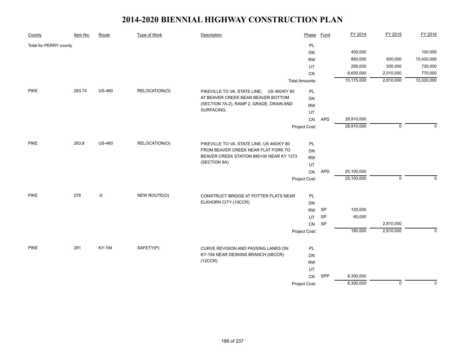| County                 | Item No. | Route         | <b>Type of Work</b> | Description                                                               | Phase                 | <b>Fund</b> | FY 2014    | FY 2015     | FY 2016     |
|------------------------|----------|---------------|---------------------|---------------------------------------------------------------------------|-----------------------|-------------|------------|-------------|-------------|
| Total for PERRY county |          |               |                     |                                                                           | PL                    |             |            |             |             |
|                        |          |               |                     |                                                                           | DN                    |             | 400,000    |             | 100,000     |
|                        |          |               |                     |                                                                           | <b>RW</b>             |             | 880,000    | 500,000     | 10,420,000  |
|                        |          |               |                     |                                                                           | UT                    |             | 295,000    | 300,000     | 730,000     |
|                        |          |               |                     |                                                                           | CN                    |             | 8,600,000  | 2,010,000   | 770,000     |
|                        |          |               |                     |                                                                           | <b>Total Amounts:</b> |             | 10,175,000 | 2,810,000   | 12,020,000  |
| <b>PIKE</b>            | 263.74   | <b>US-460</b> | RELOCATION(O)       | PIKEVILLE TO VA. STATE LINE;<br>US 460/KY 80                              | PL                    |             |            |             |             |
|                        |          |               |                     | AT BEAVER CREEK NEAR BEAVER BOTTOM                                        | DN                    |             |            |             |             |
|                        |          |               |                     | (SECTION 7A-2), RAMP 2, GRADE, DRAIN AND                                  | <b>RW</b>             |             |            |             |             |
|                        |          |               |                     | SURFACING.                                                                | UT                    |             |            |             |             |
|                        |          |               |                     |                                                                           | CN                    | <b>APD</b>  | 28,910,000 |             |             |
|                        |          |               |                     |                                                                           | Project Cost:         |             | 28,910,000 | $\mathbf 0$ | $\Omega$    |
| <b>PIKE</b>            | 263.8    | <b>US-460</b> | RELOCATION(O)       | PIKEVILLE TO VA. STATE LINE; US 460/KY 80                                 | PL                    |             |            |             |             |
|                        |          |               |                     | FROM BEAVER CREEK NEAR FLAT FORK TO                                       | DN                    |             |            |             |             |
|                        |          |               |                     | BEAVER CREEK STATION 885+00 NEAR KY 1373                                  | <b>RW</b>             |             |            |             |             |
|                        |          |               |                     | (SECTION 8A).                                                             | UT                    |             |            |             |             |
|                        |          |               |                     |                                                                           | CN                    | <b>APD</b>  | 25,100,000 |             |             |
|                        |          |               |                     |                                                                           | Project Cost:         |             | 25,100,000 | $\mathbf 0$ | $\Omega$    |
|                        |          |               |                     |                                                                           |                       |             |            |             |             |
| <b>PIKE</b>            | 276      | -0            | NEW ROUTE(O)        | CONSTRUCT BRIDGE AT POTTER FLATS NEAR                                     | <b>PL</b>             |             |            |             |             |
|                        |          |               |                     | ELKHORN CITY.(10CCR)                                                      | <b>DN</b>             |             |            |             |             |
|                        |          |               |                     |                                                                           | <b>RW</b>             | SP          | 120,000    |             |             |
|                        |          |               |                     |                                                                           | UT                    | SP          | 60,000     |             |             |
|                        |          |               |                     |                                                                           | CN                    | SP          |            | 2,810,000   |             |
|                        |          |               |                     |                                                                           | Project Cost:         |             | 180,000    | 2,810,000   | $\mathbf 0$ |
| <b>PIKE</b>            | 281      | KY-194        | SAFETY(P)           |                                                                           |                       |             |            |             |             |
|                        |          |               |                     | CURVE REVISION AND PASSING LANES ON<br>KY-194 NEAR DESKINS BRANCH (08CCR) | PL                    |             |            |             |             |
|                        |          |               |                     | (12CCR)                                                                   | DN<br><b>RW</b>       |             |            |             |             |
|                        |          |               |                     |                                                                           | UT                    |             |            |             |             |
|                        |          |               |                     |                                                                           | CN                    | SPP         | 8,300,000  |             |             |
|                        |          |               |                     |                                                                           | Project Cost:         |             | 8,300,000  | $\mathbf 0$ | $\mathbf 0$ |
|                        |          |               |                     |                                                                           |                       |             |            |             |             |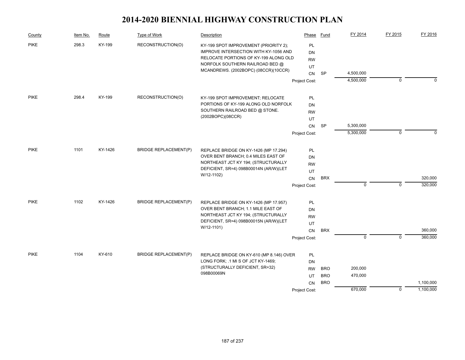| County               | Item No. | Route             | Type of Work                                                                                                                                                      | Description                                                                   | Phase         | Fund                     | FY 2014   | FY 2015     | FY 2016   |
|----------------------|----------|-------------------|-------------------------------------------------------------------------------------------------------------------------------------------------------------------|-------------------------------------------------------------------------------|---------------|--------------------------|-----------|-------------|-----------|
| <b>PIKE</b><br>298.3 | KY-199   | RECONSTRUCTION(O) | KY-199 SPOT IMPROVEMENT (PRIORITY 2);<br><b>IMPROVE INTERSECTION WITH KY-1056 AND</b><br>RELOCATE PORTIONS OF KY-199 ALONG OLD<br>NORFOLK SOUTHERN RAILROAD BED @ | PL<br>DN<br><b>RW</b><br>UT                                                   |               |                          |           |             |           |
|                      |          |                   |                                                                                                                                                                   | MCANDREWS. (2002BOPC) (08CCR)(10CCR)                                          | CN            | <b>SP</b>                | 4,500,000 |             |           |
|                      |          |                   |                                                                                                                                                                   |                                                                               | Project Cost: |                          | 4,500,000 | 0           | $\Omega$  |
| <b>PIKE</b>          | 298.4    | KY-199            | RECONSTRUCTION(O)                                                                                                                                                 |                                                                               | PL            |                          |           |             |           |
|                      |          |                   |                                                                                                                                                                   | KY-199 SPOT IMPROVEMENT; RELOCATE<br>PORTIONS OF KY-199 ALONG OLD NORFOLK     | DN            |                          |           |             |           |
|                      |          |                   |                                                                                                                                                                   | SOUTHERN RAILROAD BED @ STONE.                                                | <b>RW</b>     |                          |           |             |           |
|                      |          |                   |                                                                                                                                                                   | (2002BOPC)(08CCR)                                                             | UT            |                          |           |             |           |
|                      |          |                   |                                                                                                                                                                   |                                                                               | CN            | SP                       | 5,300,000 |             |           |
|                      |          |                   |                                                                                                                                                                   |                                                                               | Project Cost: |                          | 5,300,000 | $\mathbf 0$ | $\Omega$  |
| <b>PIKE</b>          | 1101     | KY-1426           | <b>BRIDGE REPLACEMENT(P)</b>                                                                                                                                      | REPLACE BRIDGE ON KY-1426 (MP 17.294)                                         | PL            |                          |           |             |           |
|                      |          |                   |                                                                                                                                                                   | OVER BENT BRANCH; 0.4 MILES EAST OF                                           | DN            |                          |           |             |           |
|                      |          |                   |                                                                                                                                                                   | NORTHEAST JCT KY 194; (STRUCTURALLY                                           | <b>RW</b>     |                          |           |             |           |
|                      |          |                   |                                                                                                                                                                   | DEFICIENT, SR=4) 098B00014N (AR/W)(LET<br>W/12-1102)                          | UT            |                          |           |             |           |
|                      |          |                   |                                                                                                                                                                   |                                                                               | CN            | <b>BRX</b>               |           |             | 320,000   |
|                      |          |                   |                                                                                                                                                                   |                                                                               | Project Cost: |                          | 0         | $\mathbf 0$ | 320,000   |
| <b>PIKE</b>          | 1102     | KY-1426           | <b>BRIDGE REPLACEMENT(P)</b>                                                                                                                                      | REPLACE BRIDGE ON KY-1426 (MP 17.957)                                         | PL            |                          |           |             |           |
|                      |          |                   |                                                                                                                                                                   | OVER BENT BRANCH; 1.1 MILE EAST OF                                            | DN            |                          |           |             |           |
|                      |          |                   |                                                                                                                                                                   | NORTHEAST JCT KY 194; (STRUCTURALLY<br>DEFICIENT, SR=4) 098B00015N (AR/W)(LET | <b>RW</b>     |                          |           |             |           |
|                      |          |                   |                                                                                                                                                                   | W/12-1101)                                                                    | UT            |                          |           |             |           |
|                      |          |                   |                                                                                                                                                                   |                                                                               | CN            | <b>BRX</b>               |           |             | 360,000   |
|                      |          |                   |                                                                                                                                                                   |                                                                               | Project Cost: |                          | 0         | $\mathbf 0$ | 360,000   |
| <b>PIKE</b>          | 1104     | KY-610            | <b>BRIDGE REPLACEMENT(P)</b>                                                                                                                                      | REPLACE BRIDGE ON KY-610 (MP 8.146) OVER                                      | PL            |                          |           |             |           |
|                      |          |                   |                                                                                                                                                                   | LONG FORK; .1 MI S OF JCT KY-1469;<br>(STRUCTURALLY DEFICIENT, SR=32)         | DN            |                          |           |             |           |
|                      |          |                   |                                                                                                                                                                   | 098B00069N                                                                    | <b>RW</b>     | <b>BRO</b>               | 200,000   |             |           |
|                      |          |                   |                                                                                                                                                                   |                                                                               | UT<br>CN      | <b>BRO</b><br><b>BRO</b> | 470,000   |             | 1,100,000 |
|                      |          |                   |                                                                                                                                                                   |                                                                               | Project Cost: |                          | 670,000   | $\mathbf 0$ | 1,100,000 |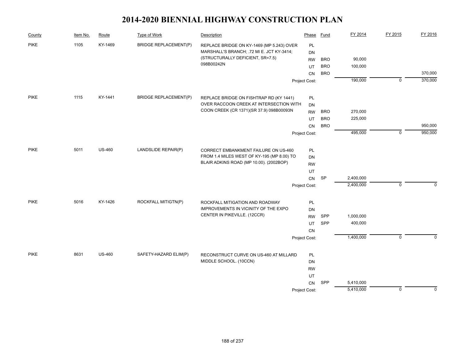| County      | Item No. | Route         | Type of Work                 | Description                                                      | Phase           | Fund       | FY 2014   | FY 2015     | FY 2016     |
|-------------|----------|---------------|------------------------------|------------------------------------------------------------------|-----------------|------------|-----------|-------------|-------------|
| <b>PIKE</b> | 1105     | KY-1469       | <b>BRIDGE REPLACEMENT(P)</b> | REPLACE BRIDGE ON KY-1469 (MP 5.243) OVER                        | PL              |            |           |             |             |
|             |          |               |                              | MARSHALL'S BRANCH; .72 MI E. JCT KY-3414;                        | <b>DN</b>       |            |           |             |             |
|             |          |               |                              | (STRUCTURALLY DEFICIENT, SR=7.5)<br>098B00242N                   | <b>RW</b>       | <b>BRO</b> | 90,000    |             |             |
|             |          |               |                              |                                                                  | UT              | <b>BRO</b> | 100,000   |             |             |
|             |          |               |                              |                                                                  | CN              | <b>BRO</b> |           |             | 370,000     |
|             |          |               |                              |                                                                  | Project Cost:   |            | 190,000   | $\mathbf 0$ | 370,000     |
| <b>PIKE</b> | 1115     | KY-1441       | <b>BRIDGE REPLACEMENT(P)</b> | REPLACE BRIDGE ON FISHTRAP RD (KY 1441)                          | PL              |            |           |             |             |
|             |          |               |                              | OVER RACCOON CREEK AT INTERSECTION WITH                          | <b>DN</b>       |            |           |             |             |
|             |          |               |                              | COON CREEK (CR 1371)(SR 37.9) 098B00093N                         | <b>RW</b>       | <b>BRO</b> | 270,000   |             |             |
|             |          |               |                              |                                                                  | UT              | <b>BRO</b> | 225,000   |             |             |
|             |          |               |                              |                                                                  | CN              | <b>BRO</b> |           |             | 950,000     |
|             |          |               |                              |                                                                  | Project Cost:   |            | 495,000   | $\mathbf 0$ | 950,000     |
| <b>PIKE</b> | 5011     | <b>US-460</b> | LANDSLIDE REPAIR(P)          | CORRECT EMBANKMENT FAILURE ON US-460                             | <b>PL</b>       |            |           |             |             |
|             |          |               |                              | FROM 1.4 MILES WEST OF KY-195 (MP 8.00) TO                       | <b>DN</b>       |            |           |             |             |
|             |          |               |                              | BLAIR ADKINS ROAD (MP 10.00). (2002BOP)                          | <b>RW</b>       |            |           |             |             |
|             |          |               |                              |                                                                  | UT              |            |           |             |             |
|             |          |               |                              |                                                                  | CN              | <b>SP</b>  | 2,400,000 |             |             |
|             |          |               |                              |                                                                  | Project Cost:   |            | 2,400,000 | $\mathbf 0$ | $\mathbf 0$ |
| <b>PIKE</b> | 5016     | KY-1426       | ROCKFALL MITIGTN(P)          | ROCKFALL MITIGATION AND ROADWAY                                  | PL              |            |           |             |             |
|             |          |               |                              | IMPROVEMENTS IN VICINITY OF THE EXPO                             | <b>DN</b>       |            |           |             |             |
|             |          |               |                              | CENTER IN PIKEVILLE. (12CCR)                                     | <b>RW</b>       | SPP        | 1,000,000 |             |             |
|             |          |               |                              |                                                                  | UT              | SPP        | 400,000   |             |             |
|             |          |               |                              |                                                                  | CN              |            |           |             |             |
|             |          |               |                              |                                                                  | Project Cost:   |            | 1,400,000 | $\mathbf 0$ | $\mathbf 0$ |
| <b>PIKE</b> | 8631     | <b>US-460</b> | SAFETY-HAZARD ELIM(P)        |                                                                  |                 |            |           |             |             |
|             |          |               |                              | RECONSTRUCT CURVE ON US-460 AT MILLARD<br>MIDDLE SCHOOL. (10CCN) | <b>PL</b>       |            |           |             |             |
|             |          |               |                              |                                                                  | DN<br><b>RW</b> |            |           |             |             |
|             |          |               |                              |                                                                  | UT              |            |           |             |             |
|             |          |               |                              |                                                                  | <b>CN</b>       | SPP        | 5,410,000 |             |             |
|             |          |               |                              |                                                                  | Project Cost:   |            | 5,410,000 | 0           | $\mathbf 0$ |
|             |          |               |                              |                                                                  |                 |            |           |             |             |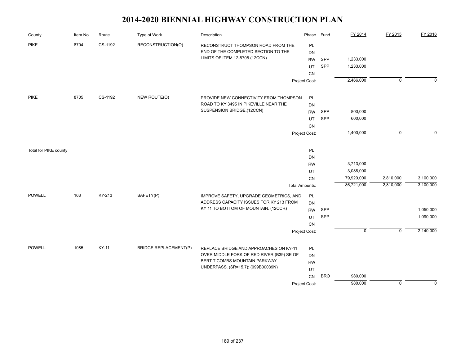| County                | Item No. | Route   | <b>Type of Work</b>          | Description                                                               | Phase                 | <b>Fund</b> | FY 2014     | FY 2015        | FY 2016     |
|-----------------------|----------|---------|------------------------------|---------------------------------------------------------------------------|-----------------------|-------------|-------------|----------------|-------------|
| <b>PIKE</b>           | 8704     | CS-1192 | RECONSTRUCTION(O)            | RECONSTRUCT THOMPSON ROAD FROM THE<br>END OF THE COMPLETED SECTION TO THE | PL<br><b>DN</b>       |             |             |                |             |
|                       |          |         |                              | LIMITS OF ITEM 12-8705.(12CCN)                                            | <b>RW</b>             | SPP         | 1,233,000   |                |             |
|                       |          |         |                              |                                                                           | UT                    | SPP         | 1,233,000   |                |             |
|                       |          |         |                              |                                                                           | CN                    |             |             |                |             |
|                       |          |         |                              |                                                                           | Project Cost:         |             | 2,466,000   | $\mathbf 0$    | $\Omega$    |
| <b>PIKE</b>           | 8705     | CS-1192 | NEW ROUTE(O)                 | PROVIDE NEW CONNECTIVITY FROM THOMPSON                                    | PL                    |             |             |                |             |
|                       |          |         |                              | ROAD TO KY 3495 IN PIKEVILLE NEAR THE                                     | DN                    |             |             |                |             |
|                       |          |         |                              | SUSPENSION BRIDGE.(12CCN)                                                 | <b>RW</b>             | SPP         | 800,000     |                |             |
|                       |          |         |                              |                                                                           | UT                    | SPP         | 600,000     |                |             |
|                       |          |         |                              |                                                                           | CN                    |             |             |                |             |
|                       |          |         |                              |                                                                           | Project Cost:         |             | 1,400,000   | $\mathbf 0$    | $\Omega$    |
| Total for PIKE county |          |         |                              |                                                                           | PL                    |             |             |                |             |
|                       |          |         |                              |                                                                           | <b>DN</b>             |             |             |                |             |
|                       |          |         |                              |                                                                           | <b>RW</b>             |             | 3,713,000   |                |             |
|                       |          |         |                              |                                                                           | UT                    |             | 3,088,000   |                |             |
|                       |          |         |                              |                                                                           | CN                    |             | 79,920,000  | 2,810,000      | 3,100,000   |
|                       |          |         |                              |                                                                           | <b>Total Amounts:</b> |             | 86,721,000  | 2,810,000      | 3,100,000   |
| <b>POWELL</b>         | 163      | KY-213  | SAFETY(P)                    | IMPROVE SAFETY, UPGRADE GEOMETRICS, AND                                   | PL                    |             |             |                |             |
|                       |          |         |                              | ADDRESS CAPACITY ISSUES FOR KY 213 FROM                                   | DN                    |             |             |                |             |
|                       |          |         |                              | KY 11 TO BOTTOM OF MOUNTAIN. (12CCR)                                      | <b>RW</b>             | SPP         |             |                | 1,050,000   |
|                       |          |         |                              |                                                                           | UT                    | SPP         |             |                | 1,090,000   |
|                       |          |         |                              |                                                                           | CN                    |             |             |                |             |
|                       |          |         |                              |                                                                           | Project Cost:         |             | $\mathbf 0$ | $\mathbf 0$    | 2,140,000   |
| <b>POWELL</b>         | 1085     | KY-11   | <b>BRIDGE REPLACEMENT(P)</b> | REPLACE BRIDGE AND APPROACHES ON KY-11                                    | <b>PL</b>             |             |             |                |             |
|                       |          |         |                              | OVER MIDDLE FORK OF RED RIVER (B39) SE OF                                 | DN                    |             |             |                |             |
|                       |          |         |                              | BERT T COMBS MOUNTAIN PARKWAY                                             | <b>RW</b>             |             |             |                |             |
|                       |          |         |                              | UNDERPASS. (SR=15.7): (099B00039N)                                        | UT                    |             |             |                |             |
|                       |          |         |                              |                                                                           | CN                    | <b>BRO</b>  | 980,000     |                |             |
|                       |          |         |                              |                                                                           | Project Cost:         |             | 980,000     | $\overline{0}$ | $\mathbf 0$ |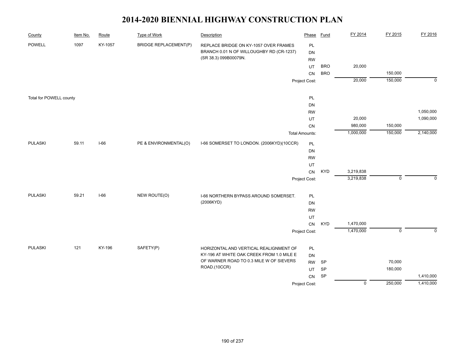| County                  | Item No. | Route   | <b>Type of Work</b>          | Description                                                                         | Phase                 | Fund       | FY 2014        | FY 2015           | FY 2016     |
|-------------------------|----------|---------|------------------------------|-------------------------------------------------------------------------------------|-----------------------|------------|----------------|-------------------|-------------|
| <b>POWELL</b>           | 1097     | KY-1057 | <b>BRIDGE REPLACEMENT(P)</b> | REPLACE BRIDGE ON KY-1057 OVER FRAMES                                               | PL                    |            |                |                   |             |
|                         |          |         |                              | BRANCH 0.01 N OF WILLOUGHBY RD (CR-1237)                                            | DN                    |            |                |                   |             |
|                         |          |         |                              | (SR 38.3) 099B00079N.                                                               | <b>RW</b>             |            |                |                   |             |
|                         |          |         |                              |                                                                                     | UT                    | <b>BRO</b> | 20,000         |                   |             |
|                         |          |         |                              |                                                                                     | CN                    | <b>BRO</b> |                | 150,000           |             |
|                         |          |         |                              |                                                                                     | Project Cost:         |            | 20,000         | 150,000           | $\mathbf 0$ |
| Total for POWELL county |          |         |                              |                                                                                     | PL                    |            |                |                   |             |
|                         |          |         |                              |                                                                                     | DN                    |            |                |                   |             |
|                         |          |         |                              |                                                                                     | <b>RW</b>             |            |                |                   | 1,050,000   |
|                         |          |         |                              |                                                                                     | UT                    |            | 20,000         |                   | 1,090,000   |
|                         |          |         |                              |                                                                                     | CN                    |            | 980,000        | 150,000           |             |
|                         |          |         |                              |                                                                                     | <b>Total Amounts:</b> |            | 1,000,000      | 150,000           | 2,140,000   |
| <b>PULASKI</b>          | 59.11    | $I-66$  | PE & ENVIRONMENTAL(O)        | I-66 SOMERSET TO LONDON. (2006KYD)(10CCR)                                           | PL                    |            |                |                   |             |
|                         |          |         |                              |                                                                                     | DN                    |            |                |                   |             |
|                         |          |         |                              |                                                                                     | <b>RW</b>             |            |                |                   |             |
|                         |          |         |                              |                                                                                     | UT                    |            |                |                   |             |
|                         |          |         |                              |                                                                                     | ${\sf CN}$            | <b>KYD</b> | 3,219,838      |                   |             |
|                         |          |         |                              |                                                                                     | Project Cost:         |            | 3,219,838      | $\mathbf 0$       | $\Omega$    |
| <b>PULASKI</b>          | 59.21    | $I-66$  | NEW ROUTE(O)                 | I-66 NORTHERN BYPASS AROUND SOMERSET.                                               | PL                    |            |                |                   |             |
|                         |          |         |                              | (2006KYD)                                                                           | DN                    |            |                |                   |             |
|                         |          |         |                              |                                                                                     | <b>RW</b>             |            |                |                   |             |
|                         |          |         |                              |                                                                                     | UT                    |            |                |                   |             |
|                         |          |         |                              |                                                                                     | ${\sf CN}$            | <b>KYD</b> | 1,470,000      |                   |             |
|                         |          |         |                              |                                                                                     | Project Cost:         |            | 1,470,000      | $\mathsf 0$       | $\mathbf 0$ |
|                         |          |         |                              |                                                                                     |                       |            |                |                   |             |
| <b>PULASKI</b>          | 121      | KY-196  | SAFETY(P)                    | HORIZONTAL AND VERTICAL REALIGNMENT OF<br>KY-196 AT WHITE OAK CREEK FROM 1.0 MILE E | PL                    |            |                |                   |             |
|                         |          |         |                              | OF WARNER ROAD TO 0.3 MILE W OF SIEVERS                                             | <b>DN</b>             |            |                |                   |             |
|                         |          |         |                              | ROAD.(10CCR)                                                                        | <b>RW</b>             | SP         |                | 70,000<br>180,000 |             |
|                         |          |         |                              |                                                                                     | UT                    | SP<br>SP   |                |                   | 1,410,000   |
|                         |          |         |                              |                                                                                     | CN                    |            | $\overline{0}$ | 250,000           | 1,410,000   |
|                         |          |         |                              |                                                                                     | Project Cost:         |            |                |                   |             |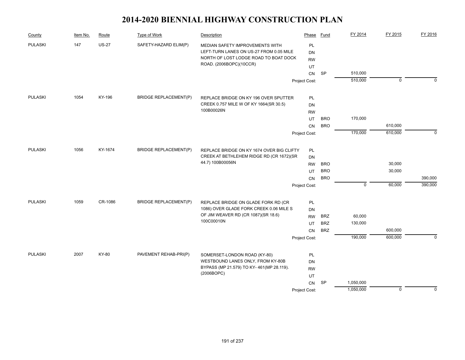| County         | Item No. | Route        | Type of Work                 | Description                                                                     | Phase                  | Fund       | FY 2014     | FY 2015        | FY 2016  |
|----------------|----------|--------------|------------------------------|---------------------------------------------------------------------------------|------------------------|------------|-------------|----------------|----------|
| <b>PULASKI</b> | 147      | <b>US-27</b> | SAFETY-HAZARD ELIM(P)        | MEDIAN SAFETY IMPROVEMENTS WITH<br>LEFT-TURN LANES ON US-27 FROM 0.05 MILE      | <b>PL</b><br><b>DN</b> |            |             |                |          |
|                |          |              |                              | NORTH OF LOST LODGE ROAD TO BOAT DOCK                                           | <b>RW</b>              |            |             |                |          |
|                |          |              |                              | ROAD. (2006BOPC)(10CCR)                                                         | UT                     |            |             |                |          |
|                |          |              |                              |                                                                                 | <b>CN</b>              | SP         | 510,000     |                |          |
|                |          |              |                              |                                                                                 | Project Cost:          |            | 510,000     | $\overline{0}$ | $\Omega$ |
| <b>PULASKI</b> | 1054     | KY-196       | <b>BRIDGE REPLACEMENT(P)</b> |                                                                                 |                        |            |             |                |          |
|                |          |              |                              | REPLACE BRIDGE ON KY 196 OVER SPUTTER<br>CREEK 0.757 MILE W OF KY 1664(SR 30.5) | PL<br>DN               |            |             |                |          |
|                |          |              |                              | 100B00026N                                                                      | <b>RW</b>              |            |             |                |          |
|                |          |              |                              |                                                                                 | <b>UT</b>              | <b>BRO</b> | 170,000     |                |          |
|                |          |              |                              |                                                                                 | <b>CN</b>              | <b>BRO</b> |             | 610,000        |          |
|                |          |              |                              |                                                                                 | Project Cost:          |            | 170,000     | 610,000        | $\Omega$ |
|                |          |              |                              |                                                                                 |                        |            |             |                |          |
| <b>PULASKI</b> | 1056     | KY-1674      | <b>BRIDGE REPLACEMENT(P)</b> | REPLACE BRIDGE ON KY 1674 OVER BIG CLIFTY                                       | PL                     |            |             |                |          |
|                |          |              |                              | CREEK AT BETHLEHEM RIDGE RD (CR 1672)(SR                                        | <b>DN</b>              |            |             |                |          |
|                |          |              |                              | 44.7) 100B00056N                                                                | <b>RW</b>              | <b>BRO</b> |             | 30,000         |          |
|                |          |              |                              |                                                                                 | UT                     | <b>BRO</b> |             | 30,000         |          |
|                |          |              |                              |                                                                                 | CN                     | <b>BRO</b> |             |                | 390,000  |
|                |          |              |                              |                                                                                 | Project Cost:          |            | $\mathbf 0$ | 60,000         | 390,000  |
| <b>PULASKI</b> | 1059     | CR-1086      | <b>BRIDGE REPLACEMENT(P)</b> | REPLACE BRIDGE ON GLADE FORK RD (CR                                             | PL                     |            |             |                |          |
|                |          |              |                              | 1086) OVER GLADE FORK CREEK 0.06 MILE S                                         | DN                     |            |             |                |          |
|                |          |              |                              | OF JIM WEAVER RD (CR 1087)(SR 18.6)                                             | <b>RW</b>              | <b>BRZ</b> | 60,000      |                |          |
|                |          |              |                              | 100C00010N                                                                      | UT                     | <b>BRZ</b> | 130,000     |                |          |
|                |          |              |                              |                                                                                 | CN                     | <b>BRZ</b> |             | 600,000        |          |
|                |          |              |                              |                                                                                 | Project Cost:          |            | 190,000     | 600,000        | $\Omega$ |
| <b>PULASKI</b> | 2007     | KY-80        | PAVEMENT REHAB-PRI(P)        | SOMERSET-LONDON ROAD (KY-80)                                                    | PL                     |            |             |                |          |
|                |          |              |                              | WESTBOUND LANES ONLY, FROM KY-80B                                               | DN                     |            |             |                |          |
|                |          |              |                              | BYPASS (MP 21.579) TO KY-461(MP 28.119).                                        | <b>RW</b>              |            |             |                |          |
|                |          |              |                              | (2006BOPC)                                                                      | UT                     |            |             |                |          |
|                |          |              |                              |                                                                                 | CN                     | SP         | 1,050,000   |                |          |
|                |          |              |                              |                                                                                 | Project Cost:          |            | 1,050,000   | $\mathbf 0$    | $\Omega$ |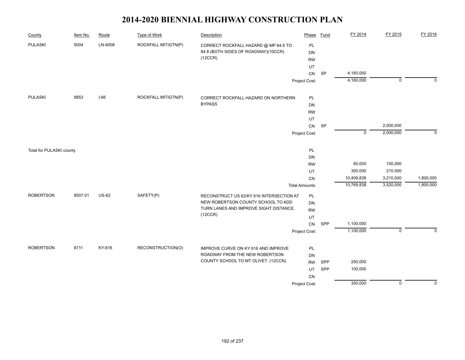| County                   | Item No. | Route        | <b>Type of Work</b> | Description                                                                            | Phase                 | <b>Fund</b> | FY 2014     | FY 2015        | FY 2016     |
|--------------------------|----------|--------------|---------------------|----------------------------------------------------------------------------------------|-----------------------|-------------|-------------|----------------|-------------|
| <b>PULASKI</b>           | 5004     | LN-9008      | ROCKFALL MITIGTN(P) | CORRECT ROCKFALL HAZARD @ MP 84.6 TO<br>84.8 (BOTH SIDES OF ROADWAY)(10CCR)<br>(12CCR) | PL<br><b>DN</b>       |             |             |                |             |
|                          |          |              |                     |                                                                                        | <b>RW</b>             |             |             |                |             |
|                          |          |              |                     |                                                                                        | UT<br>CN              | SP          | 4,160,000   |                |             |
|                          |          |              |                     |                                                                                        | Project Cost:         |             | 4,160,000   | $\overline{0}$ | $\mathbf 0$ |
|                          |          |              |                     |                                                                                        |                       |             |             |                |             |
| <b>PULASKI</b>           | 8853     | $I-66$       | ROCKFALL MITIGTN(P) | CORRECT ROCKFALL HAZARD ON NORTHERN                                                    | PL                    |             |             |                |             |
|                          |          |              |                     | <b>BYPASS</b>                                                                          | DN                    |             |             |                |             |
|                          |          |              |                     |                                                                                        | <b>RW</b>             |             |             |                |             |
|                          |          |              |                     |                                                                                        | UT                    |             |             |                |             |
|                          |          |              |                     |                                                                                        | CN                    | SP          |             | 2,000,000      |             |
|                          |          |              |                     |                                                                                        | Project Cost:         |             | $\mathbf 0$ | 2,000,000      | $\mathbf 0$ |
| Total for PULASKI county |          |              |                     |                                                                                        | PL                    |             |             |                |             |
|                          |          |              |                     |                                                                                        | DN                    |             |             |                |             |
|                          |          |              |                     |                                                                                        | <b>RW</b>             |             | 60,000      | 100,000        |             |
|                          |          |              |                     |                                                                                        | UT                    |             | 300,000     | 210,000        |             |
|                          |          |              |                     |                                                                                        | CN                    |             | 10,409,838  | 3,210,000      | 1,800,000   |
|                          |          |              |                     |                                                                                        | <b>Total Amounts:</b> |             | 10,769,838  | 3,520,000      | 1,800,000   |
| <b>ROBERTSON</b>         | 8507.01  | <b>US-62</b> | SAFETY(P)           | RECONSTRUCT US 62/KY 616 INTERSECTION AT                                               | PL                    |             |             |                |             |
|                          |          |              |                     | NEW ROBERTSON COUNTY SCHOOL TO ADD                                                     | DN                    |             |             |                |             |
|                          |          |              |                     | TURN LANES AND IMPROVE SIGHT DISTANCE.<br>(12CCR)                                      | <b>RW</b>             |             |             |                |             |
|                          |          |              |                     |                                                                                        | UT                    |             |             |                |             |
|                          |          |              |                     |                                                                                        | CN                    | SPP         | 1,100,000   |                |             |
|                          |          |              |                     |                                                                                        | Project Cost:         |             | 1,100,000   | $\mathbf 0$    | $\mathbf 0$ |
| <b>ROBERTSON</b>         | 8711     | KY-616       | RECONSTRUCTION(O)   | IMPROVE CURVE ON KY 616 AND IMPROVE                                                    | PL                    |             |             |                |             |
|                          |          |              |                     | ROADWAY FROM THE NEW ROBERTSON                                                         | <b>DN</b>             |             |             |                |             |
|                          |          |              |                     | COUNTY SCHOOL TO MT OLIVET. (12CCN)                                                    | <b>RW</b>             | SPP         | 250,000     |                |             |
|                          |          |              |                     |                                                                                        | UT                    | SPP         | 100,000     |                |             |
|                          |          |              |                     |                                                                                        | CN                    |             |             |                |             |
|                          |          |              |                     |                                                                                        | Project Cost:         |             | 350,000     | $\mathbf 0$    | $\mathbf 0$ |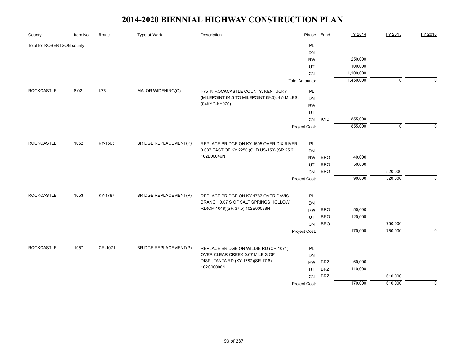| County                     | Item No. | Route    | <b>Type of Work</b>          | Description                                                 | Phase                 | <b>Fund</b> | FY 2014   | FY 2015     | FY 2016     |
|----------------------------|----------|----------|------------------------------|-------------------------------------------------------------|-----------------------|-------------|-----------|-------------|-------------|
| Total for ROBERTSON county |          |          |                              |                                                             | PL                    |             |           |             |             |
|                            |          |          |                              |                                                             | DN                    |             |           |             |             |
|                            |          |          |                              |                                                             | <b>RW</b>             |             | 250,000   |             |             |
|                            |          |          |                              |                                                             | UT                    |             | 100,000   |             |             |
|                            |          |          |                              |                                                             | CN                    |             | 1,100,000 |             |             |
|                            |          |          |                              |                                                             | <b>Total Amounts:</b> |             | 1,450,000 | $\mathbf 0$ | $\Omega$    |
| <b>ROCKCASTLE</b>          | 6.02     | $I - 75$ | MAJOR WIDENING(O)            | I-75 IN ROCKCASTLE COUNTY, KENTUCKY                         | <b>PL</b>             |             |           |             |             |
|                            |          |          |                              | (MILEPOINT 64.5 TO MILEPOINT 69.0), 4.5 MILES.              | <b>DN</b>             |             |           |             |             |
|                            |          |          |                              | (04KYD-KY070)                                               | <b>RW</b>             |             |           |             |             |
|                            |          |          |                              |                                                             | UT                    |             |           |             |             |
|                            |          |          |                              |                                                             | CN                    | <b>KYD</b>  | 855,000   |             |             |
|                            |          |          |                              |                                                             | Project Cost:         |             | 855,000   | $\mathbf 0$ |             |
|                            |          |          |                              |                                                             |                       |             |           |             |             |
| <b>ROCKCASTLE</b>          | 1052     | KY-1505  | <b>BRIDGE REPLACEMENT(P)</b> | REPLACE BRIDGE ON KY 1505 OVER DIX RIVER                    | PL                    |             |           |             |             |
|                            |          |          |                              | 0.037 EAST OF KY 2250 (OLD US-150) (SR 25.2)<br>102B00046N. | <b>DN</b>             |             |           |             |             |
|                            |          |          |                              |                                                             | <b>RW</b>             | <b>BRO</b>  | 40,000    |             |             |
|                            |          |          |                              |                                                             | UT                    | <b>BRO</b>  | 50,000    |             |             |
|                            |          |          |                              |                                                             | CN                    | <b>BRO</b>  |           | 520,000     |             |
|                            |          |          |                              |                                                             | Project Cost:         |             | 90,000    | 520,000     | $\Omega$    |
| <b>ROCKCASTLE</b>          | 1053     | KY-1787  | <b>BRIDGE REPLACEMENT(P)</b> | REPLACE BRIDGE ON KY 1787 OVER DAVIS                        | PL                    |             |           |             |             |
|                            |          |          |                              | BRANCH 0.07 S OF SALT SPRINGS HOLLOW                        | DN                    |             |           |             |             |
|                            |          |          |                              | RD(CR-1048)(SR 37.5) 102B00038N                             | <b>RW</b>             | <b>BRO</b>  | 50,000    |             |             |
|                            |          |          |                              |                                                             | UT                    | <b>BRO</b>  | 120,000   |             |             |
|                            |          |          |                              |                                                             | CN                    | <b>BRO</b>  |           | 750,000     |             |
|                            |          |          |                              |                                                             | Project Cost:         |             | 170,000   | 750,000     | $\mathbf 0$ |
|                            |          |          |                              |                                                             |                       |             |           |             |             |
| <b>ROCKCASTLE</b>          | 1057     | CR-1071  | <b>BRIDGE REPLACEMENT(P)</b> | REPLACE BRIDGE ON WILDIE RD (CR 1071)                       | <b>PL</b>             |             |           |             |             |
|                            |          |          |                              | OVER CLEAR CREEK 0.67 MILE S OF                             | <b>DN</b>             |             |           |             |             |
|                            |          |          |                              | DISPUTANTA RD (KY 1787)(SR 17.6)                            | <b>RW</b>             | <b>BRZ</b>  | 60,000    |             |             |
|                            |          |          |                              | 102C00008N                                                  | UT                    | <b>BRZ</b>  | 110,000   |             |             |
|                            |          |          |                              |                                                             | CN                    | <b>BRZ</b>  |           | 610,000     |             |
|                            |          |          |                              |                                                             | Project Cost:         |             | 170,000   | 610,000     | $\mathbf 0$ |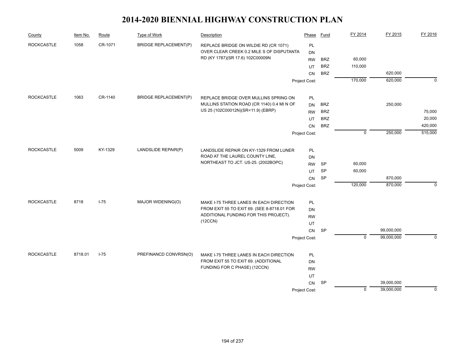| 1058<br>CR-1071<br><b>ROCKCASTLE</b><br><b>BRIDGE REPLACEMENT(P)</b><br><b>PL</b><br>REPLACE BRIDGE ON WILDIE RD (CR 1071)<br>OVER CLEAR CREEK 0.2 MILE S OF DISPUTANTA<br>DN<br>RD (KY 1787)(SR 17.6) 102C00009N<br>60,000<br><b>RW</b><br><b>BRZ</b><br><b>BRZ</b><br>110,000<br>UT<br><b>BRZ</b><br>620,000<br>CN<br>170,000<br>620,000<br>$\mathbf 0$<br>Project Cost:<br><b>ROCKCASTLE</b><br>1063<br>CR-1140<br><b>BRIDGE REPLACEMENT(P)</b><br>PL<br>REPLACE BRIDGE OVER MULLINS SPRING ON<br>MULLINS STATION ROAD (CR 1140) 0.4 MI N OF<br><b>BRZ</b><br>250,000<br><b>DN</b><br>US 25 (102C00012N)(SR=11.9) (EBRP)<br><b>BRZ</b><br><b>RW</b><br>75,000<br><b>BRZ</b><br>20,000<br>UT<br><b>BRZ</b><br>420,000<br>CN<br>515,000<br>$\mathbf 0$<br>250,000<br>Project Cost:<br><b>ROCKCASTLE</b><br>5009<br>KY-1329<br>LANDSLIDE REPAIR(P)<br>PL<br>LANDSLIDE REPAIR ON KY-1329 FROM LUNER<br>ROAD AT THE LAUREL COUNTY LINE,<br>DN<br>NORTHEAST TO JCT. US-25. (2002BOPC)<br>60,000<br><b>RW</b><br><b>SP</b><br><b>SP</b><br>60,000<br>UT<br>SP<br>870,000<br>CN<br>120,000<br>870,000<br>$\mathbf 0$<br>Project Cost:<br><b>ROCKCASTLE</b><br>8718<br>$I - 75$<br>MAJOR WIDENING(O)<br>PL<br>MAKE I-75 THREE LANES IN EACH DIRECTION<br>FROM EXIT 55 TO EXIT 69. (SEE 8-8718.01 FOR<br>DN<br>ADDITIONAL FUNDING FOR THIS PROJECT).<br><b>RW</b><br>(12CCN)<br>UT<br>99,000,000<br><b>SP</b><br>CN<br>$\mathbf 0$<br>99,000,000<br>$\mathbf 0$<br>Project Cost:<br>$I-75$<br><b>ROCKCASTLE</b><br>8718.01<br>PREFINANCD CONVRSN(O)<br>PL<br>MAKE I-75 THREE LANES IN EACH DIRECTION<br>FROM EXIT 55 TO EXIT 69. (ADDITIONAL<br>DN<br>FUNDING FOR C PHASE) (12CCN)<br><b>RW</b><br>UT<br>CN<br>SP<br>39,000,000<br>$\mathbf 0$<br>Project Cost: | County | Item No. | Route | Type of Work | Description | Phase | Fund | FY 2014 | FY 2015    | FY 2016 |
|----------------------------------------------------------------------------------------------------------------------------------------------------------------------------------------------------------------------------------------------------------------------------------------------------------------------------------------------------------------------------------------------------------------------------------------------------------------------------------------------------------------------------------------------------------------------------------------------------------------------------------------------------------------------------------------------------------------------------------------------------------------------------------------------------------------------------------------------------------------------------------------------------------------------------------------------------------------------------------------------------------------------------------------------------------------------------------------------------------------------------------------------------------------------------------------------------------------------------------------------------------------------------------------------------------------------------------------------------------------------------------------------------------------------------------------------------------------------------------------------------------------------------------------------------------------------------------------------------------------------------------------------------------------------------------------------------------------------------------------------------------|--------|----------|-------|--------------|-------------|-------|------|---------|------------|---------|
|                                                                                                                                                                                                                                                                                                                                                                                                                                                                                                                                                                                                                                                                                                                                                                                                                                                                                                                                                                                                                                                                                                                                                                                                                                                                                                                                                                                                                                                                                                                                                                                                                                                                                                                                                          |        |          |       |              |             |       |      |         |            |         |
|                                                                                                                                                                                                                                                                                                                                                                                                                                                                                                                                                                                                                                                                                                                                                                                                                                                                                                                                                                                                                                                                                                                                                                                                                                                                                                                                                                                                                                                                                                                                                                                                                                                                                                                                                          |        |          |       |              |             |       |      |         |            |         |
|                                                                                                                                                                                                                                                                                                                                                                                                                                                                                                                                                                                                                                                                                                                                                                                                                                                                                                                                                                                                                                                                                                                                                                                                                                                                                                                                                                                                                                                                                                                                                                                                                                                                                                                                                          |        |          |       |              |             |       |      |         |            |         |
|                                                                                                                                                                                                                                                                                                                                                                                                                                                                                                                                                                                                                                                                                                                                                                                                                                                                                                                                                                                                                                                                                                                                                                                                                                                                                                                                                                                                                                                                                                                                                                                                                                                                                                                                                          |        |          |       |              |             |       |      |         |            |         |
|                                                                                                                                                                                                                                                                                                                                                                                                                                                                                                                                                                                                                                                                                                                                                                                                                                                                                                                                                                                                                                                                                                                                                                                                                                                                                                                                                                                                                                                                                                                                                                                                                                                                                                                                                          |        |          |       |              |             |       |      |         |            |         |
|                                                                                                                                                                                                                                                                                                                                                                                                                                                                                                                                                                                                                                                                                                                                                                                                                                                                                                                                                                                                                                                                                                                                                                                                                                                                                                                                                                                                                                                                                                                                                                                                                                                                                                                                                          |        |          |       |              |             |       |      |         |            |         |
|                                                                                                                                                                                                                                                                                                                                                                                                                                                                                                                                                                                                                                                                                                                                                                                                                                                                                                                                                                                                                                                                                                                                                                                                                                                                                                                                                                                                                                                                                                                                                                                                                                                                                                                                                          |        |          |       |              |             |       |      |         |            |         |
|                                                                                                                                                                                                                                                                                                                                                                                                                                                                                                                                                                                                                                                                                                                                                                                                                                                                                                                                                                                                                                                                                                                                                                                                                                                                                                                                                                                                                                                                                                                                                                                                                                                                                                                                                          |        |          |       |              |             |       |      |         |            |         |
|                                                                                                                                                                                                                                                                                                                                                                                                                                                                                                                                                                                                                                                                                                                                                                                                                                                                                                                                                                                                                                                                                                                                                                                                                                                                                                                                                                                                                                                                                                                                                                                                                                                                                                                                                          |        |          |       |              |             |       |      |         |            |         |
|                                                                                                                                                                                                                                                                                                                                                                                                                                                                                                                                                                                                                                                                                                                                                                                                                                                                                                                                                                                                                                                                                                                                                                                                                                                                                                                                                                                                                                                                                                                                                                                                                                                                                                                                                          |        |          |       |              |             |       |      |         |            |         |
|                                                                                                                                                                                                                                                                                                                                                                                                                                                                                                                                                                                                                                                                                                                                                                                                                                                                                                                                                                                                                                                                                                                                                                                                                                                                                                                                                                                                                                                                                                                                                                                                                                                                                                                                                          |        |          |       |              |             |       |      |         |            |         |
|                                                                                                                                                                                                                                                                                                                                                                                                                                                                                                                                                                                                                                                                                                                                                                                                                                                                                                                                                                                                                                                                                                                                                                                                                                                                                                                                                                                                                                                                                                                                                                                                                                                                                                                                                          |        |          |       |              |             |       |      |         |            |         |
|                                                                                                                                                                                                                                                                                                                                                                                                                                                                                                                                                                                                                                                                                                                                                                                                                                                                                                                                                                                                                                                                                                                                                                                                                                                                                                                                                                                                                                                                                                                                                                                                                                                                                                                                                          |        |          |       |              |             |       |      |         |            |         |
|                                                                                                                                                                                                                                                                                                                                                                                                                                                                                                                                                                                                                                                                                                                                                                                                                                                                                                                                                                                                                                                                                                                                                                                                                                                                                                                                                                                                                                                                                                                                                                                                                                                                                                                                                          |        |          |       |              |             |       |      |         |            |         |
|                                                                                                                                                                                                                                                                                                                                                                                                                                                                                                                                                                                                                                                                                                                                                                                                                                                                                                                                                                                                                                                                                                                                                                                                                                                                                                                                                                                                                                                                                                                                                                                                                                                                                                                                                          |        |          |       |              |             |       |      |         |            |         |
|                                                                                                                                                                                                                                                                                                                                                                                                                                                                                                                                                                                                                                                                                                                                                                                                                                                                                                                                                                                                                                                                                                                                                                                                                                                                                                                                                                                                                                                                                                                                                                                                                                                                                                                                                          |        |          |       |              |             |       |      |         |            |         |
|                                                                                                                                                                                                                                                                                                                                                                                                                                                                                                                                                                                                                                                                                                                                                                                                                                                                                                                                                                                                                                                                                                                                                                                                                                                                                                                                                                                                                                                                                                                                                                                                                                                                                                                                                          |        |          |       |              |             |       |      |         |            |         |
|                                                                                                                                                                                                                                                                                                                                                                                                                                                                                                                                                                                                                                                                                                                                                                                                                                                                                                                                                                                                                                                                                                                                                                                                                                                                                                                                                                                                                                                                                                                                                                                                                                                                                                                                                          |        |          |       |              |             |       |      |         |            |         |
|                                                                                                                                                                                                                                                                                                                                                                                                                                                                                                                                                                                                                                                                                                                                                                                                                                                                                                                                                                                                                                                                                                                                                                                                                                                                                                                                                                                                                                                                                                                                                                                                                                                                                                                                                          |        |          |       |              |             |       |      |         |            |         |
|                                                                                                                                                                                                                                                                                                                                                                                                                                                                                                                                                                                                                                                                                                                                                                                                                                                                                                                                                                                                                                                                                                                                                                                                                                                                                                                                                                                                                                                                                                                                                                                                                                                                                                                                                          |        |          |       |              |             |       |      |         |            |         |
|                                                                                                                                                                                                                                                                                                                                                                                                                                                                                                                                                                                                                                                                                                                                                                                                                                                                                                                                                                                                                                                                                                                                                                                                                                                                                                                                                                                                                                                                                                                                                                                                                                                                                                                                                          |        |          |       |              |             |       |      |         |            |         |
|                                                                                                                                                                                                                                                                                                                                                                                                                                                                                                                                                                                                                                                                                                                                                                                                                                                                                                                                                                                                                                                                                                                                                                                                                                                                                                                                                                                                                                                                                                                                                                                                                                                                                                                                                          |        |          |       |              |             |       |      |         |            |         |
|                                                                                                                                                                                                                                                                                                                                                                                                                                                                                                                                                                                                                                                                                                                                                                                                                                                                                                                                                                                                                                                                                                                                                                                                                                                                                                                                                                                                                                                                                                                                                                                                                                                                                                                                                          |        |          |       |              |             |       |      |         |            |         |
|                                                                                                                                                                                                                                                                                                                                                                                                                                                                                                                                                                                                                                                                                                                                                                                                                                                                                                                                                                                                                                                                                                                                                                                                                                                                                                                                                                                                                                                                                                                                                                                                                                                                                                                                                          |        |          |       |              |             |       |      |         |            |         |
|                                                                                                                                                                                                                                                                                                                                                                                                                                                                                                                                                                                                                                                                                                                                                                                                                                                                                                                                                                                                                                                                                                                                                                                                                                                                                                                                                                                                                                                                                                                                                                                                                                                                                                                                                          |        |          |       |              |             |       |      |         |            |         |
|                                                                                                                                                                                                                                                                                                                                                                                                                                                                                                                                                                                                                                                                                                                                                                                                                                                                                                                                                                                                                                                                                                                                                                                                                                                                                                                                                                                                                                                                                                                                                                                                                                                                                                                                                          |        |          |       |              |             |       |      |         |            |         |
|                                                                                                                                                                                                                                                                                                                                                                                                                                                                                                                                                                                                                                                                                                                                                                                                                                                                                                                                                                                                                                                                                                                                                                                                                                                                                                                                                                                                                                                                                                                                                                                                                                                                                                                                                          |        |          |       |              |             |       |      |         |            |         |
|                                                                                                                                                                                                                                                                                                                                                                                                                                                                                                                                                                                                                                                                                                                                                                                                                                                                                                                                                                                                                                                                                                                                                                                                                                                                                                                                                                                                                                                                                                                                                                                                                                                                                                                                                          |        |          |       |              |             |       |      |         |            |         |
|                                                                                                                                                                                                                                                                                                                                                                                                                                                                                                                                                                                                                                                                                                                                                                                                                                                                                                                                                                                                                                                                                                                                                                                                                                                                                                                                                                                                                                                                                                                                                                                                                                                                                                                                                          |        |          |       |              |             |       |      |         |            |         |
|                                                                                                                                                                                                                                                                                                                                                                                                                                                                                                                                                                                                                                                                                                                                                                                                                                                                                                                                                                                                                                                                                                                                                                                                                                                                                                                                                                                                                                                                                                                                                                                                                                                                                                                                                          |        |          |       |              |             |       |      |         |            |         |
|                                                                                                                                                                                                                                                                                                                                                                                                                                                                                                                                                                                                                                                                                                                                                                                                                                                                                                                                                                                                                                                                                                                                                                                                                                                                                                                                                                                                                                                                                                                                                                                                                                                                                                                                                          |        |          |       |              |             |       |      |         | 39,000,000 | 0       |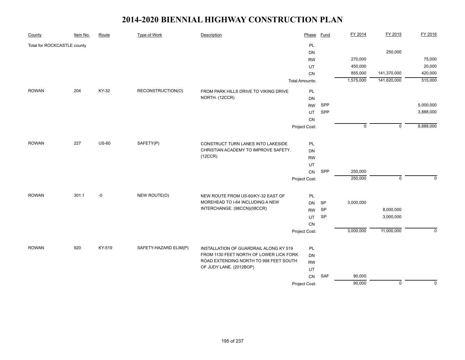| County                      | Item No. | Route        | <b>Type of Work</b>   | Description                                                                | Phase                 | <b>Fund</b> | FY 2014     | FY 2015        | FY 2016     |
|-----------------------------|----------|--------------|-----------------------|----------------------------------------------------------------------------|-----------------------|-------------|-------------|----------------|-------------|
| Total for ROCKCASTLE county |          |              |                       |                                                                            | <b>PL</b>             |             |             |                |             |
|                             |          |              |                       |                                                                            | <b>DN</b>             |             |             | 250,000        |             |
|                             |          |              |                       |                                                                            | <b>RW</b>             |             | 270,000     |                | 75,000      |
|                             |          |              |                       |                                                                            | UT                    |             | 450,000     |                | 20,000      |
|                             |          |              |                       |                                                                            | <b>CN</b>             |             | 855,000     | 141,370,000    | 420,000     |
|                             |          |              |                       |                                                                            | <b>Total Amounts:</b> |             | 1,575,000   | 141,620,000    | 515,000     |
| <b>ROWAN</b>                | 204      | KY-32        | RECONSTRUCTION(O)     | FROM PARK HILLS DRIVE TO VIKING DRIVE                                      | PL                    |             |             |                |             |
|                             |          |              |                       | NORTH. (12CCR)                                                             | DN                    |             |             |                |             |
|                             |          |              |                       |                                                                            | <b>RW</b>             | SPP         |             |                | 5,000,000   |
|                             |          |              |                       |                                                                            | UT                    | SPP         |             |                | 3,888,000   |
|                             |          |              |                       |                                                                            | CN                    |             |             |                |             |
|                             |          |              |                       |                                                                            | Project Cost:         |             | $\mathbf 0$ | $\overline{0}$ | 8,888,000   |
| <b>ROWAN</b>                | 227      | <b>US-60</b> | SAFETY(P)             |                                                                            |                       |             |             |                |             |
|                             |          |              |                       | CONSTRUCT TURN LANES INTO LAKESIDE<br>CHRISTIAN ACADEMY TO IMPROVE SAFETY. | PL                    |             |             |                |             |
|                             |          |              |                       | (12CCR)                                                                    | DN                    |             |             |                |             |
|                             |          |              |                       |                                                                            | <b>RW</b>             |             |             |                |             |
|                             |          |              |                       |                                                                            | UT                    |             |             |                |             |
|                             |          |              |                       |                                                                            | CN                    | SPP         | 250,000     |                |             |
|                             |          |              |                       |                                                                            | Project Cost:         |             | 250,000     | $\mathbf 0$    | $\Omega$    |
| <b>ROWAN</b>                | 301.1    | -0           | NEW ROUTE(O)          | NEW ROUTE FROM US-60/KY-32 EAST OF                                         | PL                    |             |             |                |             |
|                             |          |              |                       | MOREHEAD TO I-64 INCLUDING A NEW                                           | <b>DN</b>             | SP          | 3,000,000   |                |             |
|                             |          |              |                       | INTERCHANGE. (98CCN)(08CCR)                                                | <b>RW</b>             | SP          |             | 8,000,000      |             |
|                             |          |              |                       |                                                                            | UT                    | SP          |             | 3,000,000      |             |
|                             |          |              |                       |                                                                            | ${\sf CN}$            |             |             |                |             |
|                             |          |              |                       |                                                                            | Project Cost:         |             | 3,000,000   | 11,000,000     | $\mathbf 0$ |
|                             |          |              |                       |                                                                            |                       |             |             |                |             |
| <b>ROWAN</b>                | 920      | KY-519       | SAFETY-HAZARD ELIM(P) | INSTALLATION OF GUARDRAIL ALONG KY 519                                     | PL                    |             |             |                |             |
|                             |          |              |                       | FROM 1130 FEET NORTH OF LOWER LICK FORK                                    | DN                    |             |             |                |             |
|                             |          |              |                       | ROAD EXTENDING NORTH TO 998 FEET SOUTH<br>OF JUDY LANE. (2012BOP)          | <b>RW</b>             |             |             |                |             |
|                             |          |              |                       |                                                                            | UT                    |             |             |                |             |
|                             |          |              |                       |                                                                            | CN                    | <b>SAF</b>  | 90,000      |                |             |
|                             |          |              |                       |                                                                            | Project Cost:         |             | 90,000      | $\overline{0}$ | $\mathbf 0$ |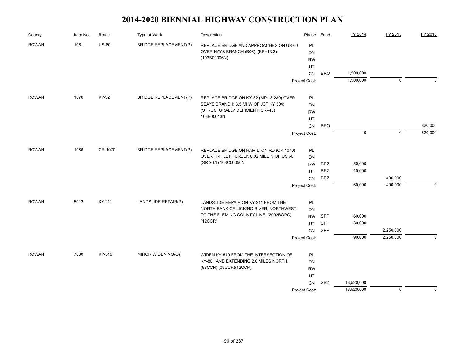| County       | Item No. | Route        | Type of Work                 | Description                                                                   | Phase         | Fund            | FY 2014     | FY 2015     | FY 2016     |
|--------------|----------|--------------|------------------------------|-------------------------------------------------------------------------------|---------------|-----------------|-------------|-------------|-------------|
| <b>ROWAN</b> | 1061     | <b>US-60</b> | <b>BRIDGE REPLACEMENT(P)</b> | REPLACE BRIDGE AND APPROACHES ON US-60                                        | PL            |                 |             |             |             |
|              |          |              |                              | OVER HAYS BRANCH (B06). (SR=13.3):                                            | DN            |                 |             |             |             |
|              |          |              |                              | (103B00006N)                                                                  | <b>RW</b>     |                 |             |             |             |
|              |          |              |                              |                                                                               | UT            |                 |             |             |             |
|              |          |              |                              |                                                                               | CN            | <b>BRO</b>      | 1,500,000   |             |             |
|              |          |              |                              |                                                                               | Project Cost: |                 | 1,500,000   | $\mathbf 0$ | $\Omega$    |
| <b>ROWAN</b> | 1076     | KY-32        | <b>BRIDGE REPLACEMENT(P)</b> | REPLACE BRIDGE ON KY-32 (MP 13.289) OVER                                      | PL            |                 |             |             |             |
|              |          |              |                              | SEAYS BRANCH; 3.5 MI W OF JCT KY 504;                                         | <b>DN</b>     |                 |             |             |             |
|              |          |              |                              | (STRUCTURALLY DEFICIENT, SR=40)                                               | <b>RW</b>     |                 |             |             |             |
|              |          |              |                              | 103B00013N                                                                    | UT            |                 |             |             |             |
|              |          |              |                              |                                                                               | CN            | <b>BRO</b>      |             |             | 820,000     |
|              |          |              |                              |                                                                               | Project Cost: |                 | $\mathbf 0$ | $\mathbf 0$ | 820,000     |
| <b>ROWAN</b> | 1086     | CR-1070      | <b>BRIDGE REPLACEMENT(P)</b> | REPLACE BRIDGE ON HAMILTON RD (CR 1070)                                       | PL            |                 |             |             |             |
|              |          |              |                              | OVER TRIPLETT CREEK 0.02 MILE N OF US 60                                      | <b>DN</b>     |                 |             |             |             |
|              |          |              |                              | (SR 26.1) 103C00056N                                                          | <b>RW</b>     | <b>BRZ</b>      | 50,000      |             |             |
|              |          |              |                              |                                                                               | UT            | <b>BRZ</b>      | 10,000      |             |             |
|              |          |              |                              |                                                                               | CN            | <b>BRZ</b>      |             | 400,000     |             |
|              |          |              |                              |                                                                               | Project Cost: |                 | 60,000      | 400,000     | $\mathbf 0$ |
|              |          |              |                              |                                                                               |               |                 |             |             |             |
| <b>ROWAN</b> | 5012     | KY-211       | LANDSLIDE REPAIR(P)          | LANDSLIDE REPAIR ON KY-211 FROM THE<br>NORTH BANK OF LICKING RIVER, NORTHWEST | PL            |                 |             |             |             |
|              |          |              |                              | TO THE FLEMING COUNTY LINE. (2002BOPC)                                        | DN            |                 |             |             |             |
|              |          |              |                              | (12CCR)                                                                       | <b>RW</b>     | SPP             | 60,000      |             |             |
|              |          |              |                              |                                                                               | UT            | SPP             | 30,000      | 2,250,000   |             |
|              |          |              |                              |                                                                               | CN            | SPP             | 90,000      | 2,250,000   | $\Omega$    |
|              |          |              |                              |                                                                               | Project Cost: |                 |             |             |             |
| <b>ROWAN</b> | 7030     | KY-519       | MINOR WIDENING(O)            | WIDEN KY-519 FROM THE INTERSECTION OF                                         | PL            |                 |             |             |             |
|              |          |              |                              | KY-801 AND EXTENDING 2.0 MILES NORTH.                                         | <b>DN</b>     |                 |             |             |             |
|              |          |              |                              | (98CCN) (08CCR)(12CCR)                                                        | <b>RW</b>     |                 |             |             |             |
|              |          |              |                              |                                                                               | UT            |                 |             |             |             |
|              |          |              |                              |                                                                               | CN            | SB <sub>2</sub> | 13,520,000  |             |             |
|              |          |              |                              |                                                                               | Project Cost: |                 | 13,520,000  | $\mathbf 0$ | $\mathbf 0$ |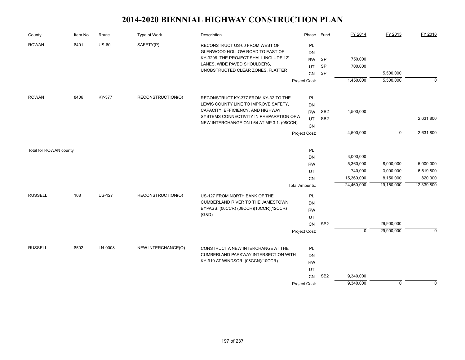| County                 | Item No. | Route         | <b>Type of Work</b> | Description                                                                                                                                                                                                 | Phase                                    | Fund                               | FY 2014                           | FY 2015                 | FY 2016                |
|------------------------|----------|---------------|---------------------|-------------------------------------------------------------------------------------------------------------------------------------------------------------------------------------------------------------|------------------------------------------|------------------------------------|-----------------------------------|-------------------------|------------------------|
| <b>ROWAN</b>           | 8401     | <b>US-60</b>  | SAFETY(P)           | RECONSTRUCT US-60 FROM WEST OF<br>GLENWOOD HOLLOW ROAD TO EAST OF<br>KY-3296. THE PROJECT SHALL INCLUDE 12'<br>LANES, WIDE PAVED SHOULDERS,<br>UNOBSTRUCTED CLEAR ZONES, FLATTER                            | PL<br><b>DN</b><br><b>RW</b><br>UT<br>CN | SP<br>SP<br><b>SP</b>              | 750,000<br>700,000                | 5,500,000               |                        |
|                        |          |               |                     |                                                                                                                                                                                                             | Project Cost:                            |                                    | 1,450,000                         | 5,500,000               | $\mathbf 0$            |
| <b>ROWAN</b>           | 8406     | KY-377        | RECONSTRUCTION(O)   | RECONSTRUCT KY-377 FROM KY-32 TO THE<br>LEWIS COUNTY LINE TO IMPROVE SAFETY,<br>CAPACITY, EFFICIENCY, AND HIGHWAY<br>SYSTEMS CONNECTIVITY IN PREPARATION OF A<br>NEW INTERCHANGE ON I-64 AT MP 3.1. (08CCN) | PL<br><b>DN</b><br><b>RW</b><br>UT<br>CN | SB <sub>2</sub><br>SB <sub>2</sub> | 4,500,000                         |                         | 2,631,800              |
|                        |          |               |                     |                                                                                                                                                                                                             | Project Cost:                            |                                    | 4,500,000                         | $\mathbf 0$             | 2,631,800              |
| Total for ROWAN county |          |               |                     |                                                                                                                                                                                                             | PL<br><b>DN</b><br><b>RW</b><br>UT       |                                    | 3,000,000<br>5,360,000<br>740,000 | 8,000,000<br>3,000,000  | 5,000,000<br>6,519,800 |
|                        |          |               |                     |                                                                                                                                                                                                             | CN<br><b>Total Amounts:</b>              |                                    | 15,360,000<br>24,460,000          | 8,150,000<br>19,150,000 | 820,000<br>12,339,800  |
| <b>RUSSELL</b>         | 108      | <b>US-127</b> | RECONSTRUCTION(O)   | US-127 FROM NORTH BANK OF THE<br>CUMBERLAND RIVER TO THE JAMESTOWN<br>BYPASS. (00CCR) (08CCR)(10CCR)(12CCR)<br>(G&D)                                                                                        | PL<br>DN<br><b>RW</b><br>UT<br>CN        | SB <sub>2</sub>                    |                                   | 29,900,000              |                        |
|                        |          |               |                     |                                                                                                                                                                                                             | Project Cost:                            |                                    | $\mathbf 0$                       | 29,900,000              | $\Omega$               |
| <b>RUSSELL</b>         | 8502     | LN-9008       | NEW INTERCHANGE(O)  | CONSTRUCT A NEW INTERCHANGE AT THE<br><b>CUMBERLAND PARKWAY INTERSECTION WITH</b><br>KY-910 AT WINDSOR. (08CCN)(10CCR)                                                                                      | PL<br>DN<br><b>RW</b><br>UT<br>CN        | SB <sub>2</sub>                    | 9,340,000                         |                         |                        |
|                        |          |               |                     |                                                                                                                                                                                                             | Project Cost:                            |                                    | 9,340,000                         | $\overline{0}$          | $\Omega$               |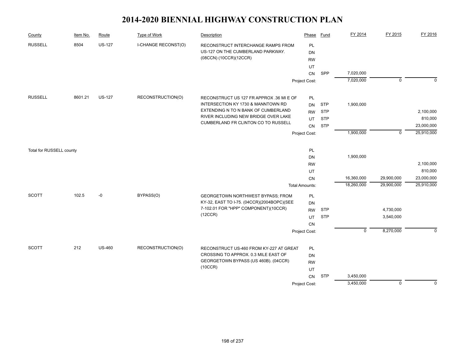| County                   | Item No. | Route         | Type of Work        | Description                                                                  | Phase                 | Fund       | FY 2014     | FY 2015     | FY 2016                  |
|--------------------------|----------|---------------|---------------------|------------------------------------------------------------------------------|-----------------------|------------|-------------|-------------|--------------------------|
| <b>RUSSELL</b>           | 8504     | <b>US-127</b> | I-CHANGE RECONST(O) | RECONSTRUCT INTERCHANGE RAMPS FROM                                           | PL                    |            |             |             |                          |
|                          |          |               |                     | US-127 ON THE CUMBERLAND PARKWAY.                                            | <b>DN</b>             |            |             |             |                          |
|                          |          |               |                     | (08CCN) (10CCR)(12CCR)                                                       | <b>RW</b>             |            |             |             |                          |
|                          |          |               |                     |                                                                              | UT                    |            |             |             |                          |
|                          |          |               |                     |                                                                              | <b>CN</b>             | SPP        | 7,020,000   |             |                          |
|                          |          |               |                     |                                                                              | Project Cost:         |            | 7,020,000   | $\mathbf 0$ | $\Omega$                 |
| <b>RUSSELL</b>           | 8601.21  | <b>US-127</b> | RECONSTRUCTION(O)   | RECONSTRUCT US 127 FR APPROX .36 MI E OF                                     | PL                    |            |             |             |                          |
|                          |          |               |                     | INTERSECTION KY 1730 & MANNTOWN RD                                           | <b>DN</b>             | <b>STP</b> | 1,900,000   |             |                          |
|                          |          |               |                     | EXTENDING N TO N BANK OF CUMBERLAND                                          | <b>RW</b>             | <b>STP</b> |             |             | 2,100,000                |
|                          |          |               |                     | RIVER INCLUDING NEW BRIDGE OVER LAKE                                         |                       | <b>STP</b> |             |             | 810,000                  |
|                          |          |               |                     | <b>CUMBERLAND FR CLINTON CO TO RUSSELL</b>                                   | UT                    |            |             |             |                          |
|                          |          |               |                     |                                                                              | CN                    | <b>STP</b> |             | $\mathbf 0$ | 23,000,000<br>25,910,000 |
|                          |          |               |                     |                                                                              | Project Cost:         |            | 1,900,000   |             |                          |
| Total for RUSSELL county |          |               |                     |                                                                              | PL                    |            |             |             |                          |
|                          |          |               |                     |                                                                              | DN                    |            | 1,900,000   |             |                          |
|                          |          |               |                     |                                                                              | <b>RW</b>             |            |             |             | 2,100,000                |
|                          |          |               |                     |                                                                              | UT                    |            |             |             | 810,000                  |
|                          |          |               |                     |                                                                              | <b>CN</b>             |            | 16,360,000  | 29,900,000  | 23,000,000               |
|                          |          |               |                     |                                                                              | <b>Total Amounts:</b> |            | 18,260,000  | 29,900,000  | 25,910,000               |
| <b>SCOTT</b>             | 102.5    | -0            | BYPASS(O)           | GEORGETOWN NORTHWEST BYPASS; FROM                                            | <b>PL</b>             |            |             |             |                          |
|                          |          |               |                     | KY-32, EAST TO I-75. (04CCR)(2004BOPC)(SEE                                   | <b>DN</b>             |            |             |             |                          |
|                          |          |               |                     | 7-102.01 FOR "HPP" COMPONENT)(10CCR)                                         | <b>RW</b>             | <b>STP</b> |             | 4,730,000   |                          |
|                          |          |               |                     | (12CCR)                                                                      | UT                    | <b>STP</b> |             | 3,540,000   |                          |
|                          |          |               |                     |                                                                              | CN                    |            |             |             |                          |
|                          |          |               |                     |                                                                              | Project Cost:         |            | $\mathbf 0$ | 8,270,000   | $\mathbf 0$              |
|                          |          |               |                     |                                                                              |                       |            |             |             |                          |
| <b>SCOTT</b>             | 212      | <b>US-460</b> | RECONSTRUCTION(O)   | RECONSTRUCT US-460 FROM KY-227 AT GREAT                                      | <b>PL</b>             |            |             |             |                          |
|                          |          |               |                     | CROSSING TO APPROX. 0.3 MILE EAST OF<br>GEORGETOWN BYPASS (US 460B). (04CCR) | DN                    |            |             |             |                          |
|                          |          |               |                     | (10CCR)                                                                      | <b>RW</b>             |            |             |             |                          |
|                          |          |               |                     |                                                                              | UT                    |            |             |             |                          |
|                          |          |               |                     |                                                                              | CN                    | <b>STP</b> | 3,450,000   |             |                          |
|                          |          |               |                     |                                                                              | Project Cost:         |            | 3,450,000   | $\mathbf 0$ | $\Omega$                 |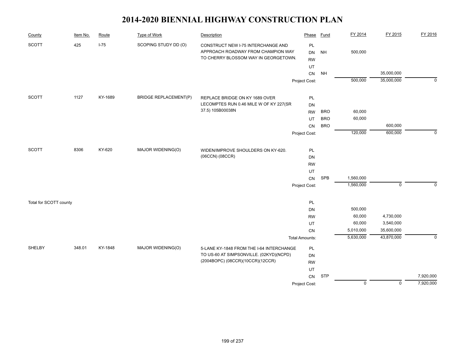| County                 | Item No. | Route   | Type of Work                 | Description                                                                                                      | Phase                        | <b>Fund</b> | FY 2014        | FY 2015        | FY 2016     |
|------------------------|----------|---------|------------------------------|------------------------------------------------------------------------------------------------------------------|------------------------------|-------------|----------------|----------------|-------------|
| <b>SCOTT</b>           | 425      | $I-75$  | SCOPING STUDY DD (O)         | CONSTRUCT NEW I-75 INTERCHANGE AND<br>APPROACH ROADWAY FROM CHAMPION WAY<br>TO CHERRY BLOSSOM WAY IN GEORGETOWN. | PL<br><b>DN</b><br><b>RW</b> | <b>NH</b>   | 500,000        |                |             |
|                        |          |         |                              |                                                                                                                  | UT                           |             |                |                |             |
|                        |          |         |                              |                                                                                                                  | CN                           | <b>NH</b>   |                | 35,000,000     |             |
|                        |          |         |                              |                                                                                                                  | Project Cost:                |             | 500,000        | 35,000,000     | $\mathbf 0$ |
| <b>SCOTT</b>           | 1127     | KY-1689 | <b>BRIDGE REPLACEMENT(P)</b> | REPLACE BRIDGE ON KY 1689 OVER                                                                                   | PL                           |             |                |                |             |
|                        |          |         |                              | LECOMPTES RUN 0.46 MILE W OF KY 227(SR                                                                           | DN                           |             |                |                |             |
|                        |          |         |                              | 37.5) 105B00038N                                                                                                 | <b>RW</b>                    | <b>BRO</b>  | 60,000         |                |             |
|                        |          |         |                              |                                                                                                                  | UT                           | <b>BRO</b>  | 60,000         |                |             |
|                        |          |         |                              |                                                                                                                  | CN                           | <b>BRO</b>  |                | 600,000        |             |
|                        |          |         |                              |                                                                                                                  | Project Cost:                |             | 120,000        | 600,000        | $\mathbf 0$ |
| <b>SCOTT</b>           | 8306     | KY-620  | MAJOR WIDENING(O)            | WIDEN/IMPROVE SHOULDERS ON KY-620.                                                                               | PL                           |             |                |                |             |
|                        |          |         |                              | (06CCN) (08CCR)                                                                                                  | <b>DN</b>                    |             |                |                |             |
|                        |          |         |                              |                                                                                                                  | <b>RW</b>                    |             |                |                |             |
|                        |          |         |                              |                                                                                                                  | UT                           |             |                |                |             |
|                        |          |         |                              |                                                                                                                  | CN                           | <b>SPB</b>  | 1,560,000      |                |             |
|                        |          |         |                              |                                                                                                                  | Project Cost:                |             | 1,560,000      | $\mathbf 0$    | $\Omega$    |
|                        |          |         |                              |                                                                                                                  |                              |             |                |                |             |
| Total for SCOTT county |          |         |                              |                                                                                                                  | PL<br>DN                     |             | 500,000        |                |             |
|                        |          |         |                              |                                                                                                                  | <b>RW</b>                    |             | 60,000         | 4,730,000      |             |
|                        |          |         |                              |                                                                                                                  | UT                           |             | 60,000         | 3,540,000      |             |
|                        |          |         |                              |                                                                                                                  | CN                           |             | 5,010,000      | 35,600,000     |             |
|                        |          |         |                              |                                                                                                                  | <b>Total Amounts:</b>        |             | 5,630,000      | 43,870,000     | $\mathbf 0$ |
| SHELBY                 | 348.01   | KY-1848 | MAJOR WIDENING(O)            | 5-LANE KY-1848 FROM THE I-64 INTERCHANGE                                                                         | PL                           |             |                |                |             |
|                        |          |         |                              | TO US-60 AT SIMPSONVILLE. (02KYD)(NCPD)                                                                          | DN                           |             |                |                |             |
|                        |          |         |                              | (2004BOPC) (08CCR)(10CCR)(12CCR)                                                                                 | <b>RW</b>                    |             |                |                |             |
|                        |          |         |                              |                                                                                                                  | UT                           |             |                |                |             |
|                        |          |         |                              |                                                                                                                  | CN                           | <b>STP</b>  |                |                | 7,920,000   |
|                        |          |         |                              |                                                                                                                  | Project Cost:                |             | $\overline{0}$ | $\overline{0}$ | 7,920,000   |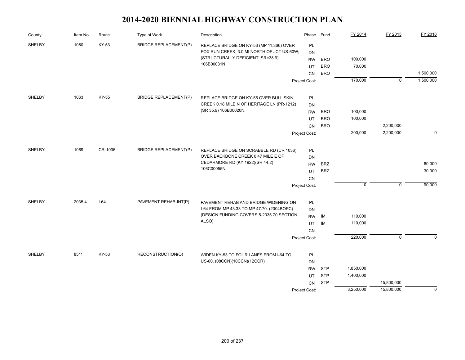| County | Item No. | Route   | Type of Work                 | Description                                   | Phase         | Fund       | FY 2014     | FY 2015        | FY 2016     |
|--------|----------|---------|------------------------------|-----------------------------------------------|---------------|------------|-------------|----------------|-------------|
| SHELBY | 1060     | KY-53   | <b>BRIDGE REPLACEMENT(P)</b> | REPLACE BRIDGE ON KY-53 (MP 11.366) OVER      | PL            |            |             |                |             |
|        |          |         |                              | FOX RUN CREEK; 3.0 MI NORTH OF JCT US-60W;    | DN            |            |             |                |             |
|        |          |         |                              | (STRUCTURALLY DEFICIENT, SR=38.9)             | <b>RW</b>     | <b>BRO</b> | 100,000     |                |             |
|        |          |         |                              | 106B00031N                                    | UT            | <b>BRO</b> | 70,000      |                |             |
|        |          |         |                              |                                               | <b>CN</b>     | <b>BRO</b> |             |                | 1,500,000   |
|        |          |         |                              |                                               | Project Cost: |            | 170,000     | $\overline{0}$ | 1,500,000   |
| SHELBY | 1063     | KY-55   | <b>BRIDGE REPLACEMENT(P)</b> | REPLACE BRIDGE ON KY-55 OVER BULL SKIN        | PL            |            |             |                |             |
|        |          |         |                              | CREEK 0.18 MILE N OF HERITAGE LN (PR-1212)    | DN            |            |             |                |             |
|        |          |         |                              | (SR 35.9) 106B00020N.                         | <b>RW</b>     | <b>BRO</b> | 100,000     |                |             |
|        |          |         |                              |                                               | UT            | <b>BRO</b> | 100,000     |                |             |
|        |          |         |                              |                                               | CN            | <b>BRO</b> |             | 2,200,000      |             |
|        |          |         |                              |                                               | Project Cost: |            | 200,000     | 2,200,000      | $\mathbf 0$ |
|        |          |         |                              |                                               |               |            |             |                |             |
| SHELBY | 1069     | CR-1036 | <b>BRIDGE REPLACEMENT(P)</b> | REPLACE BRIDGE ON SCRABBLE RD (CR 1036)       | PL            |            |             |                |             |
|        |          |         |                              | OVER BACKBONE CREEK 0.47 MILE E OF            | <b>DN</b>     |            |             |                |             |
|        |          |         |                              | CEDARMORE RD (KY 1922)(SR 44.2)<br>106C00055N | <b>RW</b>     | <b>BRZ</b> |             |                | 60,000      |
|        |          |         |                              |                                               | UT            | <b>BRZ</b> |             |                | 30,000      |
|        |          |         |                              |                                               | CN            |            |             |                |             |
|        |          |         |                              |                                               | Project Cost: |            | $\mathbf 0$ | $\mathbf 0$    | 90,000      |
| SHELBY | 2035.4   | $I-64$  | PAVEMENT REHAB-INT(P)        | PAVEMENT REHAB AND BRIDGE WIDENING ON         | PL            |            |             |                |             |
|        |          |         |                              | I-64 FROM MP 43.33 TO MP 47.70. (2004BOPC)    | DN            |            |             |                |             |
|        |          |         |                              | (DESIGN FUNDING COVERS 5-2035.70 SECTION      | <b>RW</b>     | IM         | 110,000     |                |             |
|        |          |         |                              | ALSO)                                         | UT            | IM         | 110,000     |                |             |
|        |          |         |                              |                                               | <b>CN</b>     |            |             |                |             |
|        |          |         |                              |                                               | Project Cost: |            | 220,000     | $\overline{0}$ | $\Omega$    |
| SHELBY | 8511     | KY-53   | RECONSTRUCTION(O)            | WIDEN KY-53 TO FOUR LANES FROM I-64 TO        | PL            |            |             |                |             |
|        |          |         |                              | US-60. (08CCN)(10CCN)(12CCR)                  | <b>DN</b>     |            |             |                |             |
|        |          |         |                              |                                               | <b>RW</b>     | <b>STP</b> | 1,850,000   |                |             |
|        |          |         |                              |                                               | UT            | <b>STP</b> | 1,400,000   |                |             |
|        |          |         |                              |                                               | CN            | <b>STP</b> |             | 15,800,000     |             |
|        |          |         |                              |                                               | Project Cost: |            | 3,250,000   | 15,800,000     | $\mathbf 0$ |
|        |          |         |                              |                                               |               |            |             |                |             |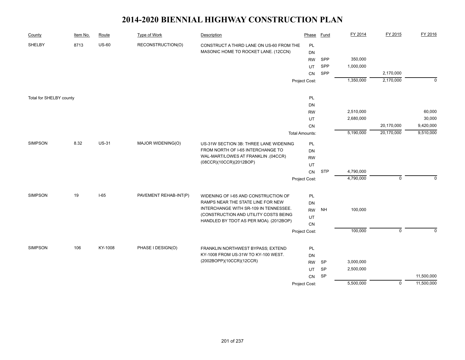| County                  | Item No. | Route        | Type of Work          | Description                                                               | Phase                 | <b>Fund</b> | FY 2014   | FY 2015     | FY 2016      |
|-------------------------|----------|--------------|-----------------------|---------------------------------------------------------------------------|-----------------------|-------------|-----------|-------------|--------------|
| SHELBY                  | 8713     | $US-60$      | RECONSTRUCTION(O)     | CONSTRUCT A THIRD LANE ON US-60 FROM THE                                  | PL                    |             |           |             |              |
|                         |          |              |                       | MASONIC HOME TO ROCKET LANE. (12CCN)                                      | <b>DN</b>             |             |           |             |              |
|                         |          |              |                       |                                                                           | <b>RW</b>             | SPP         | 350,000   |             |              |
|                         |          |              |                       |                                                                           | UT                    | SPP         | 1,000,000 |             |              |
|                         |          |              |                       |                                                                           | CN                    | SPP         |           | 2,170,000   |              |
|                         |          |              |                       |                                                                           | Project Cost:         |             | 1,350,000 | 2,170,000   | $\mathbf 0$  |
| Total for SHELBY county |          |              |                       |                                                                           | PL                    |             |           |             |              |
|                         |          |              |                       |                                                                           | DN                    |             |           |             |              |
|                         |          |              |                       |                                                                           | <b>RW</b>             |             | 2,510,000 |             | 60,000       |
|                         |          |              |                       |                                                                           | UT                    |             | 2,680,000 |             | 30,000       |
|                         |          |              |                       |                                                                           | CN                    |             |           | 20,170,000  | 9,420,000    |
|                         |          |              |                       |                                                                           | <b>Total Amounts:</b> |             | 5,190,000 | 20,170,000  | 9,510,000    |
| <b>SIMPSON</b>          | 8.32     | <b>US-31</b> | MAJOR WIDENING(O)     | US-31W SECTION 3B: THREE LANE WIDENING                                    | PL                    |             |           |             |              |
|                         |          |              |                       | FROM NORTH OF I-65 INTERCHANGE TO                                         | DN                    |             |           |             |              |
|                         |          |              |                       | WAL-MART/LOWES AT FRANKLIN .(04CCR)                                       | <b>RW</b>             |             |           |             |              |
|                         |          |              |                       | (08CCR)(10CCR)(2012BOP)                                                   | UT                    |             |           |             |              |
|                         |          |              |                       |                                                                           | CN                    | <b>STP</b>  | 4,790,000 |             |              |
|                         |          |              |                       |                                                                           | Project Cost:         |             | 4,790,000 | $\mathbf 0$ | $\Omega$     |
| <b>SIMPSON</b>          | 19       | $I-65$       | PAVEMENT REHAB-INT(P) |                                                                           |                       |             |           |             |              |
|                         |          |              |                       | WIDENING OF I-65 AND CONSTRUCTION OF<br>RAMPS NEAR THE STATE LINE FOR NEW | PL<br>DN              |             |           |             |              |
|                         |          |              |                       | INTERCHANGE WITH SR-109 IN TENNESSEE.                                     | <b>RW</b>             | <b>NH</b>   | 100,000   |             |              |
|                         |          |              |                       | (CONSTRUCTION AND UTILITY COSTS BEING                                     | UT                    |             |           |             |              |
|                         |          |              |                       | HANDLED BY TDOT AS PER MOA). (2012BOP)                                    | CN                    |             |           |             |              |
|                         |          |              |                       |                                                                           | Project Cost:         |             | 100,000   | $\mathbf 0$ | $\mathbf{0}$ |
|                         |          |              |                       |                                                                           |                       |             |           |             |              |
| <b>SIMPSON</b>          | 106      | KY-1008      | PHASE I DESIGN(O)     | FRANKLIN NORTHWEST BYPASS; EXTEND                                         | PL                    |             |           |             |              |
|                         |          |              |                       | KY-1008 FROM US-31W TO KY-100 WEST.                                       | <b>DN</b>             |             |           |             |              |
|                         |          |              |                       | (2002BOPP)(10CCR)(12CCR)                                                  | <b>RW</b>             | <b>SP</b>   | 3,000,000 |             |              |
|                         |          |              |                       |                                                                           | UT                    | <b>SP</b>   | 2,500,000 |             |              |
|                         |          |              |                       |                                                                           | CN                    | SP          |           |             | 11,500,000   |
|                         |          |              |                       |                                                                           | Project Cost:         |             | 5,500,000 | $\mathbf 0$ | 11,500,000   |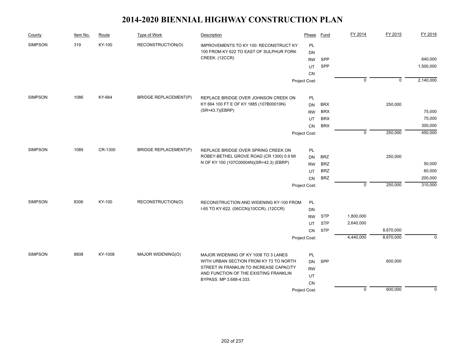| County         | Item No. | Route   | Type of Work                 | Description                                                                        | Phase         | Fund       | FY 2014        | FY 2015        | FY 2016     |
|----------------|----------|---------|------------------------------|------------------------------------------------------------------------------------|---------------|------------|----------------|----------------|-------------|
| <b>SIMPSON</b> | 319      | KY-100  | RECONSTRUCTION(O)            | <b>IMPROVEMENTS TO KY 100: RECONSTRUCT KY</b>                                      | PL            |            |                |                |             |
|                |          |         |                              | 100 FROM KY 622 TO EAST OF SULPHUR FORK                                            | DN            |            |                |                |             |
|                |          |         |                              | CREEK. (12CCR)                                                                     | <b>RW</b>     | SPP        |                |                | 640,000     |
|                |          |         |                              |                                                                                    | UT            | SPP        |                |                | 1,500,000   |
|                |          |         |                              |                                                                                    | <b>CN</b>     |            |                |                |             |
|                |          |         |                              |                                                                                    | Project Cost: |            | $\overline{0}$ | $\overline{0}$ | 2,140,000   |
| <b>SIMPSON</b> | 1086     | KY-664  | <b>BRIDGE REPLACEMENT(P)</b> | REPLACE BRIDGE OVER JOHNSON CREEK ON                                               | PL            |            |                |                |             |
|                |          |         |                              | KY 664 100 FT E OF KY 1885 (107B00019N)                                            | <b>DN</b>     | <b>BRX</b> |                | 250,000        |             |
|                |          |         |                              | (SR=43.7)(EBRP)                                                                    | <b>RW</b>     | <b>BRX</b> |                |                | 75,000      |
|                |          |         |                              |                                                                                    | UT            | <b>BRX</b> |                |                | 75,000      |
|                |          |         |                              |                                                                                    | CN            | <b>BRX</b> |                |                | 300,000     |
|                |          |         |                              |                                                                                    | Project Cost: |            | $\mathsf 0$    | 250,000        | 450,000     |
| <b>SIMPSON</b> | 1089     | CR-1300 | <b>BRIDGE REPLACEMENT(P)</b> | REPLACE BRIDGE OVER SPRING CREEK ON                                                | PL            |            |                |                |             |
|                |          |         |                              | ROBEY-BETHEL GROVE ROAD (CR 1300) 0.9 MI                                           | <b>DN</b>     | <b>BRZ</b> |                | 250,000        |             |
|                |          |         |                              | N OF KY 100 (107C00004N)(SR=42.3) (EBRP)                                           | <b>RW</b>     | <b>BRZ</b> |                |                | 50,000      |
|                |          |         |                              |                                                                                    | UT            | <b>BRZ</b> |                |                | 60,000      |
|                |          |         |                              |                                                                                    | CN            | <b>BRZ</b> |                |                | 200,000     |
|                |          |         |                              |                                                                                    | Project Cost: |            | $\mathbf 0$    | 250,000        | 310,000     |
| <b>SIMPSON</b> | 8306     | KY-100  | RECONSTRUCTION(O)            |                                                                                    |               |            |                |                |             |
|                |          |         |                              | RECONSTRUCTION AND WIDENING KY-100 FROM<br>I-65 TO KY-622. (06CCN)(10CCR). (12CCR) | PL<br>DN      |            |                |                |             |
|                |          |         |                              |                                                                                    | <b>RW</b>     | <b>STP</b> | 1,800,000      |                |             |
|                |          |         |                              |                                                                                    | UT            | <b>STP</b> | 2,640,000      |                |             |
|                |          |         |                              |                                                                                    | <b>CN</b>     | <b>STP</b> |                | 8,670,000      |             |
|                |          |         |                              |                                                                                    | Project Cost: |            | 4,440,000      | 8,670,000      | $\mathbf 0$ |
|                |          |         |                              |                                                                                    |               |            |                |                |             |
| <b>SIMPSON</b> | 8808     | KY-1008 | MAJOR WIDENING(O)            | MAJOR WIDENING OF KY 1008 TO 3 LANES                                               | PL            |            |                |                |             |
|                |          |         |                              | WITH URBAN SECTION FROM KY 73 TO NORTH                                             | <b>DN</b>     | SPP        |                | 600,000        |             |
|                |          |         |                              | STREET IN FRANKLIN TO INCREASE CAPACITY<br>AND FUNCTION OF THE EXISTING FRANKLIN   | <b>RW</b>     |            |                |                |             |
|                |          |         |                              | BYPASS. MP 3.688-4.333.                                                            | UT            |            |                |                |             |
|                |          |         |                              |                                                                                    | CN            |            |                |                |             |
|                |          |         |                              |                                                                                    | Project Cost: |            | $\mathbf 0$    | 600,000        | $\mathbf 0$ |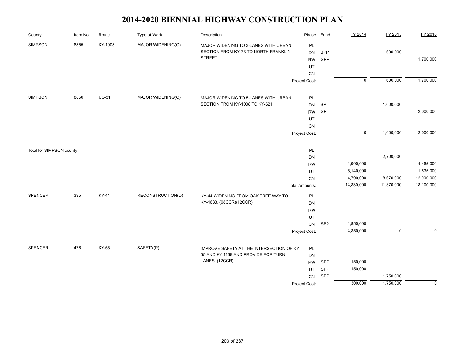| County                   | Item No. | Route        | <b>Type of Work</b> | Description                                                                             | Phase                                    | <b>Fund</b>     | FY 2014                | FY 2015     | FY 2016        |
|--------------------------|----------|--------------|---------------------|-----------------------------------------------------------------------------------------|------------------------------------------|-----------------|------------------------|-------------|----------------|
| <b>SIMPSON</b>           | 8855     | KY-1008      | MAJOR WIDENING(O)   | MAJOR WIDENING TO 3-LANES WITH URBAN<br>SECTION FROM KY-73 TO NORTH FRANKLIN<br>STREET. | PL<br><b>DN</b><br><b>RW</b><br>UT<br>CN | SPP<br>SPP      |                        | 600,000     | 1,700,000      |
|                          |          |              |                     |                                                                                         | Project Cost:                            |                 | $\overline{0}$         | 600,000     | 1,700,000      |
| <b>SIMPSON</b>           | 8856     | <b>US-31</b> | MAJOR WIDENING(O)   | MAJOR WIDENING TO 5-LANES WITH URBAN                                                    | <b>PL</b>                                |                 |                        |             |                |
|                          |          |              |                     | SECTION FROM KY-1008 TO KY-621.                                                         | <b>DN</b>                                | SP              |                        | 1,000,000   |                |
|                          |          |              |                     |                                                                                         | <b>RW</b>                                | SP              |                        |             | 2,000,000      |
|                          |          |              |                     |                                                                                         | UT                                       |                 |                        |             |                |
|                          |          |              |                     |                                                                                         | CN                                       |                 | $\mathbf 0$            | 1,000,000   | 2,000,000      |
|                          |          |              |                     |                                                                                         | Project Cost:                            |                 |                        |             |                |
| Total for SIMPSON county |          |              |                     |                                                                                         | PL                                       |                 |                        |             |                |
|                          |          |              |                     |                                                                                         | <b>DN</b>                                |                 |                        | 2,700,000   |                |
|                          |          |              |                     |                                                                                         | <b>RW</b>                                |                 | 4,900,000              |             | 4,465,000      |
|                          |          |              |                     |                                                                                         | UT                                       |                 | 5,140,000              |             | 1,635,000      |
|                          |          |              |                     |                                                                                         | CN                                       |                 | 4,790,000              | 8,670,000   | 12,000,000     |
|                          |          |              |                     |                                                                                         | <b>Total Amounts:</b>                    |                 | 14,830,000             | 11,370,000  | 18,100,000     |
| <b>SPENCER</b>           | 395      | <b>KY-44</b> | RECONSTRUCTION(O)   | KY-44 WIDENING FROM OAK TREE WAY TO                                                     | PL                                       |                 |                        |             |                |
|                          |          |              |                     | KY-1633. (08CCR)(12CCR)                                                                 | DN                                       |                 |                        |             |                |
|                          |          |              |                     |                                                                                         | <b>RW</b>                                |                 |                        |             |                |
|                          |          |              |                     |                                                                                         | UT                                       |                 |                        |             |                |
|                          |          |              |                     |                                                                                         | ${\sf CN}$                               | SB <sub>2</sub> | 4,850,000<br>4,850,000 | $\mathsf 0$ | $\mathbf 0$    |
|                          |          |              |                     |                                                                                         | Project Cost:                            |                 |                        |             |                |
| SPENCER                  | 476      | KY-55        | SAFETY(P)           | IMPROVE SAFETY AT THE INTERSECTION OF KY                                                | PL                                       |                 |                        |             |                |
|                          |          |              |                     | 55 AND KY 1169 AND PROVIDE FOR TURN                                                     | DN                                       |                 |                        |             |                |
|                          |          |              |                     | LANES. (12CCR)                                                                          | <b>RW</b>                                | SPP             | 150,000                |             |                |
|                          |          |              |                     |                                                                                         | UT                                       | SPP             | 150,000                |             |                |
|                          |          |              |                     |                                                                                         | CN                                       | SPP             |                        | 1,750,000   |                |
|                          |          |              |                     |                                                                                         | Project Cost:                            |                 | 300,000                | 1,750,000   | $\overline{0}$ |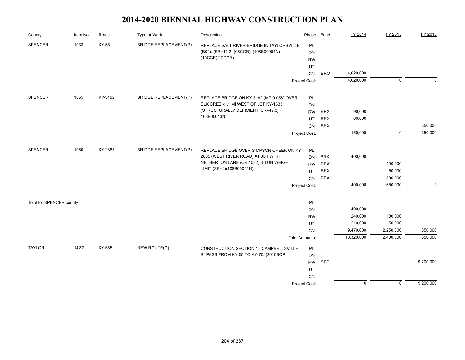| County                   | Item No. | Route   | Type of Work                 | Description                               | Phase                 | <b>Fund</b> | FY 2014        | FY 2015     | FY 2016     |
|--------------------------|----------|---------|------------------------------|-------------------------------------------|-----------------------|-------------|----------------|-------------|-------------|
| <b>SPENCER</b>           | 1033     | KY-55   | <b>BRIDGE REPLACEMENT(P)</b> | REPLACE SALT RIVER BRIDGE IN TAYLORSVILLE | <b>PL</b>             |             |                |             |             |
|                          |          |         |                              | (B04). (SR=41.2) (08CCR): (108B00004N)    | DN                    |             |                |             |             |
|                          |          |         |                              | (10CCR)(12CCR)                            | <b>RW</b>             |             |                |             |             |
|                          |          |         |                              |                                           | UT                    |             |                |             |             |
|                          |          |         |                              |                                           | CN                    | <b>BRO</b>  | 4,620,000      |             |             |
|                          |          |         |                              |                                           | Project Cost:         |             | 4,620,000      | $\mathbf 0$ | $\Omega$    |
| <b>SPENCER</b>           | 1055     | KY-3192 | <b>BRIDGE REPLACEMENT(P)</b> | REPLACE BRIDGE ON KY-3192 (MP 0.058) OVER | PL                    |             |                |             |             |
|                          |          |         |                              | ELK CREEK; .1 MI WEST OF JCT KY-1633;     | DN                    |             |                |             |             |
|                          |          |         |                              | (STRUCTURALLY DEFICIENT, SR=49.3)         | <b>RW</b>             | <b>BRX</b>  | 90,000         |             |             |
|                          |          |         |                              | 108B00013N                                | UT                    | <b>BRX</b>  | 60,000         |             |             |
|                          |          |         |                              |                                           | <b>CN</b>             | <b>BRX</b>  |                |             | 350,000     |
|                          |          |         |                              |                                           | Project Cost:         |             | 150,000        | $\mathbf 0$ | 350,000     |
|                          |          |         |                              |                                           |                       |             |                |             |             |
| <b>SPENCER</b>           | 1080     | KY-2885 | <b>BRIDGE REPLACEMENT(P)</b> | REPLACE BRIDGE OVER SIMPSON CREEK ON KY   | PL                    |             |                |             |             |
|                          |          |         |                              | 2885 (WEST RIVER ROAD) AT JCT WITH        | <b>DN</b>             | <b>BRX</b>  | 400,000        |             |             |
|                          |          |         |                              | NETHERTON LANE (CR 1082) 3-TON WEIGHT     | <b>RW</b>             | <b>BRX</b>  |                | 100,000     |             |
|                          |          |         |                              | LIMIT (SR=2)(108B00041N)                  | UT                    | <b>BRX</b>  |                | 50,000      |             |
|                          |          |         |                              |                                           | CN                    | <b>BRX</b>  |                | 500,000     |             |
|                          |          |         |                              |                                           | Project Cost:         |             | 400,000        | 650,000     | $\mathbf 0$ |
|                          |          |         |                              |                                           |                       |             |                |             |             |
| Total for SPENCER county |          |         |                              |                                           | PL                    |             | 400,000        |             |             |
|                          |          |         |                              |                                           | <b>DN</b>             |             | 240,000        | 100,000     |             |
|                          |          |         |                              |                                           | <b>RW</b>             |             | 210,000        | 50,000      |             |
|                          |          |         |                              |                                           | UT                    |             | 9,470,000      | 2,250,000   | 350,000     |
|                          |          |         |                              |                                           | CN                    |             | 10,320,000     | 2,400,000   | 350,000     |
|                          |          |         |                              |                                           | <b>Total Amounts:</b> |             |                |             |             |
| <b>TAYLOR</b>            | 142.2    | KY-555  | NEW ROUTE(O)                 | CONSTRUCTION SECTION 1 - CAMPBELLSVILLE   | <b>PL</b>             |             |                |             |             |
|                          |          |         |                              | BYPASS FROM KY-55 TO KY-70. (2010BOP)     | <b>DN</b>             |             |                |             |             |
|                          |          |         |                              |                                           | <b>RW</b>             | SPP         |                |             | 9,200,000   |
|                          |          |         |                              |                                           | UT                    |             |                |             |             |
|                          |          |         |                              |                                           | <b>CN</b>             |             |                |             |             |
|                          |          |         |                              |                                           | Project Cost:         |             | $\overline{0}$ | $\mathbf 0$ | 9,200,000   |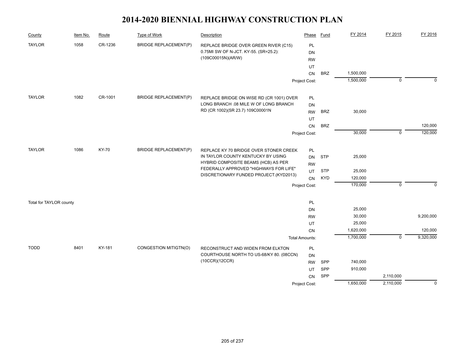| County                  | Item No. | Route        | Type of Work                 | Description                                                                  | Phase                 | <b>Fund</b> | FY 2014            | FY 2015     | FY 2016     |
|-------------------------|----------|--------------|------------------------------|------------------------------------------------------------------------------|-----------------------|-------------|--------------------|-------------|-------------|
| <b>TAYLOR</b>           | 1058     | CR-1236      | <b>BRIDGE REPLACEMENT(P)</b> | REPLACE BRIDGE OVER GREEN RIVER (C15)                                        | PL                    |             |                    |             |             |
|                         |          |              |                              | 0.75MI SW OF N-JCT. KY-55. (SR=25.2):                                        | DN                    |             |                    |             |             |
|                         |          |              |                              | (109C00015N)(AR/W)                                                           | <b>RW</b>             |             |                    |             |             |
|                         |          |              |                              |                                                                              | UT                    |             |                    |             |             |
|                         |          |              |                              |                                                                              | CN                    | <b>BRZ</b>  | 1,500,000          |             |             |
|                         |          |              |                              |                                                                              | Project Cost:         |             | 1,500,000          | $\mathbf 0$ | $\mathbf 0$ |
| <b>TAYLOR</b>           | 1082     | CR-1001      | <b>BRIDGE REPLACEMENT(P)</b> | REPLACE BRIDGE ON WISE RD (CR 1001) OVER                                     | PL                    |             |                    |             |             |
|                         |          |              |                              | LONG BRANCH .08 MILE W OF LONG BRANCH                                        | <b>DN</b>             |             |                    |             |             |
|                         |          |              |                              | RD (CR 1002)(SR 23.7) 109C00001N                                             | <b>RW</b>             | <b>BRZ</b>  | 30,000             |             |             |
|                         |          |              |                              |                                                                              | UT                    |             |                    |             |             |
|                         |          |              |                              |                                                                              | <b>CN</b>             | <b>BRZ</b>  |                    |             | 120,000     |
|                         |          |              |                              |                                                                              | Project Cost:         |             | 30,000             | $\mathbf 0$ | 120,000     |
|                         |          |              |                              |                                                                              |                       |             |                    |             |             |
| <b>TAYLOR</b>           | 1086     | <b>KY-70</b> | <b>BRIDGE REPLACEMENT(P)</b> | REPLACE KY 70 BRIDGE OVER STONER CREEK<br>IN TAYLOR COUNTY KENTUCKY BY USING | PL                    |             |                    |             |             |
|                         |          |              |                              | HYBRID COMPOSITE BEAMS (HCB) AS PER                                          | DN                    | <b>STP</b>  | 25,000             |             |             |
|                         |          |              |                              | FEDERALLY APPROVED "HIGHWAYS FOR LIFE"                                       | <b>RW</b>             |             |                    |             |             |
|                         |          |              |                              | DISCRETIONARY FUNDED PROJECT.(KYD2013)                                       | UT                    | <b>STP</b>  | 25,000             |             |             |
|                         |          |              |                              |                                                                              | <b>CN</b>             | <b>KYD</b>  | 120,000<br>170,000 | $\Omega$    | $\Omega$    |
|                         |          |              |                              |                                                                              | Project Cost:         |             |                    |             |             |
| Total for TAYLOR county |          |              |                              |                                                                              | PL                    |             |                    |             |             |
|                         |          |              |                              |                                                                              | <b>DN</b>             |             | 25,000             |             |             |
|                         |          |              |                              |                                                                              | <b>RW</b>             |             | 30,000             |             | 9,200,000   |
|                         |          |              |                              |                                                                              | UT                    |             | 25,000             |             |             |
|                         |          |              |                              |                                                                              | CN                    |             | 1,620,000          |             | 120,000     |
|                         |          |              |                              |                                                                              | <b>Total Amounts:</b> |             | 1,700,000          | $\mathbf 0$ | 9,320,000   |
| <b>TODD</b>             | 8401     | KY-181       | CONGESTION MITIGTN(O)        | RECONSTRUCT AND WIDEN FROM ELKTON                                            | PL                    |             |                    |             |             |
|                         |          |              |                              | COURTHOUSE NORTH TO US-68/KY 80. (08CCN)                                     | DN                    |             |                    |             |             |
|                         |          |              |                              | (10CCR)(12CCR)                                                               | <b>RW</b>             | SPP         | 740,000            |             |             |
|                         |          |              |                              |                                                                              | UT                    | SPP         | 910,000            |             |             |
|                         |          |              |                              |                                                                              | <b>CN</b>             | SPP         |                    | 2,110,000   |             |
|                         |          |              |                              |                                                                              | Project Cost:         |             | 1,650,000          | 2,110,000   | $\mathbf 0$ |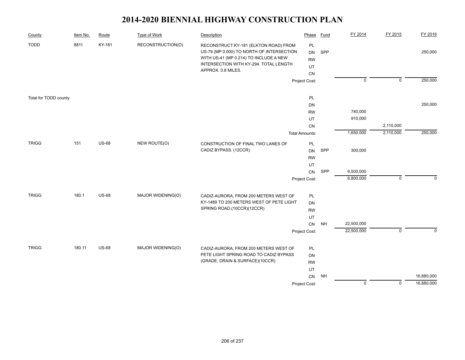| County                | Item No. | Route        | <b>Type of Work</b> | Description                                                                                                                                                                                  | Phase                                    | <b>Fund</b> | FY 2014            | FY 2015        | FY 2016     |
|-----------------------|----------|--------------|---------------------|----------------------------------------------------------------------------------------------------------------------------------------------------------------------------------------------|------------------------------------------|-------------|--------------------|----------------|-------------|
| <b>TODD</b>           | 8811     | KY-181       | RECONSTRUCTION(O)   | RECONSTRUCT KY-181 (ELKTON ROAD) FROM<br>US-79 (MP 0.000) TO NORTH OF INTERSECTION<br>WITH US-41 (MP 0.214) TO INCLUDE A NEW<br>INTERSECTION WITH KY-294. TOTAL LENGTH<br>APPROX. 0.8 MILES. | PL<br><b>DN</b><br><b>RW</b><br>UT<br>CN | SPP         |                    |                | 250,000     |
|                       |          |              |                     |                                                                                                                                                                                              | Project Cost:                            |             | $\overline{0}$     | $\overline{0}$ | 250,000     |
| Total for TODD county |          |              |                     |                                                                                                                                                                                              | PL                                       |             |                    |                |             |
|                       |          |              |                     |                                                                                                                                                                                              | DN                                       |             |                    |                | 250,000     |
|                       |          |              |                     |                                                                                                                                                                                              | <b>RW</b>                                |             | 740,000<br>910,000 |                |             |
|                       |          |              |                     |                                                                                                                                                                                              | UT<br>${\sf CN}$                         |             |                    | 2,110,000      |             |
|                       |          |              |                     |                                                                                                                                                                                              | <b>Total Amounts:</b>                    |             | 1,650,000          | 2,110,000      | 250,000     |
| <b>TRIGG</b>          | 151      | <b>US-68</b> | NEW ROUTE(O)        |                                                                                                                                                                                              |                                          |             |                    |                |             |
|                       |          |              |                     | CONSTRUCTION OF FINAL TWO LANES OF<br>CADIZ BYPASS. (12CCR)                                                                                                                                  | PL<br><b>DN</b>                          | SPP         | 300,000            |                |             |
|                       |          |              |                     |                                                                                                                                                                                              | <b>RW</b>                                |             |                    |                |             |
|                       |          |              |                     |                                                                                                                                                                                              | UT                                       |             |                    |                |             |
|                       |          |              |                     |                                                                                                                                                                                              | CN                                       | SPP         | 6,500,000          |                |             |
|                       |          |              |                     |                                                                                                                                                                                              | Project Cost:                            |             | 6,800,000          | $\mathbf 0$    | $\Omega$    |
| <b>TRIGG</b>          | 180.1    | <b>US-68</b> | MAJOR WIDENING(O)   | CADIZ-AURORA; FROM 200 METERS WEST OF                                                                                                                                                        | PL                                       |             |                    |                |             |
|                       |          |              |                     | KY-1489 TO 200 METERS WEST OF PETE LIGHT                                                                                                                                                     | <b>DN</b>                                |             |                    |                |             |
|                       |          |              |                     | SPRING ROAD.(10CCR)(12CCR)                                                                                                                                                                   | <b>RW</b>                                |             |                    |                |             |
|                       |          |              |                     |                                                                                                                                                                                              | UT                                       |             |                    |                |             |
|                       |          |              |                     |                                                                                                                                                                                              | ${\sf CN}$                               | <b>NH</b>   | 22,500,000         |                |             |
|                       |          |              |                     |                                                                                                                                                                                              | Project Cost:                            |             | 22,500,000         | $\mathsf 0$    | $\mathbf 0$ |
| <b>TRIGG</b>          | 180.11   | <b>US-68</b> | MAJOR WIDENING(O)   | CADIZ-AURORA; FROM 200 METERS WEST OF                                                                                                                                                        | PL                                       |             |                    |                |             |
|                       |          |              |                     | PETE LIGHT SPRING ROAD TO CADIZ BYPASS                                                                                                                                                       | DN                                       |             |                    |                |             |
|                       |          |              |                     | (GRADE, DRAIN & SURFACE)(10CCR)                                                                                                                                                              | <b>RW</b>                                |             |                    |                |             |
|                       |          |              |                     |                                                                                                                                                                                              | UT                                       |             |                    |                |             |
|                       |          |              |                     |                                                                                                                                                                                              | CN                                       | <b>NH</b>   |                    |                | 16,880,000  |
|                       |          |              |                     |                                                                                                                                                                                              | Project Cost:                            |             | $\overline{0}$     | $\overline{0}$ | 16,880,000  |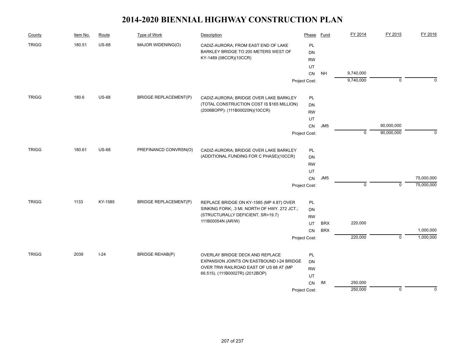| County       | Item No. | Route        | Type of Work                 | Description                                  | Phase         | Fund            | FY 2014     | FY 2015                   | FY 2016     |
|--------------|----------|--------------|------------------------------|----------------------------------------------|---------------|-----------------|-------------|---------------------------|-------------|
| <b>TRIGG</b> | 180.51   | <b>US-68</b> | MAJOR WIDENING(O)            | CADIZ-AURORA; FROM EAST END OF LAKE          | PL            |                 |             |                           |             |
|              |          |              |                              | BARKLEY BRIDGE TO 200 METERS WEST OF         | <b>DN</b>     |                 |             |                           |             |
|              |          |              |                              | KY-1489 (08CCR)(10CCR)                       | <b>RW</b>     |                 |             |                           |             |
|              |          |              |                              |                                              | UT            |                 |             |                           |             |
|              |          |              |                              |                                              | CN            | <b>NH</b>       | 9,740,000   |                           |             |
|              |          |              |                              |                                              | Project Cost: |                 | 9,740,000   | $\mathbf 0$               | $\Omega$    |
| <b>TRIGG</b> | 180.6    | <b>US-68</b> | <b>BRIDGE REPLACEMENT(P)</b> | CADIZ-AURORA; BRIDGE OVER LAKE BARKLEY       | PL            |                 |             |                           |             |
|              |          |              |                              | (TOTAL CONSTRUCTION COST IS \$165 MILLION)   | <b>DN</b>     |                 |             |                           |             |
|              |          |              |                              | (2006BOPP): (111B00020N)(10CCR)              | <b>RW</b>     |                 |             |                           |             |
|              |          |              |                              |                                              | UT            |                 |             |                           |             |
|              |          |              |                              |                                              | CN            | JM <sub>5</sub> |             | 90,000,000                |             |
|              |          |              |                              |                                              | Project Cost: |                 | $\mathbf 0$ | 90,000,000                | $\mathbf 0$ |
| <b>TRIGG</b> | 180.61   | <b>US-68</b> | PREFINANCD CONVRSN(O)        | CADIZ-AURORA; BRIDGE OVER LAKE BARKLEY       | PL            |                 |             |                           |             |
|              |          |              |                              | (ADDITIONAL FUNDING FOR C PHASE)(10CCR)      | DN            |                 |             |                           |             |
|              |          |              |                              |                                              |               |                 |             |                           |             |
|              |          |              |                              |                                              | UT            |                 |             |                           |             |
|              |          |              |                              |                                              | CN            | JM <sub>5</sub> |             |                           | 75,000,000  |
|              |          |              |                              |                                              | Project Cost: |                 | $\mathbf 0$ | $\mathbf 0$               | 75,000,000  |
| <b>TRIGG</b> | 1133     | KY-1585      | <b>BRIDGE REPLACEMENT(P)</b> | REPLACE BRIDGE ON KY-1585 (MP 4.87) OVER     | PL            |                 |             |                           |             |
|              |          |              |                              | SINKING FORK; .3 MI. NORTH OF HWY. 272 JCT.; | DN            |                 |             |                           |             |
|              |          |              |                              | (STRUCTURALLY DEFICIENT, SR=19.7)            | <b>RW</b>     |                 |             |                           |             |
|              |          |              |                              | 111B00054N (AR/W)                            | UT            | <b>BRX</b>      | 220,000     |                           |             |
|              |          |              |                              |                                              | <b>CN</b>     | <b>BRX</b>      |             |                           | 1,000,000   |
|              |          |              |                              |                                              | Project Cost: |                 | 220,000     | $\overline{\mathfrak{o}}$ | 1,000,000   |
| <b>TRIGG</b> | 2039     | $I-24$       | <b>BRIDGE REHAB(P)</b>       | OVERLAY BRIDGE DECK AND REPLACE              | PL            |                 |             |                           |             |
|              |          |              |                              | EXPANSION JOINTS ON EASTBOUND I-24 BRIDGE    | DN            |                 |             |                           |             |
|              |          |              |                              | OVER TRW RAILROAD EAST OF US 68 AT (MP       | <b>RW</b>     |                 |             |                           |             |
|              |          |              |                              | 66.515). (111B00027R) (2012BOP)              | UT            |                 |             |                           |             |
|              |          |              |                              |                                              | CN            | IM              | 250,000     |                           |             |
|              |          |              |                              |                                              | Project Cost: |                 | 250,000     | $\mathbf 0$               | $\pmb{0}$   |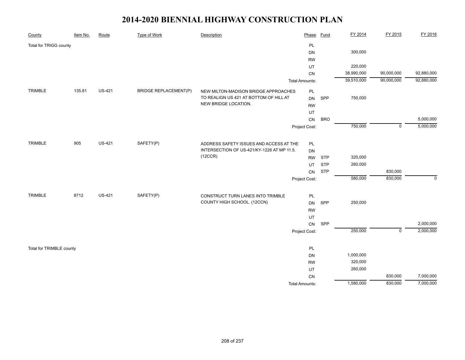| County                   | Item No. | Route         | Type of Work                 | Description                                | Phase                 | Fund       | FY 2014    | FY 2015        | FY 2016     |
|--------------------------|----------|---------------|------------------------------|--------------------------------------------|-----------------------|------------|------------|----------------|-------------|
| Total for TRIGG county   |          |               |                              |                                            | PL                    |            |            |                |             |
|                          |          |               |                              |                                            | <b>DN</b>             |            | 300,000    |                |             |
|                          |          |               |                              |                                            | <b>RW</b>             |            |            |                |             |
|                          |          |               |                              |                                            | UT                    |            | 220,000    |                |             |
|                          |          |               |                              |                                            | CN                    |            | 38,990,000 | 90,000,000     | 92,880,000  |
|                          |          |               |                              |                                            | <b>Total Amounts:</b> |            | 39,510,000 | 90,000,000     | 92,880,000  |
| TRIMBLE                  | 135.81   | <b>US-421</b> | <b>BRIDGE REPLACEMENT(P)</b> | NEW MILTON-MADISON BRIDGE APPROACHES       | $\mathsf{PL}$         |            |            |                |             |
|                          |          |               |                              | TO REALIGN US 421 AT BOTTOM OF HILL AT     | DN                    | SPP        | 750,000    |                |             |
|                          |          |               |                              | NEW BRIDGE LOCATION.                       | <b>RW</b>             |            |            |                |             |
|                          |          |               |                              |                                            | UT                    |            |            |                |             |
|                          |          |               |                              |                                            | CN                    | <b>BRO</b> |            |                | 5,000,000   |
|                          |          |               |                              |                                            | Project Cost:         |            | 750,000    | $\overline{0}$ | 5,000,000   |
|                          |          |               |                              |                                            |                       |            |            |                |             |
| TRIMBLE                  | 905      | <b>US-421</b> | SAFETY(P)                    | ADDRESS SAFETY ISSUES AND ACCESS AT THE    | PL                    |            |            |                |             |
|                          |          |               |                              | INTERSECTION OF US-421/KY-1226 AT MP 11.5. | DN                    |            |            |                |             |
|                          |          |               |                              | (12CCR)                                    | <b>RW</b>             | <b>STP</b> | 320,000    |                |             |
|                          |          |               |                              |                                            | UT                    | <b>STP</b> | 260,000    |                |             |
|                          |          |               |                              |                                            | CN                    | <b>STP</b> |            | 830,000        |             |
|                          |          |               |                              |                                            | Project Cost:         |            | 580,000    | 830,000        | $\mathbf 0$ |
| TRIMBLE                  | 8712     | <b>US-421</b> | SAFETY(P)                    | CONSTRUCT TURN LANES INTO TRIMBLE          | $\mathsf{PL}$         |            |            |                |             |
|                          |          |               |                              | COUNTY HIGH SCHOOL. (12CCN)                | DN                    | SPP        | 250,000    |                |             |
|                          |          |               |                              |                                            | <b>RW</b>             |            |            |                |             |
|                          |          |               |                              |                                            | UT                    |            |            |                |             |
|                          |          |               |                              |                                            | CN                    | SPP        |            |                | 2,000,000   |
|                          |          |               |                              |                                            | Project Cost:         |            | 250,000    | $\mathsf 0$    | 2,000,000   |
|                          |          |               |                              |                                            |                       |            |            |                |             |
| Total for TRIMBLE county |          |               |                              |                                            | PL                    |            |            |                |             |
|                          |          |               |                              |                                            | <b>DN</b>             |            | 1,000,000  |                |             |
|                          |          |               |                              |                                            | <b>RW</b>             |            | 320,000    |                |             |
|                          |          |               |                              |                                            | UT                    |            | 260,000    |                |             |
|                          |          |               |                              |                                            | CN                    |            |            | 830,000        | 7,000,000   |
|                          |          |               |                              |                                            | <b>Total Amounts:</b> |            | 1,580,000  | 830,000        | 7,000,000   |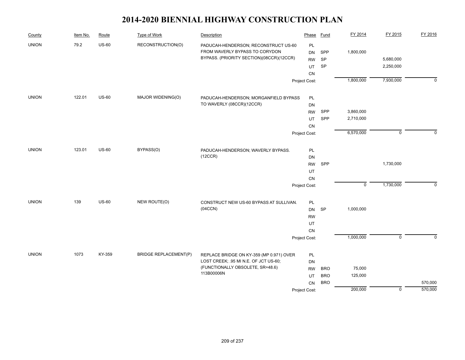| County       | Item No. | Route        | Type of Work                 | Description                                                                                                        | Phase                        | Fund       | FY 2014        | FY 2015     | FY 2016     |
|--------------|----------|--------------|------------------------------|--------------------------------------------------------------------------------------------------------------------|------------------------------|------------|----------------|-------------|-------------|
| <b>UNION</b> | 79.2     | $US-60$      | RECONSTRUCTION(O)            | PADUCAH-HENDERSON; RECONSTRUCT US-60<br>FROM WAVERLY BYPASS TO CORYDON<br>BYPASS. (PRIORITY SECTION)(08CCR)(12CCR) | PL<br><b>DN</b><br><b>RW</b> | SPP<br>SP  | 1,800,000      | 5,680,000   |             |
|              |          |              |                              |                                                                                                                    | UT                           | SP         |                | 2,250,000   |             |
|              |          |              |                              |                                                                                                                    | CN                           |            |                |             |             |
|              |          |              |                              |                                                                                                                    | Project Cost:                |            | 1,800,000      | 7,930,000   | $\mathbf 0$ |
| <b>UNION</b> | 122.01   | <b>US-60</b> | MAJOR WIDENING(O)            | PADUCAH-HENDERSON; MORGANFIELD BYPASS                                                                              | PL                           |            |                |             |             |
|              |          |              |                              | TO WAVERLY (08CCR)(12CCR)                                                                                          | <b>DN</b>                    |            |                |             |             |
|              |          |              |                              |                                                                                                                    | <b>RW</b>                    | SPP        | 3,860,000      |             |             |
|              |          |              |                              |                                                                                                                    | UT                           | SPP        | 2,710,000      |             |             |
|              |          |              |                              |                                                                                                                    | CN                           |            |                |             |             |
|              |          |              |                              |                                                                                                                    | Project Cost:                |            | 6,570,000      | $\mathsf 0$ | $\Omega$    |
| <b>UNION</b> | 123.01   | <b>US-60</b> | BYPASS(O)                    | PADUCAH-HENDERSON; WAVERLY BYPASS.                                                                                 | PL                           |            |                |             |             |
|              |          |              |                              | (12CCR)                                                                                                            | DN                           |            |                |             |             |
|              |          |              |                              |                                                                                                                    | <b>RW</b>                    | SPP        |                | 1,730,000   |             |
|              |          |              |                              |                                                                                                                    | UT                           |            |                |             |             |
|              |          |              |                              |                                                                                                                    | <b>CN</b>                    |            |                |             |             |
|              |          |              |                              |                                                                                                                    | Project Cost:                |            | $\overline{0}$ | 1,730,000   | $\mathbf 0$ |
| <b>UNION</b> | 139      | <b>US-60</b> | NEW ROUTE(O)                 | CONSTRUCT NEW US-60 BYPASS AT SULLIVAN.                                                                            | PL                           |            |                |             |             |
|              |          |              |                              | (04CCN)                                                                                                            | DN                           | <b>SP</b>  | 1,000,000      |             |             |
|              |          |              |                              |                                                                                                                    | <b>RW</b>                    |            |                |             |             |
|              |          |              |                              |                                                                                                                    | UT                           |            |                |             |             |
|              |          |              |                              |                                                                                                                    | CN                           |            |                |             |             |
|              |          |              |                              |                                                                                                                    | Project Cost:                |            | 1,000,000      | $\mathbf 0$ | $\mathbf 0$ |
| <b>UNION</b> | 1073     | KY-359       | <b>BRIDGE REPLACEMENT(P)</b> | REPLACE BRIDGE ON KY-359 (MP 0.971) OVER                                                                           | PL                           |            |                |             |             |
|              |          |              |                              | LOST CREEK; .95 MI N.E. OF JCT US-60;                                                                              | DN                           |            |                |             |             |
|              |          |              |                              | (FUNCTIONALLY OBSOLETE, SR=48.6)                                                                                   | <b>RW</b>                    | <b>BRO</b> | 75,000         |             |             |
|              |          |              |                              | 113B00006N                                                                                                         | UT                           | <b>BRO</b> | 125,000        |             |             |
|              |          |              |                              |                                                                                                                    | CN                           | <b>BRO</b> |                |             | 570,000     |
|              |          |              |                              |                                                                                                                    | Project Cost:                |            | 200,000        | $\mathbf 0$ | 570,000     |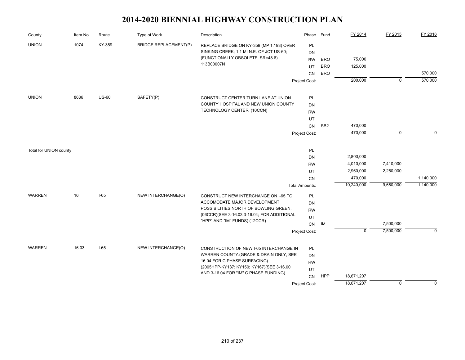| County                 | Item No. | Route        | <b>Type of Work</b>          | Description                                    | Phase                 | <b>Fund</b>     | FY 2014     | FY 2015        | FY 2016            |
|------------------------|----------|--------------|------------------------------|------------------------------------------------|-----------------------|-----------------|-------------|----------------|--------------------|
| <b>UNION</b>           | 1074     | KY-359       | <b>BRIDGE REPLACEMENT(P)</b> | REPLACE BRIDGE ON KY-359 (MP 1.193) OVER       | PL                    |                 |             |                |                    |
|                        |          |              |                              | SINKING CREEK; 1.1 MI N.E. OF JCT US-60;       | <b>DN</b>             |                 |             |                |                    |
|                        |          |              |                              | (FUNCTIONALLY OBSOLETE, SR=48.6)<br>113B00007N | <b>RW</b>             | <b>BRO</b>      | 75,000      |                |                    |
|                        |          |              |                              |                                                | UT                    | <b>BRO</b>      | 125,000     |                |                    |
|                        |          |              |                              |                                                | <b>CN</b>             | <b>BRO</b>      | 200,000     | $\overline{0}$ | 570,000<br>570,000 |
|                        |          |              |                              |                                                | Project Cost:         |                 |             |                |                    |
| <b>UNION</b>           | 8636     | <b>US-60</b> | SAFETY(P)                    | CONSTRUCT CENTER TURN LANE AT UNION            | PL                    |                 |             |                |                    |
|                        |          |              |                              | COUNTY HOSPITAL AND NEW UNION COUNTY           | <b>DN</b>             |                 |             |                |                    |
|                        |          |              |                              | TECHNOLOGY CENTER. (10CCN)                     | <b>RW</b>             |                 |             |                |                    |
|                        |          |              |                              |                                                | UT                    |                 |             |                |                    |
|                        |          |              |                              |                                                | CN                    | SB <sub>2</sub> | 470,000     |                |                    |
|                        |          |              |                              |                                                | Project Cost:         |                 | 470,000     | $\mathbf 0$    | $\Omega$           |
|                        |          |              |                              |                                                |                       |                 |             |                |                    |
| Total for UNION county |          |              |                              |                                                | PL<br>DN              |                 | 2,800,000   |                |                    |
|                        |          |              |                              |                                                | <b>RW</b>             |                 | 4,010,000   | 7,410,000      |                    |
|                        |          |              |                              |                                                | UT                    |                 | 2,960,000   | 2,250,000      |                    |
|                        |          |              |                              |                                                | <b>CN</b>             |                 | 470,000     |                | 1,140,000          |
|                        |          |              |                              |                                                | <b>Total Amounts:</b> |                 | 10,240,000  | 9,660,000      | 1,140,000          |
| <b>WARREN</b>          | 16       | $I-65$       | NEW INTERCHANGE(O)           | CONSTRUCT NEW INTERCHANGE ON I-65 TO           | PL                    |                 |             |                |                    |
|                        |          |              |                              | ACCOMODATE MAJOR DEVELOPMENT                   | <b>DN</b>             |                 |             |                |                    |
|                        |          |              |                              | POSSIBILITIES NORTH OF BOWLING GREEN.          | <b>RW</b>             |                 |             |                |                    |
|                        |          |              |                              | (06CCR)(SEE 3-16.03;3-16.04; FOR ADDITIONAL    | UT                    |                 |             |                |                    |
|                        |          |              |                              | "HPP" AND "IM" FUNDS) (12CCR)                  | CN                    | IM              |             | 7,500,000      |                    |
|                        |          |              |                              |                                                | Project Cost:         |                 | $\mathsf 0$ | 7,500,000      | $\mathbf 0$        |
| <b>WARREN</b>          | 16.03    | $I-65$       | NEW INTERCHANGE(O)           | CONSTRUCTION OF NEW I-65 INTERCHANGE IN        | PL                    |                 |             |                |                    |
|                        |          |              |                              | WARREN COUNTY (GRADE & DRAIN ONLY, SEE         | <b>DN</b>             |                 |             |                |                    |
|                        |          |              |                              | 16.04 FOR C PHASE SURFACING)                   | <b>RW</b>             |                 |             |                |                    |
|                        |          |              |                              | (2005HPP-KY137; KY150; KY167)(SEE 3-16.00      | UT                    |                 |             |                |                    |
|                        |          |              |                              | AND 3-16.04 FOR "IM" C PHASE FUNDING)          | <b>CN</b>             | HPP             | 18,671,207  |                |                    |
|                        |          |              |                              |                                                | Project Cost:         |                 | 18,671,207  | $\overline{0}$ | $\mathbf 0$        |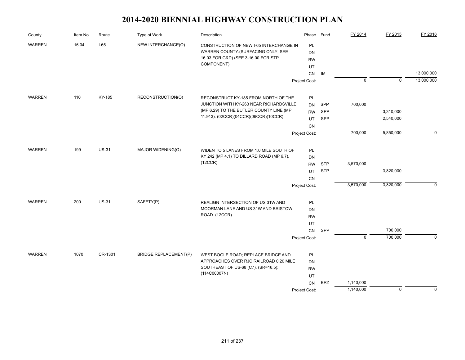| County               | Item No. | Route        | Type of Work                 | Description                                          | Phase         | Fund       | FY 2014        | FY 2015     | FY 2016     |
|----------------------|----------|--------------|------------------------------|------------------------------------------------------|---------------|------------|----------------|-------------|-------------|
| <b>WARREN</b>        | 16.04    | $I-65$       | NEW INTERCHANGE(O)           | CONSTRUCTION OF NEW I-65 INTERCHANGE IN              | PL            |            |                |             |             |
|                      |          |              |                              | WARREN COUNTY.(SURFACING ONLY, SEE                   | DN            |            |                |             |             |
|                      |          |              |                              | 16.03 FOR G&D) (SEE 3-16.00 FOR STP                  | <b>RW</b>     |            |                |             |             |
|                      |          |              |                              | COMPONENT)                                           | UT            |            |                |             |             |
|                      |          |              |                              |                                                      | CN            | IM         |                |             | 13,000,000  |
|                      |          |              |                              |                                                      | Project Cost: |            | $\overline{0}$ | $\mathbf 0$ | 13,000,000  |
| <b>WARREN</b>        | 110      | KY-185       | RECONSTRUCTION(O)            | RECONSTRUCT KY-185 FROM NORTH OF THE                 | PL            |            |                |             |             |
|                      |          |              |                              | JUNCTION WITH KY-263 NEAR RICHARDSVILLE              | <b>DN</b>     | SPP        | 700,000        |             |             |
|                      |          |              |                              | (MP 6.29) TO THE BUTLER COUNTY LINE (MP              | <b>RW</b>     | SPP        |                | 3,310,000   |             |
|                      |          |              |                              | 11.913). (02CCR)(04CCR)(06CCR)(10CCR)                | UT            | SPP        |                | 2,540,000   |             |
|                      |          |              |                              |                                                      | CN            |            |                |             |             |
|                      |          |              |                              |                                                      | Project Cost: |            | 700,000        | 5,850,000   | $\Omega$    |
|                      |          |              |                              |                                                      |               |            |                |             |             |
| 199<br><b>WARREN</b> |          | <b>US-31</b> | MAJOR WIDENING(O)            | WIDEN TO 5 LANES FROM 1.0 MILE SOUTH OF              | PL            |            |                |             |             |
|                      |          |              |                              | KY 242 (MP 4.1) TO DILLARD ROAD (MP 6.7).<br>(12CCR) | <b>DN</b>     |            |                |             |             |
|                      |          |              |                              |                                                      | <b>RW</b>     | <b>STP</b> | 3,570,000      |             |             |
|                      |          |              |                              |                                                      | UT            | <b>STP</b> |                | 3,820,000   |             |
|                      |          |              |                              |                                                      | CN            |            |                |             |             |
|                      |          |              |                              |                                                      | Project Cost: |            | 3,570,000      | 3,820,000   | $\mathbf 0$ |
| <b>WARREN</b>        | 200      | <b>US-31</b> | SAFETY(P)                    | REALIGN INTERSECTION OF US 31W AND                   | PL            |            |                |             |             |
|                      |          |              |                              | MOORMAN LANE AND US 31W AND BRISTOW                  | <b>DN</b>     |            |                |             |             |
|                      |          |              |                              | ROAD. (12CCR)                                        | <b>RW</b>     |            |                |             |             |
|                      |          |              |                              |                                                      | UT            |            |                |             |             |
|                      |          |              |                              |                                                      | ${\sf CN}$    | SPP        |                | 700,000     |             |
|                      |          |              |                              |                                                      | Project Cost: |            | $\overline{0}$ | 700,000     | $\Omega$    |
| <b>WARREN</b>        | 1070     | CR-1301      | <b>BRIDGE REPLACEMENT(P)</b> | WEST BOGLE ROAD; REPLACE BRIDGE AND                  | PL            |            |                |             |             |
|                      |          |              |                              | APPROACHES OVER RJC RAILROAD 0.20 MILE               | DN            |            |                |             |             |
|                      |          |              |                              | SOUTHEAST OF US-68 (C7). (SR=16.5):                  | <b>RW</b>     |            |                |             |             |
|                      |          |              |                              | (114C00007N)                                         | UT            |            |                |             |             |
|                      |          |              |                              |                                                      | CN            | <b>BRZ</b> | 1,140,000      |             |             |
|                      |          |              |                              |                                                      | Project Cost: |            | 1,140,000      | $\mathbf 0$ | $\mathbf 0$ |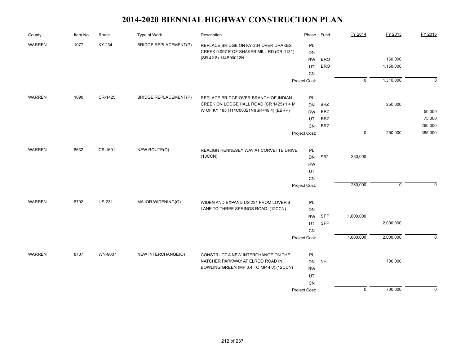| County        | Item No. | Route         | Type of Work                 | Description                               | Phase         | Fund            | FY 2014        | FY 2015     | FY 2016     |
|---------------|----------|---------------|------------------------------|-------------------------------------------|---------------|-----------------|----------------|-------------|-------------|
| <b>WARREN</b> | 1077     | KY-234        | <b>BRIDGE REPLACEMENT(P)</b> | REPLACE BRIDGE ON KY-234 OVER DRAKES      | PL            |                 |                |             |             |
|               |          |               |                              | CREEK 0.097 E OF SHAKER MILL RD (CR-1131) | DN            |                 |                |             |             |
|               |          |               |                              | (SR 42.8) 114B00012N.                     | <b>RW</b>     | <b>BRO</b>      |                | 160,000     |             |
|               |          |               |                              |                                           | UT            | <b>BRO</b>      |                | 1,150,000   |             |
|               |          |               |                              |                                           | CN            |                 |                |             |             |
|               |          |               |                              |                                           | Project Cost: |                 | $\overline{0}$ | 1,310,000   | $\mathbf 0$ |
| <b>WARREN</b> | 1090     | CR-1425       | <b>BRIDGE REPLACEMENT(P)</b> | REPLACE BRIDGE OVER BRANCH OF INDIAN      | PL            |                 |                |             |             |
|               |          |               |                              | CREEK ON LODGE HALL ROAD (CR 1425) 1.4 MI | DN            | <b>BRZ</b>      |                | 250,000     |             |
|               |          |               |                              | W OF KY 185 (114C00021N)(SR=49.4) (EBRP)  | <b>RW</b>     | <b>BRZ</b>      |                |             | 50,000      |
|               |          |               |                              |                                           | UT            | <b>BRZ</b>      |                |             | 75,000      |
|               |          |               |                              |                                           | CN            | <b>BRZ</b>      |                |             | 260,000     |
|               |          |               |                              |                                           | Project Cost: |                 | $\mathbf 0$    | 250,000     | 385,000     |
| <b>WARREN</b> | 8632     | CS-1691       | NEW ROUTE(O)                 | REALIGN HENNESEY WAY AT CORVETTE DRIVE.   | PL            |                 |                |             |             |
|               |          |               |                              | (10CCN)                                   | <b>DN</b>     | SB <sub>2</sub> | 280,000        |             |             |
|               |          |               |                              |                                           | <b>RW</b>     |                 |                |             |             |
|               |          |               |                              |                                           | UT            |                 |                |             |             |
|               |          |               |                              |                                           | ${\sf CN}$    |                 |                |             |             |
|               |          |               |                              |                                           | Project Cost: |                 | 280,000        | $\mathbf 0$ | 0           |
| <b>WARREN</b> | 8702     | <b>US-231</b> | MAJOR WIDENING(O)            | WIDEN AND EXPAND US 231 FROM LOVER'S      | PL            |                 |                |             |             |
|               |          |               |                              | LANE TO THREE SPRINGS ROAD. (12CCN)       | DN            |                 |                |             |             |
|               |          |               |                              |                                           | <b>RW</b>     | SPP             | 1,600,000      |             |             |
|               |          |               |                              |                                           | UT            | SPP             |                | 2,000,000   |             |
|               |          |               |                              |                                           | CN            |                 |                |             |             |
|               |          |               |                              |                                           | Project Cost: |                 | 1,600,000      | 2,000,000   | $\mathbf 0$ |
| <b>WARREN</b> | 8707     | WN-9007       | NEW INTERCHANGE(O)           | CONSTRUCT A NEW INTERCHANGE ON THE        | PL            |                 |                |             |             |
|               |          |               |                              | NATCHER PARKWAY AT ELROD ROAD IN          | DN            | <b>NH</b>       |                | 700,000     |             |
|               |          |               |                              | BOWLING GREEN (MP 3.4 TO MP 4.0).(12CCN)  | <b>RW</b>     |                 |                |             |             |
|               |          |               |                              |                                           | UT            |                 |                |             |             |
|               |          |               |                              |                                           | CN            |                 |                |             |             |
|               |          |               |                              |                                           | Project Cost: |                 | $\mathbf 0$    | 700,000     | 0           |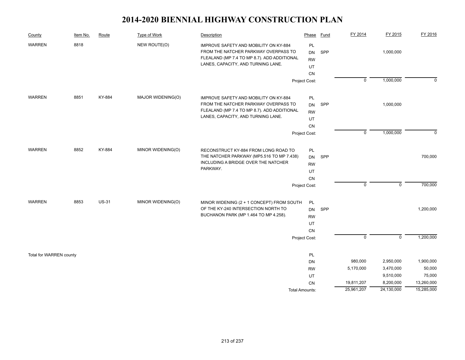| County                  | Item No. | Route        | Type of Work      | Description                                                                                                                                                        | Phase                                    | <b>Fund</b> | FY 2014                  | FY 2015                             | FY 2016                       |
|-------------------------|----------|--------------|-------------------|--------------------------------------------------------------------------------------------------------------------------------------------------------------------|------------------------------------------|-------------|--------------------------|-------------------------------------|-------------------------------|
| <b>WARREN</b>           | 8818     |              | NEW ROUTE(O)      | IMPROVE SAFETY AND MOBILITY ON KY-884<br>FROM THE NATCHER PARKWAY OVERPASS TO<br>FLEALAND (MP 7.4 TO MP 8.7). ADD ADDITIONAL<br>LANES, CAPACITY, AND TURNING LANE. | PL<br><b>DN</b><br><b>RW</b><br>UT<br>CN | SPP         |                          | 1,000,000                           |                               |
|                         |          |              |                   |                                                                                                                                                                    | Project Cost:                            |             | $\overline{0}$           | 1,000,000                           | 0                             |
| <b>WARREN</b>           | 8851     | KY-884       | MAJOR WIDENING(O) | IMPROVE SAFETY AND MOBILITY ON KY-884<br>FROM THE NATCHER PARKWAY OVERPASS TO<br>FLEALAND (MP 7.4 TO MP 8.7). ADD ADDITIONAL<br>LANES, CAPACITY, AND TURNING LANE. | PL<br><b>DN</b><br><b>RW</b><br>UT<br>CN | SPP         |                          | 1,000,000                           |                               |
|                         |          |              |                   |                                                                                                                                                                    | Project Cost:                            |             | $\mathbf 0$              | 1,000,000                           | $\mathbf{0}$                  |
| <b>WARREN</b>           | 8852     | KY-884       | MINOR WIDENING(O) | RECONSTRUCT KY-884 FROM LONG ROAD TO<br>THE NATCHER PARKWAY (MP5.516 TO MP 7.438)<br>INCLUDING A BRIDGE OVER THE NATCHER<br>PARKWAY.                               | PL<br><b>DN</b><br><b>RW</b><br>UT<br>CN | SPP         |                          |                                     | 700,000                       |
|                         |          |              |                   |                                                                                                                                                                    | Project Cost:                            |             | $\mathbf 0$              | $\pmb{0}$                           | 700,000                       |
| <b>WARREN</b>           | 8853     | <b>US-31</b> | MINOR WIDENING(O) | MINOR WIDENING (2 + 1 CONCEPT) FROM SOUTH<br>OF THE KY-240 INTERSECTION NORTH TO<br>BUCHANON PARK (MP 1.464 TO MP 4.258).                                          | PL<br><b>DN</b><br><b>RW</b><br>UT<br>CN | SPP         |                          |                                     | 1,200,000                     |
|                         |          |              |                   |                                                                                                                                                                    | Project Cost:                            |             | $\overline{0}$           | $\overline{0}$                      | 1,200,000                     |
| Total for WARREN county |          |              |                   |                                                                                                                                                                    | PL<br>DN<br><b>RW</b>                    |             | 980,000<br>5,170,000     | 2,950,000<br>3,470,000<br>9,510,000 | 1,900,000<br>50,000<br>75,000 |
|                         |          |              |                   |                                                                                                                                                                    | UT<br>CN<br>Total Amounts:               |             | 19,811,207<br>25,961,207 | 8,200,000<br>24,130,000             | 13,260,000<br>15,285,000      |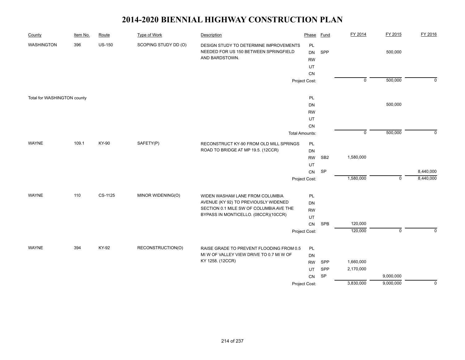| County                      | Item No. | Route         | <b>Type of Work</b>  | Description                                                                                       | Phase                       | <b>Fund</b>     | FY 2014        | FY 2015     | FY 2016     |
|-----------------------------|----------|---------------|----------------------|---------------------------------------------------------------------------------------------------|-----------------------------|-----------------|----------------|-------------|-------------|
| <b>WASHINGTON</b>           | 396      | <b>US-150</b> | SCOPING STUDY DD (O) | DESIGN STUDY TO DETERMINE IMPROVEMENTS<br>NEEDED FOR US 150 BETWEEN SPRINGFIELD<br>AND BARDSTOWN. | PL<br>DN<br><b>RW</b><br>UT | SPP             |                | 500,000     |             |
|                             |          |               |                      |                                                                                                   | CN                          |                 |                |             |             |
|                             |          |               |                      |                                                                                                   | Project Cost:               |                 | $\overline{0}$ | 500,000     | $\mathbf 0$ |
| Total for WASHINGTON county |          |               |                      |                                                                                                   | PL                          |                 |                |             |             |
|                             |          |               |                      |                                                                                                   | <b>DN</b>                   |                 |                | 500,000     |             |
|                             |          |               |                      |                                                                                                   | <b>RW</b>                   |                 |                |             |             |
|                             |          |               |                      |                                                                                                   | UT                          |                 |                |             |             |
|                             |          |               |                      |                                                                                                   | CN                          |                 |                |             |             |
|                             |          |               |                      |                                                                                                   | <b>Total Amounts:</b>       |                 | $\mathbf 0$    | 500,000     | $\Omega$    |
| <b>WAYNE</b>                | 109.1    | KY-90         | SAFETY(P)            | RECONSTRUCT KY-90 FROM OLD MILL SPRINGS<br>ROAD TO BRIDGE AT MP 19.5. (12CCR)                     | PL<br>DN                    |                 |                |             |             |
|                             |          |               |                      |                                                                                                   | <b>RW</b>                   | SB <sub>2</sub> | 1,580,000      |             |             |
|                             |          |               |                      |                                                                                                   | UT                          |                 |                |             |             |
|                             |          |               |                      |                                                                                                   | CN                          | <b>SP</b>       |                |             | 8,440,000   |
|                             |          |               |                      |                                                                                                   | Project Cost:               |                 | 1,580,000      | $\mathbf 0$ | 8,440,000   |
| <b>WAYNE</b>                | 110      | CS-1125       | MINOR WIDENING(O)    | WIDEN WASHAM LANE FROM COLUMBIA                                                                   | PL                          |                 |                |             |             |
|                             |          |               |                      | AVENUE (KY 92) TO PREVIOUSLY WIDENED                                                              | DN                          |                 |                |             |             |
|                             |          |               |                      | SECTION 0.1 MILE SW OF COLUMBIA AVE THE                                                           | <b>RW</b>                   |                 |                |             |             |
|                             |          |               |                      | BYPASS IN MONTICELLO. (08CCR)(10CCR)                                                              | UT                          |                 |                |             |             |
|                             |          |               |                      |                                                                                                   | ${\sf CN}$                  | <b>SPB</b>      | 120,000        |             |             |
|                             |          |               |                      |                                                                                                   | Project Cost:               |                 | 120,000        | $\mathbf 0$ | $\mathbf 0$ |
| <b>WAYNE</b>                | 394      | KY-92         | RECONSTRUCTION(O)    | RAISE GRADE TO PREVENT FLOODING FROM 0.5                                                          | PL                          |                 |                |             |             |
|                             |          |               |                      | MI W OF VALLEY VIEW DRIVE TO 0.7 MI W OF                                                          | DN                          |                 |                |             |             |
|                             |          |               |                      | KY 1258. (12CCR)                                                                                  | <b>RW</b>                   | SPP             | 1,660,000      |             |             |
|                             |          |               |                      |                                                                                                   | UT                          | SPP             | 2,170,000      |             |             |
|                             |          |               |                      |                                                                                                   | CN                          | SP              |                | 9,000,000   |             |
|                             |          |               |                      |                                                                                                   | Project Cost:               |                 | 3,830,000      | 9,000,000   | $\mathbf 0$ |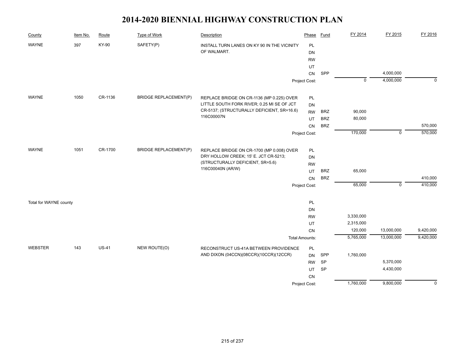| County                 | Item No. | Route        | <b>Type of Work</b>          | Description                                                               | Phase                 | <b>Fund</b> | FY 2014        | FY 2015     | FY 2016     |
|------------------------|----------|--------------|------------------------------|---------------------------------------------------------------------------|-----------------------|-------------|----------------|-------------|-------------|
| <b>WAYNE</b>           | 397      | KY-90        | SAFETY(P)                    | INSTALL TURN LANES ON KY 90 IN THE VICINITY                               | PL                    |             |                |             |             |
|                        |          |              |                              | OF WALMART.                                                               | DN                    |             |                |             |             |
|                        |          |              |                              |                                                                           | <b>RW</b>             |             |                |             |             |
|                        |          |              |                              |                                                                           | UT                    |             |                |             |             |
|                        |          |              |                              |                                                                           | CN                    | SPP         |                | 4,000,000   |             |
|                        |          |              |                              |                                                                           | Project Cost:         |             | $\overline{0}$ | 4,000,000   | $\mathbf 0$ |
| <b>WAYNE</b>           | 1050     | CR-1136      | <b>BRIDGE REPLACEMENT(P)</b> | REPLACE BRIDGE ON CR-1136 (MP 0.225) OVER                                 | PL                    |             |                |             |             |
|                        |          |              |                              | LITTLE SOUTH FORK RIVER; 0.25 MI SE OF JCT                                | <b>DN</b>             |             |                |             |             |
|                        |          |              |                              | CR-5137; (STRUCTURALLY DEFICIENT, SR=16.6)                                | <b>RW</b>             | <b>BRZ</b>  | 90,000         |             |             |
|                        |          |              |                              | 116C00007N                                                                | UT                    | <b>BRZ</b>  | 80,000         |             |             |
|                        |          |              |                              |                                                                           | CN                    | <b>BRZ</b>  |                |             | 570,000     |
|                        |          |              |                              |                                                                           | Project Cost:         |             | 170,000        | $\mathbf 0$ | 570,000     |
|                        |          |              |                              |                                                                           |                       |             |                |             |             |
| <b>WAYNE</b>           | 1051     | CR-1700      | <b>BRIDGE REPLACEMENT(P)</b> | REPLACE BRIDGE ON CR-1700 (MP 0.008) OVER                                 | PL                    |             |                |             |             |
|                        |          |              |                              | DRY HOLLOW CREEK; 15' E. JCT CR-5213;<br>(STRUCTURALLY DEFICIENT, SR=5.6) | DN                    |             |                |             |             |
|                        |          |              |                              | 116C00040N (AR/W)                                                         | <b>RW</b>             |             |                |             |             |
|                        |          |              |                              |                                                                           | <b>UT</b>             | <b>BRZ</b>  | 65,000         |             |             |
|                        |          |              |                              |                                                                           | CN                    | <b>BRZ</b>  |                |             | 410,000     |
|                        |          |              |                              |                                                                           | Project Cost:         |             | 65,000         | $\mathbf 0$ | 410,000     |
| Total for WAYNE county |          |              |                              |                                                                           | PL                    |             |                |             |             |
|                        |          |              |                              |                                                                           | DN                    |             |                |             |             |
|                        |          |              |                              |                                                                           | <b>RW</b>             |             | 3,330,000      |             |             |
|                        |          |              |                              |                                                                           | UT                    |             | 2,315,000      |             |             |
|                        |          |              |                              |                                                                           | CN                    |             | 120,000        | 13,000,000  | 9,420,000   |
|                        |          |              |                              |                                                                           | <b>Total Amounts:</b> |             | 5,765,000      | 13,000,000  | 9,420,000   |
| <b>WEBSTER</b>         | 143      | <b>US-41</b> | NEW ROUTE(O)                 | RECONSTRUCT US-41A BETWEEN PROVIDENCE                                     | PL                    |             |                |             |             |
|                        |          |              |                              | AND DIXON (04CCN)(08CCR)(10CCR)(12CCR)                                    | <b>DN</b>             | SPP         | 1,760,000      |             |             |
|                        |          |              |                              |                                                                           | <b>RW</b>             | SP          |                | 5,370,000   |             |
|                        |          |              |                              |                                                                           | <b>UT</b>             | <b>SP</b>   |                | 4,430,000   |             |
|                        |          |              |                              |                                                                           | <b>CN</b>             |             |                |             |             |
|                        |          |              |                              |                                                                           | Project Cost:         |             | 1,760,000      | 9,800,000   | $\Omega$    |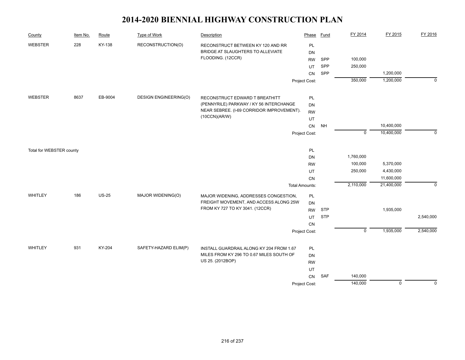| County                   | Item No. | Route        | <b>Type of Work</b>          | Description                               | Phase                 | <b>Fund</b> | FY 2014     | FY 2015     | FY 2016     |
|--------------------------|----------|--------------|------------------------------|-------------------------------------------|-----------------------|-------------|-------------|-------------|-------------|
| WEBSTER                  | 228      | KY-138       | RECONSTRUCTION(O)            | RECONSTRUCT BETWEEN KY 120 AND RR         | PL                    |             |             |             |             |
|                          |          |              |                              | BRIDGE AT SLAUGHTERS TO ALLEVIATE         | DN                    |             |             |             |             |
|                          |          |              |                              | FLOODING. (12CCR)                         | <b>RW</b>             | SPP         | 100,000     |             |             |
|                          |          |              |                              |                                           | <b>UT</b>             | SPP         | 250,000     |             |             |
|                          |          |              |                              |                                           | CN                    | SPP         |             | 1,200,000   |             |
|                          |          |              |                              |                                           | Project Cost:         |             | 350,000     | 1,200,000   | $\mathbf 0$ |
| <b>WEBSTER</b>           | 8637     | EB-9004      | <b>DESIGN ENGINEERING(O)</b> | RECONSTRUCT EDWARD T BREATHITT            | PL                    |             |             |             |             |
|                          |          |              |                              | (PENNYRILE) PARKWAY / KY 56 INTERCHANGE   | DN                    |             |             |             |             |
|                          |          |              |                              | NEAR SEBREE. (I-69 CORRIDOR IMPROVEMENT). | <b>RW</b>             |             |             |             |             |
|                          |          |              |                              | (10CCN)(AR/W)                             | UT                    |             |             |             |             |
|                          |          |              |                              |                                           | CN                    | <b>NH</b>   |             | 10,400,000  |             |
|                          |          |              |                              |                                           | Project Cost:         |             | $\mathbf 0$ | 10,400,000  | $\Omega$    |
| Total for WEBSTER county |          |              |                              |                                           | PL                    |             |             |             |             |
|                          |          |              |                              |                                           | DN                    |             | 1,760,000   |             |             |
|                          |          |              |                              |                                           | <b>RW</b>             |             | 100,000     | 5,370,000   |             |
|                          |          |              |                              |                                           | UT                    |             | 250,000     | 4,430,000   |             |
|                          |          |              |                              |                                           | CN                    |             |             | 11,600,000  |             |
|                          |          |              |                              |                                           | <b>Total Amounts:</b> |             | 2,110,000   | 21,400,000  | $\mathbf 0$ |
| WHITLEY                  | 186      | <b>US-25</b> | MAJOR WIDENING(O)            | MAJOR WIDENING, ADDRESSES CONGESTION,     | PL                    |             |             |             |             |
|                          |          |              |                              | FREIGHT MOVEMENT, AND ACCESS ALONG 25W    | DN                    |             |             |             |             |
|                          |          |              |                              | FROM KY 727 TO KY 3041. (12CCR)           | <b>RW</b>             | <b>STP</b>  |             | 1,935,000   |             |
|                          |          |              |                              |                                           | UT                    | <b>STP</b>  |             |             | 2,540,000   |
|                          |          |              |                              |                                           | CN                    |             |             |             |             |
|                          |          |              |                              |                                           | Project Cost:         |             | $\mathbf 0$ | 1,935,000   | 2,540,000   |
| WHITLEY                  | 931      | KY-204       | SAFETY-HAZARD ELIM(P)        | INSTALL GUARDRAIL ALONG KY 204 FROM 1.67  | PL                    |             |             |             |             |
|                          |          |              |                              | MILES FROM KY 296 TO 0.67 MILES SOUTH OF  | <b>DN</b>             |             |             |             |             |
|                          |          |              |                              | US 25. (2012BOP)                          | <b>RW</b>             |             |             |             |             |
|                          |          |              |                              |                                           | UT                    |             |             |             |             |
|                          |          |              |                              |                                           | CN                    | SAF         | 140,000     |             |             |
|                          |          |              |                              |                                           | Project Cost:         |             | 140,000     | $\mathbf 0$ | $\Omega$    |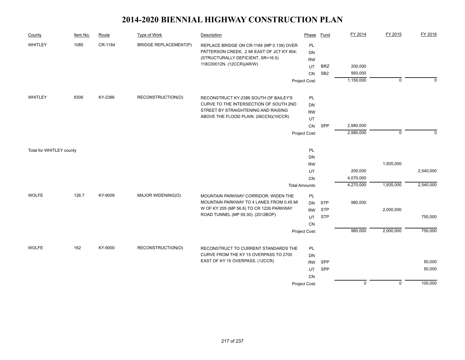| County                   | Item No. | Route   | <b>Type of Work</b>          | Description                                                    | Phase                 | <b>Fund</b>     | FY 2014        | FY 2015     | FY 2016     |
|--------------------------|----------|---------|------------------------------|----------------------------------------------------------------|-----------------------|-----------------|----------------|-------------|-------------|
| WHITLEY                  | 1085     | CR-1184 | <b>BRIDGE REPLACEMENT(P)</b> | REPLACE BRIDGE ON CR-1184 (MP 0.139) OVER                      | PL                    |                 |                |             |             |
|                          |          |         |                              | PATTERSON CREEK; .2 MI EAST OF JCT KY 904;                     | DN                    |                 |                |             |             |
|                          |          |         |                              | (STRUCTURALLY DEFICIENT, SR=16.5)<br>118C00012N. (12CCR)(AR/W) | <b>RW</b>             |                 |                |             |             |
|                          |          |         |                              |                                                                | UT                    | <b>BRZ</b>      | 200,000        |             |             |
|                          |          |         |                              |                                                                | CN                    | SB <sub>2</sub> | 950,000        |             |             |
|                          |          |         |                              |                                                                | Project Cost:         |                 | 1,150,000      | $\mathbf 0$ | $\mathbf 0$ |
| WHITLEY                  | 8306     | KY-2386 | RECONSTRUCTION(O)            | RECONSTRUCT KY-2386 SOUTH OF BAILEY'S                          | PL                    |                 |                |             |             |
|                          |          |         |                              | CURVE TO THE INTERSECTION OF SOUTH 2ND                         | <b>DN</b>             |                 |                |             |             |
|                          |          |         |                              | STREET BY STRAIGHTENING AND RAISING                            | <b>RW</b>             |                 |                |             |             |
|                          |          |         |                              | ABOVE THE FLOOD PLAIN. (06CCN)(10CCR)                          | UT                    |                 |                |             |             |
|                          |          |         |                              |                                                                | CN                    | SPP             | 2,980,000      |             |             |
|                          |          |         |                              |                                                                | Project Cost:         |                 | 2,980,000      | $\mathbf 0$ | $\Omega$    |
| Total for WHITLEY county |          |         |                              |                                                                | PL                    |                 |                |             |             |
|                          |          |         |                              |                                                                | DN                    |                 |                |             |             |
|                          |          |         |                              |                                                                | <b>RW</b>             |                 |                | 1,935,000   |             |
|                          |          |         |                              |                                                                | UT                    |                 | 200,000        |             | 2,540,000   |
|                          |          |         |                              |                                                                | CN                    |                 | 4,070,000      |             |             |
|                          |          |         |                              |                                                                | <b>Total Amounts:</b> |                 | 4,270,000      | 1,935,000   | 2,540,000   |
| <b>WOLFE</b>             | 126.7    | KY-9009 | MAJOR WIDENING(O)            | MOUNTAIN PARKWAY CORRIDOR: WIDEN THE                           | PL                    |                 |                |             |             |
|                          |          |         |                              | MOUNTAIN PARKWAY TO 4 LANES FROM 0.45 MI                       | <b>DN</b>             | <b>STP</b>      | 980,000        |             |             |
|                          |          |         |                              | W OF KY 205 (MP 56.8) TO CR 1226 PARKWAY                       | <b>RW</b>             | <b>STP</b>      |                | 2,000,000   |             |
|                          |          |         |                              | ROAD TUNNEL (MP 59.30). (2012BOP)                              | UT                    | <b>STP</b>      |                |             | 750,000     |
|                          |          |         |                              |                                                                | <b>CN</b>             |                 |                |             |             |
|                          |          |         |                              |                                                                | Project Cost:         |                 | 980,000        | 2,000,000   | 750,000     |
| <b>WOLFE</b>             | 162      | KY-9000 | RECONSTRUCTION(O)            | RECONSTRUCT TO CURRENT STANDARDS THE                           | PL                    |                 |                |             |             |
|                          |          |         |                              | CURVE FROM THE KY 15 OVERPASS TO 2700                          | <b>DN</b>             |                 |                |             |             |
|                          |          |         |                              | EAST OF KY 15 OVERPASS. (12CCR)                                | <b>RW</b>             | <b>SPP</b>      |                |             | 50,000      |
|                          |          |         |                              |                                                                | UT                    | SPP             |                |             | 50,000      |
|                          |          |         |                              |                                                                | <b>CN</b>             |                 |                |             |             |
|                          |          |         |                              |                                                                | Project Cost:         |                 | $\overline{0}$ | $\mathbf 0$ | 100,000     |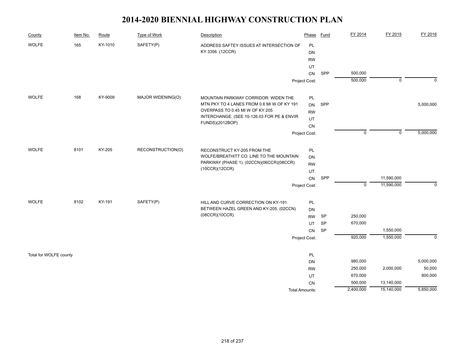| County                 | Item No. | Route   | Type of Work      | Description                                | Phase                 | Fund | FY 2014     | FY 2015        | FY 2016     |
|------------------------|----------|---------|-------------------|--------------------------------------------|-----------------------|------|-------------|----------------|-------------|
| <b>WOLFE</b>           | 165      | KY-1010 | SAFETY(P)         | ADDRESS SAFTEY ISSUES AT INTERSECTION OF   | PL                    |      |             |                |             |
|                        |          |         |                   | KY 3356. (12CCR)                           | DN                    |      |             |                |             |
|                        |          |         |                   |                                            | <b>RW</b>             |      |             |                |             |
|                        |          |         |                   |                                            | UT                    |      |             |                |             |
|                        |          |         |                   |                                            | CN                    | SPP  | 500,000     |                |             |
|                        |          |         |                   |                                            | Project Cost:         |      | 500,000     | $\mathbf 0$    | $\mathbf 0$ |
| <b>WOLFE</b>           | 168      | KY-9009 | MAJOR WIDENING(O) | MOUNTAIN PARKWAY CORRIDOR: WIDEN THE       | PL                    |      |             |                |             |
|                        |          |         |                   | MTN PKY TO 4 LANES FROM 0.6 MI W OF KY 191 | <b>DN</b>             | SPP  |             |                | 5,000,000   |
|                        |          |         |                   | OVERPASS TO 0.45 MI W OF KY 205            | <b>RW</b>             |      |             |                |             |
|                        |          |         |                   | INTERCHANGE. (SEE 10-126.03 FOR PE & ENVIR | UT                    |      |             |                |             |
|                        |          |         |                   | FUNDS)(2012BOP)                            | CN                    |      |             |                |             |
|                        |          |         |                   |                                            | Project Cost:         |      | $\mathbf 0$ | $\overline{0}$ | 5,000,000   |
| <b>WOLFE</b>           | 8101     | KY-205  | RECONSTRUCTION(O) | RECONSTRUCT KY-205 FROM THE                | PL                    |      |             |                |             |
|                        |          |         |                   | WOLFE/BREATHITT CO. LINE TO THE MOUNTAIN   | DN                    |      |             |                |             |
|                        |          |         |                   | PARKWAY (PHASE 1). (02CCN)(06CCR)(08CCR)   | <b>RW</b>             |      |             |                |             |
|                        |          |         |                   | (10CCR)(12CCR)                             | UT                    |      |             |                |             |
|                        |          |         |                   |                                            | CN                    | SPP  |             | 11,590,000     |             |
|                        |          |         |                   |                                            | Project Cost:         |      | $\mathbf 0$ | 11,590,000     | $\mathbf 0$ |
| <b>WOLFE</b>           | 8102     | KY-191  | SAFETY(P)         | HILL AND CURVE CORRECTION ON KY-191        | PL                    |      |             |                |             |
|                        |          |         |                   | BETWEEN HAZEL GREEN AND KY-205. (02CCN)    | DN                    |      |             |                |             |
|                        |          |         |                   | (08CCR)(10CCR)                             | <b>RW</b>             | SP   | 250,000     |                |             |
|                        |          |         |                   |                                            | UT                    | SP   | 670,000     |                |             |
|                        |          |         |                   |                                            | CN                    | SP   |             | 1,550,000      |             |
|                        |          |         |                   |                                            | Project Cost:         |      | 920,000     | 1,550,000      | $\mathbf 0$ |
| Total for WOLFE county |          |         |                   |                                            | PL                    |      |             |                |             |
|                        |          |         |                   |                                            | DN                    |      | 980,000     |                | 5,000,000   |
|                        |          |         |                   |                                            | <b>RW</b>             |      | 250,000     | 2,000,000      | 50,000      |
|                        |          |         |                   |                                            | UT                    |      | 670,000     |                | 800,000     |
|                        |          |         |                   |                                            | CN                    |      | 500,000     | 13,140,000     |             |
|                        |          |         |                   |                                            | <b>Total Amounts:</b> |      | 2,400,000   | 15,140,000     | 5,850,000   |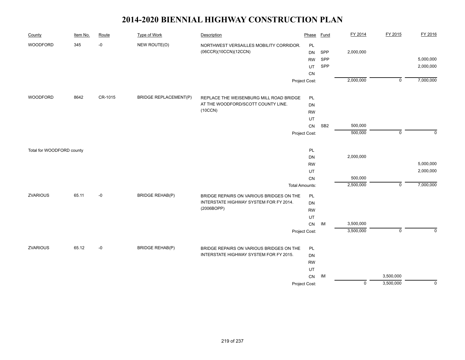| County                    | Item No. | Route   | <b>Type of Work</b>          | Description                              | Phase                 | <b>Fund</b>     | FY 2014        | FY 2015     | FY 2016     |
|---------------------------|----------|---------|------------------------------|------------------------------------------|-----------------------|-----------------|----------------|-------------|-------------|
| WOODFORD                  | 345      | $-0$    | NEW ROUTE(O)                 | NORTHWEST VERSAILLES MOBILITY CORRIDOR.  | PL                    |                 |                |             |             |
|                           |          |         |                              | (06CCR)(10CCN)(12CCN)                    | <b>DN</b>             | SPP             | 2,000,000      |             |             |
|                           |          |         |                              |                                          | <b>RW</b>             | SPP             |                |             | 5,000,000   |
|                           |          |         |                              |                                          | UT                    | SPP             |                |             | 2,000,000   |
|                           |          |         |                              |                                          | ${\sf CN}$            |                 |                |             |             |
|                           |          |         |                              |                                          | Project Cost:         |                 | 2,000,000      | $\mathbf 0$ | 7,000,000   |
| WOODFORD                  | 8642     | CR-1015 | <b>BRIDGE REPLACEMENT(P)</b> | REPLACE THE WEISENBURG MILL ROAD BRIDGE  | PL                    |                 |                |             |             |
|                           |          |         |                              | AT THE WOODFORD/SCOTT COUNTY LINE.       | DN                    |                 |                |             |             |
|                           |          |         |                              | (10CCN)                                  | <b>RW</b>             |                 |                |             |             |
|                           |          |         |                              |                                          | UT                    |                 |                |             |             |
|                           |          |         |                              |                                          | CN                    | SB <sub>2</sub> | 500,000        |             |             |
|                           |          |         |                              |                                          | Project Cost:         |                 | 500,000        | $\mathbf 0$ | $\Omega$    |
| Total for WOODFORD county |          |         |                              |                                          | PL                    |                 |                |             |             |
|                           |          |         |                              |                                          | DN                    |                 | 2,000,000      |             |             |
|                           |          |         |                              |                                          | <b>RW</b>             |                 |                |             | 5,000,000   |
|                           |          |         |                              |                                          | UT                    |                 |                |             | 2,000,000   |
|                           |          |         |                              |                                          | ${\sf CN}$            |                 | 500,000        |             |             |
|                           |          |         |                              |                                          | <b>Total Amounts:</b> |                 | 2,500,000      | $\mathbf 0$ | 7,000,000   |
| <b>ZVARIOUS</b>           | 65.11    | -0      | <b>BRIDGE REHAB(P)</b>       | BRIDGE REPAIRS ON VARIOUS BRIDGES ON THE | PL                    |                 |                |             |             |
|                           |          |         |                              | INTERSTATE HIGHWAY SYSTEM FOR FY 2014.   | DN                    |                 |                |             |             |
|                           |          |         |                              | (2006BOPP)                               | <b>RW</b>             |                 |                |             |             |
|                           |          |         |                              |                                          | UT                    |                 |                |             |             |
|                           |          |         |                              |                                          | CN                    | IM              | 3,500,000      |             |             |
|                           |          |         |                              |                                          | Project Cost:         |                 | 3,500,000      | $\mathbf 0$ | $\Omega$    |
| <b>ZVARIOUS</b>           | 65.12    | -0      | <b>BRIDGE REHAB(P)</b>       | BRIDGE REPAIRS ON VARIOUS BRIDGES ON THE | PL                    |                 |                |             |             |
|                           |          |         |                              | INTERSTATE HIGHWAY SYSTEM FOR FY 2015.   | DN                    |                 |                |             |             |
|                           |          |         |                              |                                          | <b>RW</b>             |                 |                |             |             |
|                           |          |         |                              |                                          | UT                    |                 |                |             |             |
|                           |          |         |                              |                                          | ${\sf CN}$            | IM              |                | 3,500,000   |             |
|                           |          |         |                              |                                          | Project Cost:         |                 | $\overline{0}$ | 3,500,000   | $\mathbf 0$ |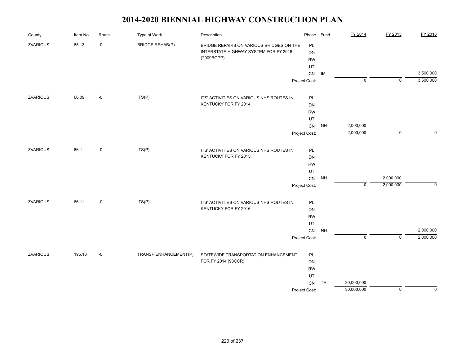| County          | Item No. | Route | <b>Type of Work</b>    | Description                              | Phase         | Fund      | FY 2014        | FY 2015                   | FY 2016     |
|-----------------|----------|-------|------------------------|------------------------------------------|---------------|-----------|----------------|---------------------------|-------------|
| <b>ZVARIOUS</b> | 65.13    | $-0$  | <b>BRIDGE REHAB(P)</b> | BRIDGE REPAIRS ON VARIOUS BRIDGES ON THE | PL            |           |                |                           |             |
|                 |          |       |                        | INTERSTATE HIGHWAY SYSTEM FOR FY 2016.   | DN            |           |                |                           |             |
|                 |          |       |                        | (2009BOPP)                               | <b>RW</b>     |           |                |                           |             |
|                 |          |       |                        |                                          | UT            |           |                |                           |             |
|                 |          |       |                        |                                          | CN            | IM        |                |                           | 3,500,000   |
|                 |          |       |                        |                                          | Project Cost: |           | $\overline{0}$ | $\mathbf 0$               | 3,500,000   |
| <b>ZVARIOUS</b> | 66.09    | $-0$  | ITS(P)                 | ITS' ACTIVITIES ON VARIOUS NHS ROUTES IN | PL            |           |                |                           |             |
|                 |          |       |                        | KENTUCKY FOR FY 2014.                    | DN            |           |                |                           |             |
|                 |          |       |                        |                                          | <b>RW</b>     |           |                |                           |             |
|                 |          |       |                        |                                          | UT            |           |                |                           |             |
|                 |          |       |                        |                                          | ${\sf CN}$    | <b>NH</b> | 2,000,000      |                           |             |
|                 |          |       |                        |                                          | Project Cost: |           | 2,000,000      | $\mathsf 0$               | $\Omega$    |
| <b>ZVARIOUS</b> | 66.1     | $-0$  | ITS(P)                 | ITS' ACTIVITIES ON VARIOUS NHS ROUTES IN | PL            |           |                |                           |             |
|                 |          |       | KENTUCKY FOR FY 2015.  | DN                                       |               |           |                |                           |             |
|                 |          |       |                        |                                          | <b>RW</b>     |           |                |                           |             |
|                 |          |       |                        |                                          | UT            |           |                |                           |             |
|                 |          |       |                        |                                          | CN            | <b>NH</b> |                | 2,000,000                 |             |
|                 |          |       |                        |                                          | Project Cost: |           | $\mathbf 0$    | 2,000,000                 | $\Omega$    |
| <b>ZVARIOUS</b> | 66.11    | $-0$  | ITS(P)                 | ITS' ACTIVITIES ON VARIOUS NHS ROUTES IN | PL            |           |                |                           |             |
|                 |          |       |                        | KENTUCKY FOR FY 2016.                    | DN            |           |                |                           |             |
|                 |          |       |                        |                                          | <b>RW</b>     |           |                |                           |             |
|                 |          |       |                        |                                          | UT            |           |                |                           |             |
|                 |          |       |                        |                                          | CN            | <b>NH</b> |                |                           | 2,000,000   |
|                 |          |       |                        |                                          | Project Cost: |           | $\overline{0}$ | $\overline{\mathfrak{o}}$ | 2,000,000   |
| <b>ZVARIOUS</b> | 195.16   | $-0$  | TRANSP ENHANCEMENT(P)  | STATEWIDE TRANSPORTATION ENHANCEMENT     | PL            |           |                |                           |             |
|                 |          |       |                        | FOR FY 2014 (98CCR)                      | DN            |           |                |                           |             |
|                 |          |       |                        |                                          | <b>RW</b>     |           |                |                           |             |
|                 |          |       |                        |                                          | UT            |           |                |                           |             |
|                 |          |       |                        |                                          | CN            | TE        | 30,000,000     |                           |             |
|                 |          |       |                        |                                          | Project Cost: |           | 30,000,000     | $\mathbf 0$               | $\mathbf 0$ |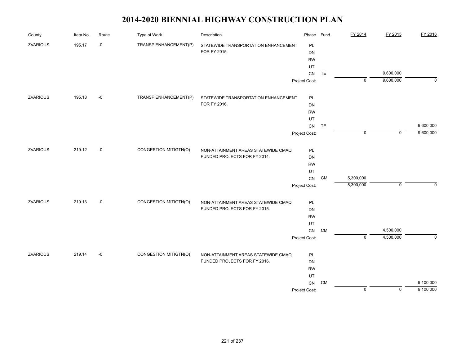| County          | Item No. | Route | <b>Type of Work</b>          | Description                          | Phase         | <b>Fund</b> | FY 2014        | FY 2015     | FY 2016        |
|-----------------|----------|-------|------------------------------|--------------------------------------|---------------|-------------|----------------|-------------|----------------|
| <b>ZVARIOUS</b> | 195.17   | $-0$  | TRANSP ENHANCEMENT(P)        | STATEWIDE TRANSPORTATION ENHANCEMENT | PL            |             |                |             |                |
|                 |          |       |                              | FOR FY 2015.                         | DN            |             |                |             |                |
|                 |          |       |                              |                                      | <b>RW</b>     |             |                |             |                |
|                 |          |       |                              |                                      | UT            |             |                |             |                |
|                 |          |       |                              |                                      | CN            | TE          |                | 9,600,000   |                |
|                 |          |       |                              |                                      | Project Cost: |             | $\mathbf 0$    | 9,600,000   | $\mathbf 0$    |
| <b>ZVARIOUS</b> | 195.18   | -0    | TRANSP ENHANCEMENT(P)        | STATEWIDE TRANSPORTATION ENHANCEMENT | PL            |             |                |             |                |
|                 |          |       |                              | FOR FY 2016.                         | DN            |             |                |             |                |
|                 |          |       |                              |                                      | <b>RW</b>     |             |                |             |                |
|                 |          |       |                              |                                      | UT            |             |                |             |                |
|                 |          |       |                              |                                      | ${\sf CN}$    | <b>TE</b>   |                |             | 9,600,000      |
|                 |          |       |                              |                                      | Project Cost: |             | $\mathbf 0$    | $\mathsf 0$ | 9,600,000      |
| ZVARIOUS        | 219.12   | $-0$  | CONGESTION MITIGTN(O)        | NON-ATTAINMENT AREAS STATEWIDE CMAQ  | PL            |             |                |             |                |
|                 |          |       | FUNDED PROJECTS FOR FY 2014. | DN                                   |               |             |                |             |                |
|                 |          |       |                              |                                      | <b>RW</b>     |             |                |             |                |
|                 |          |       |                              |                                      | UT            |             |                |             |                |
|                 |          |       |                              |                                      | ${\sf CN}$    | <b>CM</b>   | 5,300,000      |             |                |
|                 |          |       |                              |                                      | Project Cost: |             | 5,300,000      | $\mathsf 0$ | $\Omega$       |
| ZVARIOUS        | 219.13   | $-0$  | CONGESTION MITIGTN(O)        | NON-ATTAINMENT AREAS STATEWIDE CMAQ  | PL            |             |                |             |                |
|                 |          |       |                              | FUNDED PROJECTS FOR FY 2015.         | DN            |             |                |             |                |
|                 |          |       |                              |                                      | <b>RW</b>     |             |                |             |                |
|                 |          |       |                              |                                      | UT            |             |                |             |                |
|                 |          |       |                              |                                      | CN            | CM          |                | 4,500,000   |                |
|                 |          |       |                              |                                      | Project Cost: |             | $\overline{0}$ | 4,500,000   | $\overline{0}$ |
| <b>ZVARIOUS</b> | 219.14   | $-0$  | CONGESTION MITIGTN(O)        | NON-ATTAINMENT AREAS STATEWIDE CMAQ  | PL            |             |                |             |                |
|                 |          |       |                              | FUNDED PROJECTS FOR FY 2016.         | DN            |             |                |             |                |
|                 |          |       |                              |                                      | <b>RW</b>     |             |                |             |                |
|                 |          |       |                              |                                      | UT            |             |                |             |                |
|                 |          |       |                              |                                      | ${\sf CN}$    | <b>CM</b>   |                |             | 9,100,000      |
|                 |          |       |                              |                                      | Project Cost: |             | $\pmb{0}$      | $\mathbf 0$ | 9,100,000      |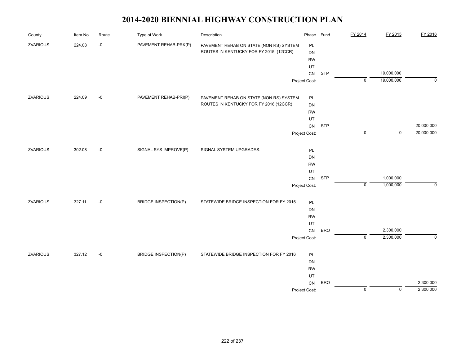| County          | Item No. | Route       | <b>Type of Work</b>         | Description                             | Phase         | <b>Fund</b> | FY 2014     | FY 2015     | FY 2016     |
|-----------------|----------|-------------|-----------------------------|-----------------------------------------|---------------|-------------|-------------|-------------|-------------|
| <b>ZVARIOUS</b> | 224.08   | $\mbox{-}0$ | PAVEMENT REHAB-PRK(P)       | PAVEMENT REHAB ON STATE (NON RS) SYSTEM | PL            |             |             |             |             |
|                 |          |             |                             | ROUTES IN KENTUCKY FOR FY 2015. (12CCR) | DN            |             |             |             |             |
|                 |          |             |                             |                                         | <b>RW</b>     |             |             |             |             |
|                 |          |             |                             |                                         | UT            |             |             |             |             |
|                 |          |             |                             |                                         | ${\sf CN}$    | <b>STP</b>  |             | 19,000,000  |             |
|                 |          |             |                             |                                         | Project Cost: |             | 0           | 19,000,000  | $\mathbf 0$ |
| ZVARIOUS        | 224.09   | $-0$        | PAVEMENT REHAB-PRI(P)       | PAVEMENT REHAB ON STATE (NON RS) SYSTEM | PL            |             |             |             |             |
|                 |          |             |                             | ROUTES IN KENTUCKY FOR FY 2016.(12CCR)  | DN            |             |             |             |             |
|                 |          |             |                             |                                         | <b>RW</b>     |             |             |             |             |
|                 |          |             |                             |                                         | UT            |             |             |             |             |
|                 |          |             |                             |                                         | ${\sf CN}$    | <b>STP</b>  |             |             | 20,000,000  |
|                 |          |             |                             |                                         | Project Cost: |             | $\mathbf 0$ | $\mathsf 0$ | 20,000,000  |
| <b>ZVARIOUS</b> | 302.08   | $-0$        | SIGNAL SYS IMPROVE(P)       | SIGNAL SYSTEM UPGRADES.                 | PL            |             |             |             |             |
|                 |          |             |                             |                                         | DN            |             |             |             |             |
|                 |          |             |                             |                                         | <b>RW</b>     |             |             |             |             |
|                 |          |             |                             |                                         | UT            |             |             |             |             |
|                 |          |             |                             |                                         | ${\sf CN}$    | <b>STP</b>  |             | 1,000,000   |             |
|                 |          |             |                             |                                         | Project Cost: |             | $\mathbf 0$ | 1,000,000   | $\Omega$    |
| <b>ZVARIOUS</b> | 327.11   | $-0$        | <b>BRIDGE INSPECTION(P)</b> | STATEWIDE BRIDGE INSPECTION FOR FY 2015 | PL            |             |             |             |             |
|                 |          |             |                             |                                         | DN            |             |             |             |             |
|                 |          |             |                             |                                         | <b>RW</b>     |             |             |             |             |
|                 |          |             |                             |                                         | UT            |             |             |             |             |
|                 |          |             |                             |                                         | ${\sf CN}$    | <b>BRO</b>  |             | 2,300,000   |             |
|                 |          |             |                             |                                         | Project Cost: |             | $\mathbf 0$ | 2,300,000   | $\mathbf 0$ |
| <b>ZVARIOUS</b> | 327.12   | $-0$        | <b>BRIDGE INSPECTION(P)</b> | STATEWIDE BRIDGE INSPECTION FOR FY 2016 | PL            |             |             |             |             |
|                 |          |             |                             |                                         | DN            |             |             |             |             |
|                 |          |             |                             |                                         | <b>RW</b>     |             |             |             |             |
|                 |          |             |                             |                                         | UT            |             |             |             |             |
|                 |          |             |                             |                                         | CN            | <b>BRO</b>  |             |             | 2,300,000   |
|                 |          |             |                             |                                         | Project Cost: |             | $\mathbf 0$ | $\mathbf 0$ | 2,300,000   |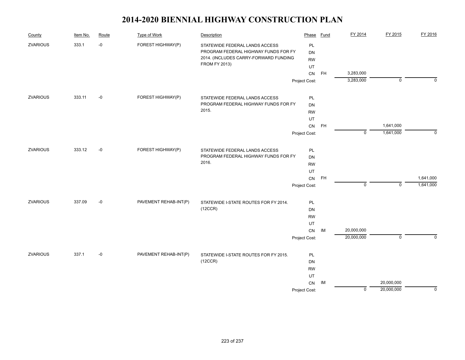| County          | Item No. | Route | <b>Type of Work</b>   | Description                           | Phase         | <b>Fund</b> | FY 2014        | FY 2015        | FY 2016     |
|-----------------|----------|-------|-----------------------|---------------------------------------|---------------|-------------|----------------|----------------|-------------|
| <b>ZVARIOUS</b> | 333.1    | $-0$  | FOREST HIGHWAY(P)     | STATEWIDE FEDERAL LANDS ACCESS        | PL            |             |                |                |             |
|                 |          |       |                       | PROGRAM FEDERAL HIGHWAY FUNDS FOR FY  | <b>DN</b>     |             |                |                |             |
|                 |          |       |                       | 2014. (INCLUDES CARRY-FORWARD FUNDING | <b>RW</b>     |             |                |                |             |
|                 |          |       |                       | <b>FROM FY 2013)</b>                  | UT            |             |                |                |             |
|                 |          |       |                       |                                       | CN            | <b>FH</b>   | 3,283,000      |                |             |
|                 |          |       |                       |                                       | Project Cost: |             | 3,283,000      | $\mathbf 0$    | $\Omega$    |
| <b>ZVARIOUS</b> | 333.11   | $-0$  | FOREST HIGHWAY(P)     | STATEWIDE FEDERAL LANDS ACCESS        | PL            |             |                |                |             |
|                 |          |       |                       | PROGRAM FEDERAL HIGHWAY FUNDS FOR FY  | <b>DN</b>     |             |                |                |             |
|                 |          |       |                       | 2015.                                 | <b>RW</b>     |             |                |                |             |
|                 |          |       |                       |                                       | UT            |             |                |                |             |
|                 |          |       |                       |                                       | CN            | <b>FH</b>   |                | 1,641,000      |             |
|                 |          |       |                       |                                       | Project Cost: |             | $\overline{0}$ | 1,641,000      | $\mathbf 0$ |
| ZVARIOUS        | 333.12   | $-0$  | FOREST HIGHWAY(P)     | STATEWIDE FEDERAL LANDS ACCESS        | PL            |             |                |                |             |
|                 |          |       |                       | PROGRAM FEDERAL HIGHWAY FUNDS FOR FY  | <b>DN</b>     |             |                |                |             |
|                 |          |       |                       | 2016.                                 | <b>RW</b>     |             |                |                |             |
|                 |          |       |                       |                                       | UT            |             |                |                |             |
|                 |          |       |                       |                                       | CN            | <b>FH</b>   |                |                | 1,641,000   |
|                 |          |       |                       |                                       | Project Cost: |             | $\mathbf 0$    | $\mathbf 0$    | 1,641,000   |
| <b>ZVARIOUS</b> | 337.09   | $-0$  | PAVEMENT REHAB-INT(P) | STATEWIDE I-STATE ROUTES FOR FY 2014. | PL            |             |                |                |             |
|                 |          |       |                       | (12CCR)                               | DN            |             |                |                |             |
|                 |          |       |                       |                                       | <b>RW</b>     |             |                |                |             |
|                 |          |       |                       |                                       | UT            |             |                |                |             |
|                 |          |       |                       |                                       | CN            | IM          | 20,000,000     |                |             |
|                 |          |       |                       |                                       | Project Cost: |             | 20,000,000     | $\overline{0}$ | $\Omega$    |
|                 |          |       |                       |                                       |               |             |                |                |             |
| ZVARIOUS        | 337.1    | $-0$  | PAVEMENT REHAB-INT(P) | STATEWIDE I-STATE ROUTES FOR FY 2015. | <b>PL</b>     |             |                |                |             |
|                 |          |       |                       | (12CCR)                               | <b>DN</b>     |             |                |                |             |
|                 |          |       |                       |                                       | <b>RW</b>     |             |                |                |             |
|                 |          |       |                       |                                       | UT            |             |                |                |             |
|                 |          |       |                       |                                       | CN            | IM          |                | 20,000,000     |             |
|                 |          |       |                       |                                       | Project Cost: |             | $\mathbf 0$    | 20,000,000     | $\mathbf 0$ |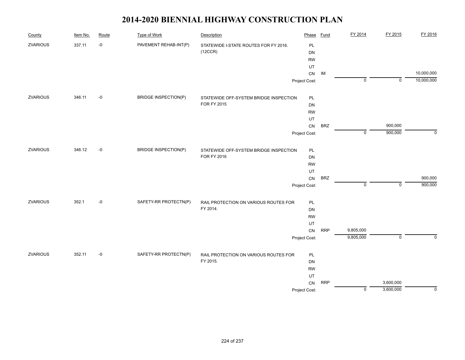| County          | Item No. | Route | <b>Type of Work</b>         | Description                            | Phase         | <b>Fund</b> | FY 2014        | FY 2015     | FY 2016     |
|-----------------|----------|-------|-----------------------------|----------------------------------------|---------------|-------------|----------------|-------------|-------------|
| <b>ZVARIOUS</b> | 337.11   | $-0$  | PAVEMENT REHAB-INT(P)       | STATEWIDE I-STATE ROUTES FOR FY 2016.  | PL            |             |                |             |             |
|                 |          |       |                             | (12CCR)                                | <b>DN</b>     |             |                |             |             |
|                 |          |       |                             |                                        | <b>RW</b>     |             |                |             |             |
|                 |          |       |                             |                                        | UT            |             |                |             |             |
|                 |          |       |                             |                                        | ${\sf CN}$    | IM          |                |             | 10,000,000  |
|                 |          |       |                             |                                        | Project Cost: |             | $\overline{0}$ | $\mathbf 0$ | 10,000,000  |
| <b>ZVARIOUS</b> | 346.11   | $-0$  | <b>BRIDGE INSPECTION(P)</b> | STATEWIDE OFF-SYSTEM BRIDGE INSPECTION | PL            |             |                |             |             |
|                 |          |       |                             | FOR FY 2015                            | DN            |             |                |             |             |
|                 |          |       |                             |                                        | <b>RW</b>     |             |                |             |             |
|                 |          |       |                             |                                        | UT            |             |                |             |             |
|                 |          |       |                             |                                        | CN            | <b>BRZ</b>  |                | 900,000     |             |
|                 |          |       |                             |                                        | Project Cost: |             | $\mathbf 0$    | 900,000     | $\Omega$    |
| <b>ZVARIOUS</b> | 346.12   | $-0$  | <b>BRIDGE INSPECTION(P)</b> | STATEWIDE OFF-SYSTEM BRIDGE INSPECTION | PL            |             |                |             |             |
|                 |          |       |                             | FOR FY 2016                            | DN            |             |                |             |             |
|                 |          |       |                             |                                        | <b>RW</b>     |             |                |             |             |
|                 |          |       |                             |                                        | UT            |             |                |             |             |
|                 |          |       |                             |                                        | ${\sf CN}$    | <b>BRZ</b>  |                |             | 900,000     |
|                 |          |       |                             |                                        | Project Cost: |             | $\mathbf 0$    | $\mathbf 0$ | 900,000     |
| <b>ZVARIOUS</b> | 352.1    | $-0$  | SAFETY-RR PROTECTN(P)       | RAIL PROTECTION ON VARIOUS ROUTES FOR  | PL            |             |                |             |             |
|                 |          |       |                             | FY 2014.                               | DN            |             |                |             |             |
|                 |          |       |                             |                                        | <b>RW</b>     |             |                |             |             |
|                 |          |       |                             |                                        | UT            |             |                |             |             |
|                 |          |       |                             |                                        | ${\sf CN}$    | <b>RRP</b>  | 9,805,000      |             |             |
|                 |          |       |                             |                                        | Project Cost: |             | 9,805,000      | $\mathbf 0$ | $\mathbf 0$ |
| <b>ZVARIOUS</b> | 352.11   | $-0$  | SAFETY-RR PROTECTN(P)       | RAIL PROTECTION ON VARIOUS ROUTES FOR  | PL            |             |                |             |             |
|                 |          |       |                             | FY 2015.                               | DN            |             |                |             |             |
|                 |          |       |                             |                                        | <b>RW</b>     |             |                |             |             |
|                 |          |       |                             |                                        | UT            |             |                |             |             |
|                 |          |       |                             |                                        | CN            | <b>RRP</b>  |                | 3,600,000   |             |
|                 |          |       |                             |                                        | Project Cost: |             | 0              | 3,600,000   | $\mathbf 0$ |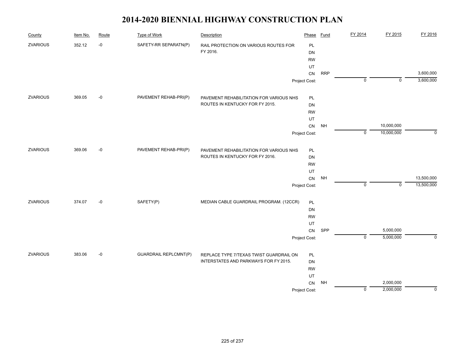| County          | Item No. | Route | <b>Type of Work</b>          | Description                             | Phase         | <b>Fund</b> | FY 2014     | FY 2015     | FY 2016     |
|-----------------|----------|-------|------------------------------|-----------------------------------------|---------------|-------------|-------------|-------------|-------------|
| ZVARIOUS        | 352.12   | $-0$  | SAFETY-RR SEPARATN(P)        | RAIL PROTECTION ON VARIOUS ROUTES FOR   | PL            |             |             |             |             |
|                 |          |       |                              | FY 2016.                                | DN            |             |             |             |             |
|                 |          |       |                              |                                         | <b>RW</b>     |             |             |             |             |
|                 |          |       |                              |                                         | UT            |             |             |             |             |
|                 |          |       |                              |                                         | ${\sf CN}$    | <b>RRP</b>  |             |             | 3,600,000   |
|                 |          |       |                              |                                         | Project Cost: |             | $\mathbf 0$ | $\mathbf 0$ | 3,600,000   |
| ZVARIOUS        | 369.05   | $-0$  | PAVEMENT REHAB-PRI(P)        | PAVEMENT REHABILITATION FOR VARIOUS NHS | PL            |             |             |             |             |
|                 |          |       |                              | ROUTES IN KENTUCKY FOR FY 2015.         | DN            |             |             |             |             |
|                 |          |       |                              |                                         | <b>RW</b>     |             |             |             |             |
|                 |          |       |                              |                                         | UT            |             |             |             |             |
|                 |          |       |                              |                                         | CN            | <b>NH</b>   |             | 10,000,000  |             |
|                 |          |       |                              |                                         | Project Cost: |             | $\mathbf 0$ | 10,000,000  | $\mathbf 0$ |
| <b>ZVARIOUS</b> | 369.06   | $-0$  | PAVEMENT REHAB-PRI(P)        | PAVEMENT REHABILITATION FOR VARIOUS NHS | PL            |             |             |             |             |
|                 |          |       |                              | ROUTES IN KENTUCKY FOR FY 2016.         | DN            |             |             |             |             |
|                 |          |       |                              |                                         | <b>RW</b>     |             |             |             |             |
|                 |          |       |                              |                                         | UT            |             |             |             |             |
|                 |          |       |                              |                                         | ${\sf CN}$    | <b>NH</b>   |             |             | 13,500,000  |
|                 |          |       |                              |                                         | Project Cost: |             | $\mathbf 0$ | $\mathbf 0$ | 13,500,000  |
| <b>ZVARIOUS</b> | 374.07   | $-0$  | SAFETY(P)                    | MEDIAN CABLE GUARDRAIL PROGRAM. (12CCR) | PL            |             |             |             |             |
|                 |          |       |                              |                                         | DN            |             |             |             |             |
|                 |          |       |                              |                                         | <b>RW</b>     |             |             |             |             |
|                 |          |       |                              |                                         | UT            |             |             |             |             |
|                 |          |       |                              |                                         | ${\sf CN}$    | SPP         |             | 5,000,000   |             |
|                 |          |       |                              |                                         | Project Cost: |             | $\mathbf 0$ | 5,000,000   | $\mathbf 0$ |
| <b>ZVARIOUS</b> | 383.06   | $-0$  | <b>GUARDRAIL REPLCMNT(P)</b> | REPLACE TYPE 7/TEXAS TWIST GUARDRAIL ON | PL            |             |             |             |             |
|                 |          |       |                              | INTERSTATES AND PARKWAYS FOR FY 2015.   | DN            |             |             |             |             |
|                 |          |       |                              |                                         | <b>RW</b>     |             |             |             |             |
|                 |          |       |                              |                                         | UT            |             |             |             |             |
|                 |          |       |                              |                                         | CN            | NH          |             | 2,000,000   |             |
|                 |          |       |                              |                                         | Project Cost: |             | $\pmb{0}$   | 2,000,000   | $\mathbf 0$ |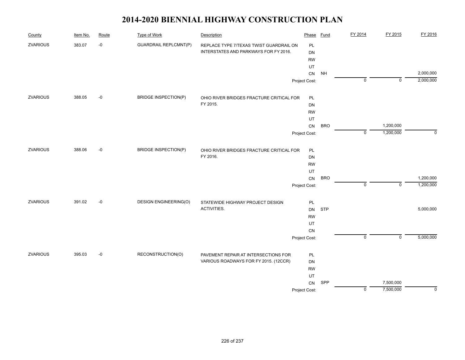| County          | Item No. | Route | <b>Type of Work</b>          | Description                              | Phase         | <b>Fund</b> | FY 2014        | FY 2015     | FY 2016     |
|-----------------|----------|-------|------------------------------|------------------------------------------|---------------|-------------|----------------|-------------|-------------|
| <b>ZVARIOUS</b> | 383.07   | $-0$  | <b>GUARDRAIL REPLCMNT(P)</b> | REPLACE TYPE 7/TEXAS TWIST GUARDRAIL ON  | PL            |             |                |             |             |
|                 |          |       |                              | INTERSTATES AND PARKWAYS FOR FY 2016.    | <b>DN</b>     |             |                |             |             |
|                 |          |       |                              |                                          | <b>RW</b>     |             |                |             |             |
|                 |          |       |                              |                                          | UT            |             |                |             |             |
|                 |          |       |                              |                                          | CN            | <b>NH</b>   |                |             | 2,000,000   |
|                 |          |       |                              |                                          | Project Cost: |             | 0              | $\mathbf 0$ | 2,000,000   |
| <b>ZVARIOUS</b> | 388.05   | $-0$  | <b>BRIDGE INSPECTION(P)</b>  | OHIO RIVER BRIDGES FRACTURE CRITICAL FOR | PL            |             |                |             |             |
|                 |          |       |                              | FY 2015.                                 | DN            |             |                |             |             |
|                 |          |       |                              |                                          | ${\sf RW}$    |             |                |             |             |
|                 |          |       |                              |                                          | UT            |             |                |             |             |
|                 |          |       |                              |                                          | ${\sf CN}$    | <b>BRO</b>  |                | 1,200,000   |             |
|                 |          |       |                              |                                          | Project Cost: |             | $\mathbf 0$    | 1,200,000   | $\mathbf 0$ |
| ZVARIOUS        | 388.06   | $-0$  | <b>BRIDGE INSPECTION(P)</b>  | OHIO RIVER BRIDGES FRACTURE CRITICAL FOR | PL            |             |                |             |             |
|                 |          |       |                              | FY 2016.                                 | <b>DN</b>     |             |                |             |             |
|                 |          |       |                              |                                          | <b>RW</b>     |             |                |             |             |
|                 |          |       |                              |                                          | UT            |             |                |             |             |
|                 |          |       |                              |                                          | ${\sf CN}$    | <b>BRO</b>  |                |             | 1,200,000   |
|                 |          |       |                              |                                          | Project Cost: |             | $\mathsf 0$    | $\mathbf 0$ | 1,200,000   |
| ZVARIOUS        | 391.02   | $-0$  | <b>DESIGN ENGINEERING(O)</b> | STATEWIDE HIGHWAY PROJECT DESIGN         | PL            |             |                |             |             |
|                 |          |       |                              | ACTIVITIES.                              | <b>DN</b>     | <b>STP</b>  |                |             | 5,000,000   |
|                 |          |       |                              |                                          | <b>RW</b>     |             |                |             |             |
|                 |          |       |                              |                                          | UT            |             |                |             |             |
|                 |          |       |                              |                                          | ${\sf CN}$    |             |                |             |             |
|                 |          |       |                              |                                          | Project Cost: |             | $\overline{0}$ | ᅙ           | 5,000,000   |
| <b>ZVARIOUS</b> | 395.03   | $-0$  | RECONSTRUCTION(O)            | PAVEMENT REPAIR AT INTERSECTIONS FOR     | PL            |             |                |             |             |
|                 |          |       |                              | VARIOUS ROADWAYS FOR FY 2015. (12CCR)    | DN            |             |                |             |             |
|                 |          |       |                              |                                          | <b>RW</b>     |             |                |             |             |
|                 |          |       |                              |                                          | UT            |             |                |             |             |
|                 |          |       |                              |                                          | CN            | SPP         |                | 7,500,000   |             |
|                 |          |       |                              |                                          | Project Cost: |             | $\mathsf 0$    | 7,500,000   | $\pmb{0}$   |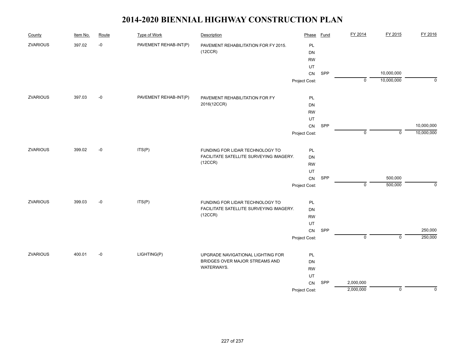| County          | Item No. | Route | <b>Type of Work</b>   | Description                                                                | Phase           | Fund | FY 2014        | FY 2015        | FY 2016      |
|-----------------|----------|-------|-----------------------|----------------------------------------------------------------------------|-----------------|------|----------------|----------------|--------------|
| ZVARIOUS        | 397.02   | $-0$  | PAVEMENT REHAB-INT(P) | PAVEMENT REHABILITATION FOR FY 2015.                                       | PL              |      |                |                |              |
|                 |          |       |                       | (12CCR)                                                                    | DN              |      |                |                |              |
|                 |          |       |                       |                                                                            | <b>RW</b>       |      |                |                |              |
|                 |          |       |                       |                                                                            | UT              |      |                |                |              |
|                 |          |       |                       |                                                                            | CN              | SPP  |                | 10,000,000     |              |
|                 |          |       |                       |                                                                            | Project Cost:   |      | $\overline{0}$ | 10,000,000     | $\mathbf{0}$ |
| ZVARIOUS        | 397.03   | $-0$  | PAVEMENT REHAB-INT(P) | PAVEMENT REHABILITATION FOR FY                                             | PL              |      |                |                |              |
|                 |          |       |                       | 2016(12CCR)                                                                | DN              |      |                |                |              |
|                 |          |       |                       |                                                                            | <b>RW</b>       |      |                |                |              |
|                 |          |       |                       |                                                                            | UT              |      |                |                |              |
|                 |          |       |                       |                                                                            | ${\sf CN}$      | SPP  |                |                | 10,000,000   |
|                 |          |       |                       |                                                                            | Project Cost:   |      | $\mathbf 0$    | $\mathbf 0$    | 10,000,000   |
| <b>ZVARIOUS</b> | 399.02   | $-0$  | ITS(P)                | FUNDING FOR LIDAR TECHNOLOGY TO                                            | PL              |      |                |                |              |
|                 |          |       |                       | FACILITATE SATELLITE SURVEYING IMAGERY.                                    | DN              |      |                |                |              |
|                 |          |       | (12CCR)               | <b>RW</b>                                                                  |                 |      |                |                |              |
|                 |          |       |                       |                                                                            | UT              |      |                |                |              |
|                 |          |       |                       |                                                                            | ${\sf CN}$      | SPP  |                | 500,000        |              |
|                 |          |       |                       |                                                                            | Project Cost:   |      | $\overline{0}$ | 500,000        | $\mathbf 0$  |
| ZVARIOUS        | 399.03   | $-0$  | ITS(P)                |                                                                            |                 |      |                |                |              |
|                 |          |       |                       | FUNDING FOR LIDAR TECHNOLOGY TO<br>FACILITATE SATELLITE SURVEYING IMAGERY. | PL              |      |                |                |              |
|                 |          |       |                       | (12CCR)                                                                    | DN<br><b>RW</b> |      |                |                |              |
|                 |          |       |                       |                                                                            | UT              |      |                |                |              |
|                 |          |       |                       |                                                                            | CN              | SPP  |                |                | 250,000      |
|                 |          |       |                       |                                                                            |                 |      | $\mathbf 0$    | $\overline{0}$ | 250,000      |
|                 |          |       |                       |                                                                            | Project Cost:   |      |                |                |              |
| <b>ZVARIOUS</b> | 400.01   | $-0$  | LIGHTING(P)           | UPGRADE NAVIGATIONAL LIGHTING FOR                                          | PL              |      |                |                |              |
|                 |          |       |                       | BRIDGES OVER MAJOR STREAMS AND                                             | DN              |      |                |                |              |
|                 |          |       |                       | WATERWAYS.                                                                 | <b>RW</b>       |      |                |                |              |
|                 |          |       |                       |                                                                            | UT              |      |                |                |              |
|                 |          |       |                       |                                                                            | CN              | SPP  | 2,000,000      |                |              |
|                 |          |       |                       |                                                                            | Project Cost:   |      | 2,000,000      | $\mathbf 0$    | $\mathbf 0$  |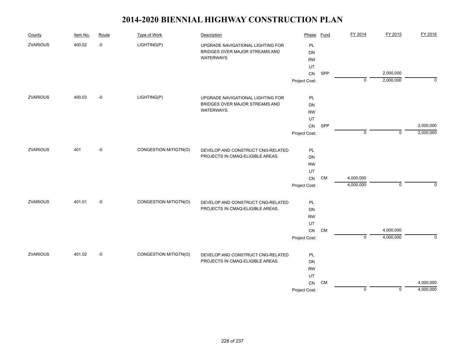| County          | Item No. | Route | <b>Type of Work</b>   | Description                       | Phase         | <b>Fund</b> | FY 2014     | FY 2015     | FY 2016     |
|-----------------|----------|-------|-----------------------|-----------------------------------|---------------|-------------|-------------|-------------|-------------|
| <b>ZVARIOUS</b> | 400.02   | $-0$  | LIGHTING(P)           | UPGRADE NAVIGATIONAL LIGHTING FOR | PL            |             |             |             |             |
|                 |          |       |                       | BRIDGES OVER MAJOR STREAMS AND    | <b>DN</b>     |             |             |             |             |
|                 |          |       |                       | WATERWAYS.                        | <b>RW</b>     |             |             |             |             |
|                 |          |       |                       |                                   | UT            |             |             |             |             |
|                 |          |       |                       |                                   | CN            | SPP         |             | 2,000,000   |             |
|                 |          |       |                       |                                   | Project Cost: |             | $\mathbf 0$ | 2,000,000   | $\mathbf 0$ |
| ZVARIOUS        | 400.03   | $-0$  | LIGHTING(P)           | UPGRADE NAVIGATIONAL LIGHTING FOR | PL            |             |             |             |             |
|                 |          |       |                       | BRIDGES OVER MAJOR STREAMS AND    | DN            |             |             |             |             |
|                 |          |       |                       | WATERWAYS.                        | <b>RW</b>     |             |             |             |             |
|                 |          |       |                       |                                   | UT            |             |             |             |             |
|                 |          |       |                       |                                   | ${\sf CN}$    | SPP         |             |             | 2,000,000   |
|                 |          |       |                       |                                   | Project Cost: |             | $\mathbf 0$ | $\mathsf 0$ | 2,000,000   |
| <b>ZVARIOUS</b> | 401      | $-0$  | CONGESTION MITIGTN(O) | DEVELOP AND CONSTRUCT CNG-RELATED |               |             |             |             |             |
|                 |          |       |                       | PROJECTS IN CMAQ-ELIGIBLE AREAS.  | PL<br>DN      |             |             |             |             |
|                 |          |       |                       |                                   | <b>RW</b>     |             |             |             |             |
|                 |          |       |                       |                                   | UT            |             |             |             |             |
|                 |          |       |                       |                                   | ${\sf CN}$    | <b>CM</b>   | 4,000,000   |             |             |
|                 |          |       |                       |                                   | Project Cost: |             | 4,000,000   | $\mathbf 0$ | 0           |
|                 |          |       |                       |                                   |               |             |             |             |             |
| <b>ZVARIOUS</b> | 401.01   | $-0$  | CONGESTION MITIGTN(O) | DEVELOP AND CONSTRUCT CNG-RELATED | PL            |             |             |             |             |
|                 |          |       |                       | PROJECTS IN CMAQ-ELIGIBLE AREAS.  | DN            |             |             |             |             |
|                 |          |       |                       |                                   | <b>RW</b>     |             |             |             |             |
|                 |          |       |                       |                                   | UT            |             |             |             |             |
|                 |          |       |                       |                                   | ${\sf CN}$    | <b>CM</b>   | $\mathbf 0$ | 4,000,000   | $\mathbf 0$ |
|                 |          |       |                       |                                   | Project Cost: |             |             | 4,000,000   |             |
| <b>ZVARIOUS</b> | 401.02   | $-0$  | CONGESTION MITIGTN(O) | DEVELOP AND CONSTRUCT CNG-RELATED | PL            |             |             |             |             |
|                 |          |       |                       | PROJECTS IN CMAQ-ELIGIBLE AREAS.  | <b>DN</b>     |             |             |             |             |
|                 |          |       |                       |                                   | <b>RW</b>     |             |             |             |             |
|                 |          |       |                       |                                   | UT            |             |             |             |             |
|                 |          |       |                       |                                   | CN            | CM          |             |             | 4,000,000   |
|                 |          |       |                       |                                   | Project Cost: |             | $\mathsf 0$ | $\mathbf 0$ | 4,000,000   |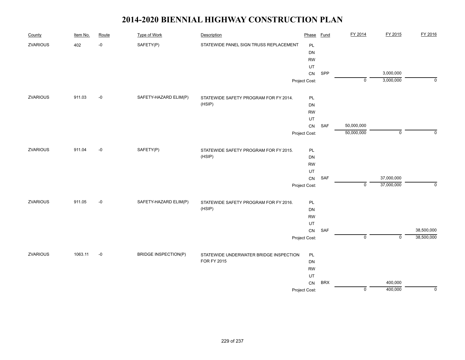| County          | Item No. | Route | <b>Type of Work</b>         | Description                            | Phase         | <b>Fund</b> | FY 2014        | FY 2015                   | FY 2016     |
|-----------------|----------|-------|-----------------------------|----------------------------------------|---------------|-------------|----------------|---------------------------|-------------|
| ZVARIOUS        | 402      | $-0$  | SAFETY(P)                   | STATEWIDE PANEL SIGN TRUSS REPLACEMENT | PL            |             |                |                           |             |
|                 |          |       |                             |                                        | DN            |             |                |                           |             |
|                 |          |       |                             |                                        | <b>RW</b>     |             |                |                           |             |
|                 |          |       |                             |                                        | UT            |             |                |                           |             |
|                 |          |       |                             |                                        | ${\sf CN}$    | SPP         |                | 3,000,000                 |             |
|                 |          |       |                             |                                        | Project Cost: |             | $\mathbf 0$    | 3,000,000                 | $\mathbf 0$ |
| ZVARIOUS        | 911.03   | $-0$  | SAFETY-HAZARD ELIM(P)       | STATEWIDE SAFETY PROGRAM FOR FY 2014.  | PL            |             |                |                           |             |
|                 |          |       |                             | (HSIP)                                 | DN            |             |                |                           |             |
|                 |          |       |                             |                                        | <b>RW</b>     |             |                |                           |             |
|                 |          |       |                             |                                        | UT            |             |                |                           |             |
|                 |          |       |                             |                                        | ${\sf CN}$    | SAF         | 50,000,000     |                           |             |
|                 |          |       |                             |                                        | Project Cost: |             | 50,000,000     | $\mathsf 0$               | $\Omega$    |
| <b>ZVARIOUS</b> | 911.04   | $-0$  | SAFETY(P)                   | STATEWIDE SAFETY PROGRAM FOR FY 2015.  | PL            |             |                |                           |             |
|                 |          |       |                             | (HSIP)                                 | DN            |             |                |                           |             |
|                 |          |       |                             |                                        | <b>RW</b>     |             |                |                           |             |
|                 |          |       |                             |                                        | UT            |             |                |                           |             |
|                 |          |       |                             |                                        | ${\sf CN}$    | SAF         |                | 37,000,000                |             |
|                 |          |       |                             |                                        | Project Cost: |             | $\mathbf 0$    | 37,000,000                | $\mathbf 0$ |
| ZVARIOUS        | 911.05   | $-0$  | SAFETY-HAZARD ELIM(P)       | STATEWIDE SAFETY PROGRAM FOR FY 2016.  | PL            |             |                |                           |             |
|                 |          |       |                             | (HSIP)                                 | DN            |             |                |                           |             |
|                 |          |       |                             |                                        | <b>RW</b>     |             |                |                           |             |
|                 |          |       |                             |                                        | UT            |             |                |                           |             |
|                 |          |       |                             |                                        | ${\sf CN}$    | SAF         |                |                           | 38,500,000  |
|                 |          |       |                             |                                        | Project Cost: |             | $\overline{0}$ | $\overline{\mathfrak{o}}$ | 38,500,000  |
| <b>ZVARIOUS</b> | 1063.11  | $-0$  | <b>BRIDGE INSPECTION(P)</b> | STATEWIDE UNDERWATER BRIDGE INSPECTION | PL            |             |                |                           |             |
|                 |          |       |                             | FOR FY 2015                            | DN            |             |                |                           |             |
|                 |          |       |                             |                                        | <b>RW</b>     |             |                |                           |             |
|                 |          |       |                             |                                        | UT            |             |                |                           |             |
|                 |          |       |                             |                                        | <b>CN</b>     | <b>BRX</b>  |                | 400,000                   |             |
|                 |          |       |                             |                                        | Project Cost: |             | $\pmb{0}$      | 400,000                   | $\mathsf 0$ |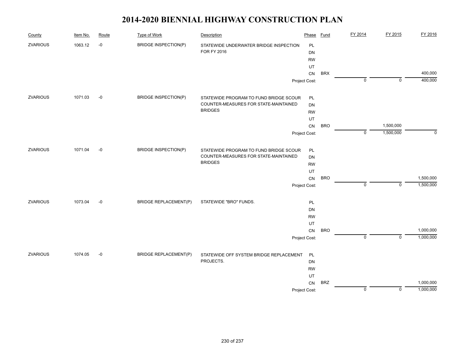| County          | Item No. | Route | <b>Type of Work</b>          | Description                             | Phase         | Fund       | FY 2014     | FY 2015     | FY 2016   |
|-----------------|----------|-------|------------------------------|-----------------------------------------|---------------|------------|-------------|-------------|-----------|
| <b>ZVARIOUS</b> | 1063.12  | $-0$  | <b>BRIDGE INSPECTION(P)</b>  | STATEWIDE UNDERWATER BRIDGE INSPECTION  | PL            |            |             |             |           |
|                 |          |       |                              | <b>FOR FY 2016</b>                      | <b>DN</b>     |            |             |             |           |
|                 |          |       |                              |                                         | <b>RW</b>     |            |             |             |           |
|                 |          |       |                              |                                         | UT            |            |             |             |           |
|                 |          |       |                              |                                         | ${\sf CN}$    | <b>BRX</b> |             |             | 400,000   |
|                 |          |       |                              |                                         | Project Cost: |            | $\mathbf 0$ | $\mathbf 0$ | 400,000   |
| <b>ZVARIOUS</b> | 1071.03  | $-0$  | <b>BRIDGE INSPECTION(P)</b>  | STATEWIDE PROGRAM TO FUND BRIDGE SCOUR  | PL            |            |             |             |           |
|                 |          |       |                              | COUNTER-MEASURES FOR STATE-MAINTAINED   | DN            |            |             |             |           |
|                 |          |       |                              | <b>BRIDGES</b>                          | <b>RW</b>     |            |             |             |           |
|                 |          |       |                              |                                         | UT            |            |             |             |           |
|                 |          |       |                              |                                         | CN            | <b>BRO</b> |             | 1,500,000   |           |
|                 |          |       |                              |                                         | Project Cost: |            | $\Omega$    | 1,500,000   | $\Omega$  |
| <b>ZVARIOUS</b> | 1071.04  | $-0$  | <b>BRIDGE INSPECTION(P)</b>  | STATEWIDE PROGRAM TO FUND BRIDGE SCOUR  | PL            |            |             |             |           |
|                 |          |       |                              | COUNTER-MEASURES FOR STATE-MAINTAINED   | DN            |            |             |             |           |
|                 |          |       |                              | <b>BRIDGES</b>                          | <b>RW</b>     |            |             |             |           |
|                 |          |       |                              |                                         | UT            |            |             |             |           |
|                 |          |       |                              |                                         | ${\sf CN}$    | <b>BRO</b> |             |             | 1,500,000 |
|                 |          |       |                              |                                         | Project Cost: |            | $\mathbf 0$ | $\mathbf 0$ | 1,500,000 |
| <b>ZVARIOUS</b> | 1073.04  | $-0$  | <b>BRIDGE REPLACEMENT(P)</b> | STATEWIDE "BRO" FUNDS.                  | PL            |            |             |             |           |
|                 |          |       |                              |                                         | DN            |            |             |             |           |
|                 |          |       |                              |                                         | <b>RW</b>     |            |             |             |           |
|                 |          |       |                              |                                         | UT            |            |             |             |           |
|                 |          |       |                              |                                         | ${\sf CN}$    | <b>BRO</b> |             |             | 1,000,000 |
|                 |          |       |                              |                                         | Project Cost: |            | $\mathbf 0$ | $\mathbf 0$ | 1,000,000 |
| <b>ZVARIOUS</b> | 1074.05  | $-0$  | <b>BRIDGE REPLACEMENT(P)</b> | STATEWIDE OFF SYSTEM BRIDGE REPLACEMENT | <b>PL</b>     |            |             |             |           |
|                 |          |       |                              | PROJECTS.                               | DN            |            |             |             |           |
|                 |          |       |                              |                                         | <b>RW</b>     |            |             |             |           |
|                 |          |       |                              |                                         | UT            |            |             |             |           |
|                 |          |       |                              |                                         | CN            | <b>BRZ</b> |             |             | 1,000,000 |
|                 |          |       |                              |                                         | Project Cost: |            | 0           | $\mathbf 0$ | 1,000,000 |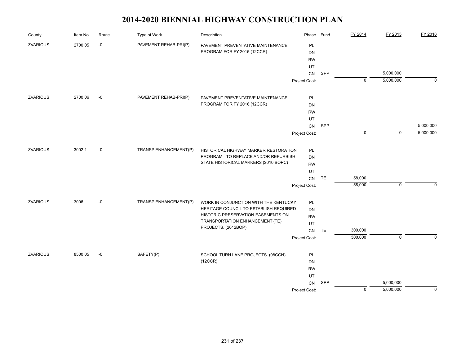| County          | Item No. | Route | Type of Work          | Description                            | Phase         | Fund       | FY 2014     | FY 2015        | FY 2016     |
|-----------------|----------|-------|-----------------------|----------------------------------------|---------------|------------|-------------|----------------|-------------|
| <b>ZVARIOUS</b> | 2700.05  | $-0$  | PAVEMENT REHAB-PRI(P) | PAVEMENT PREVENTATIVE MAINTENANCE      | PL            |            |             |                |             |
|                 |          |       |                       | PROGRAM FOR FY 2015.(12CCR)            | DN            |            |             |                |             |
|                 |          |       |                       |                                        | <b>RW</b>     |            |             |                |             |
|                 |          |       |                       |                                        | UT            |            |             |                |             |
|                 |          |       |                       |                                        | ${\sf CN}$    | SPP        |             | 5,000,000      |             |
|                 |          |       |                       |                                        | Project Cost: |            | $\mathbf 0$ | 5,000,000      | $\mathbf 0$ |
| <b>ZVARIOUS</b> | 2700.06  | $-0$  | PAVEMENT REHAB-PRI(P) | PAVEMENT PREVENTATIVE MAINTENANCE      | PL            |            |             |                |             |
|                 |          |       |                       | PROGRAM FOR FY 2016.(12CCR)            | DN            |            |             |                |             |
|                 |          |       |                       |                                        | <b>RW</b>     |            |             |                |             |
|                 |          |       |                       |                                        | UT            |            |             |                |             |
|                 |          |       |                       |                                        | CN            | SPP        |             |                | 5,000,000   |
|                 |          |       |                       |                                        | Project Cost: |            | $\mathbf 0$ | $\overline{0}$ | 5,000,000   |
| <b>ZVARIOUS</b> | 3002.1   | $-0$  | TRANSP ENHANCEMENT(P) | HISTORICAL HIGHWAY MARKER RESTORATION  | PL            |            |             |                |             |
|                 |          |       |                       | PROGRAM - TO REPLACE AND/OR REFURBISH  | DN            |            |             |                |             |
|                 |          |       |                       | STATE HISTORICAL MARKERS (2010 BOPC)   | <b>RW</b>     |            |             |                |             |
|                 |          |       |                       |                                        | UT            |            |             |                |             |
|                 |          |       |                       |                                        | ${\sf CN}$    | TE         | 58,000      |                |             |
|                 |          |       |                       |                                        | Project Cost: |            | 58,000      | $\mathbf 0$    | $\mathbf 0$ |
| <b>ZVARIOUS</b> | 3006     | $-0$  | TRANSP ENHANCEMENT(P) | WORK IN CONJUNCTION WITH THE KENTUCKY  | PL            |            |             |                |             |
|                 |          |       |                       | HERITAGE COUNCIL TO ESTABLISH REQUIRED | DN            |            |             |                |             |
|                 |          |       |                       | HISTORIC PRESERVATION EASEMENTS ON     | <b>RW</b>     |            |             |                |             |
|                 |          |       |                       | TRANSPORTATION ENHANCEMENT (TE)        | UT            |            |             |                |             |
|                 |          |       |                       | PROJECTS. (2012BOP)                    | CN            | TE         | 300,000     |                |             |
|                 |          |       |                       |                                        | Project Cost: |            | 300,000     | $\mathbf 0$    | $\mathbf 0$ |
| <b>ZVARIOUS</b> | 8500.05  | $-0$  | SAFETY(P)             | SCHOOL TURN LANE PROJECTS. (08CCN)     | PL            |            |             |                |             |
|                 |          |       |                       | (12CCR)                                | DN            |            |             |                |             |
|                 |          |       |                       |                                        | <b>RW</b>     |            |             |                |             |
|                 |          |       |                       |                                        | UT            |            |             |                |             |
|                 |          |       |                       |                                        | CN            | <b>SPP</b> |             | 5,000,000      |             |
|                 |          |       |                       |                                        | Project Cost: |            | $\pmb{0}$   | 5,000,000      | 0           |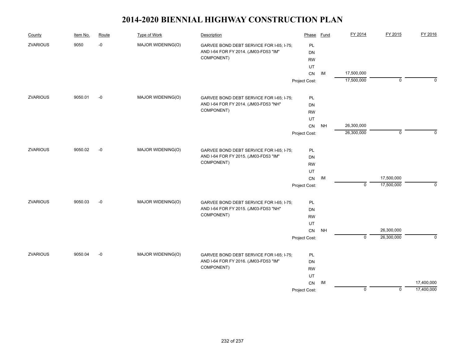| County          | Item No. | Route | <b>Type of Work</b> | Description                              | Phase         | <b>Fund</b> | FY 2014     | FY 2015     | FY 2016     |
|-----------------|----------|-------|---------------------|------------------------------------------|---------------|-------------|-------------|-------------|-------------|
| <b>ZVARIOUS</b> | 9050     | $-0$  | MAJOR WIDENING(O)   | GARVEE BOND DEBT SERVICE FOR I-65; I-75; | PL            |             |             |             |             |
|                 |          |       |                     | AND I-64 FOR FY 2014. (JM03-FD53 "IM"    | <b>DN</b>     |             |             |             |             |
|                 |          |       |                     | COMPONENT)                               | <b>RW</b>     |             |             |             |             |
|                 |          |       |                     |                                          | UT            |             |             |             |             |
|                 |          |       |                     |                                          | CN            | IM          | 17,500,000  |             |             |
|                 |          |       |                     |                                          | Project Cost: |             | 17,500,000  | $\mathbf 0$ | $\Omega$    |
| <b>ZVARIOUS</b> | 9050.01  | $-0$  | MAJOR WIDENING(O)   | GARVEE BOND DEBT SERVICE FOR I-65; I-75; | PL            |             |             |             |             |
|                 |          |       |                     | AND I-64 FOR FY 2014. (JM03-FD53 "NH"    | <b>DN</b>     |             |             |             |             |
|                 |          |       |                     | COMPONENT)                               | <b>RW</b>     |             |             |             |             |
|                 |          |       |                     |                                          | UT            |             |             |             |             |
|                 |          |       |                     |                                          | ${\sf CN}$    | <b>NH</b>   | 26,300,000  |             |             |
|                 |          |       |                     |                                          | Project Cost: |             | 26,300,000  | $\mathbf 0$ | $\Omega$    |
| <b>ZVARIOUS</b> | 9050.02  | $-0$  | MAJOR WIDENING(O)   | GARVEE BOND DEBT SERVICE FOR I-65; I-75; | PL            |             |             |             |             |
|                 |          |       |                     | AND I-64 FOR FY 2015. (JM03-FD53 "IM"    | <b>DN</b>     |             |             |             |             |
|                 |          |       |                     | COMPONENT)                               | <b>RW</b>     |             |             |             |             |
|                 |          |       |                     |                                          | UT            |             |             |             |             |
|                 |          |       |                     |                                          | ${\sf CN}$    | IM          |             | 17,500,000  |             |
|                 |          |       |                     |                                          | Project Cost: |             | $\mathbf 0$ | 17,500,000  | $\mathbf 0$ |
| <b>ZVARIOUS</b> | 9050.03  | $-0$  | MAJOR WIDENING(O)   | GARVEE BOND DEBT SERVICE FOR I-65; I-75; | PL            |             |             |             |             |
|                 |          |       |                     | AND I-64 FOR FY 2015. (JM03-FD53 "NH"    | DN            |             |             |             |             |
|                 |          |       |                     | COMPONENT)                               | <b>RW</b>     |             |             |             |             |
|                 |          |       |                     |                                          | UT            |             |             |             |             |
|                 |          |       |                     |                                          | CN            | <b>NH</b>   |             | 26,300,000  |             |
|                 |          |       |                     |                                          | Project Cost: |             | $\mathbf 0$ | 26,300,000  | $\Omega$    |
| <b>ZVARIOUS</b> | 9050.04  | $-0$  | MAJOR WIDENING(O)   | GARVEE BOND DEBT SERVICE FOR I-65; I-75; | PL            |             |             |             |             |
|                 |          |       |                     | AND I-64 FOR FY 2016. (JM03-FD53 "IM"    | DN            |             |             |             |             |
|                 |          |       |                     | COMPONENT)                               | <b>RW</b>     |             |             |             |             |
|                 |          |       |                     |                                          | UT            |             |             |             |             |
|                 |          |       |                     |                                          | CN            | IM          |             |             | 17,400,000  |
|                 |          |       |                     |                                          | Project Cost: |             | $\mathbf 0$ | $\mathbf 0$ | 17,400,000  |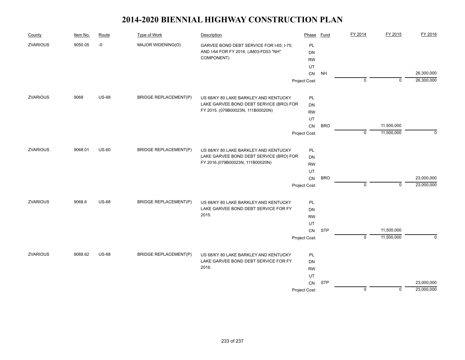| County          | Item No. | Route        | Type of Work                 | Description                              | Phase         | Fund       | FY 2014     | FY 2015     | FY 2016     |
|-----------------|----------|--------------|------------------------------|------------------------------------------|---------------|------------|-------------|-------------|-------------|
| <b>ZVARIOUS</b> | 9050.05  | $-0$         | MAJOR WIDENING(O)            | GARVEE BOND DEBT SERVICE FOR I-65; I-75; | PL            |            |             |             |             |
|                 |          |              |                              | AND I-64 FOR FY 2016. (JM03-FD53 "NH"    | DN            |            |             |             |             |
|                 |          |              |                              | COMPONENT)                               | <b>RW</b>     |            |             |             |             |
|                 |          |              |                              |                                          | UT            |            |             |             |             |
|                 |          |              |                              |                                          | CN            | <b>NH</b>  |             |             | 26,300,000  |
|                 |          |              |                              |                                          | Project Cost: |            | $\mathbf 0$ | $\mathbf 0$ | 26,300,000  |
| <b>ZVARIOUS</b> | 9068     | <b>US-68</b> | <b>BRIDGE REPLACEMENT(P)</b> | US 68/KY 80 LAKE BARKLEY AND KENTUCKY    | PL            |            |             |             |             |
|                 |          |              |                              | LAKE GARVEE BOND DEBT SERVICE (BRO) FOR  | <b>DN</b>     |            |             |             |             |
|                 |          |              |                              | FY 2015. (079B00023N, 111B00020N)        | <b>RW</b>     |            |             |             |             |
|                 |          |              |                              |                                          | UT            |            |             |             |             |
|                 |          |              |                              |                                          | CN            | <b>BRO</b> |             | 11,500,000  |             |
|                 |          |              |                              |                                          | Project Cost: |            | $\mathbf 0$ | 11,500,000  | $\mathbf 0$ |
| <b>ZVARIOUS</b> | 9068.01  | <b>US-60</b> | <b>BRIDGE REPLACEMENT(P)</b> | US 68/KY 80 LAKE BARKLEY AND KENTUCKY    | PL            |            |             |             |             |
|                 |          |              |                              | LAKE GARVEE BOND DEBT SERVICE (BRO) FOR  | <b>DN</b>     |            |             |             |             |
|                 |          |              |                              | FY 2016.(079B00023N, 111B00020N)         | <b>RW</b>     |            |             |             |             |
|                 |          |              |                              |                                          | UT            |            |             |             |             |
|                 |          |              |                              |                                          | CN            | <b>BRO</b> |             |             | 23,000,000  |
|                 |          |              |                              |                                          | Project Cost: |            | $\mathbf 0$ | $\mathbf 0$ | 23,000,000  |
| <b>ZVARIOUS</b> | 9068.6   | <b>US-68</b> | <b>BRIDGE REPLACEMENT(P)</b> | US 68/KY 80 LAKE BARKLEY AND KENTUCKY    | PL            |            |             |             |             |
|                 |          |              |                              | LAKE GARVEE BOND DEBT SERVICE FOR FY     | DN            |            |             |             |             |
|                 |          |              |                              | 2015.                                    | <b>RW</b>     |            |             |             |             |
|                 |          |              |                              |                                          | UT            |            |             |             |             |
|                 |          |              |                              |                                          | CN            | <b>STP</b> |             | 11,500,000  |             |
|                 |          |              |                              |                                          | Project Cost: |            | $\mathbf 0$ | 11,500,000  | $\Omega$    |
| <b>ZVARIOUS</b> | 9068.62  | <b>US-68</b> | <b>BRIDGE REPLACEMENT(P)</b> | US 68/KY 80 LAKE BARKLEY AND KENTUCKY    | PL            |            |             |             |             |
|                 |          |              |                              | LAKE GARVEE BOND DEBT SERVICE FOR FY     | <b>DN</b>     |            |             |             |             |
|                 |          |              |                              | 2016.                                    | <b>RW</b>     |            |             |             |             |
|                 |          |              |                              |                                          | UT            |            |             |             |             |
|                 |          |              |                              |                                          | CN            | <b>STP</b> |             |             | 23,000,000  |
|                 |          |              |                              |                                          | Project Cost: |            | $\mathbf 0$ | 0           | 23,000,000  |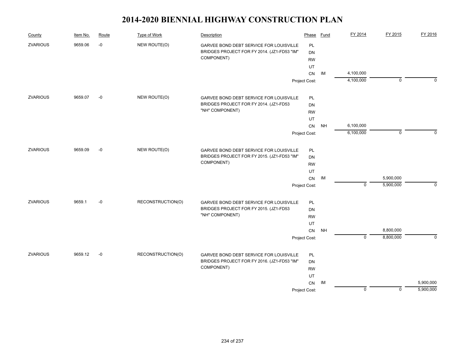| County          | Item No. | Route | <b>Type of Work</b> | Description                                 | Phase         | Fund      | FY 2014     | FY 2015        | FY 2016     |
|-----------------|----------|-------|---------------------|---------------------------------------------|---------------|-----------|-------------|----------------|-------------|
| <b>ZVARIOUS</b> | 9659.06  | $-0$  | NEW ROUTE(O)        | GARVEE BOND DEBT SERVICE FOR LOUISVILLE     | PL            |           |             |                |             |
|                 |          |       |                     | BRIDGES PROJECT FOR FY 2014. (JZ1-FD53 "IM" | DN            |           |             |                |             |
|                 |          |       |                     | COMPONENT)                                  | <b>RW</b>     |           |             |                |             |
|                 |          |       |                     |                                             | UT            |           |             |                |             |
|                 |          |       |                     |                                             | CN            | IM        | 4,100,000   |                |             |
|                 |          |       |                     |                                             | Project Cost: |           | 4,100,000   | $\overline{0}$ | $\Omega$    |
| <b>ZVARIOUS</b> | 9659.07  | $-0$  | NEW ROUTE(O)        | GARVEE BOND DEBT SERVICE FOR LOUISVILLE     | PL            |           |             |                |             |
|                 |          |       |                     | BRIDGES PROJECT FOR FY 2014. (JZ1-FD53      | <b>DN</b>     |           |             |                |             |
|                 |          |       |                     | "NH" COMPONENT)                             | <b>RW</b>     |           |             |                |             |
|                 |          |       |                     |                                             | UT            |           |             |                |             |
|                 |          |       |                     |                                             | ${\sf CN}$    | <b>NH</b> | 6,100,000   |                |             |
|                 |          |       |                     |                                             | Project Cost: |           | 6,100,000   | $\mathbf 0$    | $\Omega$    |
| <b>ZVARIOUS</b> | 9659.09  | $-0$  | NEW ROUTE(O)        | GARVEE BOND DEBT SERVICE FOR LOUISVILLE     | PL            |           |             |                |             |
|                 |          |       |                     | BRIDGES PROJECT FOR FY 2015. (JZ1-FD53 "IM" | DN            |           |             |                |             |
|                 |          |       |                     | COMPONENT)                                  | <b>RW</b>     |           |             |                |             |
|                 |          |       |                     |                                             | UT            |           |             |                |             |
|                 |          |       |                     |                                             | ${\sf CN}$    | IM        |             | 5,900,000      |             |
|                 |          |       |                     |                                             | Project Cost: |           | $\mathbf 0$ | 5,900,000      | $\mathbf 0$ |
| <b>ZVARIOUS</b> | 9659.1   | $-0$  | RECONSTRUCTION(O)   | GARVEE BOND DEBT SERVICE FOR LOUISVILLE     | PL            |           |             |                |             |
|                 |          |       |                     | BRIDGES PROJECT FOR FY 2015. (JZ1-FD53      | DN            |           |             |                |             |
|                 |          |       |                     | "NH" COMPONENT)                             | <b>RW</b>     |           |             |                |             |
|                 |          |       |                     |                                             | UT            |           |             |                |             |
|                 |          |       |                     |                                             | CN            | <b>NH</b> |             | 8,800,000      |             |
|                 |          |       |                     |                                             | Project Cost: |           | $\mathbf 0$ | 8,800,000      | $\Omega$    |
| <b>ZVARIOUS</b> | 9659.12  | $-0$  | RECONSTRUCTION(O)   | GARVEE BOND DEBT SERVICE FOR LOUISVILLE     | PL            |           |             |                |             |
|                 |          |       |                     | BRIDGES PROJECT FOR FY 2016. (JZ1-FD53 "IM" | <b>DN</b>     |           |             |                |             |
|                 |          |       |                     | COMPONENT)                                  | <b>RW</b>     |           |             |                |             |
|                 |          |       |                     |                                             | UT            |           |             |                |             |
|                 |          |       |                     |                                             | CN            | IM        |             |                | 5,900,000   |
|                 |          |       |                     |                                             | Project Cost: |           | $\mathbf 0$ | $\mathbf 0$    | 5,900,000   |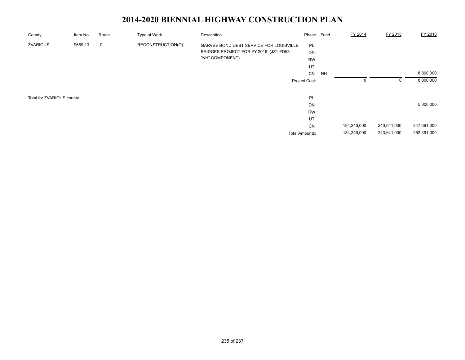| County                    | Item No. | Route | Type of Work      | Description                             | Phase          | <b>Fund</b> | FY 2014     | FY 2015     | FY 2016     |
|---------------------------|----------|-------|-------------------|-----------------------------------------|----------------|-------------|-------------|-------------|-------------|
| <b>ZVARIOUS</b>           | 9659.13  | $-0$  | RECONSTRUCTION(O) | GARVEE BOND DEBT SERVICE FOR LOUISVILLE | PL             |             |             |             |             |
|                           |          |       |                   | BRIDGES PROJECT FOR FY 2016. (JZ1-FD53  | DN             |             |             |             |             |
|                           |          |       |                   | "NH" COMPONENT)                         | <b>RW</b>      |             |             |             |             |
|                           |          |       |                   |                                         | UT             |             |             |             |             |
|                           |          |       |                   |                                         | CN             | NH          |             |             | 8,800,000   |
|                           |          |       |                   |                                         | Project Cost:  |             |             | $\Omega$    | 8,800,000   |
| Total for ZVARIOUS county |          |       |                   |                                         | <b>PL</b>      |             |             |             |             |
|                           |          |       |                   |                                         | <b>DN</b>      |             |             |             | 5,000,000   |
|                           |          |       |                   |                                         | <b>RW</b>      |             |             |             |             |
|                           |          |       |                   |                                         | UT             |             |             |             |             |
|                           |          |       |                   |                                         | CN             |             | 184,246,000 | 243,641,000 | 247,391,000 |
|                           |          |       |                   |                                         | Total Amounts: |             | 184,246,000 | 243,641,000 | 252,391,000 |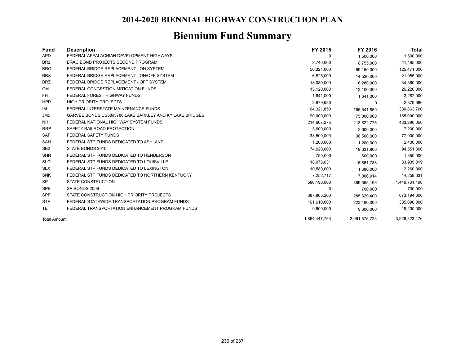# **Biennium Fund Summary**

| Fund                | <b>Description</b>                                      | FY 2015       | FY 2016       | Total         |
|---------------------|---------------------------------------------------------|---------------|---------------|---------------|
| <b>APD</b>          | FEDERAL APPALACHIAN DEVELOPMENT HIGHWAYS                | 0             | 1,500,000     | 1,500,000     |
| BR <sub>2</sub>     | BRAC BOND PROJECTS SECOND PROGRAM                       | 2,740,000     | 8,755,000     | 11,495,000    |
| <b>BRO</b>          | FEDERAL BRIDGE REPLACEMENT - ON SYSTEM                  | 56,321,000    | 69,150,000    | 125,471,000   |
| <b>BRX</b>          | FEDERAL BRIDGE REPLACEMENT - ON/OFF SYSTEM              | 6,525,000     | 14,530,000    | 21,055,000    |
| <b>BRZ</b>          | FEDERAL BRIDGE REPLACEMENT - OFF SYSTEM                 | 18,080,000    | 16,280,000    | 34,360,000    |
| CМ                  | FEDERAL CONGESTION MITIGATION FUNDS                     | 13,120,000    | 13,100,000    | 26,220,000    |
| FH.                 | FEDERAL FOREST HIGHWAY FUNDS                            | 1,641,000     | 1,641,000     | 3,282,000     |
| <b>HPP</b>          | <b>HIGH PRIORITY PROJECTS</b>                           | 2,879,680     | 0             | 2,879,680     |
| IM                  | FEDERAL INTERSTATE MAINTENANCE FUNDS                    | 164,321,850   | 166,541,850   | 330,863,700   |
| JM <sub>5</sub>     | GARVEE BONDS US68/KY80 LAKE BARKLEY AND KY LAKE BRIDGES | 90,000,000    | 75,000,000    | 165,000,000   |
| <b>NH</b>           | FEDERAL NATIONAL HIGHWAY SYSTEM FUNDS                   | 214,667,275   | 218.622.775   | 433,290,050   |
| <b>RRP</b>          | SAFETY-RAILROAD PROTECTION                              | 3,600,000     | 3,600,000     | 7,200,000     |
| <b>SAF</b>          | <b>FEDERAL SAFETY FUNDS</b>                             | 38,500,000    | 38,500,000    | 77,000,000    |
| <b>SAH</b>          | FEDERAL STP FUNDS DEDICATED TO ASHLAND                  | 1,200,000     | 1,200,000     | 2,400,000     |
| SB <sub>2</sub>     | STATE BONDS 2010                                        | 74,920,000    | 19,631,800    | 94,551,800    |
| <b>SHN</b>          | FEDERAL STP FUNDS DEDICATED TO HENDERSON                | 750,000       | 600.000       | 1,350,000     |
| <b>SLO</b>          | FEDERAL STP FUNDS DEDICATED TO LOUISVILLE               | 18,078,031    | 15,861,788    | 33,939,819    |
| <b>SLX</b>          | FEDERAL STP FUNDS DEDICATED TO LEXINGTON                | 10,580,000    | 1,680,000     | 12,260,000    |
| <b>SNK</b>          | FEDERAL STP FUNDS DEDICATED TO NORTHERN KENTUCKY        | 7,252,717     | 7,006,914     | 14,259,631    |
| <b>SP</b>           | <b>STATE CONSTRUCTION</b>                               | 580,196,000   | 869.565.196   | 1,449,761,196 |
| <b>SPB</b>          | SP BONDS 2009                                           | 0             | 700,000       | 700,000       |
| <b>SPP</b>          | STATE CONSTRUCTION HIGH PRIORITY PROJECTS               | 387,865,200   | 285.329.400   | 673,194,600   |
| <b>STP</b>          | FEDERAL STATEWIDE TRANSPORTATION PROGRAM FUNDS          | 161,610,000   | 223,480,000   | 385,090,000   |
| <b>TE</b>           | FEDERAL TRANSPORTATION ENHANCEMENT PROGRAM FUNDS        | 9,600,000     | 9,600,000     | 19,200,000    |
| <b>Total Amount</b> |                                                         | 1,864,447,753 | 2,061,875,723 | 3,926,323,476 |